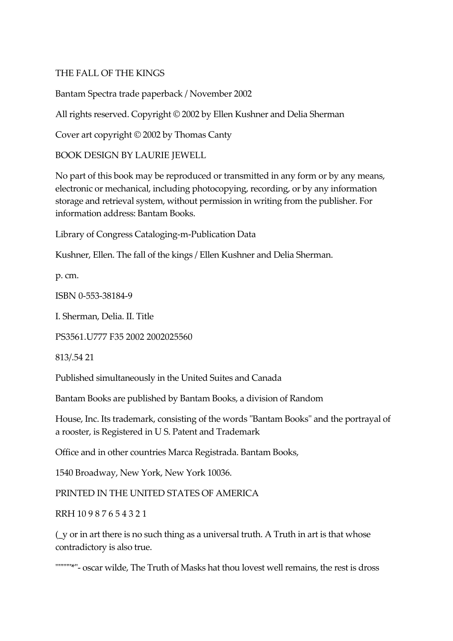#### THE FALL OF THE KINGS

Bantam Spectra trade paperback / November 2002

All rights reserved. Copyright © 2002 by Ellen Kushner and Delia Sherman

Cover art copyright © 2002 by Thomas Canty

BOOK DESIGN BY LAURIE JEWELL

No part of this book may be reproduced or transmitted in any form or by any means, electronic or mechanical, including photocopying, recording, or by any information storage and retrieval system, without permission in writing from the publisher. For information address: Bantam Books.

Library of Congress Cataloging-m-Publication Data

Kushner, Ellen. The fall of the kings / Ellen Kushner and Delia Sherman.

p. cm.

ISBN 0-553-38184-9

I. Sherman, Delia. II. Title

PS3561.U777 F35 2002 2002025560

813/.54 21

Published simultaneously in the United Suites and Canada

Bantam Books are published by Bantam Books, a division of Random

House, Inc. Its trademark, consisting of the words "Bantam Books" and the portrayal of a rooster, is Registered in U S. Patent and Trademark

Office and in other countries Marca Registrada. Bantam Books,

1540 Broadway, New York, New York 10036.

PRINTED IN THE UNITED STATES OF AMERICA

RRH 10 9 8 7 6 5 4 3 2 1

(\_y or in art there is no such thing as a universal truth. A Truth in art is that whose contradictory is also true.

"""""\*"- oscar wilde, The Truth of Masks hat thou lovest well remains, the rest is dross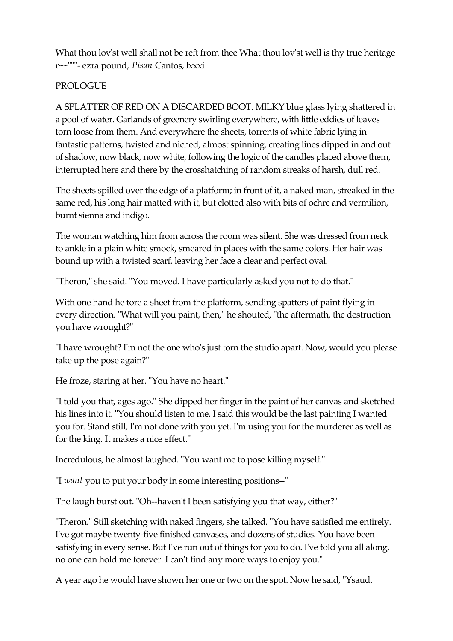What thou lov'st well shall not be reft from thee What thou lov'st well is thy true heritage r~~"""- ezra pound, *Pisan* Cantos, lxxxi

# PROLOGUE

A SPLATTER OF RED ON A DISCARDED BOOT. MlLKY blue glass lying shattered in a pool of water. Garlands of greenery swirling everywhere, with little eddies of leaves torn loose from them. And everywhere the sheets, torrents of white fabric lying in fantastic patterns, twisted and niched, almost spinning, creating lines dipped in and out of shadow, now black, now white, following the logic of the candles placed above them, interrupted here and there by the crosshatching of random streaks of harsh, dull red.

The sheets spilled over the edge of a platform; in front of it, a naked man, streaked in the same red, his long hair matted with it, but clotted also with bits of ochre and vermilion, burnt sienna and indigo.

The woman watching him from across the room was silent. She was dressed from neck to ankle in a plain white smock, smeared in places with the same colors. Her hair was bound up with a twisted scarf, leaving her face a clear and perfect oval.

"Theron," she said. "You moved. I have particularly asked you not to do that."

With one hand he tore a sheet from the platform, sending spatters of paint flying in every direction. "What will you paint, then," he shouted, "the aftermath, the destruction you have wrought?"

"I have wrought? I'm not the one who's just torn the studio apart. Now, would you please take up the pose again?"

He froze, staring at her. "You have no heart."

"I told you that, ages ago." She dipped her finger in the paint of her canvas and sketched his lines into it. "You should listen to me. I said this would be the last painting I wanted you for. Stand still, I'm not done with you yet. I'm using you for the murderer as well as for the king. It makes a nice effect."

Incredulous, he almost laughed. "You want me to pose killing myself."

"I *want* you to put your body in some interesting positions--"

The laugh burst out. "Oh--haven't I been satisfying you that way, either?"

"Theron." Still sketching with naked fingers, she talked. "You have satisfied me entirely. I've got maybe twenty-five finished canvases, and dozens of studies. You have been satisfying in every sense. But I've run out of things for you to do. I've told you all along, no one can hold me forever. I can't find any more ways to enjoy you."

A year ago he would have shown her one or two on the spot. Now he said, "Ysaud.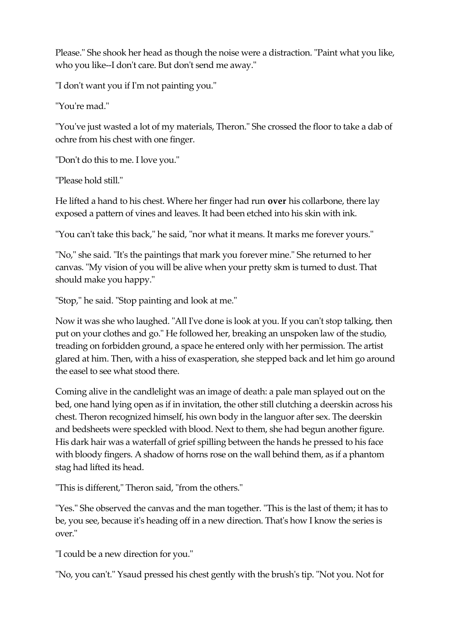Please." She shook her head as though the noise were a distraction. "Paint what you like, who you like--I don't care. But don't send me away."

"I don't want you if I'm not painting you."

"You're mad."

"You've just wasted a lot of my materials, Theron." She crossed the floor to take a dab of ochre from his chest with one finger.

"Don't do this to me. I love you."

"Please hold still."

He lifted a hand to his chest. Where her finger had run **over** his collarbone, there lay exposed a pattern of vines and leaves. It had been etched into his skin with ink.

"You can't take this back," he said, "nor what it means. It marks me forever yours."

"No," she said. "It's the paintings that mark you forever mine." She returned to her canvas. "My vision of you will be alive when your pretty skm is turned to dust. That should make you happy."

"Stop," he said. "Stop painting and look at me."

Now it was she who laughed. "All I've done is look at you. If you can't stop talking, then put on your clothes and go." He followed her, breaking an unspoken law of the studio, treading on forbidden ground, a space he entered only with her permission. The artist glared at him. Then, with a hiss of exasperation, she stepped back and let him go around the easel to see what stood there.

Coming alive in the candlelight was an image of death: a pale man splayed out on the bed, one hand lying open as if in invitation, the other still clutching a deerskin across his chest. Theron recognized himself, his own body in the languor after sex. The deerskin and bedsheets were speckled with blood. Next to them, she had begun another figure. His dark hair was a waterfall of grief spilling between the hands he pressed to his face with bloody fingers. A shadow of horns rose on the wall behind them, as if a phantom stag had lifted its head.

"This is different," Theron said, "from the others."

"Yes." She observed the canvas and the man together. "This is the last of them; it has to be, you see, because it's heading off in a new direction. That's how I know the series is over."

"I could be a new direction for you."

"No, you can't." Ysaud pressed his chest gently with the brush's tip. "Not you. Not for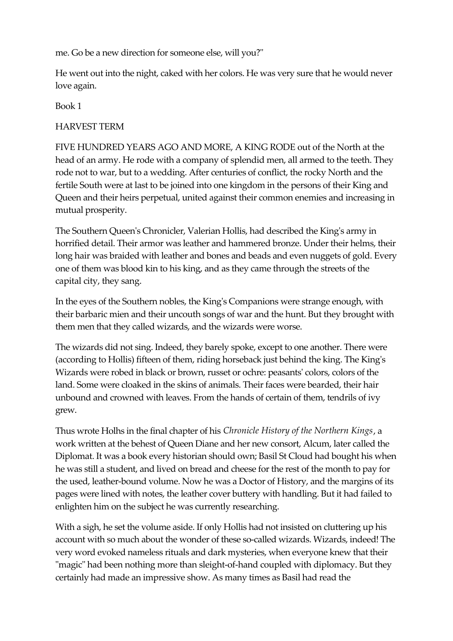me. Go be a new direction for someone else, will you?"

He went out into the night, caked with her colors. He was very sure that he would never love again.

Book 1

# HARVEST TERM

FIVE HUNDRED YEARS AGO AND MORE, A KING RODE out of the North at the head of an army. He rode with a company of splendid men, all armed to the teeth. They rode not to war, but to a wedding. After centuries of conflict, the rocky North and the fertile South were at last to be joined into one kingdom in the persons of their King and Queen and their heirs perpetual, united against their common enemies and increasing in mutual prosperity.

The Southern Queen's Chronicler, Valerian Hollis, had described the King's army in horrified detail. Their armor was leather and hammered bronze. Under their helms, their long hair was braided with leather and bones and beads and even nuggets of gold. Every one of them was blood kin to his king, and as they came through the streets of the capital city, they sang.

In the eyes of the Southern nobles, the King's Companions were strange enough, with their barbaric mien and their uncouth songs of war and the hunt. But they brought with them men that they called wizards, and the wizards were worse.

The wizards did not sing. Indeed, they barely spoke, except to one another. There were (according to Hollis) fifteen of them, riding horseback just behind the king. The King's Wizards were robed in black or brown, russet or ochre: peasants' colors, colors of the land. Some were cloaked in the skins of animals. Their faces were bearded, their hair unbound and crowned with leaves. From the hands of certain of them, tendrils of ivy grew.

Thus wrote Holhs in the final chapter of his *Chronicle History of the Northern Kings*, a work written at the behest of Queen Diane and her new consort, Alcum, later called the Diplomat. It was a book every historian should own; Basil St Cloud had bought his when he was still a student, and lived on bread and cheese for the rest of the month to pay for the used, leather-bound volume. Now he was a Doctor of History, and the margins of its pages were lined with notes, the leather cover buttery with handling. But it had failed to enlighten him on the subject he was currently researching.

With a sigh, he set the volume aside. If only Hollis had not insisted on cluttering up his account with so much about the wonder of these so-called wizards. Wizards, indeed! The very word evoked nameless rituals and dark mysteries, when everyone knew that their "magic" had been nothing more than sleight-of-hand coupled with diplomacy. But they certainly had made an impressive show. As many times as Basil had read the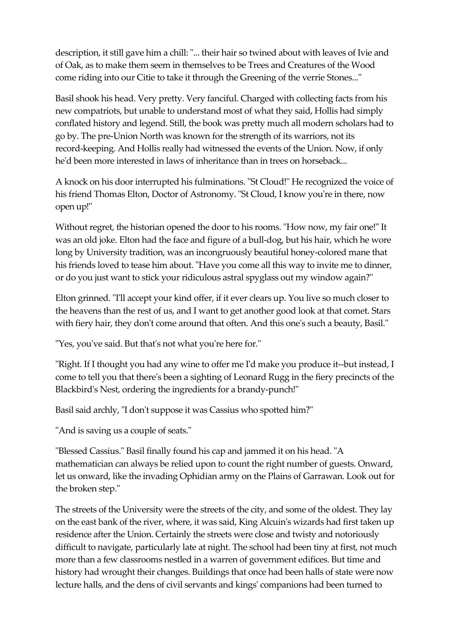description, it still gave him a chill: "... their hair so twined about with leaves of Ivie and of Oak, as to make them seem in themselves to be Trees and Creatures of the Wood come riding into our Citie to take it through the Greening of the verrie Stones..."

Basil shook his head. Very pretty. Very fanciful. Charged with collecting facts from his new compatriots, but unable to understand most of what they said, Hollis had simply conflated history and legend. Still, the book was pretty much all modern scholars had to go by. The pre-Union North was known for the strength of its warriors, not its record-keeping. And Hollis really had witnessed the events of the Union. Now, if only he'd been more interested in laws of inheritance than in trees on horseback...

A knock on his door interrupted his fulminations. "St Cloud!" He recognized the voice of his friend Thomas Elton, Doctor of Astronomy. "St Cloud, I know you're in there, now open up!"

Without regret, the historian opened the door to his rooms. "How now, my fair one!" It was an old joke. Elton had the face and figure of a bull-dog, but his hair, which he wore long by University tradition, was an incongruously beautiful honey-colored mane that his friends loved to tease him about. "Have you come all this way to invite me to dinner, or do you just want to stick your ridiculous astral spyglass out my window again?"

Elton grinned. "I'll accept your kind offer, if it ever clears up. You live so much closer to the heavens than the rest of us, and I want to get another good look at that comet. Stars with fiery hair, they don't come around that often. And this one's such a beauty, Basil."

"Yes, you've said. But that's not what you're here for."

"Right. If I thought you had any wine to offer me I'd make you produce it--but instead, I come to tell you that there's been a sighting of Leonard Rugg in the fiery precincts of the Blackbird's Nest, ordering the ingredients for a brandy-punch!"

Basil said archly, "I don't suppose it was Cassius who spotted him?"

"And is saving us a couple of seats."

"Blessed Cassius." Basil finally found his cap and jammed it on his head. "A mathematician can always be relied upon to count the right number of guests. Onward, let us onward, like the invading Ophidian army on the Plains of Garrawan. Look out for the broken step."

The streets of the University were the streets of the city, and some of the oldest. They lay on the east bank of the river, where, it was said, King Alcuin's wizards had first taken up residence after the Union. Certainly the streets were close and twisty and notoriously difficult to navigate, particularly late at night. The school had been tiny at first, not much more than a few classrooms nestled in a warren of government edifices. But time and history had wrought their changes. Buildings that once had been halls of state were now lecture halls, and the dens of civil servants and kings' companions had been turned to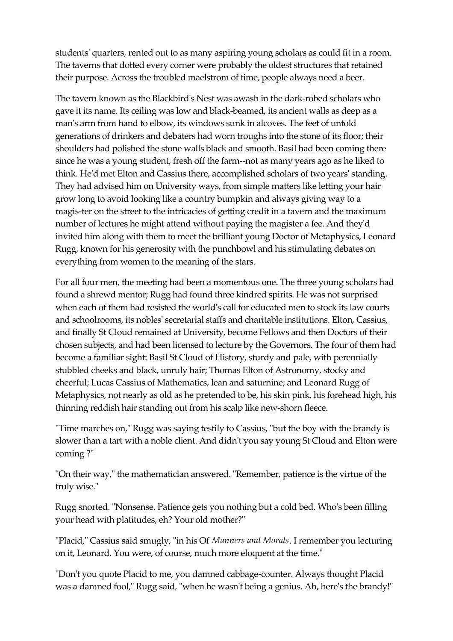students' quarters, rented out to as many aspiring young scholars as could fit in a room. The taverns that dotted every corner were probably the oldest structures that retained their purpose. Across the troubled maelstrom of time, people always need a beer.

The tavern known as the Blackbird's Nest was awash in the dark-robed scholars who gave it its name. Its ceiling was low and black-beamed, its ancient walls as deep as a man's arm from hand to elbow, its windows sunk in alcoves. The feet of untold generations of drinkers and debaters had worn troughs into the stone of its floor; their shoulders had polished the stone walls black and smooth. Basil had been coming there since he was a young student, fresh off the farm--not as many years ago as he liked to think. He'd met Elton and Cassius there, accomplished scholars of two years' standing. They had advised him on University ways, from simple matters like letting your hair grow long to avoid looking like a country bumpkin and always giving way to a magis-ter on the street to the intricacies of getting credit in a tavern and the maximum number of lectures he might attend without paying the magister a fee. And they'd invited him along with them to meet the brilliant young Doctor of Metaphysics, Leonard Rugg, known for his generosity with the punchbowl and his stimulating debates on everything from women to the meaning of the stars.

For all four men, the meeting had been a momentous one. The three young scholars had found a shrewd mentor; Rugg had found three kindred spirits. He was not surprised when each of them had resisted the world's call for educated men to stock its law courts and schoolrooms, its nobles' secretarial staffs and charitable institutions. Elton, Cassius, and finally St Cloud remained at University, become Fellows and then Doctors of their chosen subjects, and had been licensed to lecture by the Governors. The four of them had become a familiar sight: Basil St Cloud of History, sturdy and pale, with perennially stubbled cheeks and black, unruly hair; Thomas Elton of Astronomy, stocky and cheerful; Lucas Cassius of Mathematics, lean and saturnine; and Leonard Rugg of Metaphysics, not nearly as old as he pretended to be, his skin pink, his forehead high, his thinning reddish hair standing out from his scalp like new-shorn fleece.

"Time marches on," Rugg was saying testily to Cassius, "but the boy with the brandy is slower than a tart with a noble client. And didn't you say young St Cloud and Elton were coming ?"

"On their way," the mathematician answered. "Remember, patience is the virtue of the truly wise."

Rugg snorted. "Nonsense. Patience gets you nothing but a cold bed. Who's been filling your head with platitudes, eh? Your old mother?"

"Placid," Cassius said smugly, "in his Of *Manners and Morals*. I remember you lecturing on it, Leonard. You were, of course, much more eloquent at the time."

"Don't you quote Placid to me, you damned cabbage-counter. Always thought Placid was a damned fool," Rugg said, "when he wasn't being a genius. Ah, here's the brandy!"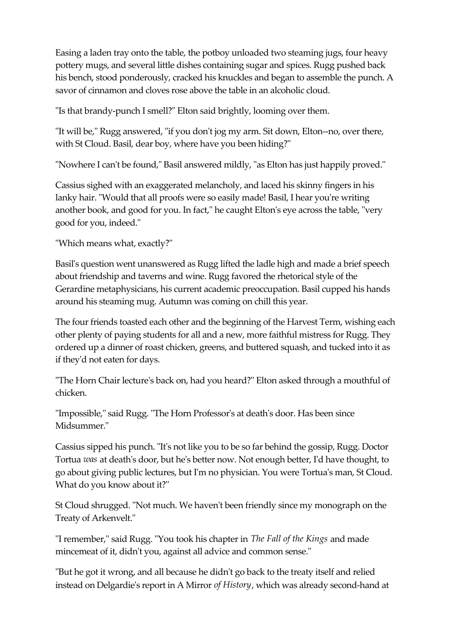Easing a laden tray onto the table, the potboy unloaded two steaming jugs, four heavy pottery mugs, and several little dishes containing sugar and spices. Rugg pushed back his bench, stood ponderously, cracked his knuckles and began to assemble the punch. A savor of cinnamon and cloves rose above the table in an alcoholic cloud.

"Is that brandy-punch I smell?" Elton said brightly, looming over them.

"It will be," Rugg answered, "if you don't jog my arm. Sit down, Elton--no, over there, with St Cloud. Basil, dear boy, where have you been hiding?"

"Nowhere I can't be found," Basil answered mildly, "as Elton has just happily proved."

Cassius sighed with an exaggerated melancholy, and laced his skinny fingers in his lanky hair. "Would that all proofs were so easily made! Basil, I hear you're writing another book, and good for you. In fact," he caught Elton's eye across the table, "very good for you, indeed."

"Which means what, exactly?"

Basil's question went unanswered as Rugg lifted the ladle high and made a brief speech about friendship and taverns and wine. Rugg favored the rhetorical style of the Gerardine metaphysicians, his current academic preoccupation. Basil cupped his hands around his steaming mug. Autumn was coming on chill this year.

The four friends toasted each other and the beginning of the Harvest Term, wishing each other plenty of paying students for all and a new, more faithful mistress for Rugg. They ordered up a dinner of roast chicken, greens, and buttered squash, and tucked into it as if they'd not eaten for days.

"The Horn Chair lecture's back on, had you heard?" Elton asked through a mouthful of chicken.

"Impossible," said Rugg. "The Horn Professor's at death's door. Has been since Midsummer."

Cassius sipped his punch. "It's not like you to be so far behind the gossip, Rugg. Doctor Tortua *was* at death's door, but he's better now. Not enough better, I'd have thought, to go about giving public lectures, but I'm no physician. You were Tortua's man, St Cloud. What do you know about it?"

St Cloud shrugged. "Not much. We haven't been friendly since my monograph on the Treaty of Arkenvelt."

"I remember," said Rugg. "You took his chapter in *The Fall of the Kings* and made mincemeat of it, didn't you, against all advice and common sense."

"But he got it wrong, and all because he didn't go back to the treaty itself and relied instead on Delgardie's report in A Mirror *of History*, which was already second-hand at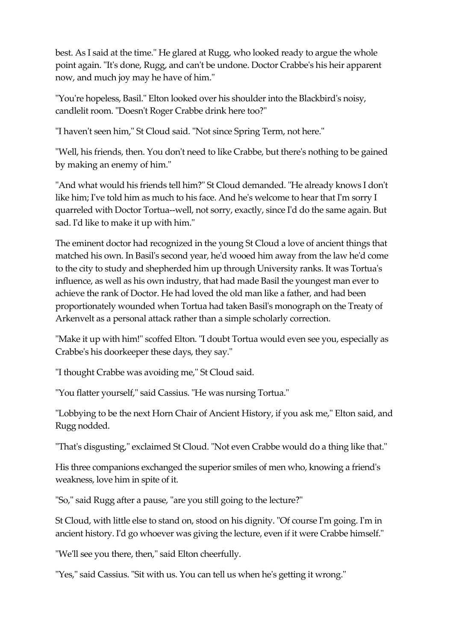best. As I said at the time." He glared at Rugg, who looked ready to argue the whole point again. "It's done, Rugg, and can't be undone. Doctor Crabbe's his heir apparent now, and much joy may he have of him."

"You're hopeless, Basil." Elton looked over his shoulder into the Blackbird's noisy, candlelit room. "Doesn't Roger Crabbe drink here too?"

"I haven't seen him," St Cloud said. "Not since Spring Term, not here."

"Well, his friends, then. You don't need to like Crabbe, but there's nothing to be gained by making an enemy of him."

"And what would his friends tell him?" St Cloud demanded. "He already knows I don't like him; I've told him as much to his face. And he's welcome to hear that I'm sorry I quarreled with Doctor Tortua--well, not sorry, exactly, since I'd do the same again. But sad. I'd like to make it up with him."

The eminent doctor had recognized in the young St Cloud a love of ancient things that matched his own. In Basil's second year, he'd wooed him away from the law he'd come to the city to study and shepherded him up through University ranks. It was Tortua's influence, as well as his own industry, that had made Basil the youngest man ever to achieve the rank of Doctor. He had loved the old man like a father, and had been proportionately wounded when Tortua had taken Basil's monograph on the Treaty of Arkenvelt as a personal attack rather than a simple scholarly correction.

"Make it up with him!" scoffed Elton. "I doubt Tortua would even see you, especially as Crabbe's his doorkeeper these days, they say."

"I thought Crabbe was avoiding me," St Cloud said.

"You flatter yourself," said Cassius. "He was nursing Tortua."

"Lobbying to be the next Horn Chair of Ancient History, if you ask me," Elton said, and Rugg nodded.

"That's disgusting," exclaimed St Cloud. "Not even Crabbe would do a thing like that."

His three companions exchanged the superior smiles of men who, knowing a friend's weakness, love him in spite of it.

"So," said Rugg after a pause, "are you still going to the lecture?"

St Cloud, with little else to stand on, stood on his dignity. "Of course I'm going. I'm in ancient history. I'd go whoever was giving the lecture, even if it were Crabbe himself."

"We'll see you there, then," said Elton cheerfully.

"Yes," said Cassius. "Sit with us. You can tell us when he's getting it wrong."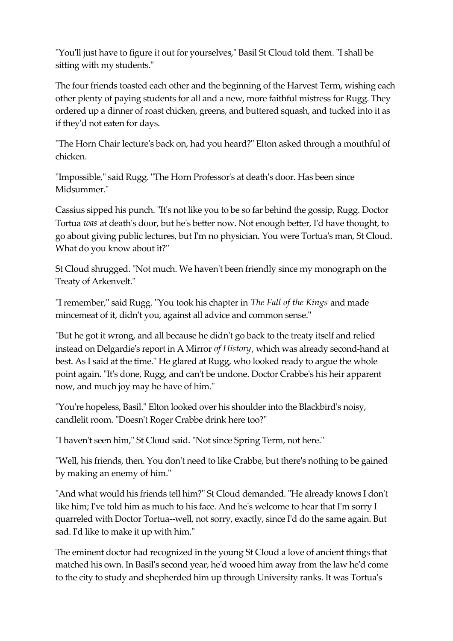"You'll just have to figure it out for yourselves," Basil St Cloud told them. "I shall be sitting with my students."

The four friends toasted each other and the beginning of the Harvest Term, wishing each other plenty of paying students for all and a new, more faithful mistress for Rugg. They ordered up a dinner of roast chicken, greens, and buttered squash, and tucked into it as if they'd not eaten for days.

"The Horn Chair lecture's back on, had you heard?" Elton asked through a mouthful of chicken.

"Impossible," said Rugg. "The Horn Professor's at death's door. Has been since Midsummer."

Cassius sipped his punch. "It's not like you to be so far behind the gossip, Rugg. Doctor Tortua *was* at death's door, but he's better now. Not enough better, I'd have thought, to go about giving public lectures, but I'm no physician. You were Tortua's man, St Cloud. What do you know about it?"

St Cloud shrugged. "Not much. We haven't been friendly since my monograph on the Treaty of Arkenvelt."

"I remember," said Rugg. "You took his chapter in *The Fall of the Kings* and made mincemeat of it, didn't you, against all advice and common sense."

"But he got it wrong, and all because he didn't go back to the treaty itself and relied instead on Delgardie's report in A Mirror *of History*, which was already second-hand at best. As I said at the time." He glared at Rugg, who looked ready to argue the whole point again. "It's done, Rugg, and can't be undone. Doctor Crabbe's his heir apparent now, and much joy may he have of him."

"You're hopeless, Basil." Elton looked over his shoulder into the Blackbird's noisy, candlelit room. "Doesn't Roger Crabbe drink here too?"

"I haven't seen him," St Cloud said. "Not since Spring Term, not here."

"Well, his friends, then. You don't need to like Crabbe, but there's nothing to be gained by making an enemy of him."

"And what would his friends tell him?" St Cloud demanded. "He already knows I don't like him; I've told him as much to his face. And he's welcome to hear that I'm sorry I quarreled with Doctor Tortua--well, not sorry, exactly, since I'd do the same again. But sad. I'd like to make it up with him."

The eminent doctor had recognized in the young St Cloud a love of ancient things that matched his own. In Basil's second year, he'd wooed him away from the law he'd come to the city to study and shepherded him up through University ranks. It was Tortua's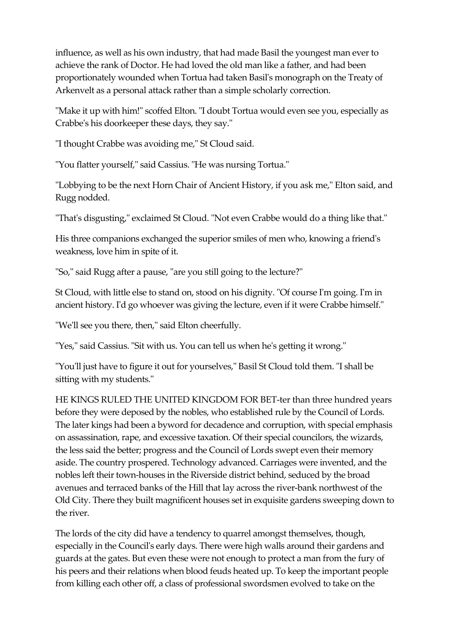influence, as well as his own industry, that had made Basil the youngest man ever to achieve the rank of Doctor. He had loved the old man like a father, and had been proportionately wounded when Tortua had taken Basil's monograph on the Treaty of Arkenvelt as a personal attack rather than a simple scholarly correction.

"Make it up with him!" scoffed Elton. "I doubt Tortua would even see you, especially as Crabbe's his doorkeeper these days, they say."

"I thought Crabbe was avoiding me," St Cloud said.

"You flatter yourself," said Cassius. "He was nursing Tortua."

"Lobbying to be the next Horn Chair of Ancient History, if you ask me," Elton said, and Rugg nodded.

"That's disgusting," exclaimed St Cloud. "Not even Crabbe would do a thing like that."

His three companions exchanged the superior smiles of men who, knowing a friend's weakness, love him in spite of it.

"So," said Rugg after a pause, "are you still going to the lecture?"

St Cloud, with little else to stand on, stood on his dignity. "Of course I'm going. I'm in ancient history. I'd go whoever was giving the lecture, even if it were Crabbe himself."

"We'll see you there, then," said Elton cheerfully.

"Yes," said Cassius. "Sit with us. You can tell us when he's getting it wrong."

"You'll just have to figure it out for yourselves," Basil St Cloud told them. "I shall be sitting with my students."

HE KINGS RULED THE UNITED KINGDOM FOR BET-ter than three hundred years before they were deposed by the nobles, who established rule by the Council of Lords. The later kings had been a byword for decadence and corruption, with special emphasis on assassination, rape, and excessive taxation. Of their special councilors, the wizards, the less said the better; progress and the Council of Lords swept even their memory aside. The country prospered. Technology advanced. Carriages were invented, and the nobles left their town-houses in the Riverside district behind, seduced by the broad avenues and terraced banks of the Hill that lay across the river-bank northwest of the Old City. There they built magnificent houses set in exquisite gardens sweeping down to the river.

The lords of the city did have a tendency to quarrel amongst themselves, though, especially in the Council's early days. There were high walls around their gardens and guards at the gates. But even these were not enough to protect a man from the fury of his peers and their relations when blood feuds heated up. To keep the important people from killing each other off, a class of professional swordsmen evolved to take on the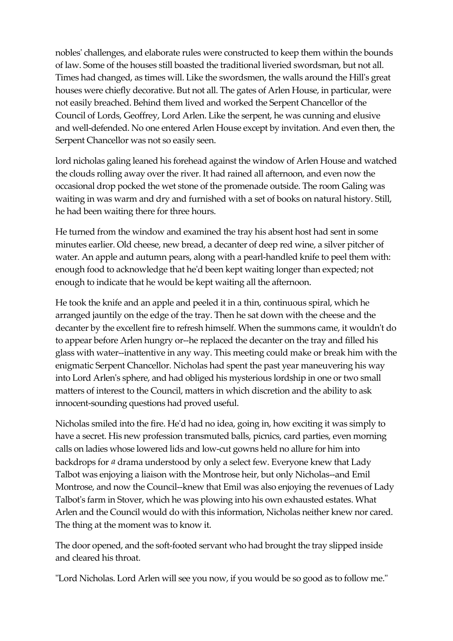nobles' challenges, and elaborate rules were constructed to keep them within the bounds of law. Some of the houses still boasted the traditional liveried swordsman, but not all. Times had changed, as times will. Like the swordsmen, the walls around the Hill's great houses were chiefly decorative. But not all. The gates of Arlen House, in particular, were not easily breached. Behind them lived and worked the Serpent Chancellor of the Council of Lords, Geoffrey, Lord Arlen. Like the serpent, he was cunning and elusive and well-defended. No one entered Arlen House except by invitation. And even then, the Serpent Chancellor was not so easily seen.

lord nicholas galing leaned his forehead against the window of Arlen House and watched the clouds rolling away over the river. It had rained all afternoon, and even now the occasional drop pocked the wet stone of the promenade outside. The room Galing was waiting in was warm and dry and furnished with a set of books on natural history. Still, he had been waiting there for three hours.

He turned from the window and examined the tray his absent host had sent in some minutes earlier. Old cheese, new bread, a decanter of deep red wine, a silver pitcher of water. An apple and autumn pears, along with a pearl-handled knife to peel them with: enough food to acknowledge that he'd been kept waiting longer than expected; not enough to indicate that he would be kept waiting all the afternoon.

He took the knife and an apple and peeled it in a thin, continuous spiral, which he arranged jauntily on the edge of the tray. Then he sat down with the cheese and the decanter by the excellent fire to refresh himself. When the summons came, it wouldn't do to appear before Arlen hungry or--he replaced the decanter on the tray and filled his glass with water--inattentive in any way. This meeting could make or break him with the enigmatic Serpent Chancellor. Nicholas had spent the past year maneuvering his way into Lord Arlen's sphere, and had obliged his mysterious lordship in one or two small matters of interest to the Council, matters in which discretion and the ability to ask innocent-sounding questions had proved useful.

Nicholas smiled into the fire. He'd had no idea, going in, how exciting it was simply to have a secret. His new profession transmuted balls, picnics, card parties, even morning calls on ladies whose lowered lids and low-cut gowns held no allure for him into backdrops for *a* drama understood by only a select few. Everyone knew that Lady Talbot was enjoying a liaison with the Montrose heir, but only Nicholas--and Emil Montrose, and now the Council--knew that Emil was also enjoying the revenues of Lady Talbot's farm in Stover, which he was plowing into his own exhausted estates. What Arlen and the Council would do with this information, Nicholas neither knew nor cared. The thing at the moment was to know it.

The door opened, and the soft-footed servant who had brought the tray slipped inside and cleared his throat.

"Lord Nicholas. Lord Arlen will see you now, if you would be so good as to follow me."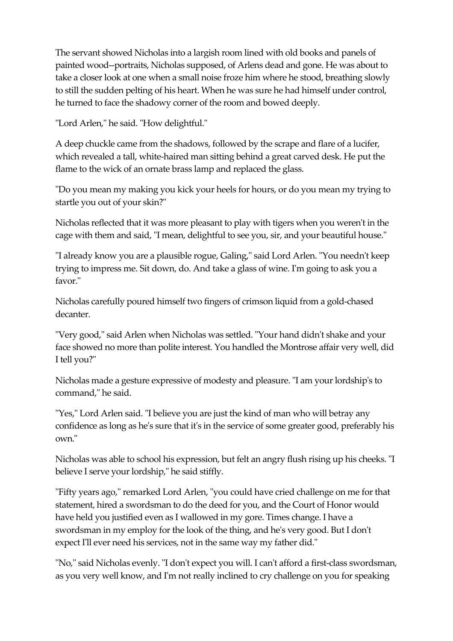The servant showed Nicholas into a largish room lined with old books and panels of painted wood--portraits, Nicholas supposed, of Arlens dead and gone. He was about to take a closer look at one when a small noise froze him where he stood, breathing slowly to still the sudden pelting of his heart. When he was sure he had himself under control, he turned to face the shadowy corner of the room and bowed deeply.

"Lord Arlen," he said. "How delightful."

A deep chuckle came from the shadows, followed by the scrape and flare of a lucifer, which revealed a tall, white-haired man sitting behind a great carved desk. He put the flame to the wick of an ornate brass lamp and replaced the glass.

"Do you mean my making you kick your heels for hours, or do you mean my trying to startle you out of your skin?"

Nicholas reflected that it was more pleasant to play with tigers when you weren't in the cage with them and said, "I mean, delightful to see you, sir, and your beautiful house."

"I already know you are a plausible rogue, Galing," said Lord Arlen. "You needn't keep trying to impress me. Sit down, do. And take a glass of wine. I'm going to ask you a favor."

Nicholas carefully poured himself two fingers of crimson liquid from a gold-chased decanter.

"Very good," said Arlen when Nicholas was settled. "Your hand didn't shake and your face showed no more than polite interest. You handled the Montrose affair very well, did I tell you?"

Nicholas made a gesture expressive of modesty and pleasure. "I am your lordship's to command," he said.

"Yes," Lord Arlen said. "I believe you are just the kind of man who will betray any confidence as long as he's sure that it's in the service of some greater good, preferably his own."

Nicholas was able to school his expression, but felt an angry flush rising up his cheeks. "I believe I serve your lordship," he said stiffly.

"Fifty years ago," remarked Lord Arlen, "you could have cried challenge on me for that statement, hired a swordsman to do the deed for you, and the Court of Honor would have held you justified even as I wallowed in my gore. Times change. I have a swordsman in my employ for the look of the thing, and he's very good. But I don't expect I'll ever need his services, not in the same way my father did."

"No," said Nicholas evenly. "I don't expect you will. I can't afford a first-class swordsman, as you very well know, and I'm not really inclined to cry challenge on you for speaking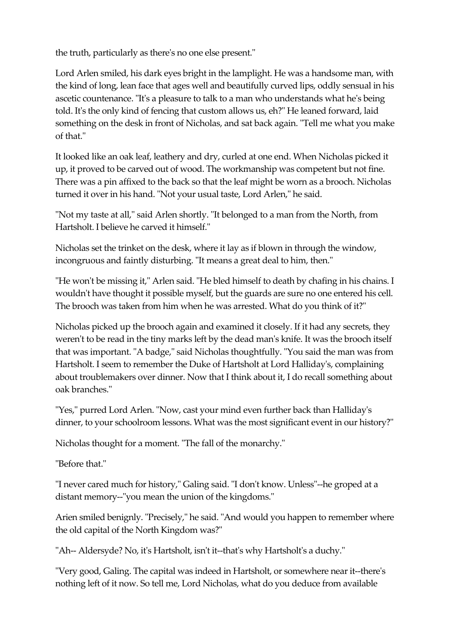the truth, particularly as there's no one else present."

Lord Arlen smiled, his dark eyes bright in the lamplight. He was a handsome man, with the kind of long, lean face that ages well and beautifully curved lips, oddly sensual in his ascetic countenance. "It's a pleasure to talk to a man who understands what he's being told. It's the only kind of fencing that custom allows us, eh?" He leaned forward, laid something on the desk in front of Nicholas, and sat back again. "Tell me what you make of that."

It looked like an oak leaf, leathery and dry, curled at one end. When Nicholas picked it up, it proved to be carved out of wood. The workmanship was competent but not fine. There was a pin affixed to the back so that the leaf might be worn as a brooch. Nicholas turned it over in his hand. "Not your usual taste, Lord Arlen," he said.

"Not my taste at all," said Arlen shortly. "It belonged to a man from the North, from Hartsholt. I believe he carved it himself."

Nicholas set the trinket on the desk, where it lay as if blown in through the window, incongruous and faintly disturbing. "It means a great deal to him, then."

"He won't be missing it," Arlen said. "He bled himself to death by chafing in his chains. I wouldn't have thought it possible myself, but the guards are sure no one entered his cell. The brooch was taken from him when he was arrested. What do you think of it?"

Nicholas picked up the brooch again and examined it closely. If it had any secrets, they weren't to be read in the tiny marks left by the dead man's knife. It was the brooch itself that was important. "A badge," said Nicholas thoughtfully. "You said the man was from Hartsholt. I seem to remember the Duke of Hartsholt at Lord Halliday's, complaining about troublemakers over dinner. Now that I think about it, I do recall something about oak branches."

"Yes," purred Lord Arlen. "Now, cast your mind even further back than Halliday's dinner, to your schoolroom lessons. What was the most significant event in our history?"

Nicholas thought for a moment. "The fall of the monarchy."

"Before that."

"I never cared much for history," Galing said. "I don't know. Unless"--he groped at a distant memory--"you mean the union of the kingdoms."

Arien smiled benignly. "Precisely," he said. "And would you happen to remember where the old capital of the North Kingdom was?"

"Ah-- Aldersyde? No, it's Hartsholt, isn't it--that's why Hartsholt's a duchy."

"Very good, Galing. The capital was indeed in Hartsholt, or somewhere near it--there's nothing left of it now. So tell me, Lord Nicholas, what do you deduce from available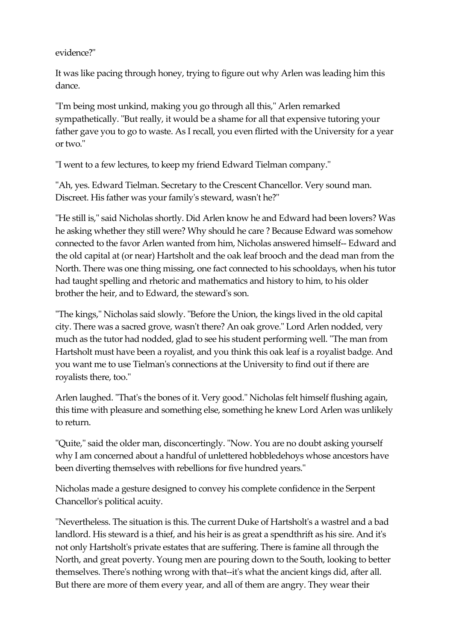evidence?"

It was like pacing through honey, trying to figure out why Arlen was leading him this dance.

"I'm being most unkind, making you go through all this," Arlen remarked sympathetically. "But really, it would be a shame for all that expensive tutoring your father gave you to go to waste. As I recall, you even flirted with the University for a year or two."

"I went to a few lectures, to keep my friend Edward Tielman company."

"Ah, yes. Edward Tielman. Secretary to the Crescent Chancellor. Very sound man. Discreet. His father was your family's steward, wasn't he?"

"He still is," said Nicholas shortly. Did Arlen know he and Edward had been lovers? Was he asking whether they still were? Why should he care ? Because Edward was somehow connected to the favor Arlen wanted from him, Nicholas answered himself-- Edward and the old capital at (or near) Hartsholt and the oak leaf brooch and the dead man from the North. There was one thing missing, one fact connected to his schooldays, when his tutor had taught spelling and rhetoric and mathematics and history to him, to his older brother the heir, and to Edward, the steward's son.

"The kings," Nicholas said slowly. "Before the Union, the kings lived in the old capital city. There was a sacred grove, wasn't there? An oak grove." Lord Arlen nodded, very much as the tutor had nodded, glad to see his student performing well. "The man from Hartsholt must have been a royalist, and you think this oak leaf is a royalist badge. And you want me to use Tielman's connections at the University to find out if there are royalists there, too."

Arlen laughed. "That's the bones of it. Very good." Nicholas felt himself flushing again, this time with pleasure and something else, something he knew Lord Arlen was unlikely to return.

"Quite," said the older man, disconcertingly. "Now. You are no doubt asking yourself why I am concerned about a handful of unlettered hobbledehoys whose ancestors have been diverting themselves with rebellions for five hundred years."

Nicholas made a gesture designed to convey his complete confidence in the Serpent Chancellor's political acuity.

"Nevertheless. The situation is this. The current Duke of Hartsholt's a wastrel and a bad landlord. His steward is a thief, and his heir is as great a spendthrift as his sire. And it's not only Hartsholt's private estates that are suffering. There is famine all through the North, and great poverty. Young men are pouring down to the South, looking to better themselves. There's nothing wrong with that--it's what the ancient kings did, after all. But there are more of them every year, and all of them are angry. They wear their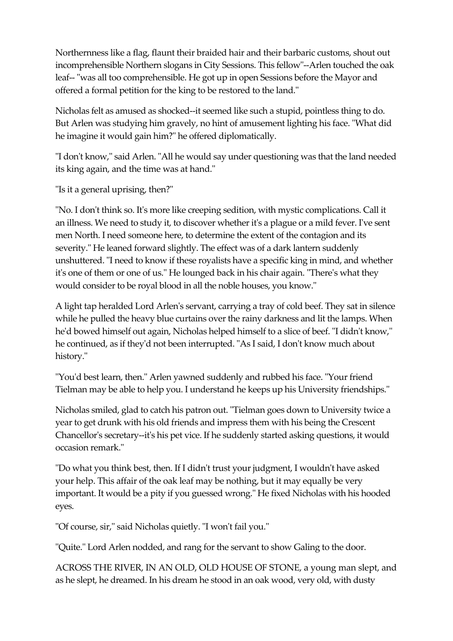Northernness like a flag, flaunt their braided hair and their barbaric customs, shout out incomprehensible Northern slogans in City Sessions. This fellow"--Arlen touched the oak leaf-- "was all too comprehensible. He got up in open Sessions before the Mayor and offered a formal petition for the king to be restored to the land."

Nicholas felt as amused as shocked--it seemed like such a stupid, pointless thing to do. But Arlen was studying him gravely, no hint of amusement lighting his face. "What did he imagine it would gain him?" he offered diplomatically.

"I don't know," said Arlen. "All he would say under questioning was that the land needed its king again, and the time was at hand."

"Is it a general uprising, then?"

"No. I don't think so. It's more like creeping sedition, with mystic complications. Call it an illness. We need to study it, to discover whether it's a plague or a mild fever. I've sent men North. I need someone here, to determine the extent of the contagion and its severity." He leaned forward slightly. The effect was of a dark lantern suddenly unshuttered. "I need to know if these royalists have a specific king in mind, and whether it's one of them or one of us." He lounged back in his chair again. "There's what they would consider to be royal blood in all the noble houses, you know."

A light tap heralded Lord Arlen's servant, carrying a tray of cold beef. They sat in silence while he pulled the heavy blue curtains over the rainy darkness and lit the lamps. When he'd bowed himself out again, Nicholas helped himself to a slice of beef. "I didn't know," he continued, as if they'd not been interrupted. "As I said, I don't know much about history."

"You'd best learn, then." Arlen yawned suddenly and rubbed his face. "Your friend Tielman may be able to help you. I understand he keeps up his University friendships."

Nicholas smiled, glad to catch his patron out. "Tielman goes down to University twice a year to get drunk with his old friends and impress them with his being the Crescent Chancellor's secretary--it's his pet vice. If he suddenly started asking questions, it would occasion remark."

"Do what you think best, then. If I didn't trust your judgment, I wouldn't have asked your help. This affair of the oak leaf may be nothing, but it may equally be very important. It would be a pity if you guessed wrong." He fixed Nicholas with his hooded eyes.

"Of course, sir," said Nicholas quietly. "I won't fail you."

"Quite." Lord Arlen nodded, and rang for the servant to show Galing to the door.

ACROSS THE RIVER, IN AN OLD, OLD HOUSE OF STONE, a young man slept, and as he slept, he dreamed. In his dream he stood in an oak wood, very old, with dusty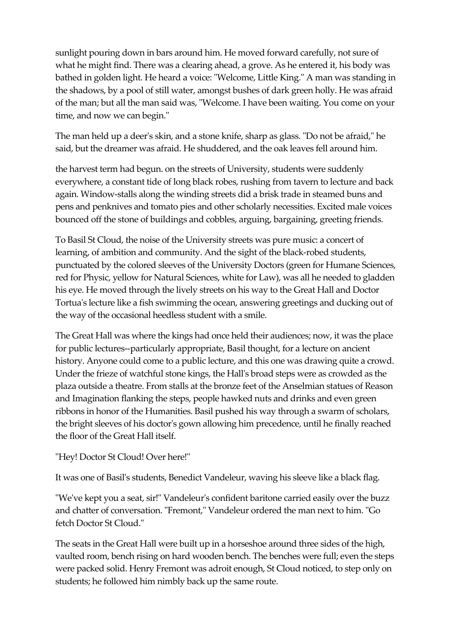sunlight pouring down in bars around him. He moved forward carefully, not sure of what he might find. There was a clearing ahead, a grove. As he entered it, his body was bathed in golden light. He heard a voice: "Welcome, Little King." A man was standing in the shadows, by a pool of still water, amongst bushes of dark green holly. He was afraid of the man; but all the man said was, "Welcome. I have been waiting. You come on your time, and now we can begin."

The man held up a deer's skin, and a stone knife, sharp as glass. "Do not be afraid," he said, but the dreamer was afraid. He shuddered, and the oak leaves fell around him.

the harvest term had begun. on the streets of University, students were suddenly everywhere, a constant tide of long black robes, rushing from tavern to lecture and back again. Window-stalls along the winding streets did a brisk trade in steamed buns and pens and penknives and tomato pies and other scholarly necessities. Excited male voices bounced off the stone of buildings and cobbles, arguing, bargaining, greeting friends.

To Basil St Cloud, the noise of the University streets was pure music: a concert of learning, of ambition and community. And the sight of the black-robed students, punctuated by the colored sleeves of the University Doctors (green for Humane Sciences, red for Physic, yellow for Natural Sciences, white for Law), was all he needed to gladden his eye. He moved through the lively streets on his way to the Great Hall and Doctor Tortua's lecture like a fish swimming the ocean, answering greetings and ducking out of the way of the occasional heedless student with a smile.

The Great Hall was where the kings had once held their audiences; now, it was the place for public lectures--particularly appropriate, Basil thought, for a lecture on ancient history. Anyone could come to a public lecture, and this one was drawing quite a crowd. Under the frieze of watchful stone kings, the Hall's broad steps were as crowded as the plaza outside a theatre. From stalls at the bronze feet of the Anselmian statues of Reason and Imagination flanking the steps, people hawked nuts and drinks and even green ribbons in honor of the Humanities. Basil pushed his way through a swarm of scholars, the bright sleeves of his doctor's gown allowing him precedence, until he finally reached the floor of the Great Hall itself.

#### "Hey! Doctor St Cloud! Over here!"

It was one of Basil's students, Benedict Vandeleur, waving his sleeve like a black flag.

"We've kept you a seat, sir!" Vandeleur's confident baritone carried easily over the buzz and chatter of conversation. "Fremont," Vandeleur ordered the man next to him. "Go fetch Doctor St Cloud."

The seats in the Great Hall were built up in a horseshoe around three sides of the high, vaulted room, bench rising on hard wooden bench. The benches were full; even the steps were packed solid. Henry Fremont was adroit enough, St Cloud noticed, to step only on students; he followed him nimbly back up the same route.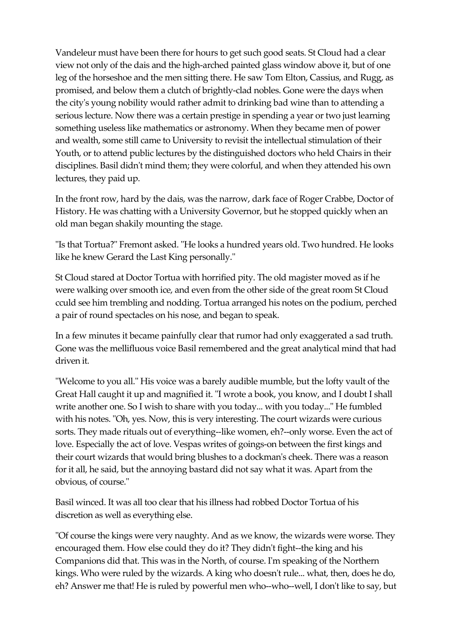Vandeleur must have been there for hours to get such good seats. St Cloud had a clear view not only of the dais and the high-arched painted glass window above it, but of one leg of the horseshoe and the men sitting there. He saw Tom Elton, Cassius, and Rugg, as promised, and below them a clutch of brightly-clad nobles. Gone were the days when the city's young nobility would rather admit to drinking bad wine than to attending a serious lecture. Now there was a certain prestige in spending a year or two just learning something useless like mathematics or astronomy. When they became men of power and wealth, some still came to University to revisit the intellectual stimulation of their Youth, or to attend public lectures by the distinguished doctors who held Chairs in their disciplines. Basil didn't mind them; they were colorful, and when they attended his own lectures, they paid up.

In the front row, hard by the dais, was the narrow, dark face of Roger Crabbe, Doctor of History. He was chatting with a University Governor, but he stopped quickly when an old man began shakily mounting the stage.

"Is that Tortua?" Fremont asked. "He looks a hundred years old. Two hundred. He looks like he knew Gerard the Last King personally."

St Cloud stared at Doctor Tortua with horrified pity. The old magister moved as if he were walking over smooth ice, and even from the other side of the great room St Cloud cculd see him trembling and nodding. Tortua arranged his notes on the podium, perched a pair of round spectacles on his nose, and began to speak.

In a few minutes it became painfully clear that rumor had only exaggerated a sad truth. Gone was the mellifluous voice Basil remembered and the great analytical mind that had driven it.

"Welcome to you all." His voice was a barely audible mumble, but the lofty vault of the Great Hall caught it up and magnified it. "I wrote a book, you know, and I doubt I shall write another one. So I wish to share with you today... with you today..." He fumbled with his notes. "Oh, yes. Now, this is very interesting. The court wizards were curious sorts. They made rituals out of everything--like women, eh?--only worse. Even the act of love. Especially the act of love. Vespas writes of goings-on between the first kings and their court wizards that would bring blushes to a dockman's cheek. There was a reason for it all, he said, but the annoying bastard did not say what it was. Apart from the obvious, of course."

Basil winced. It was all too clear that his illness had robbed Doctor Tortua of his discretion as well as everything else.

"Of course the kings were very naughty. And as we know, the wizards were worse. They encouraged them. How else could they do it? They didn't fight--the king and his Companions did that. This was in the North, of course. I'm speaking of the Northern kings. Who were ruled by the wizards. A king who doesn't rule... what, then, does he do, eh? Answer me that! He is ruled by powerful men who--who--well, I don't like to say, but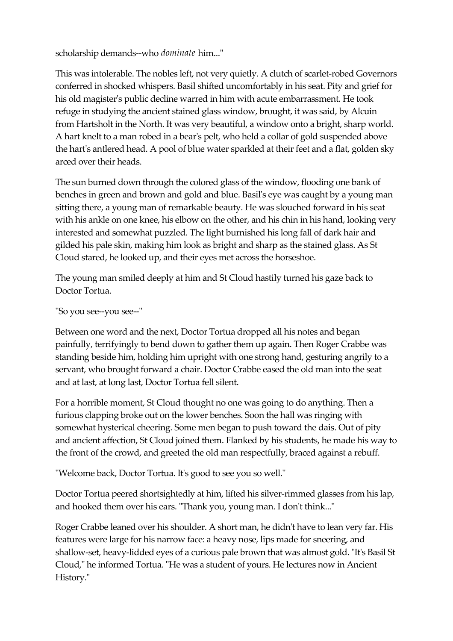scholarship demands--who *dominate* him..."

This was intolerable. The nobles left, not very quietly. A clutch of scarlet-robed Governors conferred in shocked whispers. Basil shifted uncomfortably in his seat. Pity and grief for his old magister's public decline warred in him with acute embarrassment. He took refuge in studying the ancient stained glass window, brought, it was said, by Alcuin from Hartsholt in the North. It was very beautiful, a window onto a bright, sharp world. A hart knelt to a man robed in a bear's pelt, who held a collar of gold suspended above the hart's antlered head. A pool of blue water sparkled at their feet and a flat, golden sky arced over their heads.

The sun burned down through the colored glass of the window, flooding one bank of benches in green and brown and gold and blue. Basil's eye was caught by a young man sitting there, a young man of remarkable beauty. He was slouched forward in his seat with his ankle on one knee, his elbow on the other, and his chin in his hand, looking very interested and somewhat puzzled. The light burnished his long fall of dark hair and gilded his pale skin, making him look as bright and sharp as the stained glass. As St Cloud stared, he looked up, and their eyes met across the horseshoe.

The young man smiled deeply at him and St Cloud hastily turned his gaze back to Doctor Tortua.

"So you see--you see--"

Between one word and the next, Doctor Tortua dropped all his notes and began painfully, terrifyingly to bend down to gather them up again. Then Roger Crabbe was standing beside him, holding him upright with one strong hand, gesturing angrily to a servant, who brought forward a chair. Doctor Crabbe eased the old man into the seat and at last, at long last, Doctor Tortua fell silent.

For a horrible moment, St Cloud thought no one was going to do anything. Then a furious clapping broke out on the lower benches. Soon the hall was ringing with somewhat hysterical cheering. Some men began to push toward the dais. Out of pity and ancient affection, St Cloud joined them. Flanked by his students, he made his way to the front of the crowd, and greeted the old man respectfully, braced against a rebuff.

"Welcome back, Doctor Tortua. It's good to see you so well."

Doctor Tortua peered shortsightedly at him, lifted his silver-rimmed glasses from his lap, and hooked them over his ears. "Thank you, young man. I don't think..."

Roger Crabbe leaned over his shoulder. A short man, he didn't have to lean very far. His features were large for his narrow face: a heavy nose, lips made for sneering, and shallow-set, heavy-lidded eyes of a curious pale brown that was almost gold. "It's Basil St Cloud," he informed Tortua. "He was a student of yours. He lectures now in Ancient History."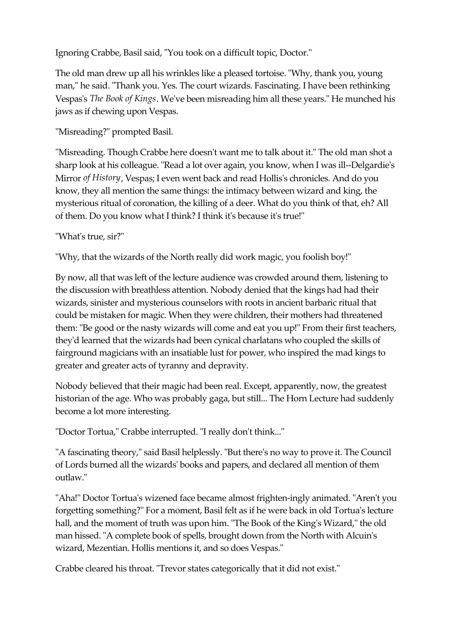Ignoring Crabbe, Basil said, "You took on a difficult topic, Doctor."

The old man drew up all his wrinkles like a pleased tortoise. "Why, thank you, young man," he said. "Thank you. Yes. The court wizards. Fascinating. I have been rethinking Vespas's *The Book of Kings*. We've been misreading him all these years." He munched his jaws as if chewing upon Vespas.

"Misreading?" prompted Basil.

"Misreading. Though Crabbe here doesn't want me to talk about it." The old man shot a sharp look at his colleague. "Read a lot over again, you know, when I was ill--Delgardie's Mirror *of History*, Vespas; I even went back and read Hollis's chronicles. And do you know, they all mention the same things: the intimacy between wizard and king, the mysterious ritual of coronation, the killing of a deer. What do you think of that, eh? All of them. Do you know what I think? I think it's because it's true!"

"What's true, sir?"

"Why, that the wizards of the North really did work magic, you foolish boy!"

By now, all that was left of the lecture audience was crowded around them, listening to the discussion with breathless attention. Nobody denied that the kings had had their wizards, sinister and mysterious counselors with roots in ancient barbaric ritual that could be mistaken for magic. When they were children, their mothers had threatened them: "Be good or the nasty wizards will come and eat you up!" From their first teachers, they'd learned that the wizards had been cynical charlatans who coupled the skills of fairground magicians with an insatiable lust for power, who inspired the mad kings to greater and greater acts of tyranny and depravity.

Nobody believed that their magic had been real. Except, apparently, now, the greatest historian of the age. Who was probably gaga, but still... The Horn Lecture had suddenly become a lot more interesting.

"Doctor Tortua," Crabbe interrupted. "I really don't think..."

"A fascinating theory," said Basil helplessly. "But there's no way to prove it. The Council of Lords burned all the wizards' books and papers, and declared all mention of them outlaw."

"Aha!" Doctor Tortua's wizened face became almost frighten-ingly animated. "Aren't you forgetting something?" For a moment, Basil felt as if he were back in old Tortua's lecture hall, and the moment of truth was upon him. "The Book of the King's Wizard," the old man hissed. "A complete book of spells, brought down from the North with Alcuin's wizard, Mezentian. Hollis mentions it, and so does Vespas."

Crabbe cleared his throat. "Trevor states categorically that it did not exist."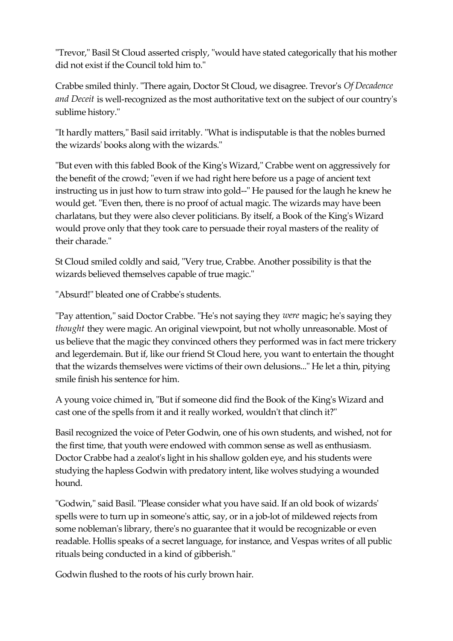"Trevor," Basil St Cloud asserted crisply, "would have stated categorically that his mother did not exist if the Council told him to."

Crabbe smiled thinly. "There again, Doctor St Cloud, we disagree. Trevor's *Of Decadence and Deceit* is well-recognized as the most authoritative text on the subject of our country's sublime history."

"It hardly matters," Basil said irritably. "What is indisputable is that the nobles burned the wizards' books along with the wizards."

"But even with this fabled Book of the King's Wizard," Crabbe went on aggressively for the benefit of the crowd; "even if we had right here before us a page of ancient text instructing us in just how to turn straw into gold--" He paused for the laugh he knew he would get. "Even then, there is no proof of actual magic. The wizards may have been charlatans, but they were also clever politicians. By itself, a Book of the King's Wizard would prove only that they took care to persuade their royal masters of the reality of their charade."

St Cloud smiled coldly and said, "Very true, Crabbe. Another possibility is that the wizards believed themselves capable of true magic."

"Absurd!" bleated one of Crabbe's students.

"Pay attention," said Doctor Crabbe. "He's not saying they *were* magic; he's saying they *thought* they were magic. An original viewpoint, but not wholly unreasonable. Most of us believe that the magic they convinced others they performed was in fact mere trickery and legerdemain. But if, like our friend St Cloud here, you want to entertain the thought that the wizards themselves were victims of their own delusions..." He let a thin, pitying smile finish his sentence for him.

A young voice chimed in, "But if someone did find the Book of the King's Wizard and cast one of the spells from it and it really worked, wouldn't that clinch it?"

Basil recognized the voice of Peter Godwin, one of his own students, and wished, not for the first time, that youth were endowed with common sense as well as enthusiasm. Doctor Crabbe had a zealot's light in his shallow golden eye, and his students were studying the hapless Godwin with predatory intent, like wolves studying a wounded hound.

"Godwin," said Basil. "Please consider what you have said. If an old book of wizards' spells were to turn up in someone's attic, say, or in a job-lot of mildewed rejects from some nobleman's library, there's no guarantee that it would be recognizable or even readable. Hollis speaks of a secret language, for instance, and Vespas writes of all public rituals being conducted in a kind of gibberish."

Godwin flushed to the roots of his curly brown hair.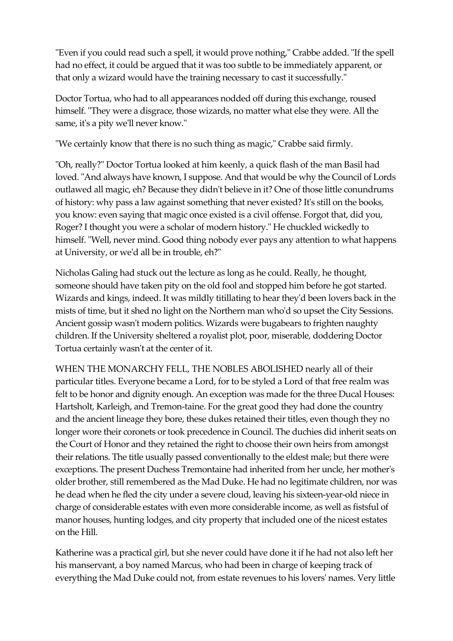"Even if you could read such a spell, it would prove nothing," Crabbe added. "If the spell had no effect, it could be argued that it was too subtle to be immediately apparent, or that only a wizard would have the training necessary to cast it successfully."

Doctor Tortua, who had to all appearances nodded off during this exchange, roused himself. "They were a disgrace, those wizards, no matter what else they were. All the same, it's a pity we'll never know."

"We certainly know that there is no such thing as magic," Crabbe said firmly.

"Oh, really?" Doctor Tortua looked at him keenly, a quick flash of the man Basil had loved. "And always have known, I suppose. And that would be why the Council of Lords outlawed all magic, eh? Because they didn't believe in it? One of those little conundrums of history: why pass a law against something that never existed? It's still on the books, you know: even saying that magic once existed is a civil offense. Forgot that, did you, Roger? I thought you were a scholar of modern history." He chuckled wickedly to himself. "Well, never mind. Good thing nobody ever pays any attention to what happens at University, or we'd all be in trouble, eh?"

Nicholas Galing had stuck out the lecture as long as he could. Really, he thought, someone should have taken pity on the old fool and stopped him before he got started. Wizards and kings, indeed. It was mildly titillating to hear they'd been lovers back in the mists of time, but it shed no light on the Northern man who'd so upset the City Sessions. Ancient gossip wasn't modern politics. Wizards were bugabears to frighten naughty children. If the University sheltered a royalist plot, poor, miserable, doddering Doctor Tortua certainly wasn't at the center of it.

WHEN THE MONARCHY FELL, THE NOBLES ABOLISHED nearly all of their particular titles. Everyone became a Lord, for to be styled a Lord of that free realm was felt to be honor and dignity enough. An exception was made for the three Ducal Houses: Hartsholt, Karleigh, and Tremon-taine. For the great good they had done the country and the ancient lineage they bore, these dukes retained their titles, even though they no longer wore their coronets or took precedence in Council. The duchies did inherit seats on the Court of Honor and they retained the right to choose their own heirs from amongst their relations. The title usually passed conventionally to the eldest male; but there were exceptions. The present Duchess Tremontaine had inherited from her uncle, her mother's older brother, still remembered as the Mad Duke. He had no legitimate children, nor was he dead when he fled the city under a severe cloud, leaving his sixteen-year-old niece in charge of considerable estates with even more considerable income, as well as fistsful of manor houses, hunting lodges, and city property that included one of the nicest estates on the Hill.

Katherine was a practical girl, but she never could have done it if he had not also left her his manservant, a boy named Marcus, who had been in charge of keeping track of everything the Mad Duke could not, from estate revenues to his lovers' names. Very little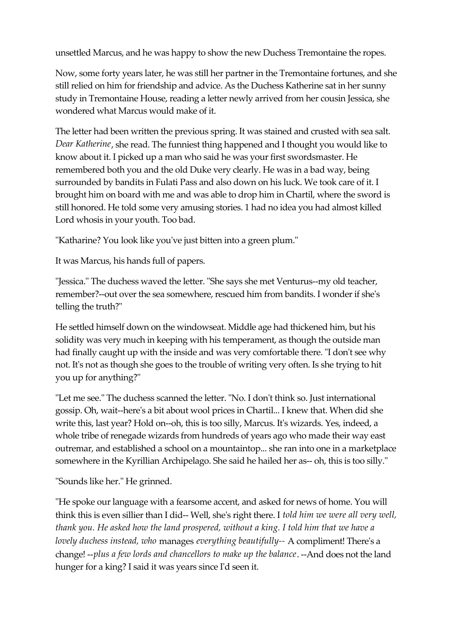unsettled Marcus, and he was happy to show the new Duchess Tremontaine the ropes.

Now, some forty years later, he was still her partner in the Tremontaine fortunes, and she still relied on him for friendship and advice. As the Duchess Katherine sat in her sunny study in Tremontaine House, reading a letter newly arrived from her cousin Jessica, she wondered what Marcus would make of it.

The letter had been written the previous spring. It was stained and crusted with sea salt. *Dear Katherine*, she read. The funniest thing happened and I thought you would like to know about it. I picked up a man who said he was your first swordsmaster. He remembered both you and the old Duke very clearly. He was in a bad way, being surrounded by bandits in Fulati Pass and also down on his luck. We took care of it. I brought him on board with me and was able to drop him in Chartil, where the sword is still honored. He told some very amusing stories. 1 had no idea you had almost killed Lord whosis in your youth. Too bad.

"Katharine? You look like you've just bitten into a green plum."

It was Marcus, his hands full of papers.

"Jessica." The duchess waved the letter. "She says she met Venturus--my old teacher, remember?--out over the sea somewhere, rescued him from bandits. I wonder if she's telling the truth?"

He settled himself down on the windowseat. Middle age had thickened him, but his solidity was very much in keeping with his temperament, as though the outside man had finally caught up with the inside and was very comfortable there. "I don't see why not. It's not as though she goes to the trouble of writing very often. Is she trying to hit you up for anything?"

"Let me see." The duchess scanned the letter. "No. I don't think so. Just international gossip. Oh, wait--here's a bit about wool prices in Chartil... I knew that. When did she write this, last year? Hold on--oh, this is too silly, Marcus. It's wizards. Yes, indeed, a whole tribe of renegade wizards from hundreds of years ago who made their way east outremar, and established a school on a mountaintop... she ran into one in a marketplace somewhere in the Kyrillian Archipelago. She said he hailed her as-- oh, this is too silly."

"Sounds like her." He grinned.

"He spoke our language with a fearsome accent, and asked for news of home. You will think this is even sillier than I did-- Well, she's right there. I *told him we were all very well, thank you. He asked how the land prospered, without a king. I told him that we have a lovely duchess instead, who* manages *everything beautifully--* A compliment! There's a change! --*plus a few lords and chancellors to make up the balance*. --And does not the land hunger for a king? I said it was years since I'd seen it.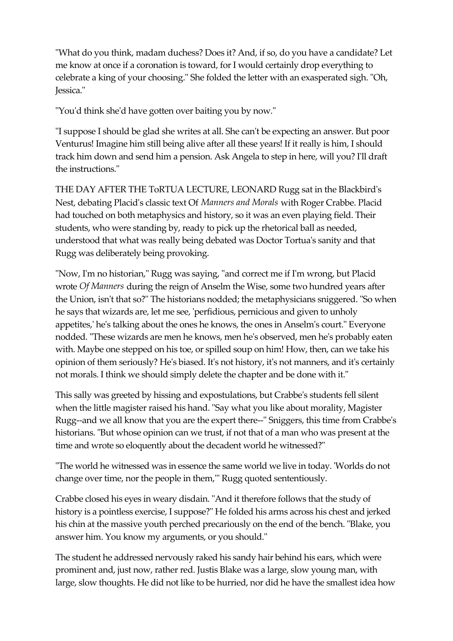"What do you think, madam duchess? Does it? And, if so, do you have a candidate? Let me know at once if a coronation is toward, for I would certainly drop everything to celebrate a king of your choosing." She folded the letter with an exasperated sigh. "Oh, Jessica."

"You'd think she'd have gotten over baiting you by now."

"I suppose I should be glad she writes at all. She can't be expecting an answer. But poor Venturus! Imagine him still being alive after all these years! If it really is him, I should track him down and send him a pension. Ask Angela to step in here, will you? I'll draft the instructions."

THE DAY AFTER THE ToRTUA LECTURE, LEONARD Rugg sat in the Blackbird's Nest, debating Placid's classic text Of *Manners and Morals* with Roger Crabbe. Placid had touched on both metaphysics and history, so it was an even playing field. Their students, who were standing by, ready to pick up the rhetorical ball as needed, understood that what was really being debated was Doctor Tortua's sanity and that Rugg was deliberately being provoking.

"Now, I'm no historian," Rugg was saying, "and correct me if I'm wrong, but Placid wrote *Of Manners* during the reign of Anselm the Wise, some two hundred years after the Union, isn't that so?" The historians nodded; the metaphysicians sniggered. "So when he says that wizards are, let me see, 'perfidious, pernicious and given to unholy appetites,' he's talking about the ones he knows, the ones in Anselm's court." Everyone nodded. "These wizards are men he knows, men he's observed, men he's probably eaten with. Maybe one stepped on his toe, or spilled soup on him! How, then, can we take his opinion of them seriously? He's biased. It's not history, it's not manners, and it's certainly not morals. I think we should simply delete the chapter and be done with it."

This sally was greeted by hissing and expostulations, but Crabbe's students fell silent when the little magister raised his hand. "Say what you like about morality, Magister Rugg--and we all know that you are the expert there--" Sniggers, this time from Crabbe's historians. "But whose opinion can we trust, if not that of a man who was present at the time and wrote so eloquently about the decadent world he witnessed?"

"The world he witnessed was in essence the same world we live in today. 'Worlds do not change over time, nor the people in them,'" Rugg quoted sententiously.

Crabbe closed his eyes in weary disdain. "And it therefore follows that the study of history is a pointless exercise, I suppose?" He folded his arms across his chest and jerked his chin at the massive youth perched precariously on the end of the bench. "Blake, you answer him. You know my arguments, or you should."

The student he addressed nervously raked his sandy hair behind his ears, which were prominent and, just now, rather red. Justis Blake was a large, slow young man, with large, slow thoughts. He did not like to be hurried, nor did he have the smallest idea how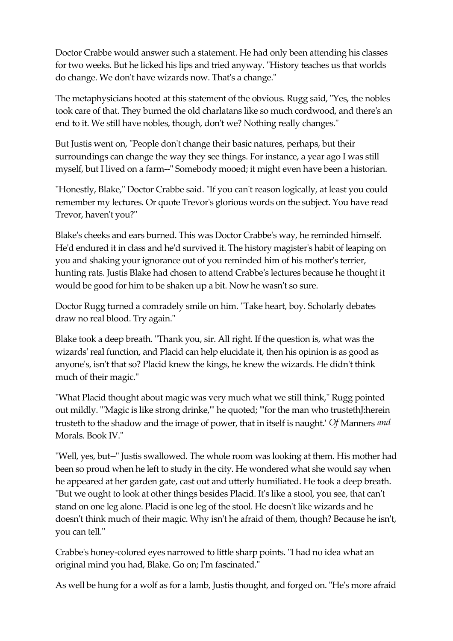Doctor Crabbe would answer such a statement. He had only been attending his classes for two weeks. But he licked his lips and tried anyway. "History teaches us that worlds do change. We don't have wizards now. That's a change."

The metaphysicians hooted at this statement of the obvious. Rugg said, "Yes, the nobles took care of that. They burned the old charlatans like so much cordwood, and there's an end to it. We still have nobles, though, don't we? Nothing really changes."

But Justis went on, "People don't change their basic natures, perhaps, but their surroundings can change the way they see things. For instance, a year ago I was still myself, but I lived on a farm--" Somebody mooed; it might even have been a historian.

"Honestly, Blake," Doctor Crabbe said. "If you can't reason logically, at least you could remember my lectures. Or quote Trevor's glorious words on the subject. You have read Trevor, haven't you?"

Blake's cheeks and ears burned. This was Doctor Crabbe's way, he reminded himself. He'd endured it in class and he'd survived it. The history magister's habit of leaping on you and shaking your ignorance out of you reminded him of his mother's terrier, hunting rats. Justis Blake had chosen to attend Crabbe's lectures because he thought it would be good for him to be shaken up a bit. Now he wasn't so sure.

Doctor Rugg turned a comradely smile on him. "Take heart, boy. Scholarly debates draw no real blood. Try again."

Blake took a deep breath. "Thank you, sir. All right. If the question is, what was the wizards' real function, and Placid can help elucidate it, then his opinion is as good as anyone's, isn't that so? Placid knew the kings, he knew the wizards. He didn't think much of their magic."

"What Placid thought about magic was very much what we still think," Rugg pointed out mildly. "'Magic is like strong drinke,'" he quoted; "'for the man who trustethJ:herein trusteth to the shadow and the image of power, that in itself is naught.' *Of* Manners *and* Morals. Book IV."

"Well, yes, but--" Justis swallowed. The whole room was looking at them. His mother had been so proud when he left to study in the city. He wondered what she would say when he appeared at her garden gate, cast out and utterly humiliated. He took a deep breath. "But we ought to look at other things besides Placid. It's like a stool, you see, that can't stand on one leg alone. Placid is one leg of the stool. He doesn't like wizards and he doesn't think much of their magic. Why isn't he afraid of them, though? Because he isn't, you can tell."

Crabbe's honey-colored eyes narrowed to little sharp points. "I had no idea what an original mind you had, Blake. Go on; I'm fascinated."

As well be hung for a wolf as for a lamb, Justis thought, and forged on. "He's more afraid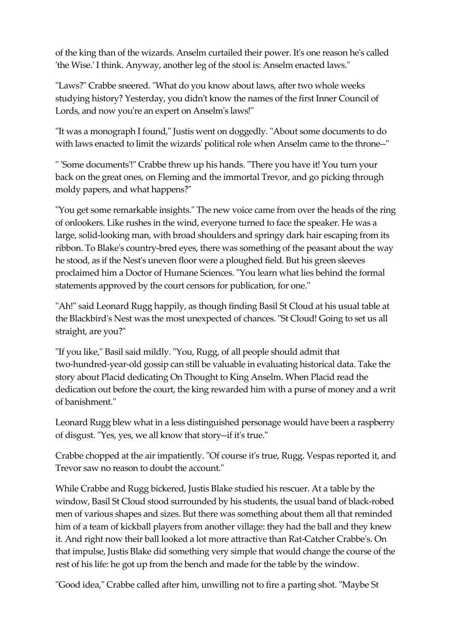of the king than of the wizards. Anselm curtailed their power. It's one reason he's called 'the Wise.' I think. Anyway, another leg of the stool is: Anselm enacted laws."

"Laws?" Crabbe sneered. "What do you know about laws, after two whole weeks studying history? Yesterday, you didn't know the names of the first Inner Council of Lords, and now you're an expert on Anselm's laws!"

"It was a monograph I found," Justis went on doggedly. "About some documents to do with laws enacted to limit the wizards' political role when Anselm came to the throne--"

" 'Some documents'!" Crabbe threw up his hands. "There you have it! You turn your back on the great ones, on Fleming and the immortal Trevor, and go picking through moldy papers, and what happens?"

"You get some remarkable insights." The new voice came from over the heads of the ring of onlookers. Like rushes in the wind, everyone turned to face the speaker. He was a large, solid-looking man, with broad shoulders and springy dark hair escaping from its ribbon. To Blake's country-bred eyes, there was something of the peasant about the way he stood, as if the Nest's uneven floor were a ploughed field. But his green sleeves proclaimed him a Doctor of Humane Sciences. "You learn what lies behind the formal statements approved by the court censors for publication, for one."

"Ah!" said Leonard Rugg happily, as though finding Basil St Cloud at his usual table at the Blackbird's Nest was the most unexpected of chances. "St Cloud! Going to set us all straight, are you?"

"If you like," Basil said mildly. "You, Rugg, of all people should admit that two-hundred-year-old gossip can still be valuable in evaluating historical data. Take the story about Placid dedicating On Thought to King Anselm. When Placid read the dedication out before the court, the king rewarded him with a purse of money and a writ of banishment."

Leonard Rugg blew what in a less distinguished personage would have been a raspberry of disgust. "Yes, yes, we all know that story--if it's true."

Crabbe chopped at the air impatiently. "Of course it's true, Rugg. Vespas reported it, and Trevor saw no reason to doubt the account."

While Crabbe and Rugg bickered, Justis Blake studied his rescuer. At a table by the window, Basil St Cloud stood surrounded by his students, the usual band of black-robed men of various shapes and sizes. But there was something about them all that reminded him of a team of kickball players from another village: they had the ball and they knew it. And right now their ball looked a lot more attractive than Rat-Catcher Crabbe's. On that impulse, Justis Blake did something very simple that would change the course of the rest of his life: he got up from the bench and made for the table by the window.

"Good idea," Crabbe called after him, unwilling not to fire a parting shot. "Maybe St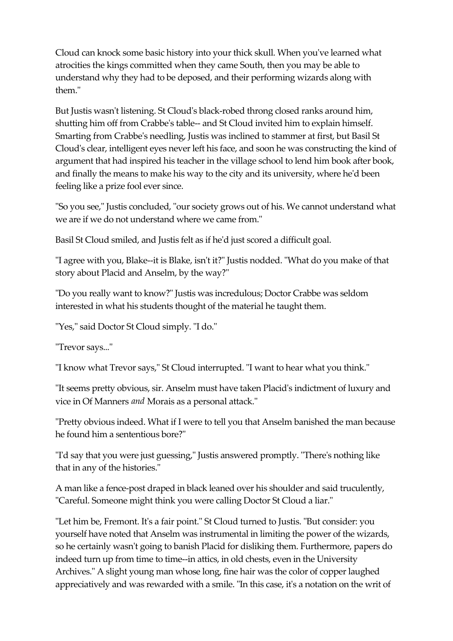Cloud can knock some basic history into your thick skull. When you've learned what atrocities the kings committed when they came South, then you may be able to understand why they had to be deposed, and their performing wizards along with them."

But Justis wasn't listening. St Cloud's black-robed throng closed ranks around him, shutting him off from Crabbe's table-- and St Cloud invited him to explain himself. Smarting from Crabbe's needling, Justis was inclined to stammer at first, but Basil St Cloud's clear, intelligent eyes never left his face, and soon he was constructing the kind of argument that had inspired his teacher in the village school to lend him book after book, and finally the means to make his way to the city and its university, where he'd been feeling like a prize fool ever since.

"So you see," Justis concluded, "our society grows out of his. We cannot understand what we are if we do not understand where we came from."

Basil St Cloud smiled, and Justis felt as if he'd just scored a difficult goal.

"I agree with you, Blake--it is Blake, isn't it?" Justis nodded. "What do you make of that story about Placid and Anselm, by the way?"

"Do you really want to know?" Justis was incredulous; Doctor Crabbe was seldom interested in what his students thought of the material he taught them.

"Yes," said Doctor St Cloud simply. "I do."

"Trevor says..."

"I know what Trevor says," St Cloud interrupted. "I want to hear what you think."

"It seems pretty obvious, sir. Anselm must have taken Placid's indictment of luxury and vice in Of Manners *and* Morais as a personal attack."

"Pretty obvious indeed. What if I were to tell you that Anselm banished the man because he found him a sententious bore?"

"I'd say that you were just guessing," Justis answered promptly. "There's nothing like that in any of the histories."

A man like a fence-post draped in black leaned over his shoulder and said truculently, "Careful. Someone might think you were calling Doctor St Cloud a liar."

"Let him be, Fremont. It's a fair point." St Cloud turned to Justis. "But consider: you yourself have noted that Anselm was instrumental in limiting the power of the wizards, so he certainly wasn't going to banish Placid for disliking them. Furthermore, papers do indeed turn up from time to time--in attics, in old chests, even in the University Archives." A slight young man whose long, fine hair was the color of copper laughed appreciatively and was rewarded with a smile. "In this case, it's a notation on the writ of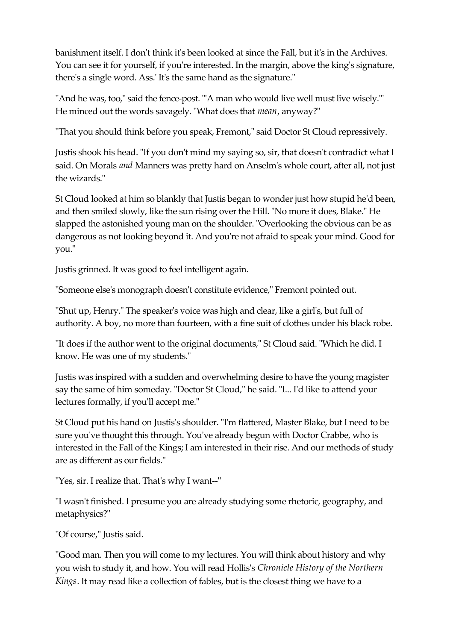banishment itself. I don't think it's been looked at since the Fall, but it's in the Archives. You can see it for yourself, if you're interested. In the margin, above the king's signature, there's a single word. Ass.' It's the same hand as the signature."

"And he was, too," said the fence-post. "'A man who would live well must live wisely.'" He minced out the words savagely. "What does that *mean*, anyway?"

"That you should think before you speak, Fremont," said Doctor St Cloud repressively.

Justis shook his head. "If you don't mind my saying so, sir, that doesn't contradict what I said. On Morals *and* Manners was pretty hard on Anselm's whole court, after all, not just the wizards."

St Cloud looked at him so blankly that Justis began to wonder just how stupid he'd been, and then smiled slowly, like the sun rising over the Hill. "No more it does, Blake." He slapped the astonished young man on the shoulder. "Overlooking the obvious can be as dangerous as not looking beyond it. And you're not afraid to speak your mind. Good for you."

Justis grinned. It was good to feel intelligent again.

"Someone else's monograph doesn't constitute evidence," Fremont pointed out.

"Shut up, Henry." The speaker's voice was high and clear, like a girl's, but full of authority. A boy, no more than fourteen, with a fine suit of clothes under his black robe.

"It does if the author went to the original documents," St Cloud said. "Which he did. I know. He was one of my students."

Justis was inspired with a sudden and overwhelming desire to have the young magister say the same of him someday. "Doctor St Cloud," he said. "I... I'd like to attend your lectures formally, if you'll accept me."

St Cloud put his hand on Justis's shoulder. "I'm flattered, Master Blake, but I need to be sure you've thought this through. You've already begun with Doctor Crabbe, who is interested in the Fall of the Kings; I am interested in their rise. And our methods of study are as different as our fields."

"Yes, sir. I realize that. That's why I want--"

"I wasn't finished. I presume you are already studying some rhetoric, geography, and metaphysics?"

"Of course," Justis said.

"Good man. Then you will come to my lectures. You will think about history and why you wish to study it, and how. You will read Hollis's *Chronicle History of the Northern Kings*. It may read like a collection of fables, but is the closest thing we have to a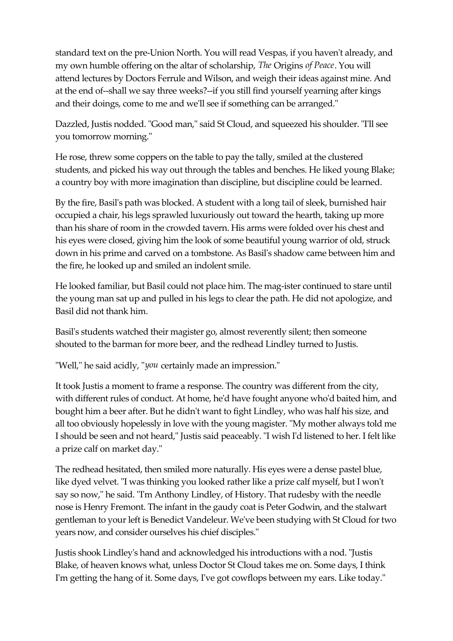standard text on the pre-Union North. You will read Vespas, if you haven't already, and my own humble offering on the altar of scholarship, *The* Origins *of Peace*. You will attend lectures by Doctors Ferrule and Wilson, and weigh their ideas against mine. And at the end of--shall we say three weeks?--if you still find yourself yearning after kings and their doings, come to me and we'll see if something can be arranged."

Dazzled, Justis nodded. "Good man," said St Cloud, and squeezed his shoulder. "I'll see you tomorrow morning."

He rose, threw some coppers on the table to pay the tally, smiled at the clustered students, and picked his way out through the tables and benches. He liked young Blake; a country boy with more imagination than discipline, but discipline could be learned.

By the fire, Basil's path was blocked. A student with a long tail of sleek, burnished hair occupied a chair, his legs sprawled luxuriously out toward the hearth, taking up more than his share of room in the crowded tavern. His arms were folded over his chest and his eyes were closed, giving him the look of some beautiful young warrior of old, struck down in his prime and carved on a tombstone. As Basil's shadow came between him and the fire, he looked up and smiled an indolent smile.

He looked familiar, but Basil could not place him. The mag-ister continued to stare until the young man sat up and pulled in his legs to clear the path. He did not apologize, and Basil did not thank him.

Basil's students watched their magister go, almost reverently silent; then someone shouted to the barman for more beer, and the redhead Lindley turned to Justis.

"Well," he said acidly, "*you* certainly made an impression."

It took Justis a moment to frame a response. The country was different from the city, with different rules of conduct. At home, he'd have fought anyone who'd baited him, and bought him a beer after. But he didn't want to fight Lindley, who was half his size, and all too obviously hopelessly in love with the young magister. "My mother always told me I should be seen and not heard," Justis said peaceably. "I wish I'd listened to her. I felt like a prize calf on market day."

The redhead hesitated, then smiled more naturally. His eyes were a dense pastel blue, like dyed velvet. "I was thinking you looked rather like a prize calf myself, but I won't say so now," he said. "I'm Anthony Lindley, of History. That rudesby with the needle nose is Henry Fremont. The infant in the gaudy coat is Peter Godwin, and the stalwart gentleman to your left is Benedict Vandeleur. We've been studying with St Cloud for two years now, and consider ourselves his chief disciples."

Justis shook Lindley's hand and acknowledged his introductions with a nod. "Justis Blake, of heaven knows what, unless Doctor St Cloud takes me on. Some days, I think I'm getting the hang of it. Some days, I've got cowflops between my ears. Like today."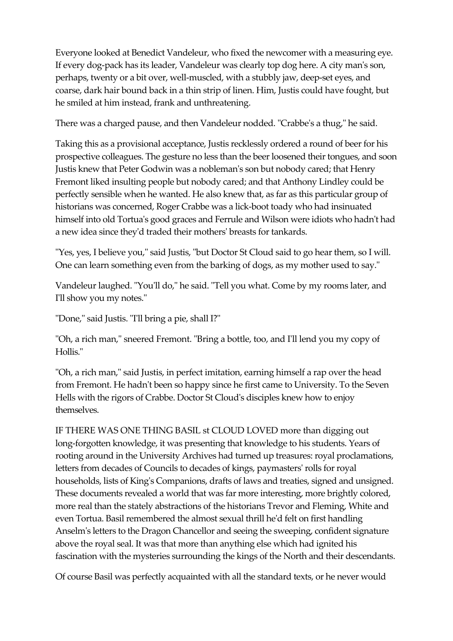Everyone looked at Benedict Vandeleur, who fixed the newcomer with a measuring eye. If every dog-pack has its leader, Vandeleur was clearly top dog here. A city man's son, perhaps, twenty or a bit over, well-muscled, with a stubbly jaw, deep-set eyes, and coarse, dark hair bound back in a thin strip of linen. Him, Justis could have fought, but he smiled at him instead, frank and unthreatening.

There was a charged pause, and then Vandeleur nodded. "Crabbe's a thug," he said.

Taking this as a provisional acceptance, Justis recklessly ordered a round of beer for his prospective colleagues. The gesture no less than the beer loosened their tongues, and soon Justis knew that Peter Godwin was a nobleman's son but nobody cared; that Henry Fremont liked insulting people but nobody cared; and that Anthony Lindley could be perfectly sensible when he wanted. He also knew that, as far as this particular group of historians was concerned, Roger Crabbe was a lick-boot toady who had insinuated himself into old Tortua's good graces and Ferrule and Wilson were idiots who hadn't had a new idea since they'd traded their mothers' breasts for tankards.

"Yes, yes, I believe you," said Justis, "but Doctor St Cloud said to go hear them, so I will. One can learn something even from the barking of dogs, as my mother used to say."

Vandeleur laughed. "You'll do," he said. "Tell you what. Come by my rooms later, and I'll show you my notes."

"Done," said Justis. "I'll bring a pie, shall I?"

"Oh, a rich man," sneered Fremont. "Bring a bottle, too, and I'll lend you my copy of Hollis."

"Oh, a rich man," said Justis, in perfect imitation, earning himself a rap over the head from Fremont. He hadn't been so happy since he first came to University. To the Seven Hells with the rigors of Crabbe. Doctor St Cloud's disciples knew how to enjoy themselves.

IF THERE WAS ONE THING BASIL st CLOUD LOVED more than digging out long-forgotten knowledge, it was presenting that knowledge to his students. Years of rooting around in the University Archives had turned up treasures: royal proclamations, letters from decades of Councils to decades of kings, paymasters' rolls for royal households, lists of King's Companions, drafts of laws and treaties, signed and unsigned. These documents revealed a world that was far more interesting, more brightly colored, more real than the stately abstractions of the historians Trevor and Fleming, White and even Tortua. Basil remembered the almost sexual thrill he'd felt on first handling Anselm's letters to the Dragon Chancellor and seeing the sweeping, confident signature above the royal seal. It was that more than anything else which had ignited his fascination with the mysteries surrounding the kings of the North and their descendants.

Of course Basil was perfectly acquainted with all the standard texts, or he never would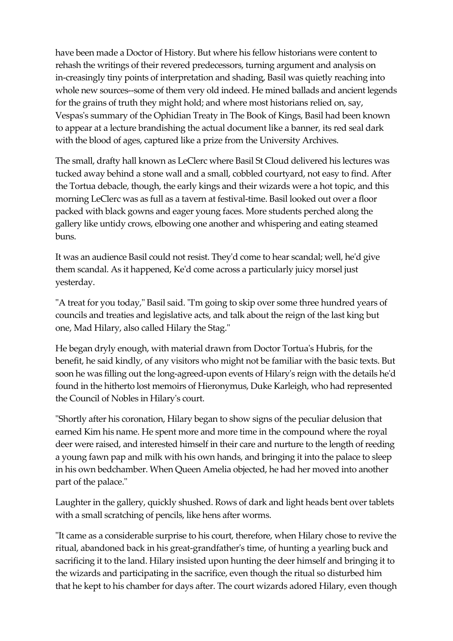have been made a Doctor of History. But where his fellow historians were content to rehash the writings of their revered predecessors, turning argument and analysis on in-creasingly tiny points of interpretation and shading, Basil was quietly reaching into whole new sources--some of them very old indeed. He mined ballads and ancient legends for the grains of truth they might hold; and where most historians relied on, say, Vespas's summary of the Ophidian Treaty in The Book of Kings, Basil had been known to appear at a lecture brandishing the actual document like a banner, its red seal dark with the blood of ages, captured like a prize from the University Archives.

The small, drafty hall known as LeClerc where Basil St Cloud delivered his lectures was tucked away behind a stone wall and a small, cobbled courtyard, not easy to find. After the Tortua debacle, though, the early kings and their wizards were a hot topic, and this morning LeClerc was as full as a tavern at festival-time. Basil looked out over a floor packed with black gowns and eager young faces. More students perched along the gallery like untidy crows, elbowing one another and whispering and eating steamed buns.

It was an audience Basil could not resist. They'd come to hear scandal; well, he'd give them scandal. As it happened, Ke'd come across a particularly juicy morsel just yesterday.

"A treat for you today," Basil said. "I'm going to skip over some three hundred years of councils and treaties and legislative acts, and talk about the reign of the last king but one, Mad Hilary, also called Hilary the Stag."

He began dryly enough, with material drawn from Doctor Tortua's Hubris, for the benefit, he said kindly, of any visitors who might not be familiar with the basic texts. But soon he was filling out the long-agreed-upon events of Hilary's reign with the details he'd found in the hitherto lost memoirs of Hieronymus, Duke Karleigh, who had represented the Council of Nobles in Hilary's court.

"Shortly after his coronation, Hilary began to show signs of the peculiar delusion that earned Kim his name. He spent more and more time in the compound where the royal deer were raised, and interested himself in their care and nurture to the length of reeding a young fawn pap and milk with his own hands, and bringing it into the palace to sleep in his own bedchamber. When Queen Amelia objected, he had her moved into another part of the palace."

Laughter in the gallery, quickly shushed. Rows of dark and light heads bent over tablets with a small scratching of pencils, like hens after worms.

"It came as a considerable surprise to his court, therefore, when Hilary chose to revive the ritual, abandoned back in his great-grandfather's time, of hunting a yearling buck and sacrificing it to the land. Hilary insisted upon hunting the deer himself and bringing it to the wizards and participating in the sacrifice, even though the ritual so disturbed him that he kept to his chamber for days after. The court wizards adored Hilary, even though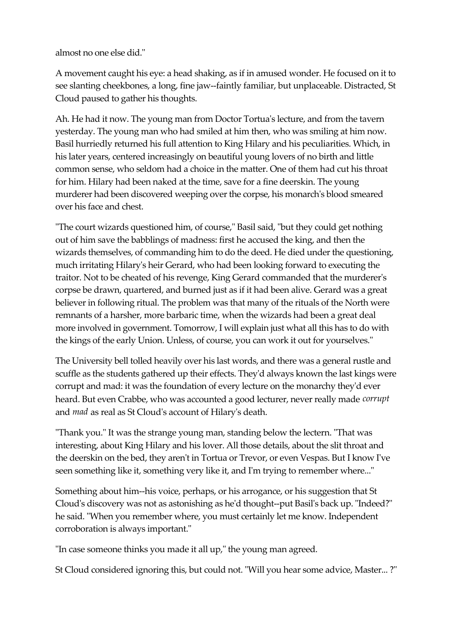almost no one else did."

A movement caught his eye: a head shaking, as if in amused wonder. He focused on it to see slanting cheekbones, a long, fine jaw--faintly familiar, but unplaceable. Distracted, St Cloud paused to gather his thoughts.

Ah. He had it now. The young man from Doctor Tortua's lecture, and from the tavern yesterday. The young man who had smiled at him then, who was smiling at him now. Basil hurriedly returned his full attention to King Hilary and his peculiarities. Which, in his later years, centered increasingly on beautiful young lovers of no birth and little common sense, who seldom had a choice in the matter. One of them had cut his throat for him. Hilary had been naked at the time, save for a fine deerskin. The young murderer had been discovered weeping over the corpse, his monarch's blood smeared over his face and chest.

"The court wizards questioned him, of course," Basil said, "but they could get nothing out of him save the babblings of madness: first he accused the king, and then the wizards themselves, of commanding him to do the deed. He died under the questioning, much irritating Hilary's heir Gerard, who had been looking forward to executing the traitor. Not to be cheated of his revenge, King Gerard commanded that the murderer's corpse be drawn, quartered, and burned just as if it had been alive. Gerard was a great believer in following ritual. The problem was that many of the rituals of the North were remnants of a harsher, more barbaric time, when the wizards had been a great deal more involved in government. Tomorrow, I will explain just what all this has to do with the kings of the early Union. Unless, of course, you can work it out for yourselves."

The University bell tolled heavily over his last words, and there was a general rustle and scuffle as the students gathered up their effects. They'd always known the last kings were corrupt and mad: it was the foundation of every lecture on the monarchy they'd ever heard. But even Crabbe, who was accounted a good lecturer, never really made *corrupt* and *mad* as real as St Cloud's account of Hilary's death.

"Thank you." It was the strange young man, standing below the lectern. "That was interesting, about King Hilary and his lover. All those details, about the slit throat and the deerskin on the bed, they aren't in Tortua or Trevor, or even Vespas. But I know I've seen something like it, something very like it, and I'm trying to remember where..."

Something about him--his voice, perhaps, or his arrogance, or his suggestion that St Cloud's discovery was not as astonishing as he'd thought--put Basil's back up. "Indeed?" he said. "When you remember where, you must certainly let me know. Independent corroboration is always important."

"In case someone thinks you made it all up," the young man agreed.

St Cloud considered ignoring this, but could not. "Will you hear some advice, Master... ?"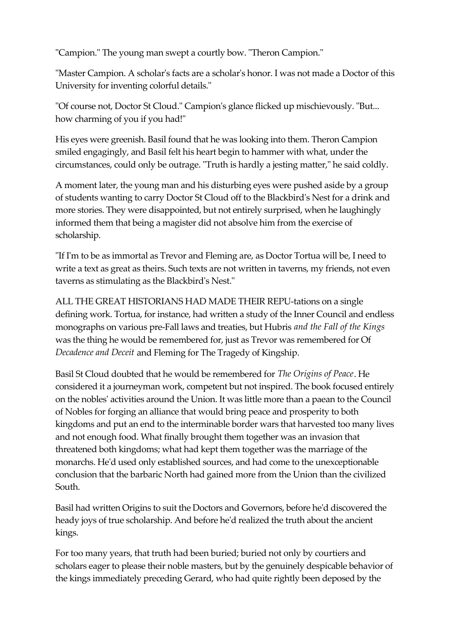"Campion." The young man swept a courtly bow. "Theron Campion."

"Master Campion. A scholar's facts are a scholar's honor. I was not made a Doctor of this University for inventing colorful details."

"Of course not, Doctor St Cloud." Campion's glance flicked up mischievously. "But... how charming of you if you had!"

His eyes were greenish. Basil found that he was looking into them. Theron Campion smiled engagingly, and Basil felt his heart begin to hammer with what, under the circumstances, could only be outrage. "Truth is hardly a jesting matter," he said coldly.

A moment later, the young man and his disturbing eyes were pushed aside by a group of students wanting to carry Doctor St Cloud off to the Blackbird's Nest for a drink and more stories. They were disappointed, but not entirely surprised, when he laughingly informed them that being a magister did not absolve him from the exercise of scholarship.

"If I'm to be as immortal as Trevor and Fleming are, as Doctor Tortua will be, I need to write a text as great as theirs. Such texts are not written in taverns, my friends, not even taverns as stimulating as the Blackbird's Nest."

ALL THE GREAT HISTORIANS HAD MADE THEIR REPU-tations on a single defining work. Tortua, for instance, had written a study of the Inner Council and endless monographs on various pre-Fall laws and treaties, but Hubris *and the Fall of the Kings* was the thing he would be remembered for, just as Trevor was remembered for Of *Decadence and Deceit* and Fleming for The Tragedy of Kingship.

Basil St Cloud doubted that he would be remembered for *The Origins of Peace*. He considered it a journeyman work, competent but not inspired. The book focused entirely on the nobles' activities around the Union. It was little more than a paean to the Council of Nobles for forging an alliance that would bring peace and prosperity to both kingdoms and put an end to the interminable border wars that harvested too many lives and not enough food. What finally brought them together was an invasion that threatened both kingdoms; what had kept them together was the marriage of the monarchs. He'd used only established sources, and had come to the unexceptionable conclusion that the barbaric North had gained more from the Union than the civilized South.

Basil had written Origins to suit the Doctors and Governors, before he'd discovered the heady joys of true scholarship. And before he'd realized the truth about the ancient kings.

For too many years, that truth had been buried; buried not only by courtiers and scholars eager to please their noble masters, but by the genuinely despicable behavior of the kings immediately preceding Gerard, who had quite rightly been deposed by the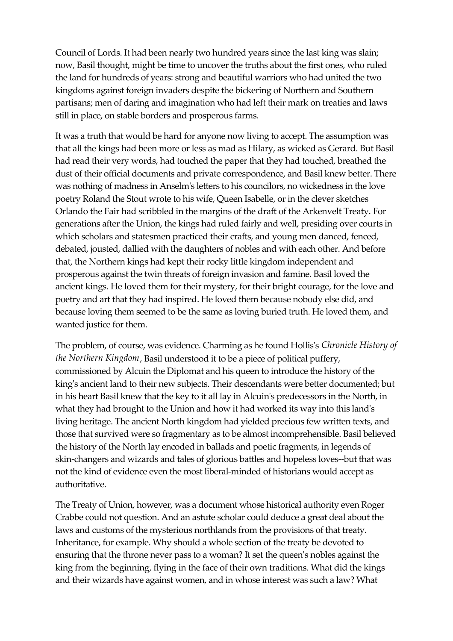Council of Lords. It had been nearly two hundred years since the last king was slain; now, Basil thought, might be time to uncover the truths about the first ones, who ruled the land for hundreds of years: strong and beautiful warriors who had united the two kingdoms against foreign invaders despite the bickering of Northern and Southern partisans; men of daring and imagination who had left their mark on treaties and laws still in place, on stable borders and prosperous farms.

It was a truth that would be hard for anyone now living to accept. The assumption was that all the kings had been more or less as mad as Hilary, as wicked as Gerard. But Basil had read their very words, had touched the paper that they had touched, breathed the dust of their official documents and private correspondence, and Basil knew better. There was nothing of madness in Anselm's letters to his councilors, no wickedness in the love poetry Roland the Stout wrote to his wife, Queen Isabelle, or in the clever sketches Orlando the Fair had scribbled in the margins of the draft of the Arkenvelt Treaty. For generations after the Union, the kings had ruled fairly and well, presiding over courts in which scholars and statesmen practiced their crafts, and young men danced, fenced, debated, jousted, dallied with the daughters of nobles and with each other. And before that, the Northern kings had kept their rocky little kingdom independent and prosperous against the twin threats of foreign invasion and famine. Basil loved the ancient kings. He loved them for their mystery, for their bright courage, for the love and poetry and art that they had inspired. He loved them because nobody else did, and because loving them seemed to be the same as loving buried truth. He loved them, and wanted justice for them.

The problem, of course, was evidence. Charming as he found Hollis's *Chronicle History of the Northern Kingdom*, Basil understood it to be a piece of political puffery, commissioned by Alcuin the Diplomat and his queen to introduce the history of the king's ancient land to their new subjects. Their descendants were better documented; but in his heart Basil knew that the key to it all lay in Alcuin's predecessors in the North, in what they had brought to the Union and how it had worked its way into this land's living heritage. The ancient North kingdom had yielded precious few written texts, and those that survived were so fragmentary as to be almost incomprehensible. Basil believed the history of the North lay encoded in ballads and poetic fragments, in legends of skin-changers and wizards and tales of glorious battles and hopeless loves--but that was not the kind of evidence even the most liberal-minded of historians would accept as authoritative.

The Treaty of Union, however, was a document whose historical authority even Roger Crabbe could not question. And an astute scholar could deduce a great deal about the laws and customs of the mysterious northlands from the provisions of that treaty. Inheritance, for example. Why should a whole section of the treaty be devoted to ensuring that the throne never pass to a woman? It set the queen's nobles against the king from the beginning, flying in the face of their own traditions. What did the kings and their wizards have against women, and in whose interest was such a law? What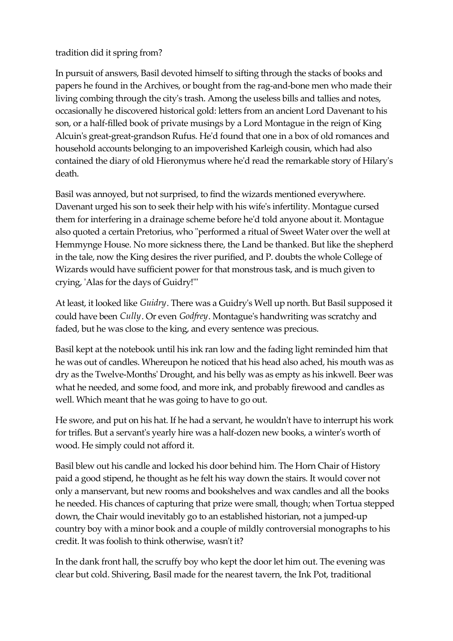### tradition did it spring from?

In pursuit of answers, Basil devoted himself to sifting through the stacks of books and papers he found in the Archives, or bought from the rag-and-bone men who made their living combing through the city's trash. Among the useless bills and tallies and notes, occasionally he discovered historical gold: letters from an ancient Lord Davenant to his son, or a half-filled book of private musings by a Lord Montague in the reign of King Alcuin's great-great-grandson Rufus. He'd found that one in a box of old romances and household accounts belonging to an impoverished Karleigh cousin, which had also contained the diary of old Hieronymus where he'd read the remarkable story of Hilary's death.

Basil was annoyed, but not surprised, to find the wizards mentioned everywhere. Davenant urged his son to seek their help with his wife's infertility. Montague cursed them for interfering in a drainage scheme before he'd told anyone about it. Montague also quoted a certain Pretorius, who "performed a ritual of Sweet Water over the well at Hemmynge House. No more sickness there, the Land be thanked. But like the shepherd in the tale, now the King desires the river purified, and P. doubts the whole College of Wizards would have sufficient power for that monstrous task, and is much given to crying, 'Alas for the days of Guidry!'"

At least, it looked like *Guidry*. There was a Guidry's Well up north. But Basil supposed it could have been *Cully*. Or even *Godfrey*. Montague's handwriting was scratchy and faded, but he was close to the king, and every sentence was precious.

Basil kept at the notebook until his ink ran low and the fading light reminded him that he was out of candles. Whereupon he noticed that his head also ached, his mouth was as dry as the Twelve-Months' Drought, and his belly was as empty as his inkwell. Beer was what he needed, and some food, and more ink, and probably firewood and candles as well. Which meant that he was going to have to go out.

He swore, and put on his hat. If he had a servant, he wouldn't have to interrupt his work for trifles. But a servant's yearly hire was a half-dozen new books, a winter's worth of wood. He simply could not afford it.

Basil blew out his candle and locked his door behind him. The Horn Chair of History paid a good stipend, he thought as he felt his way down the stairs. It would cover not only a manservant, but new rooms and bookshelves and wax candles and all the books he needed. His chances of capturing that prize were small, though; when Tortua stepped down, the Chair would inevitably go to an established historian, not a jumped-up country boy with a minor book and a couple of mildly controversial monographs to his credit. It was foolish to think otherwise, wasn't it?

In the dank front hall, the scruffy boy who kept the door let him out. The evening was clear but cold. Shivering, Basil made for the nearest tavern, the Ink Pot, traditional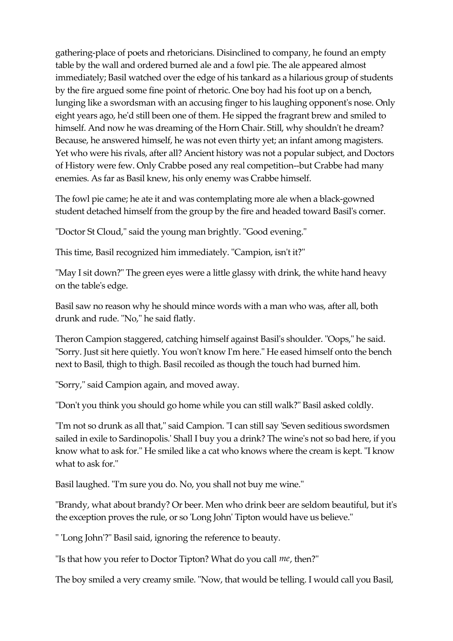gathering-place of poets and rhetoricians. Disinclined to company, he found an empty table by the wall and ordered burned ale and a fowl pie. The ale appeared almost immediately; Basil watched over the edge of his tankard as a hilarious group of students by the fire argued some fine point of rhetoric. One boy had his foot up on a bench, lunging like a swordsman with an accusing finger to his laughing opponent's nose. Only eight years ago, he'd still been one of them. He sipped the fragrant brew and smiled to himself. And now he was dreaming of the Horn Chair. Still, why shouldn't he dream? Because, he answered himself, he was not even thirty yet; an infant among magisters. Yet who were his rivals, after all? Ancient history was not a popular subject, and Doctors of History were few. Only Crabbe posed any real competition--but Crabbe had many enemies. As far as Basil knew, his only enemy was Crabbe himself.

The fowl pie came; he ate it and was contemplating more ale when a black-gowned student detached himself from the group by the fire and headed toward Basil's corner.

"Doctor St Cloud," said the young man brightly. "Good evening."

This time, Basil recognized him immediately. "Campion, isn't it?"

"May I sit down?" The green eyes were a little glassy with drink, the white hand heavy on the table's edge.

Basil saw no reason why he should mince words with a man who was, after all, both drunk and rude. "No," he said flatly.

Theron Campion staggered, catching himself against Basil's shoulder. "Oops," he said. "Sorry. Just sit here quietly. You won't know I'm here." He eased himself onto the bench next to Basil, thigh to thigh. Basil recoiled as though the touch had burned him.

"Sorry," said Campion again, and moved away.

"Don't you think you should go home while you can still walk?" Basil asked coldly.

"I'm not so drunk as all that," said Campion. "I can still say 'Seven seditious swordsmen sailed in exile to Sardinopolis.' Shall I buy you a drink? The wine's not so bad here, if you know what to ask for." He smiled like a cat who knows where the cream is kept. "I know what to ask for."

Basil laughed. "I'm sure you do. No, you shall not buy me wine."

"Brandy, what about brandy? Or beer. Men who drink beer are seldom beautiful, but it's the exception proves the rule, or so 'Long John' Tipton would have us believe."

" 'Long John'?" Basil said, ignoring the reference to beauty.

"Is that how you refer to Doctor Tipton? What do you call *me*, then?"

The boy smiled a very creamy smile. "Now, that would be telling. I would call you Basil,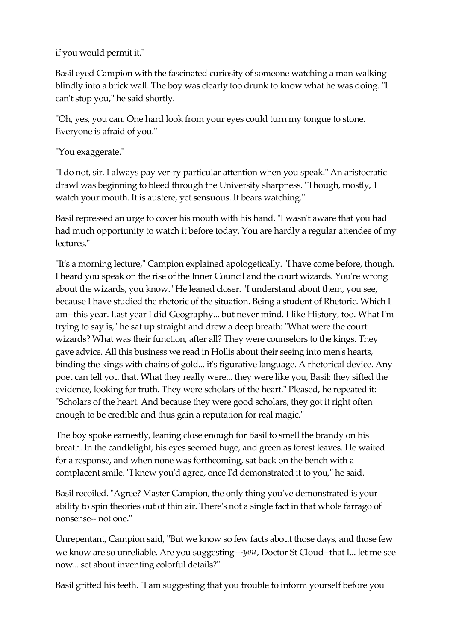if you would permit it."

Basil eyed Campion with the fascinated curiosity of someone watching a man walking blindly into a brick wall. The boy was clearly too drunk to know what he was doing. "I can't stop you," he said shortly.

"Oh, yes, you can. One hard look from your eyes could turn my tongue to stone. Everyone is afraid of you."

"You exaggerate."

"I do not, sir. I always pay ver-ry particular attention when you speak." An aristocratic drawl was beginning to bleed through the University sharpness. "Though, mostly, 1 watch your mouth. It is austere, yet sensuous. It bears watching."

Basil repressed an urge to cover his mouth with his hand. "I wasn't aware that you had had much opportunity to watch it before today. You are hardly a regular attendee of my lectures."

"It's a morning lecture," Campion explained apologetically. "I have come before, though. I heard you speak on the rise of the Inner Council and the court wizards. You're wrong about the wizards, you know." He leaned closer. "I understand about them, you see, because I have studied the rhetoric of the situation. Being a student of Rhetoric. Which I am--this year. Last year I did Geography... but never mind. I like History, too. What I'm trying to say is," he sat up straight and drew a deep breath: "What were the court wizards? What was their function, after all? They were counselors to the kings. They gave advice. All this business we read in Hollis about their seeing into men's hearts, binding the kings with chains of gold... it's figurative language. A rhetorical device. Any poet can tell you that. What they really were... they were like you, Basil: they sifted the evidence, looking for truth. They were scholars of the heart." Pleased, he repeated it: "Scholars of the heart. And because they were good scholars, they got it right often enough to be credible and thus gain a reputation for real magic."

The boy spoke earnestly, leaning close enough for Basil to smell the brandy on his breath. In the candlelight, his eyes seemed huge, and green as forest leaves. He waited for a response, and when none was forthcoming, sat back on the bench with a complacent smile. "I knew you'd agree, once I'd demonstrated it to you," he said.

Basil recoiled. "Agree? Master Campion, the only thing you've demonstrated is your ability to spin theories out of thin air. There's not a single fact in that whole farrago of nonsense-- not one."

Unrepentant, Campion said, "But we know so few facts about those days, and those few we know are so unreliable. Are you suggesting--*-you*, Doctor St Cloud--that I... let me see now... set about inventing colorful details?"

Basil gritted his teeth. "I am suggesting that you trouble to inform yourself before you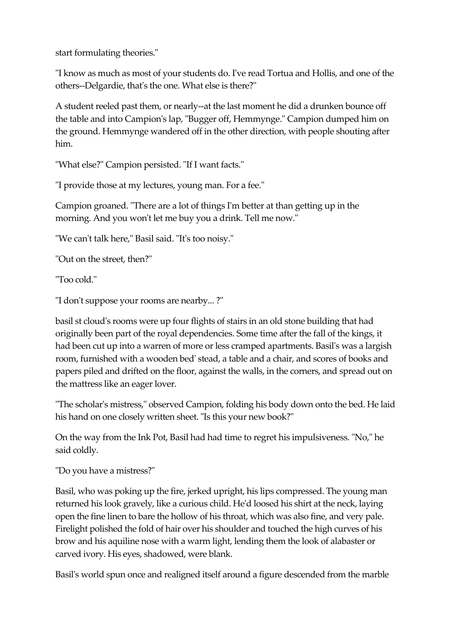start formulating theories."

"I know as much as most of your students do. I've read Tortua and Hollis, and one of the others--Delgardie, that's the one. What else is there?"

A student reeled past them, or nearly--at the last moment he did a drunken bounce off the table and into Campion's lap, "Bugger off, Hemmynge." Campion dumped him on the ground. Hemmynge wandered off in the other direction, with people shouting after him.

"What else?" Campion persisted. "If I want facts."

"I provide those at my lectures, young man. For a fee."

Campion groaned. "There are a lot of things I'm better at than getting up in the morning. And you won't let me buy you a drink. Tell me now."

"We can't talk here," Basil said. "It's too noisy."

"Out on the street, then?"

"Too cold."

"I don't suppose your rooms are nearby... ?"

basil st cloud's rooms were up four flights of stairs in an old stone building that had originally been part of the royal dependencies. Some time after the fall of the kings, it had been cut up into a warren of more or less cramped apartments. Basil's was a largish room, furnished with a wooden bed' stead, a table and a chair, and scores of books and papers piled and drifted on the floor, against the walls, in the corners, and spread out on the mattress like an eager lover.

"The scholar's mistress," observed Campion, folding his body down onto the bed. He laid his hand on one closely written sheet. "Is this your new book?"

On the way from the Ink Pot, Basil had had time to regret his impulsiveness. "No," he said coldly.

"Do you have a mistress?"

Basil, who was poking up the fire, jerked upright, his lips compressed. The young man returned his look gravely, like a curious child. He'd loosed his shirt at the neck, laying open the fine linen to bare the hollow of his throat, which was also fine, and very pale. Firelight polished the fold of hair over his shoulder and touched the high curves of his brow and his aquiline nose with a warm light, lending them the look of alabaster or carved ivory. His eyes, shadowed, were blank.

Basil's world spun once and realigned itself around a figure descended from the marble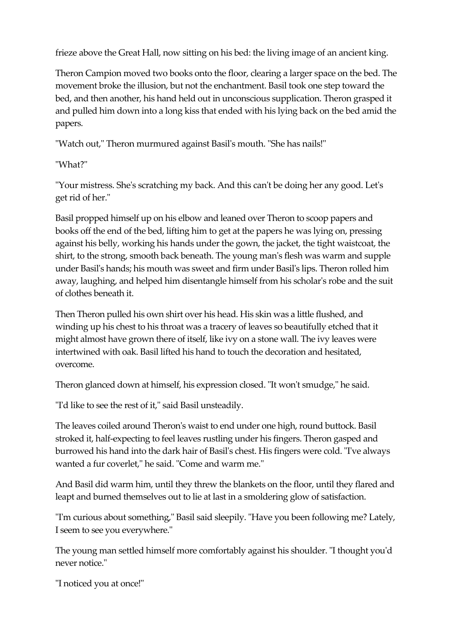frieze above the Great Hall, now sitting on his bed: the living image of an ancient king.

Theron Campion moved two books onto the floor, clearing a larger space on the bed. The movement broke the illusion, but not the enchantment. Basil took one step toward the bed, and then another, his hand held out in unconscious supplication. Theron grasped it and pulled him down into a long kiss that ended with his lying back on the bed amid the papers.

"Watch out," Theron murmured against Basil's mouth. "She has nails!"

"What?"

"Your mistress. She's scratching my back. And this can't be doing her any good. Let's get rid of her."

Basil propped himself up on his elbow and leaned over Theron to scoop papers and books off the end of the bed, lifting him to get at the papers he was lying on, pressing against his belly, working his hands under the gown, the jacket, the tight waistcoat, the shirt, to the strong, smooth back beneath. The young man's flesh was warm and supple under Basil's hands; his mouth was sweet and firm under Basil's lips. Theron rolled him away, laughing, and helped him disentangle himself from his scholar's robe and the suit of clothes beneath it.

Then Theron pulled his own shirt over his head. His skin was a little flushed, and winding up his chest to his throat was a tracery of leaves so beautifully etched that it might almost have grown there of itself, like ivy on a stone wall. The ivy leaves were intertwined with oak. Basil lifted his hand to touch the decoration and hesitated, overcome.

Theron glanced down at himself, his expression closed. "It won't smudge," he said.

"I'd like to see the rest of it," said Basil unsteadily.

The leaves coiled around Theron's waist to end under one high, round buttock. Basil stroked it, half-expecting to feel leaves rustling under his fingers. Theron gasped and burrowed his hand into the dark hair of Basil's chest. His fingers were cold. "I've always wanted a fur coverlet," he said. "Come and warm me."

And Basil did warm him, until they threw the blankets on the floor, until they flared and leapt and burned themselves out to lie at last in a smoldering glow of satisfaction.

"I'm curious about something," Basil said sleepily. "Have you been following me? Lately, I seem to see you everywhere."

The young man settled himself more comfortably against his shoulder. "I thought you'd never notice."

"I noticed you at once!"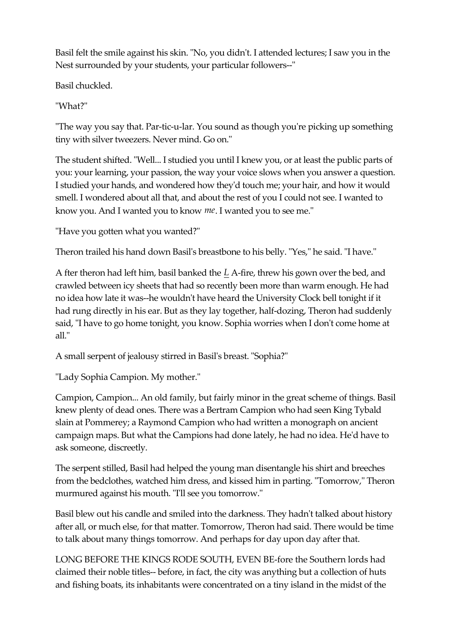Basil felt the smile against his skin. "No, you didn't. I attended lectures; I saw you in the Nest surrounded by your students, your particular followers--"

Basil chuckled.

"What?"

"The way you say that. Par-tic-u-lar. You sound as though you're picking up something tiny with silver tweezers. Never mind. Go on."

The student shifted. "Well... I studied you until I knew you, or at least the public parts of you: your learning, your passion, the way your voice slows when you answer a question. I studied your hands, and wondered how they'd touch me; your hair, and how it would smell. I wondered about all that, and about the rest of you I could not see. I wanted to know you. And I wanted you to know *me*. I wanted you to see me."

"Have you gotten what you wanted?"

Theron trailed his hand down Basil's breastbone to his belly. "Yes," he said. "I have."

A fter theron had left him, basil banked the *L* A-fire, threw his gown over the bed, and crawled between icy sheets that had so recently been more than warm enough. He had no idea how late it was--he wouldn't have heard the University Clock bell tonight if it had rung directly in his ear. But as they lay together, half-dozing, Theron had suddenly said, "I have to go home tonight, you know. Sophia worries when I don't come home at all."

A small serpent of jealousy stirred in Basil's breast. "Sophia?"

"Lady Sophia Campion. My mother."

Campion, Campion... An old family, but fairly minor in the great scheme of things. Basil knew plenty of dead ones. There was a Bertram Campion who had seen King Tybald slain at Pommerey; a Raymond Campion who had written a monograph on ancient campaign maps. But what the Campions had done lately, he had no idea. He'd have to ask someone, discreetly.

The serpent stilled, Basil had helped the young man disentangle his shirt and breeches from the bedclothes, watched him dress, and kissed him in parting. "Tomorrow," Theron murmured against his mouth. "I'll see you tomorrow."

Basil blew out his candle and smiled into the darkness. They hadn't talked about history after all, or much else, for that matter. Tomorrow, Theron had said. There would be time to talk about many things tomorrow. And perhaps for day upon day after that.

LONG BEFORE THE KINGS RODE SOUTH, EVEN BE-fore the Southern lords had claimed their noble titles-- before, in fact, the city was anything but a collection of huts and fishing boats, its inhabitants were concentrated on a tiny island in the midst of the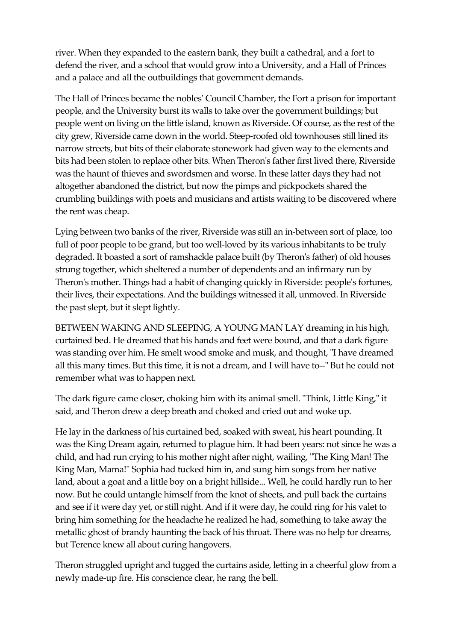river. When they expanded to the eastern bank, they built a cathedral, and a fort to defend the river, and a school that would grow into a University, and a Hall of Princes and a palace and all the outbuildings that government demands.

The Hall of Princes became the nobles' Council Chamber, the Fort a prison for important people, and the University burst its walls to take over the government buildings; but people went on living on the little island, known as Riverside. Of course, as the rest of the city grew, Riverside came down in the world. Steep-roofed old townhouses still lined its narrow streets, but bits of their elaborate stonework had given way to the elements and bits had been stolen to replace other bits. When Theron's father first lived there, Riverside was the haunt of thieves and swordsmen and worse. In these latter days they had not altogether abandoned the district, but now the pimps and pickpockets shared the crumbling buildings with poets and musicians and artists waiting to be discovered where the rent was cheap.

Lying between two banks of the river, Riverside was still an in-between sort of place, too full of poor people to be grand, but too well-loved by its various inhabitants to be truly degraded. It boasted a sort of ramshackle palace built (by Theron's father) of old houses strung together, which sheltered a number of dependents and an infirmary run by Theron's mother. Things had a habit of changing quickly in Riverside: people's fortunes, their lives, their expectations. And the buildings witnessed it all, unmoved. In Riverside the past slept, but it slept lightly.

BETWEEN WAKING AND SLEEPING, A YOUNG MAN LAY dreaming in his high, curtained bed. He dreamed that his hands and feet were bound, and that a dark figure was standing over him. He smelt wood smoke and musk, and thought, "I have dreamed all this many times. But this time, it is not a dream, and I will have to--" But he could not remember what was to happen next.

The dark figure came closer, choking him with its animal smell. "Think, Little King," it said, and Theron drew a deep breath and choked and cried out and woke up.

He lay in the darkness of his curtained bed, soaked with sweat, his heart pounding. It was the King Dream again, returned to plague him. It had been years: not since he was a child, and had run crying to his mother night after night, wailing, "The King Man! The King Man, Mama!" Sophia had tucked him in, and sung him songs from her native land, about a goat and a little boy on a bright hillside... Well, he could hardly run to her now. But he could untangle himself from the knot of sheets, and pull back the curtains and see if it were day yet, or still night. And if it were day, he could ring for his valet to bring him something for the headache he realized he had, something to take away the metallic ghost of brandy haunting the back of his throat. There was no help tor dreams, but Terence knew all about curing hangovers.

Theron struggled upright and tugged the curtains aside, letting in a cheerful glow from a newly made-up fire. His conscience clear, he rang the bell.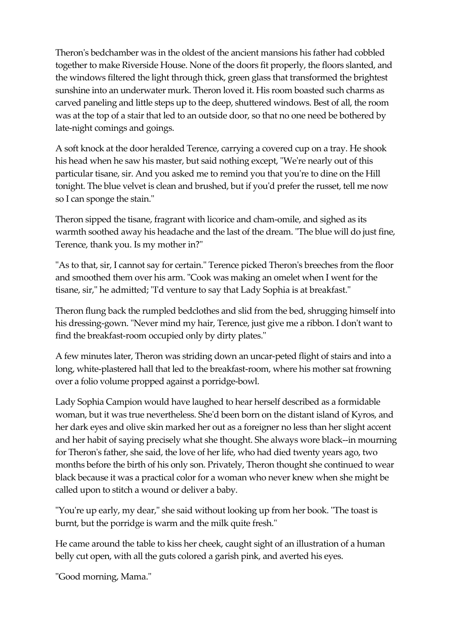Theron's bedchamber was in the oldest of the ancient mansions his father had cobbled together to make Riverside House. None of the doors fit properly, the floors slanted, and the windows filtered the light through thick, green glass that transformed the brightest sunshine into an underwater murk. Theron loved it. His room boasted such charms as carved paneling and little steps up to the deep, shuttered windows. Best of all, the room was at the top of a stair that led to an outside door, so that no one need be bothered by late-night comings and goings.

A soft knock at the door heralded Terence, carrying a covered cup on a tray. He shook his head when he saw his master, but said nothing except, "We're nearly out of this particular tisane, sir. And you asked me to remind you that you're to dine on the Hill tonight. The blue velvet is clean and brushed, but if you'd prefer the russet, tell me now so I can sponge the stain."

Theron sipped the tisane, fragrant with licorice and cham-omile, and sighed as its warmth soothed away his headache and the last of the dream. "The blue will do just fine, Terence, thank you. Is my mother in?"

"As to that, sir, I cannot say for certain." Terence picked Theron's breeches from the floor and smoothed them over his arm. "Cook was making an omelet when I went for the tisane, sir," he admitted; "I'd venture to say that Lady Sophia is at breakfast."

Theron flung back the rumpled bedclothes and slid from the bed, shrugging himself into his dressing-gown. "Never mind my hair, Terence, just give me a ribbon. I don't want to find the breakfast-room occupied only by dirty plates."

A few minutes later, Theron was striding down an uncar-peted flight of stairs and into a long, white-plastered hall that led to the breakfast-room, where his mother sat frowning over a folio volume propped against a porridge-bowl.

Lady Sophia Campion would have laughed to hear herself described as a formidable woman, but it was true nevertheless. She'd been born on the distant island of Kyros, and her dark eyes and olive skin marked her out as a foreigner no less than her slight accent and her habit of saying precisely what she thought. She always wore black--in mourning for Theron's father, she said, the love of her life, who had died twenty years ago, two months before the birth of his only son. Privately, Theron thought she continued to wear black because it was a practical color for a woman who never knew when she might be called upon to stitch a wound or deliver a baby.

"You're up early, my dear," she said without looking up from her book. "The toast is burnt, but the porridge is warm and the milk quite fresh."

He came around the table to kiss her cheek, caught sight of an illustration of a human belly cut open, with all the guts colored a garish pink, and averted his eyes.

"Good morning, Mama."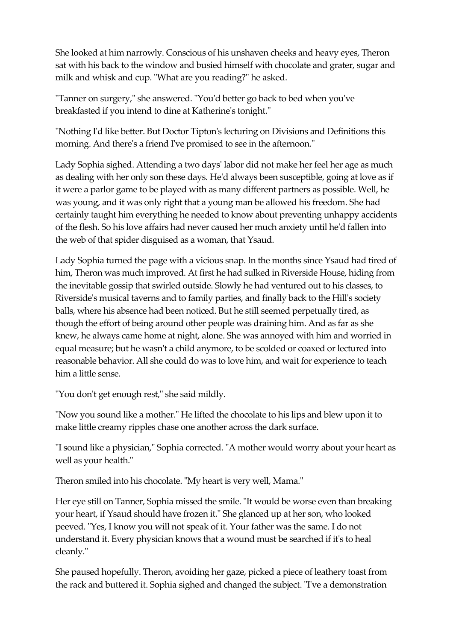She looked at him narrowly. Conscious of his unshaven cheeks and heavy eyes, Theron sat with his back to the window and busied himself with chocolate and grater, sugar and milk and whisk and cup. "What are you reading?" he asked.

"Tanner on surgery," she answered. "You'd better go back to bed when you've breakfasted if you intend to dine at Katherine's tonight."

"Nothing I'd like better. But Doctor Tipton's lecturing on Divisions and Definitions this morning. And there's a friend I've promised to see in the afternoon."

Lady Sophia sighed. Attending a two days' labor did not make her feel her age as much as dealing with her only son these days. He'd always been susceptible, going at love as if it were a parlor game to be played with as many different partners as possible. Well, he was young, and it was only right that a young man be allowed his freedom. She had certainly taught him everything he needed to know about preventing unhappy accidents of the flesh. So his love affairs had never caused her much anxiety until he'd fallen into the web of that spider disguised as a woman, that Ysaud.

Lady Sophia turned the page with a vicious snap. In the months since Ysaud had tired of him, Theron was much improved. At first he had sulked in Riverside House, hiding from the inevitable gossip that swirled outside. Slowly he had ventured out to his classes, to Riverside's musical taverns and to family parties, and finally back to the Hill's society balls, where his absence had been noticed. But he still seemed perpetually tired, as though the effort of being around other people was draining him. And as far as she knew, he always came home at night, alone. She was annoyed with him and worried in equal measure; but he wasn't a child anymore, to be scolded or coaxed or lectured into reasonable behavior. All she could do was to love him, and wait for experience to teach him a little sense.

"You don't get enough rest," she said mildly.

"Now you sound like a mother." He lifted the chocolate to his lips and blew upon it to make little creamy ripples chase one another across the dark surface.

"I sound like a physician," Sophia corrected. "A mother would worry about your heart as well as your health."

Theron smiled into his chocolate. "My heart is very well, Mama."

Her eye still on Tanner, Sophia missed the smile. "It would be worse even than breaking your heart, if Ysaud should have frozen it." She glanced up at her son, who looked peeved. "Yes, I know you will not speak of it. Your father was the same. I do not understand it. Every physician knows that a wound must be searched if it's to heal cleanly."

She paused hopefully. Theron, avoiding her gaze, picked a piece of leathery toast from the rack and buttered it. Sophia sighed and changed the subject. "I've a demonstration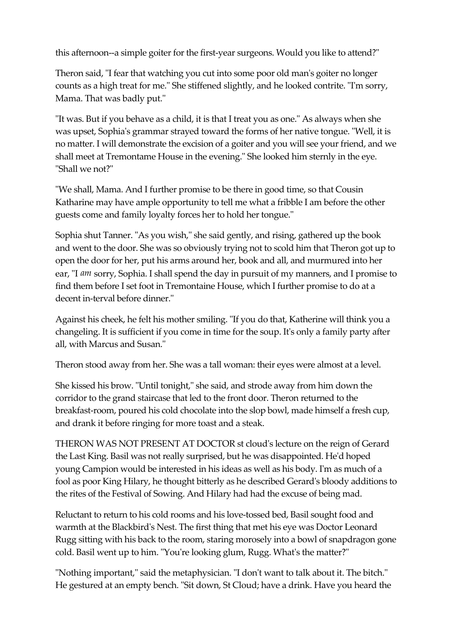this afternoon--a simple goiter for the first-year surgeons. Would you like to attend?"

Theron said, "I fear that watching you cut into some poor old man's goiter no longer counts as a high treat for me." She stiffened slightly, and he looked contrite. "I'm sorry, Mama. That was badly put."

"It was. But if you behave as a child, it is that I treat you as one." As always when she was upset, Sophia's grammar strayed toward the forms of her native tongue. "Well, it is no matter. I will demonstrate the excision of a goiter and you will see your friend, and we shall meet at Tremontame House in the evening." She looked him sternly in the eye. "Shall we not?"

"We shall, Mama. And I further promise to be there in good time, so that Cousin Katharine may have ample opportunity to tell me what a fribble I am before the other guests come and family loyalty forces her to hold her tongue."

Sophia shut Tanner. "As you wish," she said gently, and rising, gathered up the book and went to the door. She was so obviously trying not to scold him that Theron got up to open the door for her, put his arms around her, book and all, and murmured into her ear, "I *am* sorry, Sophia. I shall spend the day in pursuit of my manners, and I promise to find them before I set foot in Tremontaine House, which I further promise to do at a decent in-terval before dinner."

Against his cheek, he felt his mother smiling. "If you do that, Katherine will think you a changeling. It is sufficient if you come in time for the soup. It's only a family party after all, with Marcus and Susan."

Theron stood away from her. She was a tall woman: their eyes were almost at a level.

She kissed his brow. "Until tonight," she said, and strode away from him down the corridor to the grand staircase that led to the front door. Theron returned to the breakfast-room, poured his cold chocolate into the slop bowl, made himself a fresh cup, and drank it before ringing for more toast and a steak.

THERON WAS NOT PRESENT AT DOCTOR st cloud's lecture on the reign of Gerard the Last King. Basil was not really surprised, but he was disappointed. He'd hoped young Campion would be interested in his ideas as well as his body. I'm as much of a fool as poor King Hilary, he thought bitterly as he described Gerard's bloody additions to the rites of the Festival of Sowing. And Hilary had had the excuse of being mad.

Reluctant to return to his cold rooms and his love-tossed bed, Basil sought food and warmth at the Blackbird's Nest. The first thing that met his eye was Doctor Leonard Rugg sitting with his back to the room, staring morosely into a bowl of snapdragon gone cold. Basil went up to him. "You're looking glum, Rugg. What's the matter?"

"Nothing important," said the metaphysician. "I don't want to talk about it. The bitch." He gestured at an empty bench. "Sit down, St Cloud; have a drink. Have you heard the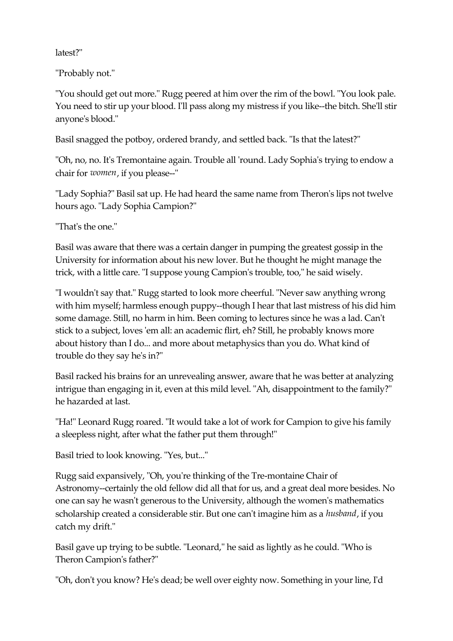latest?"

"Probably not."

"You should get out more." Rugg peered at him over the rim of the bowl. "You look pale. You need to stir up your blood. I'll pass along my mistress if you like--the bitch. She'll stir anyone's blood."

Basil snagged the potboy, ordered brandy, and settled back. "Is that the latest?"

"Oh, no, no. It's Tremontaine again. Trouble all 'round. Lady Sophia's trying to endow a chair for *women*, if you please--"

"Lady Sophia?" Basil sat up. He had heard the same name from Theron's lips not twelve hours ago. "Lady Sophia Campion?"

"That's the one."

Basil was aware that there was a certain danger in pumping the greatest gossip in the University for information about his new lover. But he thought he might manage the trick, with a little care. "I suppose young Campion's trouble, too," he said wisely.

"I wouldn't say that." Rugg started to look more cheerful. "Never saw anything wrong with him myself; harmless enough puppy--though I hear that last mistress of his did him some damage. Still, no harm in him. Been coming to lectures since he was a lad. Can't stick to a subject, loves 'em all: an academic flirt, eh? Still, he probably knows more about history than I do... and more about metaphysics than you do. What kind of trouble do they say he's in?"

Basil racked his brains for an unrevealing answer, aware that he was better at analyzing intrigue than engaging in it, even at this mild level. "Ah, disappointment to the family?" he hazarded at last.

"Ha!" Leonard Rugg roared. "It would take a lot of work for Campion to give his family a sleepless night, after what the father put them through!"

Basil tried to look knowing. "Yes, but..."

Rugg said expansively, "Oh, you're thinking of the Tre-montaine Chair of Astronomy--certainly the old fellow did all that for us, and a great deal more besides. No one can say he wasn't generous to the University, although the women's mathematics scholarship created a considerable stir. But one can't imagine him as a *husband*, if you catch my drift."

Basil gave up trying to be subtle. "Leonard," he said as lightly as he could. "Who is Theron Campion's father?"

"Oh, don't you know? He's dead; be well over eighty now. Something in your line, I'd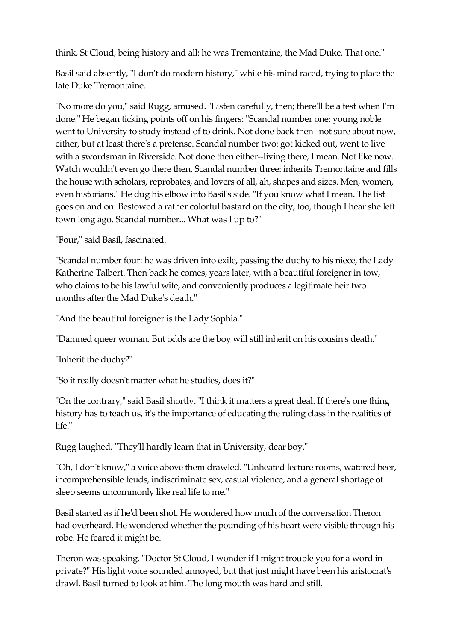think, St Cloud, being history and all: he was Tremontaine, the Mad Duke. That one."

Basil said absently, "I don't do modern history," while his mind raced, trying to place the late Duke Tremontaine.

"No more do you," said Rugg, amused. "Listen carefully, then; there'll be a test when I'm done." He began ticking points off on his fingers: "Scandal number one: young noble went to University to study instead of to drink. Not done back then--not sure about now, either, but at least there's a pretense. Scandal number two: got kicked out, went to live with a swordsman in Riverside. Not done then either--living there, I mean. Not like now. Watch wouldn't even go there then. Scandal number three: inherits Tremontaine and fills the house with scholars, reprobates, and lovers of all, ah, shapes and sizes. Men, women, even historians." He dug his elbow into Basil's side. "If you know what I mean. The list goes on and on. Bestowed a rather colorful bastard on the city, too, though I hear she left town long ago. Scandal number... What was I up to?"

"Four," said Basil, fascinated.

"Scandal number four: he was driven into exile, passing the duchy to his niece, the Lady Katherine Talbert. Then back he comes, years later, with a beautiful foreigner in tow, who claims to be his lawful wife, and conveniently produces a legitimate heir two months after the Mad Duke's death."

"And the beautiful foreigner is the Lady Sophia."

"Damned queer woman. But odds are the boy will still inherit on his cousin's death."

"Inherit the duchy?"

"So it really doesn't matter what he studies, does it?"

"On the contrary," said Basil shortly. "I think it matters a great deal. If there's one thing history has to teach us, it's the importance of educating the ruling class in the realities of life."

Rugg laughed. "They'll hardly learn that in University, dear boy."

"Oh, I don't know," a voice above them drawled. "Unheated lecture rooms, watered beer, incomprehensible feuds, indiscriminate sex, casual violence, and a general shortage of sleep seems uncommonly like real life to me."

Basil started as if he'd been shot. He wondered how much of the conversation Theron had overheard. He wondered whether the pounding of his heart were visible through his robe. He feared it might be.

Theron was speaking. "Doctor St Cloud, I wonder if I might trouble you for a word in private?" His light voice sounded annoyed, but that just might have been his aristocrat's drawl. Basil turned to look at him. The long mouth was hard and still.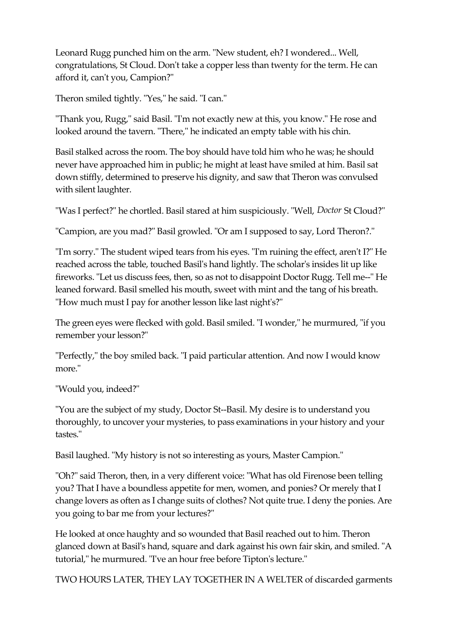Leonard Rugg punched him on the arm. "New student, eh? I wondered... Well, congratulations, St Cloud. Don't take a copper less than twenty for the term. He can afford it, can't you, Campion?"

Theron smiled tightly. "Yes," he said. "I can."

"Thank you, Rugg," said Basil. "I'm not exactly new at this, you know." He rose and looked around the tavern. "There," he indicated an empty table with his chin.

Basil stalked across the room. The boy should have told him who he was; he should never have approached him in public; he might at least have smiled at him. Basil sat down stiffly, determined to preserve his dignity, and saw that Theron was convulsed with silent laughter.

"Was I perfect?" he chortled. Basil stared at him suspiciously. "Well, *Doctor* St Cloud?"

"Campion, are you mad?" Basil growled. "Or am I supposed to say, Lord Theron?."

"I'm sorry." The student wiped tears from his eyes. "I'm ruining the effect, aren't I?" He reached across the table, touched Basil's hand lightly. The scholar's insides lit up like fireworks. "Let us discuss fees, then, so as not to disappoint Doctor Rugg. Tell me--" He leaned forward. Basil smelled his mouth, sweet with mint and the tang of his breath. "How much must I pay for another lesson like last night's?"

The green eyes were flecked with gold. Basil smiled. "I wonder," he murmured, "if you remember your lesson?"

"Perfectly," the boy smiled back. "I paid particular attention. And now I would know more."

"Would you, indeed?"

"You are the subject of my study, Doctor St--Basil. My desire is to understand you thoroughly, to uncover your mysteries, to pass examinations in your history and your tastes."

Basil laughed. "My history is not so interesting as yours, Master Campion."

"Oh?" said Theron, then, in a very different voice: "What has old Firenose been telling you? That I have a boundless appetite for men, women, and ponies? Or merely that I change lovers as often as I change suits of clothes? Not quite true. I deny the ponies. Are you going to bar me from your lectures?"

He looked at once haughty and so wounded that Basil reached out to him. Theron glanced down at Basil's hand, square and dark against his own fair skin, and smiled. "A tutorial," he murmured. "I've an hour free before Tipton's lecture."

TWO HOURS LATER, THEY LAY TOGETHER IN A WELTER of discarded garments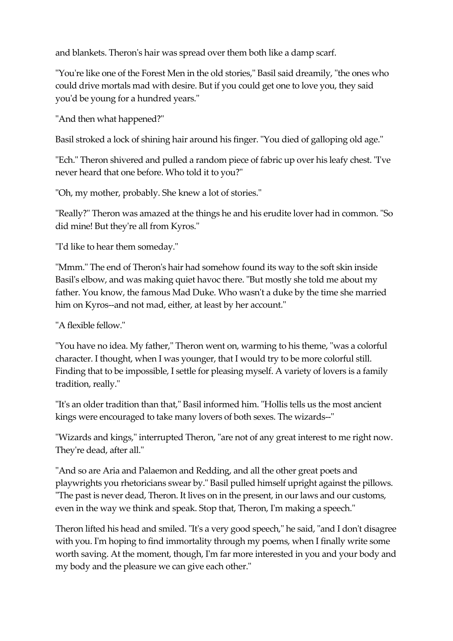and blankets. Theron's hair was spread over them both like a damp scarf.

"You're like one of the Forest Men in the old stories," Basil said dreamily, "the ones who could drive mortals mad with desire. But if you could get one to love you, they said you'd be young for a hundred years."

"And then what happened?"

Basil stroked a lock of shining hair around his finger. "You died of galloping old age."

"Ech." Theron shivered and pulled a random piece of fabric up over his leafy chest. "I've never heard that one before. Who told it to you?"

"Oh, my mother, probably. She knew a lot of stories."

"Really?" Theron was amazed at the things he and his erudite lover had in common. "So did mine! But they're all from Kyros."

"I'd like to hear them someday."

"Mmm." The end of Theron's hair had somehow found its way to the soft skin inside Basil's elbow, and was making quiet havoc there. "But mostly she told me about my father. You know, the famous Mad Duke. Who wasn't a duke by the time she married him on Kyros--and not mad, either, at least by her account."

"A flexible fellow."

"You have no idea. My father," Theron went on, warming to his theme, "was a colorful character. I thought, when I was younger, that I would try to be more colorful still. Finding that to be impossible, I settle for pleasing myself. A variety of lovers is a family tradition, really."

"It's an older tradition than that," Basil informed him. "Hollis tells us the most ancient kings were encouraged to take many lovers of both sexes. The wizards--"

"Wizards and kings," interrupted Theron, "are not of any great interest to me right now. They're dead, after all."

"And so are Aria and Palaemon and Redding, and all the other great poets and playwrights you rhetoricians swear by." Basil pulled himself upright against the pillows. "The past is never dead, Theron. It lives on in the present, in our laws and our customs, even in the way we think and speak. Stop that, Theron, I'm making a speech."

Theron lifted his head and smiled. "It's a very good speech," he said, "and I don't disagree with you. I'm hoping to find immortality through my poems, when I finally write some worth saving. At the moment, though, I'm far more interested in you and your body and my body and the pleasure we can give each other."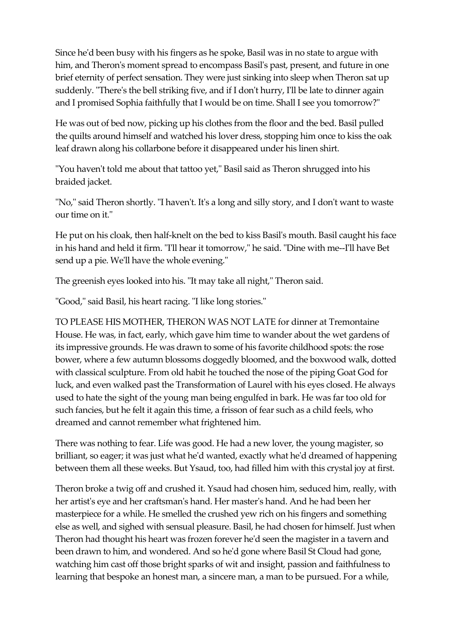Since he'd been busy with his fingers as he spoke, Basil was in no state to argue with him, and Theron's moment spread to encompass Basil's past, present, and future in one brief eternity of perfect sensation. They were just sinking into sleep when Theron sat up suddenly. "There's the bell striking five, and if I don't hurry, I'll be late to dinner again and I promised Sophia faithfully that I would be on time. Shall I see you tomorrow?"

He was out of bed now, picking up his clothes from the floor and the bed. Basil pulled the quilts around himself and watched his lover dress, stopping him once to kiss the oak leaf drawn along his collarbone before it disappeared under his linen shirt.

"You haven't told me about that tattoo yet," Basil said as Theron shrugged into his braided jacket.

"No," said Theron shortly. "I haven't. It's a long and silly story, and I don't want to waste our time on it."

He put on his cloak, then half-knelt on the bed to kiss Basil's mouth. Basil caught his face in his hand and held it firm. "I'll hear it tomorrow," he said. "Dine with me--I'll have Bet send up a pie. We'll have the whole evening."

The greenish eyes looked into his. "It may take all night," Theron said.

"Good," said Basil, his heart racing. "I like long stories."

TO PLEASE HIS MOTHER, THERON WAS NOT LATE for dinner at Tremontaine House. He was, in fact, early, which gave him time to wander about the wet gardens of its impressive grounds. He was drawn to some of his favorite childhood spots: the rose bower, where a few autumn blossoms doggedly bloomed, and the boxwood walk, dotted with classical sculpture. From old habit he touched the nose of the piping Goat God for luck, and even walked past the Transformation of Laurel with his eyes closed. He always used to hate the sight of the young man being engulfed in bark. He was far too old for such fancies, but he felt it again this time, a frisson of fear such as a child feels, who dreamed and cannot remember what frightened him.

There was nothing to fear. Life was good. He had a new lover, the young magister, so brilliant, so eager; it was just what he'd wanted, exactly what he'd dreamed of happening between them all these weeks. But Ysaud, too, had filled him with this crystal joy at first.

Theron broke a twig off and crushed it. Ysaud had chosen him, seduced him, really, with her artist's eye and her craftsman's hand. Her master's hand. And he had been her masterpiece for a while. He smelled the crushed yew rich on his fingers and something else as well, and sighed with sensual pleasure. Basil, he had chosen for himself. Just when Theron had thought his heart was frozen forever he'd seen the magister in a tavern and been drawn to him, and wondered. And so he'd gone where Basil St Cloud had gone, watching him cast off those bright sparks of wit and insight, passion and faithfulness to learning that bespoke an honest man, a sincere man, a man to be pursued. For a while,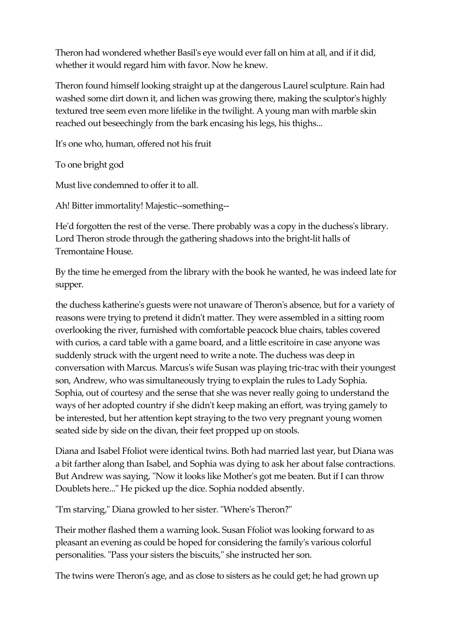Theron had wondered whether Basil's eye would ever fall on him at all, and if it did, whether it would regard him with favor. Now he knew.

Theron found himself looking straight up at the dangerous Laurel sculpture. Rain had washed some dirt down it, and lichen was growing there, making the sculptor's highly textured tree seem even more lifelike in the twilight. A young man with marble skin reached out beseechingly from the bark encasing his legs, his thighs...

It's one who, human, offered not his fruit

To one bright god

Must live condemned to offer it to all.

Ah! Bitter immortality! Majestic--something--

He'd forgotten the rest of the verse. There probably was a copy in the duchess's library. Lord Theron strode through the gathering shadows into the bright-lit halls of Tremontaine House.

By the time he emerged from the library with the book he wanted, he was indeed late for supper.

the duchess katherine's guests were not unaware of Theron's absence, but for a variety of reasons were trying to pretend it didn't matter. They were assembled in a sitting room overlooking the river, furnished with comfortable peacock blue chairs, tables covered with curios, a card table with a game board, and a little escritoire in case anyone was suddenly struck with the urgent need to write a note. The duchess was deep in conversation with Marcus. Marcus's wife Susan was playing tric-trac with their youngest son, Andrew, who was simultaneously trying to explain the rules to Lady Sophia. Sophia, out of courtesy and the sense that she was never really going to understand the ways of her adopted country if she didn't keep making an effort, was trying gamely to be interested, but her attention kept straying to the two very pregnant young women seated side by side on the divan, their feet propped up on stools.

Diana and Isabel Ffoliot were identical twins. Both had married last year, but Diana was a bit farther along than Isabel, and Sophia was dying to ask her about false contractions. But Andrew was saying, "Now it looks like Mother's got me beaten. But if I can throw Doublets here..." He picked up the dice. Sophia nodded absently.

"I'm starving," Diana growled to her sister. "Where's Theron?"

Their mother flashed them a warning look. Susan Ffoliot was looking forward to as pleasant an evening as could be hoped for considering the family's various colorful personalities. "Pass your sisters the biscuits," she instructed her son.

The twins were Theron's age, and as close to sisters as he could get; he had grown up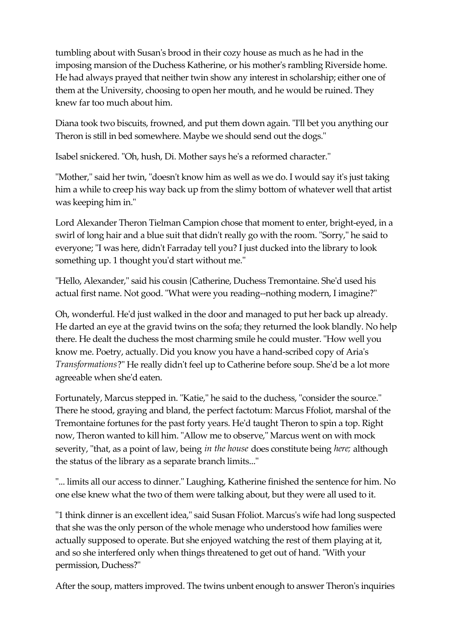tumbling about with Susan's brood in their cozy house as much as he had in the imposing mansion of the Duchess Katherine, or his mother's rambling Riverside home. He had always prayed that neither twin show any interest in scholarship; either one of them at the University, choosing to open her mouth, and he would be ruined. They knew far too much about him.

Diana took two biscuits, frowned, and put them down again. "I'll bet you anything our Theron is still in bed somewhere. Maybe we should send out the dogs."

Isabel snickered. "Oh, hush, Di. Mother says he's a reformed character."

"Mother," said her twin, "doesn't know him as well as we do. I would say it's just taking him a while to creep his way back up from the slimy bottom of whatever well that artist was keeping him in."

Lord Alexander Theron Tielman Campion chose that moment to enter, bright-eyed, in a swirl of long hair and a blue suit that didn't really go with the room. "Sorry," he said to everyone; "I was here, didn't Farraday tell you? I just ducked into the library to look something up. 1 thought you'd start without me."

"Hello, Alexander," said his cousin {Catherine, Duchess Tremontaine. She'd used his actual first name. Not good. "What were you reading--nothing modern, I imagine?"

Oh, wonderful. He'd just walked in the door and managed to put her back up already. He darted an eye at the gravid twins on the sofa; they returned the look blandly. No help there. He dealt the duchess the most charming smile he could muster. "How well you know me. Poetry, actually. Did you know you have a hand-scribed copy of Aria's *Transformations*?" He really didn't feel up to Catherine before soup. She'd be a lot more agreeable when she'd eaten.

Fortunately, Marcus stepped in. "Katie," he said to the duchess, "consider the source." There he stood, graying and bland, the perfect factotum: Marcus Ffoliot, marshal of the Tremontaine fortunes for the past forty years. He'd taught Theron to spin a top. Right now, Theron wanted to kill him. "Allow me to observe," Marcus went on with mock severity, "that, as a point of law, being *in the house* does constitute being *here;* although the status of the library as a separate branch limits..."

"... limits all our access to dinner." Laughing, Katherine finished the sentence for him. No one else knew what the two of them were talking about, but they were all used to it.

"1 think dinner is an excellent idea," said Susan Ffoliot. Marcus's wife had long suspected that she was the only person of the whole menage who understood how families were actually supposed to operate. But she enjoyed watching the rest of them playing at it, and so she interfered only when things threatened to get out of hand. "With your permission, Duchess?"

After the soup, matters improved. The twins unbent enough to answer Theron's inquiries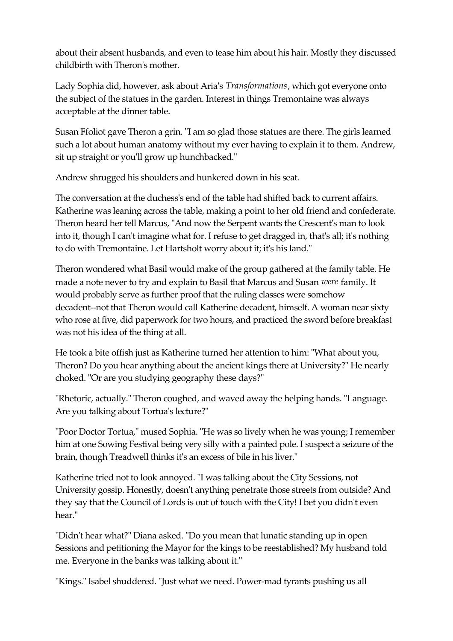about their absent husbands, and even to tease him about his hair. Mostly they discussed childbirth with Theron's mother.

Lady Sophia did, however, ask about Aria's *Transformations*, which got everyone onto the subject of the statues in the garden. Interest in things Tremontaine was always acceptable at the dinner table.

Susan Ffoliot gave Theron a grin. "I am so glad those statues are there. The girls learned such a lot about human anatomy without my ever having to explain it to them. Andrew, sit up straight or you'll grow up hunchbacked."

Andrew shrugged his shoulders and hunkered down in his seat.

The conversation at the duchess's end of the table had shifted back to current affairs. Katherine was leaning across the table, making a point to her old friend and confederate. Theron heard her tell Marcus, "And now the Serpent wants the Crescent's man to look into it, though I can't imagine what for. I refuse to get dragged in, that's all; it's nothing to do with Tremontaine. Let Hartsholt worry about it; it's his land."

Theron wondered what Basil would make of the group gathered at the family table. He made a note never to try and explain to Basil that Marcus and Susan *were* family. It would probably serve as further proof that the ruling classes were somehow decadent--not that Theron would call Katherine decadent, himself. A woman near sixty who rose at five, did paperwork for two hours, and practiced the sword before breakfast was not his idea of the thing at all.

He took a bite offish just as Katherine turned her attention to him: "What about you, Theron? Do you hear anything about the ancient kings there at University?" He nearly choked. "Or are you studying geography these days?"

"Rhetoric, actually." Theron coughed, and waved away the helping hands. "Language. Are you talking about Tortua's lecture?"

"Poor Doctor Tortua," mused Sophia. "He was so lively when he was young; I remember him at one Sowing Festival being very silly with a painted pole. I suspect a seizure of the brain, though Treadwell thinks it's an excess of bile in his liver."

Katherine tried not to look annoyed. "I was talking about the City Sessions, not University gossip. Honestly, doesn't anything penetrate those streets from outside? And they say that the Council of Lords is out of touch with the City! I bet you didn't even hear."

"Didn't hear what?" Diana asked. "Do you mean that lunatic standing up in open Sessions and petitioning the Mayor for the kings to be reestablished? My husband told me. Everyone in the banks was talking about it."

"Kings." Isabel shuddered. "Just what we need. Power-mad tyrants pushing us all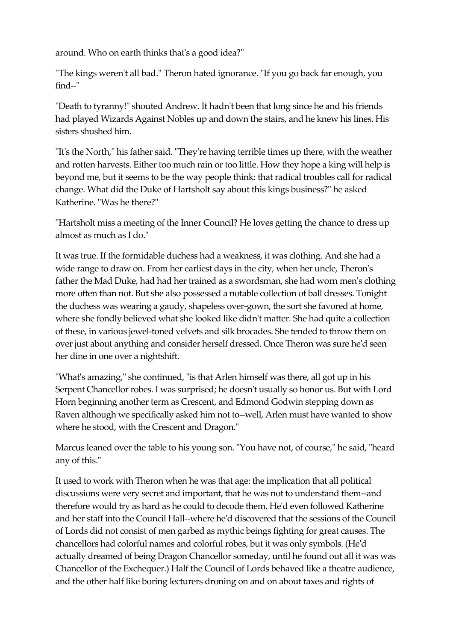around. Who on earth thinks that's a good idea?"

"The kings weren't all bad." Theron hated ignorance. "If you go back far enough, you find--"

"Death to tyranny!" shouted Andrew. It hadn't been that long since he and his friends had played Wizards Against Nobles up and down the stairs, and he knew his lines. His sisters shushed him.

"It's the North," his father said. "They're having terrible times up there, with the weather and rotten harvests. Either too much rain or too little. How they hope a king will help is beyond me, but it seems to be the way people think: that radical troubles call for radical change. What did the Duke of Hartsholt say about this kings business?" he asked Katherine. "Was he there?"

"Hartsholt miss a meeting of the Inner Council? He loves getting the chance to dress up almost as much as I do."

It was true. If the formidable duchess had a weakness, it was clothing. And she had a wide range to draw on. From her earliest days in the city, when her uncle, Theron's father the Mad Duke, had had her trained as a swordsman, she had worn men's clothing more often than not. But she also possessed a notable collection of ball dresses. Tonight the duchess was wearing a gaudy, shapeless over-gown, the sort she favored at home, where she fondly believed what she looked like didn't matter. She had quite a collection of these, in various jewel-toned velvets and silk brocades. She tended to throw them on over just about anything and consider herself dressed. Once Theron was sure he'd seen her dine in one over a nightshift.

"What's amazing," she continued, "is that Arlen himself was there, all got up in his Serpent Chancellor robes. I was surprised; he doesn't usually so honor us. But with Lord Horn beginning another term as Crescent, and Edmond Godwin stepping down as Raven although we specifically asked him not to--well, Arlen must have wanted to show where he stood, with the Crescent and Dragon."

Marcus leaned over the table to his young son. "You have not, of course," he said, "heard any of this."

It used to work with Theron when he was that age: the implication that all political discussions were very secret and important, that he was not to understand them--and therefore would try as hard as he could to decode them. He'd even followed Katherine and her staff into the Council Hall--where he'd discovered that the sessions of the Council of Lords did not consist of men garbed as mythic beings fighting for great causes. The chancellors had colorful names and colorful robes, but it was only symbols. (He'd actually dreamed of being Dragon Chancellor someday, until he found out all it was was Chancellor of the Exchequer.) Half the Council of Lords behaved like a theatre audience, and the other half like boring lecturers droning on and on about taxes and rights of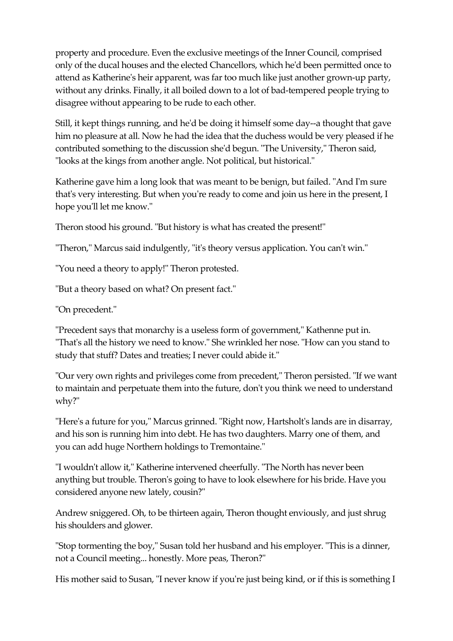property and procedure. Even the exclusive meetings of the Inner Council, comprised only of the ducal houses and the elected Chancellors, which he'd been permitted once to attend as Katherine's heir apparent, was far too much like just another grown-up party, without any drinks. Finally, it all boiled down to a lot of bad-tempered people trying to disagree without appearing to be rude to each other.

Still, it kept things running, and he'd be doing it himself some day--a thought that gave him no pleasure at all. Now he had the idea that the duchess would be very pleased if he contributed something to the discussion she'd begun. "The University," Theron said, "looks at the kings from another angle. Not political, but historical."

Katherine gave him a long look that was meant to be benign, but failed. "And I'm sure that's very interesting. But when you're ready to come and join us here in the present, I hope you'll let me know."

Theron stood his ground. "But history is what has created the present!"

"Theron," Marcus said indulgently, "it's theory versus application. You can't win."

"You need a theory to apply!" Theron protested.

"But a theory based on what? On present fact."

"On precedent."

"Precedent says that monarchy is a useless form of government," Kathenne put in. "That's all the history we need to know." She wrinkled her nose. "How can you stand to study that stuff? Dates and treaties; I never could abide it."

"Our very own rights and privileges come from precedent," Theron persisted. "If we want to maintain and perpetuate them into the future, don't you think we need to understand why?"

"Here's a future for you," Marcus grinned. "Right now, Hartsholt's lands are in disarray, and his son is running him into debt. He has two daughters. Marry one of them, and you can add huge Northern holdings to Tremontaine."

"I wouldn't allow it," Katherine intervened cheerfully. "The North has never been anything but trouble. Theron's going to have to look elsewhere for his bride. Have you considered anyone new lately, cousin?"

Andrew sniggered. Oh, to be thirteen again, Theron thought enviously, and just shrug his shoulders and glower.

"Stop tormenting the boy," Susan told her husband and his employer. "This is a dinner, not a Council meeting... honestly. More peas, Theron?"

His mother said to Susan, "I never know if you're just being kind, or if this is something I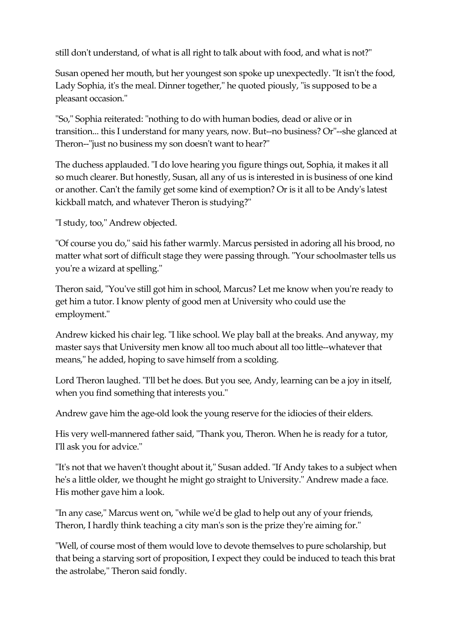still don't understand, of what is all right to talk about with food, and what is not?"

Susan opened her mouth, but her youngest son spoke up unexpectedly. "It isn't the food, Lady Sophia, it's the meal. Dinner together," he quoted piously, "is supposed to be a pleasant occasion."

"So," Sophia reiterated: "nothing to do with human bodies, dead or alive or in transition... this I understand for many years, now. But--no business? Or"--she glanced at Theron--"just no business my son doesn't want to hear?"

The duchess applauded. "I do love hearing you figure things out, Sophia, it makes it all so much clearer. But honestly, Susan, all any of us is interested in is business of one kind or another. Can't the family get some kind of exemption? Or is it all to be Andy's latest kickball match, and whatever Theron is studying?"

"I study, too," Andrew objected.

"Of course you do," said his father warmly. Marcus persisted in adoring all his brood, no matter what sort of difficult stage they were passing through. "Your schoolmaster tells us you're a wizard at spelling."

Theron said, "You've still got him in school, Marcus? Let me know when you're ready to get him a tutor. I know plenty of good men at University who could use the employment."

Andrew kicked his chair leg. "I like school. We play ball at the breaks. And anyway, my master says that University men know all too much about all too little--whatever that means," he added, hoping to save himself from a scolding.

Lord Theron laughed. "I'll bet he does. But you see, Andy, learning can be a joy in itself, when you find something that interests you."

Andrew gave him the age-old look the young reserve for the idiocies of their elders.

His very well-mannered father said, "Thank you, Theron. When he is ready for a tutor, I'll ask you for advice."

"It's not that we haven't thought about it," Susan added. "If Andy takes to a subject when he's a little older, we thought he might go straight to University." Andrew made a face. His mother gave him a look.

"In any case," Marcus went on, "while we'd be glad to help out any of your friends, Theron, I hardly think teaching a city man's son is the prize they're aiming for."

"Well, of course most of them would love to devote themselves to pure scholarship, but that being a starving sort of proposition, I expect they could be induced to teach this brat the astrolabe," Theron said fondly.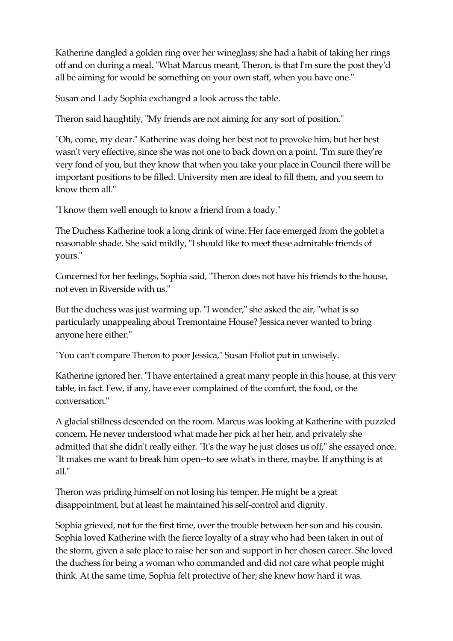Katherine dangled a golden ring over her wineglass; she had a habit of taking her rings off and on during a meal. "What Marcus meant, Theron, is that I'm sure the post they'd all be aiming for would be something on your own staff, when you have one."

Susan and Lady Sophia exchanged a look across the table.

Theron said haughtily, "My friends are not aiming for any sort of position."

"Oh, come, my dear." Katherine was doing her best not to provoke him, but her best wasn't very effective, since she was not one to back down on a point. "I'm sure they're very fond of you, but they know that when you take your place in Council there will be important positions to be filled. University men are ideal to fill them, and you seem to know them all."

"I know them well enough to know a friend from a toady."

The Duchess Katherine took a long drink of wine. Her face emerged from the goblet a reasonable shade. She said mildly, "I should like to meet these admirable friends of yours."

Concerned for her feelings, Sophia said, "Theron does not have his friends to the house, not even in Riverside with us."

But the duchess was just warming up. "I wonder," she asked the air, "what is so particularly unappealing about Tremontaine House? Jessica never wanted to bring anyone here either."

"You can't compare Theron to poor Jessica," Susan Ffoliot put in unwisely.

Katherine ignored her. "I have entertained a great many people in this house, at this very table, in fact. Few, if any, have ever complained of the comfort, the food, or the conversation."

A glacial stillness descended on the room. Marcus was looking at Katherine with puzzled concern. He never understood what made her pick at her heir, and privately she admitted that she didn't really either. "It's the way he just closes us off," she essayed once. "It makes me want to break him open--to see what's in there, maybe. If anything is at all."

Theron was priding himself on not losing his temper. He might be a great disappointment, but at least he maintained his self-control and dignity.

Sophia grieved, not for the first time, over the trouble between her son and his cousin. Sophia loved Katherine with the fierce loyalty of a stray who had been taken in out of the storm, given a safe place to raise her son and support in her chosen career. She loved the duchess for being a woman who commanded and did not care what people might think. At the same time, Sophia felt protective of her; she knew how hard it was.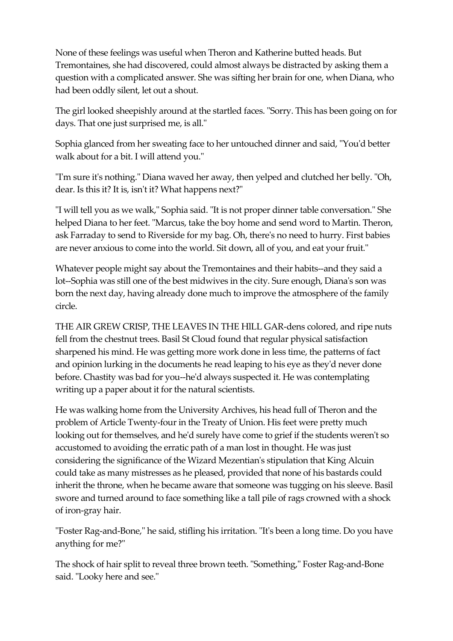None of these feelings was useful when Theron and Katherine butted heads. But Tremontaines, she had discovered, could almost always be distracted by asking them a question with a complicated answer. She was sifting her brain for one, when Diana, who had been oddly silent, let out a shout.

The girl looked sheepishly around at the startled faces. "Sorry. This has been going on for days. That one just surprised me, is all."

Sophia glanced from her sweating face to her untouched dinner and said, "You'd better walk about for a bit. I will attend you."

"I'm sure it's nothing." Diana waved her away, then yelped and clutched her belly. "Oh, dear. Is this it? It is, isn't it? What happens next?"

"I will tell you as we walk," Sophia said. "It is not proper dinner table conversation." She helped Diana to her feet. "Marcus, take the boy home and send word to Martin. Theron, ask Farraday to send to Riverside for my bag. Oh, there's no need to hurry. First babies are never anxious to come into the world. Sit down, all of you, and eat your fruit."

Whatever people might say about the Tremontaines and their habits--and they said a lot--Sophia was still one of the best midwives in the city. Sure enough, Diana's son was born the next day, having already done much to improve the atmosphere of the family circle.

THE AIR GREW CRISP, THE LEAVES IN THE HlLL GAR-dens colored, and ripe nuts fell from the chestnut trees. Basil St Cloud found that regular physical satisfaction sharpened his mind. He was getting more work done in less time, the patterns of fact and opinion lurking in the documents he read leaping to his eye as they'd never done before. Chastity was bad for you--he'd always suspected it. He was contemplating writing up a paper about it for the natural scientists.

He was walking home from the University Archives, his head full of Theron and the problem of Article Twenty-four in the Treaty of Union. His feet were pretty much looking out for themselves, and he'd surely have come to grief if the students weren't so accustomed to avoiding the erratic path of a man lost in thought. He was just considering the significance of the Wizard Mezentian's stipulation that King Alcuin could take as many mistresses as he pleased, provided that none of his bastards could inherit the throne, when he became aware that someone was tugging on his sleeve. Basil swore and turned around to face something like a tall pile of rags crowned with a shock of iron-gray hair.

"Foster Rag-and-Bone," he said, stifling his irritation. "It's been a long time. Do you have anything for me?"

The shock of hair split to reveal three brown teeth. "Something," Foster Rag-and-Bone said. "Looky here and see."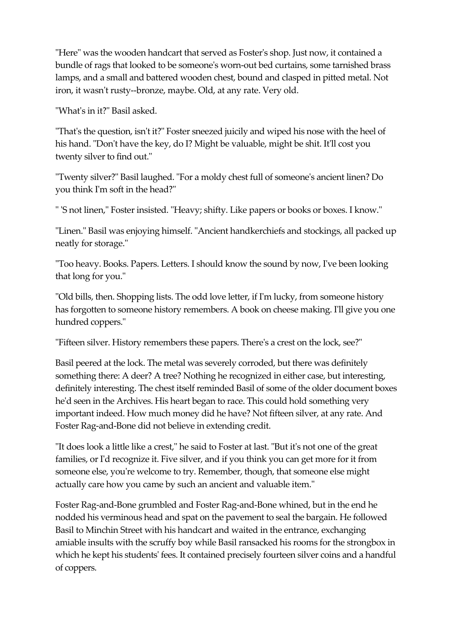"Here" was the wooden handcart that served as Foster's shop. Just now, it contained a bundle of rags that looked to be someone's worn-out bed curtains, some tarnished brass lamps, and a small and battered wooden chest, bound and clasped in pitted metal. Not iron, it wasn't rusty--bronze, maybe. Old, at any rate. Very old.

"What's in it?" Basil asked.

"That's the question, isn't it?" Foster sneezed juicily and wiped his nose with the heel of his hand. "Don't have the key, do I? Might be valuable, might be shit. It'll cost you twenty silver to find out."

"Twenty silver?" Basil laughed. "For a moldy chest full of someone's ancient linen? Do you think I'm soft in the head?"

" 'S not linen," Foster insisted. "Heavy; shifty. Like papers or books or boxes. I know."

"Linen." Basil was enjoying himself. "Ancient handkerchiefs and stockings, all packed up neatly for storage."

"Too heavy. Books. Papers. Letters. I should know the sound by now, I've been looking that long for you."

"Old bills, then. Shopping lists. The odd love letter, if I'm lucky, from someone history has forgotten to someone history remembers. A book on cheese making. I'll give you one hundred coppers."

"Fifteen silver. History remembers these papers. There's a crest on the lock, see?"

Basil peered at the lock. The metal was severely corroded, but there was definitely something there: A deer? A tree? Nothing he recognized in either case, but interesting, definitely interesting. The chest itself reminded Basil of some of the older document boxes he'd seen in the Archives. His heart began to race. This could hold something very important indeed. How much money did he have? Not fifteen silver, at any rate. And Foster Rag-and-Bone did not believe in extending credit.

"It does look a little like a crest," he said to Foster at last. "But it's not one of the great families, or I'd recognize it. Five silver, and if you think you can get more for it from someone else, you're welcome to try. Remember, though, that someone else might actually care how you came by such an ancient and valuable item."

Foster Rag-and-Bone grumbled and Foster Rag-and-Bone whined, but in the end he nodded his verminous head and spat on the pavement to seal the bargain. He followed Basil to Minchin Street with his handcart and waited in the entrance, exchanging amiable insults with the scruffy boy while Basil ransacked his rooms for the strongbox in which he kept his students' fees. It contained precisely fourteen silver coins and a handful of coppers.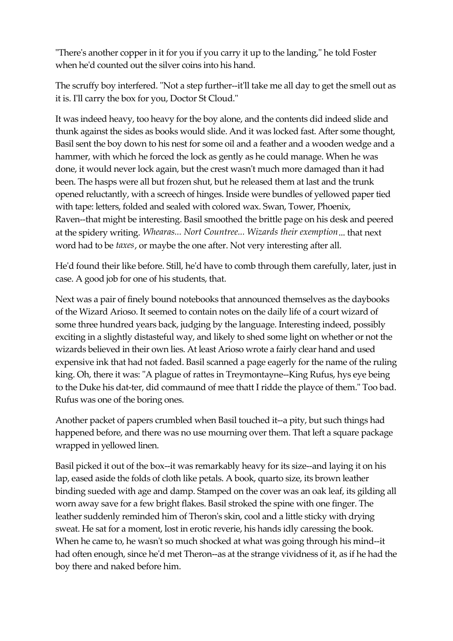"There's another copper in it for you if you carry it up to the landing," he told Foster when he'd counted out the silver coins into his hand.

The scruffy boy interfered. "Not a step further--it'll take me all day to get the smell out as it is. I'll carry the box for you, Doctor St Cloud."

It was indeed heavy, too heavy for the boy alone, and the contents did indeed slide and thunk against the sides as books would slide. And it was locked fast. After some thought, Basil sent the boy down to his nest for some oil and a feather and a wooden wedge and a hammer, with which he forced the lock as gently as he could manage. When he was done, it would never lock again, but the crest wasn't much more damaged than it had been. The hasps were all but frozen shut, but he released them at last and the trunk opened reluctantly, with a screech of hinges. Inside were bundles of yellowed paper tied with tape: letters, folded and sealed with colored wax. Swan, Tower, Phoenix, Raven--that might be interesting. Basil smoothed the brittle page on his desk and peered at the spidery writing. *Whearas... Nort Countree... Wizards their exemption*... that next word had to be *taxes*, or maybe the one after. Not very interesting after all.

He'd found their like before. Still, he'd have to comb through them carefully, later, just in case. A good job for one of his students, that.

Next was a pair of finely bound notebooks that announced themselves as the daybooks of the Wizard Arioso. It seemed to contain notes on the daily life of a court wizard of some three hundred years back, judging by the language. Interesting indeed, possibly exciting in a slightly distasteful way, and likely to shed some light on whether or not the wizards believed in their own lies. At least Arioso wrote a fairly clear hand and used expensive ink that had not faded. Basil scanned a page eagerly for the name of the ruling king. Oh, there it was: "A plague of rattes in Treymontayne--King Rufus, hys eye being to the Duke his dat-ter, did commaund of mee thatt I ridde the playce of them." Too bad. Rufus was one of the boring ones.

Another packet of papers crumbled when Basil touched it--a pity, but such things had happened before, and there was no use mourning over them. That left a square package wrapped in yellowed linen.

Basil picked it out of the box--it was remarkably heavy for its size--and laying it on his lap, eased aside the folds of cloth like petals. A book, quarto size, its brown leather binding sueded with age and damp. Stamped on the cover was an oak leaf, its gilding all worn away save for a few bright flakes. Basil stroked the spine with one finger. The leather suddenly reminded him of Theron's skin, cool and a little sticky with drying sweat. He sat for a moment, lost in erotic reverie, his hands idly caressing the book. When he came to, he wasn't so much shocked at what was going through his mind--it had often enough, since he'd met Theron--as at the strange vividness of it, as if he had the boy there and naked before him.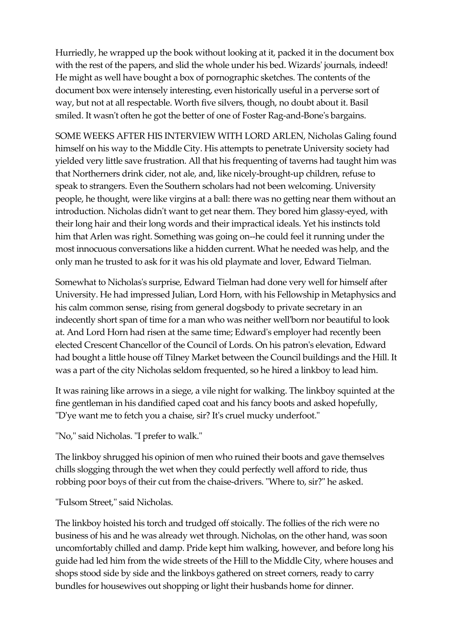Hurriedly, he wrapped up the book without looking at it, packed it in the document box with the rest of the papers, and slid the whole under his bed. Wizards' journals, indeed! He might as well have bought a box of pornographic sketches. The contents of the document box were intensely interesting, even historically useful in a perverse sort of way, but not at all respectable. Worth five silvers, though, no doubt about it. Basil smiled. It wasn't often he got the better of one of Foster Rag-and-Bone's bargains.

SOME WEEKS AFTER HIS INTERVIEW WITH LORD ARLEN, Nicholas Galing found himself on his way to the Middle City. His attempts to penetrate University society had yielded very little save frustration. All that his frequenting of taverns had taught him was that Northerners drink cider, not ale, and, like nicely-brought-up children, refuse to speak to strangers. Even the Southern scholars had not been welcoming. University people, he thought, were like virgins at a ball: there was no getting near them without an introduction. Nicholas didn't want to get near them. They bored him glassy-eyed, with their long hair and their long words and their impractical ideals. Yet his instincts told him that Arlen was right. Something was going on--he could feel it running under the most innocuous conversations like a hidden current. What he needed was help, and the only man he trusted to ask for it was his old playmate and lover, Edward Tielman.

Somewhat to Nicholas's surprise, Edward Tielman had done very well for himself after University. He had impressed Julian, Lord Horn, with his Fellowship in Metaphysics and his calm common sense, rising from general dogsbody to private secretary in an indecently short span of time for a man who was neither well'born nor beautiful to look at. And Lord Horn had risen at the same time; Edward's employer had recently been elected Crescent Chancellor of the Council of Lords. On his patron's elevation, Edward had bought a little house off Tilney Market between the Council buildings and the Hill. It was a part of the city Nicholas seldom frequented, so he hired a linkboy to lead him.

It was raining like arrows in a siege, a vile night for walking. The linkboy squinted at the fine gentleman in his dandified caped coat and his fancy boots and asked hopefully, "D'ye want me to fetch you a chaise, sir? It's cruel mucky underfoot."

"No," said Nicholas. "I prefer to walk."

The linkboy shrugged his opinion of men who ruined their boots and gave themselves chills slogging through the wet when they could perfectly well afford to ride, thus robbing poor boys of their cut from the chaise-drivers. "Where to, sir?" he asked.

"Fulsom Street," said Nicholas.

The linkboy hoisted his torch and trudged off stoically. The follies of the rich were no business of his and he was already wet through. Nicholas, on the other hand, was soon uncomfortably chilled and damp. Pride kept him walking, however, and before long his guide had led him from the wide streets of the Hill to the Middle City, where houses and shops stood side by side and the linkboys gathered on street corners, ready to carry bundles for housewives out shopping or light their husbands home for dinner.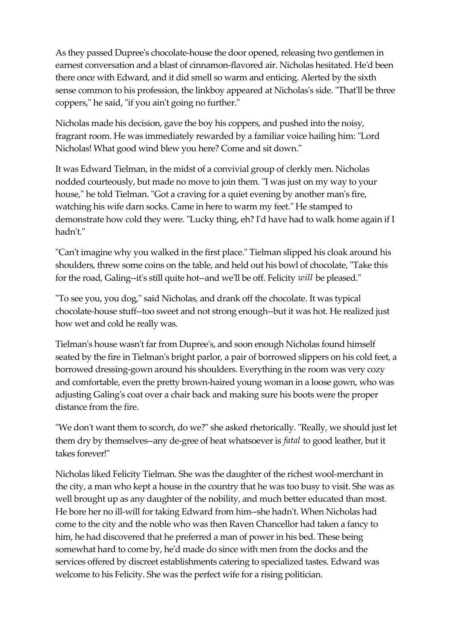As they passed Dupree's chocolate-house the door opened, releasing two gentlemen in earnest conversation and a blast of cinnamon-flavored air. Nicholas hesitated. He'd been there once with Edward, and it did smell so warm and enticing. Alerted by the sixth sense common to his profession, the linkboy appeared at Nicholas's side. "That'll be three coppers," he said, "if you ain't going no further."

Nicholas made his decision, gave the boy his coppers, and pushed into the noisy, fragrant room. He was immediately rewarded by a familiar voice hailing him: "Lord Nicholas! What good wind blew you here? Come and sit down."

It was Edward Tielman, in the midst of a convivial group of clerkly men. Nicholas nodded courteously, but made no move to join them. "I was just on my way to your house," he told Tielman. "Got a craving for a quiet evening by another man's fire, watching his wife darn socks. Came in here to warm my feet." He stamped to demonstrate how cold they were. "Lucky thing, eh? I'd have had to walk home again if I hadn't."

"Can't imagine why you walked in the first place." Tielman slipped his cloak around his shoulders, threw some coins on the table, and held out his bowl of chocolate, "Take this for the road, Galing--it's still quite hot--and we'll be off. Felicity *will* be pleased."

"To see you, you dog," said Nicholas, and drank off the chocolate. It was typical chocolate-house stuff--too sweet and not strong enough--but it was hot. He realized just how wet and cold he really was.

Tielman's house wasn't far from Dupree's, and soon enough Nicholas found himself seated by the fire in Tielman's bright parlor, a pair of borrowed slippers on his cold feet, a borrowed dressing-gown around his shoulders. Everything in the room was very cozy and comfortable, even the pretty brown-haired young woman in a loose gown, who was adjusting Galing's coat over a chair back and making sure his boots were the proper distance from the fire.

"We don't want them to scorch, do we?" she asked rhetorically. "Really, we should just let them dry by themselves--any de-gree of heat whatsoever is *fatal* to good leather, but it takes forever!"

Nicholas liked Felicity Tielman. She was the daughter of the richest wool-merchant in the city, a man who kept a house in the country that he was too busy to visit. She was as well brought up as any daughter of the nobility, and much better educated than most. He bore her no ill-will for taking Edward from him--she hadn't. When Nicholas had come to the city and the noble who was then Raven Chancellor had taken a fancy to him, he had discovered that he preferred a man of power in his bed. These being somewhat hard to come by, he'd made do since with men from the docks and the services offered by discreet establishments catering to specialized tastes. Edward was welcome to his Felicity. She was the perfect wife for a rising politician.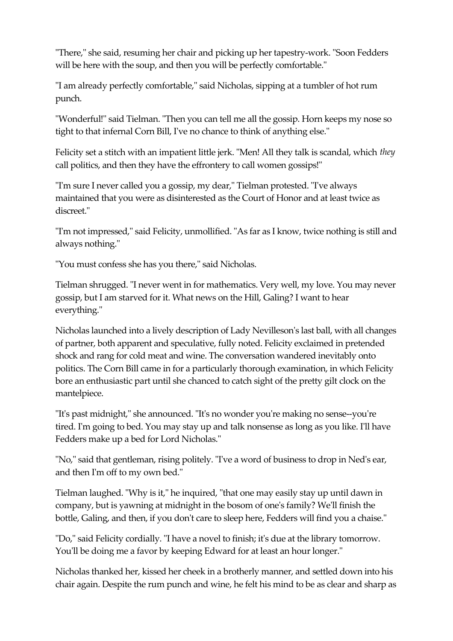"There," she said, resuming her chair and picking up her tapestry-work. "Soon Fedders will be here with the soup, and then you will be perfectly comfortable."

"I am already perfectly comfortable," said Nicholas, sipping at a tumbler of hot rum punch.

"Wonderful!" said Tielman. "Then you can tell me all the gossip. Horn keeps my nose so tight to that infernal Corn Bill, I've no chance to think of anything else."

Felicity set a stitch with an impatient little jerk. "Men! All they talk is scandal, which *they* call politics, and then they have the effrontery to call women gossips!"

"I'm sure I never called you a gossip, my dear," Tielman protested. "I've always maintained that you were as disinterested as the Court of Honor and at least twice as discreet."

"I'm not impressed," said Felicity, unmollified. "As far as I know, twice nothing is still and always nothing."

"You must confess she has you there," said Nicholas.

Tielman shrugged. "I never went in for mathematics. Very well, my love. You may never gossip, but I am starved for it. What news on the Hill, Galing? I want to hear everything."

Nicholas launched into a lively description of Lady Nevilleson's last ball, with all changes of partner, both apparent and speculative, fully noted. Felicity exclaimed in pretended shock and rang for cold meat and wine. The conversation wandered inevitably onto politics. The Corn Bill came in for a particularly thorough examination, in which Felicity bore an enthusiastic part until she chanced to catch sight of the pretty gilt clock on the mantelpiece.

"It's past midnight," she announced. "It's no wonder you're making no sense--you're tired. I'm going to bed. You may stay up and talk nonsense as long as you like. I'll have Fedders make up a bed for Lord Nicholas."

"No," said that gentleman, rising politely. "I've a word of business to drop in Ned's ear, and then I'm off to my own bed."

Tielman laughed. "Why is it," he inquired, "that one may easily stay up until dawn in company, but is yawning at midnight in the bosom of one's family? We'll finish the bottle, Galing, and then, if you don't care to sleep here, Fedders will find you a chaise."

"Do," said Felicity cordially. "I have a novel to finish; it's due at the library tomorrow. You'll be doing me a favor by keeping Edward for at least an hour longer."

Nicholas thanked her, kissed her cheek in a brotherly manner, and settled down into his chair again. Despite the rum punch and wine, he felt his mind to be as clear and sharp as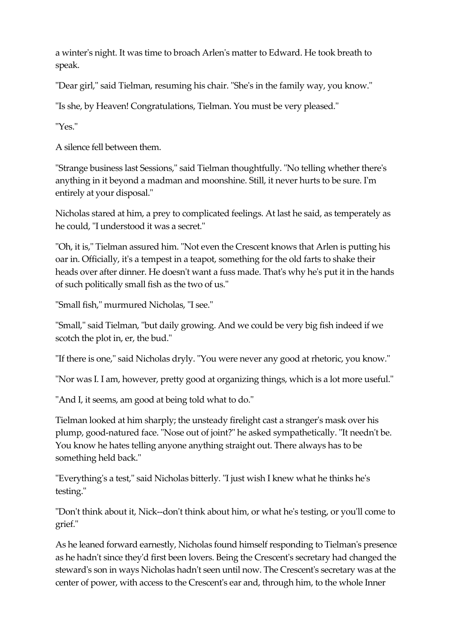a winter's night. It was time to broach Arlen's matter to Edward. He took breath to speak.

"Dear girl," said Tielman, resuming his chair. "She's in the family way, you know."

"Is she, by Heaven! Congratulations, Tielman. You must be very pleased."

"Yes."

A silence fell between them.

"Strange business last Sessions," said Tielman thoughtfully. "No telling whether there's anything in it beyond a madman and moonshine. Still, it never hurts to be sure. I'm entirely at your disposal."

Nicholas stared at him, a prey to complicated feelings. At last he said, as temperately as he could, "I understood it was a secret."

"Oh, it is," Tielman assured him. "Not even the Crescent knows that Arlen is putting his oar in. Officially, it's a tempest in a teapot, something for the old farts to shake their heads over after dinner. He doesn't want a fuss made. That's why he's put it in the hands of such politically small fish as the two of us."

"Small fish," murmured Nicholas, "I see."

"Small," said Tielman, "but daily growing. And we could be very big fish indeed if we scotch the plot in, er, the bud."

"If there is one," said Nicholas dryly. "You were never any good at rhetoric, you know."

"Nor was I. I am, however, pretty good at organizing things, which is a lot more useful."

"And I, it seems, am good at being told what to do."

Tielman looked at him sharply; the unsteady firelight cast a stranger's mask over his plump, good-natured face. "Nose out of joint?" he asked sympathetically. "It needn't be. You know he hates telling anyone anything straight out. There always has to be something held back."

"Everything's a test," said Nicholas bitterly. "I just wish I knew what he thinks he's testing."

"Don't think about it, Nick--don't think about him, or what he's testing, or you'll come to grief."

As he leaned forward earnestly, Nicholas found himself responding to Tielman's presence as he hadn't since they'd first been lovers. Being the Crescent's secretary had changed the steward's son in ways Nicholas hadn't seen until now. The Crescent's secretary was at the center of power, with access to the Crescent's ear and, through him, to the whole Inner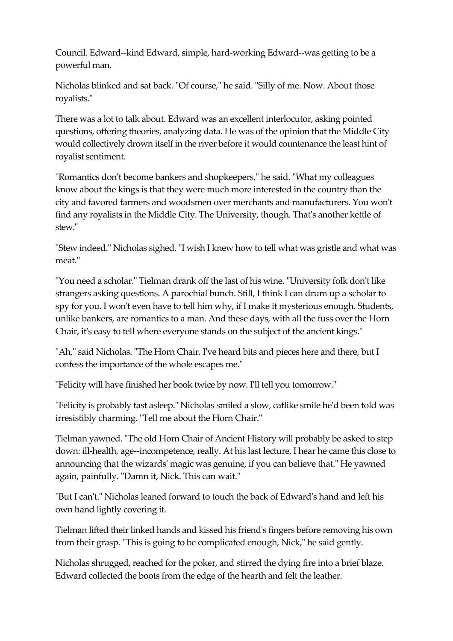Council. Edward--kind Edward, simple, hard-working Edward--was getting to be a powerful man.

Nicholas blinked and sat back. "Of course," he said. "Silly of me. Now. About those royalists."

There was a lot to talk about. Edward was an excellent interlocutor, asking pointed questions, offering theories, analyzing data. He was of the opinion that the Middle City would collectively drown itself in the river before it would countenance the least hint of royalist sentiment.

"Romantics don't become bankers and shopkeepers," he said. "What my colleagues know about the kings is that they were much more interested in the country than the city and favored farmers and woodsmen over merchants and manufacturers. You won't find any royalists in the Middle City. The University, though. That's another kettle of stew."

"Stew indeed." Nicholas sighed. "I wish I knew how to tell what was gristle and what was meat."

"You need a scholar." Tielman drank off the last of his wine. "University folk don't like strangers asking questions. A parochial bunch. Still, I think I can drum up a scholar to spy for you. I won't even have to tell him why, if I make it mysterious enough. Students, unlike bankers, are romantics to a man. And these days, with all the fuss over the Horn Chair, it's easy to tell where everyone stands on the subject of the ancient kings."

"Ah," said Nicholas. "The Horn Chair. I've heard bits and pieces here and there, but I confess the importance of the whole escapes me."

"Felicity will have finished her book twice by now. I'll tell you tomorrow."

"Felicity is probably fast asleep." Nicholas smiled a slow, catlike smile he'd been told was irresistibly charming. "Tell me about the Horn Chair."

Tielman yawned. "The old Horn Chair of Ancient History will probably be asked to step down: ill-health, age--incompetence, really. At his last lecture, I hear he came this close to announcing that the wizards' magic was genuine, if you can believe that." He yawned again, painfully. "Damn it, Nick. This can wait."

"But I can't." Nicholas leaned forward to touch the back of Edward's hand and left his own hand lightly covering it.

Tielman lifted their linked hands and kissed his friend's fingers before removing his own from their grasp. "This is going to be complicated enough, Nick," he said gently.

Nicholas shrugged, reached for the poker, and stirred the dying fire into a brief blaze. Edward collected the boots from the edge of the hearth and felt the leather.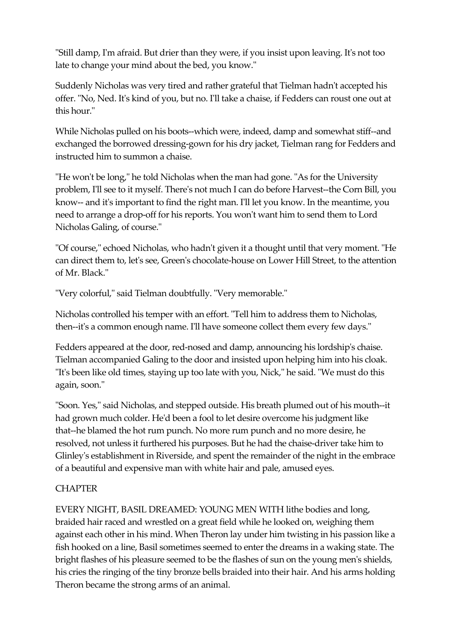"Still damp, I'm afraid. But drier than they were, if you insist upon leaving. It's not too late to change your mind about the bed, you know."

Suddenly Nicholas was very tired and rather grateful that Tielman hadn't accepted his offer. "No, Ned. It's kind of you, but no. I'll take a chaise, if Fedders can roust one out at this hour."

While Nicholas pulled on his boots--which were, indeed, damp and somewhat stiff--and exchanged the borrowed dressing-gown for his dry jacket, Tielman rang for Fedders and instructed him to summon a chaise.

"He won't be long," he told Nicholas when the man had gone. "As for the University problem, I'll see to it myself. There's not much I can do before Harvest--the Corn Bill, you know-- and it's important to find the right man. I'll let you know. In the meantime, you need to arrange a drop-off for his reports. You won't want him to send them to Lord Nicholas Galing, of course."

"Of course," echoed Nicholas, who hadn't given it a thought until that very moment. "He can direct them to, let's see, Green's chocolate-house on Lower Hill Street, to the attention of Mr. Black."

"Very colorful," said Tielman doubtfully. "Very memorable."

Nicholas controlled his temper with an effort. "Tell him to address them to Nicholas, then--it's a common enough name. I'll have someone collect them every few days."

Fedders appeared at the door, red-nosed and damp, announcing his lordship's chaise. Tielman accompanied Galing to the door and insisted upon helping him into his cloak. "It's been like old times, staying up too late with you, Nick," he said. "We must do this again, soon."

"Soon. Yes," said Nicholas, and stepped outside. His breath plumed out of his mouth--it had grown much colder. He'd been a fool to let desire overcome his judgment like that--he blamed the hot rum punch. No more rum punch and no more desire, he resolved, not unless it furthered his purposes. But he had the chaise-driver take him to Glinley's establishment in Riverside, and spent the remainder of the night in the embrace of a beautiful and expensive man with white hair and pale, amused eyes.

## **CHAPTER**

EVERY NIGHT, BASIL DREAMED: YOUNG MEN WITH lithe bodies and long, braided hair raced and wrestled on a great field while he looked on, weighing them against each other in his mind. When Theron lay under him twisting in his passion like a fish hooked on a line, Basil sometimes seemed to enter the dreams in a waking state. The bright flashes of his pleasure seemed to be the flashes of sun on the young men's shields, his cries the ringing of the tiny bronze bells braided into their hair. And his arms holding Theron became the strong arms of an animal.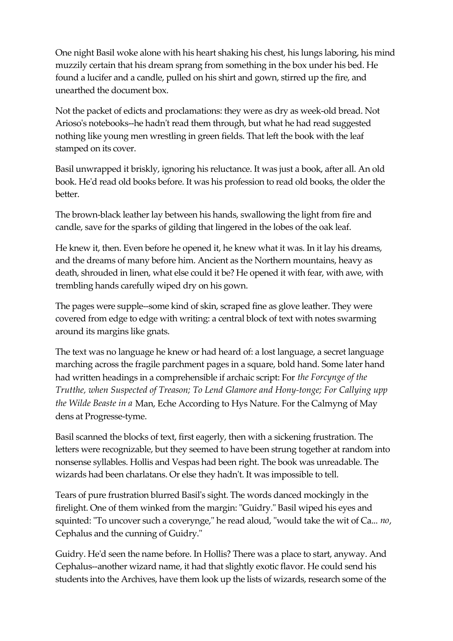One night Basil woke alone with his heart shaking his chest, his lungs laboring, his mind muzzily certain that his dream sprang from something in the box under his bed. He found a lucifer and a candle, pulled on his shirt and gown, stirred up the fire, and unearthed the document box.

Not the packet of edicts and proclamations: they were as dry as week-old bread. Not Arioso's notebooks--he hadn't read them through, but what he had read suggested nothing like young men wrestling in green fields. That left the book with the leaf stamped on its cover.

Basil unwrapped it briskly, ignoring his reluctance. It was just a book, after all. An old book. He'd read old books before. It was his profession to read old books, the older the better.

The brown-black leather lay between his hands, swallowing the light from fire and candle, save for the sparks of gilding that lingered in the lobes of the oak leaf.

He knew it, then. Even before he opened it, he knew what it was. In it lay his dreams, and the dreams of many before him. Ancient as the Northern mountains, heavy as death, shrouded in linen, what else could it be? He opened it with fear, with awe, with trembling hands carefully wiped dry on his gown.

The pages were supple--some kind of skin, scraped fine as glove leather. They were covered from edge to edge with writing: a central block of text with notes swarming around its margins like gnats.

The text was no language he knew or had heard of: a lost language, a secret language marching across the fragile parchment pages in a square, bold hand. Some later hand had written headings in a comprehensible if archaic script: For *the Forcynge of the Trutthe, when Suspected of Treason; To Lend Glamore and Hony-tonge; For Callying upp the Wilde Beaste in a* Man, Eche According to Hys Nature. For the Calmyng of May dens at Progresse-tyme.

Basil scanned the blocks of text, first eagerly, then with a sickening frustration. The letters were recognizable, but they seemed to have been strung together at random into nonsense syllables. Hollis and Vespas had been right. The book was unreadable. The wizards had been charlatans. Or else they hadn't. It was impossible to tell.

Tears of pure frustration blurred Basil's sight. The words danced mockingly in the firelight. One of them winked from the margin: "Guidry." Basil wiped his eyes and squinted: "To uncover such a coverynge," he read aloud, "would take the wit of Ca... *no*, Cephalus and the cunning of Guidry."

Guidry. He'd seen the name before. In Hollis? There was a place to start, anyway. And Cephalus--another wizard name, it had that slightly exotic flavor. He could send his students into the Archives, have them look up the lists of wizards, research some of the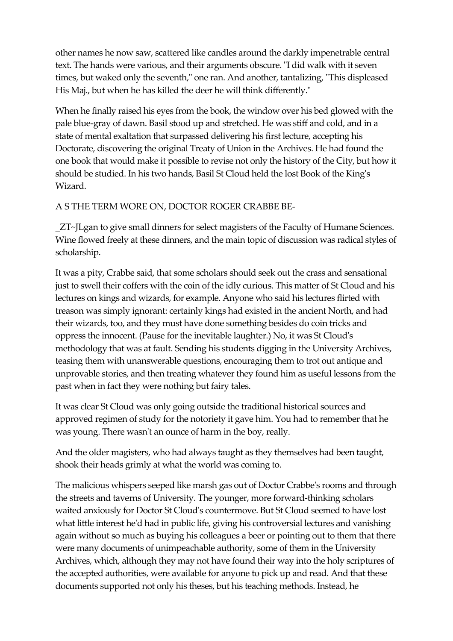other names he now saw, scattered like candles around the darkly impenetrable central text. The hands were various, and their arguments obscure. "I did walk with it seven times, but waked only the seventh," one ran. And another, tantalizing, "This displeased His Maj., but when he has killed the deer he will think differently."

When he finally raised his eyes from the book, the window over his bed glowed with the pale blue-gray of dawn. Basil stood up and stretched. He was stiff and cold, and in a state of mental exaltation that surpassed delivering his first lecture, accepting his Doctorate, discovering the original Treaty of Union in the Archives. He had found the one book that would make it possible to revise not only the history of the City, but how it should be studied. In his two hands, Basil St Cloud held the lost Book of the King's Wizard.

## A S THE TERM WORE ON, DOCTOR ROGER CRABBE BE-

\_ZT~JLgan to give small dinners for select magisters of the Faculty of Humane Sciences. Wine flowed freely at these dinners, and the main topic of discussion was radical styles of scholarship.

It was a pity, Crabbe said, that some scholars should seek out the crass and sensational just to swell their coffers with the coin of the idly curious. This matter of St Cloud and his lectures on kings and wizards, for example. Anyone who said his lectures flirted with treason was simply ignorant: certainly kings had existed in the ancient North, and had their wizards, too, and they must have done something besides do coin tricks and oppress the innocent. (Pause for the inevitable laughter.) No, it was St Cloud's methodology that was at fault. Sending his students digging in the University Archives, teasing them with unanswerable questions, encouraging them to trot out antique and unprovable stories, and then treating whatever they found him as useful lessons from the past when in fact they were nothing but fairy tales.

It was clear St Cloud was only going outside the traditional historical sources and approved regimen of study for the notoriety it gave him. You had to remember that he was young. There wasn't an ounce of harm in the boy, really.

And the older magisters, who had always taught as they themselves had been taught, shook their heads grimly at what the world was coming to.

The malicious whispers seeped like marsh gas out of Doctor Crabbe's rooms and through the streets and taverns of University. The younger, more forward-thinking scholars waited anxiously for Doctor St Cloud's countermove. But St Cloud seemed to have lost what little interest he'd had in public life, giving his controversial lectures and vanishing again without so much as buying his colleagues a beer or pointing out to them that there were many documents of unimpeachable authority, some of them in the University Archives, which, although they may not have found their way into the holy scriptures of the accepted authorities, were available for anyone to pick up and read. And that these documents supported not only his theses, but his teaching methods. Instead, he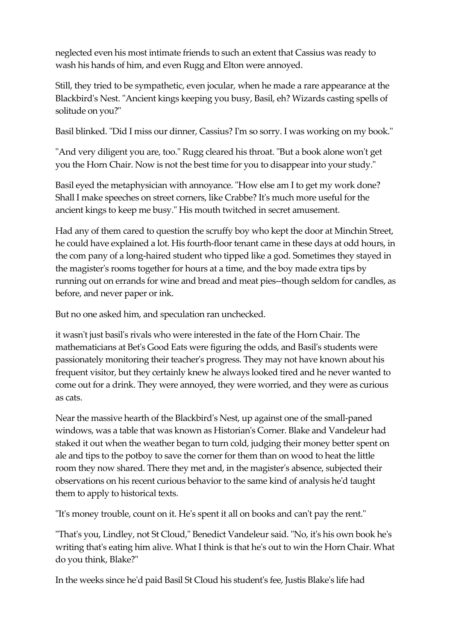neglected even his most intimate friends to such an extent that Cassius was ready to wash his hands of him, and even Rugg and Elton were annoyed.

Still, they tried to be sympathetic, even jocular, when he made a rare appearance at the Blackbird's Nest. "Ancient kings keeping you busy, Basil, eh? Wizards casting spells of solitude on you?"

Basil blinked. "Did I miss our dinner, Cassius? I'm so sorry. I was working on my book."

"And very diligent you are, too." Rugg cleared his throat. "But a book alone won't get you the Horn Chair. Now is not the best time for you to disappear into your study."

Basil eyed the metaphysician with annoyance. "How else am I to get my work done? Shall I make speeches on street corners, like Crabbe? It's much more useful for the ancient kings to keep me busy." His mouth twitched in secret amusement.

Had any of them cared to question the scruffy boy who kept the door at Minchin Street, he could have explained a lot. His fourth-floor tenant came in these days at odd hours, in the com pany of a long-haired student who tipped like a god. Sometimes they stayed in the magister's rooms together for hours at a time, and the boy made extra tips by running out on errands for wine and bread and meat pies--though seldom for candles, as before, and never paper or ink.

But no one asked him, and speculation ran unchecked.

it wasn't just basil's rivals who were interested in the fate of the Horn Chair. The mathematicians at Bet's Good Eats were figuring the odds, and Basil's students were passionately monitoring their teacher's progress. They may not have known about his frequent visitor, but they certainly knew he always looked tired and he never wanted to come out for a drink. They were annoyed, they were worried, and they were as curious as cats.

Near the massive hearth of the Blackbird's Nest, up against one of the small-paned windows, was a table that was known as Historian's Corner. Blake and Vandeleur had staked it out when the weather began to turn cold, judging their money better spent on ale and tips to the potboy to save the corner for them than on wood to heat the little room they now shared. There they met and, in the magister's absence, subjected their observations on his recent curious behavior to the same kind of analysis he'd taught them to apply to historical texts.

"It's money trouble, count on it. He's spent it all on books and can't pay the rent."

"That's you, Lindley, not St Cloud," Benedict Vandeleur said. "No, it's his own book he's writing that's eating him alive. What I think is that he's out to win the Horn Chair. What do you think, Blake?"

In the weeks since he'd paid Basil St Cloud his student's fee, Justis Blake's life had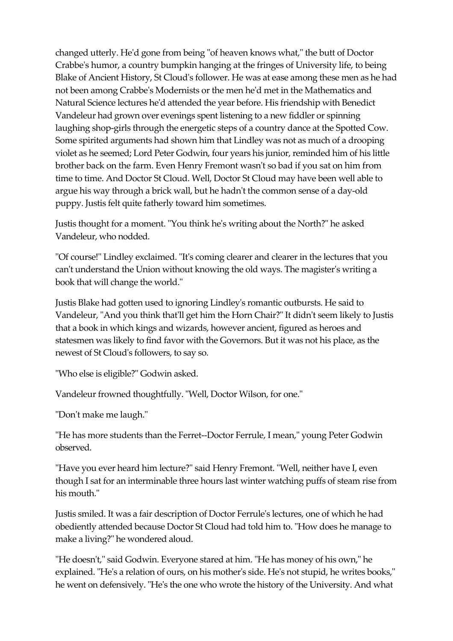changed utterly. He'd gone from being "of heaven knows what," the butt of Doctor Crabbe's humor, a country bumpkin hanging at the fringes of University life, to being Blake of Ancient History, St Cloud's follower. He was at ease among these men as he had not been among Crabbe's Modernists or the men he'd met in the Mathematics and Natural Science lectures he'd attended the year before. His friendship with Benedict Vandeleur had grown over evenings spent listening to a new fiddler or spinning laughing shop-girls through the energetic steps of a country dance at the Spotted Cow. Some spirited arguments had shown him that Lindley was not as much of a drooping violet as he seemed; Lord Peter Godwin, four years his junior, reminded him of his little brother back on the farm. Even Henry Fremont wasn't so bad if you sat on him from time to time. And Doctor St Cloud. Well, Doctor St Cloud may have been well able to argue his way through a brick wall, but he hadn't the common sense of a day-old puppy. Justis felt quite fatherly toward him sometimes.

Justis thought for a moment. "You think he's writing about the North?" he asked Vandeleur, who nodded.

"Of course!" Lindley exclaimed. "It's coming clearer and clearer in the lectures that you can't understand the Union without knowing the old ways. The magister's writing a book that will change the world."

Justis Blake had gotten used to ignoring Lindley's romantic outbursts. He said to Vandeleur, "And you think that'll get him the Horn Chair?" It didn't seem likely to Justis that a book in which kings and wizards, however ancient, figured as heroes and statesmen was likely to find favor with the Governors. But it was not his place, as the newest of St Cloud's followers, to say so.

"Who else is eligible?" Godwin asked.

Vandeleur frowned thoughtfully. "Well, Doctor Wilson, for one."

"Don't make me laugh."

"He has more students than the Ferret--Doctor Ferrule, I mean," young Peter Godwin observed.

"Have you ever heard him lecture?" said Henry Fremont. "Well, neither have I, even though I sat for an interminable three hours last winter watching puffs of steam rise from his mouth."

Justis smiled. It was a fair description of Doctor Ferrule's lectures, one of which he had obediently attended because Doctor St Cloud had told him to. "How does he manage to make a living?" he wondered aloud.

"He doesn't," said Godwin. Everyone stared at him. "He has money of his own," he explained. "He's a relation of ours, on his mother's side. He's not stupid, he writes books," he went on defensively. "He's the one who wrote the history of the University. And what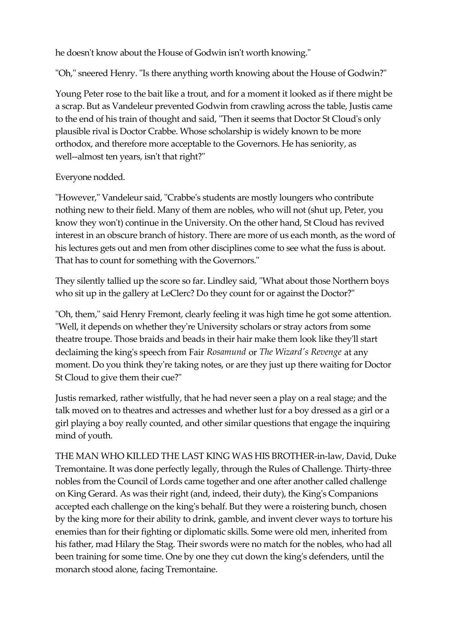he doesn't know about the House of Godwin isn't worth knowing."

"Oh," sneered Henry. "Is there anything worth knowing about the House of Godwin?"

Young Peter rose to the bait like a trout, and for a moment it looked as if there might be a scrap. But as Vandeleur prevented Godwin from crawling across the table, Justis came to the end of his train of thought and said, "Then it seems that Doctor St Cloud's only plausible rival is Doctor Crabbe. Whose scholarship is widely known to be more orthodox, and therefore more acceptable to the Governors. He has seniority, as well--almost ten years, isn't that right?"

## Everyone nodded.

"However," Vandeleur said, "Crabbe's students are mostly loungers who contribute nothing new to their field. Many of them are nobles, who will not (shut up, Peter, you know they won't) continue in the University. On the other hand, St Cloud has revived interest in an obscure branch of history. There are more of us each month, as the word of his lectures gets out and men from other disciplines come to see what the fuss is about. That has to count for something with the Governors."

They silently tallied up the score so far. Lindley said, "What about those Northern boys who sit up in the gallery at LeClerc? Do they count for or against the Doctor?"

"Oh, them," said Henry Fremont, clearly feeling it was high time he got some attention. "Well, it depends on whether they're University scholars or stray actors from some theatre troupe. Those braids and beads in their hair make them look like they'll start declaiming the king's speech from Fair *Rosamund* or *The Wizard's Revenge* at any moment. Do you think they're taking notes, or are they just up there waiting for Doctor St Cloud to give them their cue?"

Justis remarked, rather wistfully, that he had never seen a play on a real stage; and the talk moved on to theatres and actresses and whether lust for a boy dressed as a girl or a girl playing a boy really counted, and other similar questions that engage the inquiring mind of youth.

THE MAN WHO KILLED THE LAST KING WAS HIS BROTHER-in-law, David, Duke Tremontaine. It was done perfectly legally, through the Rules of Challenge. Thirty-three nobles from the Council of Lords came together and one after another called challenge on King Gerard. As was their right (and, indeed, their duty), the King's Companions accepted each challenge on the king's behalf. But they were a roistering bunch, chosen by the king more for their ability to drink, gamble, and invent clever ways to torture his enemies than for their fighting or diplomatic skills. Some were old men, inherited from his father, mad Hilary the Stag. Their swords were no match for the nobles, who had all been training for some time. One by one they cut down the king's defenders, until the monarch stood alone, facing Tremontaine.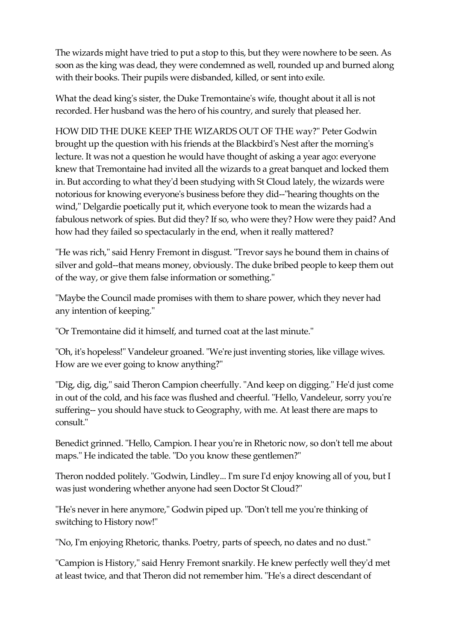The wizards might have tried to put a stop to this, but they were nowhere to be seen. As soon as the king was dead, they were condemned as well, rounded up and burned along with their books. Their pupils were disbanded, killed, or sent into exile.

What the dead king's sister, the Duke Tremontaine's wife, thought about it all is not recorded. Her husband was the hero of his country, and surely that pleased her.

HOW DID THE DUKE KEEP THE WIZARDS OUT OF THE way?" Peter Godwin brought up the question with his friends at the Blackbird's Nest after the morning's lecture. It was not a question he would have thought of asking a year ago: everyone knew that Tremontaine had invited all the wizards to a great banquet and locked them in. But according to what they'd been studying with St Cloud lately, the wizards were notorious for knowing everyone's business before they did--"hearing thoughts on the wind," Delgardie poetically put it, which everyone took to mean the wizards had a fabulous network of spies. But did they? If so, who were they? How were they paid? And how had they failed so spectacularly in the end, when it really mattered?

"He was rich," said Henry Fremont in disgust. "Trevor says he bound them in chains of silver and gold--that means money, obviously. The duke bribed people to keep them out of the way, or give them false information or something."

"Maybe the Council made promises with them to share power, which they never had any intention of keeping."

"Or Tremontaine did it himself, and turned coat at the last minute."

"Oh, it's hopeless!" Vandeleur groaned. "We're just inventing stories, like village wives. How are we ever going to know anything?"

"Dig, dig, dig," said Theron Campion cheerfully. "And keep on digging." He'd just come in out of the cold, and his face was flushed and cheerful. "Hello, Vandeleur, sorry you're suffering-- you should have stuck to Geography, with me. At least there are maps to consult."

Benedict grinned. "Hello, Campion. I hear you're in Rhetoric now, so don't tell me about maps." He indicated the table. "Do you know these gentlemen?"

Theron nodded politely. "Godwin, Lindley... I'm sure I'd enjoy knowing all of you, but I was just wondering whether anyone had seen Doctor St Cloud?"

"He's never in here anymore," Godwin piped up. "Don't tell me you're thinking of switching to History now!"

"No, I'm enjoying Rhetoric, thanks. Poetry, parts of speech, no dates and no dust."

"Campion is History," said Henry Fremont snarkily. He knew perfectly well they'd met at least twice, and that Theron did not remember him. "He's a direct descendant of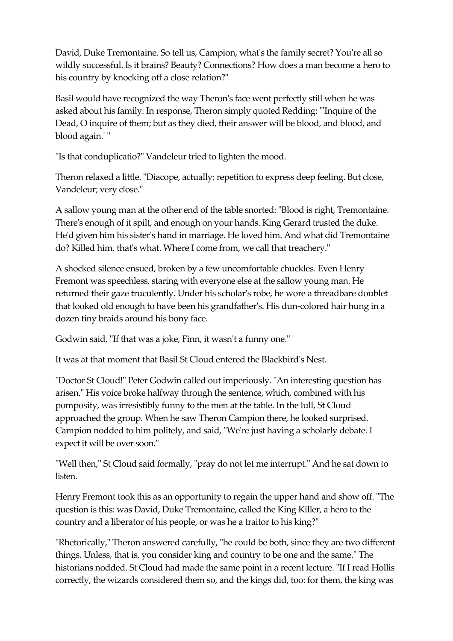David, Duke Tremontaine. So tell us, Campion, what's the family secret? You're all so wildly successful. Is it brains? Beauty? Connections? How does a man become a hero to his country by knocking off a close relation?"

Basil would have recognized the way Theron's face went perfectly still when he was asked about his family. In response, Theron simply quoted Redding: "'Inquire of the Dead, O inquire of them; but as they died, their answer will be blood, and blood, and blood again.' "

"Is that conduplicatio?" Vandeleur tried to lighten the mood.

Theron relaxed a little. "Diacope, actually: repetition to express deep feeling. But close, Vandeleur; very close."

A sallow young man at the other end of the table snorted: "Blood is right, Tremontaine. There's enough of it spilt, and enough on your hands. King Gerard trusted the duke. He'd given him his sister's hand in marriage. He loved him. And what did Tremontaine do? Killed him, that's what. Where I come from, we call that treachery."

A shocked silence ensued, broken by a few uncomfortable chuckles. Even Henry Fremont was speechless, staring with everyone else at the sallow young man. He returned their gaze truculently. Under his scholar's robe, he wore a threadbare doublet that looked old enough to have been his grandfather's. His dun-colored hair hung in a dozen tiny braids around his bony face.

Godwin said, "If that was a joke, Finn, it wasn't a funny one."

It was at that moment that Basil St Cloud entered the Blackbird's Nest.

"Doctor St Cloud!" Peter Godwin called out imperiously. "An interesting question has arisen." His voice broke halfway through the sentence, which, combined with his pomposity, was irresistibly funny to the men at the table. In the lull, St Cloud approached the group. When he saw Theron Campion there, he looked surprised. Campion nodded to him politely, and said, "We're just having a scholarly debate. I expect it will be over soon."

"Well then," St Cloud said formally, "pray do not let me interrupt." And he sat down to listen.

Henry Fremont took this as an opportunity to regain the upper hand and show off. "The question is this: was David, Duke Tremontaine, called the King Killer, a hero to the country and a liberator of his people, or was he a traitor to his king?"

"Rhetorically," Theron answered carefully, "he could be both, since they are two different things. Unless, that is, you consider king and country to be one and the same." The historians nodded. St Cloud had made the same point in a recent lecture. "If I read Hollis correctly, the wizards considered them so, and the kings did, too: for them, the king was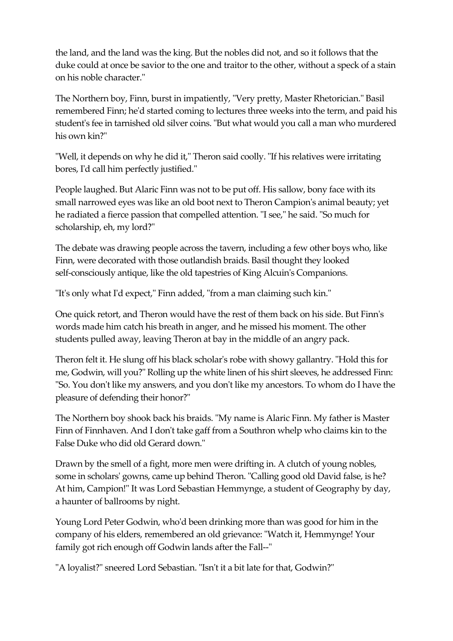the land, and the land was the king. But the nobles did not, and so it follows that the duke could at once be savior to the one and traitor to the other, without a speck of a stain on his noble character."

The Northern boy, Finn, burst in impatiently, "Very pretty, Master Rhetorician." Basil remembered Finn; he'd started coming to lectures three weeks into the term, and paid his student's fee in tarnished old silver coins. "But what would you call a man who murdered his own kin?"

"Well, it depends on why he did it," Theron said coolly. "If his relatives were irritating bores, I'd call him perfectly justified."

People laughed. But Alaric Finn was not to be put off. His sallow, bony face with its small narrowed eyes was like an old boot next to Theron Campion's animal beauty; yet he radiated a fierce passion that compelled attention. "I see," he said. "So much for scholarship, eh, my lord?"

The debate was drawing people across the tavern, including a few other boys who, like Finn, were decorated with those outlandish braids. Basil thought they looked self-consciously antique, like the old tapestries of King Alcuin's Companions.

"It's only what I'd expect," Finn added, "from a man claiming such kin."

One quick retort, and Theron would have the rest of them back on his side. But Finn's words made him catch his breath in anger, and he missed his moment. The other students pulled away, leaving Theron at bay in the middle of an angry pack.

Theron felt it. He slung off his black scholar's robe with showy gallantry. "Hold this for me, Godwin, will you?" Rolling up the white linen of his shirt sleeves, he addressed Finn: "So. You don't like my answers, and you don't like my ancestors. To whom do I have the pleasure of defending their honor?"

The Northern boy shook back his braids. "My name is Alaric Finn. My father is Master Finn of Finnhaven. And I don't take gaff from a Southron whelp who claims kin to the False Duke who did old Gerard down."

Drawn by the smell of a fight, more men were drifting in. A clutch of young nobles, some in scholars' gowns, came up behind Theron. "Calling good old David false, is he? At him, Campion!" It was Lord Sebastian Hemmynge, a student of Geography by day, a haunter of ballrooms by night.

Young Lord Peter Godwin, who'd been drinking more than was good for him in the company of his elders, remembered an old grievance: "Watch it, Hemmynge! Your family got rich enough off Godwin lands after the Fall--"

"A loyalist?" sneered Lord Sebastian. "Isn't it a bit late for that, Godwin?"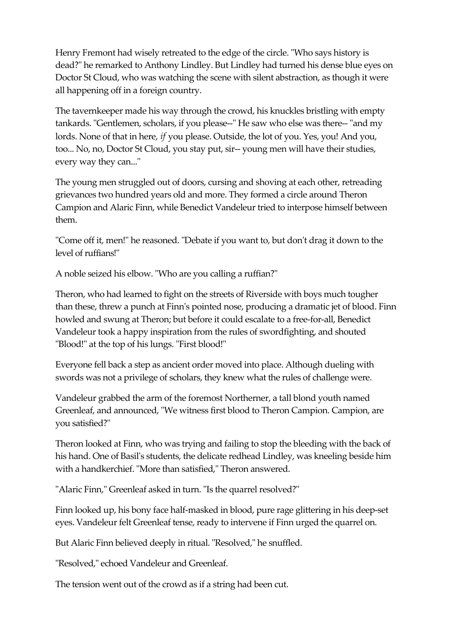Henry Fremont had wisely retreated to the edge of the circle. "Who says history is dead?" he remarked to Anthony Lindley. But Lindley had turned his dense blue eyes on Doctor St Cloud, who was watching the scene with silent abstraction, as though it were all happening off in a foreign country.

The tavernkeeper made his way through the crowd, his knuckles bristling with empty tankards. "Gentlemen, scholars, if you please--" He saw who else was there-- "and my lords. None of that in here, *if* you please. Outside, the lot of you. Yes, you! And you, too... No, no, Doctor St Cloud, you stay put, sir-- young men will have their studies, every way they can..."

The young men struggled out of doors, cursing and shoving at each other, retreading grievances two hundred years old and more. They formed a circle around Theron Campion and Alaric Finn, while Benedict Vandeleur tried to interpose himself between them.

"Come off it, men!" he reasoned. "Debate if you want to, but don't drag it down to the level of ruffians!"

A noble seized his elbow. "Who are you calling a ruffian?"

Theron, who had learned to fight on the streets of Riverside with boys much tougher than these, threw a punch at Finn's pointed nose, producing a dramatic jet of blood. Finn howled and swung at Theron; but before it could escalate to a free-for-all, Benedict Vandeleur took a happy inspiration from the rules of swordfighting, and shouted "Blood!" at the top of his lungs. "First blood!"

Everyone fell back a step as ancient order moved into place. Although dueling with swords was not a privilege of scholars, they knew what the rules of challenge were.

Vandeleur grabbed the arm of the foremost Northerner, a tall blond youth named Greenleaf, and announced, "We witness first blood to Theron Campion. Campion, are you satisfied?"

Theron looked at Finn, who was trying and failing to stop the bleeding with the back of his hand. One of Basil's students, the delicate redhead Lindley, was kneeling beside him with a handkerchief. "More than satisfied," Theron answered.

"Alaric Finn," Greenleaf asked in turn. "Is the quarrel resolved?"

Finn looked up, his bony face half-masked in blood, pure rage glittering in his deep-set eyes. Vandeleur felt Greenleaf tense, ready to intervene if Finn urged the quarrel on.

But Alaric Finn believed deeply in ritual. "Resolved," he snuffled.

"Resolved," echoed Vandeleur and Greenleaf.

The tension went out of the crowd as if a string had been cut.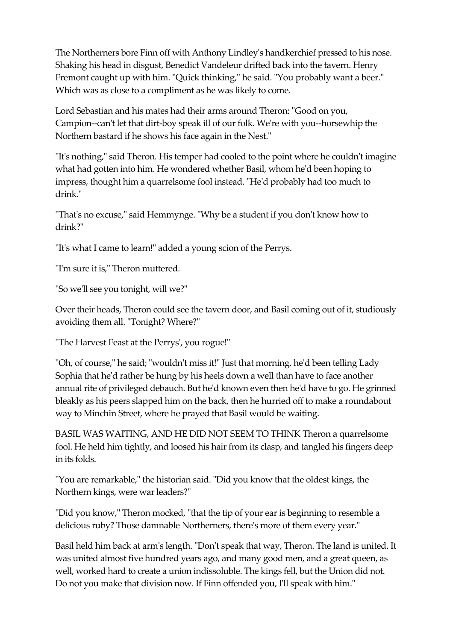The Northerners bore Finn off with Anthony Lindley's handkerchief pressed to his nose. Shaking his head in disgust, Benedict Vandeleur drifted back into the tavern. Henry Fremont caught up with him. "Quick thinking," he said. "You probably want a beer." Which was as close to a compliment as he was likely to come.

Lord Sebastian and his mates had their arms around Theron: "Good on you, Campion--can't let that dirt-boy speak ill of our folk. We're with you--horsewhip the Northern bastard if he shows his face again in the Nest."

"It's nothing," said Theron. His temper had cooled to the point where he couldn't imagine what had gotten into him. He wondered whether Basil, whom he'd been hoping to impress, thought him a quarrelsome fool instead. "He'd probably had too much to drink."

"That's no excuse," said Hemmynge. "Why be a student if you don't know how to drink?"

"It's what I came to learn!" added a young scion of the Perrys.

"I'm sure it is," Theron muttered.

"So we'll see you tonight, will we?"

Over their heads, Theron could see the tavern door, and Basil coming out of it, studiously avoiding them all. "Tonight? Where?"

"The Harvest Feast at the Perrys', you rogue!"

"Oh, of course," he said; "wouldn't miss it!" Just that morning, he'd been telling Lady Sophia that he'd rather be hung by his heels down a well than have to face another annual rite of privileged debauch. But he'd known even then he'd have to go. He grinned bleakly as his peers slapped him on the back, then he hurried off to make a roundabout way to Minchin Street, where he prayed that Basil would be waiting.

BASIL WAS WAITING, AND HE DID NOT SEEM TO THINK Theron a quarrelsome fool. He held him tightly, and loosed his hair from its clasp, and tangled his fingers deep in its folds.

"You are remarkable," the historian said. "Did you know that the oldest kings, the Northern kings, were war leaders?"

"Did you know," Theron mocked, "that the tip of your ear is beginning to resemble a delicious ruby? Those damnable Northerners, there's more of them every year."

Basil held him back at arm's length. "Don't speak that way, Theron. The land is united. It was united almost five hundred years ago, and many good men, and a great queen, as well, worked hard to create a union indissoluble. The kings fell, but the Union did not. Do not you make that division now. If Finn offended you, I'll speak with him."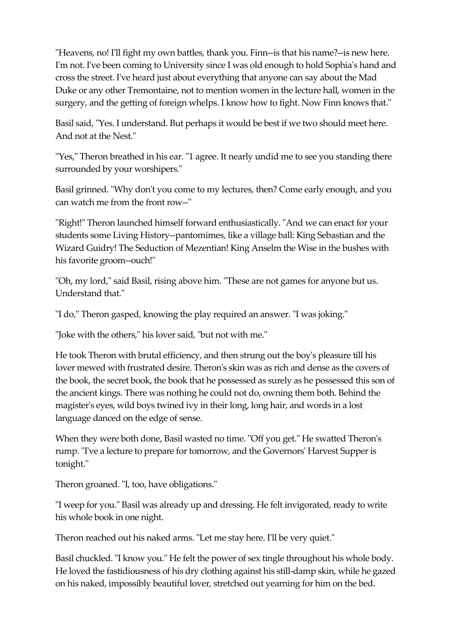"Heavens, no! I'll fight my own battles, thank you. Finn--is that his name?--is new here. I'm not. I've been coming to University since I was old enough to hold Sophia's hand and cross the street. I've heard just about everything that anyone can say about the Mad Duke or any other Tremontaine, not to mention women in the lecture hall, women in the surgery, and the getting of foreign whelps. I know how to fight. Now Finn knows that."

Basil said, "Yes. I understand. But perhaps it would be best if we two should meet here. And not at the Nest."

"Yes," Theron breathed in his ear. "1 agree. It nearly undid me to see you standing there surrounded by your worshipers."

Basil grinned. "Why don't you come to my lectures, then? Come early enough, and you can watch me from the front row--"

"Right!" Theron launched himself forward enthusiastically. "And we can enact for your students some Living History--pantomimes, like a village ball: King Sebastian and the Wizard Guidry! The Seduction of Mezentian! King Anselm the Wise in the bushes with his favorite groom--ouch!"

"Oh, my lord," said Basil, rising above him. "These are not games for anyone but us. Understand that."

"I do," Theron gasped, knowing the play required an answer. "I was joking."

"Joke with the others," his lover said, "but not with me."

He took Theron with brutal efficiency, and then strung out the boy's pleasure till his lover mewed with frustrated desire. Theron's skin was as rich and dense as the covers of the book, the secret book, the book that he possessed as surely as he possessed this son of the ancient kings. There was nothing he could not do, owning them both. Behind the magister's eyes, wild boys twined ivy in their long, long hair, and words in a lost language danced on the edge of sense.

When they were both done, Basil wasted no time. "Off you get." He swatted Theron's rump. "I've a lecture to prepare for tomorrow, and the Governors' Harvest Supper is tonight."

Theron groaned. "I, too, have obligations."

"I weep for you." Basil was already up and dressing. He felt invigorated, ready to write his whole book in one night.

Theron reached out his naked arms. "Let me stay here. I'll be very quiet."

Basil chuckled. "I know you." He felt the power of sex tingle throughout his whole body. He loved the fastidiousness of his dry clothing against his still-damp skin, while he gazed on his naked, impossibly beautiful lover, stretched out yearning for him on the bed.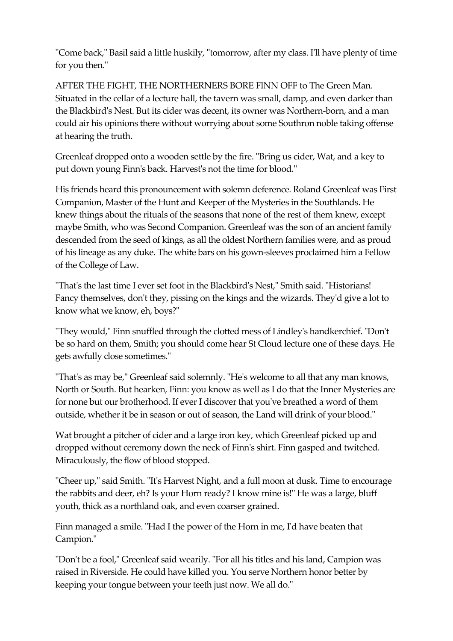"Come back," Basil said a little huskily, "tomorrow, after my class. I'll have plenty of time for you then."

AFTER THE FIGHT, THE NORTHERNERS BORE FlNN OFF to The Green Man. Situated in the cellar of a lecture hall, the tavern was small, damp, and even darker than the Blackbird's Nest. But its cider was decent, its owner was Northern-born, and a man could air his opinions there without worrying about some Southron noble taking offense at hearing the truth.

Greenleaf dropped onto a wooden settle by the fire. "Bring us cider, Wat, and a key to put down young Finn's back. Harvest's not the time for blood."

His friends heard this pronouncement with solemn deference. Roland Greenleaf was First Companion, Master of the Hunt and Keeper of the Mysteries in the Southlands. He knew things about the rituals of the seasons that none of the rest of them knew, except maybe Smith, who was Second Companion. Greenleaf was the son of an ancient family descended from the seed of kings, as all the oldest Northern families were, and as proud of his lineage as any duke. The white bars on his gown-sleeves proclaimed him a Fellow of the College of Law.

"That's the last time I ever set foot in the Blackbird's Nest," Smith said. "Historians! Fancy themselves, don't they, pissing on the kings and the wizards. They'd give a lot to know what we know, eh, boys?"

"They would," Finn snuffled through the clotted mess of Lindley's handkerchief. "Don't be so hard on them, Smith; you should come hear St Cloud lecture one of these days. He gets awfully close sometimes."

"That's as may be," Greenleaf said solemnly. "He's welcome to all that any man knows, North or South. But hearken, Finn: you know as well as I do that the Inner Mysteries are for none but our brotherhood. If ever I discover that you've breathed a word of them outside, whether it be in season or out of season, the Land will drink of your blood."

Wat brought a pitcher of cider and a large iron key, which Greenleaf picked up and dropped without ceremony down the neck of Finn's shirt. Finn gasped and twitched. Miraculously, the flow of blood stopped.

"Cheer up," said Smith. "It's Harvest Night, and a full moon at dusk. Time to encourage the rabbits and deer, eh? Is your Horn ready? I know mine is!" He was a large, bluff youth, thick as a northland oak, and even coarser grained.

Finn managed a smile. "Had I the power of the Horn in me, I'd have beaten that Campion."

"Don't be a fool," Greenleaf said wearily. "For all his titles and his land, Campion was raised in Riverside. He could have killed you. You serve Northern honor better by keeping your tongue between your teeth just now. We all do."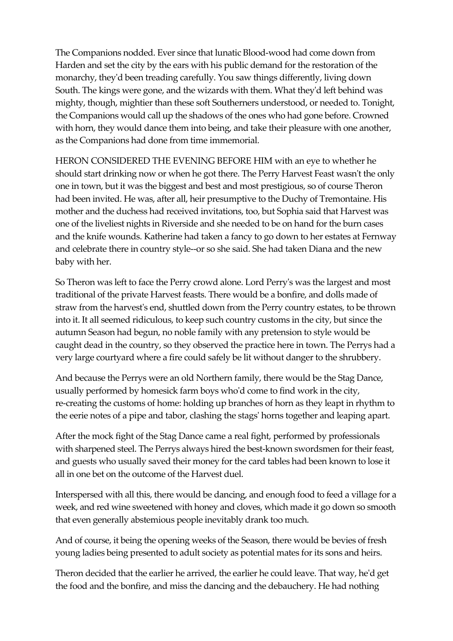The Companions nodded. Ever since that lunatic Blood-wood had come down from Harden and set the city by the ears with his public demand for the restoration of the monarchy, they'd been treading carefully. You saw things differently, living down South. The kings were gone, and the wizards with them. What they'd left behind was mighty, though, mightier than these soft Southerners understood, or needed to. Tonight, the Companions would call up the shadows of the ones who had gone before. Crowned with horn, they would dance them into being, and take their pleasure with one another, as the Companions had done from time immemorial.

HERON CONSIDERED THE EVENING BEFORE HIM with an eye to whether he should start drinking now or when he got there. The Perry Harvest Feast wasn't the only one in town, but it was the biggest and best and most prestigious, so of course Theron had been invited. He was, after all, heir presumptive to the Duchy of Tremontaine. His mother and the duchess had received invitations, too, but Sophia said that Harvest was one of the liveliest nights in Riverside and she needed to be on hand for the burn cases and the knife wounds. Katherine had taken a fancy to go down to her estates at Fernway and celebrate there in country style--or so she said. She had taken Diana and the new baby with her.

So Theron was left to face the Perry crowd alone. Lord Perry's was the largest and most traditional of the private Harvest feasts. There would be a bonfire, and dolls made of straw from the harvest's end, shuttled down from the Perry country estates, to be thrown into it. It all seemed ridiculous, to keep such country customs in the city, but since the autumn Season had begun, no noble family with any pretension to style would be caught dead in the country, so they observed the practice here in town. The Perrys had a very large courtyard where a fire could safely be lit without danger to the shrubbery.

And because the Perrys were an old Northern family, there would be the Stag Dance, usually performed by homesick farm boys who'd come to find work in the city, re-creating the customs of home: holding up branches of horn as they leapt in rhythm to the eerie notes of a pipe and tabor, clashing the stags' horns together and leaping apart.

After the mock fight of the Stag Dance came a real fight, performed by professionals with sharpened steel. The Perrys always hired the best-known swordsmen for their feast, and guests who usually saved their money for the card tables had been known to lose it all in one bet on the outcome of the Harvest duel.

Interspersed with all this, there would be dancing, and enough food to feed a village for a week, and red wine sweetened with honey and cloves, which made it go down so smooth that even generally abstemious people inevitably drank too much.

And of course, it being the opening weeks of the Season, there would be bevies of fresh young ladies being presented to adult society as potential mates for its sons and heirs.

Theron decided that the earlier he arrived, the earlier he could leave. That way, he'd get the food and the bonfire, and miss the dancing and the debauchery. He had nothing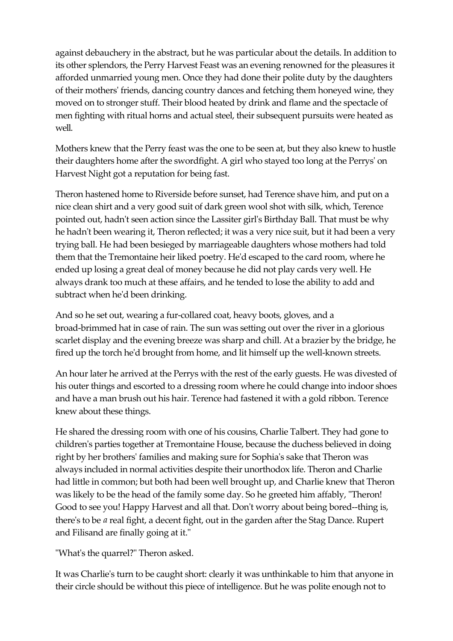against debauchery in the abstract, but he was particular about the details. In addition to its other splendors, the Perry Harvest Feast was an evening renowned for the pleasures it afforded unmarried young men. Once they had done their polite duty by the daughters of their mothers' friends, dancing country dances and fetching them honeyed wine, they moved on to stronger stuff. Their blood heated by drink and flame and the spectacle of men fighting with ritual horns and actual steel, their subsequent pursuits were heated as well.

Mothers knew that the Perry feast was the one to be seen at, but they also knew to hustle their daughters home after the swordfight. A girl who stayed too long at the Perrys' on Harvest Night got a reputation for being fast.

Theron hastened home to Riverside before sunset, had Terence shave him, and put on a nice clean shirt and a very good suit of dark green wool shot with silk, which, Terence pointed out, hadn't seen action since the Lassiter girl's Birthday Ball. That must be why he hadn't been wearing it, Theron reflected; it was a very nice suit, but it had been a very trying ball. He had been besieged by marriageable daughters whose mothers had told them that the Tremontaine heir liked poetry. He'd escaped to the card room, where he ended up losing a great deal of money because he did not play cards very well. He always drank too much at these affairs, and he tended to lose the ability to add and subtract when he'd been drinking.

And so he set out, wearing a fur-collared coat, heavy boots, gloves, and a broad-brimmed hat in case of rain. The sun was setting out over the river in a glorious scarlet display and the evening breeze was sharp and chill. At a brazier by the bridge, he fired up the torch he'd brought from home, and lit himself up the well-known streets.

An hour later he arrived at the Perrys with the rest of the early guests. He was divested of his outer things and escorted to a dressing room where he could change into indoor shoes and have a man brush out his hair. Terence had fastened it with a gold ribbon. Terence knew about these things.

He shared the dressing room with one of his cousins, Charlie Talbert. They had gone to children's parties together at Tremontaine House, because the duchess believed in doing right by her brothers' families and making sure for Sophia's sake that Theron was always included in normal activities despite their unorthodox life. Theron and Charlie had little in common; but both had been well brought up, and Charlie knew that Theron was likely to be the head of the family some day. So he greeted him affably, "Theron! Good to see you! Happy Harvest and all that. Don't worry about being bored--thing is, there's to be *a* real fight, a decent fight, out in the garden after the Stag Dance. Rupert and Filisand are finally going at it."

"What's the quarrel?" Theron asked.

It was Charlie's turn to be caught short: clearly it was unthinkable to him that anyone in their circle should be without this piece of intelligence. But he was polite enough not to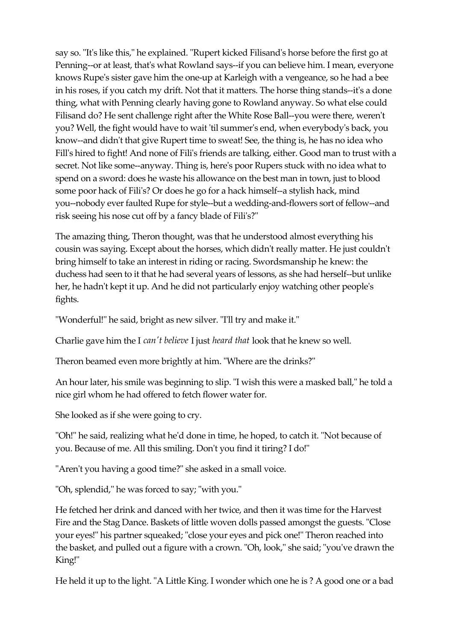say so. "It's like this," he explained. "Rupert kicked Filisand's horse before the first go at Penning--or at least, that's what Rowland says--if you can believe him. I mean, everyone knows Rupe's sister gave him the one-up at Karleigh with a vengeance, so he had a bee in his roses, if you catch my drift. Not that it matters. The horse thing stands--it's a done thing, what with Penning clearly having gone to Rowland anyway. So what else could Filisand do? He sent challenge right after the White Rose Ball--you were there, weren't you? Well, the fight would have to wait 'til summer's end, when everybody's back, you know--and didn't that give Rupert time to sweat! See, the thing is, he has no idea who Fill's hired to fight! And none of Fili's friends are talking, either. Good man to trust with a secret. Not like some--anyway. Thing is, here's poor Rupers stuck with no idea what to spend on a sword: does he waste his allowance on the best man in town, just to blood some poor hack of Fili's? Or does he go for a hack himself--a stylish hack, mind you--nobody ever faulted Rupe for style--but a wedding-and-flowers sort of fellow--and risk seeing his nose cut off by a fancy blade of Fili's?"

The amazing thing, Theron thought, was that he understood almost everything his cousin was saying. Except about the horses, which didn't really matter. He just couldn't bring himself to take an interest in riding or racing. Swordsmanship he knew: the duchess had seen to it that he had several years of lessons, as she had herself--but unlike her, he hadn't kept it up. And he did not particularly enjoy watching other people's fights.

"Wonderful!" he said, bright as new silver. "I'll try and make it."

Charlie gave him the I *can't believe* I just *heard that* look that he knew so well.

Theron beamed even more brightly at him. "Where are the drinks?"

An hour later, his smile was beginning to slip. "I wish this were a masked ball," he told a nice girl whom he had offered to fetch flower water for.

She looked as if she were going to cry.

"Oh!" he said, realizing what he'd done in time, he hoped, to catch it. "Not because of you. Because of me. All this smiling. Don't you find it tiring? I do!"

"Aren't you having a good time?" she asked in a small voice.

"Oh, splendid," he was forced to say; "with you."

He fetched her drink and danced with her twice, and then it was time for the Harvest Fire and the Stag Dance. Baskets of little woven dolls passed amongst the guests. "Close your eyes!" his partner squeaked; "close your eyes and pick one!" Theron reached into the basket, and pulled out a figure with a crown. "Oh, look," she said; "you've drawn the King!"

He held it up to the light. "A Little King. I wonder which one he is ? A good one or a bad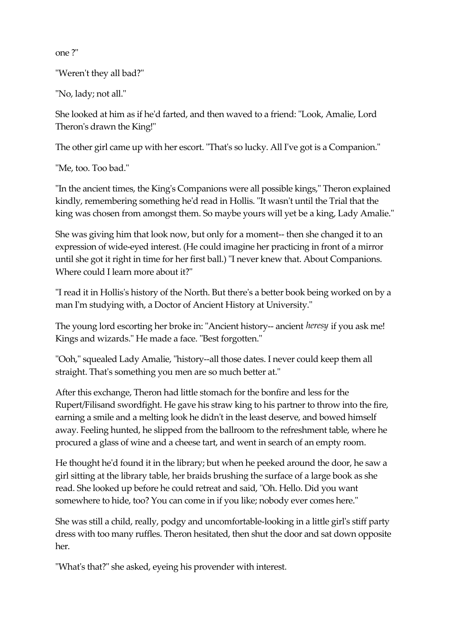one ?"

"Weren't they all bad?"

"No, lady; not all."

She looked at him as if he'd farted, and then waved to a friend: "Look, Amalie, Lord Theron's drawn the King!"

The other girl came up with her escort. "That's so lucky. All I've got is a Companion."

"Me, too. Too bad."

"In the ancient times, the King's Companions were all possible kings," Theron explained kindly, remembering something he'd read in Hollis. "It wasn't until the Trial that the king was chosen from amongst them. So maybe yours will yet be a king, Lady Amalie."

She was giving him that look now, but only for a moment-- then she changed it to an expression of wide-eyed interest. (He could imagine her practicing in front of a mirror until she got it right in time for her first ball.) "I never knew that. About Companions. Where could I learn more about it?"

"I read it in Hollis's history of the North. But there's a better book being worked on by a man I'm studying with, a Doctor of Ancient History at University."

The young lord escorting her broke in: "Ancient history-- ancient *heresy* if you ask me! Kings and wizards." He made a face. "Best forgotten."

"Ooh," squealed Lady Amalie, "history--all those dates. I never could keep them all straight. That's something you men are so much better at."

After this exchange, Theron had little stomach for the bonfire and less for the Rupert/Filisand swordfight. He gave his straw king to his partner to throw into the fire, earning a smile and a melting look he didn't in the least deserve, and bowed himself away. Feeling hunted, he slipped from the ballroom to the refreshment table, where he procured a glass of wine and a cheese tart, and went in search of an empty room.

He thought he'd found it in the library; but when he peeked around the door, he saw a girl sitting at the library table, her braids brushing the surface of a large book as she read. She looked up before he could retreat and said, "Oh. Hello. Did you want somewhere to hide, too? You can come in if you like; nobody ever comes here."

She was still a child, really, podgy and uncomfortable-looking in a little girl's stiff party dress with too many ruffles. Theron hesitated, then shut the door and sat down opposite her.

"What's that?" she asked, eyeing his provender with interest.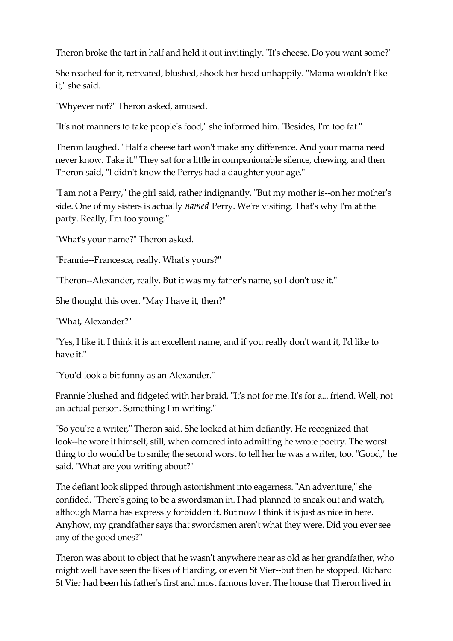Theron broke the tart in half and held it out invitingly. "It's cheese. Do you want some?"

She reached for it, retreated, blushed, shook her head unhappily. "Mama wouldn't like it," she said.

"Whyever not?" Theron asked, amused.

"It's not manners to take people's food," she informed him. "Besides, I'm too fat."

Theron laughed. "Half a cheese tart won't make any difference. And your mama need never know. Take it." They sat for a little in companionable silence, chewing, and then Theron said, "I didn't know the Perrys had a daughter your age."

"I am not a Perry," the girl said, rather indignantly. "But my mother is--on her mother's side. One of my sisters is actually *named* Perry. We're visiting. That's why I'm at the party. Really, I'm too young."

"What's your name?" Theron asked.

"Frannie--Francesca, really. What's yours?"

"Theron--Alexander, really. But it was my father's name, so I don't use it."

She thought this over. "May I have it, then?"

"What, Alexander?"

"Yes, I like it. I think it is an excellent name, and if you really don't want it, I'd like to have it."

"You'd look a bit funny as an Alexander."

Frannie blushed and fidgeted with her braid. "It's not for me. It's for a... friend. Well, not an actual person. Something I'm writing."

"So you're a writer," Theron said. She looked at him defiantly. He recognized that look--he wore it himself, still, when cornered into admitting he wrote poetry. The worst thing to do would be to smile; the second worst to tell her he was a writer, too. "Good," he said. "What are you writing about?"

The defiant look slipped through astonishment into eagerness. "An adventure," she confided. "There's going to be a swordsman in. I had planned to sneak out and watch, although Mama has expressly forbidden it. But now I think it is just as nice in here. Anyhow, my grandfather says that swordsmen aren't what they were. Did you ever see any of the good ones?"

Theron was about to object that he wasn't anywhere near as old as her grandfather, who might well have seen the likes of Harding, or even St Vier--but then he stopped. Richard St Vier had been his father's first and most famous lover. The house that Theron lived in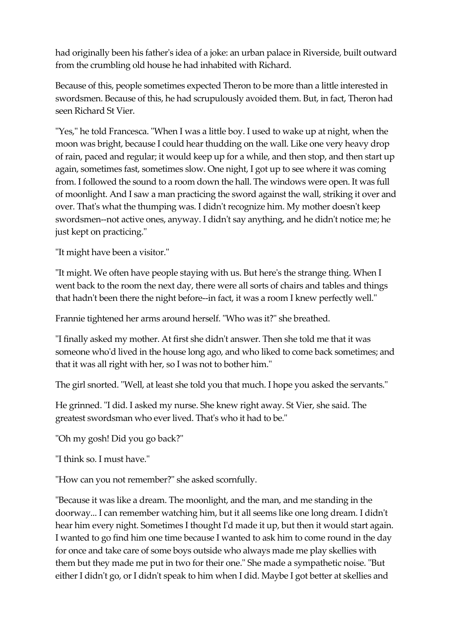had originally been his father's idea of a joke: an urban palace in Riverside, built outward from the crumbling old house he had inhabited with Richard.

Because of this, people sometimes expected Theron to be more than a little interested in swordsmen. Because of this, he had scrupulously avoided them. But, in fact, Theron had seen Richard St Vier.

"Yes," he told Francesca. "When I was a little boy. I used to wake up at night, when the moon was bright, because I could hear thudding on the wall. Like one very heavy drop of rain, paced and regular; it would keep up for a while, and then stop, and then start up again, sometimes fast, sometimes slow. One night, I got up to see where it was coming from. I followed the sound to a room down the hall. The windows were open. It was full of moonlight. And I saw a man practicing the sword against the wall, striking it over and over. That's what the thumping was. I didn't recognize him. My mother doesn't keep swordsmen--not active ones, anyway. I didn't say anything, and he didn't notice me; he just kept on practicing."

"It might have been a visitor."

"It might. We often have people staying with us. But here's the strange thing. When I went back to the room the next day, there were all sorts of chairs and tables and things that hadn't been there the night before--in fact, it was a room I knew perfectly well."

Frannie tightened her arms around herself. "Who was it?" she breathed.

"I finally asked my mother. At first she didn't answer. Then she told me that it was someone who'd lived in the house long ago, and who liked to come back sometimes; and that it was all right with her, so I was not to bother him."

The girl snorted. "Well, at least she told you that much. I hope you asked the servants."

He grinned. "I did. I asked my nurse. She knew right away. St Vier, she said. The greatest swordsman who ever lived. That's who it had to be."

"Oh my gosh! Did you go back?"

"I think so. I must have."

"How can you not remember?" she asked scornfully.

"Because it was like a dream. The moonlight, and the man, and me standing in the doorway... I can remember watching him, but it all seems like one long dream. I didn't hear him every night. Sometimes I thought I'd made it up, but then it would start again. I wanted to go find him one time because I wanted to ask him to come round in the day for once and take care of some boys outside who always made me play skellies with them but they made me put in two for their one." She made a sympathetic noise. "But either I didn't go, or I didn't speak to him when I did. Maybe I got better at skellies and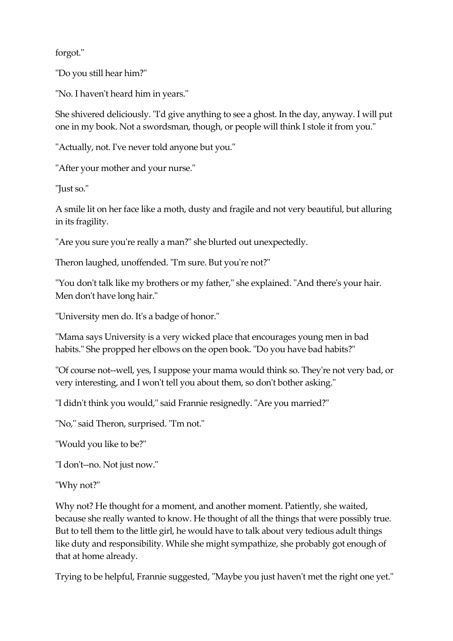forgot."

"Do you still hear him?"

"No. I haven't heard him in years."

She shivered deliciously. "I'd give anything to see a ghost. In the day, anyway. I will put one in my book. Not a swordsman, though, or people will think I stole it from you."

"Actually, not. I've never told anyone but you."

"After your mother and your nurse."

"Just so."

A smile lit on her face like a moth, dusty and fragile and not very beautiful, but alluring in its fragility.

"Are you sure you're really a man?" she blurted out unexpectedly.

Theron laughed, unoffended. "I'm sure. But you're not?"

"You don't talk like my brothers or my father," she explained. "And there's your hair. Men don't have long hair."

"University men do. It's a badge of honor."

"Mama says University is a very wicked place that encourages young men in bad habits." She propped her elbows on the open book. "Do you have bad habits?"

"Of course not--well, yes, I suppose your mama would think so. They're not very bad, or very interesting, and I won't tell you about them, so don't bother asking."

"I didn't think you would," said Frannie resignedly. "Are you married?"

"No," said Theron, surprised. "I'm not."

"Would you like to be?"

"I don't--no. Not just now."

"Why not?"

Why not? He thought for a moment, and another moment. Patiently, she waited, because she really wanted to know. He thought of all the things that were possibly true. But to tell them to the little girl, he would have to talk about very tedious adult things like duty and responsibility. While she might sympathize, she probably got enough of that at home already.

Trying to be helpful, Frannie suggested, "Maybe you just haven't met the right one yet."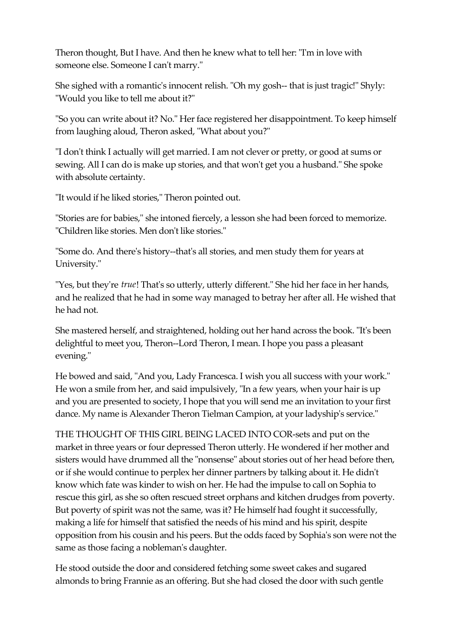Theron thought, But I have. And then he knew what to tell her: "I'm in love with someone else. Someone I can't marry."

She sighed with a romantic's innocent relish. "Oh my gosh-- that is just tragic!" Shyly: "Would you like to tell me about it?"

"So you can write about it? No." Her face registered her disappointment. To keep himself from laughing aloud, Theron asked, "What about you?"

"I don't think I actually will get married. I am not clever or pretty, or good at sums or sewing. All I can do is make up stories, and that won't get you a husband." She spoke with absolute certainty.

"It would if he liked stories," Theron pointed out.

"Stories are for babies," she intoned fiercely, a lesson she had been forced to memorize. "Children like stories. Men don't like stories."

"Some do. And there's history--that's all stories, and men study them for years at University."

"Yes, but they're *true*! That's so utterly, utterly different." She hid her face in her hands, and he realized that he had in some way managed to betray her after all. He wished that he had not.

She mastered herself, and straightened, holding out her hand across the book. "It's been delightful to meet you, Theron--Lord Theron, I mean. I hope you pass a pleasant evening."

He bowed and said, "And you, Lady Francesca. I wish you all success with your work." He won a smile from her, and said impulsively, "In a few years, when your hair is up and you are presented to society, I hope that you will send me an invitation to your first dance. My name is Alexander Theron Tielman Campion, at your ladyship's service."

THE THOUGHT OF THIS GIRL BEING LACED INTO COR-sets and put on the market in three years or four depressed Theron utterly. He wondered if her mother and sisters would have drummed all the "nonsense" about stories out of her head before then, or if she would continue to perplex her dinner partners by talking about it. He didn't know which fate was kinder to wish on her. He had the impulse to call on Sophia to rescue this girl, as she so often rescued street orphans and kitchen drudges from poverty. But poverty of spirit was not the same, was it? He himself had fought it successfully, making a life for himself that satisfied the needs of his mind and his spirit, despite opposition from his cousin and his peers. But the odds faced by Sophia's son were not the same as those facing a nobleman's daughter.

He stood outside the door and considered fetching some sweet cakes and sugared almonds to bring Frannie as an offering. But she had closed the door with such gentle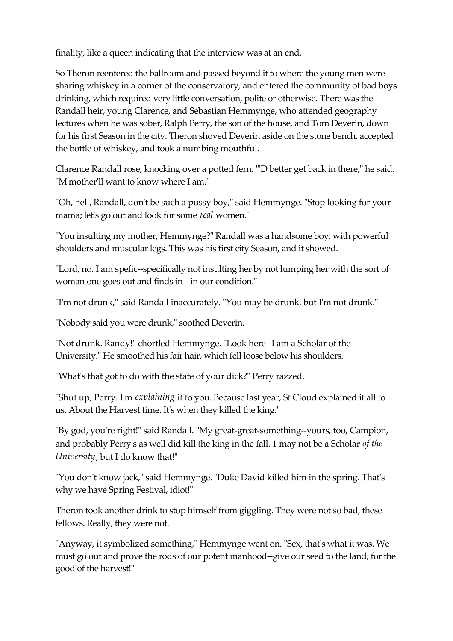finality, like a queen indicating that the interview was at an end.

So Theron reentered the ballroom and passed beyond it to where the young men were sharing whiskey in a corner of the conservatory, and entered the community of bad boys drinking, which required very little conversation, polite or otherwise. There was the Randall heir, young Clarence, and Sebastian Hemmynge, who attended geography lectures when he was sober, Ralph Perry, the son of the house, and Tom Deverin, down for his first Season in the city. Theron shoved Deverin aside on the stone bench, accepted the bottle of whiskey, and took a numbing mouthful.

Clarence Randall rose, knocking over a potted fern. "'D better get back in there," he said. "M'mother'll want to know where I am."

"Oh, hell, Randall, don't be such a pussy boy," said Hemmynge. "Stop looking for your mama; let's go out and look for some *real* women."

"You insulting my mother, Hemmynge?" Randall was a handsome boy, with powerful shoulders and muscular legs. This was his first city Season, and it showed.

"Lord, no. I am spefic--specifically not insulting her by not lumping her with the sort of woman one goes out and finds in-- in our condition."

"I'm not drunk," said Randall inaccurately. "You may be drunk, but I'm not drunk."

"Nobody said you were drunk," soothed Deverin.

"Not drunk. Randy!" chortled Hemmynge. "Look here--I am a Scholar of the University." He smoothed his fair hair, which fell loose below his shoulders.

"What's that got to do with the state of your dick?" Perry razzed.

"Shut up, Perry. I'm *explaining* it to you. Because last year, St Cloud explained it all to us. About the Harvest time. It's when they killed the king."

"By god, you're right!" said Randall. "My great-great-something--yours, too, Campion, and probably Perry's as well did kill the king in the fall. 1 may not be a Scholar *of the University*, but I do know that!"

"You don't know jack," said Hemmynge. "Duke David killed him in the spring. That's why we have Spring Festival, idiot!"

Theron took another drink to stop himself from giggling. They were not so bad, these fellows. Really, they were not.

"Anyway, it symbolized something," Hemmynge went on. "Sex, that's what it was. We must go out and prove the rods of our potent manhood--give our seed to the land, for the good of the harvest!"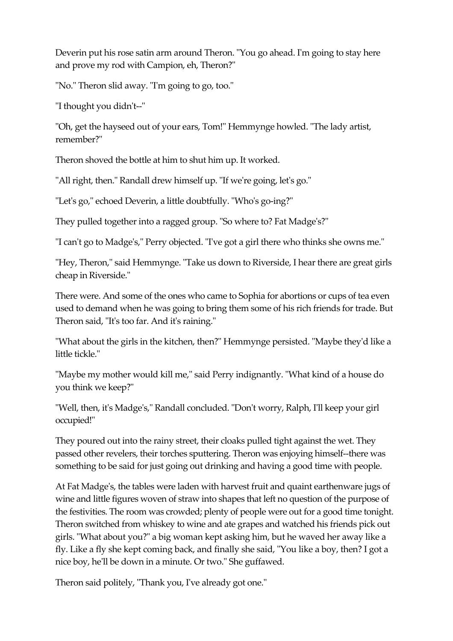Deverin put his rose satin arm around Theron. "You go ahead. I'm going to stay here and prove my rod with Campion, eh, Theron?"

"No." Theron slid away. "I'm going to go, too."

"I thought you didn't--"

"Oh, get the hayseed out of your ears, Tom!" Hemmynge howled. "The lady artist, remember?"

Theron shoved the bottle at him to shut him up. It worked.

"All right, then." Randall drew himself up. "If we're going, let's go."

"Let's go," echoed Deverin, a little doubtfully. "Who's go-ing?"

They pulled together into a ragged group. "So where to? Fat Madge's?"

"I can't go to Madge's," Perry objected. "I've got a girl there who thinks she owns me."

"Hey, Theron," said Hemmynge. "Take us down to Riverside, I hear there are great girls cheap in Riverside."

There were. And some of the ones who came to Sophia for abortions or cups of tea even used to demand when he was going to bring them some of his rich friends for trade. But Theron said, "It's too far. And it's raining."

"What about the girls in the kitchen, then?" Hemmynge persisted. "Maybe they'd like a little tickle."

"Maybe my mother would kill me," said Perry indignantly. "What kind of a house do you think we keep?"

"Well, then, it's Madge's," Randall concluded. "Don't worry, Ralph, I'll keep your girl occupied!"

They poured out into the rainy street, their cloaks pulled tight against the wet. They passed other revelers, their torches sputtering. Theron was enjoying himself--there was something to be said for just going out drinking and having a good time with people.

At Fat Madge's, the tables were laden with harvest fruit and quaint earthenware jugs of wine and little figures woven of straw into shapes that left no question of the purpose of the festivities. The room was crowded; plenty of people were out for a good time tonight. Theron switched from whiskey to wine and ate grapes and watched his friends pick out girls. "What about you?" a big woman kept asking him, but he waved her away like a fly. Like a fly she kept coming back, and finally she said, "You like a boy, then? I got a nice boy, he'll be down in a minute. Or two." She guffawed.

Theron said politely, "Thank you, I've already got one."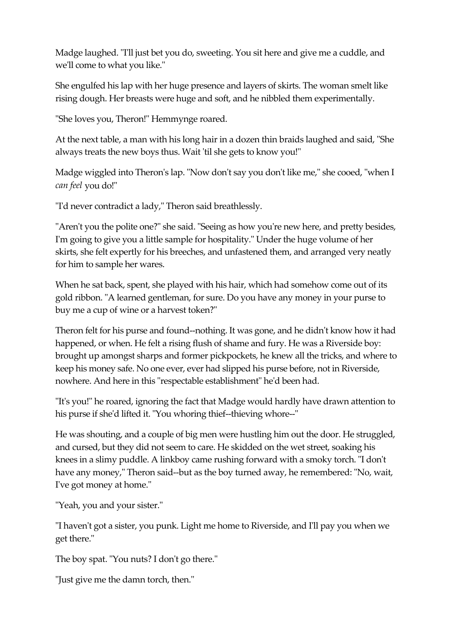Madge laughed. "I'll just bet you do, sweeting. You sit here and give me a cuddle, and we'll come to what you like."

She engulfed his lap with her huge presence and layers of skirts. The woman smelt like rising dough. Her breasts were huge and soft, and he nibbled them experimentally.

"She loves you, Theron!" Hemmynge roared.

At the next table, a man with his long hair in a dozen thin braids laughed and said, "She always treats the new boys thus. Wait 'til she gets to know you!"

Madge wiggled into Theron's lap. "Now don't say you don't like me," she cooed, "when I *can feel* you do!"

"I'd never contradict a lady," Theron said breathlessly.

"Aren't you the polite one?" she said. "Seeing as how you're new here, and pretty besides, I'm going to give you a little sample for hospitality." Under the huge volume of her skirts, she felt expertly for his breeches, and unfastened them, and arranged very neatly for him to sample her wares.

When he sat back, spent, she played with his hair, which had somehow come out of its gold ribbon. "A learned gentleman, for sure. Do you have any money in your purse to buy me a cup of wine or a harvest token?"

Theron felt for his purse and found--nothing. It was gone, and he didn't know how it had happened, or when. He felt a rising flush of shame and fury. He was a Riverside boy: brought up amongst sharps and former pickpockets, he knew all the tricks, and where to keep his money safe. No one ever, ever had slipped his purse before, not in Riverside, nowhere. And here in this "respectable establishment" he'd been had.

"It's you!" he roared, ignoring the fact that Madge would hardly have drawn attention to his purse if she'd lifted it. "You whoring thief--thieving whore--"

He was shouting, and a couple of big men were hustling him out the door. He struggled, and cursed, but they did not seem to care. He skidded on the wet street, soaking his knees in a slimy puddle. A linkboy came rushing forward with a smoky torch. "I don't have any money," Theron said--but as the boy turned away, he remembered: "No, wait, I've got money at home."

"Yeah, you and your sister."

"I haven't got a sister, you punk. Light me home to Riverside, and I'll pay you when we get there."

The boy spat. "You nuts? I don't go there."

"Just give me the damn torch, then."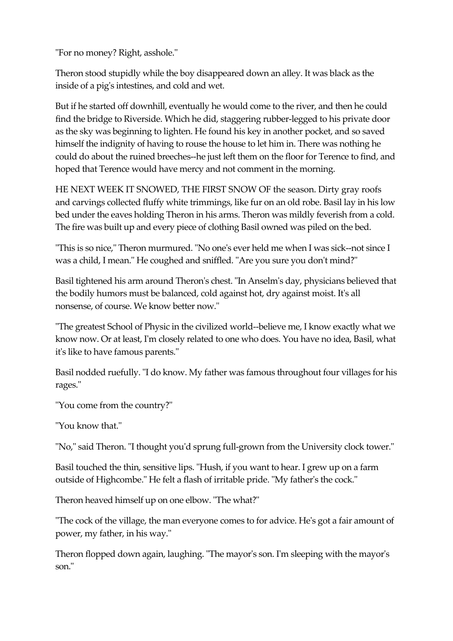"For no money? Right, asshole."

Theron stood stupidly while the boy disappeared down an alley. It was black as the inside of a pig's intestines, and cold and wet.

But if he started off downhill, eventually he would come to the river, and then he could find the bridge to Riverside. Which he did, staggering rubber-legged to his private door as the sky was beginning to lighten. He found his key in another pocket, and so saved himself the indignity of having to rouse the house to let him in. There was nothing he could do about the ruined breeches--he just left them on the floor for Terence to find, and hoped that Terence would have mercy and not comment in the morning.

HE NEXT WEEK IT SNOWED, THE FIRST SNOW OF the season. Dirty gray roofs and carvings collected fluffy white trimmings, like fur on an old robe. Basil lay in his low bed under the eaves holding Theron in his arms. Theron was mildly feverish from a cold. The fire was built up and every piece of clothing Basil owned was piled on the bed.

"This is so nice," Theron murmured. "No one's ever held me when I was sick--not since I was a child, I mean." He coughed and sniffled. "Are you sure you don't mind?"

Basil tightened his arm around Theron's chest. "In Anselm's day, physicians believed that the bodily humors must be balanced, cold against hot, dry against moist. It's all nonsense, of course. We know better now."

"The greatest School of Physic in the civilized world--believe me, I know exactly what we know now. Or at least, I'm closely related to one who does. You have no idea, Basil, what it's like to have famous parents."

Basil nodded ruefully. "I do know. My father was famous throughout four villages for his rages."

"You come from the country?"

"You know that."

"No," said Theron. "I thought you'd sprung full-grown from the University clock tower."

Basil touched the thin, sensitive lips. "Hush, if you want to hear. I grew up on a farm outside of Highcombe." He felt a flash of irritable pride. "My father's the cock."

Theron heaved himself up on one elbow. "The what?"

"The cock of the village, the man everyone comes to for advice. He's got a fair amount of power, my father, in his way."

Theron flopped down again, laughing. "The mayor's son. I'm sleeping with the mayor's son."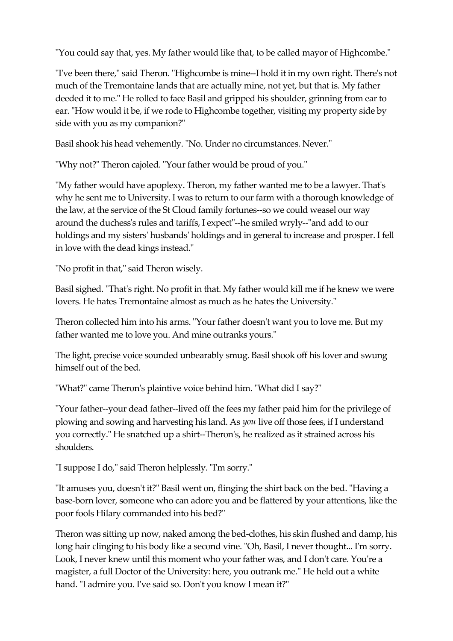"You could say that, yes. My father would like that, to be called mayor of Highcombe."

"I've been there," said Theron. "Highcombe is mine--I hold it in my own right. There's not much of the Tremontaine lands that are actually mine, not yet, but that is. My father deeded it to me." He rolled to face Basil and gripped his shoulder, grinning from ear to ear. "How would it be, if we rode to Highcombe together, visiting my property side by side with you as my companion?"

Basil shook his head vehemently. "No. Under no circumstances. Never."

"Why not?" Theron cajoled. "Your father would be proud of you."

"My father would have apoplexy. Theron, my father wanted me to be a lawyer. That's why he sent me to University. I was to return to our farm with a thorough knowledge of the law, at the service of the St Cloud family fortunes--so we could weasel our way around the duchess's rules and tariffs, I expect"--he smiled wryly--"and add to our holdings and my sisters' husbands' holdings and in general to increase and prosper. I fell in love with the dead kings instead."

"No profit in that," said Theron wisely.

Basil sighed. "That's right. No profit in that. My father would kill me if he knew we were lovers. He hates Tremontaine almost as much as he hates the University."

Theron collected him into his arms. "Your father doesn't want you to love me. But my father wanted me to love you. And mine outranks yours."

The light, precise voice sounded unbearably smug. Basil shook off his lover and swung himself out of the bed.

"What?" came Theron's plaintive voice behind him. "What did I say?"

"Your father--your dead father--lived off the fees my father paid him for the privilege of plowing and sowing and harvesting his land. As *you* live off those fees, if I understand you correctly." He snatched up a shirt--Theron's, he realized as it strained across his shoulders.

"I suppose I do," said Theron helplessly. "I'm sorry."

"It amuses you, doesn't it?" Basil went on, flinging the shirt back on the bed. "Having a base-born lover, someone who can adore you and be flattered by your attentions, like the poor fools Hilary commanded into his bed?"

Theron was sitting up now, naked among the bed-clothes, his skin flushed and damp, his long hair clinging to his body like a second vine. "Oh, Basil, I never thought... I'm sorry. Look, I never knew until this moment who your father was, and I don't care. You're a magister, a full Doctor of the University: here, you outrank me." He held out a white hand. "I admire you. I've said so. Don't you know I mean it?"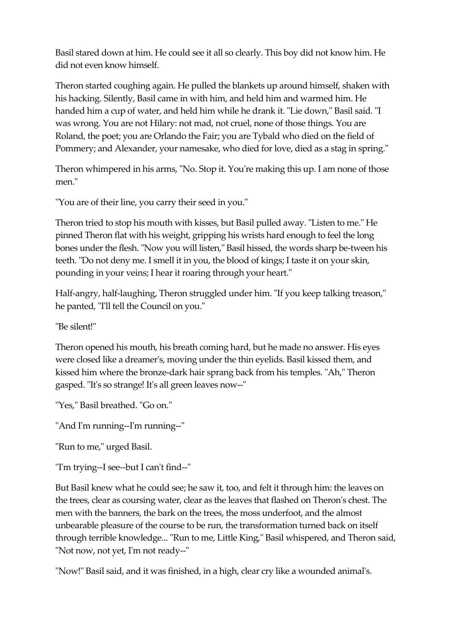Basil stared down at him. He could see it all so clearly. This boy did not know him. He did not even know himself.

Theron started coughing again. He pulled the blankets up around himself, shaken with his hacking. Silently, Basil came in with him, and held him and warmed him. He handed him a cup of water, and held him while he drank it. "Lie down," Basil said. "I was wrong. You are not Hilary: not mad, not cruel, none of those things. You are Roland, the poet; you are Orlando the Fair; you are Tybald who died on the field of Pommery; and Alexander, your namesake, who died for love, died as a stag in spring."

Theron whimpered in his arms, "No. Stop it. You're making this up. I am none of those men<sup>"</sup>

"You are of their line, you carry their seed in you."

Theron tried to stop his mouth with kisses, but Basil pulled away. "Listen to me." He pinned Theron flat with his weight, gripping his wrists hard enough to feel the long bones under the flesh. "Now you will listen," Basil hissed, the words sharp be-tween his teeth. "Do not deny me. I smell it in you, the blood of kings; I taste it on your skin, pounding in your veins; I hear it roaring through your heart."

Half-angry, half-laughing, Theron struggled under him. "If you keep talking treason," he panted, "I'll tell the Council on you."

"Be silent!"

Theron opened his mouth, his breath coming hard, but he made no answer. His eyes were closed like a dreamer's, moving under the thin eyelids. Basil kissed them, and kissed him where the bronze-dark hair sprang back from his temples. "Ah," Theron gasped. "It's so strange! It's all green leaves now--"

"Yes," Basil breathed. "Go on."

"And I'm running--I'm running--"

"Run to me," urged Basil.

"I'm trying--I see--but I can't find--"

But Basil knew what he could see; he saw it, too, and felt it through him: the leaves on the trees, clear as coursing water, clear as the leaves that flashed on Theron's chest. The men with the banners, the bark on the trees, the moss underfoot, and the almost unbearable pleasure of the course to be run, the transformation turned back on itself through terrible knowledge... "Run to me, Little King," Basil whispered, and Theron said, "Not now, not yet, I'm not ready--"

"Now!" Basil said, and it was finished, in a high, clear cry like a wounded animal's.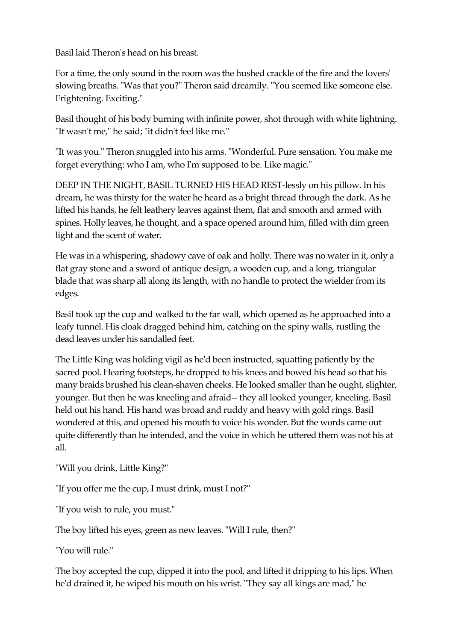Basil laid Theron's head on his breast.

For a time, the only sound in the room was the hushed crackle of the fire and the lovers' slowing breaths. "Was that you?" Theron said dreamily. "You seemed like someone else. Frightening. Exciting."

Basil thought of his body burning with infinite power, shot through with white lightning. "It wasn't me," he said; "it didn't feel like me."

"It was you." Theron snuggled into his arms. "Wonderful. Pure sensation. You make me forget everything: who I am, who I'm supposed to be. Like magic."

DEEP IN THE NIGHT, BASIL TURNED HIS HEAD REST-lessly on his pillow. In his dream, he was thirsty for the water he heard as a bright thread through the dark. As he lifted his hands, he felt leathery leaves against them, flat and smooth and armed with spines. Holly leaves, he thought, and a space opened around him, filled with dim green light and the scent of water.

He was in a whispering, shadowy cave of oak and holly. There was no water in it, only a flat gray stone and a sword of antique design, a wooden cup, and a long, triangular blade that was sharp all along its length, with no handle to protect the wielder from its edges.

Basil took up the cup and walked to the far wall, which opened as he approached into a leafy tunnel. His cloak dragged behind him, catching on the spiny walls, rustling the dead leaves under his sandalled feet.

The Little King was holding vigil as he'd been instructed, squatting patiently by the sacred pool. Hearing footsteps, he dropped to his knees and bowed his head so that his many braids brushed his clean-shaven cheeks. He looked smaller than he ought, slighter, younger. But then he was kneeling and afraid-- they all looked younger, kneeling. Basil held out his hand. His hand was broad and ruddy and heavy with gold rings. Basil wondered at this, and opened his mouth to voice his wonder. But the words came out quite differently than he intended, and the voice in which he uttered them was not his at all.

"Will you drink, Little King?"

"If you offer me the cup, I must drink, must I not?"

"If you wish to rule, you must."

The boy lifted his eyes, green as new leaves. "Will I rule, then?"

"You will rule."

The boy accepted the cup, dipped it into the pool, and lifted it dripping to his lips. When he'd drained it, he wiped his mouth on his wrist. "They say all kings are mad," he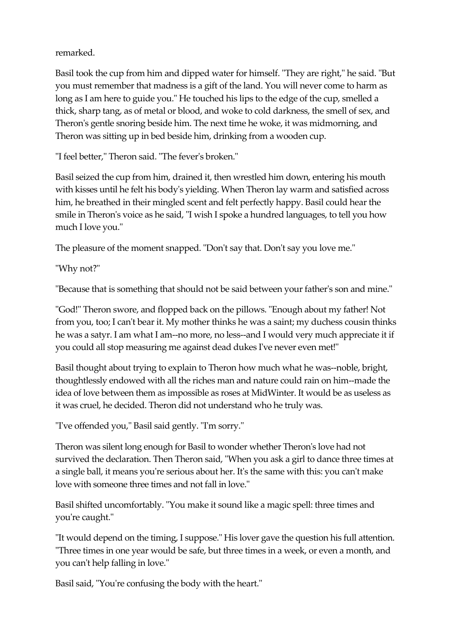remarked.

Basil took the cup from him and dipped water for himself. "They are right," he said. "But you must remember that madness is a gift of the land. You will never come to harm as long as I am here to guide you." He touched his lips to the edge of the cup, smelled a thick, sharp tang, as of metal or blood, and woke to cold darkness, the smell of sex, and Theron's gentle snoring beside him. The next time he woke, it was midmorning, and Theron was sitting up in bed beside him, drinking from a wooden cup.

"I feel better," Theron said. "The fever's broken."

Basil seized the cup from him, drained it, then wrestled him down, entering his mouth with kisses until he felt his body's yielding. When Theron lay warm and satisfied across him, he breathed in their mingled scent and felt perfectly happy. Basil could hear the smile in Theron's voice as he said, "I wish I spoke a hundred languages, to tell you how much I love you."

The pleasure of the moment snapped. "Don't say that. Don't say you love me."

"Why not?"

"Because that is something that should not be said between your father's son and mine."

"God!" Theron swore, and flopped back on the pillows. "Enough about my father! Not from you, too; I can't bear it. My mother thinks he was a saint; my duchess cousin thinks he was a satyr. I am what I am--no more, no less--and I would very much appreciate it if you could all stop measuring me against dead dukes I've never even met!"

Basil thought about trying to explain to Theron how much what he was--noble, bright, thoughtlessly endowed with all the riches man and nature could rain on him--made the idea of love between them as impossible as roses at MidWinter. It would be as useless as it was cruel, he decided. Theron did not understand who he truly was.

"I've offended you," Basil said gently. "I'm sorry."

Theron was silent long enough for Basil to wonder whether Theron's love had not survived the declaration. Then Theron said, "When you ask a girl to dance three times at a single ball, it means you're serious about her. It's the same with this: you can't make love with someone three times and not fall in love."

Basil shifted uncomfortably. "You make it sound like a magic spell: three times and you're caught."

"It would depend on the timing, I suppose." His lover gave the question his full attention. "Three times in one year would be safe, but three times in a week, or even a month, and you can't help falling in love."

Basil said, "You're confusing the body with the heart."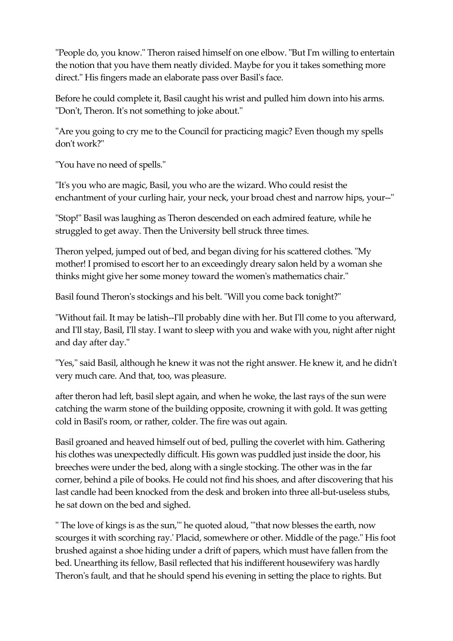"People do, you know." Theron raised himself on one elbow. "But I'm willing to entertain the notion that you have them neatly divided. Maybe for you it takes something more direct." His fingers made an elaborate pass over Basil's face.

Before he could complete it, Basil caught his wrist and pulled him down into his arms. "Don't, Theron. It's not something to joke about."

"Are you going to cry me to the Council for practicing magic? Even though my spells don't work?"

"You have no need of spells."

"It's you who are magic, Basil, you who are the wizard. Who could resist the enchantment of your curling hair, your neck, your broad chest and narrow hips, your--"

"Stop!" Basil was laughing as Theron descended on each admired feature, while he struggled to get away. Then the University bell struck three times.

Theron yelped, jumped out of bed, and began diving for his scattered clothes. "My mother! I promised to escort her to an exceedingly dreary salon held by a woman she thinks might give her some money toward the women's mathematics chair."

Basil found Theron's stockings and his belt. "Will you come back tonight?"

"Without fail. It may be latish--I'll probably dine with her. But I'll come to you afterward, and I'll stay, Basil, I'll stay. I want to sleep with you and wake with you, night after night and day after day."

"Yes," said Basil, although he knew it was not the right answer. He knew it, and he didn't very much care. And that, too, was pleasure.

after theron had left, basil slept again, and when he woke, the last rays of the sun were catching the warm stone of the building opposite, crowning it with gold. It was getting cold in Basil's room, or rather, colder. The fire was out again.

Basil groaned and heaved himself out of bed, pulling the coverlet with him. Gathering his clothes was unexpectedly difficult. His gown was puddled just inside the door, his breeches were under the bed, along with a single stocking. The other was in the far corner, behind a pile of books. He could not find his shoes, and after discovering that his last candle had been knocked from the desk and broken into three all-but-useless stubs, he sat down on the bed and sighed.

" The love of kings is as the sun,'" he quoted aloud, "'that now blesses the earth, now scourges it with scorching ray.' Placid, somewhere or other. Middle of the page." His foot brushed against a shoe hiding under a drift of papers, which must have fallen from the bed. Unearthing its fellow, Basil reflected that his indifferent housewifery was hardly Theron's fault, and that he should spend his evening in setting the place to rights. But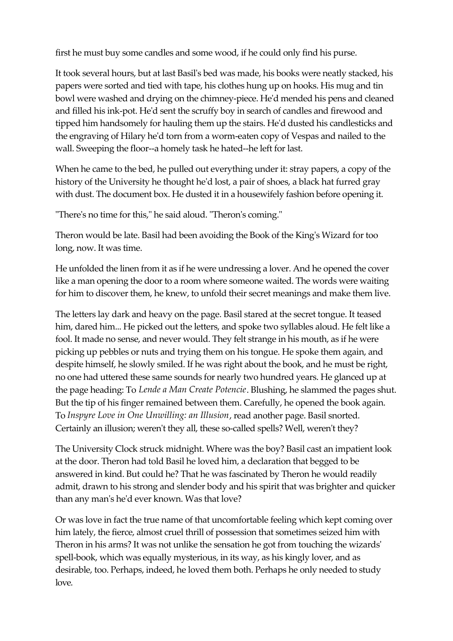first he must buy some candles and some wood, if he could only find his purse.

It took several hours, but at last Basil's bed was made, his books were neatly stacked, his papers were sorted and tied with tape, his clothes hung up on hooks. His mug and tin bowl were washed and drying on the chimney-piece. He'd mended his pens and cleaned and filled his ink-pot. He'd sent the scruffy boy in search of candles and firewood and tipped him handsomely for hauling them up the stairs. He'd dusted his candlesticks and the engraving of Hilary he'd torn from a worm-eaten copy of Vespas and nailed to the wall. Sweeping the floor--a homely task he hated--he left for last.

When he came to the bed, he pulled out everything under it: stray papers, a copy of the history of the University he thought he'd lost, a pair of shoes, a black hat furred gray with dust. The document box. He dusted it in a housewifely fashion before opening it.

"There's no time for this," he said aloud. "Theron's coming."

Theron would be late. Basil had been avoiding the Book of the King's Wizard for too long, now. It was time.

He unfolded the linen from it as if he were undressing a lover. And he opened the cover like a man opening the door to a room where someone waited. The words were waiting for him to discover them, he knew, to unfold their secret meanings and make them live.

The letters lay dark and heavy on the page. Basil stared at the secret tongue. It teased him, dared him... He picked out the letters, and spoke two syllables aloud. He felt like a fool. It made no sense, and never would. They felt strange in his mouth, as if he were picking up pebbles or nuts and trying them on his tongue. He spoke them again, and despite himself, he slowly smiled. If he was right about the book, and he must be right, no one had uttered these same sounds for nearly two hundred years. He glanced up at the page heading: To *Lende a Man Create Potencie*. Blushing, he slammed the pages shut. But the tip of his finger remained between them. Carefully, he opened the book again. To *Inspyre Love in One Unwilling: an Illusion*, read another page. Basil snorted. Certainly an illusion; weren't they all, these so-called spells? Well, weren't they?

The University Clock struck midnight. Where was the boy? Basil cast an impatient look at the door. Theron had told Basil he loved him, a declaration that begged to be answered in kind. But could he? That he was fascinated by Theron he would readily admit, drawn to his strong and slender body and his spirit that was brighter and quicker than any man's he'd ever known. Was that love?

Or was love in fact the true name of that uncomfortable feeling which kept coming over him lately, the fierce, almost cruel thrill of possession that sometimes seized him with Theron in his arms? It was not unlike the sensation he got from touching the wizards' spell-book, which was equally mysterious, in its way, as his kingly lover, and as desirable, too. Perhaps, indeed, he loved them both. Perhaps he only needed to study love.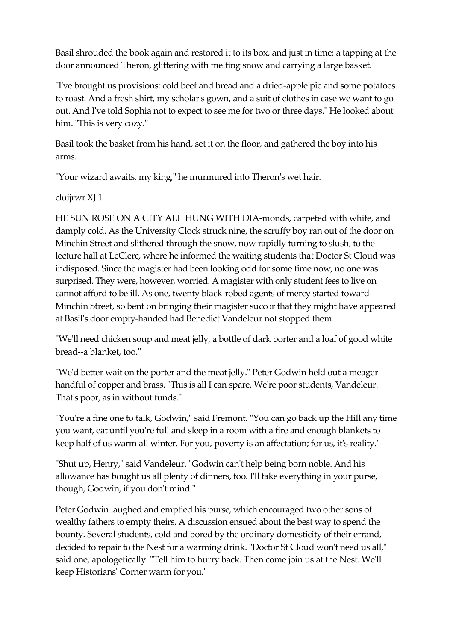Basil shrouded the book again and restored it to its box, and just in time: a tapping at the door announced Theron, glittering with melting snow and carrying a large basket.

"I've brought us provisions: cold beef and bread and a dried-apple pie and some potatoes to roast. And a fresh shirt, my scholar's gown, and a suit of clothes in case we want to go out. And I've told Sophia not to expect to see me for two or three days." He looked about him. "This is very cozy."

Basil took the basket from his hand, set it on the floor, and gathered the boy into his arms.

"Your wizard awaits, my king," he murmured into Theron's wet hair.

## cluijrwr XJ.1

HE SUN ROSE ON A CITY ALL HUNG WITH DIA-monds, carpeted with white, and damply cold. As the University Clock struck nine, the scruffy boy ran out of the door on Minchin Street and slithered through the snow, now rapidly turning to slush, to the lecture hall at LeClerc, where he informed the waiting students that Doctor St Cloud was indisposed. Since the magister had been looking odd for some time now, no one was surprised. They were, however, worried. A magister with only student fees to live on cannot afford to be ill. As one, twenty black-robed agents of mercy started toward Minchin Street, so bent on bringing their magister succor that they might have appeared at Basil's door empty-handed had Benedict Vandeleur not stopped them.

"We'll need chicken soup and meat jelly, a bottle of dark porter and a loaf of good white bread--a blanket, too."

"We'd better wait on the porter and the meat jelly." Peter Godwin held out a meager handful of copper and brass. "This is all I can spare. We're poor students, Vandeleur. That's poor, as in without funds."

"You're a fine one to talk, Godwin," said Fremont. "You can go back up the Hill any time you want, eat until you're full and sleep in a room with a fire and enough blankets to keep half of us warm all winter. For you, poverty is an affectation; for us, it's reality."

"Shut up, Henry," said Vandeleur. "Godwin can't help being born noble. And his allowance has bought us all plenty of dinners, too. I'll take everything in your purse, though, Godwin, if you don't mind."

Peter Godwin laughed and emptied his purse, which encouraged two other sons of wealthy fathers to empty theirs. A discussion ensued about the best way to spend the bounty. Several students, cold and bored by the ordinary domesticity of their errand, decided to repair to the Nest for a warming drink. "Doctor St Cloud won't need us all," said one, apologetically. "Tell him to hurry back. Then come join us at the Nest. We'll keep Historians' Corner warm for you."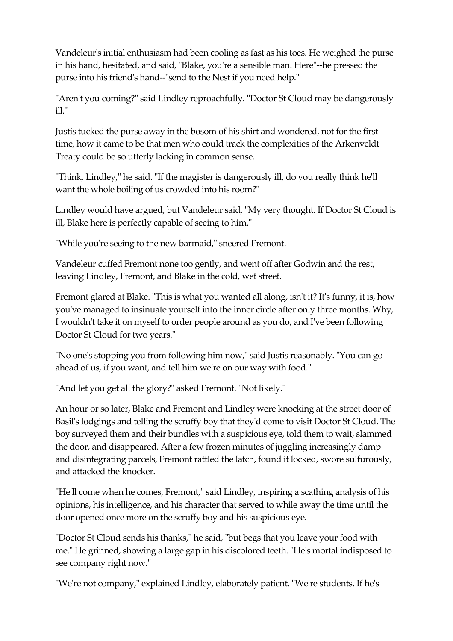Vandeleur's initial enthusiasm had been cooling as fast as his toes. He weighed the purse in his hand, hesitated, and said, "Blake, you're a sensible man. Here"--he pressed the purse into his friend's hand--"send to the Nest if you need help."

"Aren't you coming?" said Lindley reproachfully. "Doctor St Cloud may be dangerously ill."

Justis tucked the purse away in the bosom of his shirt and wondered, not for the first time, how it came to be that men who could track the complexities of the Arkenveldt Treaty could be so utterly lacking in common sense.

"Think, Lindley," he said. "If the magister is dangerously ill, do you really think he'll want the whole boiling of us crowded into his room?"

Lindley would have argued, but Vandeleur said, "My very thought. If Doctor St Cloud is ill, Blake here is perfectly capable of seeing to him."

"While you're seeing to the new barmaid," sneered Fremont.

Vandeleur cuffed Fremont none too gently, and went off after Godwin and the rest, leaving Lindley, Fremont, and Blake in the cold, wet street.

Fremont glared at Blake. "This is what you wanted all along, isn't it? It's funny, it is, how you've managed to insinuate yourself into the inner circle after only three months. Why, I wouldn't take it on myself to order people around as you do, and I've been following Doctor St Cloud for two years."

"No one's stopping you from following him now," said Justis reasonably. "You can go ahead of us, if you want, and tell him we're on our way with food."

"And let you get all the glory?" asked Fremont. "Not likely."

An hour or so later, Blake and Fremont and Lindley were knocking at the street door of Basil's lodgings and telling the scruffy boy that they'd come to visit Doctor St Cloud. The boy surveyed them and their bundles with a suspicious eye, told them to wait, slammed the door, and disappeared. After a few frozen minutes of juggling increasingly damp and disintegrating parcels, Fremont rattled the latch, found it locked, swore sulfurously, and attacked the knocker.

"He'll come when he comes, Fremont," said Lindley, inspiring a scathing analysis of his opinions, his intelligence, and his character that served to while away the time until the door opened once more on the scruffy boy and his suspicious eye.

"Doctor St Cloud sends his thanks," he said, "but begs that you leave your food with me." He grinned, showing a large gap in his discolored teeth. "He's mortal indisposed to see company right now."

"We're not company," explained Lindley, elaborately patient. "We're students. If he's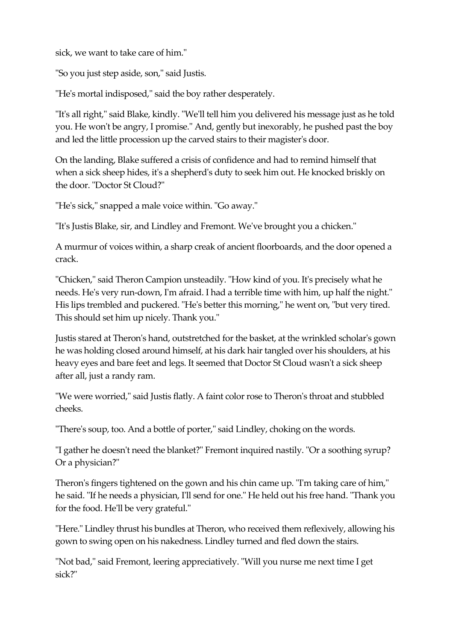sick, we want to take care of him."

"So you just step aside, son," said Justis.

"He's mortal indisposed," said the boy rather desperately.

"It's all right," said Blake, kindly. "We'll tell him you delivered his message just as he told you. He won't be angry, I promise." And, gently but inexorably, he pushed past the boy and led the little procession up the carved stairs to their magister's door.

On the landing, Blake suffered a crisis of confidence and had to remind himself that when a sick sheep hides, it's a shepherd's duty to seek him out. He knocked briskly on the door. "Doctor St Cloud?"

"He's sick," snapped a male voice within. "Go away."

"It's Justis Blake, sir, and Lindley and Fremont. We've brought you a chicken."

A murmur of voices within, a sharp creak of ancient floorboards, and the door opened a crack.

"Chicken," said Theron Campion unsteadily. "How kind of you. It's precisely what he needs. He's very run-down, I'm afraid. I had a terrible time with him, up half the night." His lips trembled and puckered. "He's better this morning," he went on, "but very tired. This should set him up nicely. Thank you."

Justis stared at Theron's hand, outstretched for the basket, at the wrinkled scholar's gown he was holding closed around himself, at his dark hair tangled over his shoulders, at his heavy eyes and bare feet and legs. It seemed that Doctor St Cloud wasn't a sick sheep after all, just a randy ram.

"We were worried," said Justis flatly. A faint color rose to Theron's throat and stubbled cheeks.

"There's soup, too. And a bottle of porter," said Lindley, choking on the words.

"I gather he doesn't need the blanket?" Fremont inquired nastily. "Or a soothing syrup? Or a physician?"

Theron's fingers tightened on the gown and his chin came up. "I'm taking care of him," he said. "If he needs a physician, I'll send for one." He held out his free hand. "Thank you for the food. He'll be very grateful."

"Here." Lindley thrust his bundles at Theron, who received them reflexively, allowing his gown to swing open on his nakedness. Lindley turned and fled down the stairs.

"Not bad," said Fremont, leering appreciatively. "Will you nurse me next time I get sick?"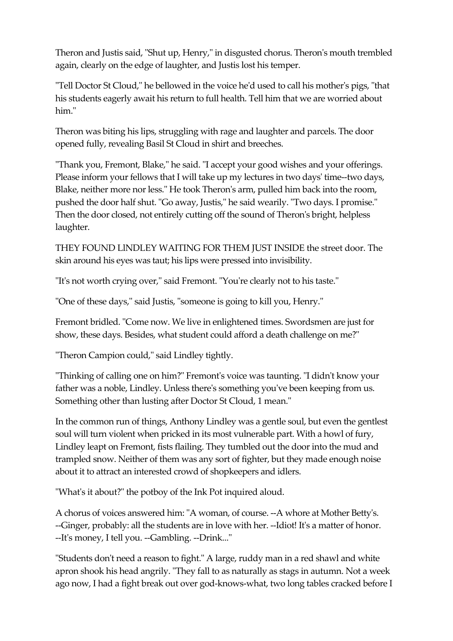Theron and Justis said, "Shut up, Henry," in disgusted chorus. Theron's mouth trembled again, clearly on the edge of laughter, and Justis lost his temper.

"Tell Doctor St Cloud," he bellowed in the voice he'd used to call his mother's pigs, "that his students eagerly await his return to full health. Tell him that we are worried about him."

Theron was biting his lips, struggling with rage and laughter and parcels. The door opened fully, revealing Basil St Cloud in shirt and breeches.

"Thank you, Fremont, Blake," he said. "I accept your good wishes and your offerings. Please inform your fellows that I will take up my lectures in two days' time--two days, Blake, neither more nor less." He took Theron's arm, pulled him back into the room, pushed the door half shut. "Go away, Justis," he said wearily. "Two days. I promise." Then the door closed, not entirely cutting off the sound of Theron's bright, helpless laughter.

THEY FOUND LlNDLEY WAITING FOR THEM JUST INSIDE the street door. The skin around his eyes was taut; his lips were pressed into invisibility.

"It's not worth crying over," said Fremont. "You're clearly not to his taste."

"One of these days," said Justis, "someone is going to kill you, Henry."

Fremont bridled. "Come now. We live in enlightened times. Swordsmen are just for show, these days. Besides, what student could afford a death challenge on me?"

"Theron Campion could," said Lindley tightly.

"Thinking of calling one on him?" Fremont's voice was taunting. "I didn't know your father was a noble, Lindley. Unless there's something you've been keeping from us. Something other than lusting after Doctor St Cloud, 1 mean."

In the common run of things, Anthony Lindley was a gentle soul, but even the gentlest soul will turn violent when pricked in its most vulnerable part. With a howl of fury, Lindley leapt on Fremont, fists flailing. They tumbled out the door into the mud and trampled snow. Neither of them was any sort of fighter, but they made enough noise about it to attract an interested crowd of shopkeepers and idlers.

"What's it about?" the potboy of the Ink Pot inquired aloud.

A chorus of voices answered him: "A woman, of course. --A whore at Mother Betty's. --Ginger, probably: all the students are in love with her. --Idiot! It's a matter of honor. --It's money, I tell you. --Gambling. --Drink..."

"Students don't need a reason to fight." A large, ruddy man in a red shawl and white apron shook his head angrily. "They fall to as naturally as stags in autumn. Not a week ago now, I had a fight break out over god-knows-what, two long tables cracked before I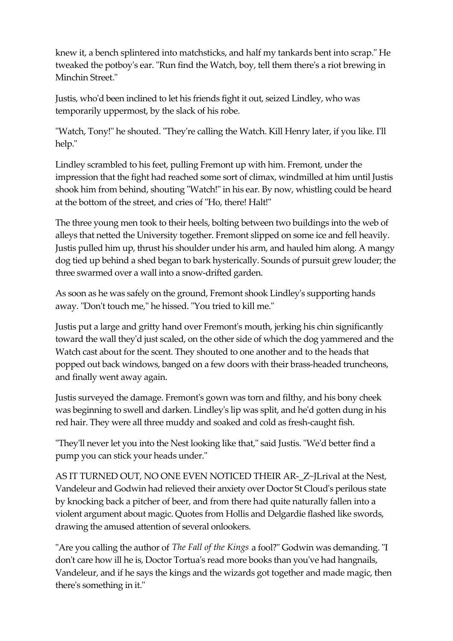knew it, a bench splintered into matchsticks, and half my tankards bent into scrap." He tweaked the potboy's ear. "Run find the Watch, boy, tell them there's a riot brewing in Minchin Street."

Justis, who'd been inclined to let his friends fight it out, seized Lindley, who was temporarily uppermost, by the slack of his robe.

"Watch, Tony!" he shouted. "They're calling the Watch. Kill Henry later, if you like. I'll help."

Lindley scrambled to his feet, pulling Fremont up with him. Fremont, under the impression that the fight had reached some sort of climax, windmilled at him until Justis shook him from behind, shouting "Watch!" in his ear. By now, whistling could be heard at the bottom of the street, and cries of "Ho, there! Halt!"

The three young men took to their heels, bolting between two buildings into the web of alleys that netted the University together. Fremont slipped on some ice and fell heavily. Justis pulled him up, thrust his shoulder under his arm, and hauled him along. A mangy dog tied up behind a shed began to bark hysterically. Sounds of pursuit grew louder; the three swarmed over a wall into a snow-drifted garden.

As soon as he was safely on the ground, Fremont shook Lindley's supporting hands away. "Don't touch me," he hissed. "You tried to kill me."

Justis put a large and gritty hand over Fremont's mouth, jerking his chin significantly toward the wall they'd just scaled, on the other side of which the dog yammered and the Watch cast about for the scent. They shouted to one another and to the heads that popped out back windows, banged on a few doors with their brass-headed truncheons, and finally went away again.

Justis surveyed the damage. Fremont's gown was torn and filthy, and his bony cheek was beginning to swell and darken. Lindley's lip was split, and he'd gotten dung in his red hair. They were all three muddy and soaked and cold as fresh-caught fish.

"They'll never let you into the Nest looking like that," said Justis. "We'd better find a pump you can stick your heads under."

AS IT TURNED OUT, NO ONE EVEN NOTICED THEIR AR-\_Z~JLrival at the Nest, Vandeleur and Godwin had relieved their anxiety over Doctor St Cloud's perilous state by knocking back a pitcher of beer, and from there had quite naturally fallen into a violent argument about magic. Quotes from Hollis and Delgardie flashed like swords, drawing the amused attention of several onlookers.

"Are you calling the author of *The Fall of the Kings* a fool?" Godwin was demanding. "I don't care how ill he is, Doctor Tortua's read more books than you've had hangnails, Vandeleur, and if he says the kings and the wizards got together and made magic, then there's something in it."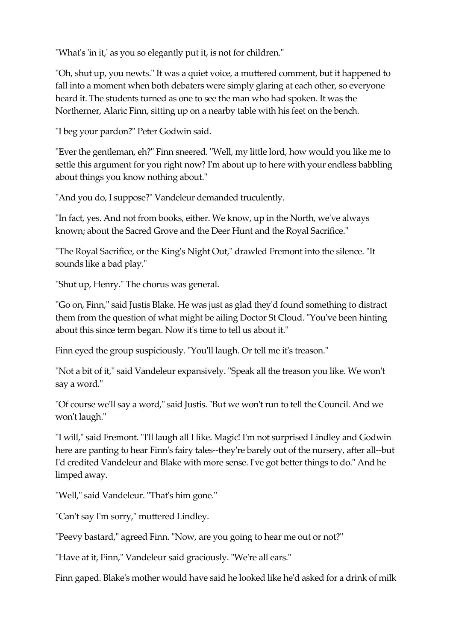"What's 'in it,' as you so elegantly put it, is not for children."

"Oh, shut up, you newts." It was a quiet voice, a muttered comment, but it happened to fall into a moment when both debaters were simply glaring at each other, so everyone heard it. The students turned as one to see the man who had spoken. It was the Northerner, Alaric Finn, sitting up on a nearby table with his feet on the bench.

"I beg your pardon?" Peter Godwin said.

"Ever the gentleman, eh?" Finn sneered. "Well, my little lord, how would you like me to settle this argument for you right now? I'm about up to here with your endless babbling about things you know nothing about."

"And you do, I suppose?" Vandeleur demanded truculently.

"In fact, yes. And not from books, either. We know, up in the North, we've always known; about the Sacred Grove and the Deer Hunt and the Royal Sacrifice."

"The Royal Sacrifice, or the King's Night Out," drawled Fremont into the silence. "It sounds like a bad play."

"Shut up, Henry." The chorus was general.

"Go on, Finn," said Justis Blake. He was just as glad they'd found something to distract them from the question of what might be ailing Doctor St Cloud. "You've been hinting about this since term began. Now it's time to tell us about it."

Finn eyed the group suspiciously. "You'll laugh. Or tell me it's treason."

"Not a bit of it," said Vandeleur expansively. "Speak all the treason you like. We won't say a word."

"Of course we'll say a word," said Justis. "But we won't run to tell the Council. And we won't laugh."

"I will," said Fremont. "I'll laugh all I like. Magic! I'm not surprised Lindley and Godwin here are panting to hear Finn's fairy tales--they're barely out of the nursery, after all--but I'd credited Vandeleur and Blake with more sense. I've got better things to do." And he limped away.

"Well," said Vandeleur. "That's him gone."

"Can't say I'm sorry," muttered Lindley.

"Peevy bastard," agreed Finn. "Now, are you going to hear me out or not?"

"Have at it, Finn," Vandeleur said graciously. "We're all ears."

Finn gaped. Blake's mother would have said he looked like he'd asked for a drink of milk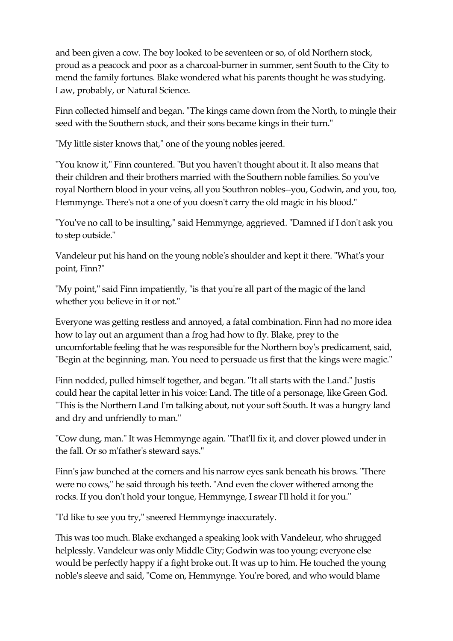and been given a cow. The boy looked to be seventeen or so, of old Northern stock, proud as a peacock and poor as a charcoal-burner in summer, sent South to the City to mend the family fortunes. Blake wondered what his parents thought he was studying. Law, probably, or Natural Science.

Finn collected himself and began. "The kings came down from the North, to mingle their seed with the Southern stock, and their sons became kings in their turn."

"My little sister knows that," one of the young nobles jeered.

"You know it," Finn countered. "But you haven't thought about it. It also means that their children and their brothers married with the Southern noble families. So you've royal Northern blood in your veins, all you Southron nobles--you, Godwin, and you, too, Hemmynge. There's not a one of you doesn't carry the old magic in his blood."

"You've no call to be insulting," said Hemmynge, aggrieved. "Damned if I don't ask you to step outside."

Vandeleur put his hand on the young noble's shoulder and kept it there. "What's your point, Finn?"

"My point," said Finn impatiently, "is that you're all part of the magic of the land whether you believe in it or not."

Everyone was getting restless and annoyed, a fatal combination. Finn had no more idea how to lay out an argument than a frog had how to fly. Blake, prey to the uncomfortable feeling that he was responsible for the Northern boy's predicament, said, "Begin at the beginning, man. You need to persuade us first that the kings were magic."

Finn nodded, pulled himself together, and began. "It all starts with the Land." Justis could hear the capital letter in his voice: Land. The title of a personage, like Green God. "This is the Northern Land I'm talking about, not your soft South. It was a hungry land and dry and unfriendly to man."

"Cow dung, man." It was Hemmynge again. "That'll fix it, and clover plowed under in the fall. Or so m'father's steward says."

Finn's jaw bunched at the corners and his narrow eyes sank beneath his brows. "There were no cows," he said through his teeth. "And even the clover withered among the rocks. If you don't hold your tongue, Hemmynge, I swear I'll hold it for you."

"I'd like to see you try," sneered Hemmynge inaccurately.

This was too much. Blake exchanged a speaking look with Vandeleur, who shrugged helplessly. Vandeleur was only Middle City; Godwin was too young; everyone else would be perfectly happy if a fight broke out. It was up to him. He touched the young noble's sleeve and said, "Come on, Hemmynge. You're bored, and who would blame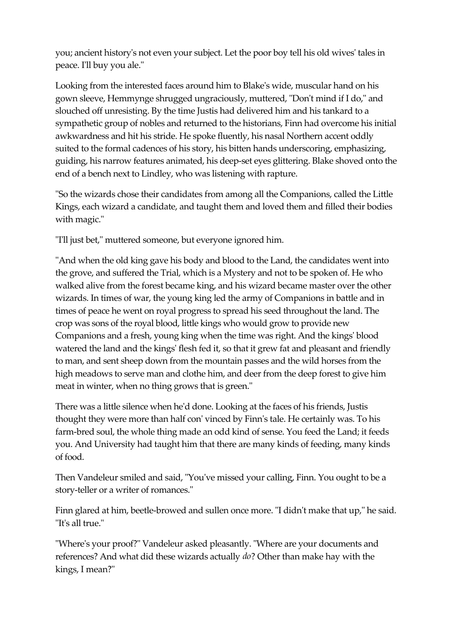you; ancient history's not even your subject. Let the poor boy tell his old wives' tales in peace. I'll buy you ale."

Looking from the interested faces around him to Blake's wide, muscular hand on his gown sleeve, Hemmynge shrugged ungraciously, muttered, "Don't mind if I do," and slouched off unresisting. By the time Justis had delivered him and his tankard to a sympathetic group of nobles and returned to the historians, Finn had overcome his initial awkwardness and hit his stride. He spoke fluently, his nasal Northern accent oddly suited to the formal cadences of his story, his bitten hands underscoring, emphasizing, guiding, his narrow features animated, his deep-set eyes glittering. Blake shoved onto the end of a bench next to Lindley, who was listening with rapture.

"So the wizards chose their candidates from among all the Companions, called the Little Kings, each wizard a candidate, and taught them and loved them and filled their bodies with magic."

"I'll just bet," muttered someone, but everyone ignored him.

"And when the old king gave his body and blood to the Land, the candidates went into the grove, and suffered the Trial, which is a Mystery and not to be spoken of. He who walked alive from the forest became king, and his wizard became master over the other wizards. In times of war, the young king led the army of Companions in battle and in times of peace he went on royal progress to spread his seed throughout the land. The crop was sons of the royal blood, little kings who would grow to provide new Companions and a fresh, young king when the time was right. And the kings' blood watered the land and the kings' flesh fed it, so that it grew fat and pleasant and friendly to man, and sent sheep down from the mountain passes and the wild horses from the high meadows to serve man and clothe him, and deer from the deep forest to give him meat in winter, when no thing grows that is green."

There was a little silence when he'd done. Looking at the faces of his friends, Justis thought they were more than half con' vinced by Finn's tale. He certainly was. To his farm-bred soul, the whole thing made an odd kind of sense. You feed the Land; it feeds you. And University had taught him that there are many kinds of feeding, many kinds of food.

Then Vandeleur smiled and said, "You've missed your calling, Finn. You ought to be a story-teller or a writer of romances."

Finn glared at him, beetle-browed and sullen once more. "I didn't make that up," he said. "It's all true."

"Where's your proof?" Vandeleur asked pleasantly. "Where are your documents and references? And what did these wizards actually *do*? Other than make hay with the kings, I mean?"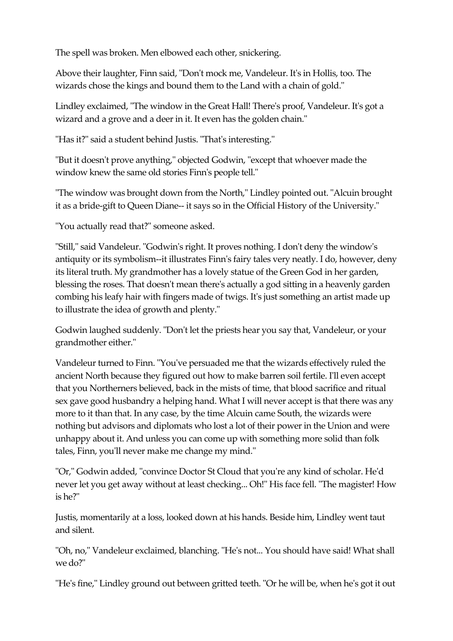The spell was broken. Men elbowed each other, snickering.

Above their laughter, Finn said, "Don't mock me, Vandeleur. It's in Hollis, too. The wizards chose the kings and bound them to the Land with a chain of gold."

Lindley exclaimed, "The window in the Great Hall! There's proof, Vandeleur. It's got a wizard and a grove and a deer in it. It even has the golden chain."

"Has it?" said a student behind Justis. "That's interesting."

"But it doesn't prove anything," objected Godwin, "except that whoever made the window knew the same old stories Finn's people tell."

"The window was brought down from the North," Lindley pointed out. "Alcuin brought it as a bride-gift to Queen Diane-- it says so in the Official History of the University."

"You actually read that?" someone asked.

"Still," said Vandeleur. "Godwin's right. It proves nothing. I don't deny the window's antiquity or its symbolism--it illustrates Finn's fairy tales very neatly. I do, however, deny its literal truth. My grandmother has a lovely statue of the Green God in her garden, blessing the roses. That doesn't mean there's actually a god sitting in a heavenly garden combing his leafy hair with fingers made of twigs. It's just something an artist made up to illustrate the idea of growth and plenty."

Godwin laughed suddenly. "Don't let the priests hear you say that, Vandeleur, or your grandmother either."

Vandeleur turned to Finn. "You've persuaded me that the wizards effectively ruled the ancient North because they figured out how to make barren soil fertile. I'll even accept that you Northerners believed, back in the mists of time, that blood sacrifice and ritual sex gave good husbandry a helping hand. What I will never accept is that there was any more to it than that. In any case, by the time Alcuin came South, the wizards were nothing but advisors and diplomats who lost a lot of their power in the Union and were unhappy about it. And unless you can come up with something more solid than folk tales, Finn, you'll never make me change my mind."

"Or," Godwin added, "convince Doctor St Cloud that you're any kind of scholar. He'd never let you get away without at least checking... Oh!" His face fell. "The magister! How is he?"

Justis, momentarily at a loss, looked down at his hands. Beside him, Lindley went taut and silent.

"Oh, no," Vandeleur exclaimed, blanching. "He's not... You should have said! What shall we do?"

"He's fine," Lindley ground out between gritted teeth. "Or he will be, when he's got it out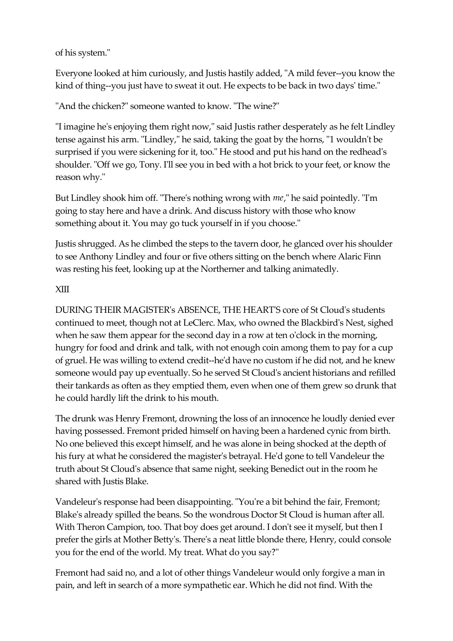of his system."

Everyone looked at him curiously, and Justis hastily added, "A mild fever--you know the kind of thing--you just have to sweat it out. He expects to be back in two days' time."

## "And the chicken?" someone wanted to know. "The wine?"

"I imagine he's enjoying them right now," said Justis rather desperately as he felt Lindley tense against his arm. "Lindley," he said, taking the goat by the horns, "1 wouldn't be surprised if you were sickening for it, too." He stood and put his hand on the redhead's shoulder. "Off we go, Tony. I'll see you in bed with a hot brick to your feet, or know the reason why."

But Lindley shook him off. "There's nothing wrong with *me*," he said pointedly. "I'm going to stay here and have a drink. And discuss history with those who know something about it. You may go tuck yourself in if you choose."

Justis shrugged. As he climbed the steps to the tavern door, he glanced over his shoulder to see Anthony Lindley and four or five others sitting on the bench where Alaric Finn was resting his feet, looking up at the Northerner and talking animatedly.

## XIII

DURING THEIR MAGISTER's ABSENCE, THE HEART'S core of St Cloud's students continued to meet, though not at LeClerc. Max, who owned the Blackbird's Nest, sighed when he saw them appear for the second day in a row at ten o'clock in the morning, hungry for food and drink and talk, with not enough coin among them to pay for a cup of gruel. He was willing to extend credit--he'd have no custom if he did not, and he knew someone would pay up eventually. So he served St Cloud's ancient historians and refilled their tankards as often as they emptied them, even when one of them grew so drunk that he could hardly lift the drink to his mouth.

The drunk was Henry Fremont, drowning the loss of an innocence he loudly denied ever having possessed. Fremont prided himself on having been a hardened cynic from birth. No one believed this except himself, and he was alone in being shocked at the depth of his fury at what he considered the magister's betrayal. He'd gone to tell Vandeleur the truth about St Cloud's absence that same night, seeking Benedict out in the room he shared with Justis Blake.

Vandeleur's response had been disappointing. "You're a bit behind the fair, Fremont; Blake's already spilled the beans. So the wondrous Doctor St Cloud is human after all. With Theron Campion, too. That boy does get around. I don't see it myself, but then I prefer the girls at Mother Betty's. There's a neat little blonde there, Henry, could console you for the end of the world. My treat. What do you say?"

Fremont had said no, and a lot of other things Vandeleur would only forgive a man in pain, and left in search of a more sympathetic ear. Which he did not find. With the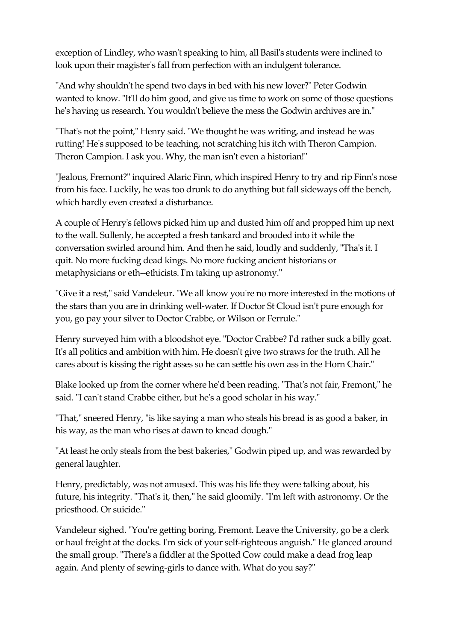exception of Lindley, who wasn't speaking to him, all Basil's students were inclined to look upon their magister's fall from perfection with an indulgent tolerance.

"And why shouldn't he spend two days in bed with his new lover?" Peter Godwin wanted to know. "It'll do him good, and give us time to work on some of those questions he's having us research. You wouldn't believe the mess the Godwin archives are in."

"That's not the point," Henry said. "We thought he was writing, and instead he was rutting! He's supposed to be teaching, not scratching his itch with Theron Campion. Theron Campion. I ask you. Why, the man isn't even a historian!"

"Jealous, Fremont?" inquired Alaric Finn, which inspired Henry to try and rip Finn's nose from his face. Luckily, he was too drunk to do anything but fall sideways off the bench, which hardly even created a disturbance.

A couple of Henry's fellows picked him up and dusted him off and propped him up next to the wall. Sullenly, he accepted a fresh tankard and brooded into it while the conversation swirled around him. And then he said, loudly and suddenly, "Tha's it. I quit. No more fucking dead kings. No more fucking ancient historians or metaphysicians or eth--ethicists. I'm taking up astronomy."

"Give it a rest," said Vandeleur. "We all know you're no more interested in the motions of the stars than you are in drinking well-water. If Doctor St Cloud isn't pure enough for you, go pay your silver to Doctor Crabbe, or Wilson or Ferrule."

Henry surveyed him with a bloodshot eye. "Doctor Crabbe? I'd rather suck a billy goat. It's all politics and ambition with him. He doesn't give two straws for the truth. All he cares about is kissing the right asses so he can settle his own ass in the Horn Chair."

Blake looked up from the corner where he'd been reading. "That's not fair, Fremont," he said. "I can't stand Crabbe either, but he's a good scholar in his way."

"That," sneered Henry, "is like saying a man who steals his bread is as good a baker, in his way, as the man who rises at dawn to knead dough."

"At least he only steals from the best bakeries," Godwin piped up, and was rewarded by general laughter.

Henry, predictably, was not amused. This was his life they were talking about, his future, his integrity. "That's it, then," he said gloomily. "I'm left with astronomy. Or the priesthood. Or suicide."

Vandeleur sighed. "You're getting boring, Fremont. Leave the University, go be a clerk or haul freight at the docks. I'm sick of your self-righteous anguish." He glanced around the small group. "There's a fiddler at the Spotted Cow could make a dead frog leap again. And plenty of sewing-girls to dance with. What do you say?"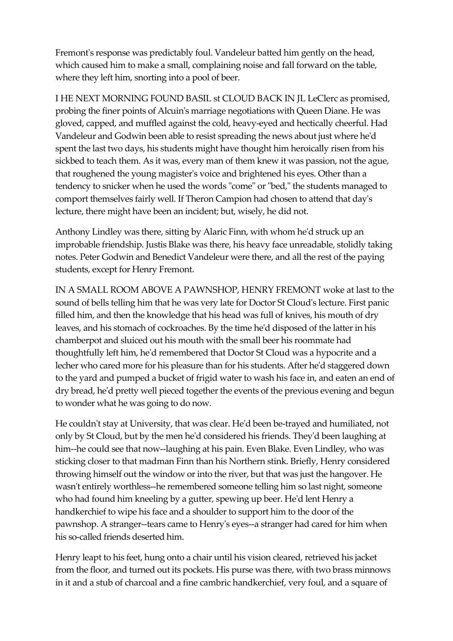Fremont's response was predictably foul. Vandeleur batted him gently on the head, which caused him to make a small, complaining noise and fall forward on the table, where they left him, snorting into a pool of beer.

I HE NEXT MORNING FOUND BASIL st CLOUD BACK IN JL LeClerc as promised, probing the finer points of Alcuin's marriage negotiations with Queen Diane. He was gloved, capped, and muffled against the cold, heavy-eyed and hectically cheerful. Had Vandeleur and Godwin been able to resist spreading the news about just where he'd spent the last two days, his students might have thought him heroically risen from his sickbed to teach them. As it was, every man of them knew it was passion, not the ague, that roughened the young magister's voice and brightened his eyes. Other than a tendency to snicker when he used the words "come" or "bed," the students managed to comport themselves fairly well. If Theron Campion had chosen to attend that day's lecture, there might have been an incident; but, wisely, he did not.

Anthony Lindley was there, sitting by Alaric Finn, with whom he'd struck up an improbable friendship. Justis Blake was there, his heavy face unreadable, stolidly taking notes. Peter Godwin and Benedict Vandeleur were there, and all the rest of the paying students, except for Henry Fremont.

IN A SMALL ROOM ABOVE A PAWNSHOP, HENRY FREMONT woke at last to the sound of bells telling him that he was very late for Doctor St Cloud's lecture. First panic filled him, and then the knowledge that his head was full of knives, his mouth of dry leaves, and his stomach of cockroaches. By the time he'd disposed of the latter in his chamberpot and sluiced out his mouth with the small beer his roommate had thoughtfully left him, he'd remembered that Doctor St Cloud was a hypocrite and a lecher who cared more for his pleasure than for his students. After he'd staggered down to the yard and pumped a bucket of frigid water to wash his face in, and eaten an end of dry bread, he'd pretty well pieced together the events of the previous evening and begun to wonder what he was going to do now.

He couldn't stay at University, that was clear. He'd been be-trayed and humiliated, not only by St Cloud, but by the men he'd considered his friends. They'd been laughing at him--he could see that now--laughing at his pain. Even Blake. Even Lindley, who was sticking closer to that madman Finn than his Northern stink. Briefly, Henry considered throwing himself out the window or into the river, but that was just the hangover. He wasn't entirely worthless--he remembered someone telling him so last night, someone who had found him kneeling by a gutter, spewing up beer. He'd lent Henry a handkerchief to wipe his face and a shoulder to support him to the door of the pawnshop. A stranger--tears came to Henry's eyes--a stranger had cared for him when his so-called friends deserted him.

Henry leapt to his feet, hung onto a chair until his vision cleared, retrieved his jacket from the floor, and turned out its pockets. His purse was there, with two brass minnows in it and a stub of charcoal and a fine cambric handkerchief, very foul, and a square of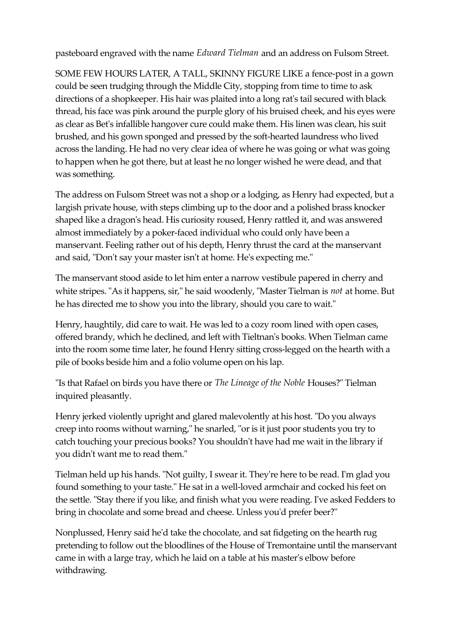pasteboard engraved with the name *Edward Tielman* and an address on Fulsom Street.

SOME FEW HOURS LATER, A TALL, SKINNY FIGURE LIKE a fence-post in a gown could be seen trudging through the Middle City, stopping from time to time to ask directions of a shopkeeper. His hair was plaited into a long rat's tail secured with black thread, his face was pink around the purple glory of his bruised cheek, and his eyes were as clear as Bet's infallible hangover cure could make them. His linen was clean, his suit brushed, and his gown sponged and pressed by the soft-hearted laundress who lived across the landing. He had no very clear idea of where he was going or what was going to happen when he got there, but at least he no longer wished he were dead, and that was something.

The address on Fulsom Street was not a shop or a lodging, as Henry had expected, but a largish private house, with steps climbing up to the door and a polished brass knocker shaped like a dragon's head. His curiosity roused, Henry rattled it, and was answered almost immediately by a poker-faced individual who could only have been a manservant. Feeling rather out of his depth, Henry thrust the card at the manservant and said, "Don't say your master isn't at home. He's expecting me."

The manservant stood aside to let him enter a narrow vestibule papered in cherry and white stripes. "As it happens, sir," he said woodenly, "Master Tielman is *not* at home. But he has directed me to show you into the library, should you care to wait."

Henry, haughtily, did care to wait. He was led to a cozy room lined with open cases, offered brandy, which he declined, and left with Tieltnan's books. When Tielman came into the room some time later, he found Henry sitting cross-legged on the hearth with a pile of books beside him and a folio volume open on his lap.

"Is that Rafael on birds you have there or *The Lineage of the Noble* Houses?" Tielman inquired pleasantly.

Henry jerked violently upright and glared malevolently at his host. "Do you always creep into rooms without warning," he snarled, "or is it just poor students you try to catch touching your precious books? You shouldn't have had me wait in the library if you didn't want me to read them."

Tielman held up his hands. "Not guilty, I swear it. They're here to be read. I'm glad you found something to your taste." He sat in a well-loved armchair and cocked his feet on the settle. "Stay there if you like, and finish what you were reading. I've asked Fedders to bring in chocolate and some bread and cheese. Unless you'd prefer beer?"

Nonplussed, Henry said he'd take the chocolate, and sat fidgeting on the hearth rug pretending to follow out the bloodlines of the House of Tremontaine until the manservant came in with a large tray, which he laid on a table at his master's elbow before withdrawing.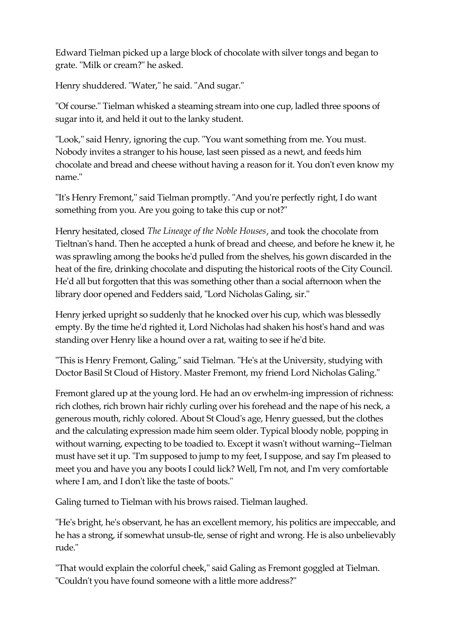Edward Tielman picked up a large block of chocolate with silver tongs and began to grate. "Milk or cream?" he asked.

Henry shuddered. "Water," he said. "And sugar."

"Of course." Tielman whisked a steaming stream into one cup, ladled three spoons of sugar into it, and held it out to the lanky student.

"Look," said Henry, ignoring the cup. "You want something from me. You must. Nobody invites a stranger to his house, last seen pissed as a newt, and feeds him chocolate and bread and cheese without having a reason for it. You don't even know my name."

"It's Henry Fremont," said Tielman promptly. "And you're perfectly right, I do want something from you. Are you going to take this cup or not?"

Henry hesitated, closed *The Lineage of the Noble Houses*, and took the chocolate from Tieltnan's hand. Then he accepted a hunk of bread and cheese, and before he knew it, he was sprawling among the books he'd pulled from the shelves, his gown discarded in the heat of the fire, drinking chocolate and disputing the historical roots of the City Council. He'd all but forgotten that this was something other than a social afternoon when the library door opened and Fedders said, "Lord Nicholas Galing, sir."

Henry jerked upright so suddenly that he knocked over his cup, which was blessedly empty. By the time he'd righted it, Lord Nicholas had shaken his host's hand and was standing over Henry like a hound over a rat, waiting to see if he'd bite.

"This is Henry Fremont, Galing," said Tielman. "He's at the University, studying with Doctor Basil St Cloud of History. Master Fremont, my friend Lord Nicholas Galing."

Fremont glared up at the young lord. He had an ov erwhelm-ing impression of richness: rich clothes, rich brown hair richly curling over his forehead and the nape of his neck, a generous mouth, richly colored. About St Cloud's age, Henry guessed, but the clothes and the calculating expression made him seem older. Typical bloody noble, popping in without warning, expecting to be toadied to. Except it wasn't without warning--Tielman must have set it up. "I'm supposed to jump to my feet, I suppose, and say I'm pleased to meet you and have you any boots I could lick? Well, I'm not, and I'm very comfortable where I am, and I don't like the taste of boots."

Galing turned to Tielman with his brows raised. Tielman laughed.

"He's bright, he's observant, he has an excellent memory, his politics are impeccable, and he has a strong, if somewhat unsub-tle, sense of right and wrong. He is also unbelievably rude."

"That would explain the colorful cheek," said Galing as Fremont goggled at Tielman. "Couldn't you have found someone with a little more address?"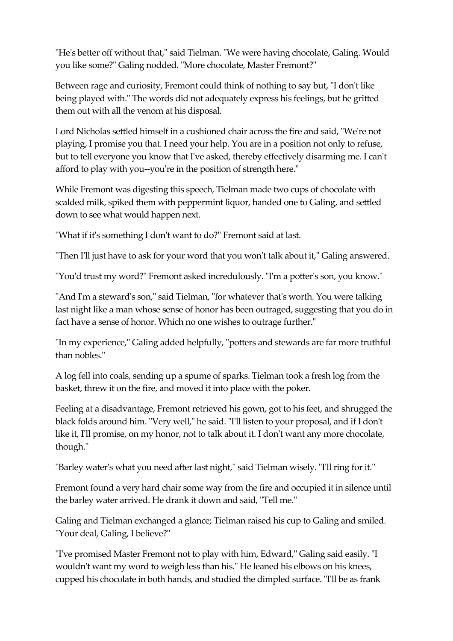"He's better off without that," said Tielman. "We were having chocolate, Galing. Would you like some?" Galing nodded. "More chocolate, Master Fremont?"

Between rage and curiosity, Fremont could think of nothing to say but, "I don't like being played with." The words did not adequately express his feelings, but he gritted them out with all the venom at his disposal.

Lord Nicholas settled himself in a cushioned chair across the fire and said, "We're not playing, I promise you that. I need your help. You are in a position not only to refuse, but to tell everyone you know that I've asked, thereby effectively disarming me. I can't afford to play with you--you're in the position of strength here."

While Fremont was digesting this speech, Tielman made two cups of chocolate with scalded milk, spiked them with peppermint liquor, handed one to Galing, and settled down to see what would happen next.

"What if it's something I don't want to do?" Fremont said at last.

"Then I'll just have to ask for your word that you won't talk about it," Galing answered.

"You'd trust my word?" Fremont asked incredulously. "I'm a potter's son, you know."

"And I'm a steward's son," said Tielman, "for whatever that's worth. You were talking last night like a man whose sense of honor has been outraged, suggesting that you do in fact have a sense of honor. Which no one wishes to outrage further."

"In my experience," Galing added helpfully, "potters and stewards are far more truthful than nobles."

A log fell into coals, sending up a spume of sparks. Tielman took a fresh log from the basket, threw it on the fire, and moved it into place with the poker.

Feeling at a disadvantage, Fremont retrieved his gown, got to his feet, and shrugged the black folds around him. "Very well," he said. "I'll listen to your proposal, and if I don't like it, I'll promise, on my honor, not to talk about it. I don't want any more chocolate, though."

"Barley water's what you need after last night," said Tielman wisely. "I'll ring for it."

Fremont found a very hard chair some way from the fire and occupied it in silence until the barley water arrived. He drank it down and said, "Tell me."

Galing and Tielman exchanged a glance; Tielman raised his cup to Galing and smiled. "Your deal, Galing, I believe?"

"I've promised Master Fremont not to play with him, Edward," Galing said easily. "I wouldn't want my word to weigh less than his." He leaned his elbows on his knees, cupped his chocolate in both hands, and studied the dimpled surface. "I'll be as frank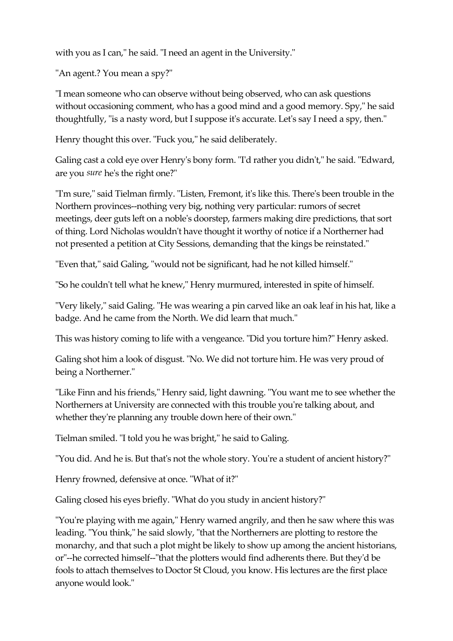with you as I can," he said. "I need an agent in the University."

"An agent.? You mean a spy?"

"I mean someone who can observe without being observed, who can ask questions without occasioning comment, who has a good mind and a good memory. Spy," he said thoughtfully, "is a nasty word, but I suppose it's accurate. Let's say I need a spy, then."

Henry thought this over. "Fuck you," he said deliberately.

Galing cast a cold eye over Henry's bony form. "I'd rather you didn't," he said. "Edward, are you *sure* he's the right one?"

"I'm sure," said Tielman firmly. "Listen, Fremont, it's like this. There's been trouble in the Northern provinces--nothing very big, nothing very particular: rumors of secret meetings, deer guts left on a noble's doorstep, farmers making dire predictions, that sort of thing. Lord Nicholas wouldn't have thought it worthy of notice if a Northerner had not presented a petition at City Sessions, demanding that the kings be reinstated."

"Even that," said Galing, "would not be significant, had he not killed himself."

"So he couldn't tell what he knew," Henry murmured, interested in spite of himself.

"Very likely," said Galing. "He was wearing a pin carved like an oak leaf in his hat, like a badge. And he came from the North. We did learn that much."

This was history coming to life with a vengeance. "Did you torture him?" Henry asked.

Galing shot him a look of disgust. "No. We did not torture him. He was very proud of being a Northerner."

"Like Finn and his friends," Henry said, light dawning. "You want me to see whether the Northerners at University are connected with this trouble you're talking about, and whether they're planning any trouble down here of their own."

Tielman smiled. "I told you he was bright," he said to Galing.

"You did. And he is. But that's not the whole story. You're a student of ancient history?"

Henry frowned, defensive at once. "What of it?"

Galing closed his eyes briefly. "What do you study in ancient history?"

"You're playing with me again," Henry warned angrily, and then he saw where this was leading. "You think," he said slowly, "that the Northerners are plotting to restore the monarchy, and that such a plot might be likely to show up among the ancient historians, or"--he corrected himself--"that the plotters would find adherents there. But they'd be fools to attach themselves to Doctor St Cloud, you know. His lectures are the first place anyone would look."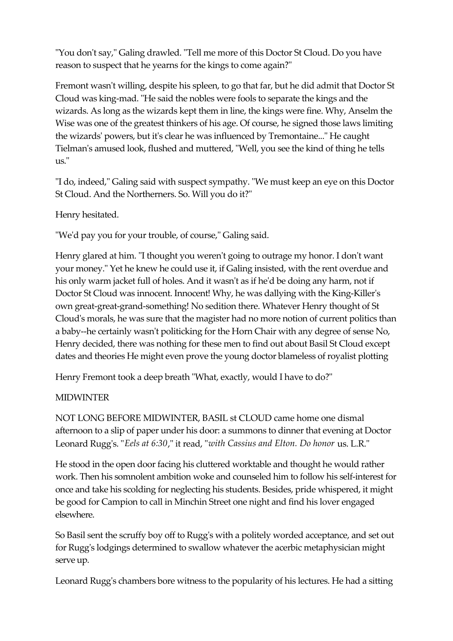"You don't say," Galing drawled. "Tell me more of this Doctor St Cloud. Do you have reason to suspect that he yearns for the kings to come again?"

Fremont wasn't willing, despite his spleen, to go that far, but he did admit that Doctor St Cloud was king-mad. "He said the nobles were fools to separate the kings and the wizards. As long as the wizards kept them in line, the kings were fine. Why, Anselm the Wise was one of the greatest thinkers of his age. Of course, he signed those laws limiting the wizards' powers, but it's clear he was influenced by Tremontaine..." He caught Tielman's amused look, flushed and muttered, "Well, you see the kind of thing he tells us."

"I do, indeed," Galing said with suspect sympathy. "We must keep an eye on this Doctor St Cloud. And the Northerners. So. Will you do it?"

Henry hesitated.

"We'd pay you for your trouble, of course," Galing said.

Henry glared at him. "I thought you weren't going to outrage my honor. I don't want your money." Yet he knew he could use it, if Galing insisted, with the rent overdue and his only warm jacket full of holes. And it wasn't as if he'd be doing any harm, not if Doctor St Cloud was innocent. Innocent! Why, he was dallying with the King-Killer's own great-great-grand-something! No sedition there. Whatever Henry thought of St Cloud's morals, he was sure that the magister had no more notion of current politics than a baby--he certainly wasn't politicking for the Horn Chair with any degree of sense No, Henry decided, there was nothing for these men to find out about Basil St Cloud except dates and theories He might even prove the young doctor blameless of royalist plotting

Henry Fremont took a deep breath "What, exactly, would I have to do?"

## MIDWINTER

NOT LONG BEFORE MIDWINTER, BASIL st CLOUD came home one dismal afternoon to a slip of paper under his door: a summons to dinner that evening at Doctor Leonard Rugg's. "*Eels at 6:30*," it read, "*with Cassius and Elton. Do honor* us. L.R."

He stood in the open door facing his cluttered worktable and thought he would rather work. Then his somnolent ambition woke and counseled him to follow his self-interest for once and take his scolding for neglecting his students. Besides, pride whispered, it might be good for Campion to call in Minchin Street one night and find his lover engaged elsewhere.

So Basil sent the scruffy boy off to Rugg's with a politely worded acceptance, and set out for Rugg's lodgings determined to swallow whatever the acerbic metaphysician might serve up.

Leonard Rugg's chambers bore witness to the popularity of his lectures. He had a sitting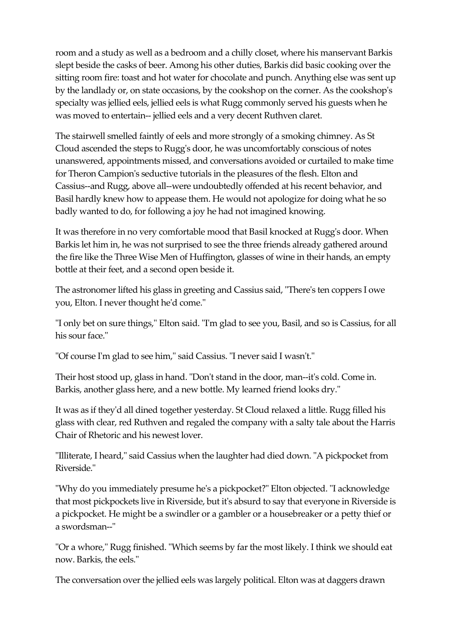room and a study as well as a bedroom and a chilly closet, where his manservant Barkis slept beside the casks of beer. Among his other duties, Barkis did basic cooking over the sitting room fire: toast and hot water for chocolate and punch. Anything else was sent up by the landlady or, on state occasions, by the cookshop on the corner. As the cookshop's specialty was jellied eels, jellied eels is what Rugg commonly served his guests when he was moved to entertain-- jellied eels and a very decent Ruthven claret.

The stairwell smelled faintly of eels and more strongly of a smoking chimney. As St Cloud ascended the steps to Rugg's door, he was uncomfortably conscious of notes unanswered, appointments missed, and conversations avoided or curtailed to make time for Theron Campion's seductive tutorials in the pleasures of the flesh. Elton and Cassius--and Rugg, above all--were undoubtedly offended at his recent behavior, and Basil hardly knew how to appease them. He would not apologize for doing what he so badly wanted to do, for following a joy he had not imagined knowing.

It was therefore in no very comfortable mood that Basil knocked at Rugg's door. When Barkis let him in, he was not surprised to see the three friends already gathered around the fire like the Three Wise Men of Huffington, glasses of wine in their hands, an empty bottle at their feet, and a second open beside it.

The astronomer lifted his glass in greeting and Cassius said, "There's ten coppers I owe you, Elton. I never thought he'd come."

"I only bet on sure things," Elton said. "I'm glad to see you, Basil, and so is Cassius, for all his sour face."

"Of course I'm glad to see him," said Cassius. "I never said I wasn't."

Their host stood up, glass in hand. "Don't stand in the door, man--it's cold. Come in. Barkis, another glass here, and a new bottle. My learned friend looks dry."

It was as if they'd all dined together yesterday. St Cloud relaxed a little. Rugg filled his glass with clear, red Ruthven and regaled the company with a salty tale about the Harris Chair of Rhetoric and his newest lover.

"Illiterate, I heard," said Cassius when the laughter had died down. "A pickpocket from Riverside."

"Why do you immediately presume he's a pickpocket?" Elton objected. "I acknowledge that most pickpockets live in Riverside, but it's absurd to say that everyone in Riverside is a pickpocket. He might be a swindler or a gambler or a housebreaker or a petty thief or a swordsman--"

"Or a whore," Rugg finished. "Which seems by far the most likely. I think we should eat now. Barkis, the eels."

The conversation over the jellied eels was largely political. Elton was at daggers drawn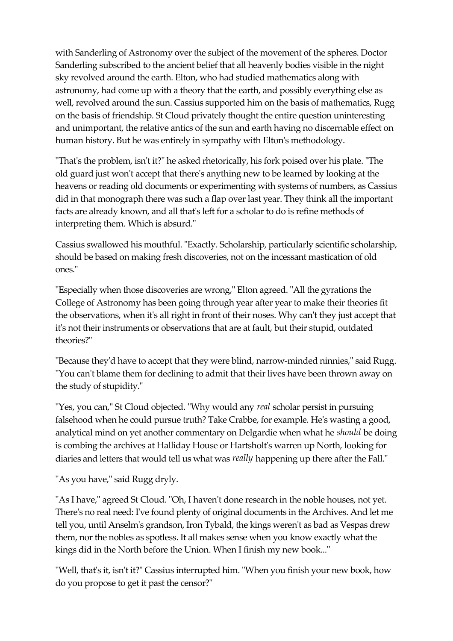with Sanderling of Astronomy over the subject of the movement of the spheres. Doctor Sanderling subscribed to the ancient belief that all heavenly bodies visible in the night sky revolved around the earth. Elton, who had studied mathematics along with astronomy, had come up with a theory that the earth, and possibly everything else as well, revolved around the sun. Cassius supported him on the basis of mathematics, Rugg on the basis of friendship. St Cloud privately thought the entire question uninteresting and unimportant, the relative antics of the sun and earth having no discernable effect on human history. But he was entirely in sympathy with Elton's methodology.

"That's the problem, isn't it?" he asked rhetorically, his fork poised over his plate. "The old guard just won't accept that there's anything new to be learned by looking at the heavens or reading old documents or experimenting with systems of numbers, as Cassius did in that monograph there was such a flap over last year. They think all the important facts are already known, and all that's left for a scholar to do is refine methods of interpreting them. Which is absurd."

Cassius swallowed his mouthful. "Exactly. Scholarship, particularly scientific scholarship, should be based on making fresh discoveries, not on the incessant mastication of old ones."

"Especially when those discoveries are wrong," Elton agreed. "All the gyrations the College of Astronomy has been going through year after year to make their theories fit the observations, when it's all right in front of their noses. Why can't they just accept that it's not their instruments or observations that are at fault, but their stupid, outdated theories?"

"Because they'd have to accept that they were blind, narrow-minded ninnies," said Rugg. "You can't blame them for declining to admit that their lives have been thrown away on the study of stupidity."

"Yes, you can," St Cloud objected. "Why would any *real* scholar persist in pursuing falsehood when he could pursue truth? Take Crabbe, for example. He's wasting a good, analytical mind on yet another commentary on Delgardie when what he *should* be doing is combing the archives at Halliday House or Hartsholt's warren up North, looking for diaries and letters that would tell us what was *really* happening up there after the Fall."

"As you have," said Rugg dryly.

"As I have," agreed St Cloud. "Oh, I haven't done research in the noble houses, not yet. There's no real need: I've found plenty of original documents in the Archives. And let me tell you, until Anselm's grandson, Iron Tybald, the kings weren't as bad as Vespas drew them, nor the nobles as spotless. It all makes sense when you know exactly what the kings did in the North before the Union. When I finish my new book..."

"Well, that's it, isn't it?" Cassius interrupted him. "When you finish your new book, how do you propose to get it past the censor?"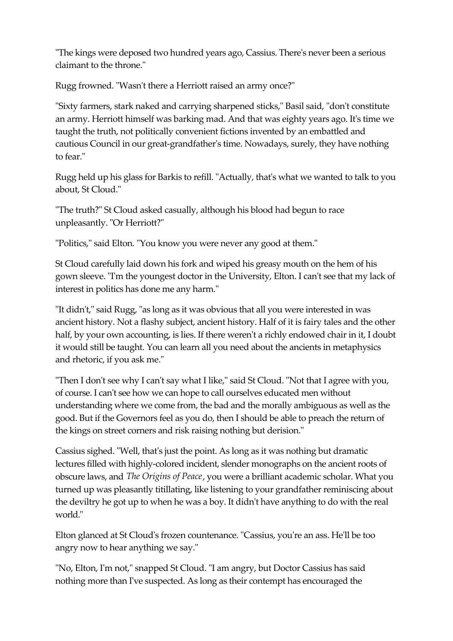"The kings were deposed two hundred years ago, Cassius. There's never been a serious claimant to the throne."

Rugg frowned. "Wasn't there a Herriott raised an army once?"

"Sixty farmers, stark naked and carrying sharpened sticks," Basil said, "don't constitute an army. Herriott himself was barking mad. And that was eighty years ago. It's time we taught the truth, not politically convenient fictions invented by an embattled and cautious Council in our great-grandfather's time. Nowadays, surely, they have nothing to fear."

Rugg held up his glass for Barkis to refill. "Actually, that's what we wanted to talk to you about, St Cloud."

"The truth?" St Cloud asked casually, although his blood had begun to race unpleasantly. "Or Herriott?"

"Politics," said Elton. "You know you were never any good at them."

St Cloud carefully laid down his fork and wiped his greasy mouth on the hem of his gown sleeve. "I'm the youngest doctor in the University, Elton. I can't see that my lack of interest in politics has done me any harm."

"It didn't," said Rugg, "as long as it was obvious that all you were interested in was ancient history. Not a flashy subject, ancient history. Half of it is fairy tales and the other half, by your own accounting, is lies. If there weren't a richly endowed chair in it, I doubt it would still be taught. You can learn all you need about the ancients in metaphysics and rhetoric, if you ask me."

"Then I don't see why I can't say what I like," said St Cloud. "Not that I agree with you, of course. I can't see how we can hope to call ourselves educated men without understanding where we come from, the bad and the morally ambiguous as well as the good. But if the Governors feel as you do, then I should be able to preach the return of the kings on street corners and risk raising nothing but derision."

Cassius sighed. "Well, that's just the point. As long as it was nothing but dramatic lectures filled with highly-colored incident, slender monographs on the ancient roots of obscure laws, and *The Origins of Peace*, you were a brilliant academic scholar. What you turned up was pleasantly titillating, like listening to your grandfather reminiscing about the deviltry he got up to when he was a boy. It didn't have anything to do with the real world."

Elton glanced at St Cloud's frozen countenance. "Cassius, you're an ass. He'll be too angry now to hear anything we say."

"No, Elton, I'm not," snapped St Cloud. "I am angry, but Doctor Cassius has said nothing more than I've suspected. As long as their contempt has encouraged the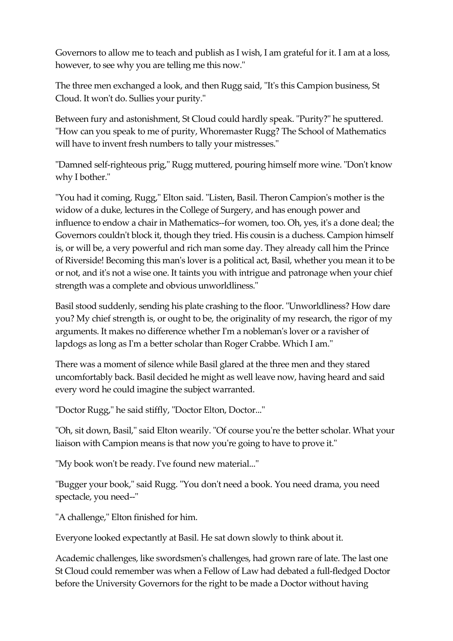Governors to allow me to teach and publish as I wish, I am grateful for it. I am at a loss, however, to see why you are telling me this now."

The three men exchanged a look, and then Rugg said, "It's this Campion business, St Cloud. It won't do. Sullies your purity."

Between fury and astonishment, St Cloud could hardly speak. "Purity?" he sputtered. "How can you speak to me of purity, Whoremaster Rugg? The School of Mathematics will have to invent fresh numbers to tally your mistresses."

"Damned self-righteous prig," Rugg muttered, pouring himself more wine. "Don't know why I bother."

"You had it coming, Rugg," Elton said. "Listen, Basil. Theron Campion's mother is the widow of a duke, lectures in the College of Surgery, and has enough power and influence to endow a chair in Mathematics--for women, too. Oh, yes, it's a done deal; the Governors couldn't block it, though they tried. His cousin is a duchess. Campion himself is, or will be, a very powerful and rich man some day. They already call him the Prince of Riverside! Becoming this man's lover is a political act, Basil, whether you mean it to be or not, and it's not a wise one. It taints you with intrigue and patronage when your chief strength was a complete and obvious unworldliness."

Basil stood suddenly, sending his plate crashing to the floor. "Unworldliness? How dare you? My chief strength is, or ought to be, the originality of my research, the rigor of my arguments. It makes no difference whether I'm a nobleman's lover or a ravisher of lapdogs as long as I'm a better scholar than Roger Crabbe. Which I am."

There was a moment of silence while Basil glared at the three men and they stared uncomfortably back. Basil decided he might as well leave now, having heard and said every word he could imagine the subject warranted.

"Doctor Rugg," he said stiffly, "Doctor Elton, Doctor..."

"Oh, sit down, Basil," said Elton wearily. "Of course you're the better scholar. What your liaison with Campion means is that now you're going to have to prove it."

"My book won't be ready. I've found new material..."

"Bugger your book," said Rugg. "You don't need a book. You need drama, you need spectacle, you need--"

"A challenge," Elton finished for him.

Everyone looked expectantly at Basil. He sat down slowly to think about it.

Academic challenges, like swordsmen's challenges, had grown rare of late. The last one St Cloud could remember was when a Fellow of Law had debated a full-fledged Doctor before the University Governors for the right to be made a Doctor without having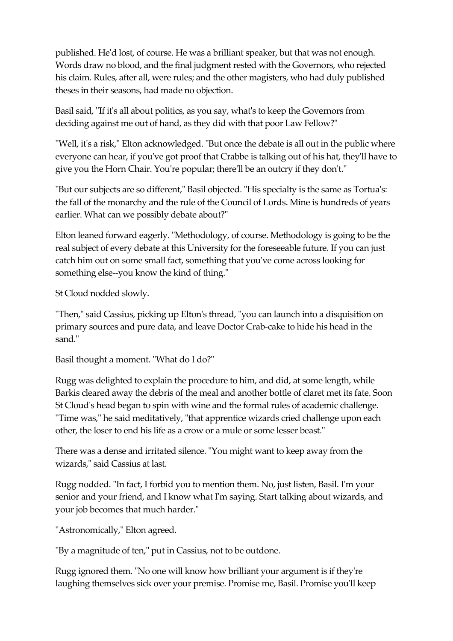published. He'd lost, of course. He was a brilliant speaker, but that was not enough. Words draw no blood, and the final judgment rested with the Governors, who rejected his claim. Rules, after all, were rules; and the other magisters, who had duly published theses in their seasons, had made no objection.

Basil said, "If it's all about politics, as you say, what's to keep the Governors from deciding against me out of hand, as they did with that poor Law Fellow?"

"Well, it's a risk," Elton acknowledged. "But once the debate is all out in the public where everyone can hear, if you've got proof that Crabbe is talking out of his hat, they'll have to give you the Horn Chair. You're popular; there'll be an outcry if they don't."

"But our subjects are so different," Basil objected. "His specialty is the same as Tortua's: the fall of the monarchy and the rule of the Council of Lords. Mine is hundreds of years earlier. What can we possibly debate about?"

Elton leaned forward eagerly. "Methodology, of course. Methodology is going to be the real subject of every debate at this University for the foreseeable future. If you can just catch him out on some small fact, something that you've come across looking for something else--you know the kind of thing."

St Cloud nodded slowly.

"Then," said Cassius, picking up Elton's thread, "you can launch into a disquisition on primary sources and pure data, and leave Doctor Crab-cake to hide his head in the sand."

Basil thought a moment. "What do I do?"

Rugg was delighted to explain the procedure to him, and did, at some length, while Barkis cleared away the debris of the meal and another bottle of claret met its fate. Soon St Cloud's head began to spin with wine and the formal rules of academic challenge. "Time was," he said meditatively, "that apprentice wizards cried challenge upon each other, the loser to end his life as a crow or a mule or some lesser beast."

There was a dense and irritated silence. "You might want to keep away from the wizards," said Cassius at last.

Rugg nodded. "In fact, I forbid you to mention them. No, just listen, Basil. I'm your senior and your friend, and I know what I'm saying. Start talking about wizards, and your job becomes that much harder."

"Astronomically," Elton agreed.

"By a magnitude of ten," put in Cassius, not to be outdone.

Rugg ignored them. "No one will know how brilliant your argument is if they're laughing themselves sick over your premise. Promise me, Basil. Promise you'll keep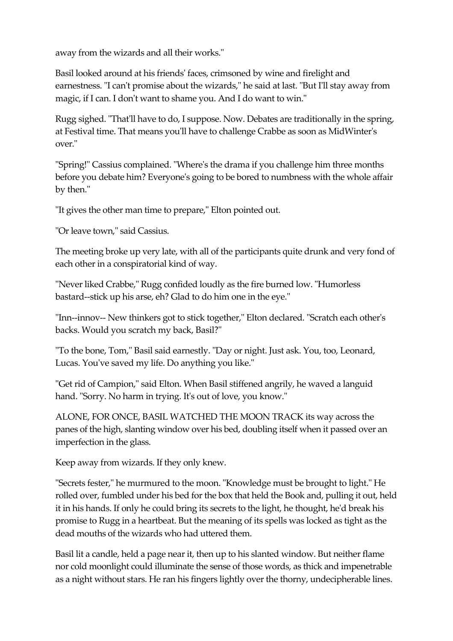away from the wizards and all their works."

Basil looked around at his friends' faces, crimsoned by wine and firelight and earnestness. "I can't promise about the wizards," he said at last. "But I'll stay away from magic, if I can. I don't want to shame you. And I do want to win."

Rugg sighed. "That'll have to do, I suppose. Now. Debates are traditionally in the spring, at Festival time. That means you'll have to challenge Crabbe as soon as MidWinter's over."

"Spring!" Cassius complained. "Where's the drama if you challenge him three months before you debate him? Everyone's going to be bored to numbness with the whole affair by then."

"It gives the other man time to prepare," Elton pointed out.

"Or leave town," said Cassius.

The meeting broke up very late, with all of the participants quite drunk and very fond of each other in a conspiratorial kind of way.

"Never liked Crabbe," Rugg confided loudly as the fire burned low. "Humorless bastard--stick up his arse, eh? Glad to do him one in the eye."

"Inn--innov-- New thinkers got to stick together," Elton declared. "Scratch each other's backs. Would you scratch my back, Basil?"

"To the bone, Tom," Basil said earnestly. "Day or night. Just ask. You, too, Leonard, Lucas. You've saved my life. Do anything you like."

"Get rid of Campion," said Elton. When Basil stiffened angrily, he waved a languid hand. "Sorry. No harm in trying. It's out of love, you know."

ALONE, FOR ONCE, BASIL WATCHED THE MOON TRACK its way across the panes of the high, slanting window over his bed, doubling itself when it passed over an imperfection in the glass.

Keep away from wizards. If they only knew.

"Secrets fester," he murmured to the moon. "Knowledge must be brought to light." He rolled over, fumbled under his bed for the box that held the Book and, pulling it out, held it in his hands. If only he could bring its secrets to the light, he thought, he'd break his promise to Rugg in a heartbeat. But the meaning of its spells was locked as tight as the dead mouths of the wizards who had uttered them.

Basil lit a candle, held a page near it, then up to his slanted window. But neither flame nor cold moonlight could illuminate the sense of those words, as thick and impenetrable as a night without stars. He ran his fingers lightly over the thorny, undecipherable lines.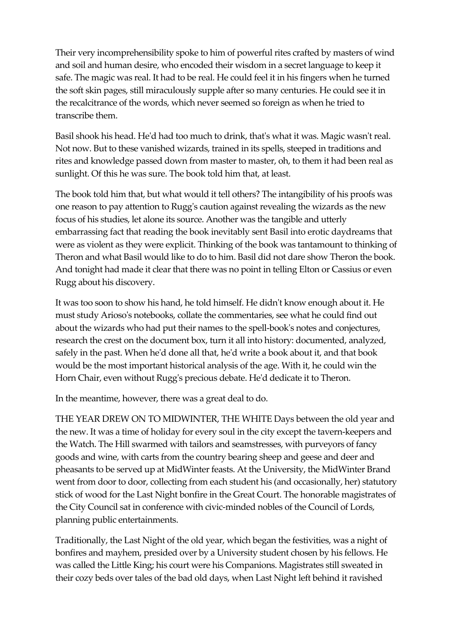Their very incomprehensibility spoke to him of powerful rites crafted by masters of wind and soil and human desire, who encoded their wisdom in a secret language to keep it safe. The magic was real. It had to be real. He could feel it in his fingers when he turned the soft skin pages, still miraculously supple after so many centuries. He could see it in the recalcitrance of the words, which never seemed so foreign as when he tried to transcribe them.

Basil shook his head. He'd had too much to drink, that's what it was. Magic wasn't real. Not now. But to these vanished wizards, trained in its spells, steeped in traditions and rites and knowledge passed down from master to master, oh, to them it had been real as sunlight. Of this he was sure. The book told him that, at least.

The book told him that, but what would it tell others? The intangibility of his proofs was one reason to pay attention to Rugg's caution against revealing the wizards as the new focus of his studies, let alone its source. Another was the tangible and utterly embarrassing fact that reading the book inevitably sent Basil into erotic daydreams that were as violent as they were explicit. Thinking of the book was tantamount to thinking of Theron and what Basil would like to do to him. Basil did not dare show Theron the book. And tonight had made it clear that there was no point in telling Elton or Cassius or even Rugg about his discovery.

It was too soon to show his hand, he told himself. He didn't know enough about it. He must study Arioso's notebooks, collate the commentaries, see what he could find out about the wizards who had put their names to the spell-book's notes and conjectures, research the crest on the document box, turn it all into history: documented, analyzed, safely in the past. When he'd done all that, he'd write a book about it, and that book would be the most important historical analysis of the age. With it, he could win the Horn Chair, even without Rugg's precious debate. He'd dedicate it to Theron.

In the meantime, however, there was a great deal to do.

THE YEAR DREW ON TO MIDWINTER, THE WHITE Days between the old year and the new. It was a time of holiday for every soul in the city except the tavern-keepers and the Watch. The Hill swarmed with tailors and seamstresses, with purveyors of fancy goods and wine, with carts from the country bearing sheep and geese and deer and pheasants to be served up at MidWinter feasts. At the University, the MidWinter Brand went from door to door, collecting from each student his (and occasionally, her) statutory stick of wood for the Last Night bonfire in the Great Court. The honorable magistrates of the City Council sat in conference with civic-minded nobles of the Council of Lords, planning public entertainments.

Traditionally, the Last Night of the old year, which began the festivities, was a night of bonfires and mayhem, presided over by a University student chosen by his fellows. He was called the Little King; his court were his Companions. Magistrates still sweated in their cozy beds over tales of the bad old days, when Last Night left behind it ravished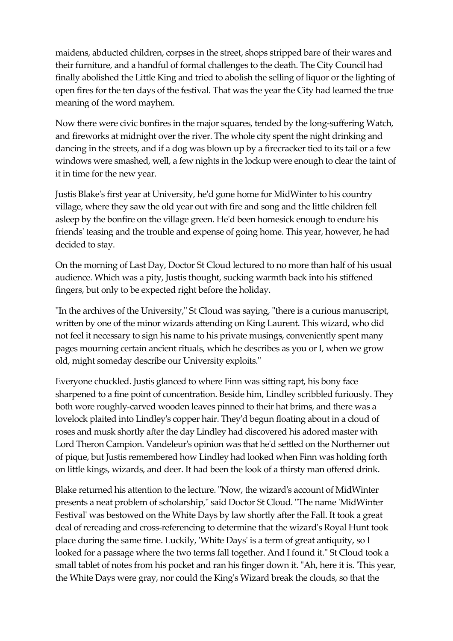maidens, abducted children, corpses in the street, shops stripped bare of their wares and their furniture, and a handful of formal challenges to the death. The City Council had finally abolished the Little King and tried to abolish the selling of liquor or the lighting of open fires for the ten days of the festival. That was the year the City had learned the true meaning of the word mayhem.

Now there were civic bonfires in the major squares, tended by the long-suffering Watch, and fireworks at midnight over the river. The whole city spent the night drinking and dancing in the streets, and if a dog was blown up by a firecracker tied to its tail or a few windows were smashed, well, a few nights in the lockup were enough to clear the taint of it in time for the new year.

Justis Blake's first year at University, he'd gone home for MidWinter to his country village, where they saw the old year out with fire and song and the little children fell asleep by the bonfire on the village green. He'd been homesick enough to endure his friends' teasing and the trouble and expense of going home. This year, however, he had decided to stay.

On the morning of Last Day, Doctor St Cloud lectured to no more than half of his usual audience. Which was a pity, Justis thought, sucking warmth back into his stiffened fingers, but only to be expected right before the holiday.

"In the archives of the University," St Cloud was saying, "there is a curious manuscript, written by one of the minor wizards attending on King Laurent. This wizard, who did not feel it necessary to sign his name to his private musings, conveniently spent many pages mourning certain ancient rituals, which he describes as you or I, when we grow old, might someday describe our University exploits."

Everyone chuckled. Justis glanced to where Finn was sitting rapt, his bony face sharpened to a fine point of concentration. Beside him, Lindley scribbled furiously. They both wore roughly-carved wooden leaves pinned to their hat brims, and there was a lovelock plaited into Lindley's copper hair. They'd begun floating about in a cloud of roses and musk shortly after the day Lindley had discovered his adored master with Lord Theron Campion. Vandeleur's opinion was that he'd settled on the Northerner out of pique, but Justis remembered how Lindley had looked when Finn was holding forth on little kings, wizards, and deer. It had been the look of a thirsty man offered drink.

Blake returned his attention to the lecture. "Now, the wizard's account of MidWinter presents a neat problem of scholarship," said Doctor St Cloud. "The name 'MidWinter Festival' was bestowed on the White Days by law shortly after the Fall. It took a great deal of rereading and cross-referencing to determine that the wizard's Royal Hunt took place during the same time. Luckily, 'White Days' is a term of great antiquity, so I looked for a passage where the two terms fall together. And I found it." St Cloud took a small tablet of notes from his pocket and ran his finger down it. "Ah, here it is. 'This year, the White Days were gray, nor could the King's Wizard break the clouds, so that the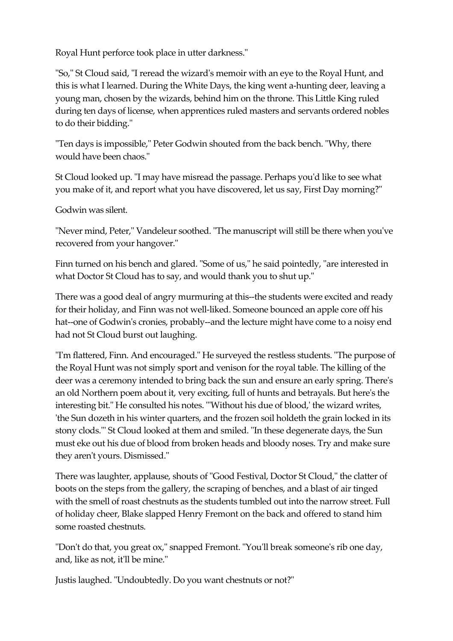Royal Hunt perforce took place in utter darkness."

"So," St Cloud said, "I reread the wizard's memoir with an eye to the Royal Hunt, and this is what I learned. During the White Days, the king went a-hunting deer, leaving a young man, chosen by the wizards, behind him on the throne. This Little King ruled during ten days of license, when apprentices ruled masters and servants ordered nobles to do their bidding."

"Ten days is impossible," Peter Godwin shouted from the back bench. "Why, there would have been chaos."

St Cloud looked up. "I may have misread the passage. Perhaps you'd like to see what you make of it, and report what you have discovered, let us say, First Day morning?"

Godwin was silent.

"Never mind, Peter," Vandeleur soothed. "The manuscript will still be there when you've recovered from your hangover."

Finn turned on his bench and glared. "Some of us," he said pointedly, "are interested in what Doctor St Cloud has to say, and would thank you to shut up."

There was a good deal of angry murmuring at this--the students were excited and ready for their holiday, and Finn was not well-liked. Someone bounced an apple core off his hat--one of Godwin's cronies, probably--and the lecture might have come to a noisy end had not St Cloud burst out laughing.

"I'm flattered, Finn. And encouraged." He surveyed the restless students. "The purpose of the Royal Hunt was not simply sport and venison for the royal table. The killing of the deer was a ceremony intended to bring back the sun and ensure an early spring. There's an old Northern poem about it, very exciting, full of hunts and betrayals. But here's the interesting bit." He consulted his notes. "'Without his due of blood,' the wizard writes, 'the Sun dozeth in his winter quarters, and the frozen soil holdeth the grain locked in its stony clods.'" St Cloud looked at them and smiled. "In these degenerate days, the Sun must eke out his due of blood from broken heads and bloody noses. Try and make sure they aren't yours. Dismissed."

There was laughter, applause, shouts of "Good Festival, Doctor St Cloud," the clatter of boots on the steps from the gallery, the scraping of benches, and a blast of air tinged with the smell of roast chestnuts as the students tumbled out into the narrow street. Full of holiday cheer, Blake slapped Henry Fremont on the back and offered to stand him some roasted chestnuts.

"Don't do that, you great ox," snapped Fremont. "You'll break someone's rib one day, and, like as not, it'll be mine."

Justis laughed. "Undoubtedly. Do you want chestnuts or not?"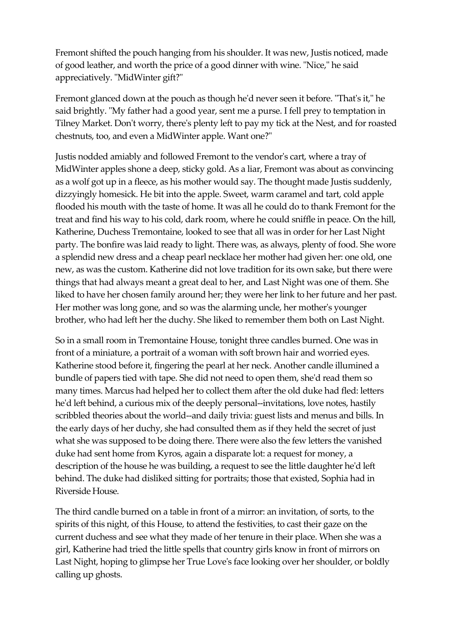Fremont shifted the pouch hanging from his shoulder. It was new, Justis noticed, made of good leather, and worth the price of a good dinner with wine. "Nice," he said appreciatively. "MidWinter gift?"

Fremont glanced down at the pouch as though he'd never seen it before. "That's it," he said brightly. "My father had a good year, sent me a purse. I fell prey to temptation in Tilney Market. Don't worry, there's plenty left to pay my tick at the Nest, and for roasted chestnuts, too, and even a MidWinter apple. Want one?"

Justis nodded amiably and followed Fremont to the vendor's cart, where a tray of MidWinter apples shone a deep, sticky gold. As a liar, Fremont was about as convincing as a wolf got up in a fleece, as his mother would say. The thought made Justis suddenly, dizzyingly homesick. He bit into the apple. Sweet, warm caramel and tart, cold apple flooded his mouth with the taste of home. It was all he could do to thank Fremont for the treat and find his way to his cold, dark room, where he could sniffle in peace. On the hill, Katherine, Duchess Tremontaine, looked to see that all was in order for her Last Night party. The bonfire was laid ready to light. There was, as always, plenty of food. She wore a splendid new dress and a cheap pearl necklace her mother had given her: one old, one new, as was the custom. Katherine did not love tradition for its own sake, but there were things that had always meant a great deal to her, and Last Night was one of them. She liked to have her chosen family around her; they were her link to her future and her past. Her mother was long gone, and so was the alarming uncle, her mother's younger brother, who had left her the duchy. She liked to remember them both on Last Night.

So in a small room in Tremontaine House, tonight three candles burned. One was in front of a miniature, a portrait of a woman with soft brown hair and worried eyes. Katherine stood before it, fingering the pearl at her neck. Another candle illumined a bundle of papers tied with tape. She did not need to open them, she'd read them so many times. Marcus had helped her to collect them after the old duke had fled: letters he'd left behind, a curious mix of the deeply personal--invitations, love notes, hastily scribbled theories about the world--and daily trivia: guest lists and menus and bills. In the early days of her duchy, she had consulted them as if they held the secret of just what she was supposed to be doing there. There were also the few letters the vanished duke had sent home from Kyros, again a disparate lot: a request for money, a description of the house he was building, a request to see the little daughter he'd left behind. The duke had disliked sitting for portraits; those that existed, Sophia had in Riverside House.

The third candle burned on a table in front of a mirror: an invitation, of sorts, to the spirits of this night, of this House, to attend the festivities, to cast their gaze on the current duchess and see what they made of her tenure in their place. When she was a girl, Katherine had tried the little spells that country girls know in front of mirrors on Last Night, hoping to glimpse her True Love's face looking over her shoulder, or boldly calling up ghosts.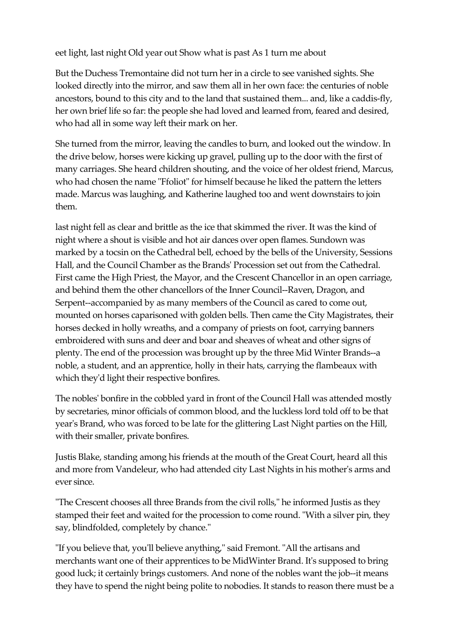## eet light, last night Old year out Show what is past As 1 turn me about

But the Duchess Tremontaine did not turn her in a circle to see vanished sights. She looked directly into the mirror, and saw them all in her own face: the centuries of noble ancestors, bound to this city and to the land that sustained them... and, like a caddis-fly, her own brief life so far: the people she had loved and learned from, feared and desired, who had all in some way left their mark on her.

She turned from the mirror, leaving the candles to burn, and looked out the window. In the drive below, horses were kicking up gravel, pulling up to the door with the first of many carriages. She heard children shouting, and the voice of her oldest friend, Marcus, who had chosen the name "Ffoliot" for himself because he liked the pattern the letters made. Marcus was laughing, and Katherine laughed too and went downstairs to join them.

last night fell as clear and brittle as the ice that skimmed the river. It was the kind of night where a shout is visible and hot air dances over open flames. Sundown was marked by a tocsin on the Cathedral bell, echoed by the bells of the University, Sessions Hall, and the Council Chamber as the Brands' Procession set out from the Cathedral. First came the High Priest, the Mayor, and the Crescent Chancellor in an open carriage, and behind them the other chancellors of the Inner Council--Raven, Dragon, and Serpent--accompanied by as many members of the Council as cared to come out, mounted on horses caparisoned with golden bells. Then came the City Magistrates, their horses decked in holly wreaths, and a company of priests on foot, carrying banners embroidered with suns and deer and boar and sheaves of wheat and other signs of plenty. The end of the procession was brought up by the three Mid Winter Brands--a noble, a student, and an apprentice, holly in their hats, carrying the flambeaux with which they'd light their respective bonfires.

The nobles' bonfire in the cobbled yard in front of the Council Hall was attended mostly by secretaries, minor officials of common blood, and the luckless lord told off to be that year's Brand, who was forced to be late for the glittering Last Night parties on the Hill, with their smaller, private bonfires.

Justis Blake, standing among his friends at the mouth of the Great Court, heard all this and more from Vandeleur, who had attended city Last Nights in his mother's arms and ever since.

"The Crescent chooses all three Brands from the civil rolls," he informed Justis as they stamped their feet and waited for the procession to come round. "With a silver pin, they say, blindfolded, completely by chance."

"If you believe that, you'll believe anything," said Fremont. "All the artisans and merchants want one of their apprentices to be MidWinter Brand. It's supposed to bring good luck; it certainly brings customers. And none of the nobles want the job--it means they have to spend the night being polite to nobodies. It stands to reason there must be a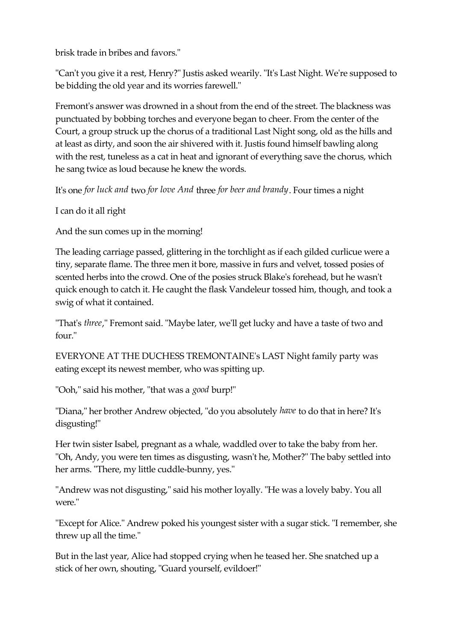brisk trade in bribes and favors."

"Can't you give it a rest, Henry?" Justis asked wearily. "It's Last Night. We're supposed to be bidding the old year and its worries farewell."

Fremont's answer was drowned in a shout from the end of the street. The blackness was punctuated by bobbing torches and everyone began to cheer. From the center of the Court, a group struck up the chorus of a traditional Last Night song, old as the hills and at least as dirty, and soon the air shivered with it. Justis found himself bawling along with the rest, tuneless as a cat in heat and ignorant of everything save the chorus, which he sang twice as loud because he knew the words.

It's one *for luck and* two *for love And* three *for beer and brandy*. Four times a night

I can do it all right

And the sun comes up in the morning!

The leading carriage passed, glittering in the torchlight as if each gilded curlicue were a tiny, separate flame. The three men it bore, massive in furs and velvet, tossed posies of scented herbs into the crowd. One of the posies struck Blake's forehead, but he wasn't quick enough to catch it. He caught the flask Vandeleur tossed him, though, and took a swig of what it contained.

"That's *three*," Fremont said. "Maybe later, we'll get lucky and have a taste of two and four."

EVERYONE AT THE DUCHESS TREMONTAINE's LAST Night family party was eating except its newest member, who was spitting up.

"Ooh," said his mother, "that was a *good* burp!"

"Diana," her brother Andrew objected, "do you absolutely *have* to do that in here? It's disgusting!"

Her twin sister Isabel, pregnant as a whale, waddled over to take the baby from her. "Oh, Andy, you were ten times as disgusting, wasn't he, Mother?" The baby settled into her arms. "There, my little cuddle-bunny, yes."

"Andrew was not disgusting," said his mother loyally. "He was a lovely baby. You all were."

"Except for Alice." Andrew poked his youngest sister with a sugar stick. "I remember, she threw up all the time."

But in the last year, Alice had stopped crying when he teased her. She snatched up a stick of her own, shouting, "Guard yourself, evildoer!"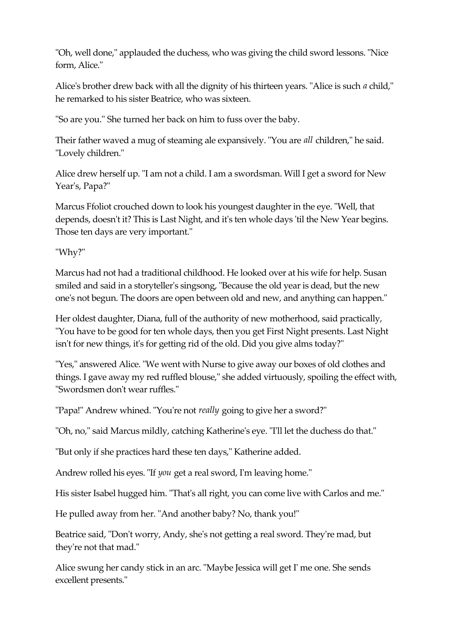"Oh, well done," applauded the duchess, who was giving the child sword lessons. "Nice form, Alice."

Alice's brother drew back with all the dignity of his thirteen years. "Alice is such *a* child," he remarked to his sister Beatrice, who was sixteen.

"So are you." She turned her back on him to fuss over the baby.

Their father waved a mug of steaming ale expansively. "You are *all* children," he said. "Lovely children."

Alice drew herself up. "I am not a child. I am a swordsman. Will I get a sword for New Year's, Papa?"

Marcus Ffoliot crouched down to look his youngest daughter in the eye. "Well, that depends, doesn't it? This is Last Night, and it's ten whole days 'til the New Year begins. Those ten days are very important."

"Why?"

Marcus had not had a traditional childhood. He looked over at his wife for help. Susan smiled and said in a storyteller's singsong, "Because the old year is dead, but the new one's not begun. The doors are open between old and new, and anything can happen."

Her oldest daughter, Diana, full of the authority of new motherhood, said practically, "You have to be good for ten whole days, then you get First Night presents. Last Night isn't for new things, it's for getting rid of the old. Did you give alms today?"

"Yes," answered Alice. "We went with Nurse to give away our boxes of old clothes and things. I gave away my red ruffled blouse," she added virtuously, spoiling the effect with, "Swordsmen don't wear ruffles."

"Papa!" Andrew whined. "You're not *really* going to give her a sword?"

"Oh, no," said Marcus mildly, catching Katherine's eye. "I'll let the duchess do that."

"But only if she practices hard these ten days," Katherine added.

Andrew rolled his eyes. "If *you* get a real sword, I'm leaving home."

His sister Isabel hugged him. "That's all right, you can come live with Carlos and me."

He pulled away from her. "And another baby? No, thank you!"

Beatrice said, "Don't worry, Andy, she's not getting a real sword. They're mad, but they're not that mad."

Alice swung her candy stick in an arc. "Maybe Jessica will get I' me one. She sends excellent presents."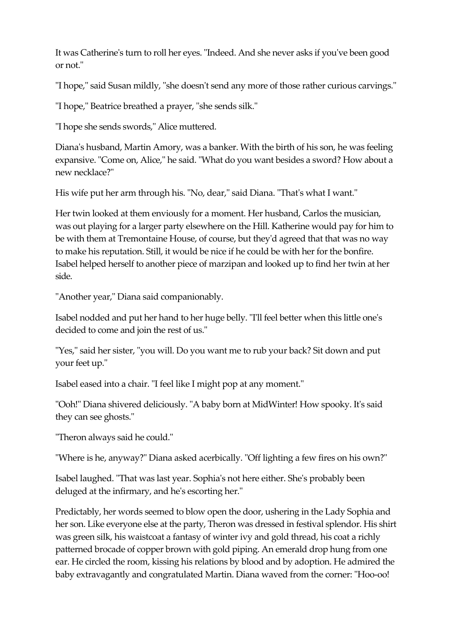It was Catherine's turn to roll her eyes. "Indeed. And she never asks if you've been good or not."

"I hope," said Susan mildly, "she doesn't send any more of those rather curious carvings."

"I hope," Beatrice breathed a prayer, "she sends silk."

"I hope she sends swords," Alice muttered.

Diana's husband, Martin Amory, was a banker. With the birth of his son, he was feeling expansive. "Come on, Alice," he said. "What do you want besides a sword? How about a new necklace?"

His wife put her arm through his. "No, dear," said Diana. "That's what I want."

Her twin looked at them enviously for a moment. Her husband, Carlos the musician, was out playing for a larger party elsewhere on the Hill. Katherine would pay for him to be with them at Tremontaine House, of course, but they'd agreed that that was no way to make his reputation. Still, it would be nice if he could be with her for the bonfire. Isabel helped herself to another piece of marzipan and looked up to find her twin at her side.

"Another year," Diana said companionably.

Isabel nodded and put her hand to her huge belly. "I'll feel better when this little one's decided to come and join the rest of us."

"Yes," said her sister, "you will. Do you want me to rub your back? Sit down and put your feet up."

Isabel eased into a chair. "I feel like I might pop at any moment."

"Ooh!" Diana shivered deliciously. "A baby born at MidWinter! How spooky. It's said they can see ghosts."

"Theron always said he could."

"Where is he, anyway?" Diana asked acerbically. "Off lighting a few fires on his own?"

Isabel laughed. "That was last year. Sophia's not here either. She's probably been deluged at the infirmary, and he's escorting her."

Predictably, her words seemed to blow open the door, ushering in the Lady Sophia and her son. Like everyone else at the party, Theron was dressed in festival splendor. His shirt was green silk, his waistcoat a fantasy of winter ivy and gold thread, his coat a richly patterned brocade of copper brown with gold piping. An emerald drop hung from one ear. He circled the room, kissing his relations by blood and by adoption. He admired the baby extravagantly and congratulated Martin. Diana waved from the corner: "Hoo-oo!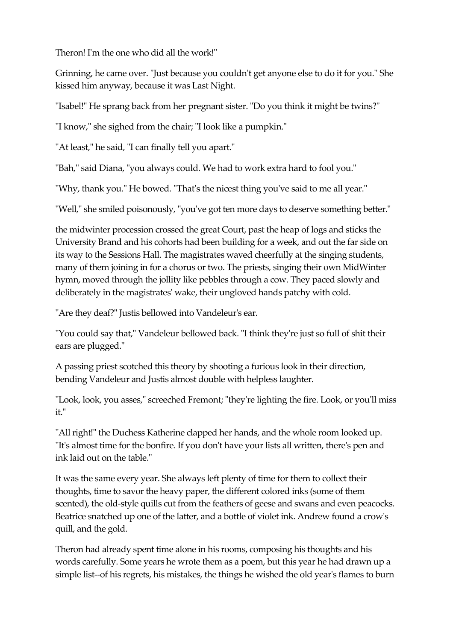Theron! I'm the one who did all the work!"

Grinning, he came over. "Just because you couldn't get anyone else to do it for you." She kissed him anyway, because it was Last Night.

"Isabel!" He sprang back from her pregnant sister. "Do you think it might be twins?"

"I know," she sighed from the chair; "I look like a pumpkin."

"At least," he said, "I can finally tell you apart."

"Bah," said Diana, "you always could. We had to work extra hard to fool you."

"Why, thank you." He bowed. "That's the nicest thing you've said to me all year."

"Well," she smiled poisonously, "you've got ten more days to deserve something better."

the midwinter procession crossed the great Court, past the heap of logs and sticks the University Brand and his cohorts had been building for a week, and out the far side on its way to the Sessions Hall. The magistrates waved cheerfully at the singing students, many of them joining in for a chorus or two. The priests, singing their own MidWinter hymn, moved through the jollity like pebbles through a cow. They paced slowly and deliberately in the magistrates' wake, their ungloved hands patchy with cold.

"Are they deaf?" Justis bellowed into Vandeleur's ear.

"You could say that," Vandeleur bellowed back. "I think they're just so full of shit their ears are plugged."

A passing priest scotched this theory by shooting a furious look in their direction, bending Vandeleur and Justis almost double with helpless laughter.

"Look, look, you asses," screeched Fremont; "they're lighting the fire. Look, or you'll miss it."

"All right!" the Duchess Katherine clapped her hands, and the whole room looked up. "It's almost time for the bonfire. If you don't have your lists all written, there's pen and ink laid out on the table."

It was the same every year. She always left plenty of time for them to collect their thoughts, time to savor the heavy paper, the different colored inks (some of them scented), the old-style quills cut from the feathers of geese and swans and even peacocks. Beatrice snatched up one of the latter, and a bottle of violet ink. Andrew found a crow's quill, and the gold.

Theron had already spent time alone in his rooms, composing his thoughts and his words carefully. Some years he wrote them as a poem, but this year he had drawn up a simple list--of his regrets, his mistakes, the things he wished the old year's flames to burn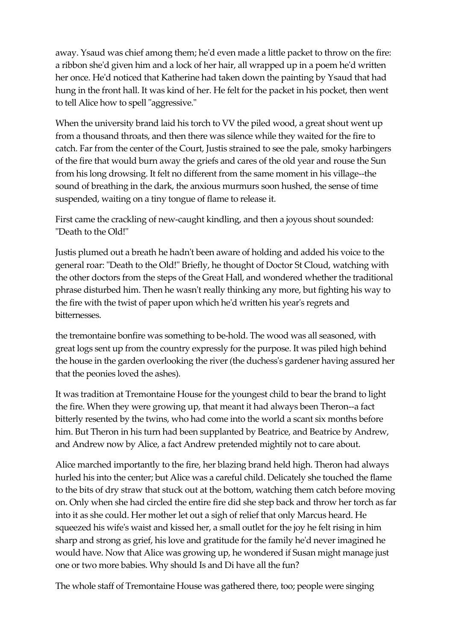away. Ysaud was chief among them; he'd even made a little packet to throw on the fire: a ribbon she'd given him and a lock of her hair, all wrapped up in a poem he'd written her once. He'd noticed that Katherine had taken down the painting by Ysaud that had hung in the front hall. It was kind of her. He felt for the packet in his pocket, then went to tell Alice how to spell "aggressive."

When the university brand laid his torch to VV the piled wood, a great shout went up from a thousand throats, and then there was silence while they waited for the fire to catch. Far from the center of the Court, Justis strained to see the pale, smoky harbingers of the fire that would burn away the griefs and cares of the old year and rouse the Sun from his long drowsing. It felt no different from the same moment in his village--the sound of breathing in the dark, the anxious murmurs soon hushed, the sense of time suspended, waiting on a tiny tongue of flame to release it.

First came the crackling of new-caught kindling, and then a joyous shout sounded: "Death to the Old!"

Justis plumed out a breath he hadn't been aware of holding and added his voice to the general roar: "Death to the Old!" Briefly, he thought of Doctor St Cloud, watching with the other doctors from the steps of the Great Hall, and wondered whether the traditional phrase disturbed him. Then he wasn't really thinking any more, but fighting his way to the fire with the twist of paper upon which he'd written his year's regrets and bitternesses.

the tremontaine bonfire was something to be-hold. The wood was all seasoned, with great logs sent up from the country expressly for the purpose. It was piled high behind the house in the garden overlooking the river (the duchess's gardener having assured her that the peonies loved the ashes).

It was tradition at Tremontaine House for the youngest child to bear the brand to light the fire. When they were growing up, that meant it had always been Theron--a fact bitterly resented by the twins, who had come into the world a scant six months before him. But Theron in his turn had been supplanted by Beatrice, and Beatrice by Andrew, and Andrew now by Alice, a fact Andrew pretended mightily not to care about.

Alice marched importantly to the fire, her blazing brand held high. Theron had always hurled his into the center; but Alice was a careful child. Delicately she touched the flame to the bits of dry straw that stuck out at the bottom, watching them catch before moving on. Only when she had circled the entire fire did she step back and throw her torch as far into it as she could. Her mother let out a sigh of relief that only Marcus heard. He squeezed his wife's waist and kissed her, a small outlet for the joy he felt rising in him sharp and strong as grief, his love and gratitude for the family he'd never imagined he would have. Now that Alice was growing up, he wondered if Susan might manage just one or two more babies. Why should Is and Di have all the fun?

The whole staff of Tremontaine House was gathered there, too; people were singing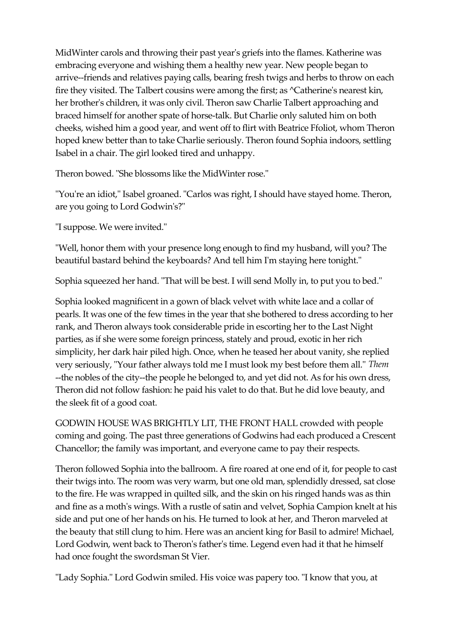MidWinter carols and throwing their past year's griefs into the flames. Katherine was embracing everyone and wishing them a healthy new year. New people began to arrive--friends and relatives paying calls, bearing fresh twigs and herbs to throw on each fire they visited. The Talbert cousins were among the first; as ^Catherine's nearest kin, her brother's children, it was only civil. Theron saw Charlie Talbert approaching and braced himself for another spate of horse-talk. But Charlie only saluted him on both cheeks, wished him a good year, and went off to flirt with Beatrice Ffoliot, whom Theron hoped knew better than to take Charlie seriously. Theron found Sophia indoors, settling Isabel in a chair. The girl looked tired and unhappy.

Theron bowed. "She blossoms like the MidWinter rose."

"You're an idiot," Isabel groaned. "Carlos was right, I should have stayed home. Theron, are you going to Lord Godwin's?"

"I suppose. We were invited."

"Well, honor them with your presence long enough to find my husband, will you? The beautiful bastard behind the keyboards? And tell him I'm staying here tonight."

Sophia squeezed her hand. "That will be best. I will send Molly in, to put you to bed."

Sophia looked magnificent in a gown of black velvet with white lace and a collar of pearls. It was one of the few times in the year that she bothered to dress according to her rank, and Theron always took considerable pride in escorting her to the Last Night parties, as if she were some foreign princess, stately and proud, exotic in her rich simplicity, her dark hair piled high. Once, when he teased her about vanity, she replied very seriously, "Your father always told me I must look my best before them all." *Them* --the nobles of the city--the people he belonged to, and yet did not. As for his own dress, Theron did not follow fashion: he paid his valet to do that. But he did love beauty, and the sleek fit of a good coat.

GODWIN HOUSE WAS BRIGHTLY LIT, THE FRONT HALL crowded with people coming and going. The past three generations of Godwins had each produced a Crescent Chancellor; the family was important, and everyone came to pay their respects.

Theron followed Sophia into the ballroom. A fire roared at one end of it, for people to cast their twigs into. The room was very warm, but one old man, splendidly dressed, sat close to the fire. He was wrapped in quilted silk, and the skin on his ringed hands was as thin and fine as a moth's wings. With a rustle of satin and velvet, Sophia Campion knelt at his side and put one of her hands on his. He turned to look at her, and Theron marveled at the beauty that still clung to him. Here was an ancient king for Basil to admire! Michael, Lord Godwin, went back to Theron's father's time. Legend even had it that he himself had once fought the swordsman St Vier.

"Lady Sophia." Lord Godwin smiled. His voice was papery too. "I know that you, at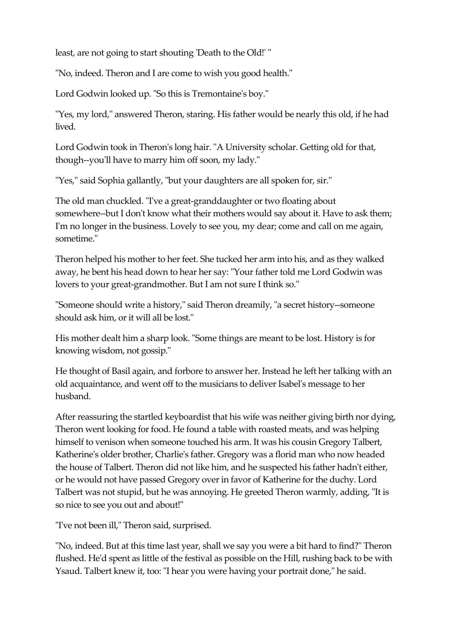least, are not going to start shouting 'Death to the Old!' "

"No, indeed. Theron and I are come to wish you good health."

Lord Godwin looked up. "So this is Tremontaine's boy."

"Yes, my lord," answered Theron, staring. His father would be nearly this old, if he had lived.

Lord Godwin took in Theron's long hair. "A University scholar. Getting old for that, though--you'll have to marry him off soon, my lady."

"Yes," said Sophia gallantly, "but your daughters are all spoken for, sir."

The old man chuckled. "I've a great-granddaughter or two floating about somewhere--but I don't know what their mothers would say about it. Have to ask them; I'm no longer in the business. Lovely to see you, my dear; come and call on me again, sometime."

Theron helped his mother to her feet. She tucked her arm into his, and as they walked away, he bent his head down to hear her say: "Your father told me Lord Godwin was lovers to your great-grandmother. But I am not sure I think so."

"Someone should write a history," said Theron dreamily, "a secret history--someone should ask him, or it will all be lost."

His mother dealt him a sharp look. "Some things are meant to be lost. History is for knowing wisdom, not gossip."

He thought of Basil again, and forbore to answer her. Instead he left her talking with an old acquaintance, and went off to the musicians to deliver Isabel's message to her husband.

After reassuring the startled keyboardist that his wife was neither giving birth nor dying, Theron went looking for food. He found a table with roasted meats, and was helping himself to venison when someone touched his arm. It was his cousin Gregory Talbert, Katherine's older brother, Charlie's father. Gregory was a florid man who now headed the house of Talbert. Theron did not like him, and he suspected his father hadn't either, or he would not have passed Gregory over in favor of Katherine for the duchy. Lord Talbert was not stupid, but he was annoying. He greeted Theron warmly, adding, "It is so nice to see you out and about!"

"I've not been ill," Theron said, surprised.

"No, indeed. But at this time last year, shall we say you were a bit hard to find?" Theron flushed. He'd spent as little of the festival as possible on the Hill, rushing back to be with Ysaud. Talbert knew it, too: "I hear you were having your portrait done," he said.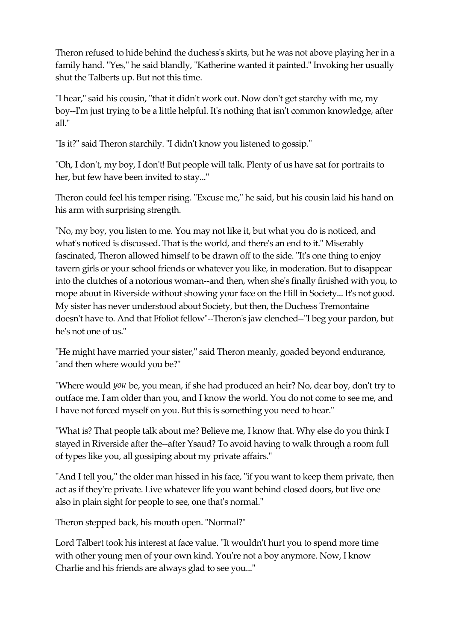Theron refused to hide behind the duchess's skirts, but he was not above playing her in a family hand. "Yes," he said blandly, "Katherine wanted it painted." Invoking her usually shut the Talberts up. But not this time.

"I hear," said his cousin, "that it didn't work out. Now don't get starchy with me, my boy--I'm just trying to be a little helpful. It's nothing that isn't common knowledge, after all."

"Is it?" said Theron starchily. "I didn't know you listened to gossip."

"Oh, I don't, my boy, I don't! But people will talk. Plenty of us have sat for portraits to her, but few have been invited to stay..."

Theron could feel his temper rising. "Excuse me," he said, but his cousin laid his hand on his arm with surprising strength.

"No, my boy, you listen to me. You may not like it, but what you do is noticed, and what's noticed is discussed. That is the world, and there's an end to it." Miserably fascinated, Theron allowed himself to be drawn off to the side. "It's one thing to enjoy tavern girls or your school friends or whatever you like, in moderation. But to disappear into the clutches of a notorious woman--and then, when she's finally finished with you, to mope about in Riverside without showing your face on the Hill in Society... It's not good. My sister has never understood about Society, but then, the Duchess Tremontaine doesn't have to. And that Ffoliot fellow"--Theron's jaw clenched--"I beg your pardon, but he's not one of us."

"He might have married your sister," said Theron meanly, goaded beyond endurance, "and then where would you be?"

"Where would *you* be, you mean, if she had produced an heir? No, dear boy, don't try to outface me. I am older than you, and I know the world. You do not come to see me, and I have not forced myself on you. But this is something you need to hear."

"What is? That people talk about me? Believe me, I know that. Why else do you think I stayed in Riverside after the--after Ysaud? To avoid having to walk through a room full of types like you, all gossiping about my private affairs."

"And I tell you," the older man hissed in his face, "if you want to keep them private, then act as if they're private. Live whatever life you want behind closed doors, but live one also in plain sight for people to see, one that's normal."

Theron stepped back, his mouth open. "Normal?"

Lord Talbert took his interest at face value. "It wouldn't hurt you to spend more time with other young men of your own kind. You're not a boy anymore. Now, I know Charlie and his friends are always glad to see you..."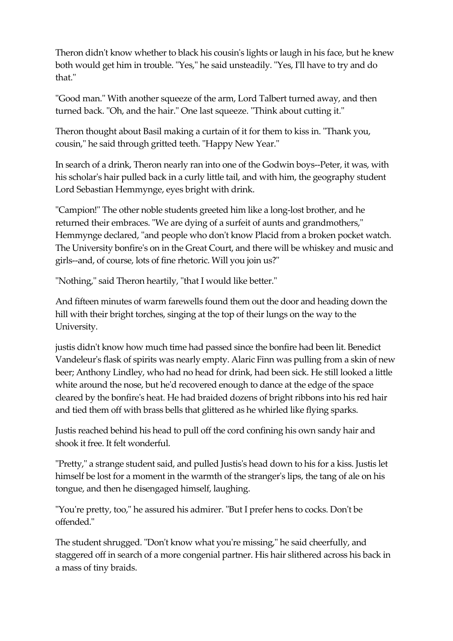Theron didn't know whether to black his cousin's lights or laugh in his face, but he knew both would get him in trouble. "Yes," he said unsteadily. "Yes, I'll have to try and do that."

"Good man." With another squeeze of the arm, Lord Talbert turned away, and then turned back. "Oh, and the hair." One last squeeze. "Think about cutting it."

Theron thought about Basil making a curtain of it for them to kiss in. "Thank you, cousin," he said through gritted teeth. "Happy New Year."

In search of a drink, Theron nearly ran into one of the Godwin boys--Peter, it was, with his scholar's hair pulled back in a curly little tail, and with him, the geography student Lord Sebastian Hemmynge, eyes bright with drink.

"Campion!" The other noble students greeted him like a long-lost brother, and he returned their embraces. "We are dying of a surfeit of aunts and grandmothers," Hemmynge declared, "and people who don't know Placid from a broken pocket watch. The University bonfire's on in the Great Court, and there will be whiskey and music and girls--and, of course, lots of fine rhetoric. Will you join us?"

"Nothing," said Theron heartily, "that I would like better."

And fifteen minutes of warm farewells found them out the door and heading down the hill with their bright torches, singing at the top of their lungs on the way to the University.

justis didn't know how much time had passed since the bonfire had been lit. Benedict Vandeleur's flask of spirits was nearly empty. Alaric Finn was pulling from a skin of new beer; Anthony Lindley, who had no head for drink, had been sick. He still looked a little white around the nose, but he'd recovered enough to dance at the edge of the space cleared by the bonfire's heat. He had braided dozens of bright ribbons into his red hair and tied them off with brass bells that glittered as he whirled like flying sparks.

Justis reached behind his head to pull off the cord confining his own sandy hair and shook it free. It felt wonderful.

"Pretty," a strange student said, and pulled Justis's head down to his for a kiss. Justis let himself be lost for a moment in the warmth of the stranger's lips, the tang of ale on his tongue, and then he disengaged himself, laughing.

"You're pretty, too," he assured his admirer. "But I prefer hens to cocks. Don't be offended."

The student shrugged. "Don't know what you're missing," he said cheerfully, and staggered off in search of a more congenial partner. His hair slithered across his back in a mass of tiny braids.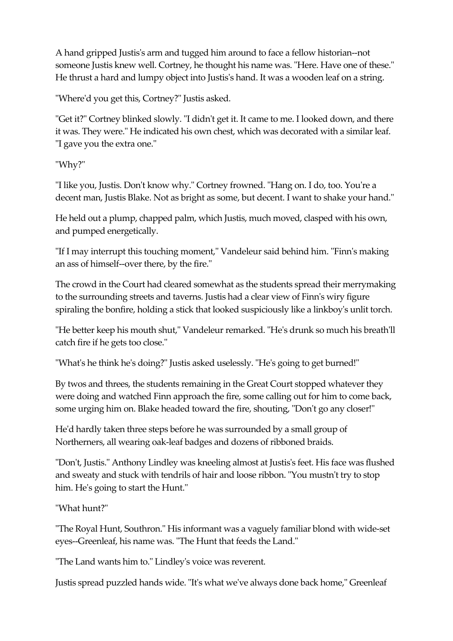A hand gripped Justis's arm and tugged him around to face a fellow historian--not someone Justis knew well. Cortney, he thought his name was. "Here. Have one of these." He thrust a hard and lumpy object into Justis's hand. It was a wooden leaf on a string.

"Where'd you get this, Cortney?" Justis asked.

"Get it?" Cortney blinked slowly. "I didn't get it. It came to me. I looked down, and there it was. They were." He indicated his own chest, which was decorated with a similar leaf. "I gave you the extra one."

"Why?"

"I like you, Justis. Don't know why." Cortney frowned. "Hang on. I do, too. You're a decent man, Justis Blake. Not as bright as some, but decent. I want to shake your hand."

He held out a plump, chapped palm, which Justis, much moved, clasped with his own, and pumped energetically.

"If I may interrupt this touching moment," Vandeleur said behind him. "Finn's making an ass of himself--over there, by the fire."

The crowd in the Court had cleared somewhat as the students spread their merrymaking to the surrounding streets and taverns. Justis had a clear view of Finn's wiry figure spiraling the bonfire, holding a stick that looked suspiciously like a linkboy's unlit torch.

"He better keep his mouth shut," Vandeleur remarked. "He's drunk so much his breath'll catch fire if he gets too close."

"What's he think he's doing?" Justis asked uselessly. "He's going to get burned!"

By twos and threes, the students remaining in the Great Court stopped whatever they were doing and watched Finn approach the fire, some calling out for him to come back, some urging him on. Blake headed toward the fire, shouting, "Don't go any closer!"

He'd hardly taken three steps before he was surrounded by a small group of Northerners, all wearing oak-leaf badges and dozens of ribboned braids.

"Don't, Justis." Anthony Lindley was kneeling almost at Justis's feet. His face was flushed and sweaty and stuck with tendrils of hair and loose ribbon. "You mustn't try to stop him. He's going to start the Hunt."

"What hunt?"

"The Royal Hunt, Southron." His informant was a vaguely familiar blond with wide-set eyes--Greenleaf, his name was. "The Hunt that feeds the Land."

"The Land wants him to." Lindley's voice was reverent.

Justis spread puzzled hands wide. "It's what we've always done back home," Greenleaf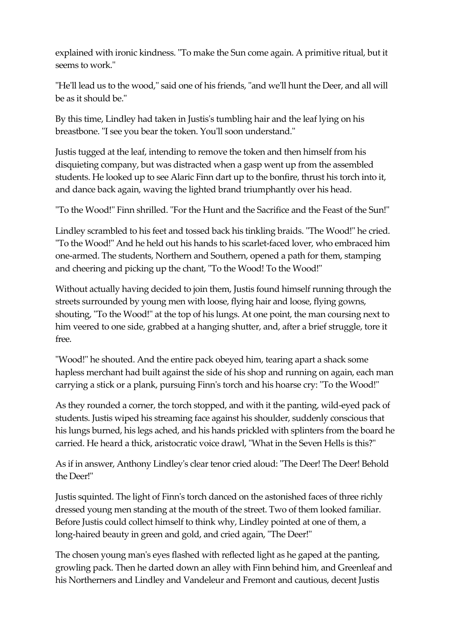explained with ironic kindness. "To make the Sun come again. A primitive ritual, but it seems to work."

"He'll lead us to the wood," said one of his friends, "and we'll hunt the Deer, and all will be as it should be."

By this time, Lindley had taken in Justis's tumbling hair and the leaf lying on his breastbone. "I see you bear the token. You'll soon understand."

Justis tugged at the leaf, intending to remove the token and then himself from his disquieting company, but was distracted when a gasp went up from the assembled students. He looked up to see Alaric Finn dart up to the bonfire, thrust his torch into it, and dance back again, waving the lighted brand triumphantly over his head.

"To the Wood!" Finn shrilled. "For the Hunt and the Sacrifice and the Feast of the Sun!"

Lindley scrambled to his feet and tossed back his tinkling braids. "The Wood!" he cried. "To the Wood!" And he held out his hands to his scarlet-faced lover, who embraced him one-armed. The students, Northern and Southern, opened a path for them, stamping and cheering and picking up the chant, "To the Wood! To the Wood!"

Without actually having decided to join them, Justis found himself running through the streets surrounded by young men with loose, flying hair and loose, flying gowns, shouting, "To the Wood!" at the top of his lungs. At one point, the man coursing next to him veered to one side, grabbed at a hanging shutter, and, after a brief struggle, tore it free.

"Wood!" he shouted. And the entire pack obeyed him, tearing apart a shack some hapless merchant had built against the side of his shop and running on again, each man carrying a stick or a plank, pursuing Finn's torch and his hoarse cry: "To the Wood!"

As they rounded a corner, the torch stopped, and with it the panting, wild-eyed pack of students. Justis wiped his streaming face against his shoulder, suddenly conscious that his lungs burned, his legs ached, and his hands prickled with splinters from the board he carried. He heard a thick, aristocratic voice drawl, "What in the Seven Hells is this?"

As if in answer, Anthony Lindley's clear tenor cried aloud: "The Deer! The Deer! Behold the Deer!"

Justis squinted. The light of Finn's torch danced on the astonished faces of three richly dressed young men standing at the mouth of the street. Two of them looked familiar. Before Justis could collect himself to think why, Lindley pointed at one of them, a long-haired beauty in green and gold, and cried again, "The Deer!"

The chosen young man's eyes flashed with reflected light as he gaped at the panting, growling pack. Then he darted down an alley with Finn behind him, and Greenleaf and his Northerners and Lindley and Vandeleur and Fremont and cautious, decent Justis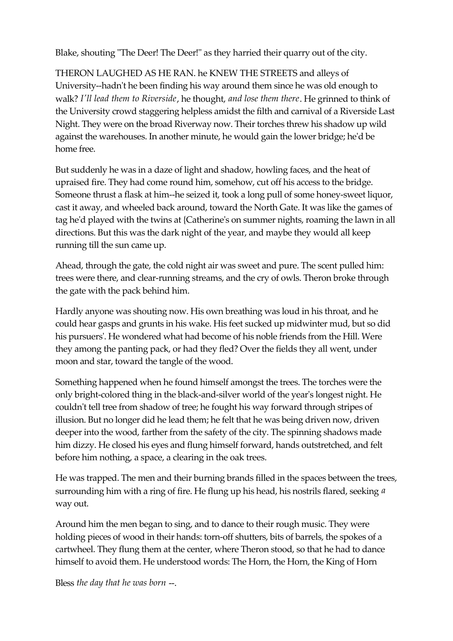Blake, shouting "The Deer! The Deer!" as they harried their quarry out of the city.

THERON LAUGHED AS HE RAN. he KNEW THE STREETS and alleys of University--hadn't he been finding his way around them since he was old enough to walk? *I'll lead them to Riverside*, he thought, *and lose them there*. He grinned to think of the University crowd staggering helpless amidst the filth and carnival of a Riverside Last Night. They were on the broad Riverway now. Their torches threw his shadow up wild against the warehouses. In another minute, he would gain the lower bridge; he'd be home free.

But suddenly he was in a daze of light and shadow, howling faces, and the heat of upraised fire. They had come round him, somehow, cut off his access to the bridge. Someone thrust a flask at him--he seized it, took a long pull of some honey-sweet liquor, cast it away, and wheeled back around, toward the North Gate. It was like the games of tag he'd played with the twins at {Catherine's on summer nights, roaming the lawn in all directions. But this was the dark night of the year, and maybe they would all keep running till the sun came up.

Ahead, through the gate, the cold night air was sweet and pure. The scent pulled him: trees were there, and clear-running streams, and the cry of owls. Theron broke through the gate with the pack behind him.

Hardly anyone was shouting now. His own breathing was loud in his throat, and he could hear gasps and grunts in his wake. His feet sucked up midwinter mud, but so did his pursuers'. He wondered what had become of his noble friends from the Hill. Were they among the panting pack, or had they fled? Over the fields they all went, under moon and star, toward the tangle of the wood.

Something happened when he found himself amongst the trees. The torches were the only bright-colored thing in the black-and-silver world of the year's longest night. He couldn't tell tree from shadow of tree; he fought his way forward through stripes of illusion. But no longer did he lead them; he felt that he was being driven now, driven deeper into the wood, farther from the safety of the city. The spinning shadows made him dizzy. He closed his eyes and flung himself forward, hands outstretched, and felt before him nothing, a space, a clearing in the oak trees.

He was trapped. The men and their burning brands filled in the spaces between the trees, surrounding him with a ring of fire. He flung up his head, his nostrils flared, seeking *a* way out.

Around him the men began to sing, and to dance to their rough music. They were holding pieces of wood in their hands: torn-off shutters, bits of barrels, the spokes of a cartwheel. They flung them at the center, where Theron stood, so that he had to dance himself to avoid them. He understood words: The Horn, the Horn, the King of Horn

Bless *the day that he was born* --.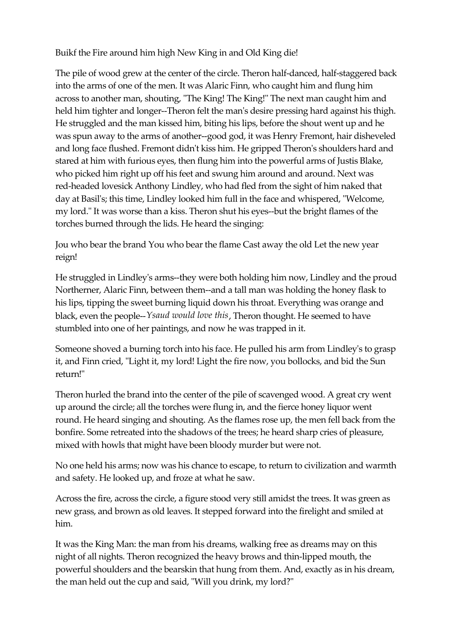Buikf the Fire around him high New King in and Old King die!

The pile of wood grew at the center of the circle. Theron half-danced, half-staggered back into the arms of one of the men. It was Alaric Finn, who caught him and flung him across to another man, shouting, "The King! The King!" The next man caught him and held him tighter and longer--Theron felt the man's desire pressing hard against his thigh. He struggled and the man kissed him, biting his lips, before the shout went up and he was spun away to the arms of another--good god, it was Henry Fremont, hair disheveled and long face flushed. Fremont didn't kiss him. He gripped Theron's shoulders hard and stared at him with furious eyes, then flung him into the powerful arms of Justis Blake, who picked him right up off his feet and swung him around and around. Next was red-headed lovesick Anthony Lindley, who had fled from the sight of him naked that day at Basil's; this time, Lindley looked him full in the face and whispered, "Welcome, my lord." It was worse than a kiss. Theron shut his eyes--but the bright flames of the torches burned through the lids. He heard the singing:

Jou who bear the brand You who bear the flame Cast away the old Let the new year reign!

He struggled in Lindley's arms--they were both holding him now, Lindley and the proud Northerner, Alaric Finn, between them--and a tall man was holding the honey flask to his lips, tipping the sweet burning liquid down his throat. Everything was orange and black, even the people--*Ysaud would love this*, Theron thought. He seemed to have stumbled into one of her paintings, and now he was trapped in it.

Someone shoved a burning torch into his face. He pulled his arm from Lindley's to grasp it, and Finn cried, "Light it, my lord! Light the fire now, you bollocks, and bid the Sun return!"

Theron hurled the brand into the center of the pile of scavenged wood. A great cry went up around the circle; all the torches were flung in, and the fierce honey liquor went round. He heard singing and shouting. As the flames rose up, the men fell back from the bonfire. Some retreated into the shadows of the trees; he heard sharp cries of pleasure, mixed with howls that might have been bloody murder but were not.

No one held his arms; now was his chance to escape, to return to civilization and warmth and safety. He looked up, and froze at what he saw.

Across the fire, across the circle, a figure stood very still amidst the trees. It was green as new grass, and brown as old leaves. It stepped forward into the firelight and smiled at him.

It was the King Man: the man from his dreams, walking free as dreams may on this night of all nights. Theron recognized the heavy brows and thin-lipped mouth, the powerful shoulders and the bearskin that hung from them. And, exactly as in his dream, the man held out the cup and said, "Will you drink, my lord?"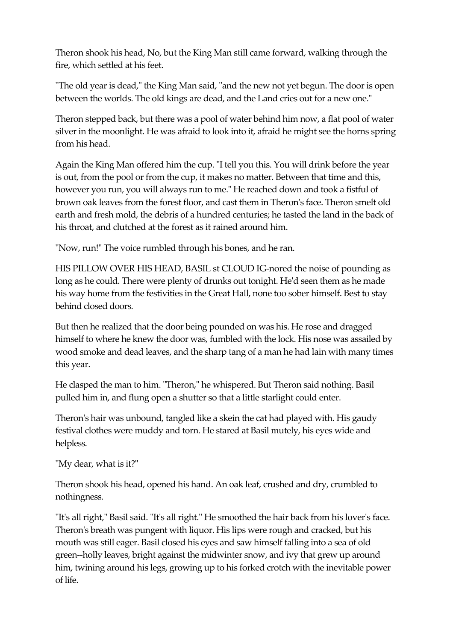Theron shook his head, No, but the King Man still came forward, walking through the fire, which settled at his feet.

"The old year is dead," the King Man said, "and the new not yet begun. The door is open between the worlds. The old kings are dead, and the Land cries out for a new one."

Theron stepped back, but there was a pool of water behind him now, a flat pool of water silver in the moonlight. He was afraid to look into it, afraid he might see the horns spring from his head.

Again the King Man offered him the cup. "I tell you this. You will drink before the year is out, from the pool or from the cup, it makes no matter. Between that time and this, however you run, you will always run to me." He reached down and took a fistful of brown oak leaves from the forest floor, and cast them in Theron's face. Theron smelt old earth and fresh mold, the debris of a hundred centuries; he tasted the land in the back of his throat, and clutched at the forest as it rained around him.

"Now, run!" The voice rumbled through his bones, and he ran.

HIS PILLOW OVER HIS HEAD, BASIL st CLOUD IG-nored the noise of pounding as long as he could. There were plenty of drunks out tonight. He'd seen them as he made his way home from the festivities in the Great Hall, none too sober himself. Best to stay behind closed doors.

But then he realized that the door being pounded on was his. He rose and dragged himself to where he knew the door was, fumbled with the lock. His nose was assailed by wood smoke and dead leaves, and the sharp tang of a man he had lain with many times this year.

He clasped the man to him. "Theron," he whispered. But Theron said nothing. Basil pulled him in, and flung open a shutter so that a little starlight could enter.

Theron's hair was unbound, tangled like a skein the cat had played with. His gaudy festival clothes were muddy and torn. He stared at Basil mutely, his eyes wide and helpless.

"My dear, what is it?"

Theron shook his head, opened his hand. An oak leaf, crushed and dry, crumbled to nothingness.

"It's all right," Basil said. "It's all right." He smoothed the hair back from his lover's face. Theron's breath was pungent with liquor. His lips were rough and cracked, but his mouth was still eager. Basil closed his eyes and saw himself falling into a sea of old green--holly leaves, bright against the midwinter snow, and ivy that grew up around him, twining around his legs, growing up to his forked crotch with the inevitable power of life.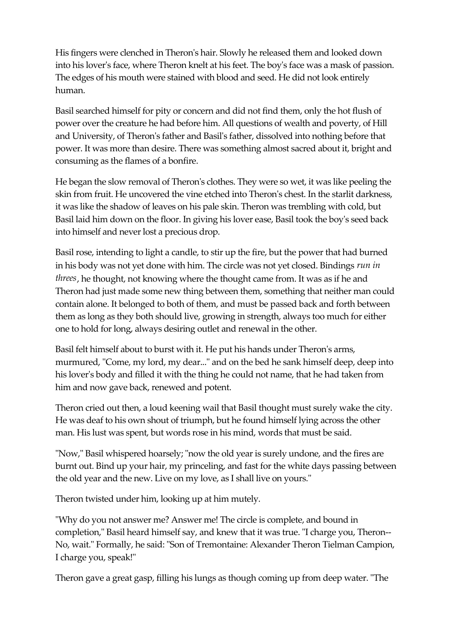His fingers were clenched in Theron's hair. Slowly he released them and looked down into his lover's face, where Theron knelt at his feet. The boy's face was a mask of passion. The edges of his mouth were stained with blood and seed. He did not look entirely human.

Basil searched himself for pity or concern and did not find them, only the hot flush of power over the creature he had before him. All questions of wealth and poverty, of Hill and University, of Theron's father and Basil's father, dissolved into nothing before that power. It was more than desire. There was something almost sacred about it, bright and consuming as the flames of a bonfire.

He began the slow removal of Theron's clothes. They were so wet, it was like peeling the skin from fruit. He uncovered the vine etched into Theron's chest. In the starlit darkness, it was like the shadow of leaves on his pale skin. Theron was trembling with cold, but Basil laid him down on the floor. In giving his lover ease, Basil took the boy's seed back into himself and never lost a precious drop.

Basil rose, intending to light a candle, to stir up the fire, but the power that had burned in his body was not yet done with him. The circle was not yet closed. Bindings *run in threes*, he thought, not knowing where the thought came from. It was as if he and Theron had just made some new thing between them, something that neither man could contain alone. It belonged to both of them, and must be passed back and forth between them as long as they both should live, growing in strength, always too much for either one to hold for long, always desiring outlet and renewal in the other.

Basil felt himself about to burst with it. He put his hands under Theron's arms, murmured, "Come, my lord, my dear..." and on the bed he sank himself deep, deep into his lover's body and filled it with the thing he could not name, that he had taken from him and now gave back, renewed and potent.

Theron cried out then, a loud keening wail that Basil thought must surely wake the city. He was deaf to his own shout of triumph, but he found himself lying across the other man. His lust was spent, but words rose in his mind, words that must be said.

"Now," Basil whispered hoarsely; "now the old year is surely undone, and the fires are burnt out. Bind up your hair, my princeling, and fast for the white days passing between the old year and the new. Live on my love, as I shall live on yours."

Theron twisted under him, looking up at him mutely.

"Why do you not answer me? Answer me! The circle is complete, and bound in completion," Basil heard himself say, and knew that it was true. "I charge you, Theron-- No, wait." Formally, he said: "Son of Tremontaine: Alexander Theron Tielman Campion, I charge you, speak!"

Theron gave a great gasp, filling his lungs as though coming up from deep water. "The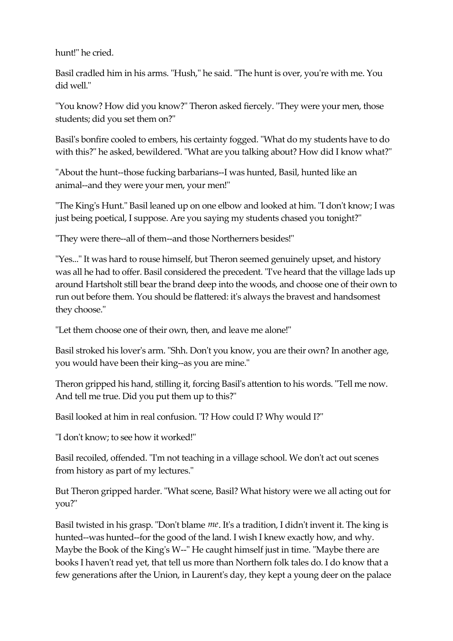hunt!" he cried.

Basil cradled him in his arms. "Hush," he said. "The hunt is over, you're with me. You did well."

"You know? How did you know?" Theron asked fiercely. "They were your men, those students; did you set them on?"

Basil's bonfire cooled to embers, his certainty fogged. "What do my students have to do with this?" he asked, bewildered. "What are you talking about? How did I know what?"

"About the hunt--those fucking barbarians--I was hunted, Basil, hunted like an animal--and they were your men, your men!"

"The King's Hunt." Basil leaned up on one elbow and looked at him. "I don't know; I was just being poetical, I suppose. Are you saying my students chased you tonight?"

"They were there--all of them--and those Northerners besides!"

"Yes..." It was hard to rouse himself, but Theron seemed genuinely upset, and history was all he had to offer. Basil considered the precedent. "I've heard that the village lads up around Hartsholt still bear the brand deep into the woods, and choose one of their own to run out before them. You should be flattered: it's always the bravest and handsomest they choose."

"Let them choose one of their own, then, and leave me alone!"

Basil stroked his lover's arm. "Shh. Don't you know, you are their own? In another age, you would have been their king--as you are mine."

Theron gripped his hand, stilling it, forcing Basil's attention to his words. "Tell me now. And tell me true. Did you put them up to this?"

Basil looked at him in real confusion. "I? How could I? Why would I?"

"I don't know; to see how it worked!"

Basil recoiled, offended. "I'm not teaching in a village school. We don't act out scenes from history as part of my lectures."

But Theron gripped harder. "What scene, Basil? What history were we all acting out for you?"

Basil twisted in his grasp. "Don't blame *me*. It's a tradition, I didn't invent it. The king is hunted--was hunted--for the good of the land. I wish I knew exactly how, and why. Maybe the Book of the King's W--" He caught himself just in time. "Maybe there are books I haven't read yet, that tell us more than Northern folk tales do. I do know that a few generations after the Union, in Laurent's day, they kept a young deer on the palace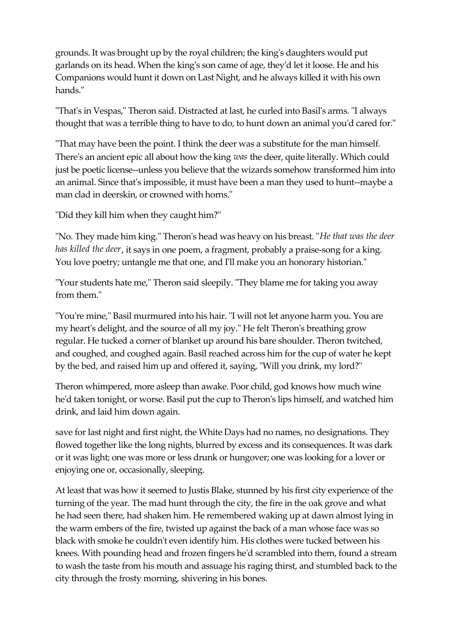grounds. It was brought up by the royal children; the king's daughters would put garlands on its head. When the king's son came of age, they'd let it loose. He and his Companions would hunt it down on Last Night, and he always killed it with his own hands."

"That's in Vespas," Theron said. Distracted at last, he curled into Basil's arms. "I always thought that was a terrible thing to have to do, to hunt down an animal you'd cared for."

"That may have been the point. I think the deer was a substitute for the man himself. There's an ancient epic all about how the king *was* the deer, quite literally. Which could just be poetic license--unless you believe that the wizards somehow transformed him into an animal. Since that's impossible, it must have been a man they used to hunt--maybe a man clad in deerskin, or crowned with horns."

"Did they kill him when they caught him?"

"No. They made him king." Theron's head was heavy on his breast. "*He that was the deer has killed the deer*, it says in one poem, a fragment, probably a praise-song for a king. You love poetry; untangle me that one, and I'll make you an honorary historian."

"Your students hate me," Theron said sleepily. "They blame me for taking you away from them."

"You're mine," Basil murmured into his hair. "I will not let anyone harm you. You are my heart's delight, and the source of all my joy." He felt Theron's breathing grow regular. He tucked a corner of blanket up around his bare shoulder. Theron twitched, and coughed, and coughed again. Basil reached across him for the cup of water he kept by the bed, and raised him up and offered it, saying, "Will you drink, my lord?"

Theron whimpered, more asleep than awake. Poor child, god knows how much wine he'd taken tonight, or worse. Basil put the cup to Theron's lips himself, and watched him drink, and laid him down again.

save for last night and first night, the White Days had no names, no designations. They flowed together like the long nights, blurred by excess and its consequences. It was dark or it was light; one was more or less drunk or hungover; one was looking for a lover or enjoying one or, occasionally, sleeping.

At least that was how it seemed to Justis Blake, stunned by his first city experience of the turning of the year. The mad hunt through the city, the fire in the oak grove and what he had seen there, had shaken him. He remembered waking up at dawn almost lying in the warm embers of the fire, twisted up against the back of a man whose face was so black with smoke he couldn't even identify him. His clothes were tucked between his knees. With pounding head and frozen fingers he'd scrambled into them, found a stream to wash the taste from his mouth and assuage his raging thirst, and stumbled back to the city through the frosty morning, shivering in his bones.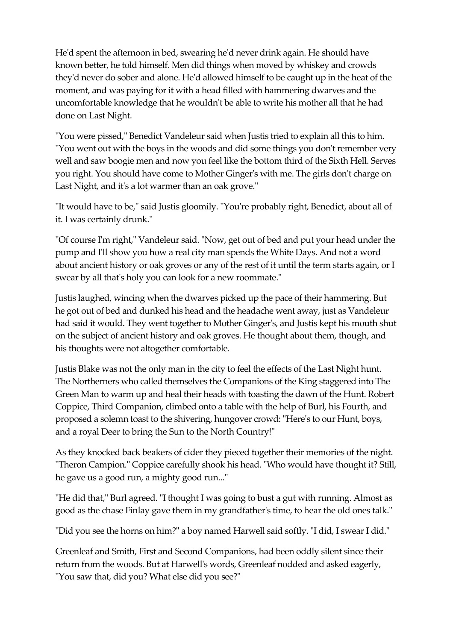He'd spent the afternoon in bed, swearing he'd never drink again. He should have known better, he told himself. Men did things when moved by whiskey and crowds they'd never do sober and alone. He'd allowed himself to be caught up in the heat of the moment, and was paying for it with a head filled with hammering dwarves and the uncomfortable knowledge that he wouldn't be able to write his mother all that he had done on Last Night.

"You were pissed," Benedict Vandeleur said when Justis tried to explain all this to him. "You went out with the boys in the woods and did some things you don't remember very well and saw boogie men and now you feel like the bottom third of the Sixth Hell. Serves you right. You should have come to Mother Ginger's with me. The girls don't charge on Last Night, and it's a lot warmer than an oak grove."

"It would have to be," said Justis gloomily. "You're probably right, Benedict, about all of it. I was certainly drunk."

"Of course I'm right," Vandeleur said. "Now, get out of bed and put your head under the pump and I'll show you how a real city man spends the White Days. And not a word about ancient history or oak groves or any of the rest of it until the term starts again, or I swear by all that's holy you can look for a new roommate."

Justis laughed, wincing when the dwarves picked up the pace of their hammering. But he got out of bed and dunked his head and the headache went away, just as Vandeleur had said it would. They went together to Mother Ginger's, and Justis kept his mouth shut on the subject of ancient history and oak groves. He thought about them, though, and his thoughts were not altogether comfortable.

Justis Blake was not the only man in the city to feel the effects of the Last Night hunt. The Northerners who called themselves the Companions of the King staggered into The Green Man to warm up and heal their heads with toasting the dawn of the Hunt. Robert Coppice, Third Companion, climbed onto a table with the help of Burl, his Fourth, and proposed a solemn toast to the shivering, hungover crowd: "Here's to our Hunt, boys, and a royal Deer to bring the Sun to the North Country!"

As they knocked back beakers of cider they pieced together their memories of the night. "Theron Campion." Coppice carefully shook his head. "Who would have thought it? Still, he gave us a good run, a mighty good run..."

"He did that," Burl agreed. "I thought I was going to bust a gut with running. Almost as good as the chase Finlay gave them in my grandfather's time, to hear the old ones talk."

"Did you see the horns on him?" a boy named Harwell said softly. "I did, I swear I did."

Greenleaf and Smith, First and Second Companions, had been oddly silent since their return from the woods. But at Harwell's words, Greenleaf nodded and asked eagerly, "You saw that, did you? What else did you see?"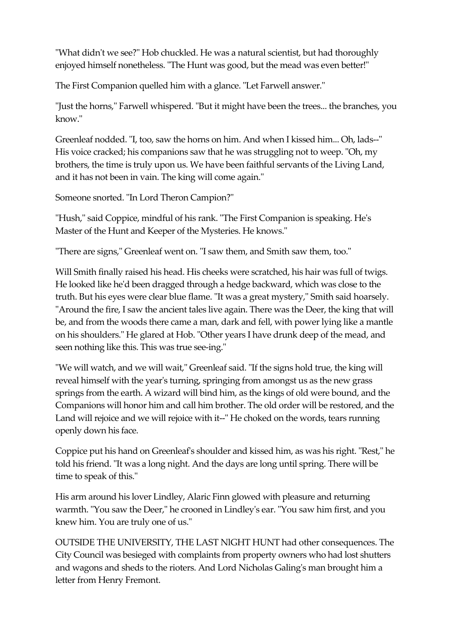"What didn't we see?" Hob chuckled. He was a natural scientist, but had thoroughly enjoyed himself nonetheless. "The Hunt was good, but the mead was even better!"

The First Companion quelled him with a glance. "Let Farwell answer."

"Just the horns," Farwell whispered. "But it might have been the trees... the branches, you know."

Greenleaf nodded. "I, too, saw the horns on him. And when I kissed him... Oh, lads--" His voice cracked; his companions saw that he was struggling not to weep. "Oh, my brothers, the time is truly upon us. We have been faithful servants of the Living Land, and it has not been in vain. The king will come again."

Someone snorted. "In Lord Theron Campion?"

"Hush," said Coppice, mindful of his rank. "The First Companion is speaking. He's Master of the Hunt and Keeper of the Mysteries. He knows."

"There are signs," Greenleaf went on. "I saw them, and Smith saw them, too."

Will Smith finally raised his head. His cheeks were scratched, his hair was full of twigs. He looked like he'd been dragged through a hedge backward, which was close to the truth. But his eyes were clear blue flame. "It was a great mystery," Smith said hoarsely. "Around the fire, I saw the ancient tales live again. There was the Deer, the king that will be, and from the woods there came a man, dark and fell, with power lying like a mantle on his shoulders." He glared at Hob. "Other years I have drunk deep of the mead, and seen nothing like this. This was true see-ing."

"We will watch, and we will wait," Greenleaf said. "If the signs hold true, the king will reveal himself with the year's turning, springing from amongst us as the new grass springs from the earth. A wizard will bind him, as the kings of old were bound, and the Companions will honor him and call him brother. The old order will be restored, and the Land will rejoice and we will rejoice with it--" He choked on the words, tears running openly down his face.

Coppice put his hand on Greenleaf's shoulder and kissed him, as was his right. "Rest," he told his friend. "It was a long night. And the days are long until spring. There will be time to speak of this."

His arm around his lover Lindley, Alaric Finn glowed with pleasure and returning warmth. "You saw the Deer," he crooned in Lindley's ear. "You saw him first, and you knew him. You are truly one of us."

OUTSIDE THE UNIVERSITY, THE LAST NlGHT HUNT had other consequences. The City Council was besieged with complaints from property owners who had lost shutters and wagons and sheds to the rioters. And Lord Nicholas Galing's man brought him a letter from Henry Fremont.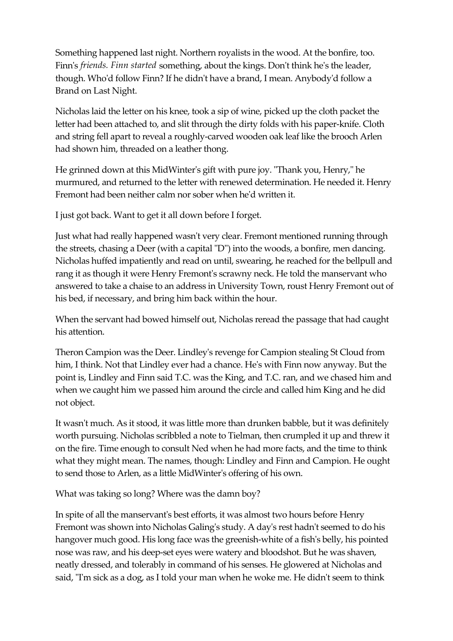Something happened last night. Northern royalists in the wood. At the bonfire, too. Finn's *friends. Finn started* something, about the kings. Don't think he's the leader, though. Who'd follow Finn? If he didn't have a brand, I mean. Anybody'd follow a Brand on Last Night.

Nicholas laid the letter on his knee, took a sip of wine, picked up the cloth packet the letter had been attached to, and slit through the dirty folds with his paper-knife. Cloth and string fell apart to reveal a roughly-carved wooden oak leaf like the brooch Arlen had shown him, threaded on a leather thong.

He grinned down at this MidWinter's gift with pure joy. "Thank you, Henry," he murmured, and returned to the letter with renewed determination. He needed it. Henry Fremont had been neither calm nor sober when he'd written it.

I just got back. Want to get it all down before I forget.

Just what had really happened wasn't very clear. Fremont mentioned running through the streets, chasing a Deer (with a capital "D") into the woods, a bonfire, men dancing. Nicholas huffed impatiently and read on until, swearing, he reached for the bellpull and rang it as though it were Henry Fremont's scrawny neck. He told the manservant who answered to take a chaise to an address in University Town, roust Henry Fremont out of his bed, if necessary, and bring him back within the hour.

When the servant had bowed himself out, Nicholas reread the passage that had caught his attention.

Theron Campion was the Deer. Lindley's revenge for Campion stealing St Cloud from him, I think. Not that Lindley ever had a chance. He's with Finn now anyway. But the point is, Lindley and Finn said T.C. was the King, and T.C. ran, and we chased him and when we caught him we passed him around the circle and called him King and he did not object.

It wasn't much. As it stood, it was little more than drunken babble, but it was definitely worth pursuing. Nicholas scribbled a note to Tielman, then crumpled it up and threw it on the fire. Time enough to consult Ned when he had more facts, and the time to think what they might mean. The names, though: Lindley and Finn and Campion. He ought to send those to Arlen, as a little MidWinter's offering of his own.

What was taking so long? Where was the damn boy?

In spite of all the manservant's best efforts, it was almost two hours before Henry Fremont was shown into Nicholas Galing's study. A day's rest hadn't seemed to do his hangover much good. His long face was the greenish-white of a fish's belly, his pointed nose was raw, and his deep-set eyes were watery and bloodshot. But he was shaven, neatly dressed, and tolerably in command of his senses. He glowered at Nicholas and said, "I'm sick as a dog, as I told your man when he woke me. He didn't seem to think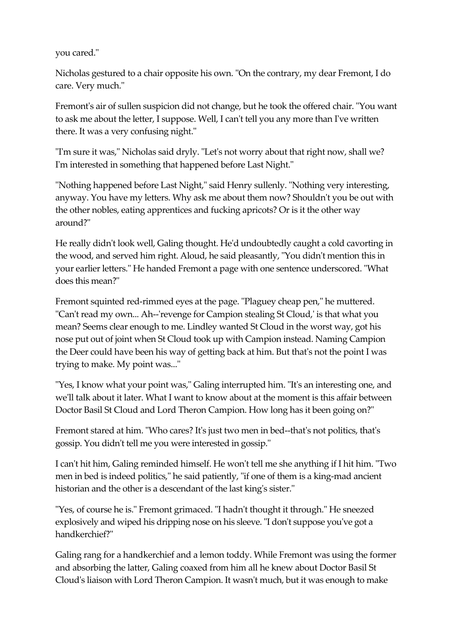## you cared."

Nicholas gestured to a chair opposite his own. "On the contrary, my dear Fremont, I do care. Very much."

Fremont's air of sullen suspicion did not change, but he took the offered chair. "You want to ask me about the letter, I suppose. Well, I can't tell you any more than I've written there. It was a very confusing night."

"I'm sure it was," Nicholas said dryly. "Let's not worry about that right now, shall we? I'm interested in something that happened before Last Night."

"Nothing happened before Last Night," said Henry sullenly. "Nothing very interesting, anyway. You have my letters. Why ask me about them now? Shouldn't you be out with the other nobles, eating apprentices and fucking apricots? Or is it the other way around?"

He really didn't look well, Galing thought. He'd undoubtedly caught a cold cavorting in the wood, and served him right. Aloud, he said pleasantly, "You didn't mention this in your earlier letters." He handed Fremont a page with one sentence underscored. "What does this mean?"

Fremont squinted red-rimmed eyes at the page. "Plaguey cheap pen," he muttered. "Can't read my own... Ah--'revenge for Campion stealing St Cloud,' is that what you mean? Seems clear enough to me. Lindley wanted St Cloud in the worst way, got his nose put out of joint when St Cloud took up with Campion instead. Naming Campion the Deer could have been his way of getting back at him. But that's not the point I was trying to make. My point was..."

"Yes, I know what your point was," Galing interrupted him. "It's an interesting one, and we'll talk about it later. What I want to know about at the moment is this affair between Doctor Basil St Cloud and Lord Theron Campion. How long has it been going on?"

Fremont stared at him. "Who cares? It's just two men in bed--that's not politics, that's gossip. You didn't tell me you were interested in gossip."

I can't hit him, Galing reminded himself. He won't tell me she anything if I hit him. "Two men in bed is indeed politics," he said patiently, "if one of them is a king-mad ancient historian and the other is a descendant of the last king's sister."

"Yes, of course he is." Fremont grimaced. "I hadn't thought it through." He sneezed explosively and wiped his dripping nose on his sleeve. "I don't suppose you've got a handkerchief?"

Galing rang for a handkerchief and a lemon toddy. While Fremont was using the former and absorbing the latter, Galing coaxed from him all he knew about Doctor Basil St Cloud's liaison with Lord Theron Campion. It wasn't much, but it was enough to make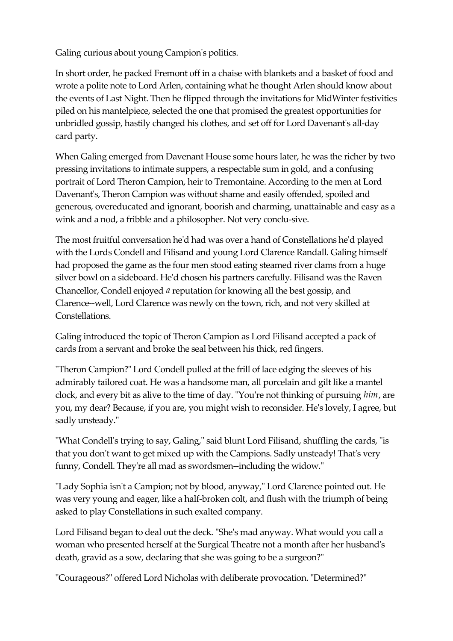Galing curious about young Campion's politics.

In short order, he packed Fremont off in a chaise with blankets and a basket of food and wrote a polite note to Lord Arlen, containing what he thought Arlen should know about the events of Last Night. Then he flipped through the invitations for MidWinter festivities piled on his mantelpiece, selected the one that promised the greatest opportunities for unbridled gossip, hastily changed his clothes, and set off for Lord Davenant's all-day card party.

When Galing emerged from Davenant House some hours later, he was the richer by two pressing invitations to intimate suppers, a respectable sum in gold, and a confusing portrait of Lord Theron Campion, heir to Tremontaine. According to the men at Lord Davenant's, Theron Campion was without shame and easily offended, spoiled and generous, overeducated and ignorant, boorish and charming, unattainable and easy as a wink and a nod, a fribble and a philosopher. Not very conclu-sive.

The most fruitful conversation he'd had was over a hand of Constellations he'd played with the Lords Condell and Filisand and young Lord Clarence Randall. Galing himself had proposed the game as the four men stood eating steamed river clams from a huge silver bowl on a sideboard. He'd chosen his partners carefully. Filisand was the Raven Chancellor, Condell enjoyed *a* reputation for knowing all the best gossip, and Clarence--well, Lord Clarence was newly on the town, rich, and not very skilled at Constellations.

Galing introduced the topic of Theron Campion as Lord Filisand accepted a pack of cards from a servant and broke the seal between his thick, red fingers.

"Theron Campion?" Lord Condell pulled at the frill of lace edging the sleeves of his admirably tailored coat. He was a handsome man, all porcelain and gilt like a mantel clock, and every bit as alive to the time of day. "You're not thinking of pursuing *him*, are you, my dear? Because, if you are, you might wish to reconsider. He's lovely, I agree, but sadly unsteady."

"What Condell's trying to say, Galing," said blunt Lord Filisand, shuffling the cards, "is that you don't want to get mixed up with the Campions. Sadly unsteady! That's very funny, Condell. They're all mad as swordsmen--including the widow."

"Lady Sophia isn't a Campion; not by blood, anyway," Lord Clarence pointed out. He was very young and eager, like a half-broken colt, and flush with the triumph of being asked to play Constellations in such exalted company.

Lord Filisand began to deal out the deck. "She's mad anyway. What would you call a woman who presented herself at the Surgical Theatre not a month after her husband's death, gravid as a sow, declaring that she was going to be a surgeon?"

"Courageous?" offered Lord Nicholas with deliberate provocation. "Determined?"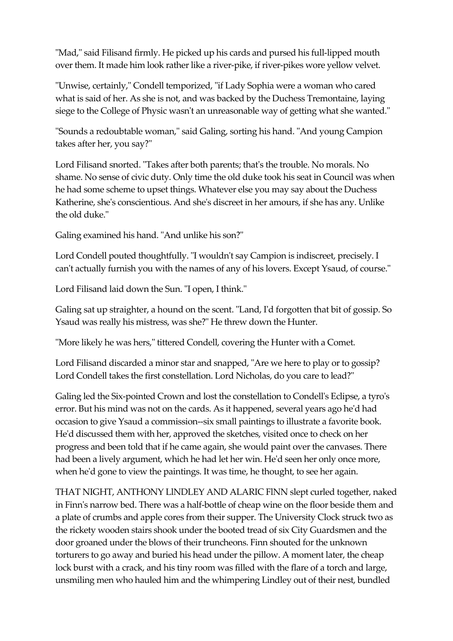"Mad," said Filisand firmly. He picked up his cards and pursed his full-lipped mouth over them. It made him look rather like a river-pike, if river-pikes wore yellow velvet.

"Unwise, certainly," Condell temporized, "if Lady Sophia were a woman who cared what is said of her. As she is not, and was backed by the Duchess Tremontaine, laying siege to the College of Physic wasn't an unreasonable way of getting what she wanted."

"Sounds a redoubtable woman," said Galing, sorting his hand. "And young Campion takes after her, you say?"

Lord Filisand snorted. "Takes after both parents; that's the trouble. No morals. No shame. No sense of civic duty. Only time the old duke took his seat in Council was when he had some scheme to upset things. Whatever else you may say about the Duchess Katherine, she's conscientious. And she's discreet in her amours, if she has any. Unlike the old duke."

Galing examined his hand. "And unlike his son?"

Lord Condell pouted thoughtfully. "I wouldn't say Campion is indiscreet, precisely. I can't actually furnish you with the names of any of his lovers. Except Ysaud, of course."

Lord Filisand laid down the Sun. "I open, I think."

Galing sat up straighter, a hound on the scent. "Land, I'd forgotten that bit of gossip. So Ysaud was really his mistress, was she?" He threw down the Hunter.

"More likely he was hers," tittered Condell, covering the Hunter with a Comet.

Lord Filisand discarded a minor star and snapped, "Are we here to play or to gossip? Lord Condell takes the first constellation. Lord Nicholas, do you care to lead?"

Galing led the Six-pointed Crown and lost the constellation to Condell's Eclipse, a tyro's error. But his mind was not on the cards. As it happened, several years ago he'd had occasion to give Ysaud a commission--six small paintings to illustrate a favorite book. He'd discussed them with her, approved the sketches, visited once to check on her progress and been told that if he came again, she would paint over the canvases. There had been a lively argument, which he had let her win. He'd seen her only once more, when he'd gone to view the paintings. It was time, he thought, to see her again.

THAT NIGHT, ANTHONY LlNDLEY AND ALARIC FlNN slept curled together, naked in Finn's narrow bed. There was a half-bottle of cheap wine on the floor beside them and a plate of crumbs and apple cores from their supper. The University Clock struck two as the rickety wooden stairs shook under the booted tread of six City Guardsmen and the door groaned under the blows of their truncheons. Finn shouted for the unknown torturers to go away and buried his head under the pillow. A moment later, the cheap lock burst with a crack, and his tiny room was filled with the flare of a torch and large, unsmiling men who hauled him and the whimpering Lindley out of their nest, bundled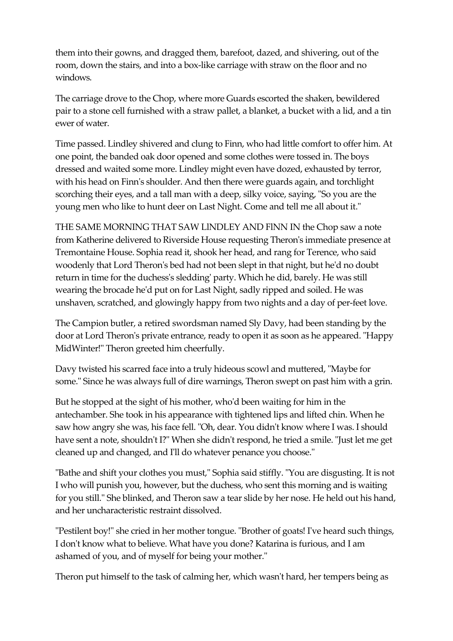them into their gowns, and dragged them, barefoot, dazed, and shivering, out of the room, down the stairs, and into a box-like carriage with straw on the floor and no windows.

The carriage drove to the Chop, where more Guards escorted the shaken, bewildered pair to a stone cell furnished with a straw pallet, a blanket, a bucket with a lid, and a tin ewer of water.

Time passed. Lindley shivered and clung to Finn, who had little comfort to offer him. At one point, the banded oak door opened and some clothes were tossed in. The boys dressed and waited some more. Lindley might even have dozed, exhausted by terror, with his head on Finn's shoulder. And then there were guards again, and torchlight scorching their eyes, and a tall man with a deep, silky voice, saying, "So you are the young men who like to hunt deer on Last Night. Come and tell me all about it."

THE SAME MORNING THAT SAW LlNDLEY AND FlNN IN the Chop saw a note from Katherine delivered to Riverside House requesting Theron's immediate presence at Tremontaine House. Sophia read it, shook her head, and rang for Terence, who said woodenly that Lord Theron's bed had not been slept in that night, but he'd no doubt return in time for the duchess's sledding' party. Which he did, barely. He was still wearing the brocade he'd put on for Last Night, sadly ripped and soiled. He was unshaven, scratched, and glowingly happy from two nights and a day of per-feet love.

The Campion butler, a retired swordsman named Sly Davy, had been standing by the door at Lord Theron's private entrance, ready to open it as soon as he appeared. "Happy MidWinter!" Theron greeted him cheerfully.

Davy twisted his scarred face into a truly hideous scowl and muttered, "Maybe for some." Since he was always full of dire warnings, Theron swept on past him with a grin.

But he stopped at the sight of his mother, who'd been waiting for him in the antechamber. She took in his appearance with tightened lips and lifted chin. When he saw how angry she was, his face fell. "Oh, dear. You didn't know where I was. I should have sent a note, shouldn't I?" When she didn't respond, he tried a smile. "Just let me get cleaned up and changed, and I'll do whatever penance you choose."

"Bathe and shift your clothes you must," Sophia said stiffly. "You are disgusting. It is not I who will punish you, however, but the duchess, who sent this morning and is waiting for you still." She blinked, and Theron saw a tear slide by her nose. He held out his hand, and her uncharacteristic restraint dissolved.

"Pestilent boy!" she cried in her mother tongue. "Brother of goats! I've heard such things, I don't know what to believe. What have you done? Katarina is furious, and I am ashamed of you, and of myself for being your mother."

Theron put himself to the task of calming her, which wasn't hard, her tempers being as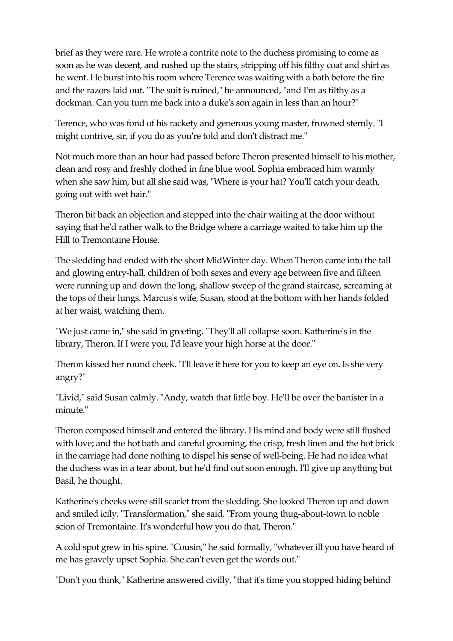brief as they were rare. He wrote a contrite note to the duchess promising to come as soon as he was decent, and rushed up the stairs, stripping off his filthy coat and shirt as he went. He burst into his room where Terence was waiting with a bath before the fire and the razors laid out. "The suit is ruined," he announced, "and I'm as filthy as a dockman. Can you turn me back into a duke's son again in less than an hour?"

Terence, who was fond of his rackety and generous young master, frowned sternly. "I might contrive, sir, if you do as you're told and don't distract me."

Not much more than an hour had passed before Theron presented himself to his mother, clean and rosy and freshly clothed in fine blue wool. Sophia embraced him warmly when she saw him, but all she said was, "Where is your hat? You'll catch your death, going out with wet hair."

Theron bit back an objection and stepped into the chair waiting at the door without saying that he'd rather walk to the Bridge where a carriage waited to take him up the Hill to Tremontaine House.

The sledding had ended with the short MidWinter day. When Theron came into the tall and glowing entry-hall, children of both sexes and every age between five and fifteen were running up and down the long, shallow sweep of the grand staircase, screaming at the tops of their lungs. Marcus's wife, Susan, stood at the bottom with her hands folded at her waist, watching them.

"We just came in," she said in greeting. "They'll all collapse soon. Katherine's in the library, Theron. If I were you, I'd leave your high horse at the door."

Theron kissed her round cheek. "I'll leave it here for you to keep an eye on. Is she very angry?"

"Livid," said Susan calmly. "Andy, watch that little boy. He'll be over the banister in a minute."

Theron composed himself and entered the library. His mind and body were still flushed with love; and the hot bath and careful grooming, the crisp, fresh linen and the hot brick in the carriage had done nothing to dispel his sense of well-being. He had no idea what the duchess was in a tear about, but he'd find out soon enough. I'll give up anything but Basil, he thought.

Katherine's cheeks were still scarlet from the sledding. She looked Theron up and down and smiled icily. "Transformation," she said. "From young thug-about-town to noble scion of Tremontaine. It's wonderful how you do that, Theron."

A cold spot grew in his spine. "Cousin," he said formally, "whatever ill you have heard of me has gravely upset Sophia. She can't even get the words out."

"Don't you think," Katherine answered civilly, "that it's time you stopped hiding behind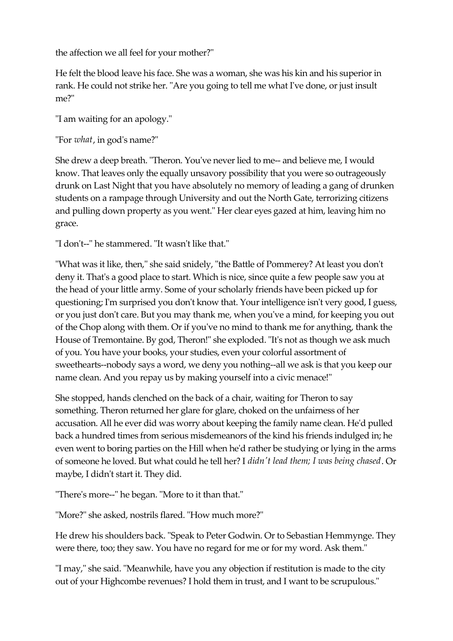the affection we all feel for your mother?"

He felt the blood leave his face. She was a woman, she was his kin and his superior in rank. He could not strike her. "Are you going to tell me what I've done, or just insult me?"

"I am waiting for an apology."

"For *what*, in god's name?"

She drew a deep breath. "Theron. You've never lied to me-- and believe me, I would know. That leaves only the equally unsavory possibility that you were so outrageously drunk on Last Night that you have absolutely no memory of leading a gang of drunken students on a rampage through University and out the North Gate, terrorizing citizens and pulling down property as you went." Her clear eyes gazed at him, leaving him no grace.

"I don't--" he stammered. "It wasn't like that."

"What was it like, then," she said snidely, "the Battle of Pommerey? At least you don't deny it. That's a good place to start. Which is nice, since quite a few people saw you at the head of your little army. Some of your scholarly friends have been picked up for questioning; I'm surprised you don't know that. Your intelligence isn't very good, I guess, or you just don't care. But you may thank me, when you've a mind, for keeping you out of the Chop along with them. Or if you've no mind to thank me for anything, thank the House of Tremontaine. By god, Theron!" she exploded. "It's not as though we ask much of you. You have your books, your studies, even your colorful assortment of sweethearts--nobody says a word, we deny you nothing--all we ask is that you keep our name clean. And you repay us by making yourself into a civic menace!"

She stopped, hands clenched on the back of a chair, waiting for Theron to say something. Theron returned her glare for glare, choked on the unfairness of her accusation. All he ever did was worry about keeping the family name clean. He'd pulled back a hundred times from serious misdemeanors of the kind his friends indulged in; he even went to boring parties on the Hill when he'd rather be studying or lying in the arms of someone he loved. But what could he tell her? I *didn't lead them; I was being chased*. Or maybe, I didn't start it. They did.

"There's more--" he began. "More to it than that."

"More?" she asked, nostrils flared. "How much more?"

He drew his shoulders back. "Speak to Peter Godwin. Or to Sebastian Hemmynge. They were there, too; they saw. You have no regard for me or for my word. Ask them."

"I may," she said. "Meanwhile, have you any objection if restitution is made to the city out of your Highcombe revenues? I hold them in trust, and I want to be scrupulous."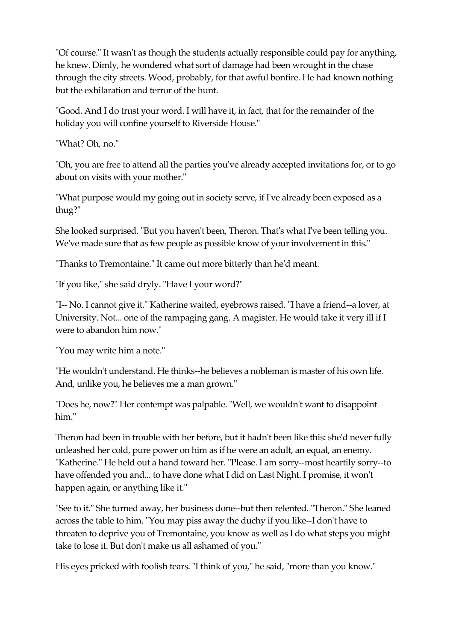"Of course." It wasn't as though the students actually responsible could pay for anything, he knew. Dimly, he wondered what sort of damage had been wrought in the chase through the city streets. Wood, probably, for that awful bonfire. He had known nothing but the exhilaration and terror of the hunt.

"Good. And I do trust your word. I will have it, in fact, that for the remainder of the holiday you will confine yourself to Riverside House."

"What? Oh, no."

"Oh, you are free to attend all the parties you've already accepted invitations for, or to go about on visits with your mother."

"What purpose would my going out in society serve, if I've already been exposed as a thug?"

She looked surprised. "But you haven't been, Theron. That's what I've been telling you. We've made sure that as few people as possible know of your involvement in this."

"Thanks to Tremontaine." It came out more bitterly than he'd meant.

"If you like," she said dryly. "Have I your word?"

"I-- No. I cannot give it." Katherine waited, eyebrows raised. "I have a friend--a lover, at University. Not... one of the rampaging gang. A magister. He would take it very ill if I were to abandon him now."

"You may write him a note."

"He wouldn't understand. He thinks--he believes a nobleman is master of his own life. And, unlike you, he believes me a man grown."

"Does he, now?" Her contempt was palpable. "Well, we wouldn't want to disappoint him."

Theron had been in trouble with her before, but it hadn't been like this: she'd never fully unleashed her cold, pure power on him as if he were an adult, an equal, an enemy. "Katherine." He held out a hand toward her. "Please. I am sorry--most heartily sorry--to have offended you and... to have done what I did on Last Night. I promise, it won't happen again, or anything like it."

"See to it." She turned away, her business done--but then relented. "Theron." She leaned across the table to him. "You may piss away the duchy if you like--I don't have to threaten to deprive you of Tremontaine, you know as well as I do what steps you might take to lose it. But don't make us all ashamed of you."

His eyes pricked with foolish tears. "I think of you," he said, "more than you know."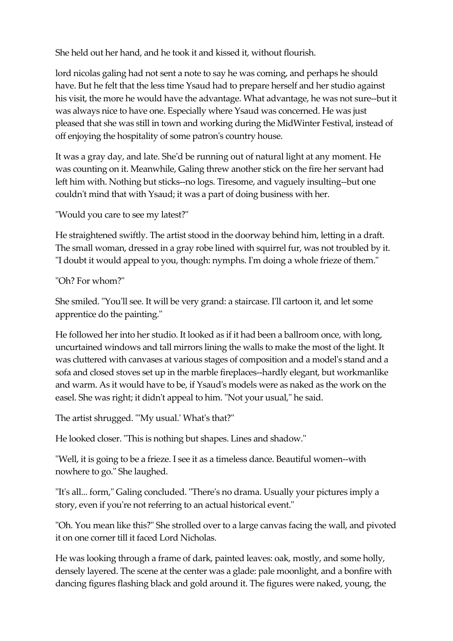She held out her hand, and he took it and kissed it, without flourish.

lord nicolas galing had not sent a note to say he was coming, and perhaps he should have. But he felt that the less time Ysaud had to prepare herself and her studio against his visit, the more he would have the advantage. What advantage, he was not sure--but it was always nice to have one. Especially where Ysaud was concerned. He was just pleased that she was still in town and working during the MidWinter Festival, instead of off enjoying the hospitality of some patron's country house.

It was a gray day, and late. She'd be running out of natural light at any moment. He was counting on it. Meanwhile, Galing threw another stick on the fire her servant had left him with. Nothing but sticks--no logs. Tiresome, and vaguely insulting--but one couldn't mind that with Ysaud; it was a part of doing business with her.

"Would you care to see my latest?"

He straightened swiftly. The artist stood in the doorway behind him, letting in a draft. The small woman, dressed in a gray robe lined with squirrel fur, was not troubled by it. "I doubt it would appeal to you, though: nymphs. I'm doing a whole frieze of them."

"Oh? For whom?"

She smiled. "You'll see. It will be very grand: a staircase. I'll cartoon it, and let some apprentice do the painting."

He followed her into her studio. It looked as if it had been a ballroom once, with long, uncurtained windows and tall mirrors lining the walls to make the most of the light. It was cluttered with canvases at various stages of composition and a model's stand and a sofa and closed stoves set up in the marble fireplaces--hardly elegant, but workmanlike and warm. As it would have to be, if Ysaud's models were as naked as the work on the easel. She was right; it didn't appeal to him. "Not your usual," he said.

The artist shrugged. "'My usual.' What's that?"

He looked closer. "This is nothing but shapes. Lines and shadow."

"Well, it is going to be a frieze. I see it as a timeless dance. Beautiful women--with nowhere to go." She laughed.

"It's all... form," Galing concluded. "There's no drama. Usually your pictures imply a story, even if you're not referring to an actual historical event."

"Oh. You mean like this?" She strolled over to a large canvas facing the wall, and pivoted it on one corner till it faced Lord Nicholas.

He was looking through a frame of dark, painted leaves: oak, mostly, and some holly, densely layered. The scene at the center was a glade: pale moonlight, and a bonfire with dancing figures flashing black and gold around it. The figures were naked, young, the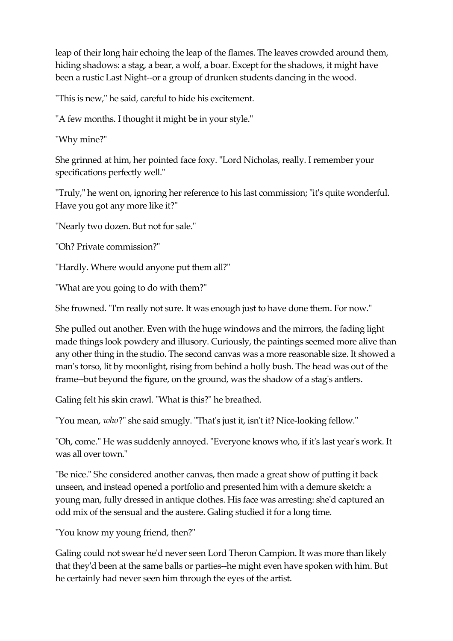leap of their long hair echoing the leap of the flames. The leaves crowded around them, hiding shadows: a stag, a bear, a wolf, a boar. Except for the shadows, it might have been a rustic Last Night--or a group of drunken students dancing in the wood.

"This is new," he said, careful to hide his excitement.

"A few months. I thought it might be in your style."

"Why mine?"

She grinned at him, her pointed face foxy. "Lord Nicholas, really. I remember your specifications perfectly well."

"Truly," he went on, ignoring her reference to his last commission; "it's quite wonderful. Have you got any more like it?"

"Nearly two dozen. But not for sale."

"Oh? Private commission?"

"Hardly. Where would anyone put them all?"

"What are you going to do with them?"

She frowned. "I'm really not sure. It was enough just to have done them. For now."

She pulled out another. Even with the huge windows and the mirrors, the fading light made things look powdery and illusory. Curiously, the paintings seemed more alive than any other thing in the studio. The second canvas was a more reasonable size. It showed a man's torso, lit by moonlight, rising from behind a holly bush. The head was out of the frame--but beyond the figure, on the ground, was the shadow of a stag's antlers.

Galing felt his skin crawl. "What is this?" he breathed.

"You mean, *who*?" she said smugly. "That's just it, isn't it? Nice-looking fellow."

"Oh, come." He was suddenly annoyed. "Everyone knows who, if it's last year's work. It was all over town."

"Be nice." She considered another canvas, then made a great show of putting it back unseen, and instead opened a portfolio and presented him with a demure sketch: a young man, fully dressed in antique clothes. His face was arresting: she'd captured an odd mix of the sensual and the austere. Galing studied it for a long time.

"You know my young friend, then?"

Galing could not swear he'd never seen Lord Theron Campion. It was more than likely that they'd been at the same balls or parties--he might even have spoken with him. But he certainly had never seen him through the eyes of the artist.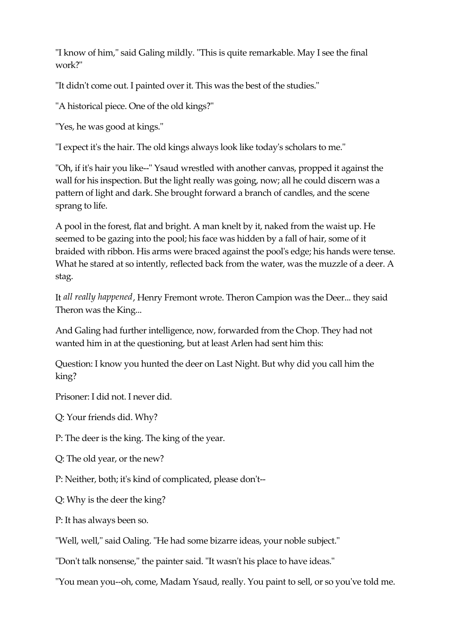"I know of him," said Galing mildly. "This is quite remarkable. May I see the final work?"

"It didn't come out. I painted over it. This was the best of the studies."

"A historical piece. One of the old kings?"

"Yes, he was good at kings."

"I expect it's the hair. The old kings always look like today's scholars to me."

"Oh, if it's hair you like--" Ysaud wrestled with another canvas, propped it against the wall for his inspection. But the light really was going, now; all he could discern was a pattern of light and dark. She brought forward a branch of candles, and the scene sprang to life.

A pool in the forest, flat and bright. A man knelt by it, naked from the waist up. He seemed to be gazing into the pool; his face was hidden by a fall of hair, some of it braided with ribbon. His arms were braced against the pool's edge; his hands were tense. What he stared at so intently, reflected back from the water, was the muzzle of a deer. A stag.

It *all really happened*, Henry Fremont wrote. Theron Campion was the Deer... they said Theron was the King...

And Galing had further intelligence, now, forwarded from the Chop. They had not wanted him in at the questioning, but at least Arlen had sent him this:

Question: I know you hunted the deer on Last Night. But why did you call him the king?

Prisoner: I did not. I never did.

Q: Your friends did. Why?

P: The deer is the king. The king of the year.

Q: The old year, or the new?

P: Neither, both; it's kind of complicated, please don't--

Q: Why is the deer the king?

P: It has always been so.

"Well, well," said Oaling. "He had some bizarre ideas, your noble subject."

"Don't talk nonsense," the painter said. "It wasn't his place to have ideas."

"You mean you--oh, come, Madam Ysaud, really. You paint to sell, or so you've told me.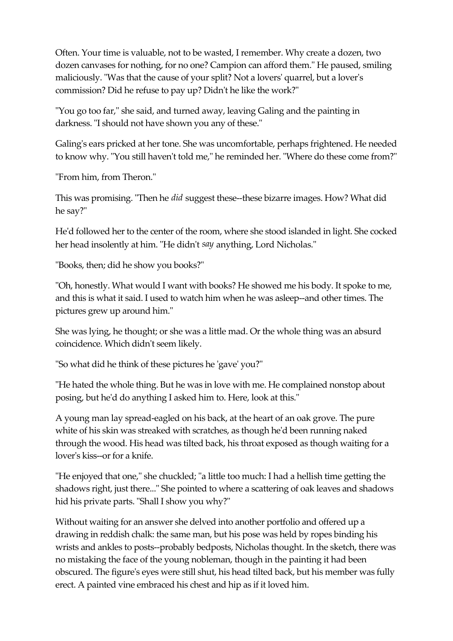Often. Your time is valuable, not to be wasted, I remember. Why create a dozen, two dozen canvases for nothing, for no one? Campion can afford them." He paused, smiling maliciously. "Was that the cause of your split? Not a lovers' quarrel, but a lover's commission? Did he refuse to pay up? Didn't he like the work?"

"You go too far," she said, and turned away, leaving Galing and the painting in darkness. "I should not have shown you any of these."

Galing's ears pricked at her tone. She was uncomfortable, perhaps frightened. He needed to know why. "You still haven't told me," he reminded her. "Where do these come from?"

"From him, from Theron."

This was promising. "Then he *did* suggest these--these bizarre images. How? What did he say?"

He'd followed her to the center of the room, where she stood islanded in light. She cocked her head insolently at him. "He didn't *say* anything, Lord Nicholas."

"Books, then; did he show you books?"

"Oh, honestly. What would I want with books? He showed me his body. It spoke to me, and this is what it said. I used to watch him when he was asleep--and other times. The pictures grew up around him."

She was lying, he thought; or she was a little mad. Or the whole thing was an absurd coincidence. Which didn't seem likely.

"So what did he think of these pictures he 'gave' you?"

"He hated the whole thing. But he was in love with me. He complained nonstop about posing, but he'd do anything I asked him to. Here, look at this."

A young man lay spread-eagled on his back, at the heart of an oak grove. The pure white of his skin was streaked with scratches, as though he'd been running naked through the wood. His head was tilted back, his throat exposed as though waiting for a lover's kiss--or for a knife.

"He enjoyed that one," she chuckled; "a little too much: I had a hellish time getting the shadows right, just there..." She pointed to where a scattering of oak leaves and shadows hid his private parts. "Shall I show you why?"

Without waiting for an answer she delved into another portfolio and offered up a drawing in reddish chalk: the same man, but his pose was held by ropes binding his wrists and ankles to posts--probably bedposts, Nicholas thought. In the sketch, there was no mistaking the face of the young nobleman, though in the painting it had been obscured. The figure's eyes were still shut, his head tilted back, but his member was fully erect. A painted vine embraced his chest and hip as if it loved him.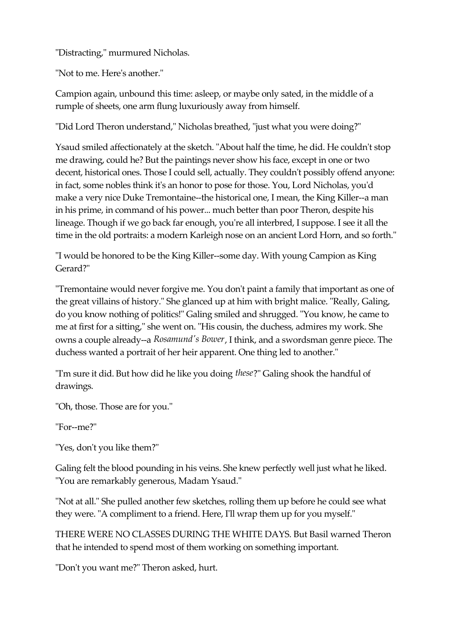"Distracting," murmured Nicholas.

"Not to me. Here's another."

Campion again, unbound this time: asleep, or maybe only sated, in the middle of a rumple of sheets, one arm flung luxuriously away from himself.

"Did Lord Theron understand," Nicholas breathed, "just what you were doing?"

Ysaud smiled affectionately at the sketch. "About half the time, he did. He couldn't stop me drawing, could he? But the paintings never show his face, except in one or two decent, historical ones. Those I could sell, actually. They couldn't possibly offend anyone: in fact, some nobles think it's an honor to pose for those. You, Lord Nicholas, you'd make a very nice Duke Tremontaine--the historical one, I mean, the King Killer--a man in his prime, in command of his power... much better than poor Theron, despite his lineage. Though if we go back far enough, you're all interbred, I suppose. I see it all the time in the old portraits: a modern Karleigh nose on an ancient Lord Horn, and so forth."

"I would be honored to be the King Killer--some day. With young Campion as King Gerard?"

"Tremontaine would never forgive me. You don't paint a family that important as one of the great villains of history." She glanced up at him with bright malice. "Really, Galing, do you know nothing of politics!" Galing smiled and shrugged. "You know, he came to me at first for a sitting," she went on. "His cousin, the duchess, admires my work. She owns a couple already--a *Rosamund's Bower*, I think, and a swordsman genre piece. The duchess wanted a portrait of her heir apparent. One thing led to another."

"I'm sure it did. But how did he like you doing *these*?" Galing shook the handful of drawings.

"Oh, those. Those are for you."

"For--me?"

"Yes, don't you like them?"

Galing felt the blood pounding in his veins. She knew perfectly well just what he liked. "You are remarkably generous, Madam Ysaud."

"Not at all." She pulled another few sketches, rolling them up before he could see what they were. "A compliment to a friend. Here, I'll wrap them up for you myself."

THERE WERE NO CLASSES DURING THE WHITE DAYS. But Basil warned Theron that he intended to spend most of them working on something important.

"Don't you want me?" Theron asked, hurt.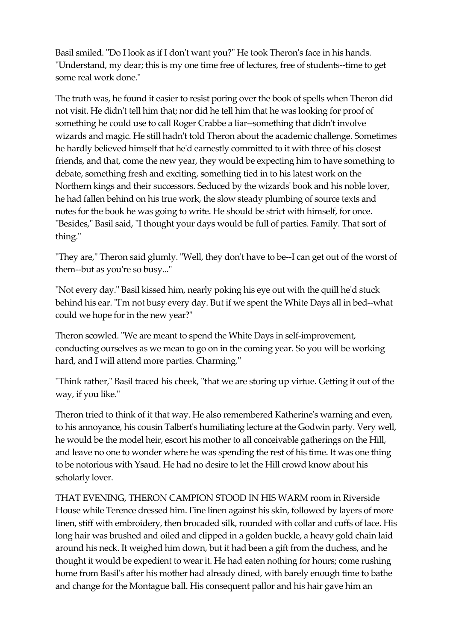Basil smiled. "Do I look as if I don't want you?" He took Theron's face in his hands. "Understand, my dear; this is my one time free of lectures, free of students--time to get some real work done."

The truth was, he found it easier to resist poring over the book of spells when Theron did not visit. He didn't tell him that; nor did he tell him that he was looking for proof of something he could use to call Roger Crabbe a liar--something that didn't involve wizards and magic. He still hadn't told Theron about the academic challenge. Sometimes he hardly believed himself that he'd earnestly committed to it with three of his closest friends, and that, come the new year, they would be expecting him to have something to debate, something fresh and exciting, something tied in to his latest work on the Northern kings and their successors. Seduced by the wizards' book and his noble lover, he had fallen behind on his true work, the slow steady plumbing of source texts and notes for the book he was going to write. He should be strict with himself, for once. "Besides," Basil said, "I thought your days would be full of parties. Family. That sort of thing."

"They are," Theron said glumly. "Well, they don't have to be--I can get out of the worst of them--but as you're so busy..."

"Not every day." Basil kissed him, nearly poking his eye out with the quill he'd stuck behind his ear. "I'm not busy every day. But if we spent the White Days all in bed--what could we hope for in the new year?"

Theron scowled. "We are meant to spend the White Days in self-improvement, conducting ourselves as we mean to go on in the coming year. So you will be working hard, and I will attend more parties. Charming."

"Think rather," Basil traced his cheek, "that we are storing up virtue. Getting it out of the way, if you like."

Theron tried to think of it that way. He also remembered Katherine's warning and even, to his annoyance, his cousin Talbert's humiliating lecture at the Godwin party. Very well, he would be the model heir, escort his mother to all conceivable gatherings on the Hill, and leave no one to wonder where he was spending the rest of his time. It was one thing to be notorious with Ysaud. He had no desire to let the Hill crowd know about his scholarly lover.

THAT EVENING, THERON CAMPION STOOD IN HIS WARM room in Riverside House while Terence dressed him. Fine linen against his skin, followed by layers of more linen, stiff with embroidery, then brocaded silk, rounded with collar and cuffs of lace. His long hair was brushed and oiled and clipped in a golden buckle, a heavy gold chain laid around his neck. It weighed him down, but it had been a gift from the duchess, and he thought it would be expedient to wear it. He had eaten nothing for hours; come rushing home from Basil's after his mother had already dined, with barely enough time to bathe and change for the Montague ball. His consequent pallor and his hair gave him an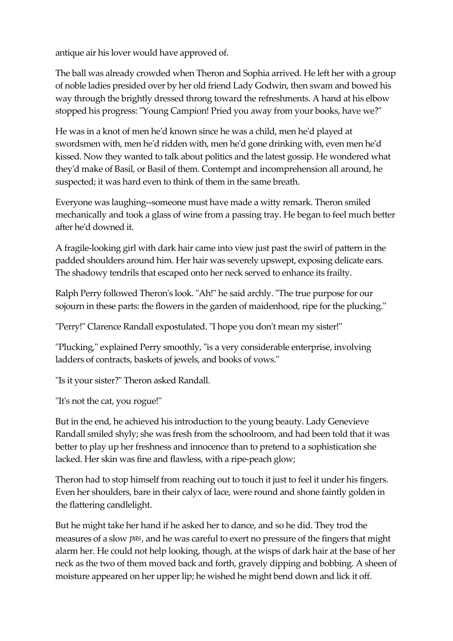antique air his lover would have approved of.

The ball was already crowded when Theron and Sophia arrived. He left her with a group of noble ladies presided over by her old friend Lady Godwin, then swam and bowed his way through the brightly dressed throng toward the refreshments. A hand at his elbow stopped his progress: "Young Campion! Pried you away from your books, have we?"

He was in a knot of men he'd known since he was a child, men he'd played at swordsmen with, men he'd ridden with, men he'd gone drinking with, even men he'd kissed. Now they wanted to talk about politics and the latest gossip. He wondered what they'd make of Basil, or Basil of them. Contempt and incomprehension all around, he suspected; it was hard even to think of them in the same breath.

Everyone was laughing--someone must have made a witty remark. Theron smiled mechanically and took a glass of wine from a passing tray. He began to feel much better after he'd downed it.

A fragile-looking girl with dark hair came into view just past the swirl of pattern in the padded shoulders around him. Her hair was severely upswept, exposing delicate ears. The shadowy tendrils that escaped onto her neck served to enhance its frailty.

Ralph Perry followed Theron's look. "Ah!" he said archly. "The true purpose for our sojourn in these parts: the flowers in the garden of maidenhood, ripe for the plucking."

"Perry!" Clarence Randall expostulated. "I hope you don't mean my sister!"

"Plucking," explained Perry smoothly, "is a very considerable enterprise, involving ladders of contracts, baskets of jewels, and books of vows."

"Is it your sister?" Theron asked Randall.

"It's not the cat, you rogue!"

But in the end, he achieved his introduction to the young beauty. Lady Genevieve Randall smiled shyly; she was fresh from the schoolroom, and had been told that it was better to play up her freshness and innocence than to pretend to a sophistication she lacked. Her skin was fine and flawless, with a ripe-peach glow;

Theron had to stop himself from reaching out to touch it just to feel it under his fingers. Even her shoulders, bare in their calyx of lace, were round and shone faintly golden in the flattering candlelight.

But he might take her hand if he asked her to dance, and so he did. They trod the measures of a slow *pas*, and he was careful to exert no pressure of the fingers that might alarm her. He could not help looking, though, at the wisps of dark hair at the base of her neck as the two of them moved back and forth, gravely dipping and bobbing. A sheen of moisture appeared on her upper lip; he wished he might bend down and lick it off.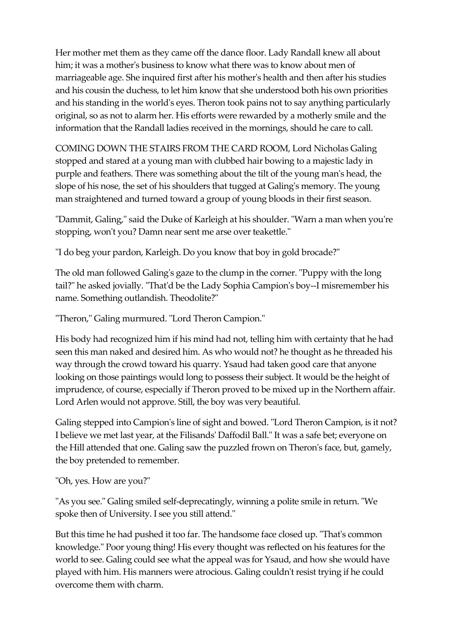Her mother met them as they came off the dance floor. Lady Randall knew all about him; it was a mother's business to know what there was to know about men of marriageable age. She inquired first after his mother's health and then after his studies and his cousin the duchess, to let him know that she understood both his own priorities and his standing in the world's eyes. Theron took pains not to say anything particularly original, so as not to alarm her. His efforts were rewarded by a motherly smile and the information that the Randall ladies received in the mornings, should he care to call.

COMING DOWN THE STAIRS FROM THE CARD ROOM, Lord Nicholas Galing stopped and stared at a young man with clubbed hair bowing to a majestic lady in purple and feathers. There was something about the tilt of the young man's head, the slope of his nose, the set of his shoulders that tugged at Galing's memory. The young man straightened and turned toward a group of young bloods in their first season.

"Dammit, Galing," said the Duke of Karleigh at his shoulder. "Warn a man when you're stopping, won't you? Damn near sent me arse over teakettle."

"I do beg your pardon, Karleigh. Do you know that boy in gold brocade?"

The old man followed Galing's gaze to the clump in the corner. "Puppy with the long tail?" he asked jovially. "That'd be the Lady Sophia Campion's boy--I misremember his name. Something outlandish. Theodolite?"

"Theron," Galing murmured. "Lord Theron Campion."

His body had recognized him if his mind had not, telling him with certainty that he had seen this man naked and desired him. As who would not? he thought as he threaded his way through the crowd toward his quarry. Ysaud had taken good care that anyone looking on those paintings would long to possess their subject. It would be the height of imprudence, of course, especially if Theron proved to be mixed up in the Northern affair. Lord Arlen would not approve. Still, the boy was very beautiful.

Galing stepped into Campion's line of sight and bowed. "Lord Theron Campion, is it not? I believe we met last year, at the Filisands' Daffodil Ball." It was a safe bet; everyone on the Hill attended that one. Galing saw the puzzled frown on Theron's face, but, gamely, the boy pretended to remember.

"Oh, yes. How are you?"

"As you see." Galing smiled self-deprecatingly, winning a polite smile in return. "We spoke then of University. I see you still attend."

But this time he had pushed it too far. The handsome face closed up. "That's common knowledge." Poor young thing! His every thought was reflected on his features for the world to see. Galing could see what the appeal was for Ysaud, and how she would have played with him. His manners were atrocious. Galing couldn't resist trying if he could overcome them with charm.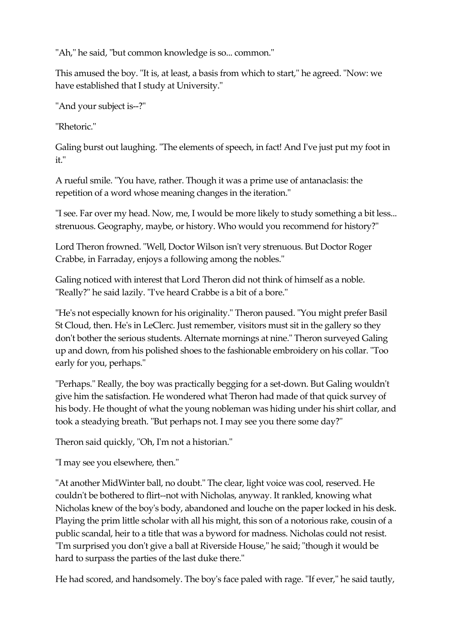"Ah," he said, "but common knowledge is so... common."

This amused the boy. "It is, at least, a basis from which to start," he agreed. "Now: we have established that I study at University."

"And your subject is--?"

"Rhetoric."

Galing burst out laughing. "The elements of speech, in fact! And I've just put my foot in it."

A rueful smile. "You have, rather. Though it was a prime use of antanaclasis: the repetition of a word whose meaning changes in the iteration."

"I see. Far over my head. Now, me, I would be more likely to study something a bit less... strenuous. Geography, maybe, or history. Who would you recommend for history?"

Lord Theron frowned. "Well, Doctor Wilson isn't very strenuous. But Doctor Roger Crabbe, in Farraday, enjoys a following among the nobles."

Galing noticed with interest that Lord Theron did not think of himself as a noble. "Really?" he said lazily. "I've heard Crabbe is a bit of a bore."

"He's not especially known for his originality." Theron paused. "You might prefer Basil St Cloud, then. He's in LeClerc. Just remember, visitors must sit in the gallery so they don't bother the serious students. Alternate mornings at nine." Theron surveyed Galing up and down, from his polished shoes to the fashionable embroidery on his collar. "Too early for you, perhaps."

"Perhaps." Really, the boy was practically begging for a set-down. But Galing wouldn't give him the satisfaction. He wondered what Theron had made of that quick survey of his body. He thought of what the young nobleman was hiding under his shirt collar, and took a steadying breath. "But perhaps not. I may see you there some day?"

Theron said quickly, "Oh, I'm not a historian."

"I may see you elsewhere, then."

"At another MidWinter ball, no doubt." The clear, light voice was cool, reserved. He couldn't be bothered to flirt--not with Nicholas, anyway. It rankled, knowing what Nicholas knew of the boy's body, abandoned and louche on the paper locked in his desk. Playing the prim little scholar with all his might, this son of a notorious rake, cousin of a public scandal, heir to a title that was a byword for madness. Nicholas could not resist. "I'm surprised you don't give a ball at Riverside House," he said; "though it would be hard to surpass the parties of the last duke there."

He had scored, and handsomely. The boy's face paled with rage. "If ever," he said tautly,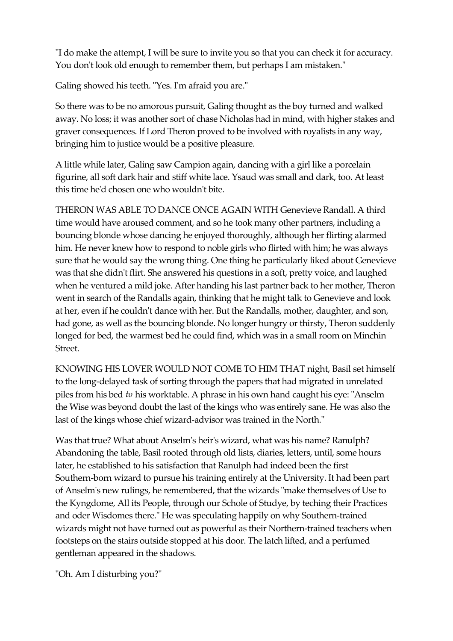"I do make the attempt, I will be sure to invite you so that you can check it for accuracy. You don't look old enough to remember them, but perhaps I am mistaken."

Galing showed his teeth. "Yes. I'm afraid you are."

So there was to be no amorous pursuit, Galing thought as the boy turned and walked away. No loss; it was another sort of chase Nicholas had in mind, with higher stakes and graver consequences. If Lord Theron proved to be involved with royalists in any way, bringing him to justice would be a positive pleasure.

A little while later, Galing saw Campion again, dancing with a girl like a porcelain figurine, all soft dark hair and stiff white lace. Ysaud was small and dark, too. At least this time he'd chosen one who wouldn't bite.

THERON WAS ABLE TO DANCE ONCE AGAIN WITH Genevieve Randall. A third time would have aroused comment, and so he took many other partners, including a bouncing blonde whose dancing he enjoyed thoroughly, although her flirting alarmed him. He never knew how to respond to noble girls who flirted with him; he was always sure that he would say the wrong thing. One thing he particularly liked about Genevieve was that she didn't flirt. She answered his questions in a soft, pretty voice, and laughed when he ventured a mild joke. After handing his last partner back to her mother, Theron went in search of the Randalls again, thinking that he might talk to Genevieve and look at her, even if he couldn't dance with her. But the Randalls, mother, daughter, and son, had gone, as well as the bouncing blonde. No longer hungry or thirsty, Theron suddenly longed for bed, the warmest bed he could find, which was in a small room on Minchin Street.

KNOWING HIS LOVER WOULD NOT COME TO HIM THAT night, Basil set himself to the long-delayed task of sorting through the papers that had migrated in unrelated piles from his bed *to* his worktable. A phrase in his own hand caught his eye: "Anselm the Wise was beyond doubt the last of the kings who was entirely sane. He was also the last of the kings whose chief wizard-advisor was trained in the North."

Was that true? What about Anselm's heir's wizard, what was his name? Ranulph? Abandoning the table, Basil rooted through old lists, diaries, letters, until, some hours later, he established to his satisfaction that Ranulph had indeed been the first Southern-born wizard to pursue his training entirely at the University. It had been part of Anselm's new rulings, he remembered, that the wizards "make themselves of Use to the Kyngdome, All its People, through our Schole of Studye, by teching their Practices and oder Wisdomes there." He was speculating happily on why Southern-trained wizards might not have turned out as powerful as their Northern-trained teachers when footsteps on the stairs outside stopped at his door. The latch lifted, and a perfumed gentleman appeared in the shadows.

"Oh. Am I disturbing you?"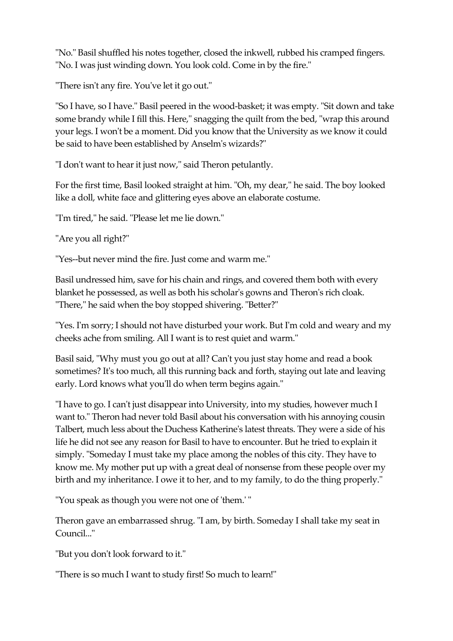"No." Basil shuffled his notes together, closed the inkwell, rubbed his cramped fingers. "No. I was just winding down. You look cold. Come in by the fire."

"There isn't any fire. You've let it go out."

"So I have, so I have." Basil peered in the wood-basket; it was empty. "Sit down and take some brandy while I fill this. Here," snagging the quilt from the bed, "wrap this around your legs. I won't be a moment. Did you know that the University as we know it could be said to have been established by Anselm's wizards?"

"I don't want to hear it just now," said Theron petulantly.

For the first time, Basil looked straight at him. "Oh, my dear," he said. The boy looked like a doll, white face and glittering eyes above an elaborate costume.

"I'm tired," he said. "Please let me lie down."

"Are you all right?"

"Yes--but never mind the fire. Just come and warm me."

Basil undressed him, save for his chain and rings, and covered them both with every blanket he possessed, as well as both his scholar's gowns and Theron's rich cloak. "There," he said when the boy stopped shivering. "Better?"

"Yes. I'm sorry; I should not have disturbed your work. But I'm cold and weary and my cheeks ache from smiling. All I want is to rest quiet and warm."

Basil said, "Why must you go out at all? Can't you just stay home and read a book sometimes? It's too much, all this running back and forth, staying out late and leaving early. Lord knows what you'll do when term begins again."

"I have to go. I can't just disappear into University, into my studies, however much I want to." Theron had never told Basil about his conversation with his annoying cousin Talbert, much less about the Duchess Katherine's latest threats. They were a side of his life he did not see any reason for Basil to have to encounter. But he tried to explain it simply. "Someday I must take my place among the nobles of this city. They have to know me. My mother put up with a great deal of nonsense from these people over my birth and my inheritance. I owe it to her, and to my family, to do the thing properly."

"You speak as though you were not one of 'them.' "

Theron gave an embarrassed shrug. "I am, by birth. Someday I shall take my seat in Council..."

"But you don't look forward to it."

"There is so much I want to study first! So much to learn!"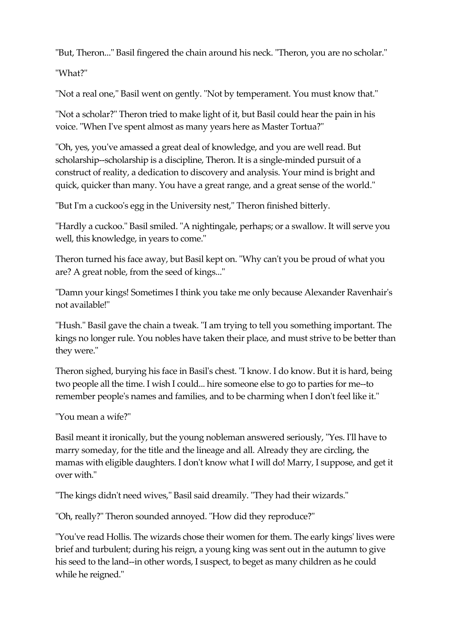"But, Theron..." Basil fingered the chain around his neck. "Theron, you are no scholar." "What?"

"Not a real one," Basil went on gently. "Not by temperament. You must know that."

"Not a scholar?" Theron tried to make light of it, but Basil could hear the pain in his voice. "When I've spent almost as many years here as Master Tortua?"

"Oh, yes, you've amassed a great deal of knowledge, and you are well read. But scholarship--scholarship is a discipline, Theron. It is a single-minded pursuit of a construct of reality, a dedication to discovery and analysis. Your mind is bright and quick, quicker than many. You have a great range, and a great sense of the world."

"But I'm a cuckoo's egg in the University nest," Theron finished bitterly.

"Hardly a cuckoo." Basil smiled. "A nightingale, perhaps; or a swallow. It will serve you well, this knowledge, in years to come."

Theron turned his face away, but Basil kept on. "Why can't you be proud of what you are? A great noble, from the seed of kings..."

"Damn your kings! Sometimes I think you take me only because Alexander Ravenhair's not available!"

"Hush." Basil gave the chain a tweak. "I am trying to tell you something important. The kings no longer rule. You nobles have taken their place, and must strive to be better than they were."

Theron sighed, burying his face in Basil's chest. "I know. I do know. But it is hard, being two people all the time. I wish I could... hire someone else to go to parties for me--to remember people's names and families, and to be charming when I don't feel like it."

"You mean a wife?"

Basil meant it ironically, but the young nobleman answered seriously, "Yes. I'll have to marry someday, for the title and the lineage and all. Already they are circling, the mamas with eligible daughters. I don't know what I will do! Marry, I suppose, and get it over with."

"The kings didn't need wives," Basil said dreamily. "They had their wizards."

"Oh, really?" Theron sounded annoyed. "How did they reproduce?"

"You've read Hollis. The wizards chose their women for them. The early kings' lives were brief and turbulent; during his reign, a young king was sent out in the autumn to give his seed to the land--in other words, I suspect, to beget as many children as he could while he reigned."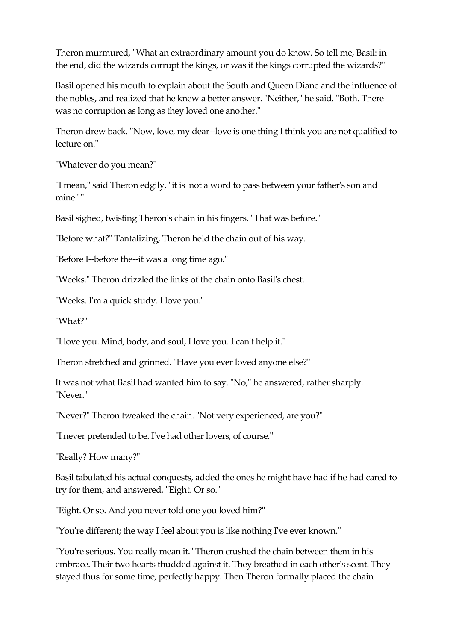Theron murmured, "What an extraordinary amount you do know. So tell me, Basil: in the end, did the wizards corrupt the kings, or was it the kings corrupted the wizards?"

Basil opened his mouth to explain about the South and Queen Diane and the influence of the nobles, and realized that he knew a better answer. "Neither," he said. "Both. There was no corruption as long as they loved one another."

Theron drew back. "Now, love, my dear--love is one thing I think you are not qualified to lecture on."

"Whatever do you mean?"

"I mean," said Theron edgily, "it is 'not a word to pass between your father's son and mine.' "

Basil sighed, twisting Theron's chain in his fingers. "That was before."

"Before what?" Tantalizing, Theron held the chain out of his way.

"Before I--before the--it was a long time ago."

"Weeks." Theron drizzled the links of the chain onto Basil's chest.

"Weeks. I'm a quick study. I love you."

"What?"

"I love you. Mind, body, and soul, I love you. I can't help it."

Theron stretched and grinned. "Have you ever loved anyone else?"

It was not what Basil had wanted him to say. "No," he answered, rather sharply. "Never."

"Never?" Theron tweaked the chain. "Not very experienced, are you?"

"I never pretended to be. I've had other lovers, of course."

"Really? How many?"

Basil tabulated his actual conquests, added the ones he might have had if he had cared to try for them, and answered, "Eight. Or so."

"Eight. Or so. And you never told one you loved him?"

"You're different; the way I feel about you is like nothing I've ever known."

"You're serious. You really mean it." Theron crushed the chain between them in his embrace. Their two hearts thudded against it. They breathed in each other's scent. They stayed thus for some time, perfectly happy. Then Theron formally placed the chain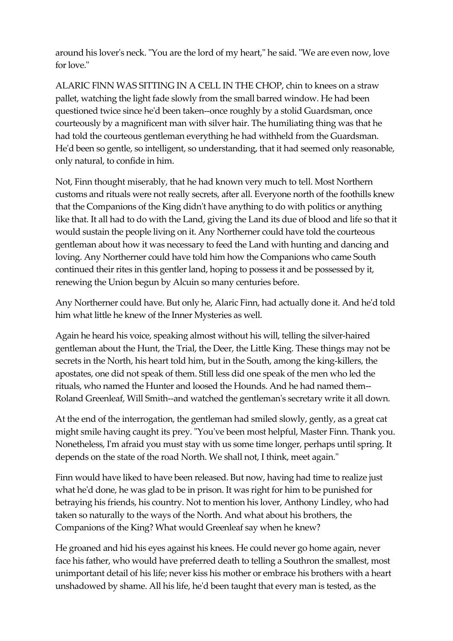around his lover's neck. "You are the lord of my heart," he said. "We are even now, love for love."

ALARIC FlNN WAS SITTING IN A CELL IN THE CHOP, chin to knees on a straw pallet, watching the light fade slowly from the small barred window. He had been questioned twice since he'd been taken--once roughly by a stolid Guardsman, once courteously by a magnificent man with silver hair. The humiliating thing was that he had told the courteous gentleman everything he had withheld from the Guardsman. He'd been so gentle, so intelligent, so understanding, that it had seemed only reasonable, only natural, to confide in him.

Not, Finn thought miserably, that he had known very much to tell. Most Northern customs and rituals were not really secrets, after all. Everyone north of the foothills knew that the Companions of the King didn't have anything to do with politics or anything like that. It all had to do with the Land, giving the Land its due of blood and life so that it would sustain the people living on it. Any Northerner could have told the courteous gentleman about how it was necessary to feed the Land with hunting and dancing and loving. Any Northerner could have told him how the Companions who came South continued their rites in this gentler land, hoping to possess it and be possessed by it, renewing the Union begun by Alcuin so many centuries before.

Any Northerner could have. But only he, Alaric Finn, had actually done it. And he'd told him what little he knew of the Inner Mysteries as well.

Again he heard his voice, speaking almost without his will, telling the silver-haired gentleman about the Hunt, the Trial, the Deer, the Little King. These things may not be secrets in the North, his heart told him, but in the South, among the king-killers, the apostates, one did not speak of them. Still less did one speak of the men who led the rituals, who named the Hunter and loosed the Hounds. And he had named them-- Roland Greenleaf, Will Smith--and watched the gentleman's secretary write it all down.

At the end of the interrogation, the gentleman had smiled slowly, gently, as a great cat might smile having caught its prey. "You've been most helpful, Master Finn. Thank you. Nonetheless, I'm afraid you must stay with us some time longer, perhaps until spring. It depends on the state of the road North. We shall not, I think, meet again."

Finn would have liked to have been released. But now, having had time to realize just what he'd done, he was glad to be in prison. It was right for him to be punished for betraying his friends, his country. Not to mention his lover, Anthony Lindley, who had taken so naturally to the ways of the North. And what about his brothers, the Companions of the King? What would Greenleaf say when he knew?

He groaned and hid his eyes against his knees. He could never go home again, never face his father, who would have preferred death to telling a Southron the smallest, most unimportant detail of his life; never kiss his mother or embrace his brothers with a heart unshadowed by shame. All his life, he'd been taught that every man is tested, as the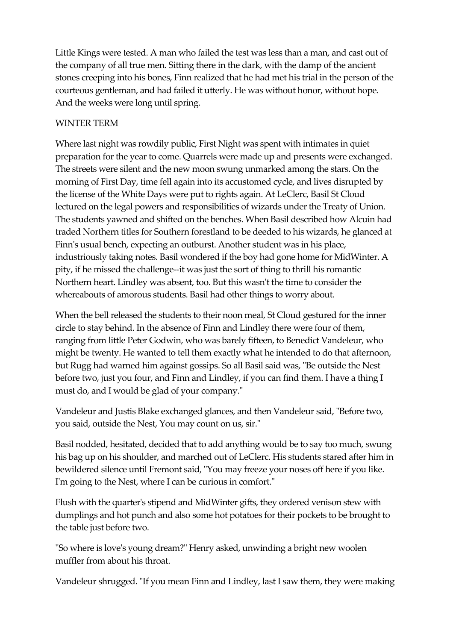Little Kings were tested. A man who failed the test was less than a man, and cast out of the company of all true men. Sitting there in the dark, with the damp of the ancient stones creeping into his bones, Finn realized that he had met his trial in the person of the courteous gentleman, and had failed it utterly. He was without honor, without hope. And the weeks were long until spring.

## WINTER TERM

Where last night was rowdily public, First Night was spent with intimates in quiet preparation for the year to come. Quarrels were made up and presents were exchanged. The streets were silent and the new moon swung unmarked among the stars. On the morning of First Day, time fell again into its accustomed cycle, and lives disrupted by the license of the White Days were put to rights again. At LeClerc, Basil St Cloud lectured on the legal powers and responsibilities of wizards under the Treaty of Union. The students yawned and shifted on the benches. When Basil described how Alcuin had traded Northern titles for Southern forestland to be deeded to his wizards, he glanced at Finn's usual bench, expecting an outburst. Another student was in his place, industriously taking notes. Basil wondered if the boy had gone home for MidWinter. A pity, if he missed the challenge--it was just the sort of thing to thrill his romantic Northern heart. Lindley was absent, too. But this wasn't the time to consider the whereabouts of amorous students. Basil had other things to worry about.

When the bell released the students to their noon meal, St Cloud gestured for the inner circle to stay behind. In the absence of Finn and Lindley there were four of them, ranging from little Peter Godwin, who was barely fifteen, to Benedict Vandeleur, who might be twenty. He wanted to tell them exactly what he intended to do that afternoon, but Rugg had warned him against gossips. So all Basil said was, "Be outside the Nest before two, just you four, and Finn and Lindley, if you can find them. I have a thing I must do, and I would be glad of your company."

Vandeleur and Justis Blake exchanged glances, and then Vandeleur said, "Before two, you said, outside the Nest, You may count on us, sir."

Basil nodded, hesitated, decided that to add anything would be to say too much, swung his bag up on his shoulder, and marched out of LeClerc. His students stared after him in bewildered silence until Fremont said, "You may freeze your noses off here if you like. I'm going to the Nest, where I can be curious in comfort."

Flush with the quarter's stipend and MidWinter gifts, they ordered venison stew with dumplings and hot punch and also some hot potatoes for their pockets to be brought to the table just before two.

"So where is love's young dream?" Henry asked, unwinding a bright new woolen muffler from about his throat.

Vandeleur shrugged. "If you mean Finn and Lindley, last I saw them, they were making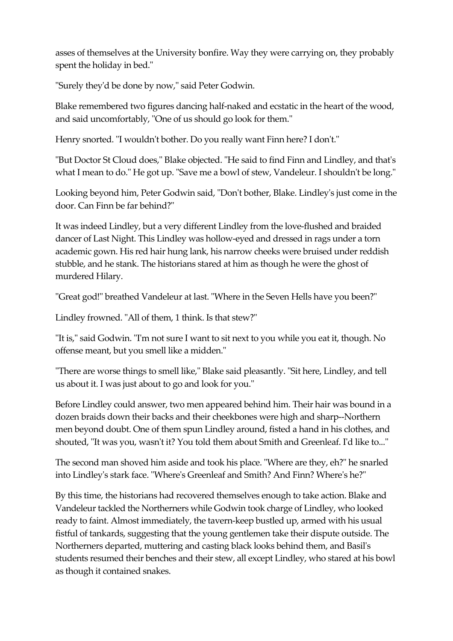asses of themselves at the University bonfire. Way they were carrying on, they probably spent the holiday in bed."

"Surely they'd be done by now," said Peter Godwin.

Blake remembered two figures dancing half-naked and ecstatic in the heart of the wood, and said uncomfortably, "One of us should go look for them."

Henry snorted. "I wouldn't bother. Do you really want Finn here? I don't."

"But Doctor St Cloud does," Blake objected. "He said to find Finn and Lindley, and that's what I mean to do." He got up. "Save me a bowl of stew, Vandeleur. I shouldn't be long."

Looking beyond him, Peter Godwin said, "Don't bother, Blake. Lindley's just come in the door. Can Finn be far behind?"

It was indeed Lindley, but a very different Lindley from the love-flushed and braided dancer of Last Night. This Lindley was hollow-eyed and dressed in rags under a torn academic gown. His red hair hung lank, his narrow cheeks were bruised under reddish stubble, and he stank. The historians stared at him as though he were the ghost of murdered Hilary.

"Great god!" breathed Vandeleur at last. "Where in the Seven Hells have you been?"

Lindley frowned. "All of them, 1 think. Is that stew?"

"It is," said Godwin. "I'm not sure I want to sit next to you while you eat it, though. No offense meant, but you smell like a midden."

"There are worse things to smell like," Blake said pleasantly. "Sit here, Lindley, and tell us about it. I was just about to go and look for you."

Before Lindley could answer, two men appeared behind him. Their hair was bound in a dozen braids down their backs and their cheekbones were high and sharp--Northern men beyond doubt. One of them spun Lindley around, fisted a hand in his clothes, and shouted, "It was you, wasn't it? You told them about Smith and Greenleaf. I'd like to..."

The second man shoved him aside and took his place. "Where are they, eh?" he snarled into Lindley's stark face. "Where's Greenleaf and Smith? And Finn? Where's he?"

By this time, the historians had recovered themselves enough to take action. Blake and Vandeleur tackled the Northerners while Godwin took charge of Lindley, who looked ready to faint. Almost immediately, the tavern-keep bustled up, armed with his usual fistful of tankards, suggesting that the young gentlemen take their dispute outside. The Northerners departed, muttering and casting black looks behind them, and Basil's students resumed their benches and their stew, all except Lindley, who stared at his bowl as though it contained snakes.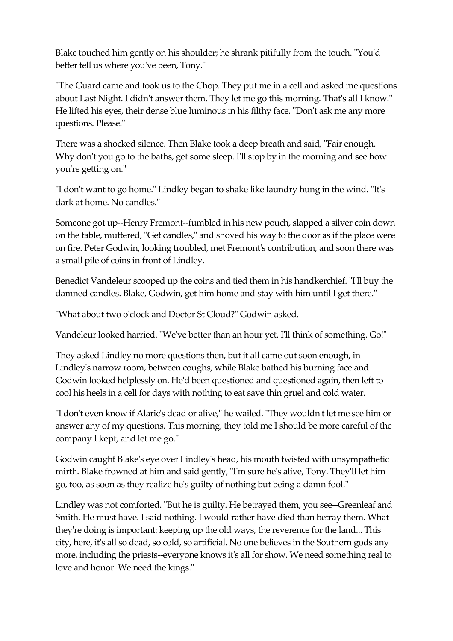Blake touched him gently on his shoulder; he shrank pitifully from the touch. "You'd better tell us where you've been, Tony."

"The Guard came and took us to the Chop. They put me in a cell and asked me questions about Last Night. I didn't answer them. They let me go this morning. That's all I know." He lifted his eyes, their dense blue luminous in his filthy face. "Don't ask me any more questions. Please."

There was a shocked silence. Then Blake took a deep breath and said, "Fair enough. Why don't you go to the baths, get some sleep. I'll stop by in the morning and see how you're getting on."

"I don't want to go home." Lindley began to shake like laundry hung in the wind. "It's dark at home. No candles."

Someone got up--Henry Fremont--fumbled in his new pouch, slapped a silver coin down on the table, muttered, "Get candles," and shoved his way to the door as if the place were on fire. Peter Godwin, looking troubled, met Fremont's contribution, and soon there was a small pile of coins in front of Lindley.

Benedict Vandeleur scooped up the coins and tied them in his handkerchief. "I'll buy the damned candles. Blake, Godwin, get him home and stay with him until I get there."

"What about two o'clock and Doctor St Cloud?" Godwin asked.

Vandeleur looked harried. "We've better than an hour yet. I'll think of something. Go!"

They asked Lindley no more questions then, but it all came out soon enough, in Lindley's narrow room, between coughs, while Blake bathed his burning face and Godwin looked helplessly on. He'd been questioned and questioned again, then left to cool his heels in a cell for days with nothing to eat save thin gruel and cold water.

"I don't even know if Alaric's dead or alive," he wailed. "They wouldn't let me see him or answer any of my questions. This morning, they told me I should be more careful of the company I kept, and let me go."

Godwin caught Blake's eye over Lindley's head, his mouth twisted with unsympathetic mirth. Blake frowned at him and said gently, "I'm sure he's alive, Tony. They'll let him go, too, as soon as they realize he's guilty of nothing but being a damn fool."

Lindley was not comforted. "But he is guilty. He betrayed them, you see--Greenleaf and Smith. He must have. I said nothing. I would rather have died than betray them. What they're doing is important: keeping up the old ways, the reverence for the land... This city, here, it's all so dead, so cold, so artificial. No one believes in the Southern gods any more, including the priests--everyone knows it's all for show. We need something real to love and honor. We need the kings."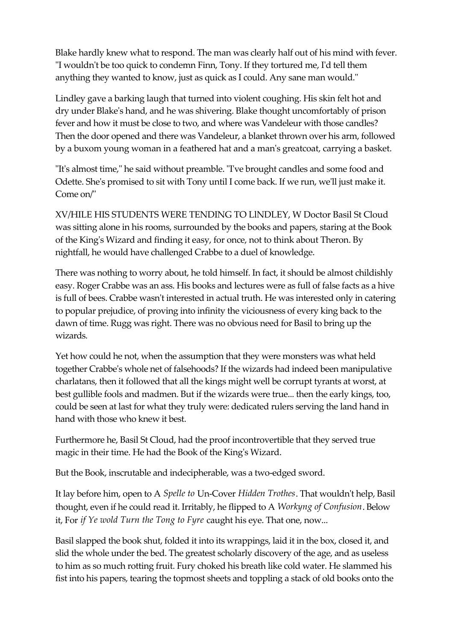Blake hardly knew what to respond. The man was clearly half out of his mind with fever. "I wouldn't be too quick to condemn Finn, Tony. If they tortured me, I'd tell them anything they wanted to know, just as quick as I could. Any sane man would."

Lindley gave a barking laugh that turned into violent coughing. His skin felt hot and dry under Blake's hand, and he was shivering. Blake thought uncomfortably of prison fever and how it must be close to two, and where was Vandeleur with those candles? Then the door opened and there was Vandeleur, a blanket thrown over his arm, followed by a buxom young woman in a feathered hat and a man's greatcoat, carrying a basket.

"It's almost time," he said without preamble. "I've brought candles and some food and Odette. She's promised to sit with Tony until I come back. If we run, we'll just make it. Come on/"

XV/HILE HIS STUDENTS WERE TENDING TO LlNDLEY, W Doctor Basil St Cloud was sitting alone in his rooms, surrounded by the books and papers, staring at the Book of the King's Wizard and finding it easy, for once, not to think about Theron. By nightfall, he would have challenged Crabbe to a duel of knowledge.

There was nothing to worry about, he told himself. In fact, it should be almost childishly easy. Roger Crabbe was an ass. His books and lectures were as full of false facts as a hive is full of bees. Crabbe wasn't interested in actual truth. He was interested only in catering to popular prejudice, of proving into infinity the viciousness of every king back to the dawn of time. Rugg was right. There was no obvious need for Basil to bring up the wizards.

Yet how could he not, when the assumption that they were monsters was what held together Crabbe's whole net of falsehoods? If the wizards had indeed been manipulative charlatans, then it followed that all the kings might well be corrupt tyrants at worst, at best gullible fools and madmen. But if the wizards were true... then the early kings, too, could be seen at last for what they truly were: dedicated rulers serving the land hand in hand with those who knew it best.

Furthermore he, Basil St Cloud, had the proof incontrovertible that they served true magic in their time. He had the Book of the King's Wizard.

But the Book, inscrutable and indecipherable, was a two-edged sword.

It lay before him, open to A *Spelle to* Un-Cover *Hidden Trothes*. That wouldn't help, Basil thought, even if he could read it. Irritably, he flipped to A *Workyng of Confusion*. Below it, For *if Ye wold Turn the Tong to Fyre* caught his eye. That one, now...

Basil slapped the book shut, folded it into its wrappings, laid it in the box, closed it, and slid the whole under the bed. The greatest scholarly discovery of the age, and as useless to him as so much rotting fruit. Fury choked his breath like cold water. He slammed his fist into his papers, tearing the topmost sheets and toppling a stack of old books onto the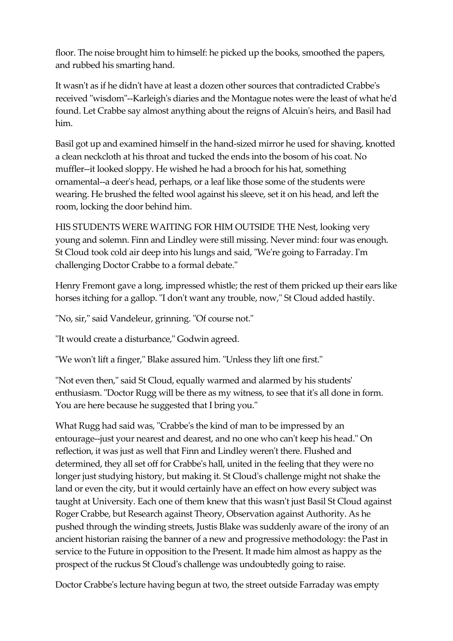floor. The noise brought him to himself: he picked up the books, smoothed the papers, and rubbed his smarting hand.

It wasn't as if he didn't have at least a dozen other sources that contradicted Crabbe's received "wisdom"--Karleigh's diaries and the Montague notes were the least of what he'd found. Let Crabbe say almost anything about the reigns of Alcuin's heirs, and Basil had him.

Basil got up and examined himself in the hand-sized mirror he used for shaving, knotted a clean neckcloth at his throat and tucked the ends into the bosom of his coat. No muffler--it looked sloppy. He wished he had a brooch for his hat, something ornamental--a deer's head, perhaps, or a leaf like those some of the students were wearing. He brushed the felted wool against his sleeve, set it on his head, and left the room, locking the door behind him.

HIS STUDENTS WERE WAITING FOR HIM OUTSIDE THE Nest, looking very young and solemn. Finn and Lindley were still missing. Never mind: four was enough. St Cloud took cold air deep into his lungs and said, "We're going to Farraday. I'm challenging Doctor Crabbe to a formal debate."

Henry Fremont gave a long, impressed whistle; the rest of them pricked up their ears like horses itching for a gallop. "I don't want any trouble, now," St Cloud added hastily.

"No, sir," said Vandeleur, grinning. "Of course not."

"It would create a disturbance," Godwin agreed.

"We won't lift a finger," Blake assured him. "Unless they lift one first."

"Not even then," said St Cloud, equally warmed and alarmed by his students' enthusiasm. "Doctor Rugg will be there as my witness, to see that it's all done in form. You are here because he suggested that I bring you."

What Rugg had said was, "Crabbe's the kind of man to be impressed by an entourage--just your nearest and dearest, and no one who can't keep his head." On reflection, it was just as well that Finn and Lindley weren't there. Flushed and determined, they all set off for Crabbe's hall, united in the feeling that they were no longer just studying history, but making it. St Cloud's challenge might not shake the land or even the city, but it would certainly have an effect on how every subject was taught at University. Each one of them knew that this wasn't just Basil St Cloud against Roger Crabbe, but Research against Theory, Observation against Authority. As he pushed through the winding streets, Justis Blake was suddenly aware of the irony of an ancient historian raising the banner of a new and progressive methodology: the Past in service to the Future in opposition to the Present. It made him almost as happy as the prospect of the ruckus St Cloud's challenge was undoubtedly going to raise.

Doctor Crabbe's lecture having begun at two, the street outside Farraday was empty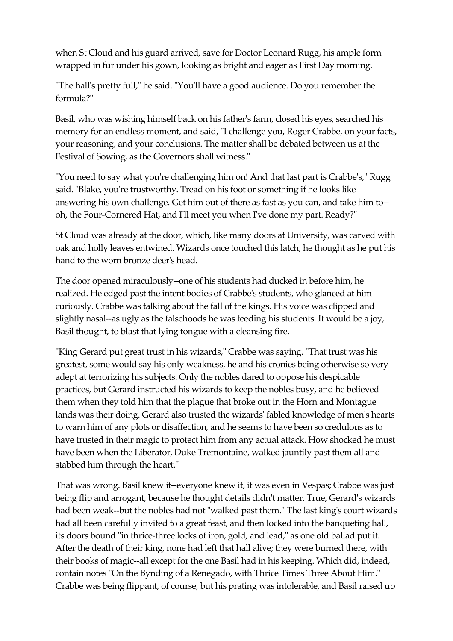when St Cloud and his guard arrived, save for Doctor Leonard Rugg, his ample form wrapped in fur under his gown, looking as bright and eager as First Day morning.

"The hall's pretty full," he said. "You'll have a good audience. Do you remember the formula?"

Basil, who was wishing himself back on his father's farm, closed his eyes, searched his memory for an endless moment, and said, "I challenge you, Roger Crabbe, on your facts, your reasoning, and your conclusions. The matter shall be debated between us at the Festival of Sowing, as the Governors shall witness."

"You need to say what you're challenging him on! And that last part is Crabbe's," Rugg said. "Blake, you're trustworthy. Tread on his foot or something if he looks like answering his own challenge. Get him out of there as fast as you can, and take him to- oh, the Four-Cornered Hat, and I'll meet you when I've done my part. Ready?"

St Cloud was already at the door, which, like many doors at University, was carved with oak and holly leaves entwined. Wizards once touched this latch, he thought as he put his hand to the worn bronze deer's head.

The door opened miraculously--one of his students had ducked in before him, he realized. He edged past the intent bodies of Crabbe's students, who glanced at him curiously. Crabbe was talking about the fall of the kings. His voice was clipped and slightly nasal--as ugly as the falsehoods he was feeding his students. It would be a joy, Basil thought, to blast that lying tongue with a cleansing fire.

"King Gerard put great trust in his wizards," Crabbe was saying. "That trust was his greatest, some would say his only weakness, he and his cronies being otherwise so very adept at terrorizing his subjects. Only the nobles dared to oppose his despicable practices, but Gerard instructed his wizards to keep the nobles busy, and he believed them when they told him that the plague that broke out in the Horn and Montague lands was their doing. Gerard also trusted the wizards' fabled knowledge of men's hearts to warn him of any plots or disaffection, and he seems to have been so credulous as to have trusted in their magic to protect him from any actual attack. How shocked he must have been when the Liberator, Duke Tremontaine, walked jauntily past them all and stabbed him through the heart."

That was wrong. Basil knew it--everyone knew it, it was even in Vespas; Crabbe was just being flip and arrogant, because he thought details didn't matter. True, Gerard's wizards had been weak--but the nobles had not "walked past them." The last king's court wizards had all been carefully invited to a great feast, and then locked into the banqueting hall, its doors bound "in thrice-three locks of iron, gold, and lead," as one old ballad put it. After the death of their king, none had left that hall alive; they were burned there, with their books of magic--all except for the one Basil had in his keeping. Which did, indeed, contain notes "On the Bynding of a Renegado, with Thrice Times Three About Him." Crabbe was being flippant, of course, but his prating was intolerable, and Basil raised up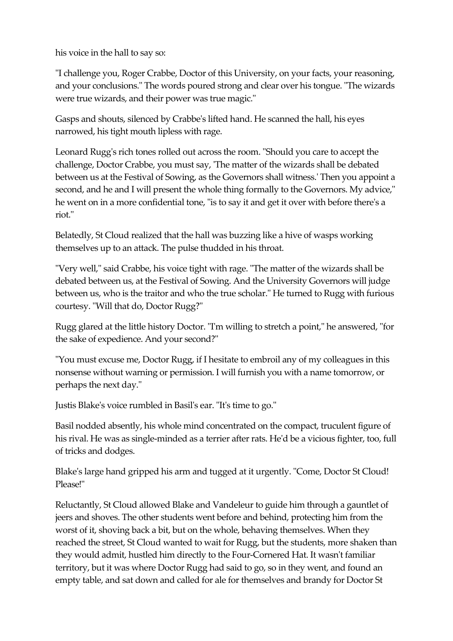his voice in the hall to say so:

"I challenge you, Roger Crabbe, Doctor of this University, on your facts, your reasoning, and your conclusions." The words poured strong and clear over his tongue. "The wizards were true wizards, and their power was true magic."

Gasps and shouts, silenced by Crabbe's lifted hand. He scanned the hall, his eyes narrowed, his tight mouth lipless with rage.

Leonard Rugg's rich tones rolled out across the room. "Should you care to accept the challenge, Doctor Crabbe, you must say, 'The matter of the wizards shall be debated between us at the Festival of Sowing, as the Governors shall witness.' Then you appoint a second, and he and I will present the whole thing formally to the Governors. My advice," he went on in a more confidential tone, "is to say it and get it over with before there's a riot."

Belatedly, St Cloud realized that the hall was buzzing like a hive of wasps working themselves up to an attack. The pulse thudded in his throat.

"Very well," said Crabbe, his voice tight with rage. "The matter of the wizards shall be debated between us, at the Festival of Sowing. And the University Governors will judge between us, who is the traitor and who the true scholar." He turned to Rugg with furious courtesy. "Will that do, Doctor Rugg?"

Rugg glared at the little history Doctor. "I'm willing to stretch a point," he answered, "for the sake of expedience. And your second?"

"You must excuse me, Doctor Rugg, if I hesitate to embroil any of my colleagues in this nonsense without warning or permission. I will furnish you with a name tomorrow, or perhaps the next day."

Justis Blake's voice rumbled in Basil's ear. "It's time to go."

Basil nodded absently, his whole mind concentrated on the compact, truculent figure of his rival. He was as single-minded as a terrier after rats. He'd be a vicious fighter, too, full of tricks and dodges.

Blake's large hand gripped his arm and tugged at it urgently. "Come, Doctor St Cloud! Please!"

Reluctantly, St Cloud allowed Blake and Vandeleur to guide him through a gauntlet of jeers and shoves. The other students went before and behind, protecting him from the worst of it, shoving back a bit, but on the whole, behaving themselves. When they reached the street, St Cloud wanted to wait for Rugg, but the students, more shaken than they would admit, hustled him directly to the Four-Cornered Hat. It wasn't familiar territory, but it was where Doctor Rugg had said to go, so in they went, and found an empty table, and sat down and called for ale for themselves and brandy for Doctor St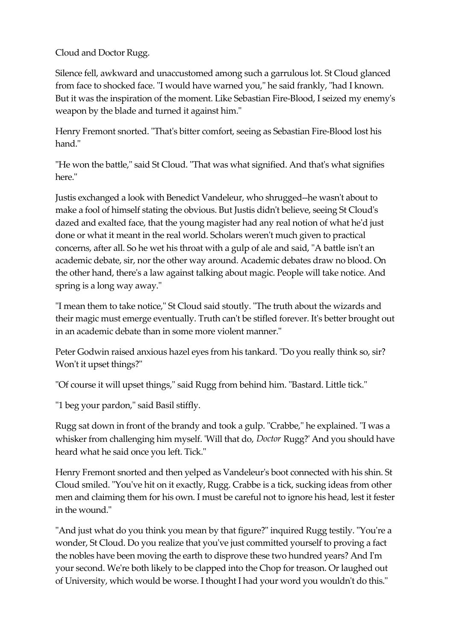Cloud and Doctor Rugg.

Silence fell, awkward and unaccustomed among such a garrulous lot. St Cloud glanced from face to shocked face. "I would have warned you," he said frankly, "had I known. But it was the inspiration of the moment. Like Sebastian Fire-Blood, I seized my enemy's weapon by the blade and turned it against him."

Henry Fremont snorted. "That's bitter comfort, seeing as Sebastian Fire-Blood lost his hand."

"He won the battle," said St Cloud. "That was what signified. And that's what signifies here."

Justis exchanged a look with Benedict Vandeleur, who shrugged--he wasn't about to make a fool of himself stating the obvious. But Justis didn't believe, seeing St Cloud's dazed and exalted face, that the young magister had any real notion of what he'd just done or what it meant in the real world. Scholars weren't much given to practical concerns, after all. So he wet his throat with a gulp of ale and said, "A battle isn't an academic debate, sir, nor the other way around. Academic debates draw no blood. On the other hand, there's a law against talking about magic. People will take notice. And spring is a long way away."

"I mean them to take notice," St Cloud said stoutly. "The truth about the wizards and their magic must emerge eventually. Truth can't be stifled forever. It's better brought out in an academic debate than in some more violent manner."

Peter Godwin raised anxious hazel eyes from his tankard. "Do you really think so, sir? Won't it upset things?"

"Of course it will upset things," said Rugg from behind him. "Bastard. Little tick."

"1 beg your pardon," said Basil stiffly.

Rugg sat down in front of the brandy and took a gulp. "Crabbe," he explained. "I was a whisker from challenging him myself. 'Will that do, *Doctor* Rugg?' And you should have heard what he said once you left. Tick."

Henry Fremont snorted and then yelped as Vandeleur's boot connected with his shin. St Cloud smiled. "You've hit on it exactly, Rugg. Crabbe is a tick, sucking ideas from other men and claiming them for his own. I must be careful not to ignore his head, lest it fester in the wound."

"And just what do you think you mean by that figure?" inquired Rugg testily. "You're a wonder, St Cloud. Do you realize that you've just committed yourself to proving a fact the nobles have been moving the earth to disprove these two hundred years? And I'm your second. We're both likely to be clapped into the Chop for treason. Or laughed out of University, which would be worse. I thought I had your word you wouldn't do this."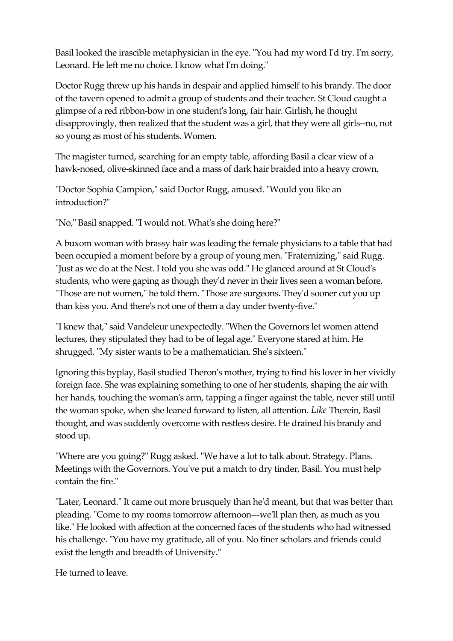Basil looked the irascible metaphysician in the eye. "You had my word I'd try. I'm sorry, Leonard. He left me no choice. I know what I'm doing."

Doctor Rugg threw up his hands in despair and applied himself to his brandy. The door of the tavern opened to admit a group of students and their teacher. St Cloud caught a glimpse of a red ribbon-bow in one student's long, fair hair. Girlish, he thought disapprovingly, then realized that the student was a girl, that they were all girls--no, not so young as most of his students. Women.

The magister turned, searching for an empty table, affording Basil a clear view of a hawk-nosed, olive-skinned face and a mass of dark hair braided into a heavy crown.

"Doctor Sophia Campion," said Doctor Rugg, amused. "Would you like an introduction?"

"No," Basil snapped. "I would not. What's she doing here?"

A buxom woman with brassy hair was leading the female physicians to a table that had been occupied a moment before by a group of young men. "Fraternizing," said Rugg. "Just as we do at the Nest. I told you she was odd." He glanced around at St Cloud's students, who were gaping as though they'd never in their lives seen a woman before. "Those are not women," he told them. "Those are surgeons. They'd sooner cut you up than kiss you. And there's not one of them a day under twenty-five."

"I knew that," said Vandeleur unexpectedly. "When the Governors let women attend lectures, they stipulated they had to be of legal age." Everyone stared at him. He shrugged. "My sister wants to be a mathematician. She's sixteen."

Ignoring this byplay, Basil studied Theron's mother, trying to find his lover in her vividly foreign face. She was explaining something to one of her students, shaping the air with her hands, touching the woman's arm, tapping a finger against the table, never still until the woman spoke, when she leaned forward to listen, all attention. *Like* Therein, Basil thought, and was suddenly overcome with restless desire. He drained his brandy and stood up.

"Where are you going?" Rugg asked. "We have a lot to talk about. Strategy. Plans. Meetings with the Governors. You've put a match to dry tinder, Basil. You must help contain the fire."

"Later, Leonard." It came out more brusquely than he'd meant, but that was better than pleading. "Come to my rooms tomorrow afternoon---we'll plan then, as much as you like." He looked with affection at the concerned faces of the students who had witnessed his challenge. "You have my gratitude, all of you. No finer scholars and friends could exist the length and breadth of University."

He turned to leave.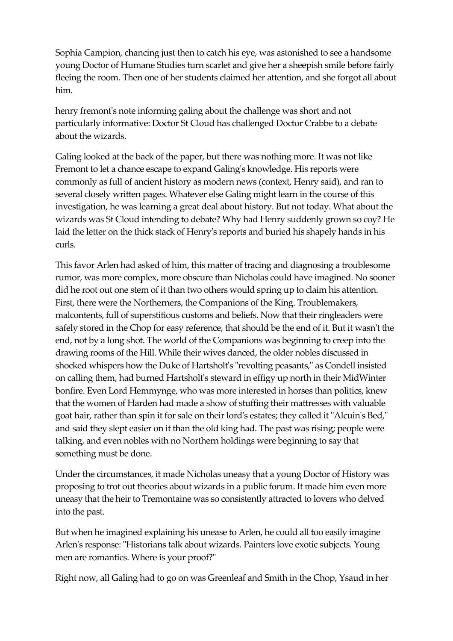Sophia Campion, chancing just then to catch his eye, was astonished to see a handsome young Doctor of Humane Studies turn scarlet and give her a sheepish smile before fairly fleeing the room. Then one of her students claimed her attention, and she forgot all about him.

henry fremont's note informing galing about the challenge was short and not particularly informative: Doctor St Cloud has challenged Doctor Crabbe to a debate about the wizards.

Galing looked at the back of the paper, but there was nothing more. It was not like Fremont to let a chance escape to expand Galing's knowledge. His reports were commonly as full of ancient history as modern news (context, Henry said), and ran to several closely written pages. Whatever else Galing might learn in the course of this investigation, he was learning a great deal about history. But not today. What about the wizards was St Cloud intending to debate? Why had Henry suddenly grown so coy? He laid the letter on the thick stack of Henry's reports and buried his shapely hands in his curls.

This favor Arlen had asked of him, this matter of tracing and diagnosing a troublesome rumor, was more complex, more obscure than Nicholas could have imagined. No sooner did he root out one stem of it than two others would spring up to claim his attention. First, there were the Northerners, the Companions of the King. Troublemakers, malcontents, full of superstitious customs and beliefs. Now that their ringleaders were safely stored in the Chop for easy reference, that should be the end of it. But it wasn't the end, not by a long shot. The world of the Companions was beginning to creep into the drawing rooms of the Hill. While their wives danced, the older nobles discussed in shocked whispers how the Duke of Hartsholt's "revolting peasants," as Condell insisted on calling them, had burned Hartsholt's steward in effigy up north in their MidWinter bonfire. Even Lord Hemmynge, who was more interested in horses than politics, knew that the women of Harden had made a show of stuffing their mattresses with valuable goat hair, rather than spin it for sale on their lord's estates; they called it "Alcuin's Bed," and said they slept easier on it than the old king had. The past was rising; people were talking, and even nobles with no Northern holdings were beginning to say that something must be done.

Under the circumstances, it made Nicholas uneasy that a young Doctor of History was proposing to trot out theories about wizards in a public forum. It made him even more uneasy that the heir to Tremontaine was so consistently attracted to lovers who delved into the past.

But when he imagined explaining his unease to Arlen, he could all too easily imagine Arlen's response: "Historians talk about wizards. Painters love exotic subjects. Young men are romantics. Where is your proof?"

Right now, all Galing had to go on was Greenleaf and Smith in the Chop, Ysaud in her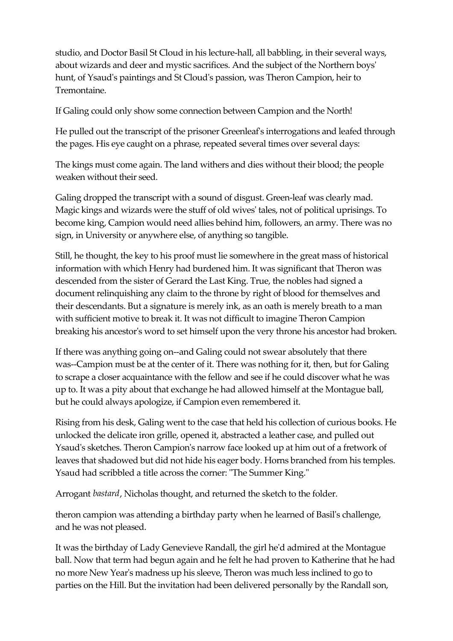studio, and Doctor Basil St Cloud in his lecture-hall, all babbling, in their several ways, about wizards and deer and mystic sacrifices. And the subject of the Northern boys' hunt, of Ysaud's paintings and St Cloud's passion, was Theron Campion, heir to **Tremontaine** 

If Galing could only show some connection between Campion and the North!

He pulled out the transcript of the prisoner Greenleaf's interrogations and leafed through the pages. His eye caught on a phrase, repeated several times over several days:

The kings must come again. The land withers and dies without their blood; the people weaken without their seed.

Galing dropped the transcript with a sound of disgust. Green-leaf was clearly mad. Magic kings and wizards were the stuff of old wives' tales, not of political uprisings. To become king, Campion would need allies behind him, followers, an army. There was no sign, in University or anywhere else, of anything so tangible.

Still, he thought, the key to his proof must lie somewhere in the great mass of historical information with which Henry had burdened him. It was significant that Theron was descended from the sister of Gerard the Last King. True, the nobles had signed a document relinquishing any claim to the throne by right of blood for themselves and their descendants. But a signature is merely ink, as an oath is merely breath to a man with sufficient motive to break it. It was not difficult to imagine Theron Campion breaking his ancestor's word to set himself upon the very throne his ancestor had broken.

If there was anything going on--and Galing could not swear absolutely that there was--Campion must be at the center of it. There was nothing for it, then, but for Galing to scrape a closer acquaintance with the fellow and see if he could discover what he was up to. It was a pity about that exchange he had allowed himself at the Montague ball, but he could always apologize, if Campion even remembered it.

Rising from his desk, Galing went to the case that held his collection of curious books. He unlocked the delicate iron grille, opened it, abstracted a leather case, and pulled out Ysaud's sketches. Theron Campion's narrow face looked up at him out of a fretwork of leaves that shadowed but did not hide his eager body. Horns branched from his temples. Ysaud had scribbled a title across the corner: "The Summer King."

Arrogant *bastard*, Nicholas thought, and returned the sketch to the folder.

theron campion was attending a birthday party when he learned of Basil's challenge, and he was not pleased.

It was the birthday of Lady Genevieve Randall, the girl he'd admired at the Montague ball. Now that term had begun again and he felt he had proven to Katherine that he had no more New Year's madness up his sleeve, Theron was much less inclined to go to parties on the Hill. But the invitation had been delivered personally by the Randall son,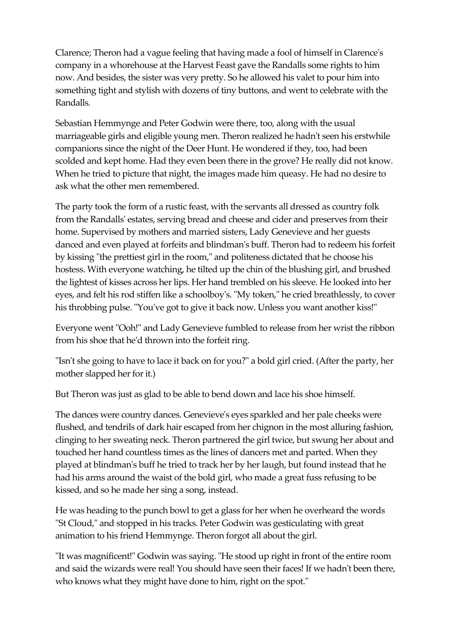Clarence; Theron had a vague feeling that having made a fool of himself in Clarence's company in a whorehouse at the Harvest Feast gave the Randalls some rights to him now. And besides, the sister was very pretty. So he allowed his valet to pour him into something tight and stylish with dozens of tiny buttons, and went to celebrate with the Randalls.

Sebastian Hemmynge and Peter Godwin were there, too, along with the usual marriageable girls and eligible young men. Theron realized he hadn't seen his erstwhile companions since the night of the Deer Hunt. He wondered if they, too, had been scolded and kept home. Had they even been there in the grove? He really did not know. When he tried to picture that night, the images made him queasy. He had no desire to ask what the other men remembered.

The party took the form of a rustic feast, with the servants all dressed as country folk from the Randalls' estates, serving bread and cheese and cider and preserves from their home. Supervised by mothers and married sisters, Lady Genevieve and her guests danced and even played at forfeits and blindman's buff. Theron had to redeem his forfeit by kissing "the prettiest girl in the room," and politeness dictated that he choose his hostess. With everyone watching, he tilted up the chin of the blushing girl, and brushed the lightest of kisses across her lips. Her hand trembled on his sleeve. He looked into her eyes, and felt his rod stiffen like a schoolboy's. "My token," he cried breathlessly, to cover his throbbing pulse. "You've got to give it back now. Unless you want another kiss!"

Everyone went "Ooh!" and Lady Genevieve fumbled to release from her wrist the ribbon from his shoe that he'd thrown into the forfeit ring.

"Isn't she going to have to lace it back on for you?" a bold girl cried. (After the party, her mother slapped her for it.)

But Theron was just as glad to be able to bend down and lace his shoe himself.

The dances were country dances. Genevieve's eyes sparkled and her pale cheeks were flushed, and tendrils of dark hair escaped from her chignon in the most alluring fashion, clinging to her sweating neck. Theron partnered the girl twice, but swung her about and touched her hand countless times as the lines of dancers met and parted. When they played at blindman's buff he tried to track her by her laugh, but found instead that he had his arms around the waist of the bold girl, who made a great fuss refusing to be kissed, and so he made her sing a song, instead.

He was heading to the punch bowl to get a glass for her when he overheard the words "St Cloud," and stopped in his tracks. Peter Godwin was gesticulating with great animation to his friend Hemmynge. Theron forgot all about the girl.

"It was magnificent!" Godwin was saying. "He stood up right in front of the entire room and said the wizards were real! You should have seen their faces! If we hadn't been there, who knows what they might have done to him, right on the spot."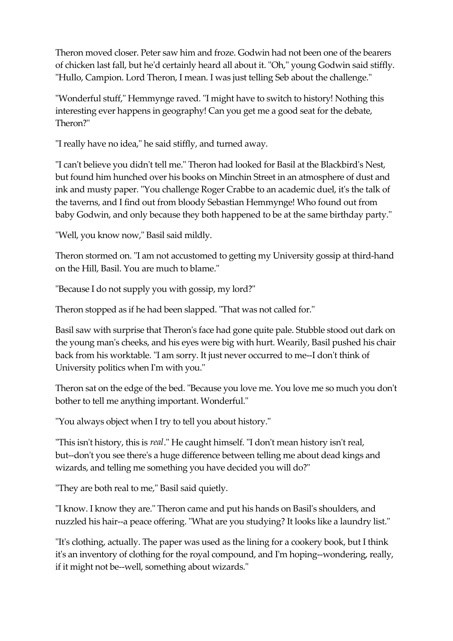Theron moved closer. Peter saw him and froze. Godwin had not been one of the bearers of chicken last fall, but he'd certainly heard all about it. "Oh," young Godwin said stiffly. "Hullo, Campion. Lord Theron, I mean. I was just telling Seb about the challenge."

"Wonderful stuff," Hemmynge raved. "I might have to switch to history! Nothing this interesting ever happens in geography! Can you get me a good seat for the debate, Theron?"

"I really have no idea," he said stiffly, and turned away.

"I can't believe you didn't tell me." Theron had looked for Basil at the Blackbird's Nest, but found him hunched over his books on Minchin Street in an atmosphere of dust and ink and musty paper. "You challenge Roger Crabbe to an academic duel, it's the talk of the taverns, and I find out from bloody Sebastian Hemmynge! Who found out from baby Godwin, and only because they both happened to be at the same birthday party."

"Well, you know now," Basil said mildly.

Theron stormed on. "I am not accustomed to getting my University gossip at third-hand on the Hill, Basil. You are much to blame."

"Because I do not supply you with gossip, my lord?"

Theron stopped as if he had been slapped. "That was not called for."

Basil saw with surprise that Theron's face had gone quite pale. Stubble stood out dark on the young man's cheeks, and his eyes were big with hurt. Wearily, Basil pushed his chair back from his worktable. "I am sorry. It just never occurred to me--I don't think of University politics when I'm with you."

Theron sat on the edge of the bed. "Because you love me. You love me so much you don't bother to tell me anything important. Wonderful."

"You always object when I try to tell you about history."

"This isn't history, this is *real*." He caught himself. "I don't mean history isn't real, but--don't you see there's a huge difference between telling me about dead kings and wizards, and telling me something you have decided you will do?"

"They are both real to me," Basil said quietly.

"I know. I know they are." Theron came and put his hands on Basil's shoulders, and nuzzled his hair--a peace offering. "What are you studying? It looks like a laundry list."

"It's clothing, actually. The paper was used as the lining for a cookery book, but I think it's an inventory of clothing for the royal compound, and I'm hoping--wondering, really, if it might not be--well, something about wizards."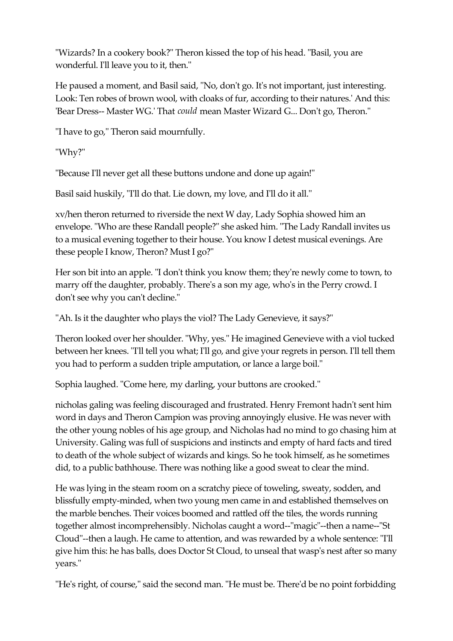"Wizards? In a cookery book?" Theron kissed the top of his head. "Basil, you are wonderful. I'll leave you to it, then."

He paused a moment, and Basil said, "No, don't go. It's not important, just interesting. Look: Ten robes of brown wool, with cloaks of fur, according to their natures.' And this: 'Bear Dress-- Master WG.' That *could* mean Master Wizard G... Don't go, Theron."

"I have to go," Theron said mournfully.

"Why?"

"Because I'll never get all these buttons undone and done up again!"

Basil said huskily, "I'll do that. Lie down, my love, and I'll do it all."

xv/hen theron returned to riverside the next W day, Lady Sophia showed him an envelope. "Who are these Randall people?" she asked him. "The Lady Randall invites us to a musical evening together to their house. You know I detest musical evenings. Are these people I know, Theron? Must I go?"

Her son bit into an apple. "I don't think you know them; they're newly come to town, to marry off the daughter, probably. There's a son my age, who's in the Perry crowd. I don't see why you can't decline."

"Ah. Is it the daughter who plays the viol? The Lady Genevieve, it says?"

Theron looked over her shoulder. "Why, yes." He imagined Genevieve with a viol tucked between her knees. "I'll tell you what; I'll go, and give your regrets in person. I'll tell them you had to perform a sudden triple amputation, or lance a large boil."

Sophia laughed. "Come here, my darling, your buttons are crooked."

nicholas galing was feeling discouraged and frustrated. Henry Fremont hadn't sent him word in days and Theron Campion was proving annoyingly elusive. He was never with the other young nobles of his age group, and Nicholas had no mind to go chasing him at University. Galing was full of suspicions and instincts and empty of hard facts and tired to death of the whole subject of wizards and kings. So he took himself, as he sometimes did, to a public bathhouse. There was nothing like a good sweat to clear the mind.

He was lying in the steam room on a scratchy piece of toweling, sweaty, sodden, and blissfully empty-minded, when two young men came in and established themselves on the marble benches. Their voices boomed and rattled off the tiles, the words running together almost incomprehensibly. Nicholas caught a word--"magic"--then a name--"St Cloud"--then a laugh. He came to attention, and was rewarded by a whole sentence: "I'll give him this: he has balls, does Doctor St Cloud, to unseal that wasp's nest after so many years."

"He's right, of course," said the second man. "He must be. There'd be no point forbidding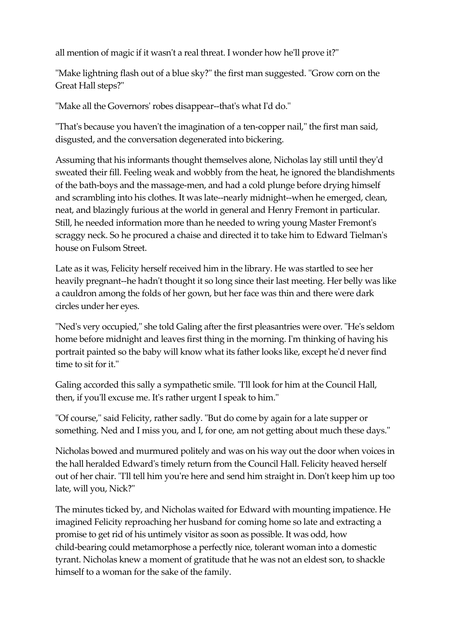all mention of magic if it wasn't a real threat. I wonder how he'll prove it?"

"Make lightning flash out of a blue sky?" the first man suggested. "Grow corn on the Great Hall steps?"

"Make all the Governors' robes disappear--that's what I'd do."

"That's because you haven't the imagination of a ten-copper nail," the first man said, disgusted, and the conversation degenerated into bickering.

Assuming that his informants thought themselves alone, Nicholas lay still until they'd sweated their fill. Feeling weak and wobbly from the heat, he ignored the blandishments of the bath-boys and the massage-men, and had a cold plunge before drying himself and scrambling into his clothes. It was late--nearly midnight--when he emerged, clean, neat, and blazingly furious at the world in general and Henry Fremont in particular. Still, he needed information more than he needed to wring young Master Fremont's scraggy neck. So he procured a chaise and directed it to take him to Edward Tielman's house on Fulsom Street.

Late as it was, Felicity herself received him in the library. He was startled to see her heavily pregnant--he hadn't thought it so long since their last meeting. Her belly was like a cauldron among the folds of her gown, but her face was thin and there were dark circles under her eyes.

"Ned's very occupied," she told Galing after the first pleasantries were over. "He's seldom home before midnight and leaves first thing in the morning. I'm thinking of having his portrait painted so the baby will know what its father looks like, except he'd never find time to sit for it."

Galing accorded this sally a sympathetic smile. "I'll look for him at the Council Hall, then, if you'll excuse me. It's rather urgent I speak to him."

"Of course," said Felicity, rather sadly. "But do come by again for a late supper or something. Ned and I miss you, and I, for one, am not getting about much these days."

Nicholas bowed and murmured politely and was on his way out the door when voices in the hall heralded Edward's timely return from the Council Hall. Felicity heaved herself out of her chair. "I'll tell him you're here and send him straight in. Don't keep him up too late, will you, Nick?"

The minutes ticked by, and Nicholas waited for Edward with mounting impatience. He imagined Felicity reproaching her husband for coming home so late and extracting a promise to get rid of his untimely visitor as soon as possible. It was odd, how child-bearing could metamorphose a perfectly nice, tolerant woman into a domestic tyrant. Nicholas knew a moment of gratitude that he was not an eldest son, to shackle himself to a woman for the sake of the family.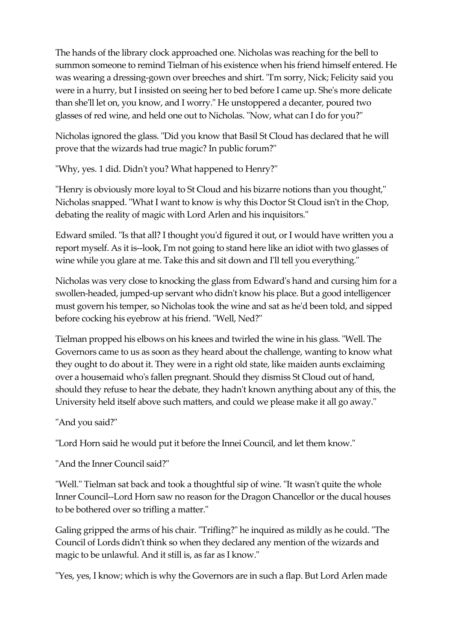The hands of the library clock approached one. Nicholas was reaching for the bell to summon someone to remind Tielman of his existence when his friend himself entered. He was wearing a dressing-gown over breeches and shirt. "I'm sorry, Nick; Felicity said you were in a hurry, but I insisted on seeing her to bed before I came up. She's more delicate than she'll let on, you know, and I worry." He unstoppered a decanter, poured two glasses of red wine, and held one out to Nicholas. "Now, what can I do for you?"

Nicholas ignored the glass. "Did you know that Basil St Cloud has declared that he will prove that the wizards had true magic? In public forum?"

"Why, yes. 1 did. Didn't you? What happened to Henry?"

"Henry is obviously more loyal to St Cloud and his bizarre notions than you thought," Nicholas snapped. "What I want to know is why this Doctor St Cloud isn't in the Chop, debating the reality of magic with Lord Arlen and his inquisitors."

Edward smiled. "Is that all? I thought you'd figured it out, or I would have written you a report myself. As it is--look, I'm not going to stand here like an idiot with two glasses of wine while you glare at me. Take this and sit down and I'll tell you everything."

Nicholas was very close to knocking the glass from Edward's hand and cursing him for a swollen-headed, jumped-up servant who didn't know his place. But a good intelligencer must govern his temper, so Nicholas took the wine and sat as he'd been told, and sipped before cocking his eyebrow at his friend. "Well, Ned?"

Tielman propped his elbows on his knees and twirled the wine in his glass. "Well. The Governors came to us as soon as they heard about the challenge, wanting to know what they ought to do about it. They were in a right old state, like maiden aunts exclaiming over a housemaid who's fallen pregnant. Should they dismiss St Cloud out of hand, should they refuse to hear the debate, they hadn't known anything about any of this, the University held itself above such matters, and could we please make it all go away."

"And you said?"

"Lord Horn said he would put it before the Innei Council, and let them know."

"And the Inner Council said?"

"Well." Tielman sat back and took a thoughtful sip of wine. "It wasn't quite the whole Inner Council--Lord Horn saw no reason for the Dragon Chancellor or the ducal houses to be bothered over so trifling a matter."

Galing gripped the arms of his chair. "Trifling?" he inquired as mildly as he could. "The Council of Lords didn't think so when they declared any mention of the wizards and magic to be unlawful. And it still is, as far as I know."

"Yes, yes, I know; which is why the Governors are in such a flap. But Lord Arlen made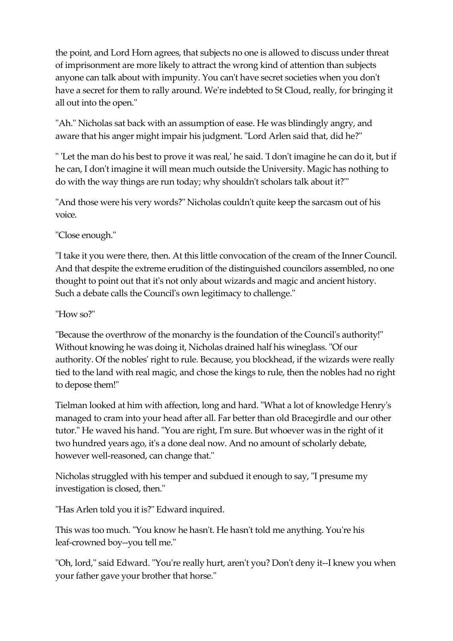the point, and Lord Horn agrees, that subjects no one is allowed to discuss under threat of imprisonment are more likely to attract the wrong kind of attention than subjects anyone can talk about with impunity. You can't have secret societies when you don't have a secret for them to rally around. We're indebted to St Cloud, really, for bringing it all out into the open."

"Ah." Nicholas sat back with an assumption of ease. He was blindingly angry, and aware that his anger might impair his judgment. "Lord Arlen said that, did he?"

" 'Let the man do his best to prove it was real,' he said. 'I don't imagine he can do it, but if he can, I don't imagine it will mean much outside the University. Magic has nothing to do with the way things are run today; why shouldn't scholars talk about it?'"

"And those were his very words?" Nicholas couldn't quite keep the sarcasm out of his voice.

"Close enough."

"I take it you were there, then. At this little convocation of the cream of the Inner Council. And that despite the extreme erudition of the distinguished councilors assembled, no one thought to point out that it's not only about wizards and magic and ancient history. Such a debate calls the Council's own legitimacy to challenge."

"How so?"

"Because the overthrow of the monarchy is the foundation of the Council's authority!" Without knowing he was doing it, Nicholas drained half his wineglass. "Of our authority. Of the nobles' right to rule. Because, you blockhead, if the wizards were really tied to the land with real magic, and chose the kings to rule, then the nobles had no right to depose them!"

Tielman looked at him with affection, long and hard. "What a lot of knowledge Henry's managed to cram into your head after all. Far better than old Bracegirdle and our other tutor." He waved his hand. "You are right, I'm sure. But whoever was in the right of it two hundred years ago, it's a done deal now. And no amount of scholarly debate, however well-reasoned, can change that."

Nicholas struggled with his temper and subdued it enough to say, "I presume my investigation is closed, then."

"Has Arlen told you it is?" Edward inquired.

This was too much. "You know he hasn't. He hasn't told me anything. You're his leaf-crowned boy--you tell me."

"Oh, lord," said Edward. "You're really hurt, aren't you? Don't deny it--I knew you when your father gave your brother that horse."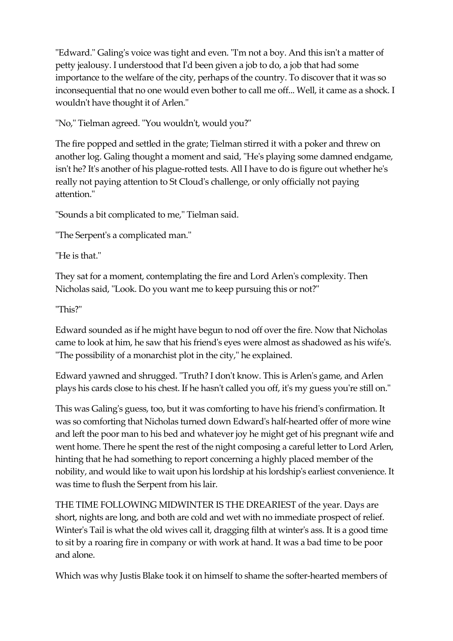"Edward." Galing's voice was tight and even. "I'm not a boy. And this isn't a matter of petty jealousy. I understood that I'd been given a job to do, a job that had some importance to the welfare of the city, perhaps of the country. To discover that it was so inconsequential that no one would even bother to call me off... Well, it came as a shock. I wouldn't have thought it of Arlen."

"No," Tielman agreed. "You wouldn't, would you?"

The fire popped and settled in the grate; Tielman stirred it with a poker and threw on another log. Galing thought a moment and said, "He's playing some damned endgame, isn't he? It's another of his plague-rotted tests. All I have to do is figure out whether he's really not paying attention to St Cloud's challenge, or only officially not paying attention."

"Sounds a bit complicated to me," Tielman said.

"The Serpent's a complicated man."

"He is that."

They sat for a moment, contemplating the fire and Lord Arlen's complexity. Then Nicholas said, "Look. Do you want me to keep pursuing this or not?"

"This?"

Edward sounded as if he might have begun to nod off over the fire. Now that Nicholas came to look at him, he saw that his friend's eyes were almost as shadowed as his wife's. "The possibility of a monarchist plot in the city," he explained.

Edward yawned and shrugged. "Truth? I don't know. This is Arlen's game, and Arlen plays his cards close to his chest. If he hasn't called you off, it's my guess you're still on."

This was Galing's guess, too, but it was comforting to have his friend's confirmation. It was so comforting that Nicholas turned down Edward's half-hearted offer of more wine and left the poor man to his bed and whatever joy he might get of his pregnant wife and went home. There he spent the rest of the night composing a careful letter to Lord Arlen, hinting that he had something to report concerning a highly placed member of the nobility, and would like to wait upon his lordship at his lordship's earliest convenience. It was time to flush the Serpent from his lair.

THE TIME FOLLOWING MIDWINTER IS THE DREARIEST of the year. Days are short, nights are long, and both are cold and wet with no immediate prospect of relief. Winter's Tail is what the old wives call it, dragging filth at winter's ass. It is a good time to sit by a roaring fire in company or with work at hand. It was a bad time to be poor and alone.

Which was why Justis Blake took it on himself to shame the softer-hearted members of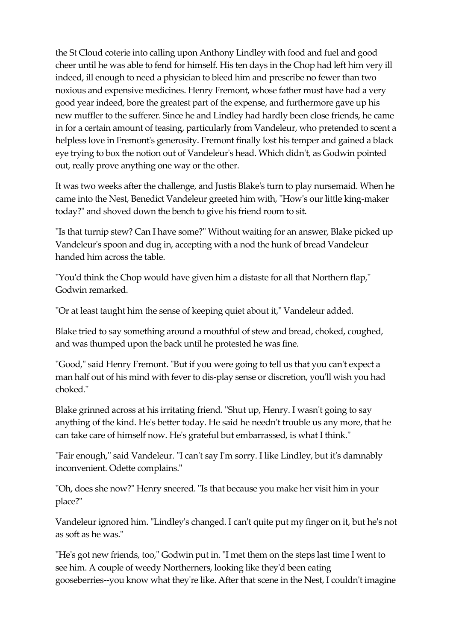the St Cloud coterie into calling upon Anthony Lindley with food and fuel and good cheer until he was able to fend for himself. His ten days in the Chop had left him very ill indeed, ill enough to need a physician to bleed him and prescribe no fewer than two noxious and expensive medicines. Henry Fremont, whose father must have had a very good year indeed, bore the greatest part of the expense, and furthermore gave up his new muffler to the sufferer. Since he and Lindley had hardly been close friends, he came in for a certain amount of teasing, particularly from Vandeleur, who pretended to scent a helpless love in Fremont's generosity. Fremont finally lost his temper and gained a black eye trying to box the notion out of Vandeleur's head. Which didn't, as Godwin pointed out, really prove anything one way or the other.

It was two weeks after the challenge, and Justis Blake's turn to play nursemaid. When he came into the Nest, Benedict Vandeleur greeted him with, "How's our little king-maker today?" and shoved down the bench to give his friend room to sit.

"Is that turnip stew? Can I have some?" Without waiting for an answer, Blake picked up Vandeleur's spoon and dug in, accepting with a nod the hunk of bread Vandeleur handed him across the table.

"You'd think the Chop would have given him a distaste for all that Northern flap," Godwin remarked.

"Or at least taught him the sense of keeping quiet about it," Vandeleur added.

Blake tried to say something around a mouthful of stew and bread, choked, coughed, and was thumped upon the back until he protested he was fine.

"Good," said Henry Fremont. "But if you were going to tell us that you can't expect a man half out of his mind with fever to dis-play sense or discretion, you'll wish you had choked."

Blake grinned across at his irritating friend. "Shut up, Henry. I wasn't going to say anything of the kind. He's better today. He said he needn't trouble us any more, that he can take care of himself now. He's grateful but embarrassed, is what I think."

"Fair enough," said Vandeleur. "I can't say I'm sorry. I like Lindley, but it's damnably inconvenient. Odette complains."

"Oh, does she now?" Henry sneered. "Is that because you make her visit him in your place?"

Vandeleur ignored him. "Lindley's changed. I can't quite put my finger on it, but he's not as soft as he was."

"He's got new friends, too," Godwin put in. "I met them on the steps last time I went to see him. A couple of weedy Northerners, looking like they'd been eating gooseberries--you know what they're like. After that scene in the Nest, I couldn't imagine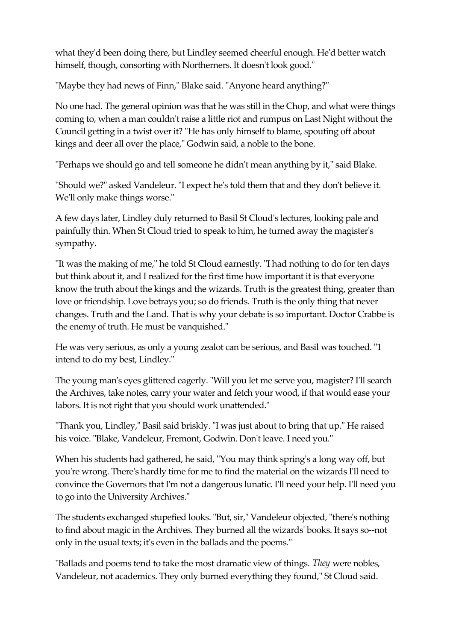what they'd been doing there, but Lindley seemed cheerful enough. He'd better watch himself, though, consorting with Northerners. It doesn't look good."

"Maybe they had news of Finn," Blake said. "Anyone heard anything?"

No one had. The general opinion was that he was still in the Chop, and what were things coming to, when a man couldn't raise a little riot and rumpus on Last Night without the Council getting in a twist over it? "He has only himself to blame, spouting off about kings and deer all over the place," Godwin said, a noble to the bone.

"Perhaps we should go and tell someone he didn't mean anything by it," said Blake.

"Should we?" asked Vandeleur. "I expect he's told them that and they don't believe it. We'll only make things worse."

A few days later, Lindley duly returned to Basil St Cloud's lectures, looking pale and painfully thin. When St Cloud tried to speak to him, he turned away the magister's sympathy.

"It was the making of me," he told St Cloud earnestly. "I had nothing to do for ten days but think about it, and I realized for the first time how important it is that everyone know the truth about the kings and the wizards. Truth is the greatest thing, greater than love or friendship. Love betrays you; so do friends. Truth is the only thing that never changes. Truth and the Land. That is why your debate is so important. Doctor Crabbe is the enemy of truth. He must be vanquished."

He was very serious, as only a young zealot can be serious, and Basil was touched. "1 intend to do my best, Lindley."

The young man's eyes glittered eagerly. "Will you let me serve you, magister? I'll search the Archives, take notes, carry your water and fetch your wood, if that would ease your labors. It is not right that you should work unattended."

"Thank you, Lindley," Basil said briskly. "I was just about to bring that up." He raised his voice. "Blake, Vandeleur, Fremont, Godwin. Don't leave. I need you."

When his students had gathered, he said, "You may think spring's a long way off, but you're wrong. There's hardly time for me to find the material on the wizards I'll need to convince the Governors that I'm not a dangerous lunatic. I'll need your help. I'll need you to go into the University Archives."

The students exchanged stupefied looks. "But, sir," Vandeleur objected, "there's nothing to find about magic in the Archives. They burned all the wizards' books. It says so--not only in the usual texts; it's even in the ballads and the poems."

"Ballads and poems tend to take the most dramatic view of things. *They* were nobles, Vandeleur, not academics. They only burned everything they found," St Cloud said.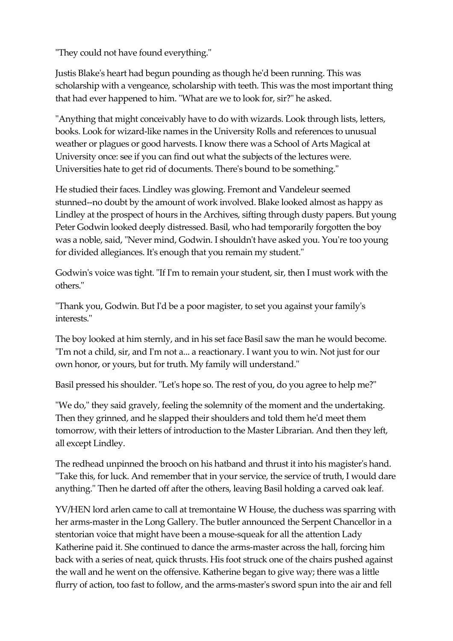"They could not have found everything."

Justis Blake's heart had begun pounding as though he'd been running. This was scholarship with a vengeance, scholarship with teeth. This was the most important thing that had ever happened to him. "What are we to look for, sir?" he asked.

"Anything that might conceivably have to do with wizards. Look through lists, letters, books. Look for wizard-like names in the University Rolls and references to unusual weather or plagues or good harvests. I know there was a School of Arts Magical at University once: see if you can find out what the subjects of the lectures were. Universities hate to get rid of documents. There's bound to be something."

He studied their faces. Lindley was glowing. Fremont and Vandeleur seemed stunned--no doubt by the amount of work involved. Blake looked almost as happy as Lindley at the prospect of hours in the Archives, sifting through dusty papers. But young Peter Godwin looked deeply distressed. Basil, who had temporarily forgotten the boy was a noble, said, "Never mind, Godwin. I shouldn't have asked you. You're too young for divided allegiances. It's enough that you remain my student."

Godwin's voice was tight. "If I'm to remain your student, sir, then I must work with the others."

"Thank you, Godwin. But I'd be a poor magister, to set you against your family's interests."

The boy looked at him sternly, and in his set face Basil saw the man he would become. "I'm not a child, sir, and I'm not a... a reactionary. I want you to win. Not just for our own honor, or yours, but for truth. My family will understand."

Basil pressed his shoulder. "Let's hope so. The rest of you, do you agree to help me?"

"We do," they said gravely, feeling the solemnity of the moment and the undertaking. Then they grinned, and he slapped their shoulders and told them he'd meet them tomorrow, with their letters of introduction to the Master Librarian. And then they left, all except Lindley.

The redhead unpinned the brooch on his hatband and thrust it into his magister's hand. "Take this, for luck. And remember that in your service, the service of truth, I would dare anything." Then he darted off after the others, leaving Basil holding a carved oak leaf.

YV/HEN lord arlen came to call at tremontaine W House, the duchess was sparring with her arms-master in the Long Gallery. The butler announced the Serpent Chancellor in a stentorian voice that might have been a mouse-squeak for all the attention Lady Katherine paid it. She continued to dance the arms-master across the hall, forcing him back with a series of neat, quick thrusts. His foot struck one of the chairs pushed against the wall and he went on the offensive. Katherine began to give way; there was a little flurry of action, too fast to follow, and the arms-master's sword spun into the air and fell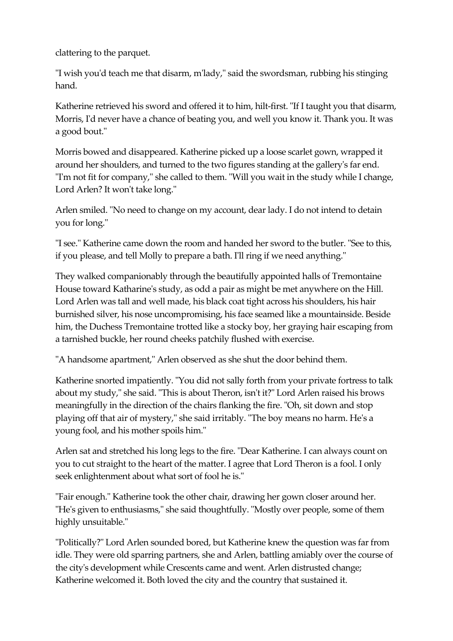clattering to the parquet.

"I wish you'd teach me that disarm, m'lady," said the swordsman, rubbing his stinging hand.

Katherine retrieved his sword and offered it to him, hilt-first. "If I taught you that disarm, Morris, I'd never have a chance of beating you, and well you know it. Thank you. It was a good bout."

Morris bowed and disappeared. Katherine picked up a loose scarlet gown, wrapped it around her shoulders, and turned to the two figures standing at the gallery's far end. "I'm not fit for company," she called to them. "Will you wait in the study while I change, Lord Arlen? It won't take long."

Arlen smiled. "No need to change on my account, dear lady. I do not intend to detain you for long."

"I see." Katherine came down the room and handed her sword to the butler. "See to this, if you please, and tell Molly to prepare a bath. I'll ring if we need anything."

They walked companionably through the beautifully appointed halls of Tremontaine House toward Katharine's study, as odd a pair as might be met anywhere on the Hill. Lord Arlen was tall and well made, his black coat tight across his shoulders, his hair burnished silver, his nose uncompromising, his face seamed like a mountainside. Beside him, the Duchess Tremontaine trotted like a stocky boy, her graying hair escaping from a tarnished buckle, her round cheeks patchily flushed with exercise.

"A handsome apartment," Arlen observed as she shut the door behind them.

Katherine snorted impatiently. "You did not sally forth from your private fortress to talk about my study," she said. "This is about Theron, isn't it?" Lord Arlen raised his brows meaningfully in the direction of the chairs flanking the fire. "Oh, sit down and stop playing off that air of mystery," she said irritably. "The boy means no harm. He's a young fool, and his mother spoils him."

Arlen sat and stretched his long legs to the fire. "Dear Katherine. I can always count on you to cut straight to the heart of the matter. I agree that Lord Theron is a fool. I only seek enlightenment about what sort of fool he is."

"Fair enough." Katherine took the other chair, drawing her gown closer around her. "He's given to enthusiasms," she said thoughtfully. "Mostly over people, some of them highly unsuitable."

"Politically?" Lord Arlen sounded bored, but Katherine knew the question was far from idle. They were old sparring partners, she and Arlen, battling amiably over the course of the city's development while Crescents came and went. Arlen distrusted change; Katherine welcomed it. Both loved the city and the country that sustained it.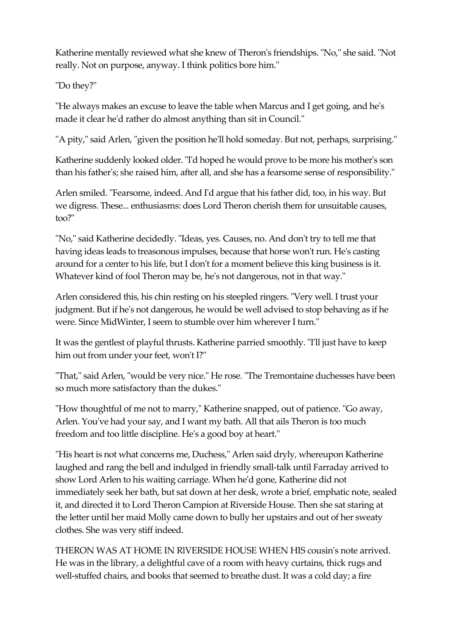Katherine mentally reviewed what she knew of Theron's friendships. "No," she said. "Not really. Not on purpose, anyway. I think politics bore him."

"Do they?"

"He always makes an excuse to leave the table when Marcus and I get going, and he's made it clear he'd rather do almost anything than sit in Council."

"A pity," said Arlen, "given the position he'll hold someday. But not, perhaps, surprising."

Katherine suddenly looked older. "I'd hoped he would prove to be more his mother's son than his father's; she raised him, after all, and she has a fearsome sense of responsibility."

Arlen smiled. "Fearsome, indeed. And I'd argue that his father did, too, in his way. But we digress. These... enthusiasms: does Lord Theron cherish them for unsuitable causes, too?"

"No," said Katherine decidedly. "Ideas, yes. Causes, no. And don't try to tell me that having ideas leads to treasonous impulses, because that horse won't run. He's casting around for a center to his life, but I don't for a moment believe this king business is it. Whatever kind of fool Theron may be, he's not dangerous, not in that way."

Arlen considered this, his chin resting on his steepled ringers. "Very well. I trust your judgment. But if he's not dangerous, he would be well advised to stop behaving as if he were. Since MidWinter, I seem to stumble over him wherever I turn."

It was the gentlest of playful thrusts. Katherine parried smoothly. "I'll just have to keep him out from under your feet, won't I?"

"That," said Arlen, "would be very nice." He rose. "The Tremontaine duchesses have been so much more satisfactory than the dukes."

"How thoughtful of me not to marry," Katherine snapped, out of patience. "Go away, Arlen. You've had your say, and I want my bath. All that ails Theron is too much freedom and too little discipline. He's a good boy at heart."

"His heart is not what concerns me, Duchess," Arlen said dryly, whereupon Katherine laughed and rang the bell and indulged in friendly small-talk until Farraday arrived to show Lord Arlen to his waiting carriage. When he'd gone, Katherine did not immediately seek her bath, but sat down at her desk, wrote a brief, emphatic note, sealed it, and directed it to Lord Theron Campion at Riverside House. Then she sat staring at the letter until her maid Molly came down to bully her upstairs and out of her sweaty clothes. She was very stiff indeed.

THERON WAS AT HOME IN RlVERSIDE HOUSE WHEN HIS cousin's note arrived. He was in the library, a delightful cave of a room with heavy curtains, thick rugs and well-stuffed chairs, and books that seemed to breathe dust. It was a cold day; a fire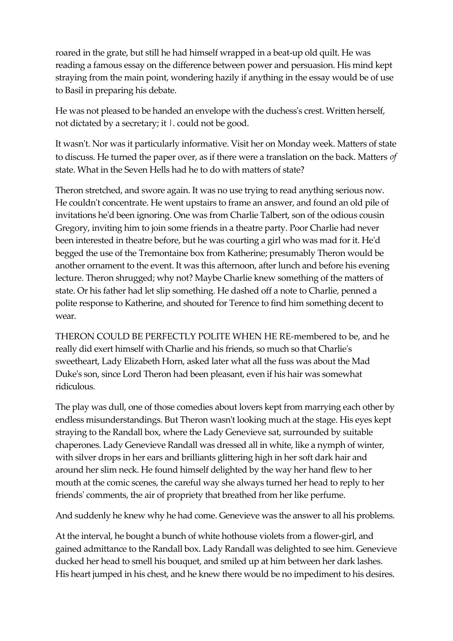roared in the grate, but still he had himself wrapped in a beat-up old quilt. He was reading a famous essay on the difference between power and persuasion. His mind kept straying from the main point, wondering hazily if anything in the essay would be of use to Basil in preparing his debate.

He was not pleased to be handed an envelope with the duchess's crest. Written herself, not dictated by a secretary; it |. could not be good.

It wasn't. Nor was it particularly informative. Visit her on Monday week. Matters of state to discuss. He turned the paper over, as if there were a translation on the back. Matters *of* state. What in the Seven Hells had he to do with matters of state?

Theron stretched, and swore again. It was no use trying to read anything serious now. He couldn't concentrate. He went upstairs to frame an answer, and found an old pile of invitations he'd been ignoring. One was from Charlie Talbert, son of the odious cousin Gregory, inviting him to join some friends in a theatre party. Poor Charlie had never been interested in theatre before, but he was courting a girl who was mad for it. He'd begged the use of the Tremontaine box from Katherine; presumably Theron would be another ornament to the event. It was this afternoon, after lunch and before his evening lecture. Theron shrugged; why not? Maybe Charlie knew something of the matters of state. Or his father had let slip something. He dashed off a note to Charlie, penned a polite response to Katherine, and shouted for Terence to find him something decent to wear.

THERON COULD BE PERFECTLY POLITE WHEN HE RE-membered to be, and he really did exert himself with Charlie and his friends, so much so that Charlie's sweetheart, Lady Elizabeth Horn, asked later what all the fuss was about the Mad Duke's son, since Lord Theron had been pleasant, even if his hair was somewhat ridiculous.

The play was dull, one of those comedies about lovers kept from marrying each other by endless misunderstandings. But Theron wasn't looking much at the stage. His eyes kept straying to the Randall box, where the Lady Genevieve sat, surrounded by suitable chaperones. Lady Genevieve Randall was dressed all in white, like a nymph of winter, with silver drops in her ears and brilliants glittering high in her soft dark hair and around her slim neck. He found himself delighted by the way her hand flew to her mouth at the comic scenes, the careful way she always turned her head to reply to her friends' comments, the air of propriety that breathed from her like perfume.

And suddenly he knew why he had come. Genevieve was the answer to all his problems.

At the interval, he bought a bunch of white hothouse violets from a flower-girl, and gained admittance to the Randall box. Lady Randall was delighted to see him. Genevieve ducked her head to smell his bouquet, and smiled up at him between her dark lashes. His heart jumped in his chest, and he knew there would be no impediment to his desires.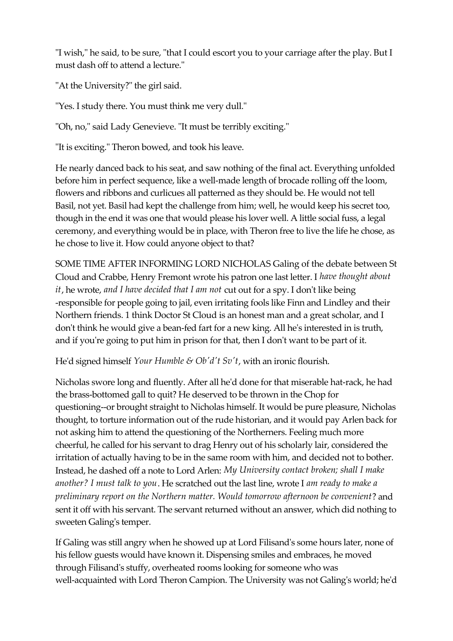"I wish," he said, to be sure, "that I could escort you to your carriage after the play. But I must dash off to attend a lecture."

"At the University?" the girl said.

"Yes. I study there. You must think me very dull."

"Oh, no," said Lady Genevieve. "It must be terribly exciting."

"It is exciting." Theron bowed, and took his leave.

He nearly danced back to his seat, and saw nothing of the final act. Everything unfolded before him in perfect sequence, like a well-made length of brocade rolling off the loom, flowers and ribbons and curlicues all patterned as they should be. He would not tell Basil, not yet. Basil had kept the challenge from him; well, he would keep his secret too, though in the end it was one that would please his lover well. A little social fuss, a legal ceremony, and everything would be in place, with Theron free to live the life he chose, as he chose to live it. How could anyone object to that?

SOME TIME AFTER INFORMING LORD NICHOLAS Galing of the debate between St Cloud and Crabbe, Henry Fremont wrote his patron one last letter. I *have thought about it*, he wrote, *and I have decided that I am not* cut out for a spy. I don't like being -responsible for people going to jail, even irritating fools like Finn and Lindley and their Northern friends. 1 think Doctor St Cloud is an honest man and a great scholar, and I don't think he would give a bean-fed fart for a new king. All he's interested in is truth, and if you're going to put him in prison for that, then I don't want to be part of it.

He'd signed himself *Your Humble & Ob'd't Sv't*, with an ironic flourish.

Nicholas swore long and fluently. After all he'd done for that miserable hat-rack, he had the brass-bottomed gall to quit? He deserved to be thrown in the Chop for questioning--or brought straight to Nicholas himself. It would be pure pleasure, Nicholas thought, to torture information out of the rude historian, and it would pay Arlen back for not asking him to attend the questioning of the Northerners. Feeling much more cheerful, he called for his servant to drag Henry out of his scholarly lair, considered the irritation of actually having to be in the same room with him, and decided not to bother. Instead, he dashed off a note to Lord Arlen: *My University contact broken; shall I make another? I must talk to you*. He scratched out the last line, wrote I *am ready to make a preliminary report on the Northern matter. Would tomorrow afternoon be convenient*? and sent it off with his servant. The servant returned without an answer, which did nothing to sweeten Galing's temper.

If Galing was still angry when he showed up at Lord Filisand's some hours later, none of his fellow guests would have known it. Dispensing smiles and embraces, he moved through Filisand's stuffy, overheated rooms looking for someone who was well-acquainted with Lord Theron Campion. The University was not Galing's world; he'd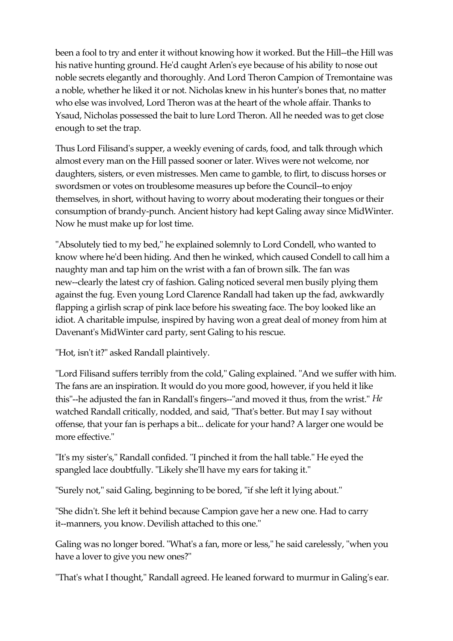been a fool to try and enter it without knowing how it worked. But the Hill--the Hill was his native hunting ground. He'd caught Arlen's eye because of his ability to nose out noble secrets elegantly and thoroughly. And Lord Theron Campion of Tremontaine was a noble, whether he liked it or not. Nicholas knew in his hunter's bones that, no matter who else was involved, Lord Theron was at the heart of the whole affair. Thanks to Ysaud, Nicholas possessed the bait to lure Lord Theron. All he needed was to get close enough to set the trap.

Thus Lord Filisand's supper, a weekly evening of cards, food, and talk through which almost every man on the Hill passed sooner or later. Wives were not welcome, nor daughters, sisters, or even mistresses. Men came to gamble, to flirt, to discuss horses or swordsmen or votes on troublesome measures up before the Council--to enjoy themselves, in short, without having to worry about moderating their tongues or their consumption of brandy-punch. Ancient history had kept Galing away since MidWinter. Now he must make up for lost time.

"Absolutely tied to my bed," he explained solemnly to Lord Condell, who wanted to know where he'd been hiding. And then he winked, which caused Condell to call him a naughty man and tap him on the wrist with a fan of brown silk. The fan was new--clearly the latest cry of fashion. Galing noticed several men busily plying them against the fug. Even young Lord Clarence Randall had taken up the fad, awkwardly flapping a girlish scrap of pink lace before his sweating face. The boy looked like an idiot. A charitable impulse, inspired by having won a great deal of money from him at Davenant's MidWinter card party, sent Galing to his rescue.

"Hot, isn't it?" asked Randall plaintively.

"Lord Filisand suffers terribly from the cold," Galing explained. "And we suffer with him. The fans are an inspiration. It would do you more good, however, if you held it like this"--he adjusted the fan in Randall's fingers--"and moved it thus, from the wrist." *He* watched Randall critically, nodded, and said, "That's better. But may I say without offense, that your fan is perhaps a bit... delicate for your hand? A larger one would be more effective."

"It's my sister's," Randall confided. "I pinched it from the hall table." He eyed the spangled lace doubtfully. "Likely she'll have my ears for taking it."

"Surely not," said Galing, beginning to be bored, "if she left it lying about."

"She didn't. She left it behind because Campion gave her a new one. Had to carry it--manners, you know. Devilish attached to this one."

Galing was no longer bored. "What's a fan, more or less," he said carelessly, "when you have a lover to give you new ones?"

"That's what I thought," Randall agreed. He leaned forward to murmur in Galing's ear.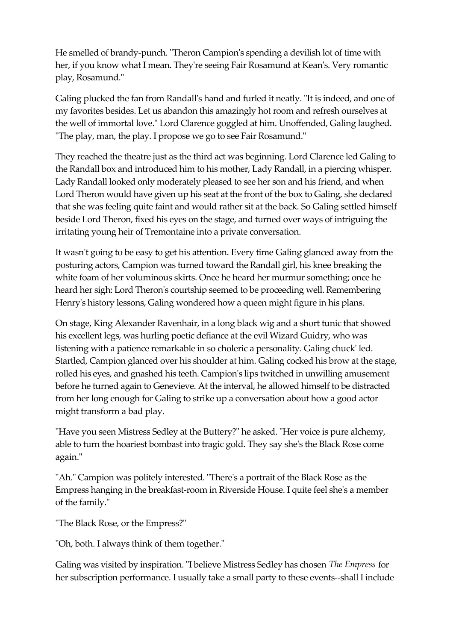He smelled of brandy-punch. "Theron Campion's spending a devilish lot of time with her, if you know what I mean. They're seeing Fair Rosamund at Kean's. Very romantic play, Rosamund."

Galing plucked the fan from Randall's hand and furled it neatly. "It is indeed, and one of my favorites besides. Let us abandon this amazingly hot room and refresh ourselves at the well of immortal love." Lord Clarence goggled at him. Unoffended, Galing laughed. "The play, man, the play. I propose we go to see Fair Rosamund."

They reached the theatre just as the third act was beginning. Lord Clarence led Galing to the Randall box and introduced him to his mother, Lady Randall, in a piercing whisper. Lady Randall looked only moderately pleased to see her son and his friend, and when Lord Theron would have given up his seat at the front of the box to Galing, she declared that she was feeling quite faint and would rather sit at the back. So Galing settled himself beside Lord Theron, fixed his eyes on the stage, and turned over ways of intriguing the irritating young heir of Tremontaine into a private conversation.

It wasn't going to be easy to get his attention. Every time Galing glanced away from the posturing actors, Campion was turned toward the Randall girl, his knee breaking the white foam of her voluminous skirts. Once he heard her murmur something; once he heard her sigh: Lord Theron's courtship seemed to be proceeding well. Remembering Henry's history lessons, Galing wondered how a queen might figure in his plans.

On stage, King Alexander Ravenhair, in a long black wig and a short tunic that showed his excellent legs, was hurling poetic defiance at the evil Wizard Guidry, who was listening with a patience remarkable in so choleric a personality. Galing chuck' led. Startled, Campion glanced over his shoulder at him. Galing cocked his brow at the stage, rolled his eyes, and gnashed his teeth. Campion's lips twitched in unwilling amusement before he turned again to Genevieve. At the interval, he allowed himself to be distracted from her long enough for Galing to strike up a conversation about how a good actor might transform a bad play.

"Have you seen Mistress Sedley at the Buttery?" he asked. "Her voice is pure alchemy, able to turn the hoariest bombast into tragic gold. They say she's the Black Rose come again."

"Ah." Campion was politely interested. "There's a portrait of the Black Rose as the Empress hanging in the breakfast-room in Riverside House. I quite feel she's a member of the family."

"The Black Rose, or the Empress?"

"Oh, both. I always think of them together."

Galing was visited by inspiration. "I believe Mistress Sedley has chosen *The Empress* for her subscription performance. I usually take a small party to these events--shall I include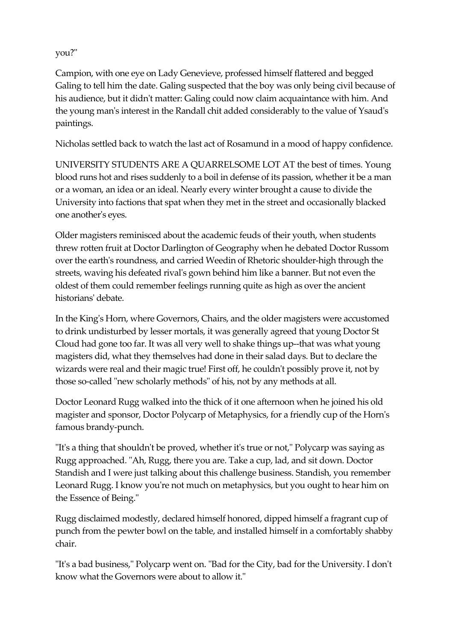you?"

Campion, with one eye on Lady Genevieve, professed himself flattered and begged Galing to tell him the date. Galing suspected that the boy was only being civil because of his audience, but it didn't matter: Galing could now claim acquaintance with him. And the young man's interest in the Randall chit added considerably to the value of Ysaud's paintings.

Nicholas settled back to watch the last act of Rosamund in a mood of happy confidence.

UNIVERSITY STUDENTS ARE A QUARRELSOME LOT AT the best of times. Young blood runs hot and rises suddenly to a boil in defense of its passion, whether it be a man or a woman, an idea or an ideal. Nearly every winter brought a cause to divide the University into factions that spat when they met in the street and occasionally blacked one another's eyes.

Older magisters reminisced about the academic feuds of their youth, when students threw rotten fruit at Doctor Darlington of Geography when he debated Doctor Russom over the earth's roundness, and carried Weedin of Rhetoric shoulder-high through the streets, waving his defeated rival's gown behind him like a banner. But not even the oldest of them could remember feelings running quite as high as over the ancient historians' debate.

In the King's Horn, where Governors, Chairs, and the older magisters were accustomed to drink undisturbed by lesser mortals, it was generally agreed that young Doctor St Cloud had gone too far. It was all very well to shake things up--that was what young magisters did, what they themselves had done in their salad days. But to declare the wizards were real and their magic true! First off, he couldn't possibly prove it, not by those so-called "new scholarly methods" of his, not by any methods at all.

Doctor Leonard Rugg walked into the thick of it one afternoon when he joined his old magister and sponsor, Doctor Polycarp of Metaphysics, for a friendly cup of the Horn's famous brandy-punch.

"It's a thing that shouldn't be proved, whether it's true or not," Polycarp was saying as Rugg approached. "Ah, Rugg, there you are. Take a cup, lad, and sit down. Doctor Standish and I were just talking about this challenge business. Standish, you remember Leonard Rugg. I know you're not much on metaphysics, but you ought to hear him on the Essence of Being."

Rugg disclaimed modestly, declared himself honored, dipped himself a fragrant cup of punch from the pewter bowl on the table, and installed himself in a comfortably shabby chair.

"It's a bad business," Polycarp went on. "Bad for the City, bad for the University. I don't know what the Governors were about to allow it."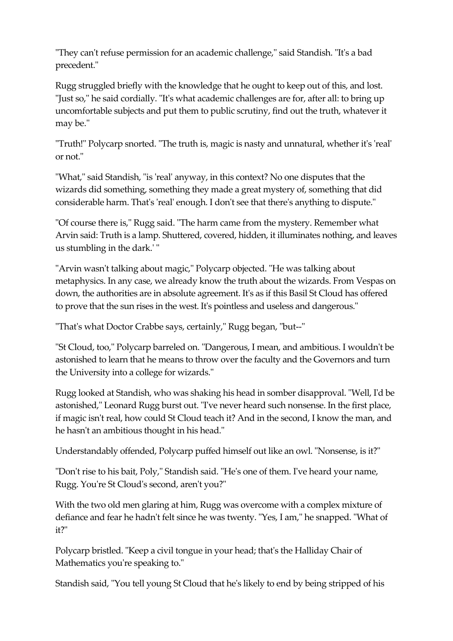"They can't refuse permission for an academic challenge," said Standish. "It's a bad precedent."

Rugg struggled briefly with the knowledge that he ought to keep out of this, and lost. "Just so," he said cordially. "It's what academic challenges are for, after all: to bring up uncomfortable subjects and put them to public scrutiny, find out the truth, whatever it may be."

"Truth!" Polycarp snorted. "The truth is, magic is nasty and unnatural, whether it's 'real' or not."

"What," said Standish, "is 'real' anyway, in this context? No one disputes that the wizards did something, something they made a great mystery of, something that did considerable harm. That's 'real' enough. I don't see that there's anything to dispute."

"Of course there is," Rugg said. "The harm came from the mystery. Remember what Arvin said: Truth is a lamp. Shuttered, covered, hidden, it illuminates nothing, and leaves us stumbling in the dark.' "

"Arvin wasn't talking about magic," Polycarp objected. "He was talking about metaphysics. In any case, we already know the truth about the wizards. From Vespas on down, the authorities are in absolute agreement. It's as if this Basil St Cloud has offered to prove that the sun rises in the west. It's pointless and useless and dangerous."

"That's what Doctor Crabbe says, certainly," Rugg began, "but--"

"St Cloud, too," Polycarp barreled on. "Dangerous, I mean, and ambitious. I wouldn't be astonished to learn that he means to throw over the faculty and the Governors and turn the University into a college for wizards."

Rugg looked at Standish, who was shaking his head in somber disapproval. "Well, I'd be astonished," Leonard Rugg burst out. "I've never heard such nonsense. In the first place, if magic isn't real, how could St Cloud teach it? And in the second, I know the man, and he hasn't an ambitious thought in his head."

Understandably offended, Polycarp puffed himself out like an owl. "Nonsense, is it?"

"Don't rise to his bait, Poly," Standish said. "He's one of them. I've heard your name, Rugg. You're St Cloud's second, aren't you?"

With the two old men glaring at him, Rugg was overcome with a complex mixture of defiance and fear he hadn't felt since he was twenty. "Yes, I am," he snapped. "What of it?"

Polycarp bristled. "Keep a civil tongue in your head; that's the Halliday Chair of Mathematics you're speaking to."

Standish said, "You tell young St Cloud that he's likely to end by being stripped of his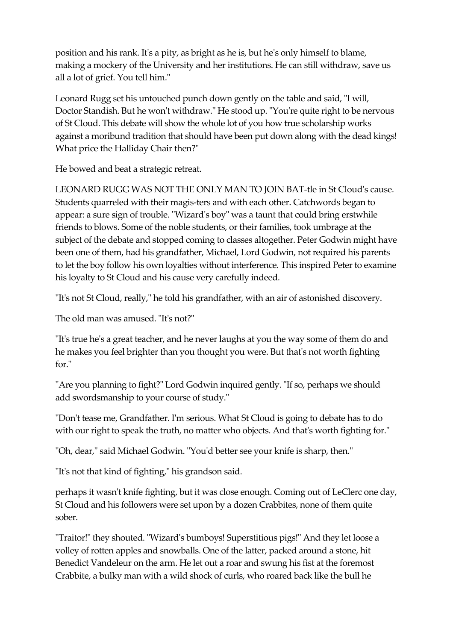position and his rank. It's a pity, as bright as he is, but he's only himself to blame, making a mockery of the University and her institutions. He can still withdraw, save us all a lot of grief. You tell him."

Leonard Rugg set his untouched punch down gently on the table and said, "I will, Doctor Standish. But he won't withdraw." He stood up. "You're quite right to be nervous of St Cloud. This debate will show the whole lot of you how true scholarship works against a moribund tradition that should have been put down along with the dead kings! What price the Halliday Chair then?"

He bowed and beat a strategic retreat.

LEONARD RUGG WAS NOT THE ONLY MAN TO JOIN BAT-tle in St Cloud's cause. Students quarreled with their magis-ters and with each other. Catchwords began to appear: a sure sign of trouble. "Wizard's boy" was a taunt that could bring erstwhile friends to blows. Some of the noble students, or their families, took umbrage at the subject of the debate and stopped coming to classes altogether. Peter Godwin might have been one of them, had his grandfather, Michael, Lord Godwin, not required his parents to let the boy follow his own loyalties without interference. This inspired Peter to examine his loyalty to St Cloud and his cause very carefully indeed.

"It's not St Cloud, really," he told his grandfather, with an air of astonished discovery.

The old man was amused. "It's not?"

"It's true he's a great teacher, and he never laughs at you the way some of them do and he makes you feel brighter than you thought you were. But that's not worth fighting for."

"Are you planning to fight?" Lord Godwin inquired gently. "If so, perhaps we should add swordsmanship to your course of study."

"Don't tease me, Grandfather. I'm serious. What St Cloud is going to debate has to do with our right to speak the truth, no matter who objects. And that's worth fighting for."

"Oh, dear," said Michael Godwin. "You'd better see your knife is sharp, then."

"It's not that kind of fighting," his grandson said.

perhaps it wasn't knife fighting, but it was close enough. Coming out of LeClerc one day, St Cloud and his followers were set upon by a dozen Crabbites, none of them quite sober.

"Traitor!" they shouted. "Wizard's bumboys! Superstitious pigs!" And they let loose a volley of rotten apples and snowballs. One of the latter, packed around a stone, hit Benedict Vandeleur on the arm. He let out a roar and swung his fist at the foremost Crabbite, a bulky man with a wild shock of curls, who roared back like the bull he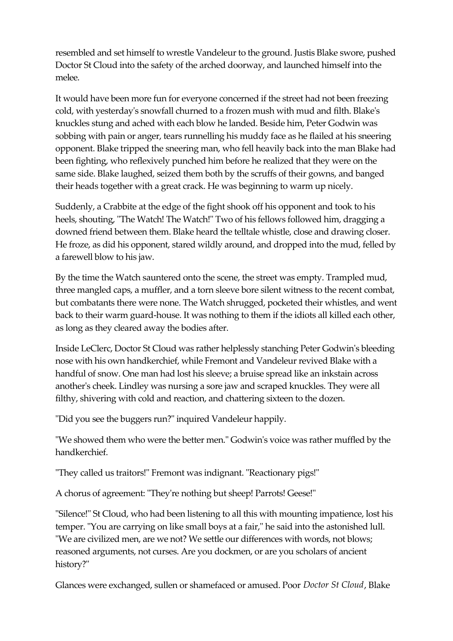resembled and set himself to wrestle Vandeleur to the ground. Justis Blake swore, pushed Doctor St Cloud into the safety of the arched doorway, and launched himself into the melee.

It would have been more fun for everyone concerned if the street had not been freezing cold, with yesterday's snowfall churned to a frozen mush with mud and filth. Blake's knuckles stung and ached with each blow he landed. Beside him, Peter Godwin was sobbing with pain or anger, tears runnelling his muddy face as he flailed at his sneering opponent. Blake tripped the sneering man, who fell heavily back into the man Blake had been fighting, who reflexively punched him before he realized that they were on the same side. Blake laughed, seized them both by the scruffs of their gowns, and banged their heads together with a great crack. He was beginning to warm up nicely.

Suddenly, a Crabbite at the edge of the fight shook off his opponent and took to his heels, shouting, "The Watch! The Watch!" Two of his fellows followed him, dragging a downed friend between them. Blake heard the telltale whistle, close and drawing closer. He froze, as did his opponent, stared wildly around, and dropped into the mud, felled by a farewell blow to his jaw.

By the time the Watch sauntered onto the scene, the street was empty. Trampled mud, three mangled caps, a muffler, and a torn sleeve bore silent witness to the recent combat, but combatants there were none. The Watch shrugged, pocketed their whistles, and went back to their warm guard-house. It was nothing to them if the idiots all killed each other, as long as they cleared away the bodies after.

Inside LeClerc, Doctor St Cloud was rather helplessly stanching Peter Godwin's bleeding nose with his own handkerchief, while Fremont and Vandeleur revived Blake with a handful of snow. One man had lost his sleeve; a bruise spread like an inkstain across another's cheek. Lindley was nursing a sore jaw and scraped knuckles. They were all filthy, shivering with cold and reaction, and chattering sixteen to the dozen.

"Did you see the buggers run?" inquired Vandeleur happily.

"We showed them who were the better men." Godwin's voice was rather muffled by the handkerchief.

"They called us traitors!" Fremont was indignant. "Reactionary pigs!"

A chorus of agreement: "They're nothing but sheep! Parrots! Geese!"

"Silence!" St Cloud, who had been listening to all this with mounting impatience, lost his temper. "You are carrying on like small boys at a fair," he said into the astonished lull. "We are civilized men, are we not? We settle our differences with words, not blows; reasoned arguments, not curses. Are you dockmen, or are you scholars of ancient history?"

Glances were exchanged, sullen or shamefaced or amused. Poor *Doctor St Cloud*, Blake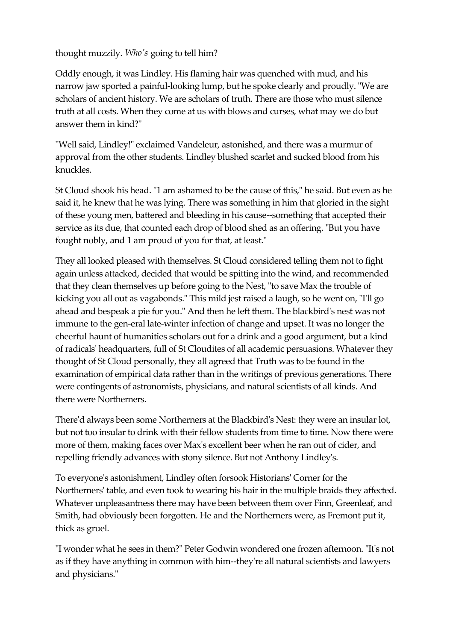thought muzzily. *Who's* going to tell him?

Oddly enough, it was Lindley. His flaming hair was quenched with mud, and his narrow jaw sported a painful-looking lump, but he spoke clearly and proudly. "We are scholars of ancient history. We are scholars of truth. There are those who must silence truth at all costs. When they come at us with blows and curses, what may we do but answer them in kind?"

"Well said, Lindley!" exclaimed Vandeleur, astonished, and there was a murmur of approval from the other students. Lindley blushed scarlet and sucked blood from his knuckles.

St Cloud shook his head. "1 am ashamed to be the cause of this," he said. But even as he said it, he knew that he was lying. There was something in him that gloried in the sight of these young men, battered and bleeding in his cause--something that accepted their service as its due, that counted each drop of blood shed as an offering. "But you have fought nobly, and 1 am proud of you for that, at least."

They all looked pleased with themselves. St Cloud considered telling them not to fight again unless attacked, decided that would be spitting into the wind, and recommended that they clean themselves up before going to the Nest, "to save Max the trouble of kicking you all out as vagabonds." This mild jest raised a laugh, so he went on, "I'll go ahead and bespeak a pie for you." And then he left them. The blackbird's nest was not immune to the gen-eral late-winter infection of change and upset. It was no longer the cheerful haunt of humanities scholars out for a drink and a good argument, but a kind of radicals' headquarters, full of St Cloudites of all academic persuasions. Whatever they thought of St Cloud personally, they all agreed that Truth was to be found in the examination of empirical data rather than in the writings of previous generations. There were contingents of astronomists, physicians, and natural scientists of all kinds. And there were Northerners.

There'd always been some Northerners at the Blackbird's Nest: they were an insular lot, but not too insular to drink with their fellow students from time to time. Now there were more of them, making faces over Max's excellent beer when he ran out of cider, and repelling friendly advances with stony silence. But not Anthony Lindley's.

To everyone's astonishment, Lindley often forsook Historians' Corner for the Northerners' table, and even took to wearing his hair in the multiple braids they affected. Whatever unpleasantness there may have been between them over Finn, Greenleaf, and Smith, had obviously been forgotten. He and the Northerners were, as Fremont put it, thick as gruel.

"I wonder what he sees in them?" Peter Godwin wondered one frozen afternoon. "It's not as if they have anything in common with him--they're all natural scientists and lawyers and physicians."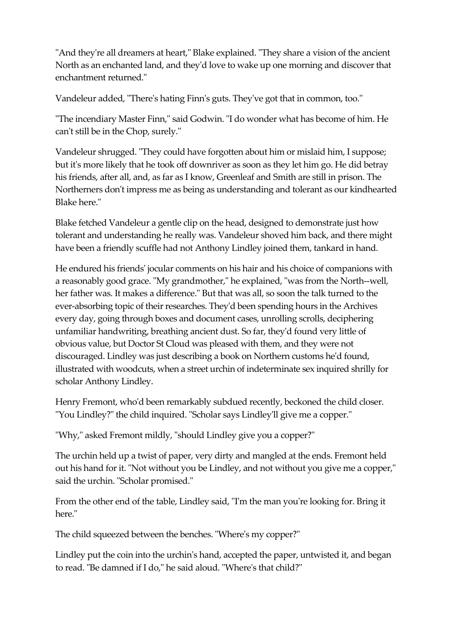"And they're all dreamers at heart," Blake explained. "They share a vision of the ancient North as an enchanted land, and they'd love to wake up one morning and discover that enchantment returned."

Vandeleur added, "There's hating Finn's guts. They've got that in common, too."

"The incendiary Master Finn," said Godwin. "I do wonder what has become of him. He can't still be in the Chop, surely."

Vandeleur shrugged. "They could have forgotten about him or mislaid him, I suppose; but it's more likely that he took off downriver as soon as they let him go. He did betray his friends, after all, and, as far as I know, Greenleaf and Smith are still in prison. The Northerners don't impress me as being as understanding and tolerant as our kindhearted Blake here."

Blake fetched Vandeleur a gentle clip on the head, designed to demonstrate just how tolerant and understanding he really was. Vandeleur shoved him back, and there might have been a friendly scuffle had not Anthony Lindley joined them, tankard in hand.

He endured his friends' jocular comments on his hair and his choice of companions with a reasonably good grace. "My grandmother," he explained, "was from the North--well, her father was. It makes a difference." But that was all, so soon the talk turned to the ever-absorbing topic of their researches. They'd been spending hours in the Archives every day, going through boxes and document cases, unrolling scrolls, deciphering unfamiliar handwriting, breathing ancient dust. So far, they'd found very little of obvious value, but Doctor St Cloud was pleased with them, and they were not discouraged. Lindley was just describing a book on Northern customs he'd found, illustrated with woodcuts, when a street urchin of indeterminate sex inquired shrilly for scholar Anthony Lindley.

Henry Fremont, who'd been remarkably subdued recently, beckoned the child closer. "You Lindley?" the child inquired. "Scholar says Lindley'll give me a copper."

"Why," asked Fremont mildly, "should Lindley give you a copper?"

The urchin held up a twist of paper, very dirty and mangled at the ends. Fremont held out his hand for it. "Not without you be Lindley, and not without you give me a copper," said the urchin. "Scholar promised."

From the other end of the table, Lindley said, "I'm the man you're looking for. Bring it here."

The child squeezed between the benches. "Where's my copper?"

Lindley put the coin into the urchin's hand, accepted the paper, untwisted it, and began to read. "Be damned if I do," he said aloud. "Where's that child?"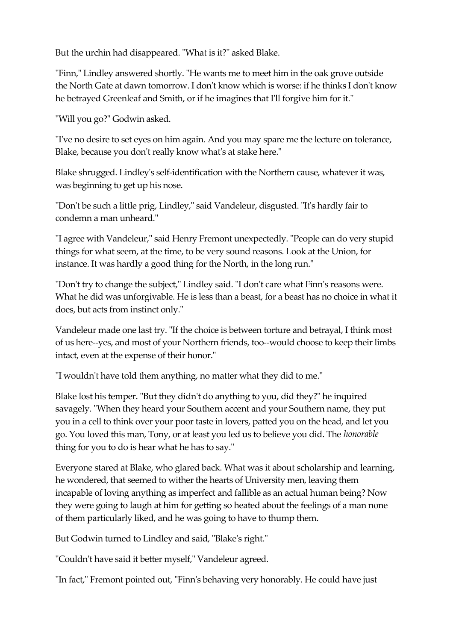But the urchin had disappeared. "What is it?" asked Blake.

"Finn," Lindley answered shortly. "He wants me to meet him in the oak grove outside the North Gate at dawn tomorrow. I don't know which is worse: if he thinks I don't know he betrayed Greenleaf and Smith, or if he imagines that I'll forgive him for it."

"Will you go?" Godwin asked.

"I've no desire to set eyes on him again. And you may spare me the lecture on tolerance, Blake, because you don't really know what's at stake here."

Blake shrugged. Lindley's self-identification with the Northern cause, whatever it was, was beginning to get up his nose.

"Don't be such a little prig, Lindley," said Vandeleur, disgusted. "It's hardly fair to condemn a man unheard."

"I agree with Vandeleur," said Henry Fremont unexpectedly. "People can do very stupid things for what seem, at the time, to be very sound reasons. Look at the Union, for instance. It was hardly a good thing for the North, in the long run."

"Don't try to change the subject," Lindley said. "I don't care what Finn's reasons were. What he did was unforgivable. He is less than a beast, for a beast has no choice in what it does, but acts from instinct only."

Vandeleur made one last try. "If the choice is between torture and betrayal, I think most of us here--yes, and most of your Northern friends, too--would choose to keep their limbs intact, even at the expense of their honor."

"I wouldn't have told them anything, no matter what they did to me."

Blake lost his temper. "But they didn't do anything to you, did they?" he inquired savagely. "When they heard your Southern accent and your Southern name, they put you in a cell to think over your poor taste in lovers, patted you on the head, and let you go. You loved this man, Tony, or at least you led us to believe you did. The *honorable* thing for you to do is hear what he has to say."

Everyone stared at Blake, who glared back. What was it about scholarship and learning, he wondered, that seemed to wither the hearts of University men, leaving them incapable of loving anything as imperfect and fallible as an actual human being? Now they were going to laugh at him for getting so heated about the feelings of a man none of them particularly liked, and he was going to have to thump them.

But Godwin turned to Lindley and said, "Blake's right."

"Couldn't have said it better myself," Vandeleur agreed.

"In fact," Fremont pointed out, "Finn's behaving very honorably. He could have just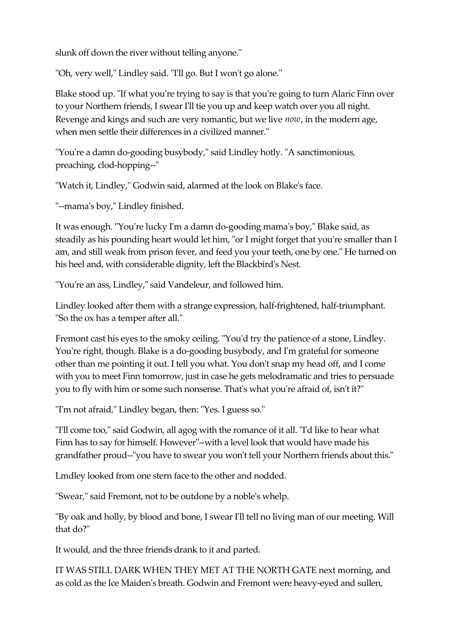slunk off down the river without telling anyone."

"Oh, very well," Lindley said. "I'll go. But I won't go alone."

Blake stood up. "If what you're trying to say is that you're going to turn Alaric Finn over to your Northern friends, I swear I'll tie you up and keep watch over you all night. Revenge and kings and such are very romantic, but we live *now*, in the modern age, when men settle their differences in a civilized manner."

"You're a damn do-gooding busybody," said Lindley hotly. "A sanctimonious, preaching, clod-hopping--"

"Watch it, Lindley," Godwin said, alarmed at the look on Blake's face.

"--mama's boy," Lindley finished.

It was enough. "You're lucky I'm a damn do-gooding mama's boy," Blake said, as steadily as his pounding heart would let him, "or I might forget that you're smaller than I am, and still weak from prison fever, and feed you your teeth, one by one." He turned on his heel and, with considerable dignity, left the Blackbird's Nest.

"You're an ass, Lindley," said Vandeleur, and followed him.

Lindley looked after them with a strange expression, half-frightened, half-triumphant. "So the ox has a temper after all."

Fremont cast his eyes to the smoky ceiling. "You'd try the patience of a stone, Lindley. You're right, though. Blake is a do-gooding busybody, and I'm grateful for someone other than me pointing it out. I tell you what. You don't snap my head off, and I come with you to meet Finn tomorrow, just in case he gets melodramatic and tries to persuade you to fly with him or some such nonsense. That's what you're afraid of, isn't it?"

"I'm not afraid," Lindley began, then: "Yes. I guess so."

"I'll come too," said Godwin, all agog with the romance of it all. "I'd like to hear what Finn has to say for himself. However"--with a level look that would have made his grandfather proud--"you have to swear you won't tell your Northern friends about this."

Lmdley looked from one stern face to the other and nodded.

"Swear," said Fremont, not to be outdone by a noble's whelp.

"By oak and holly, by blood and bone, I swear I'll tell no living man of our meeting. Will that do?"

It would, and the three friends drank to it and parted.

IT WAS STILL DARK WHEN THEY MET AT THE NORTH GATE next morning, and as cold as the Ice Maiden's breath. Godwin and Fremont were heavy-eyed and sullen,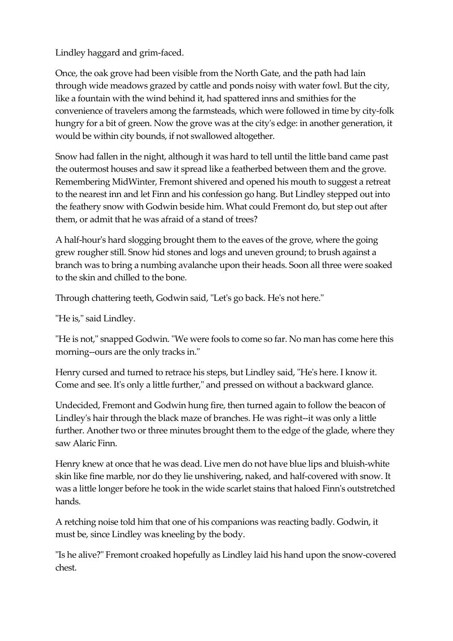Lindley haggard and grim-faced.

Once, the oak grove had been visible from the North Gate, and the path had lain through wide meadows grazed by cattle and ponds noisy with water fowl. But the city, like a fountain with the wind behind it, had spattered inns and smithies for the convenience of travelers among the farmsteads, which were followed in time by city-folk hungry for a bit of green. Now the grove was at the city's edge: in another generation, it would be within city bounds, if not swallowed altogether.

Snow had fallen in the night, although it was hard to tell until the little band came past the outermost houses and saw it spread like a featherbed between them and the grove. Remembering MidWinter, Fremont shivered and opened his mouth to suggest a retreat to the nearest inn and let Finn and his confession go hang. But Lindley stepped out into the feathery snow with Godwin beside him. What could Fremont do, but step out after them, or admit that he was afraid of a stand of trees?

A half-hour's hard slogging brought them to the eaves of the grove, where the going grew rougher still. Snow hid stones and logs and uneven ground; to brush against a branch was to bring a numbing avalanche upon their heads. Soon all three were soaked to the skin and chilled to the bone.

Through chattering teeth, Godwin said, "Let's go back. He's not here."

"He is," said Lindley.

"He is not," snapped Godwin. "We were fools to come so far. No man has come here this morning--ours are the only tracks in."

Henry cursed and turned to retrace his steps, but Lindley said, "He's here. I know it. Come and see. It's only a little further," and pressed on without a backward glance.

Undecided, Fremont and Godwin hung fire, then turned again to follow the beacon of Lindley's hair through the black maze of branches. He was right--it was only a little further. Another two or three minutes brought them to the edge of the glade, where they saw Alaric Finn.

Henry knew at once that he was dead. Live men do not have blue lips and bluish-white skin like fine marble, nor do they lie unshivering, naked, and half-covered with snow. It was a little longer before he took in the wide scarlet stains that haloed Finn's outstretched hands.

A retching noise told him that one of his companions was reacting badly. Godwin, it must be, since Lindley was kneeling by the body.

"Is he alive?" Fremont croaked hopefully as Lindley laid his hand upon the snow-covered chest.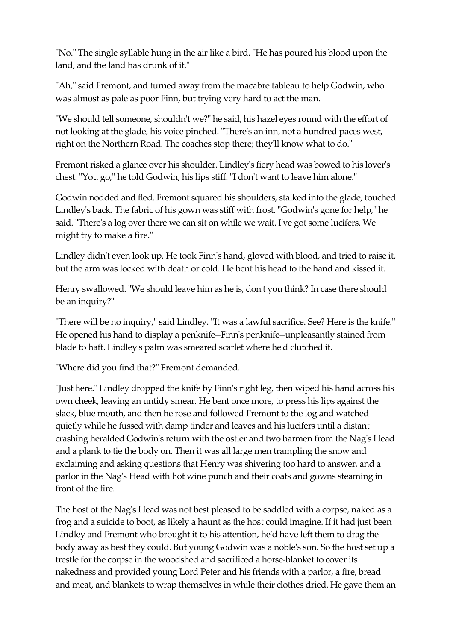"No." The single syllable hung in the air like a bird. "He has poured his blood upon the land, and the land has drunk of it."

"Ah," said Fremont, and turned away from the macabre tableau to help Godwin, who was almost as pale as poor Finn, but trying very hard to act the man.

"We should tell someone, shouldn't we?" he said, his hazel eyes round with the effort of not looking at the glade, his voice pinched. "There's an inn, not a hundred paces west, right on the Northern Road. The coaches stop there; they'll know what to do."

Fremont risked a glance over his shoulder. Lindley's fiery head was bowed to his lover's chest. "You go," he told Godwin, his lips stiff. "I don't want to leave him alone."

Godwin nodded and fled. Fremont squared his shoulders, stalked into the glade, touched Lindley's back. The fabric of his gown was stiff with frost. "Godwin's gone for help," he said. "There's a log over there we can sit on while we wait. I've got some lucifers. We might try to make a fire."

Lindley didn't even look up. He took Finn's hand, gloved with blood, and tried to raise it, but the arm was locked with death or cold. He bent his head to the hand and kissed it.

Henry swallowed. "We should leave him as he is, don't you think? In case there should be an inquiry?"

"There will be no inquiry," said Lindley. "It was a lawful sacrifice. See? Here is the knife." He opened his hand to display a penknife--Finn's penknife--unpleasantly stained from blade to haft. Lindley's palm was smeared scarlet where he'd clutched it.

"Where did you find that?" Fremont demanded.

"Just here." Lindley dropped the knife by Finn's right leg, then wiped his hand across his own cheek, leaving an untidy smear. He bent once more, to press his lips against the slack, blue mouth, and then he rose and followed Fremont to the log and watched quietly while he fussed with damp tinder and leaves and his lucifers until a distant crashing heralded Godwin's return with the ostler and two barmen from the Nag's Head and a plank to tie the body on. Then it was all large men trampling the snow and exclaiming and asking questions that Henry was shivering too hard to answer, and a parlor in the Nag's Head with hot wine punch and their coats and gowns steaming in front of the fire.

The host of the Nag's Head was not best pleased to be saddled with a corpse, naked as a frog and a suicide to boot, as likely a haunt as the host could imagine. If it had just been Lindley and Fremont who brought it to his attention, he'd have left them to drag the body away as best they could. But young Godwin was a noble's son. So the host set up a trestle for the corpse in the woodshed and sacrificed a horse-blanket to cover its nakedness and provided young Lord Peter and his friends with a parlor, a fire, bread and meat, and blankets to wrap themselves in while their clothes dried. He gave them an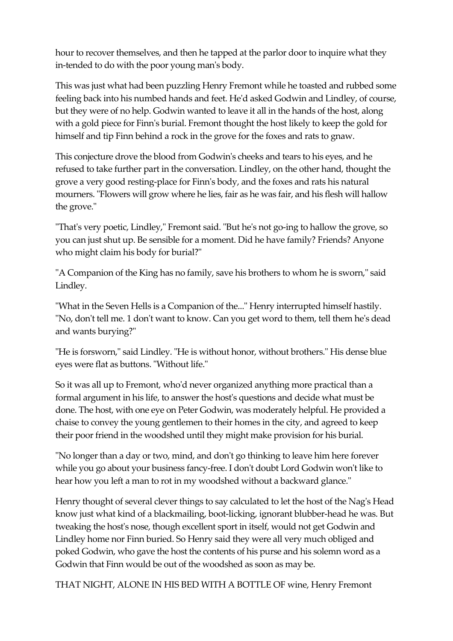hour to recover themselves, and then he tapped at the parlor door to inquire what they in-tended to do with the poor young man's body.

This was just what had been puzzling Henry Fremont while he toasted and rubbed some feeling back into his numbed hands and feet. He'd asked Godwin and Lindley, of course, but they were of no help. Godwin wanted to leave it all in the hands of the host, along with a gold piece for Finn's burial. Fremont thought the host likely to keep the gold for himself and tip Finn behind a rock in the grove for the foxes and rats to gnaw.

This conjecture drove the blood from Godwin's cheeks and tears to his eyes, and he refused to take further part in the conversation. Lindley, on the other hand, thought the grove a very good resting-place for Finn's body, and the foxes and rats his natural mourners. "Flowers will grow where he lies, fair as he was fair, and his flesh will hallow the grove."

"That's very poetic, Lindley," Fremont said. "But he's not go-ing to hallow the grove, so you can just shut up. Be sensible for a moment. Did he have family? Friends? Anyone who might claim his body for burial?"

"A Companion of the King has no family, save his brothers to whom he is sworn," said Lindley.

"What in the Seven Hells is a Companion of the..." Henry interrupted himself hastily. "No, don't tell me. 1 don't want to know. Can you get word to them, tell them he's dead and wants burying?"

"He is forsworn," said Lindley. "He is without honor, without brothers." His dense blue eyes were flat as buttons. "Without life."

So it was all up to Fremont, who'd never organized anything more practical than a formal argument in his life, to answer the host's questions and decide what must be done. The host, with one eye on Peter Godwin, was moderately helpful. He provided a chaise to convey the young gentlemen to their homes in the city, and agreed to keep their poor friend in the woodshed until they might make provision for his burial.

"No longer than a day or two, mind, and don't go thinking to leave him here forever while you go about your business fancy-free. I don't doubt Lord Godwin won't like to hear how you left a man to rot in my woodshed without a backward glance."

Henry thought of several clever things to say calculated to let the host of the Nag's Head know just what kind of a blackmailing, boot-licking, ignorant blubber-head he was. But tweaking the host's nose, though excellent sport in itself, would not get Godwin and Lindley home nor Finn buried. So Henry said they were all very much obliged and poked Godwin, who gave the host the contents of his purse and his solemn word as a Godwin that Finn would be out of the woodshed as soon as may be.

THAT NIGHT, ALONE IN HIS BED WITH A BOTTLE OF wine, Henry Fremont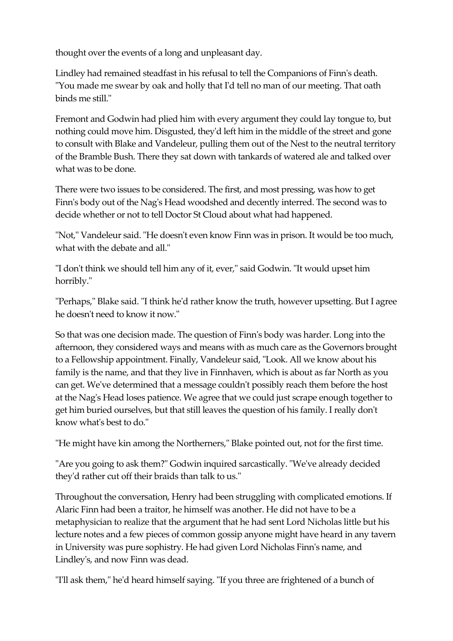thought over the events of a long and unpleasant day.

Lindley had remained steadfast in his refusal to tell the Companions of Finn's death. "You made me swear by oak and holly that I'd tell no man of our meeting. That oath binds me still."

Fremont and Godwin had plied him with every argument they could lay tongue to, but nothing could move him. Disgusted, they'd left him in the middle of the street and gone to consult with Blake and Vandeleur, pulling them out of the Nest to the neutral territory of the Bramble Bush. There they sat down with tankards of watered ale and talked over what was to be done.

There were two issues to be considered. The first, and most pressing, was how to get Finn's body out of the Nag's Head woodshed and decently interred. The second was to decide whether or not to tell Doctor St Cloud about what had happened.

"Not," Vandeleur said. "He doesn't even know Finn was in prison. It would be too much, what with the debate and all."

"I don't think we should tell him any of it, ever," said Godwin. "It would upset him horribly."

"Perhaps," Blake said. "I think he'd rather know the truth, however upsetting. But I agree he doesn't need to know it now."

So that was one decision made. The question of Finn's body was harder. Long into the afternoon, they considered ways and means with as much care as the Governors brought to a Fellowship appointment. Finally, Vandeleur said, "Look. All we know about his family is the name, and that they live in Finnhaven, which is about as far North as you can get. We've determined that a message couldn't possibly reach them before the host at the Nag's Head loses patience. We agree that we could just scrape enough together to get him buried ourselves, but that still leaves the question of his family. I really don't know what's best to do."

"He might have kin among the Northerners," Blake pointed out, not for the first time.

"Are you going to ask them?" Godwin inquired sarcastically. "We've already decided they'd rather cut off their braids than talk to us."

Throughout the conversation, Henry had been struggling with complicated emotions. If Alaric Finn had been a traitor, he himself was another. He did not have to be a metaphysician to realize that the argument that he had sent Lord Nicholas little but his lecture notes and a few pieces of common gossip anyone might have heard in any tavern in University was pure sophistry. He had given Lord Nicholas Finn's name, and Lindley's, and now Finn was dead.

"I'll ask them," he'd heard himself saying. "If you three are frightened of a bunch of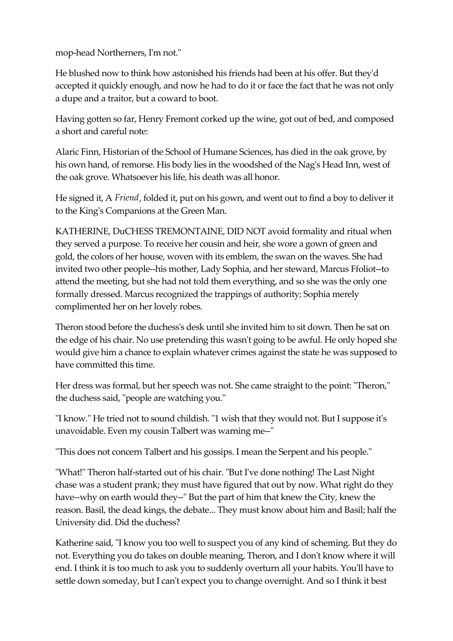mop-head Northerners, I'm not."

He blushed now to think how astonished his friends had been at his offer. But they'd accepted it quickly enough, and now he had to do it or face the fact that he was not only a dupe and a traitor, but a coward to boot.

Having gotten so far, Henry Fremont corked up the wine, got out of bed, and composed a short and careful note:

Alaric Finn, Historian of the School of Humane Sciences, has died in the oak grove, by his own hand, of remorse. His body lies in the woodshed of the Nag's Head Inn, west of the oak grove. Whatsoever his life, his death was all honor.

He signed it, A *Friend*, folded it, put on his gown, and went out to find a boy to deliver it to the King's Companions at the Green Man.

KATHERINE, DuCHESS TREMONTAINE, DID NOT avoid formality and ritual when they served a purpose. To receive her cousin and heir, she wore a gown of green and gold, the colors of her house, woven with its emblem, the swan on the waves. She had invited two other people--his mother, Lady Sophia, and her steward, Marcus Ffoliot--to attend the meeting, but she had not told them everything, and so she was the only one formally dressed. Marcus recognized the trappings of authority; Sophia merely complimented her on her lovely robes.

Theron stood before the duchess's desk until she invited him to sit down. Then he sat on the edge of his chair. No use pretending this wasn't going to be awful. He only hoped she would give him a chance to explain whatever crimes against the state he was supposed to have committed this time.

Her dress was formal, but her speech was not. She came straight to the point: "Theron," the duchess said, "people are watching you."

"I know." He tried not to sound childish. "1 wish that they would not. But I suppose it's unavoidable. Even my cousin Talbert was warning me--"

"This does not concern Talbert and his gossips. I mean the Serpent and his people."

"What!" Theron half-started out of his chair. "But I've done nothing! The Last Night chase was a student prank; they must have figured that out by now. What right do they have--why on earth would they--" But the part of him that knew the City, knew the reason. Basil, the dead kings, the debate... They must know about him and Basil; half the University did. Did the duchess?

Katherine said, "I know you too well to suspect you of any kind of scheming. But they do not. Everything you do takes on double meaning, Theron, and I don't know where it will end. I think it is too much to ask you to suddenly overturn all your habits. You'll have to settle down someday, but I can't expect you to change overnight. And so I think it best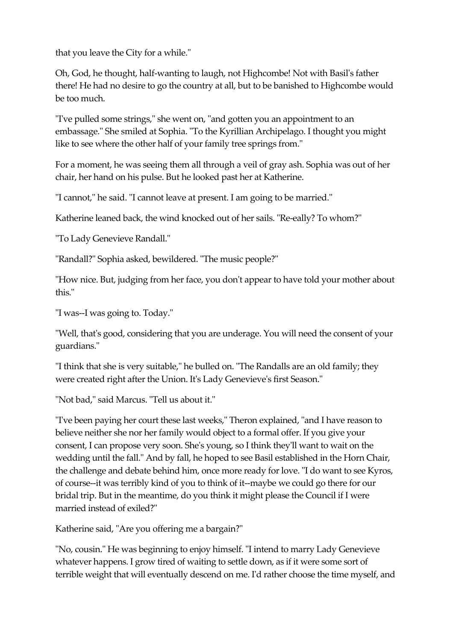that you leave the City for a while."

Oh, God, he thought, half-wanting to laugh, not Highcombe! Not with Basil's father there! He had no desire to go the country at all, but to be banished to Highcombe would be too much.

"I've pulled some strings," she went on, "and gotten you an appointment to an embassage." She smiled at Sophia. "To the Kyrillian Archipelago. I thought you might like to see where the other half of your family tree springs from."

For a moment, he was seeing them all through a veil of gray ash. Sophia was out of her chair, her hand on his pulse. But he looked past her at Katherine.

"I cannot," he said. "I cannot leave at present. I am going to be married."

Katherine leaned back, the wind knocked out of her sails. "Re-eally? To whom?"

"To Lady Genevieve Randall."

"Randall?" Sophia asked, bewildered. "The music people?"

"How nice. But, judging from her face, you don't appear to have told your mother about this."

"I was--I was going to. Today."

"Well, that's good, considering that you are underage. You will need the consent of your guardians."

"I think that she is very suitable," he bulled on. "The Randalls are an old family; they were created right after the Union. It's Lady Genevieve's first Season."

"Not bad," said Marcus. "Tell us about it."

"I've been paying her court these last weeks," Theron explained, "and I have reason to believe neither she nor her family would object to a formal offer. If you give your consent, I can propose very soon. She's young, so I think they'll want to wait on the wedding until the fall." And by fall, he hoped to see Basil established in the Horn Chair, the challenge and debate behind him, once more ready for love. "I do want to see Kyros, of course--it was terribly kind of you to think of it--maybe we could go there for our bridal trip. But in the meantime, do you think it might please the Council if I were married instead of exiled?"

Katherine said, "Are you offering me a bargain?"

"No, cousin." He was beginning to enjoy himself. "I intend to marry Lady Genevieve whatever happens. I grow tired of waiting to settle down, as if it were some sort of terrible weight that will eventually descend on me. I'd rather choose the time myself, and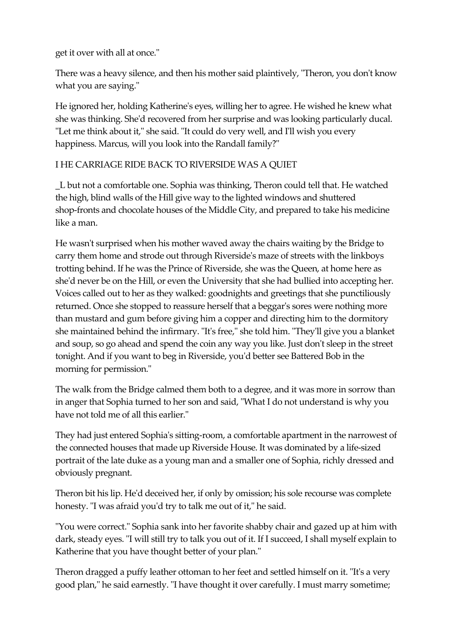get it over with all at once."

There was a heavy silence, and then his mother said plaintively, "Theron, you don't know what you are saying."

He ignored her, holding Katherine's eyes, willing her to agree. He wished he knew what she was thinking. She'd recovered from her surprise and was looking particularly ducal. "Let me think about it," she said. "It could do very well, and I'll wish you every happiness. Marcus, will you look into the Randall family?"

## I HE CARRIAGE RIDE BACK TO RlVERSIDE WAS A QUIET

\_L but not a comfortable one. Sophia was thinking, Theron could tell that. He watched the high, blind walls of the Hill give way to the lighted windows and shuttered shop-fronts and chocolate houses of the Middle City, and prepared to take his medicine like a man.

He wasn't surprised when his mother waved away the chairs waiting by the Bridge to carry them home and strode out through Riverside's maze of streets with the linkboys trotting behind. If he was the Prince of Riverside, she was the Queen, at home here as she'd never be on the Hill, or even the University that she had bullied into accepting her. Voices called out to her as they walked: goodnights and greetings that she punctiliously returned. Once she stopped to reassure herself that a beggar's sores were nothing more than mustard and gum before giving him a copper and directing him to the dormitory she maintained behind the infirmary. "It's free," she told him. "They'll give you a blanket and soup, so go ahead and spend the coin any way you like. Just don't sleep in the street tonight. And if you want to beg in Riverside, you'd better see Battered Bob in the morning for permission."

The walk from the Bridge calmed them both to a degree, and it was more in sorrow than in anger that Sophia turned to her son and said, "What I do not understand is why you have not told me of all this earlier."

They had just entered Sophia's sitting-room, a comfortable apartment in the narrowest of the connected houses that made up Riverside House. It was dominated by a life-sized portrait of the late duke as a young man and a smaller one of Sophia, richly dressed and obviously pregnant.

Theron bit his lip. He'd deceived her, if only by omission; his sole recourse was complete honesty. "I was afraid you'd try to talk me out of it," he said.

"You were correct." Sophia sank into her favorite shabby chair and gazed up at him with dark, steady eyes. "I will still try to talk you out of it. If I succeed, I shall myself explain to Katherine that you have thought better of your plan."

Theron dragged a puffy leather ottoman to her feet and settled himself on it. "It's a very good plan," he said earnestly. "I have thought it over carefully. I must marry sometime;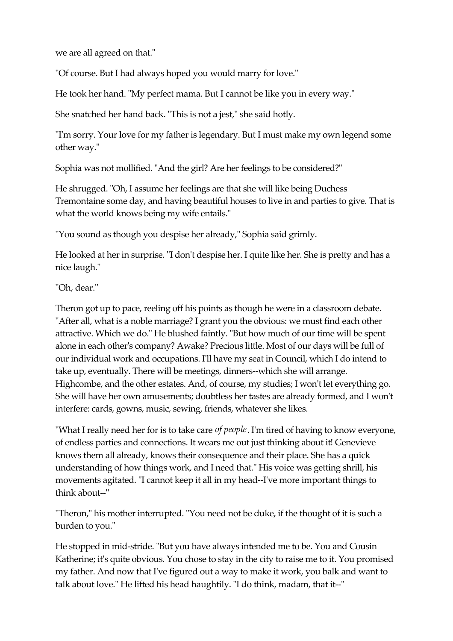we are all agreed on that."

"Of course. But I had always hoped you would marry for love."

He took her hand. "My perfect mama. But I cannot be like you in every way."

She snatched her hand back. "This is not a jest," she said hotly.

"I'm sorry. Your love for my father is legendary. But I must make my own legend some other way."

Sophia was not mollified. "And the girl? Are her feelings to be considered?"

He shrugged. "Oh, I assume her feelings are that she will like being Duchess Tremontaine some day, and having beautiful houses to live in and parties to give. That is what the world knows being my wife entails."

"You sound as though you despise her already," Sophia said grimly.

He looked at her in surprise. "I don't despise her. I quite like her. She is pretty and has a nice laugh."

"Oh, dear."

Theron got up to pace, reeling off his points as though he were in a classroom debate. "After all, what is a noble marriage? I grant you the obvious: we must find each other attractive. Which we do." He blushed faintly. "But how much of our time will be spent alone in each other's company? Awake? Precious little. Most of our days will be full of our individual work and occupations. I'll have my seat in Council, which I do intend to take up, eventually. There will be meetings, dinners--which she will arrange. Highcombe, and the other estates. And, of course, my studies; I won't let everything go. She will have her own amusements; doubtless her tastes are already formed, and I won't interfere: cards, gowns, music, sewing, friends, whatever she likes.

"What I really need her for is to take care *of people*. I'm tired of having to know everyone, of endless parties and connections. It wears me out just thinking about it! Genevieve knows them all already, knows their consequence and their place. She has a quick understanding of how things work, and I need that." His voice was getting shrill, his movements agitated. "I cannot keep it all in my head--I've more important things to think about--"

"Theron," his mother interrupted. "You need not be duke, if the thought of it is such a burden to you."

He stopped in mid-stride. "But you have always intended me to be. You and Cousin Katherine; it's quite obvious. You chose to stay in the city to raise me to it. You promised my father. And now that I've figured out a way to make it work, you balk and want to talk about love." He lifted his head haughtily. "I do think, madam, that it--"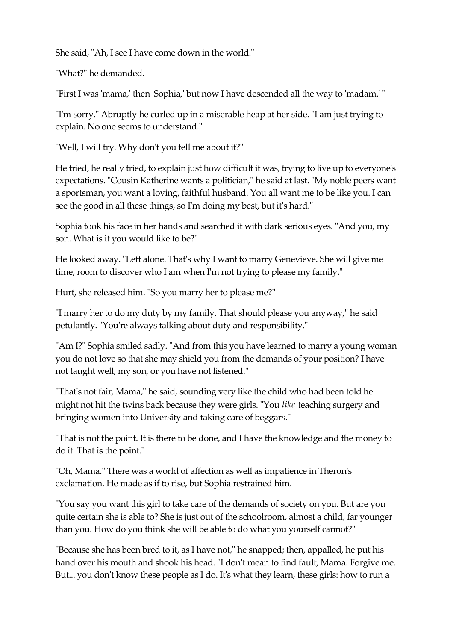She said, "Ah, I see I have come down in the world."

"What?" he demanded.

"First I was 'mama,' then 'Sophia,' but now I have descended all the way to 'madam.' "

"I'm sorry." Abruptly he curled up in a miserable heap at her side. "I am just trying to explain. No one seems to understand."

"Well, I will try. Why don't you tell me about it?"

He tried, he really tried, to explain just how difficult it was, trying to live up to everyone's expectations. "Cousin Katherine wants a politician," he said at last. "My noble peers want a sportsman, you want a loving, faithful husband. You all want me to be like you. I can see the good in all these things, so I'm doing my best, but it's hard."

Sophia took his face in her hands and searched it with dark serious eyes. "And you, my son. What is it you would like to be?"

He looked away. "Left alone. That's why I want to marry Genevieve. She will give me time, room to discover who I am when I'm not trying to please my family."

Hurt, she released him. "So you marry her to please me?"

"I marry her to do my duty by my family. That should please you anyway," he said petulantly. "You're always talking about duty and responsibility."

"Am I?" Sophia smiled sadly. "And from this you have learned to marry a young woman you do not love so that she may shield you from the demands of your position? I have not taught well, my son, or you have not listened."

"That's not fair, Mama," he said, sounding very like the child who had been told he might not hit the twins back because they were girls. "You *like* teaching surgery and bringing women into University and taking care of beggars."

"That is not the point. It is there to be done, and I have the knowledge and the money to do it. That is the point."

"Oh, Mama." There was a world of affection as well as impatience in Theron's exclamation. He made as if to rise, but Sophia restrained him.

"You say you want this girl to take care of the demands of society on you. But are you quite certain she is able to? She is just out of the schoolroom, almost a child, far younger than you. How do you think she will be able to do what you yourself cannot?"

"Because she has been bred to it, as I have not," he snapped; then, appalled, he put his hand over his mouth and shook his head. "I don't mean to find fault, Mama. Forgive me. But... you don't know these people as I do. It's what they learn, these girls: how to run a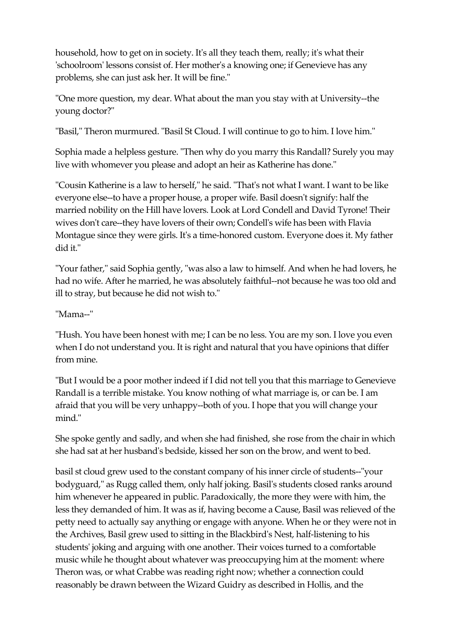household, how to get on in society. It's all they teach them, really; it's what their 'schoolroom' lessons consist of. Her mother's a knowing one; if Genevieve has any problems, she can just ask her. It will be fine."

"One more question, my dear. What about the man you stay with at University--the young doctor?"

"Basil," Theron murmured. "Basil St Cloud. I will continue to go to him. I love him."

Sophia made a helpless gesture. "Then why do you marry this Randall? Surely you may live with whomever you please and adopt an heir as Katherine has done."

"Cousin Katherine is a law to herself," he said. "That's not what I want. I want to be like everyone else--to have a proper house, a proper wife. Basil doesn't signify: half the married nobility on the Hill have lovers. Look at Lord Condell and David Tyrone! Their wives don't care--they have lovers of their own; Condell's wife has been with Flavia Montague since they were girls. It's a time-honored custom. Everyone does it. My father did it."

"Your father," said Sophia gently, "was also a law to himself. And when he had lovers, he had no wife. After he married, he was absolutely faithful--not because he was too old and ill to stray, but because he did not wish to."

"Mama--"

"Hush. You have been honest with me; I can be no less. You are my son. I love you even when I do not understand you. It is right and natural that you have opinions that differ from mine.

"But I would be a poor mother indeed if I did not tell you that this marriage to Genevieve Randall is a terrible mistake. You know nothing of what marriage is, or can be. I am afraid that you will be very unhappy--both of you. I hope that you will change your mind."

She spoke gently and sadly, and when she had finished, she rose from the chair in which she had sat at her husband's bedside, kissed her son on the brow, and went to bed.

basil st cloud grew used to the constant company of his inner circle of students--"your bodyguard," as Rugg called them, only half joking. Basil's students closed ranks around him whenever he appeared in public. Paradoxically, the more they were with him, the less they demanded of him. It was as if, having become a Cause, Basil was relieved of the petty need to actually say anything or engage with anyone. When he or they were not in the Archives, Basil grew used to sitting in the Blackbird's Nest, half-listening to his students' joking and arguing with one another. Their voices turned to a comfortable music while he thought about whatever was preoccupying him at the moment: where Theron was, or what Crabbe was reading right now; whether a connection could reasonably be drawn between the Wizard Guidry as described in Hollis, and the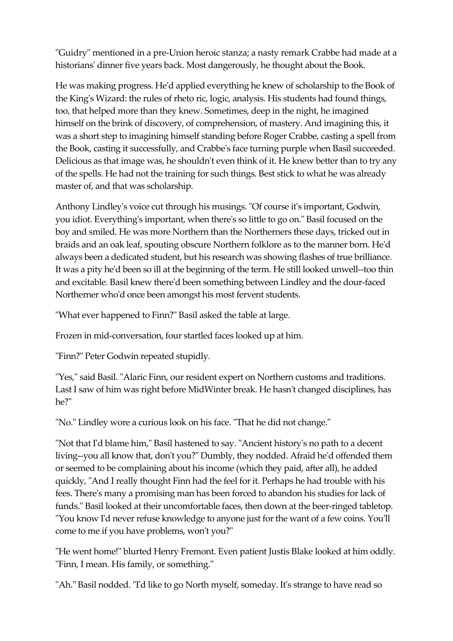"Guidry" mentioned in a pre-Union heroic stanza; a nasty remark Crabbe had made at a historians' dinner five years back. Most dangerously, he thought about the Book.

He was making progress. He'd applied everything he knew of scholarship to the Book of the King's Wizard: the rules of rheto ric, logic, analysis. His students had found things, too, that helped more than they knew. Sometimes, deep in the night, he imagined himself on the brink of discovery, of comprehension, of mastery. And imagining this, it was a short step to imagining himself standing before Roger Crabbe, casting a spell from the Book, casting it successfully, and Crabbe's face turning purple when Basil succeeded. Delicious as that image was, he shouldn't even think of it. He knew better than to try any of the spells. He had not the training for such things. Best stick to what he was already master of, and that was scholarship.

Anthony Lindley's voice cut through his musings. "Of course it's important, Godwin, you idiot. Everything's important, when there's so little to go on." Basil focused on the boy and smiled. He was more Northern than the Northerners these days, tricked out in braids and an oak leaf, spouting obscure Northern folklore as to the manner born. He'd always been a dedicated student, but his research was showing flashes of true brilliance. It was a pity he'd been so ill at the beginning of the term. He still looked unwell--too thin and excitable. Basil knew there'd been something between Lindley and the dour-faced Northerner who'd once been amongst his most fervent students.

"What ever happened to Finn?" Basil asked the table at large.

Frozen in mid-conversation, four startled faces looked up at him.

"Finn?" Peter Godwin repeated stupidly.

"Yes," said Basil. "Alaric Finn, our resident expert on Northern customs and traditions. Last I saw of him was right before MidWinter break. He hasn't changed disciplines, has he?"

"No." Lindley wore a curious look on his face. "That he did not change."

"Not that I'd blame him," Basil hastened to say. "Ancient history's no path to a decent living--you all know that, don't you?" Dumbly, they nodded. Afraid he'd offended them or seemed to be complaining about his income (which they paid, after all), he added quickly, "And I really thought Finn had the feel for it. Perhaps he had trouble with his fees. There's many a promising man has been forced to abandon his studies for lack of funds." Basil looked at their uncomfortable faces, then down at the beer-ringed tabletop. "You know I'd never refuse knowledge to anyone just for the want of a few coins. You'll come to me if you have problems, won't you?"

"He went home!" blurted Henry Fremont. Even patient Justis Blake looked at him oddly. "Finn, I mean. His family, or something."

"Ah." Basil nodded. "I'd like to go North myself, someday. It's strange to have read so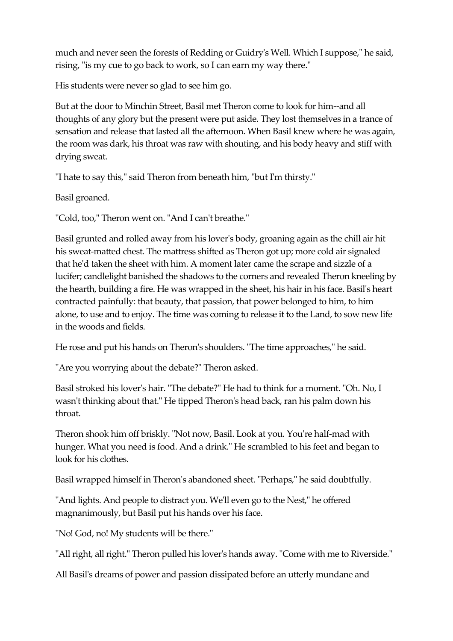much and never seen the forests of Redding or Guidry's Well. Which I suppose," he said, rising, "is my cue to go back to work, so I can earn my way there."

His students were never so glad to see him go.

But at the door to Minchin Street, Basil met Theron come to look for him--and all thoughts of any glory but the present were put aside. They lost themselves in a trance of sensation and release that lasted all the afternoon. When Basil knew where he was again, the room was dark, his throat was raw with shouting, and his body heavy and stiff with drying sweat.

"I hate to say this," said Theron from beneath him, "but I'm thirsty."

Basil groaned.

"Cold, too," Theron went on. "And I can't breathe."

Basil grunted and rolled away from his lover's body, groaning again as the chill air hit his sweat-matted chest. The mattress shifted as Theron got up; more cold air signaled that he'd taken the sheet with him. A moment later came the scrape and sizzle of a lucifer; candlelight banished the shadows to the corners and revealed Theron kneeling by the hearth, building a fire. He was wrapped in the sheet, his hair in his face. Basil's heart contracted painfully: that beauty, that passion, that power belonged to him, to him alone, to use and to enjoy. The time was coming to release it to the Land, to sow new life in the woods and fields.

He rose and put his hands on Theron's shoulders. "The time approaches," he said.

"Are you worrying about the debate?" Theron asked.

Basil stroked his lover's hair. "The debate?" He had to think for a moment. "Oh. No, I wasn't thinking about that." He tipped Theron's head back, ran his palm down his throat.

Theron shook him off briskly. "Not now, Basil. Look at you. You're half-mad with hunger. What you need is food. And a drink." He scrambled to his feet and began to look for his clothes.

Basil wrapped himself in Theron's abandoned sheet. "Perhaps," he said doubtfully.

"And lights. And people to distract you. We'll even go to the Nest," he offered magnanimously, but Basil put his hands over his face.

"No! God, no! My students will be there."

"All right, all right." Theron pulled his lover's hands away. "Come with me to Riverside."

All Basil's dreams of power and passion dissipated before an utterly mundane and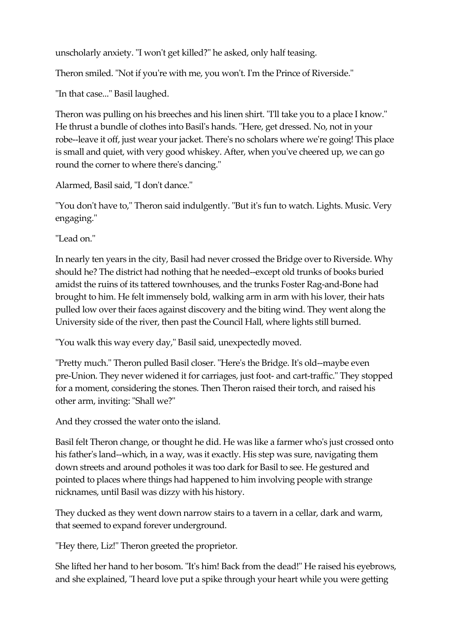unscholarly anxiety. "I won't get killed?" he asked, only half teasing.

Theron smiled. "Not if you're with me, you won't. I'm the Prince of Riverside."

"In that case..." Basil laughed.

Theron was pulling on his breeches and his linen shirt. "I'll take you to a place I know." He thrust a bundle of clothes into Basil's hands. "Here, get dressed. No, not in your robe--leave it off, just wear your jacket. There's no scholars where we're going! This place is small and quiet, with very good whiskey. After, when you've cheered up, we can go round the corner to where there's dancing."

Alarmed, Basil said, "I don't dance."

"You don't have to," Theron said indulgently. "But it's fun to watch. Lights. Music. Very engaging."

"Lead on."

In nearly ten years in the city, Basil had never crossed the Bridge over to Riverside. Why should he? The district had nothing that he needed--except old trunks of books buried amidst the ruins of its tattered townhouses, and the trunks Foster Rag-and-Bone had brought to him. He felt immensely bold, walking arm in arm with his lover, their hats pulled low over their faces against discovery and the biting wind. They went along the University side of the river, then past the Council Hall, where lights still burned.

"You walk this way every day," Basil said, unexpectedly moved.

"Pretty much." Theron pulled Basil closer. "Here's the Bridge. It's old--maybe even pre-Union. They never widened it for carriages, just foot- and cart-traffic." They stopped for a moment, considering the stones. Then Theron raised their torch, and raised his other arm, inviting: "Shall we?"

And they crossed the water onto the island.

Basil felt Theron change, or thought he did. He was like a farmer who's just crossed onto his father's land--which, in a way, was it exactly. His step was sure, navigating them down streets and around potholes it was too dark for Basil to see. He gestured and pointed to places where things had happened to him involving people with strange nicknames, until Basil was dizzy with his history.

They ducked as they went down narrow stairs to a tavern in a cellar, dark and warm, that seemed to expand forever underground.

"Hey there, Liz!" Theron greeted the proprietor.

She lifted her hand to her bosom. "It's him! Back from the dead!" He raised his eyebrows, and she explained, "I heard love put a spike through your heart while you were getting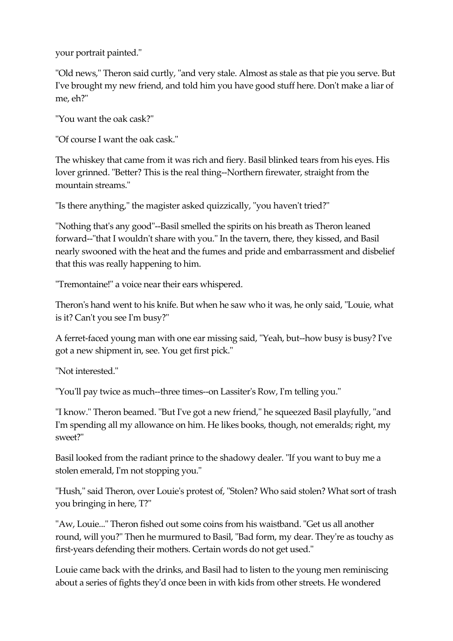your portrait painted."

"Old news," Theron said curtly, "and very stale. Almost as stale as that pie you serve. But I've brought my new friend, and told him you have good stuff here. Don't make a liar of me, eh?"

"You want the oak cask?"

"Of course I want the oak cask."

The whiskey that came from it was rich and fiery. Basil blinked tears from his eyes. His lover grinned. "Better? This is the real thing--Northern firewater, straight from the mountain streams."

"Is there anything," the magister asked quizzically, "you haven't tried?"

"Nothing that's any good"--Basil smelled the spirits on his breath as Theron leaned forward--"that I wouldn't share with you." In the tavern, there, they kissed, and Basil nearly swooned with the heat and the fumes and pride and embarrassment and disbelief that this was really happening to him.

"Tremontaine!" a voice near their ears whispered.

Theron's hand went to his knife. But when he saw who it was, he only said, "Louie, what is it? Can't you see I'm busy?"

A ferret-faced young man with one ear missing said, "Yeah, but--how busy is busy? I've got a new shipment in, see. You get first pick."

"Not interested."

"You'll pay twice as much--three times--on Lassiter's Row, I'm telling you."

"I know." Theron beamed. "But I've got a new friend," he squeezed Basil playfully, "and I'm spending all my allowance on him. He likes books, though, not emeralds; right, my sweet?"

Basil looked from the radiant prince to the shadowy dealer. "If you want to buy me a stolen emerald, I'm not stopping you."

"Hush," said Theron, over Louie's protest of, "Stolen? Who said stolen? What sort of trash you bringing in here, T?"

"Aw, Louie..." Theron fished out some coins from his waistband. "Get us all another round, will you?" Then he murmured to Basil, "Bad form, my dear. They're as touchy as first-years defending their mothers. Certain words do not get used."

Louie came back with the drinks, and Basil had to listen to the young men reminiscing about a series of fights they'd once been in with kids from other streets. He wondered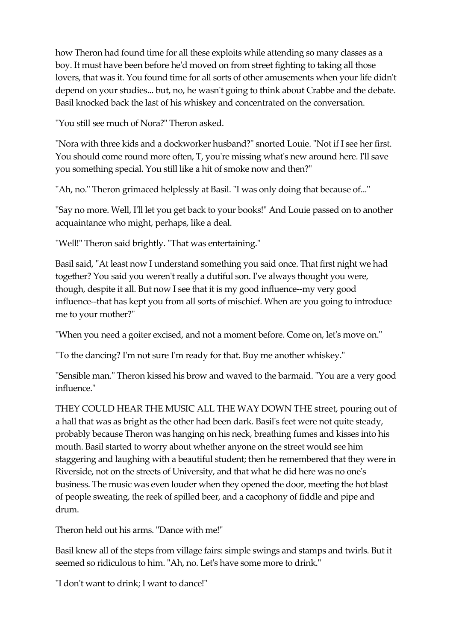how Theron had found time for all these exploits while attending so many classes as a boy. It must have been before he'd moved on from street fighting to taking all those lovers, that was it. You found time for all sorts of other amusements when your life didn't depend on your studies... but, no, he wasn't going to think about Crabbe and the debate. Basil knocked back the last of his whiskey and concentrated on the conversation.

"You still see much of Nora?" Theron asked.

"Nora with three kids and a dockworker husband?" snorted Louie. "Not if I see her first. You should come round more often, T, you're missing what's new around here. I'll save you something special. You still like a hit of smoke now and then?"

"Ah, no." Theron grimaced helplessly at Basil. "I was only doing that because of..."

"Say no more. Well, I'll let you get back to your books!" And Louie passed on to another acquaintance who might, perhaps, like a deal.

"Well!" Theron said brightly. "That was entertaining."

Basil said, "At least now I understand something you said once. That first night we had together? You said you weren't really a dutiful son. I've always thought you were, though, despite it all. But now I see that it is my good influence--my very good influence--that has kept you from all sorts of mischief. When are you going to introduce me to your mother?"

"When you need a goiter excised, and not a moment before. Come on, let's move on."

"To the dancing? I'm not sure I'm ready for that. Buy me another whiskey."

"Sensible man." Theron kissed his brow and waved to the barmaid. "You are a very good influence."

THEY COULD HEAR THE MUSIC ALL THE WAY DOWN THE street, pouring out of a hall that was as bright as the other had been dark. Basil's feet were not quite steady, probably because Theron was hanging on his neck, breathing fumes and kisses into his mouth. Basil started to worry about whether anyone on the street would see him staggering and laughing with a beautiful student; then he remembered that they were in Riverside, not on the streets of University, and that what he did here was no one's business. The music was even louder when they opened the door, meeting the hot blast of people sweating, the reek of spilled beer, and a cacophony of fiddle and pipe and drum.

Theron held out his arms. "Dance with me!"

Basil knew all of the steps from village fairs: simple swings and stamps and twirls. But it seemed so ridiculous to him. "Ah, no. Let's have some more to drink."

"I don't want to drink; I want to dance!"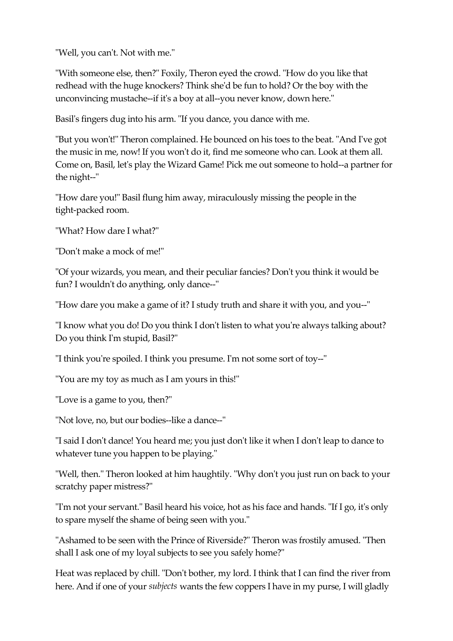"Well, you can't. Not with me."

"With someone else, then?" Foxily, Theron eyed the crowd. "How do you like that redhead with the huge knockers? Think she'd be fun to hold? Or the boy with the unconvincing mustache--if it's a boy at all--you never know, down here."

Basil's fingers dug into his arm. "If you dance, you dance with me.

"But you won't!" Theron complained. He bounced on his toes to the beat. "And I've got the music in me, now! If you won't do it, find me someone who can. Look at them all. Come on, Basil, let's play the Wizard Game! Pick me out someone to hold--a partner for the night--"

"How dare you!" Basil flung him away, miraculously missing the people in the tight-packed room.

"What? How dare I what?"

"Don't make a mock of me!"

"Of your wizards, you mean, and their peculiar fancies? Don't you think it would be fun? I wouldn't do anything, only dance--"

"How dare you make a game of it? I study truth and share it with you, and you--"

"I know what you do! Do you think I don't listen to what you're always talking about? Do you think I'm stupid, Basil?"

"I think you're spoiled. I think you presume. I'm not some sort of toy--"

"You are my toy as much as I am yours in this!"

"Love is a game to you, then?"

"Not love, no, but our bodies--like a dance--"

"I said I don't dance! You heard me; you just don't like it when I don't leap to dance to whatever tune you happen to be playing."

"Well, then." Theron looked at him haughtily. "Why don't you just run on back to your scratchy paper mistress?"

"I'm not your servant." Basil heard his voice, hot as his face and hands. "If I go, it's only to spare myself the shame of being seen with you."

"Ashamed to be seen with the Prince of Riverside?" Theron was frostily amused. "Then shall I ask one of my loyal subjects to see you safely home?"

Heat was replaced by chill. "Don't bother, my lord. I think that I can find the river from here. And if one of your *subjects* wants the few coppers I have in my purse, I will gladly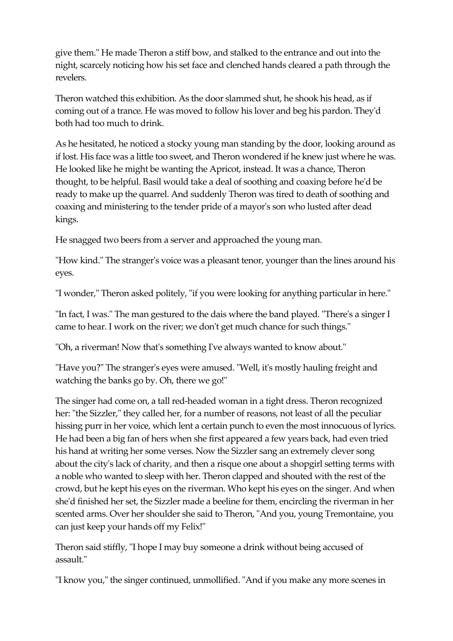give them." He made Theron a stiff bow, and stalked to the entrance and out into the night, scarcely noticing how his set face and clenched hands cleared a path through the revelers.

Theron watched this exhibition. As the door slammed shut, he shook his head, as if coming out of a trance. He was moved to follow his lover and beg his pardon. They'd both had too much to drink.

As he hesitated, he noticed a stocky young man standing by the door, looking around as if lost. His face was a little too sweet, and Theron wondered if he knew just where he was. He looked like he might be wanting the Apricot, instead. It was a chance, Theron thought, to be helpful. Basil would take a deal of soothing and coaxing before he'd be ready to make up the quarrel. And suddenly Theron was tired to death of soothing and coaxing and ministering to the tender pride of a mayor's son who lusted after dead kings.

He snagged two beers from a server and approached the young man.

"How kind." The stranger's voice was a pleasant tenor, younger than the lines around his eyes.

"I wonder," Theron asked politely, "if you were looking for anything particular in here."

"In fact, I was." The man gestured to the dais where the band played. "There's a singer I came to hear. I work on the river; we don't get much chance for such things."

"Oh, a riverman! Now that's something I've always wanted to know about."

"Have you?" The stranger's eyes were amused. "Well, it's mostly hauling freight and watching the banks go by. Oh, there we go!"

The singer had come on, a tall red-headed woman in a tight dress. Theron recognized her: "the Sizzler," they called her, for a number of reasons, not least of all the peculiar hissing purr in her voice, which lent a certain punch to even the most innocuous of lyrics. He had been a big fan of hers when she first appeared a few years back, had even tried his hand at writing her some verses. Now the Sizzler sang an extremely clever song about the city's lack of charity, and then a risque one about a shopgirl setting terms with a noble who wanted to sleep with her. Theron clapped and shouted with the rest of the crowd, but he kept his eyes on the riverman. Who kept his eyes on the singer. And when she'd finished her set, the Sizzler made a beeline for them, encircling the riverman in her scented arms. Over her shoulder she said to Theron, "And you, young Tremontaine, you can just keep your hands off my Felix!"

Theron said stiffly, "I hope I may buy someone a drink without being accused of assault."

"I know you," the singer continued, unmollified. "And if you make any more scenes in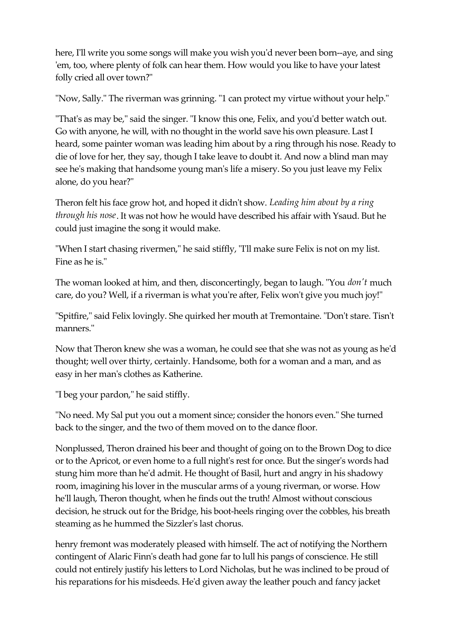here, I'll write you some songs will make you wish you'd never been born--aye, and sing 'em, too, where plenty of folk can hear them. How would you like to have your latest folly cried all over town?"

"Now, Sally." The riverman was grinning. "1 can protect my virtue without your help."

"That's as may be," said the singer. "I know this one, Felix, and you'd better watch out. Go with anyone, he will, with no thought in the world save his own pleasure. Last I heard, some painter woman was leading him about by a ring through his nose. Ready to die of love for her, they say, though I take leave to doubt it. And now a blind man may see he's making that handsome young man's life a misery. So you just leave my Felix alone, do you hear?"

Theron felt his face grow hot, and hoped it didn't show. *Leading him about by a ring through his nose*. It was not how he would have described his affair with Ysaud. But he could just imagine the song it would make.

"When I start chasing rivermen," he said stiffly, "I'll make sure Felix is not on my list. Fine as he is."

The woman looked at him, and then, disconcertingly, began to laugh. "You *don't* much care, do you? Well, if a riverman is what you're after, Felix won't give you much joy!"

"Spitfire," said Felix lovingly. She quirked her mouth at Tremontaine. "Don't stare. Tisn't manners."

Now that Theron knew she was a woman, he could see that she was not as young as he'd thought; well over thirty, certainly. Handsome, both for a woman and a man, and as easy in her man's clothes as Katherine.

"I beg your pardon," he said stiffly.

"No need. My Sal put you out a moment since; consider the honors even." She turned back to the singer, and the two of them moved on to the dance floor.

Nonplussed, Theron drained his beer and thought of going on to the Brown Dog to dice or to the Apricot, or even home to a full night's rest for once. But the singer's words had stung him more than he'd admit. He thought of Basil, hurt and angry in his shadowy room, imagining his lover in the muscular arms of a young riverman, or worse. How he'll laugh, Theron thought, when he finds out the truth! Almost without conscious decision, he struck out for the Bridge, his boot-heels ringing over the cobbles, his breath steaming as he hummed the Sizzler's last chorus.

henry fremont was moderately pleased with himself. The act of notifying the Northern contingent of Alaric Finn's death had gone far to lull his pangs of conscience. He still could not entirely justify his letters to Lord Nicholas, but he was inclined to be proud of his reparations for his misdeeds. He'd given away the leather pouch and fancy jacket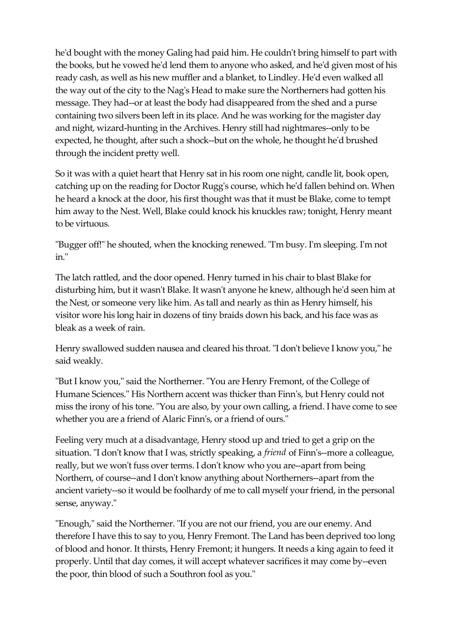he'd bought with the money Galing had paid him. He couldn't bring himself to part with the books, but he vowed he'd lend them to anyone who asked, and he'd given most of his ready cash, as well as his new muffler and a blanket, to Lindley. He'd even walked all the way out of the city to the Nag's Head to make sure the Northerners had gotten his message. They had--or at least the body had disappeared from the shed and a purse containing two silvers been left in its place. And he was working for the magister day and night, wizard-hunting in the Archives. Henry still had nightmares--only to be expected, he thought, after such a shock--but on the whole, he thought he'd brushed through the incident pretty well.

So it was with a quiet heart that Henry sat in his room one night, candle lit, book open, catching up on the reading for Doctor Rugg's course, which he'd fallen behind on. When he heard a knock at the door, his first thought was that it must be Blake, come to tempt him away to the Nest. Well, Blake could knock his knuckles raw; tonight, Henry meant to be virtuous.

"Bugger off!" he shouted, when the knocking renewed. "I'm busy. I'm sleeping. I'm not in."

The latch rattled, and the door opened. Henry turned in his chair to blast Blake for disturbing him, but it wasn't Blake. It wasn't anyone he knew, although he'd seen him at the Nest, or someone very like him. As tall and nearly as thin as Henry himself, his visitor wore his long hair in dozens of tiny braids down his back, and his face was as bleak as a week of rain.

Henry swallowed sudden nausea and cleared his throat. "I don't believe I know you," he said weakly.

"But I know you," said the Northerner. "You are Henry Fremont, of the College of Humane Sciences." His Northern accent was thicker than Finn's, but Henry could not miss the irony of his tone. "You are also, by your own calling, a friend. I have come to see whether you are a friend of Alaric Finn's, or a friend of ours."

Feeling very much at a disadvantage, Henry stood up and tried to get a grip on the situation. "I don't know that I was, strictly speaking, a *friend* of Finn's--more a colleague, really, but we won't fuss over terms. I don't know who you are--apart from being Northern, of course--and I don't know anything about Northerners--apart from the ancient variety--so it would be foolhardy of me to call myself your friend, in the personal sense, anyway."

"Enough," said the Northerner. "If you are not our friend, you are our enemy. And therefore I have this to say to you, Henry Fremont. The Land has been deprived too long of blood and honor. It thirsts, Henry Fremont; it hungers. It needs a king again to feed it properly. Until that day comes, it will accept whatever sacrifices it may come by--even the poor, thin blood of such a Southron fool as you."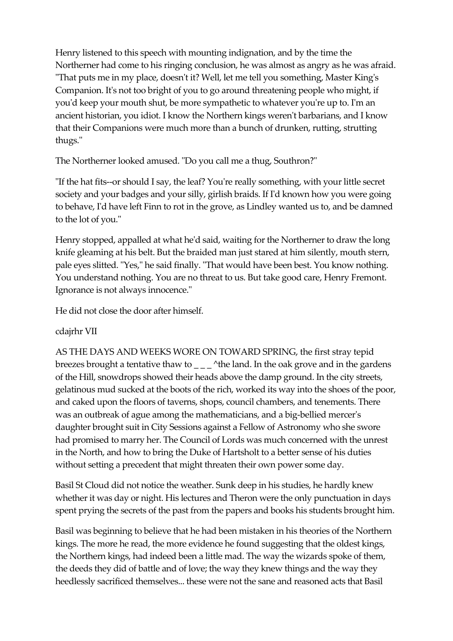Henry listened to this speech with mounting indignation, and by the time the Northerner had come to his ringing conclusion, he was almost as angry as he was afraid. "That puts me in my place, doesn't it? Well, let me tell you something, Master King's Companion. It's not too bright of you to go around threatening people who might, if you'd keep your mouth shut, be more sympathetic to whatever you're up to. I'm an ancient historian, you idiot. I know the Northern kings weren't barbarians, and I know that their Companions were much more than a bunch of drunken, rutting, strutting thugs."

The Northerner looked amused. "Do you call me a thug, Southron?"

"If the hat fits--or should I say, the leaf? You're really something, with your little secret society and your badges and your silly, girlish braids. If I'd known how you were going to behave, I'd have left Finn to rot in the grove, as Lindley wanted us to, and be damned to the lot of you."

Henry stopped, appalled at what he'd said, waiting for the Northerner to draw the long knife gleaming at his belt. But the braided man just stared at him silently, mouth stern, pale eyes slitted. "Yes," he said finally. "That would have been best. You know nothing. You understand nothing. You are no threat to us. But take good care, Henry Fremont. Ignorance is not always innocence."

He did not close the door after himself.

## cdajrhr VII

AS THE DAYS AND WEEKS WORE ON TOWARD SPRING, the first stray tepid breezes brought a tentative thaw to  $_{---}$  ^the land. In the oak grove and in the gardens of the Hill, snowdrops showed their heads above the damp ground. In the city streets, gelatinous mud sucked at the boots of the rich, worked its way into the shoes of the poor, and caked upon the floors of taverns, shops, council chambers, and tenements. There was an outbreak of ague among the mathematicians, and a big-bellied mercer's daughter brought suit in City Sessions against a Fellow of Astronomy who she swore had promised to marry her. The Council of Lords was much concerned with the unrest in the North, and how to bring the Duke of Hartsholt to a better sense of his duties without setting a precedent that might threaten their own power some day.

Basil St Cloud did not notice the weather. Sunk deep in his studies, he hardly knew whether it was day or night. His lectures and Theron were the only punctuation in days spent prying the secrets of the past from the papers and books his students brought him.

Basil was beginning to believe that he had been mistaken in his theories of the Northern kings. The more he read, the more evidence he found suggesting that the oldest kings, the Northern kings, had indeed been a little mad. The way the wizards spoke of them, the deeds they did of battle and of love; the way they knew things and the way they heedlessly sacrificed themselves... these were not the sane and reasoned acts that Basil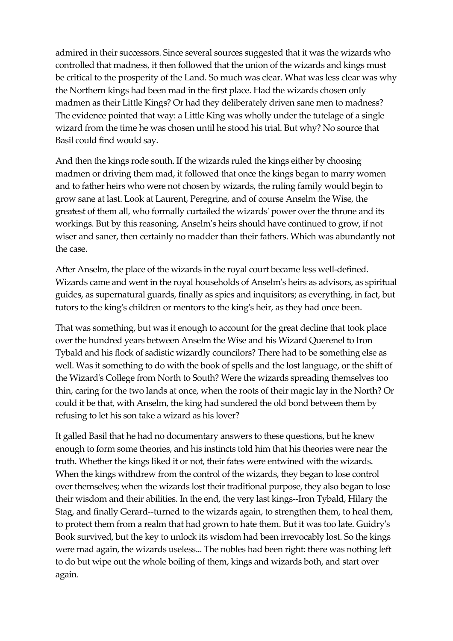admired in their successors. Since several sources suggested that it was the wizards who controlled that madness, it then followed that the union of the wizards and kings must be critical to the prosperity of the Land. So much was clear. What was less clear was why the Northern kings had been mad in the first place. Had the wizards chosen only madmen as their Little Kings? Or had they deliberately driven sane men to madness? The evidence pointed that way: a Little King was wholly under the tutelage of a single wizard from the time he was chosen until he stood his trial. But why? No source that Basil could find would say.

And then the kings rode south. If the wizards ruled the kings either by choosing madmen or driving them mad, it followed that once the kings began to marry women and to father heirs who were not chosen by wizards, the ruling family would begin to grow sane at last. Look at Laurent, Peregrine, and of course Anselm the Wise, the greatest of them all, who formally curtailed the wizards' power over the throne and its workings. But by this reasoning, Anselm's heirs should have continued to grow, if not wiser and saner, then certainly no madder than their fathers. Which was abundantly not the case.

After Anselm, the place of the wizards in the royal court became less well-defined. Wizards came and went in the royal households of Anselm's heirs as advisors, as spiritual guides, as supernatural guards, finally as spies and inquisitors; as everything, in fact, but tutors to the king's children or mentors to the king's heir, as they had once been.

That was something, but was it enough to account for the great decline that took place over the hundred years between Anselm the Wise and his Wizard Querenel to Iron Tybald and his flock of sadistic wizardly councilors? There had to be something else as well. Was it something to do with the book of spells and the lost language, or the shift of the Wizard's College from North to South? Were the wizards spreading themselves too thin, caring for the two lands at once, when the roots of their magic lay in the North? Or could it be that, with Anselm, the king had sundered the old bond between them by refusing to let his son take a wizard as his lover?

It galled Basil that he had no documentary answers to these questions, but he knew enough to form some theories, and his instincts told him that his theories were near the truth. Whether the kings liked it or not, their fates were entwined with the wizards. When the kings withdrew from the control of the wizards, they began to lose control over themselves; when the wizards lost their traditional purpose, they also began to lose their wisdom and their abilities. In the end, the very last kings--Iron Tybald, Hilary the Stag, and finally Gerard--turned to the wizards again, to strengthen them, to heal them, to protect them from a realm that had grown to hate them. But it was too late. Guidry's Book survived, but the key to unlock its wisdom had been irrevocably lost. So the kings were mad again, the wizards useless... The nobles had been right: there was nothing left to do but wipe out the whole boiling of them, kings and wizards both, and start over again.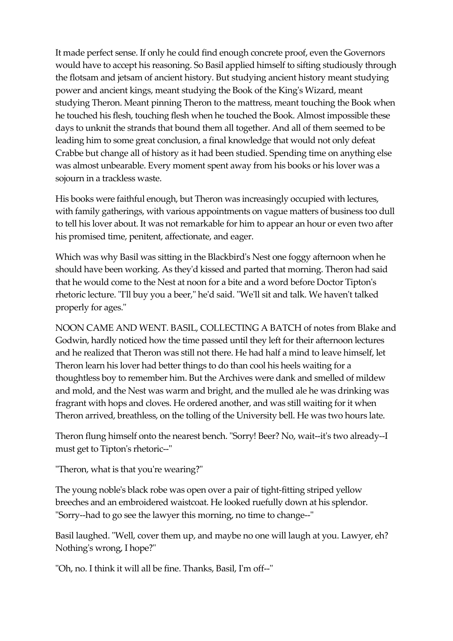It made perfect sense. If only he could find enough concrete proof, even the Governors would have to accept his reasoning. So Basil applied himself to sifting studiously through the flotsam and jetsam of ancient history. But studying ancient history meant studying power and ancient kings, meant studying the Book of the King's Wizard, meant studying Theron. Meant pinning Theron to the mattress, meant touching the Book when he touched his flesh, touching flesh when he touched the Book. Almost impossible these days to unknit the strands that bound them all together. And all of them seemed to be leading him to some great conclusion, a final knowledge that would not only defeat Crabbe but change all of history as it had been studied. Spending time on anything else was almost unbearable. Every moment spent away from his books or his lover was a sojourn in a trackless waste.

His books were faithful enough, but Theron was increasingly occupied with lectures, with family gatherings, with various appointments on vague matters of business too dull to tell his lover about. It was not remarkable for him to appear an hour or even two after his promised time, penitent, affectionate, and eager.

Which was why Basil was sitting in the Blackbird's Nest one foggy afternoon when he should have been working. As they'd kissed and parted that morning. Theron had said that he would come to the Nest at noon for a bite and a word before Doctor Tipton's rhetoric lecture. "I'll buy you a beer," he'd said. "We'll sit and talk. We haven't talked properly for ages."

NOON CAME AND WENT. BASIL, COLLECTING A BATCH of notes from Blake and Godwin, hardly noticed how the time passed until they left for their afternoon lectures and he realized that Theron was still not there. He had half a mind to leave himself, let Theron learn his lover had better things to do than cool his heels waiting for a thoughtless boy to remember him. But the Archives were dank and smelled of mildew and mold, and the Nest was warm and bright, and the mulled ale he was drinking was fragrant with hops and cloves. He ordered another, and was still waiting for it when Theron arrived, breathless, on the tolling of the University bell. He was two hours late.

Theron flung himself onto the nearest bench. "Sorry! Beer? No, wait--it's two already--I must get to Tipton's rhetoric--"

"Theron, what is that you're wearing?"

The young noble's black robe was open over a pair of tight-fitting striped yellow breeches and an embroidered waistcoat. He looked ruefully down at his splendor. "Sorry--had to go see the lawyer this morning, no time to change--"

Basil laughed. "Well, cover them up, and maybe no one will laugh at you. Lawyer, eh? Nothing's wrong, I hope?"

"Oh, no. I think it will all be fine. Thanks, Basil, I'm off--"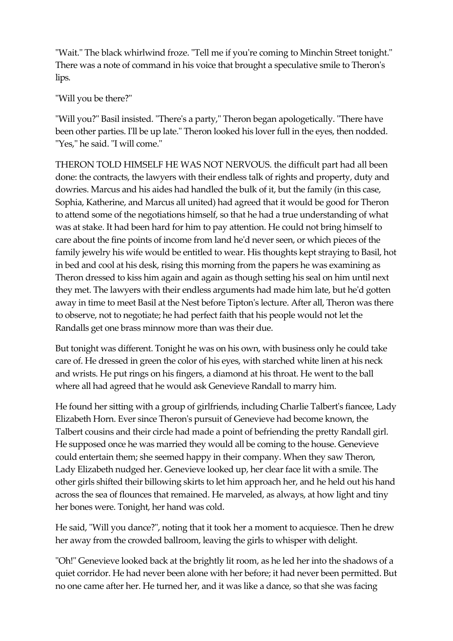"Wait." The black whirlwind froze. "Tell me if you're coming to Minchin Street tonight." There was a note of command in his voice that brought a speculative smile to Theron's lips.

"Will you be there?"

"Will you?" Basil insisted. "There's a party," Theron began apologetically. "There have been other parties. I'll be up late." Theron looked his lover full in the eyes, then nodded. "Yes," he said. "I will come."

THERON TOLD HIMSELF HE WAS NOT NERVOUS. the difficult part had all been done: the contracts, the lawyers with their endless talk of rights and property, duty and dowries. Marcus and his aides had handled the bulk of it, but the family (in this case, Sophia, Katherine, and Marcus all united) had agreed that it would be good for Theron to attend some of the negotiations himself, so that he had a true understanding of what was at stake. It had been hard for him to pay attention. He could not bring himself to care about the fine points of income from land he'd never seen, or which pieces of the family jewelry his wife would be entitled to wear. His thoughts kept straying to Basil, hot in bed and cool at his desk, rising this morning from the papers he was examining as Theron dressed to kiss him again and again as though setting his seal on him until next they met. The lawyers with their endless arguments had made him late, but he'd gotten away in time to meet Basil at the Nest before Tipton's lecture. After all, Theron was there to observe, not to negotiate; he had perfect faith that his people would not let the Randalls get one brass minnow more than was their due.

But tonight was different. Tonight he was on his own, with business only he could take care of. He dressed in green the color of his eyes, with starched white linen at his neck and wrists. He put rings on his fingers, a diamond at his throat. He went to the ball where all had agreed that he would ask Genevieve Randall to marry him.

He found her sitting with a group of girlfriends, including Charlie Talbert's fiancee, Lady Elizabeth Horn. Ever since Theron's pursuit of Genevieve had become known, the Talbert cousins and their circle had made a point of befriending the pretty Randall girl. He supposed once he was married they would all be coming to the house. Genevieve could entertain them; she seemed happy in their company. When they saw Theron, Lady Elizabeth nudged her. Genevieve looked up, her clear face lit with a smile. The other girls shifted their billowing skirts to let him approach her, and he held out his hand across the sea of flounces that remained. He marveled, as always, at how light and tiny her bones were. Tonight, her hand was cold.

He said, "Will you dance?", noting that it took her a moment to acquiesce. Then he drew her away from the crowded ballroom, leaving the girls to whisper with delight.

"Oh!" Genevieve looked back at the brightly lit room, as he led her into the shadows of a quiet corridor. He had never been alone with her before; it had never been permitted. But no one came after her. He turned her, and it was like a dance, so that she was facing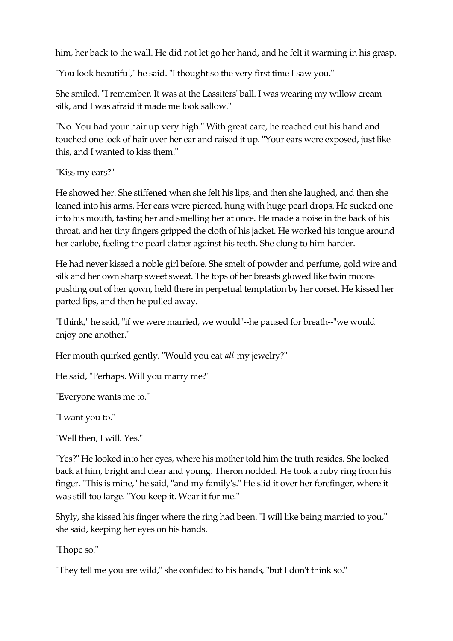him, her back to the wall. He did not let go her hand, and he felt it warming in his grasp.

"You look beautiful," he said. "I thought so the very first time I saw you."

She smiled. "I remember. It was at the Lassiters' ball. I was wearing my willow cream silk, and I was afraid it made me look sallow."

"No. You had your hair up very high." With great care, he reached out his hand and touched one lock of hair over her ear and raised it up. "Your ears were exposed, just like this, and I wanted to kiss them."

"Kiss my ears?"

He showed her. She stiffened when she felt his lips, and then she laughed, and then she leaned into his arms. Her ears were pierced, hung with huge pearl drops. He sucked one into his mouth, tasting her and smelling her at once. He made a noise in the back of his throat, and her tiny fingers gripped the cloth of his jacket. He worked his tongue around her earlobe, feeling the pearl clatter against his teeth. She clung to him harder.

He had never kissed a noble girl before. She smelt of powder and perfume, gold wire and silk and her own sharp sweet sweat. The tops of her breasts glowed like twin moons pushing out of her gown, held there in perpetual temptation by her corset. He kissed her parted lips, and then he pulled away.

"I think," he said, "if we were married, we would"--he paused for breath--"we would enjoy one another."

Her mouth quirked gently. "Would you eat *all* my jewelry?"

He said, "Perhaps. Will you marry me?"

"Everyone wants me to."

"I want you to."

"Well then, I will. Yes."

"Yes?" He looked into her eyes, where his mother told him the truth resides. She looked back at him, bright and clear and young. Theron nodded. He took a ruby ring from his finger. "This is mine," he said, "and my family's." He slid it over her forefinger, where it was still too large. "You keep it. Wear it for me."

Shyly, she kissed his finger where the ring had been. "I will like being married to you," she said, keeping her eyes on his hands.

"I hope so."

"They tell me you are wild," she confided to his hands, "but I don't think so."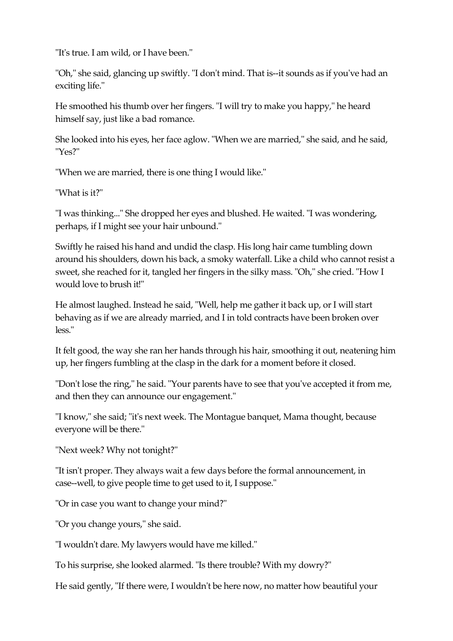"It's true. I am wild, or I have been."

"Oh," she said, glancing up swiftly. "I don't mind. That is--it sounds as if you've had an exciting life."

He smoothed his thumb over her fingers. "I will try to make you happy," he heard himself say, just like a bad romance.

She looked into his eyes, her face aglow. "When we are married," she said, and he said, "Yes?"

"When we are married, there is one thing I would like."

"What is it?"

"I was thinking..." She dropped her eyes and blushed. He waited. "I was wondering, perhaps, if I might see your hair unbound."

Swiftly he raised his hand and undid the clasp. His long hair came tumbling down around his shoulders, down his back, a smoky waterfall. Like a child who cannot resist a sweet, she reached for it, tangled her fingers in the silky mass. "Oh," she cried. "How I would love to brush it!"

He almost laughed. Instead he said, "Well, help me gather it back up, or I will start behaving as if we are already married, and I in told contracts have been broken over less."

It felt good, the way she ran her hands through his hair, smoothing it out, neatening him up, her fingers fumbling at the clasp in the dark for a moment before it closed.

"Don't lose the ring," he said. "Your parents have to see that you've accepted it from me, and then they can announce our engagement."

"I know," she said; "it's next week. The Montague banquet, Mama thought, because everyone will be there."

"Next week? Why not tonight?"

"It isn't proper. They always wait a few days before the formal announcement, in case--well, to give people time to get used to it, I suppose."

"Or in case you want to change your mind?"

"Or you change yours," she said.

"I wouldn't dare. My lawyers would have me killed."

To his surprise, she looked alarmed. "Is there trouble? With my dowry?"

He said gently, "If there were, I wouldn't be here now, no matter how beautiful your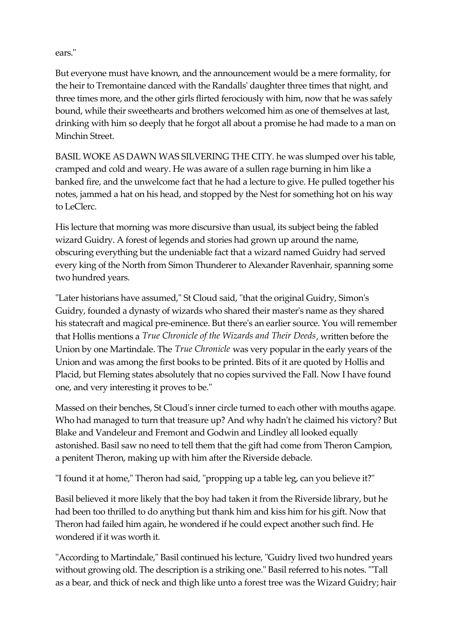ears."

But everyone must have known, and the announcement would be a mere formality, for the heir to Tremontaine danced with the Randalls' daughter three times that night, and three times more, and the other girls flirted ferociously with him, now that he was safely bound, while their sweethearts and brothers welcomed him as one of themselves at last, drinking with him so deeply that he forgot all about a promise he had made to a man on Minchin Street.

BASIL WOKE AS DAWN WAS SILVERING THE CITY. he was slumped over his table, cramped and cold and weary. He was aware of a sullen rage burning in him like a banked fire, and the unwelcome fact that he had a lecture to give. He pulled together his notes, jammed a hat on his head, and stopped by the Nest for something hot on his way to LeClerc.

His lecture that morning was more discursive than usual, its subject being the fabled wizard Guidry. A forest of legends and stories had grown up around the name, obscuring everything but the undeniable fact that a wizard named Guidry had served every king of the North from Simon Thunderer to Alexander Ravenhair, spanning some two hundred years.

"Later historians have assumed," St Cloud said, "that the original Guidry, Simon's Guidry, founded a dynasty of wizards who shared their master's name as they shared his statecraft and magical pre-eminence. But there's an earlier source. You will remember that Hollis mentions a *True Chronicle of the Wizards and Their Deeds*, written before the Union by one Martindale. The *True Chronicle* was very popular in the early years of the Union and was among the first books to be printed. Bits of it are quoted by Hollis and Placid, but Fleming states absolutely that no copies survived the Fall. Now I have found one, and very interesting it proves to be."

Massed on their benches, St Cloud's inner circle turned to each other with mouths agape. Who had managed to turn that treasure up? And why hadn't he claimed his victory? But Blake and Vandeleur and Fremont and Godwin and Lindley all looked equally astonished. Basil saw no need to tell them that the gift had come from Theron Campion, a penitent Theron, making up with him after the Riverside debacle.

"I found it at home," Theron had said, "propping up a table leg, can you believe it?"

Basil believed it more likely that the boy had taken it from the Riverside library, but he had been too thrilled to do anything but thank him and kiss him for his gift. Now that Theron had failed him again, he wondered if he could expect another such find. He wondered if it was worth it.

"According to Martindale," Basil continued his lecture, "Guidry lived two hundred years without growing old. The description is a striking one." Basil referred to his notes. "'Tall as a bear, and thick of neck and thigh like unto a forest tree was the Wizard Guidry; hair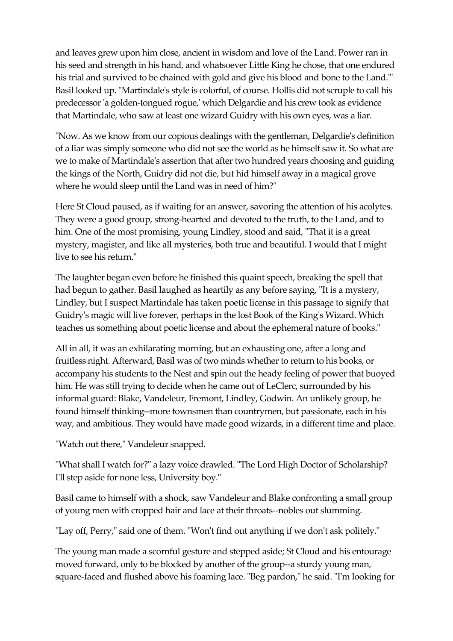and leaves grew upon him close, ancient in wisdom and love of the Land. Power ran in his seed and strength in his hand, and whatsoever Little King he chose, that one endured his trial and survived to be chained with gold and give his blood and bone to the Land.'" Basil looked up. "Martindale's style is colorful, of course. Hollis did not scruple to call his predecessor 'a golden-tongued rogue,' which Delgardie and his crew took as evidence that Martindale, who saw at least one wizard Guidry with his own eyes, was a liar.

"Now. As we know from our copious dealings with the gentleman, Delgardie's definition of a liar was simply someone who did not see the world as he himself saw it. So what are we to make of Martindale's assertion that after two hundred years choosing and guiding the kings of the North, Guidry did not die, but hid himself away in a magical grove where he would sleep until the Land was in need of him?"

Here St Cloud paused, as if waiting for an answer, savoring the attention of his acolytes. They were a good group, strong-hearted and devoted to the truth, to the Land, and to him. One of the most promising, young Lindley, stood and said, "That it is a great mystery, magister, and like all mysteries, both true and beautiful. I would that I might live to see his return."

The laughter began even before he finished this quaint speech, breaking the spell that had begun to gather. Basil laughed as heartily as any before saying, "It is a mystery, Lindley, but I suspect Martindale has taken poetic license in this passage to signify that Guidry's magic will live forever, perhaps in the lost Book of the King's Wizard. Which teaches us something about poetic license and about the ephemeral nature of books."

All in all, it was an exhilarating morning, but an exhausting one, after a long and fruitless night. Afterward, Basil was of two minds whether to return to his books, or accompany his students to the Nest and spin out the heady feeling of power that buoyed him. He was still trying to decide when he came out of LeClerc, surrounded by his informal guard: Blake, Vandeleur, Fremont, Lindley, Godwin. An unlikely group, he found himself thinking--more townsmen than countrymen, but passionate, each in his way, and ambitious. They would have made good wizards, in a different time and place.

"Watch out there," Vandeleur snapped.

"What shall I watch for?" a lazy voice drawled. "The Lord High Doctor of Scholarship? I'll step aside for none less, University boy."

Basil came to himself with a shock, saw Vandeleur and Blake confronting a small group of young men with cropped hair and lace at their throats--nobles out slumming.

"Lay off, Perry," said one of them. "Won't find out anything if we don't ask politely."

The young man made a scornful gesture and stepped aside; St Cloud and his entourage moved forward, only to be blocked by another of the group--a sturdy young man, square-faced and flushed above his foaming lace. "Beg pardon," he said. "I'm looking for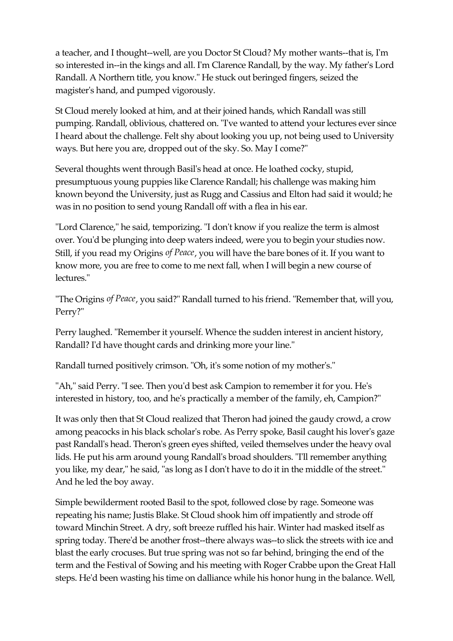a teacher, and I thought--well, are you Doctor St Cloud? My mother wants--that is, I'm so interested in--in the kings and all. I'm Clarence Randall, by the way. My father's Lord Randall. A Northern title, you know." He stuck out beringed fingers, seized the magister's hand, and pumped vigorously.

St Cloud merely looked at him, and at their joined hands, which Randall was still pumping. Randall, oblivious, chattered on. "I've wanted to attend your lectures ever since I heard about the challenge. Felt shy about looking you up, not being used to University ways. But here you are, dropped out of the sky. So. May I come?"

Several thoughts went through Basil's head at once. He loathed cocky, stupid, presumptuous young puppies like Clarence Randall; his challenge was making him known beyond the University, just as Rugg and Cassius and Elton had said it would; he was in no position to send young Randall off with a flea in his ear.

"Lord Clarence," he said, temporizing. "I don't know if you realize the term is almost over. You'd be plunging into deep waters indeed, were you to begin your studies now. Still, if you read my Origins *of Peace*, you will have the bare bones of it. If you want to know more, you are free to come to me next fall, when I will begin a new course of lectures."

"The Origins *of Peace*, you said?" Randall turned to his friend. "Remember that, will you, Perry?"

Perry laughed. "Remember it yourself. Whence the sudden interest in ancient history, Randall? I'd have thought cards and drinking more your line."

Randall turned positively crimson. "Oh, it's some notion of my mother's."

"Ah," said Perry. "I see. Then you'd best ask Campion to remember it for you. He's interested in history, too, and he's practically a member of the family, eh, Campion?"

It was only then that St Cloud realized that Theron had joined the gaudy crowd, a crow among peacocks in his black scholar's robe. As Perry spoke, Basil caught his lover's gaze past Randall's head. Theron's green eyes shifted, veiled themselves under the heavy oval lids. He put his arm around young Randall's broad shoulders. "I'll remember anything you like, my dear," he said, "as long as I don't have to do it in the middle of the street." And he led the boy away.

Simple bewilderment rooted Basil to the spot, followed close by rage. Someone was repeating his name; Justis Blake. St Cloud shook him off impatiently and strode off toward Minchin Street. A dry, soft breeze ruffled his hair. Winter had masked itself as spring today. There'd be another frost--there always was--to slick the streets with ice and blast the early crocuses. But true spring was not so far behind, bringing the end of the term and the Festival of Sowing and his meeting with Roger Crabbe upon the Great Hall steps. He'd been wasting his time on dalliance while his honor hung in the balance. Well,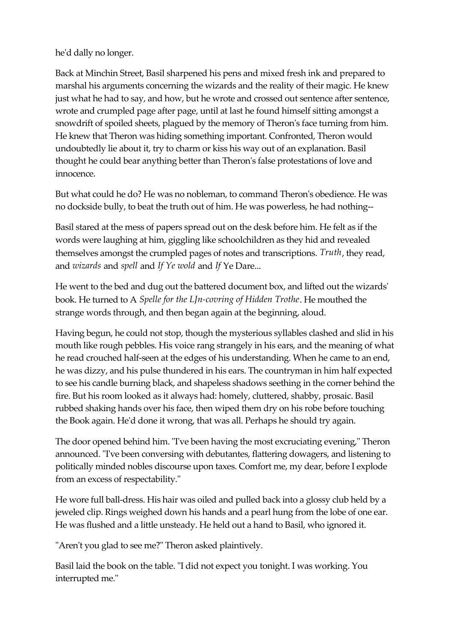he'd dally no longer.

Back at Minchin Street, Basil sharpened his pens and mixed fresh ink and prepared to marshal his arguments concerning the wizards and the reality of their magic. He knew just what he had to say, and how, but he wrote and crossed out sentence after sentence, wrote and crumpled page after page, until at last he found himself sitting amongst a snowdrift of spoiled sheets, plagued by the memory of Theron's face turning from him. He knew that Theron was hiding something important. Confronted, Theron would undoubtedly lie about it, try to charm or kiss his way out of an explanation. Basil thought he could bear anything better than Theron's false protestations of love and innocence.

But what could he do? He was no nobleman, to command Theron's obedience. He was no dockside bully, to beat the truth out of him. He was powerless, he had nothing--

Basil stared at the mess of papers spread out on the desk before him. He felt as if the words were laughing at him, giggling like schoolchildren as they hid and revealed themselves amongst the crumpled pages of notes and transcriptions. *Truth*, they read, and *wizards* and *spell* and *If Ye wold* and *If* Ye Dare...

He went to the bed and dug out the battered document box, and lifted out the wizards' book. He turned to A *Spelle for the LJn-covring of Hidden Trothe*. He mouthed the strange words through, and then began again at the beginning, aloud.

Having begun, he could not stop, though the mysterious syllables clashed and slid in his mouth like rough pebbles. His voice rang strangely in his ears, and the meaning of what he read crouched half-seen at the edges of his understanding. When he came to an end, he was dizzy, and his pulse thundered in his ears. The countryman in him half expected to see his candle burning black, and shapeless shadows seething in the corner behind the fire. But his room looked as it always had: homely, cluttered, shabby, prosaic. Basil rubbed shaking hands over his face, then wiped them dry on his robe before touching the Book again. He'd done it wrong, that was all. Perhaps he should try again.

The door opened behind him. "I've been having the most excruciating evening," Theron announced. "I've been conversing with debutantes, flattering dowagers, and listening to politically minded nobles discourse upon taxes. Comfort me, my dear, before I explode from an excess of respectability."

He wore full ball-dress. His hair was oiled and pulled back into a glossy club held by a jeweled clip. Rings weighed down his hands and a pearl hung from the lobe of one ear. He was flushed and a little unsteady. He held out a hand to Basil, who ignored it.

"Aren't you glad to see me?" Theron asked plaintively.

Basil laid the book on the table. "I did not expect you tonight. I was working. You interrupted me."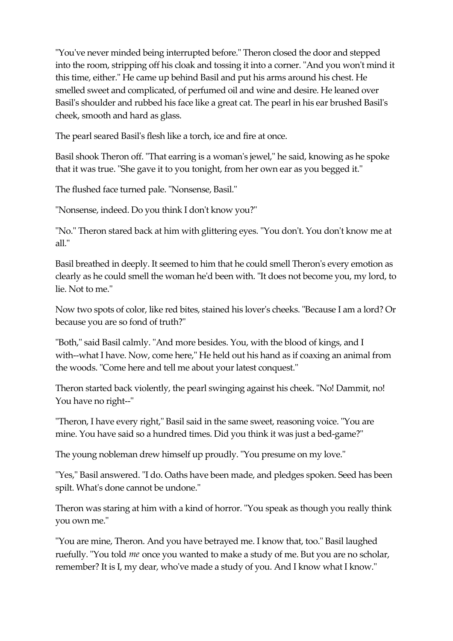"You've never minded being interrupted before." Theron closed the door and stepped into the room, stripping off his cloak and tossing it into a corner. "And you won't mind it this time, either." He came up behind Basil and put his arms around his chest. He smelled sweet and complicated, of perfumed oil and wine and desire. He leaned over Basil's shoulder and rubbed his face like a great cat. The pearl in his ear brushed Basil's cheek, smooth and hard as glass.

The pearl seared Basil's flesh like a torch, ice and fire at once.

Basil shook Theron off. "That earring is a woman's jewel," he said, knowing as he spoke that it was true. "She gave it to you tonight, from her own ear as you begged it."

The flushed face turned pale. "Nonsense, Basil."

"Nonsense, indeed. Do you think I don't know you?"

"No." Theron stared back at him with glittering eyes. "You don't. You don't know me at all."

Basil breathed in deeply. It seemed to him that he could smell Theron's every emotion as clearly as he could smell the woman he'd been with. "It does not become you, my lord, to lie. Not to me."

Now two spots of color, like red bites, stained his lover's cheeks. "Because I am a lord? Or because you are so fond of truth?"

"Both," said Basil calmly. "And more besides. You, with the blood of kings, and I with--what I have. Now, come here," He held out his hand as if coaxing an animal from the woods. "Come here and tell me about your latest conquest."

Theron started back violently, the pearl swinging against his cheek. "No! Dammit, no! You have no right--"

"Theron, I have every right," Basil said in the same sweet, reasoning voice. "You are mine. You have said so a hundred times. Did you think it was just a bed-game?"

The young nobleman drew himself up proudly. "You presume on my love."

"Yes," Basil answered. "I do. Oaths have been made, and pledges spoken. Seed has been spilt. What's done cannot be undone."

Theron was staring at him with a kind of horror. "You speak as though you really think you own me."

"You are mine, Theron. And you have betrayed me. I know that, too." Basil laughed ruefully. "You told *me* once you wanted to make a study of me. But you are no scholar, remember? It is I, my dear, who've made a study of you. And I know what I know."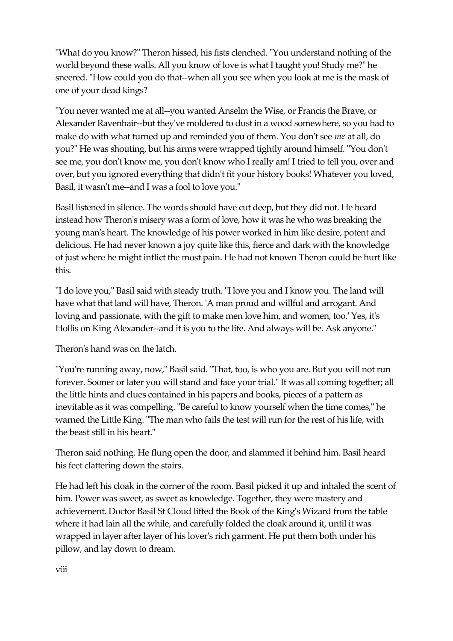"What do you know?" Theron hissed, his fists clenched. "You understand nothing of the world beyond these walls. All you know of love is what I taught you! Study me?" he sneered. "How could you do that--when all you see when you look at me is the mask of one of your dead kings?

"You never wanted me at all--you wanted Anselm the Wise, or Francis the Brave, or Alexander Ravenhair--but they've moldered to dust in a wood somewhere, so you had to make do with what turned up and reminded you of them. You don't see *me* at all, do you?" He was shouting, but his arms were wrapped tightly around himself. "You don't see me, you don't know me, you don't know who I really am! I tried to tell you, over and over, but you ignored everything that didn't fit your history books! Whatever you loved, Basil, it wasn't me--and I was a fool to love you."

Basil listened in silence. The words should have cut deep, but they did not. He heard instead how Theron's misery was a form of love, how it was he who was breaking the young man's heart. The knowledge of his power worked in him like desire, potent and delicious. He had never known a joy quite like this, fierce and dark with the knowledge of just where he might inflict the most pain. He had not known Theron could be hurt like this.

"I do love you," Basil said with steady truth. "I love you and I know you. The land will have what that land will have, Theron. 'A man proud and willful and arrogant. And loving and passionate, with the gift to make men love him, and women, too.' Yes, it's Hollis on King Alexander--and it is you to the life. And always will be. Ask anyone."

Theron's hand was on the latch.

"You're running away, now," Basil said. "That, too, is who you are. But you will not run forever. Sooner or later you will stand and face your trial." It was all coming together; all the little hints and clues contained in his papers and books, pieces of a pattern as inevitable as it was compelling. "Be careful to know yourself when the time comes," he warned the Little King. "The man who fails the test will run for the rest of his life, with the beast still in his heart."

Theron said nothing. He flung open the door, and slammed it behind him. Basil heard his feet clattering down the stairs.

He had left his cloak in the corner of the room. Basil picked it up and inhaled the scent of him. Power was sweet, as sweet as knowledge. Together, they were mastery and achievement. Doctor Basil St Cloud lifted the Book of the King's Wizard from the table where it had lain all the while, and carefully folded the cloak around it, until it was wrapped in layer after layer of his lover's rich garment. He put them both under his pillow, and lay down to dream.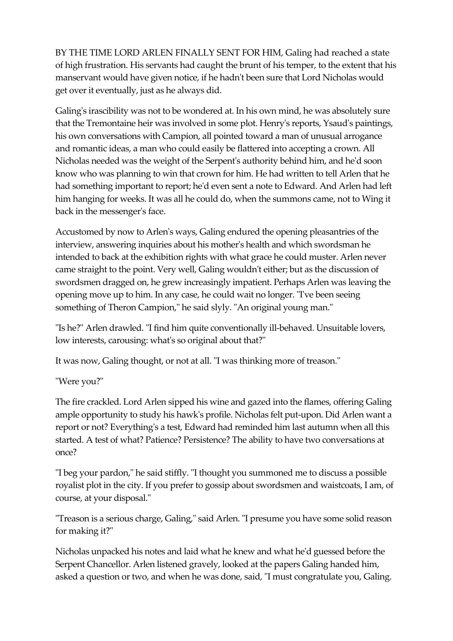BY THE TIME LORD ARLEN FINALLY SENT FOR HIM, Galing had reached a state of high frustration. His servants had caught the brunt of his temper, to the extent that his manservant would have given notice, if he hadn't been sure that Lord Nicholas would get over it eventually, just as he always did.

Galing's irascibility was not to be wondered at. In his own mind, he was absolutely sure that the Tremontaine heir was involved in some plot. Henry's reports, Ysaud's paintings, his own conversations with Campion, all pointed toward a man of unusual arrogance and romantic ideas, a man who could easily be flattered into accepting a crown. All Nicholas needed was the weight of the Serpent's authority behind him, and he'd soon know who was planning to win that crown for him. He had written to tell Arlen that he had something important to report; he'd even sent a note to Edward. And Arlen had left him hanging for weeks. It was all he could do, when the summons came, not to Wing it back in the messenger's face.

Accustomed by now to Arlen's ways, Galing endured the opening pleasantries of the interview, answering inquiries about his mother's health and which swordsman he intended to back at the exhibition rights with what grace he could muster. Arlen never came straight to the point. Very well, Galing wouldn't either; but as the discussion of swordsmen dragged on, he grew increasingly impatient. Perhaps Arlen was leaving the opening move up to him. In any case, he could wait no longer. "I've been seeing something of Theron Campion," he said slyly. "An original young man."

"Is he?" Arlen drawled. "I find him quite conventionally ill-behaved. Unsuitable lovers, low interests, carousing: what's so original about that?"

It was now, Galing thought, or not at all. "I was thinking more of treason."

"Were you?"

The fire crackled. Lord Arlen sipped his wine and gazed into the flames, offering Galing ample opportunity to study his hawk's profile. Nicholas felt put-upon. Did Arlen want a report or not? Everything's a test, Edward had reminded him last autumn when all this started. A test of what? Patience? Persistence? The ability to have two conversations at once?

"I beg your pardon," he said stiffly. "I thought you summoned me to discuss a possible royalist plot in the city. If you prefer to gossip about swordsmen and waistcoats, I am, of course, at your disposal."

"Treason is a serious charge, Galing," said Arlen. "I presume you have some solid reason for making it?"

Nicholas unpacked his notes and laid what he knew and what he'd guessed before the Serpent Chancellor. Arlen listened gravely, looked at the papers Galing handed him, asked a question or two, and when he was done, said, "I must congratulate you, Galing.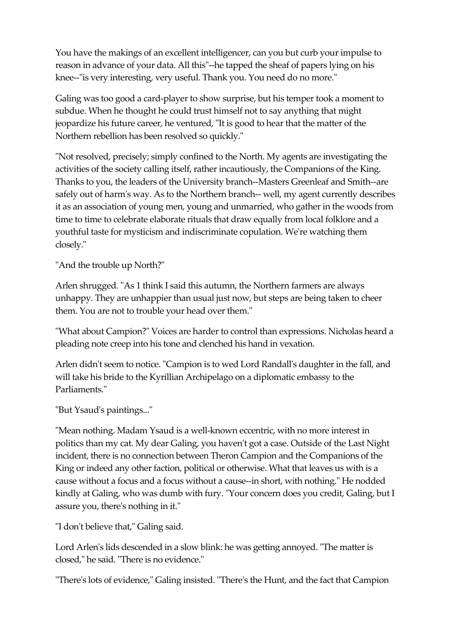You have the makings of an excellent intelligencer, can you but curb your impulse to reason in advance of your data. All this"--he tapped the sheaf of papers lying on his knee--"is very interesting, very useful. Thank you. You need do no more."

Galing was too good a card-player to show surprise, but his temper took a moment to subdue. When he thought he could trust himself not to say anything that might jeopardize his future career, he ventured, "It is good to hear that the matter of the Northern rebellion has been resolved so quickly."

"Not resolved, precisely; simply confined to the North. My agents are investigating the activities of the society calling itself, rather incautiously, the Companions of the King. Thanks to you, the leaders of the University branch--Masters Greenleaf and Smith--are safely out of harm's way. As to the Northern branch-- well, my agent currently describes it as an association of young men, young and unmarried, who gather in the woods from time to time to celebrate elaborate rituals that draw equally from local folklore and a youthful taste for mysticism and indiscriminate copulation. We're watching them closely."

"And the trouble up North?"

Arlen shrugged. "As 1 think I said this autumn, the Northern farmers are always unhappy. They are unhappier than usual just now, but steps are being taken to cheer them. You are not to trouble your head over them."

"What about Campion?" Voices are harder to control than expressions. Nicholas heard a pleading note creep into his tone and clenched his hand in vexation.

Arlen didn't seem to notice. "Campion is to wed Lord Randall's daughter in the fall, and will take his bride to the Kyrillian Archipelago on a diplomatic embassy to the Parliaments."

"But Ysaud's paintings..."

"Mean nothing. Madam Ysaud is a well-known eccentric, with no more interest in politics than my cat. My dear Galing, you haven't got a case. Outside of the Last Night incident, there is no connection between Theron Campion and the Companions of the King or indeed any other faction, political or otherwise. What that leaves us with is a cause without a focus and a focus without a cause--in short, with nothing." He nodded kindly at Galing, who was dumb with fury. "Your concern does you credit, Galing, but I assure you, there's nothing in it."

"I don't believe that," Galing said.

Lord Arlen's lids descended in a slow blink: he was getting annoyed. "The matter is closed," he said. "There is no evidence."

"There's lots of evidence," Galing insisted. "There's the Hunt, and the fact that Campion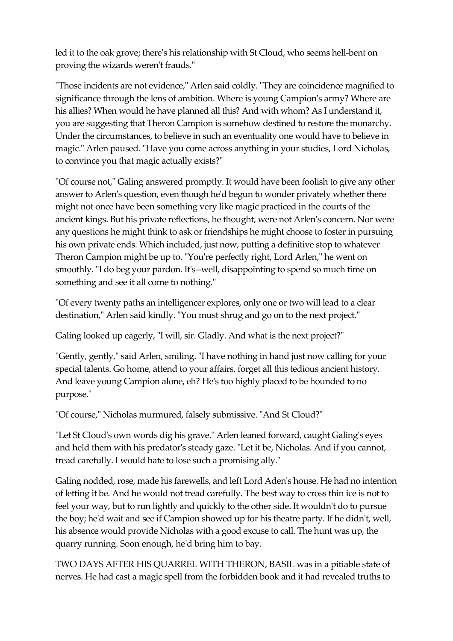led it to the oak grove; there's his relationship with St Cloud, who seems hell-bent on proving the wizards weren't frauds."

"Those incidents are not evidence," Arlen said coldly. "They are coincidence magnified to significance through the lens of ambition. Where is young Campion's army? Where are his allies? When would he have planned all this? And with whom? As I understand it, you are suggesting that Theron Campion is somehow destined to restore the monarchy. Under the circumstances, to believe in such an eventuality one would have to believe in magic." Arlen paused. "Have you come across anything in your studies, Lord Nicholas, to convince you that magic actually exists?"

"Of course not," Galing answered promptly. It would have been foolish to give any other answer to Arlen's question, even though he'd begun to wonder privately whether there might not once have been something very like magic practiced in the courts of the ancient kings. But his private reflections, he thought, were not Arlen's concern. Nor were any questions he might think to ask or friendships he might choose to foster in pursuing his own private ends. Which included, just now, putting a definitive stop to whatever Theron Campion might be up to. "You're perfectly right, Lord Arlen," he went on smoothly. "I do beg your pardon. It's--well, disappointing to spend so much time on something and see it all come to nothing."

"Of every twenty paths an intelligencer explores, only one or two will lead to a clear destination," Arlen said kindly. "You must shrug and go on to the next project."

Galing looked up eagerly, "I will, sir. Gladly. And what is the next project?"

"Gently, gently," said Arlen, smiling. "I have nothing in hand just now calling for your special talents. Go home, attend to your affairs, forget all this tedious ancient history. And leave young Campion alone, eh? He's too highly placed to be hounded to no purpose."

"Of course," Nicholas murmured, falsely submissive. "And St Cloud?"

"Let St Cloud's own words dig his grave." Arlen leaned forward, caught Galing's eyes and held them with his predator's steady gaze. "Let it be, Nicholas. And if you cannot, tread carefully. I would hate to lose such a promising ally."

Galing nodded, rose, made his farewells, and left Lord Aden's house. He had no intention of letting it be. And he would not tread carefully. The best way to cross thin ice is not to feel your way, but to run lightly and quickly to the other side. It wouldn't do to pursue the boy; he'd wait and see if Campion showed up for his theatre party. If he didn't, well, his absence would provide Nicholas with a good excuse to call. The hunt was up, the quarry running. Soon enough, he'd bring him to bay.

TWO DAYS AFTER HIS QUARREL WITH THERON, BASIL was in a pitiable state of nerves. He had cast a magic spell from the forbidden book and it had revealed truths to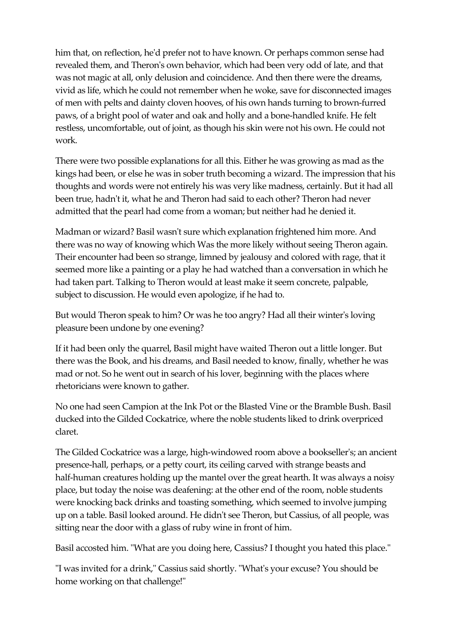him that, on reflection, he'd prefer not to have known. Or perhaps common sense had revealed them, and Theron's own behavior, which had been very odd of late, and that was not magic at all, only delusion and coincidence. And then there were the dreams, vivid as life, which he could not remember when he woke, save for disconnected images of men with pelts and dainty cloven hooves, of his own hands turning to brown-furred paws, of a bright pool of water and oak and holly and a bone-handled knife. He felt restless, uncomfortable, out of joint, as though his skin were not his own. He could not work.

There were two possible explanations for all this. Either he was growing as mad as the kings had been, or else he was in sober truth becoming a wizard. The impression that his thoughts and words were not entirely his was very like madness, certainly. But it had all been true, hadn't it, what he and Theron had said to each other? Theron had never admitted that the pearl had come from a woman; but neither had he denied it.

Madman or wizard? Basil wasn't sure which explanation frightened him more. And there was no way of knowing which Was the more likely without seeing Theron again. Their encounter had been so strange, limned by jealousy and colored with rage, that it seemed more like a painting or a play he had watched than a conversation in which he had taken part. Talking to Theron would at least make it seem concrete, palpable, subject to discussion. He would even apologize, if he had to.

But would Theron speak to him? Or was he too angry? Had all their winter's loving pleasure been undone by one evening?

If it had been only the quarrel, Basil might have waited Theron out a little longer. But there was the Book, and his dreams, and Basil needed to know, finally, whether he was mad or not. So he went out in search of his lover, beginning with the places where rhetoricians were known to gather.

No one had seen Campion at the Ink Pot or the Blasted Vine or the Bramble Bush. Basil ducked into the Gilded Cockatrice, where the noble students liked to drink overpriced claret.

The Gilded Cockatrice was a large, high-windowed room above a bookseller's; an ancient presence-hall, perhaps, or a petty court, its ceiling carved with strange beasts and half-human creatures holding up the mantel over the great hearth. It was always a noisy place, but today the noise was deafening: at the other end of the room, noble students were knocking back drinks and toasting something, which seemed to involve jumping up on a table. Basil looked around. He didn't see Theron, but Cassius, of all people, was sitting near the door with a glass of ruby wine in front of him.

Basil accosted him. "What are you doing here, Cassius? I thought you hated this place."

"I was invited for a drink," Cassius said shortly. "What's your excuse? You should be home working on that challenge!"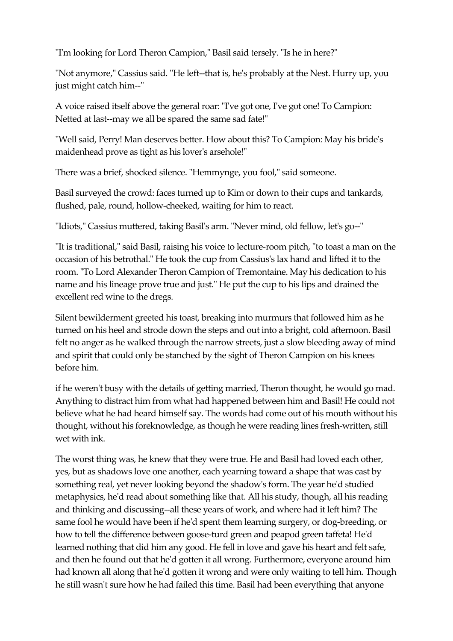"I'm looking for Lord Theron Campion," Basil said tersely. "Is he in here?"

"Not anymore," Cassius said. "He left--that is, he's probably at the Nest. Hurry up, you just might catch him--"

A voice raised itself above the general roar: "I've got one, I've got one! To Campion: Netted at last--may we all be spared the same sad fate!"

"Well said, Perry! Man deserves better. How about this? To Campion: May his bride's maidenhead prove as tight as his lover's arsehole!"

There was a brief, shocked silence. "Hemmynge, you fool," said someone.

Basil surveyed the crowd: faces turned up to Kim or down to their cups and tankards, flushed, pale, round, hollow-cheeked, waiting for him to react.

"Idiots," Cassius muttered, taking Basil's arm. "Never mind, old fellow, let's go--"

"It is traditional," said Basil, raising his voice to lecture-room pitch, "to toast a man on the occasion of his betrothal." He took the cup from Cassius's lax hand and lifted it to the room. "To Lord Alexander Theron Campion of Tremontaine. May his dedication to his name and his lineage prove true and just." He put the cup to his lips and drained the excellent red wine to the dregs.

Silent bewilderment greeted his toast, breaking into murmurs that followed him as he turned on his heel and strode down the steps and out into a bright, cold afternoon. Basil felt no anger as he walked through the narrow streets, just a slow bleeding away of mind and spirit that could only be stanched by the sight of Theron Campion on his knees before him.

if he weren't busy with the details of getting married, Theron thought, he would go mad. Anything to distract him from what had happened between him and Basil! He could not believe what he had heard himself say. The words had come out of his mouth without his thought, without his foreknowledge, as though he were reading lines fresh-written, still wet with ink.

The worst thing was, he knew that they were true. He and Basil had loved each other, yes, but as shadows love one another, each yearning toward a shape that was cast by something real, yet never looking beyond the shadow's form. The year he'd studied metaphysics, he'd read about something like that. All his study, though, all his reading and thinking and discussing--all these years of work, and where had it left him? The same fool he would have been if he'd spent them learning surgery, or dog-breeding, or how to tell the difference between goose-turd green and peapod green taffeta! He'd learned nothing that did him any good. He fell in love and gave his heart and felt safe, and then he found out that he'd gotten it all wrong. Furthermore, everyone around him had known all along that he'd gotten it wrong and were only waiting to tell him. Though he still wasn't sure how he had failed this time. Basil had been everything that anyone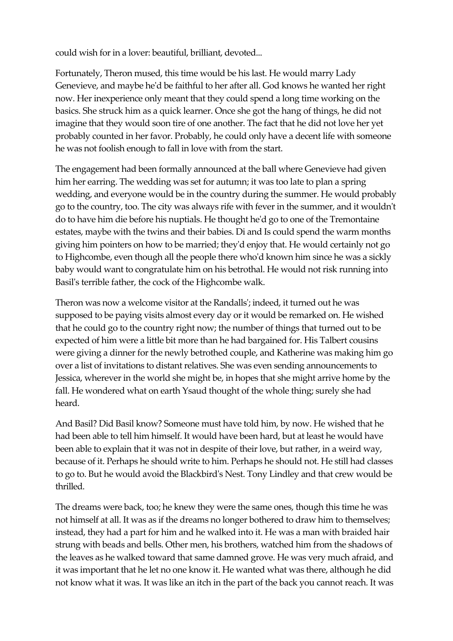could wish for in a lover: beautiful, brilliant, devoted...

Fortunately, Theron mused, this time would be his last. He would marry Lady Genevieve, and maybe he'd be faithful to her after all. God knows he wanted her right now. Her inexperience only meant that they could spend a long time working on the basics. She struck him as a quick learner. Once she got the hang of things, he did not imagine that they would soon tire of one another. The fact that he did not love her yet probably counted in her favor. Probably, he could only have a decent life with someone he was not foolish enough to fall in love with from the start.

The engagement had been formally announced at the ball where Genevieve had given him her earring. The wedding was set for autumn; it was too late to plan a spring wedding, and everyone would be in the country during the summer. He would probably go to the country, too. The city was always rife with fever in the summer, and it wouldn't do to have him die before his nuptials. He thought he'd go to one of the Tremontaine estates, maybe with the twins and their babies. Di and Is could spend the warm months giving him pointers on how to be married; they'd enjoy that. He would certainly not go to Highcombe, even though all the people there who'd known him since he was a sickly baby would want to congratulate him on his betrothal. He would not risk running into Basil's terrible father, the cock of the Highcombe walk.

Theron was now a welcome visitor at the Randalls'; indeed, it turned out he was supposed to be paying visits almost every day or it would be remarked on. He wished that he could go to the country right now; the number of things that turned out to be expected of him were a little bit more than he had bargained for. His Talbert cousins were giving a dinner for the newly betrothed couple, and Katherine was making him go over a list of invitations to distant relatives. She was even sending announcements to Jessica, wherever in the world she might be, in hopes that she might arrive home by the fall. He wondered what on earth Ysaud thought of the whole thing; surely she had heard.

And Basil? Did Basil know? Someone must have told him, by now. He wished that he had been able to tell him himself. It would have been hard, but at least he would have been able to explain that it was not in despite of their love, but rather, in a weird way, because of it. Perhaps he should write to him. Perhaps he should not. He still had classes to go to. But he would avoid the Blackbird's Nest. Tony Lindley and that crew would be thrilled.

The dreams were back, too; he knew they were the same ones, though this time he was not himself at all. It was as if the dreams no longer bothered to draw him to themselves; instead, they had a part for him and he walked into it. He was a man with braided hair strung with beads and bells. Other men, his brothers, watched him from the shadows of the leaves as he walked toward that same damned grove. He was very much afraid, and it was important that he let no one know it. He wanted what was there, although he did not know what it was. It was like an itch in the part of the back you cannot reach. It was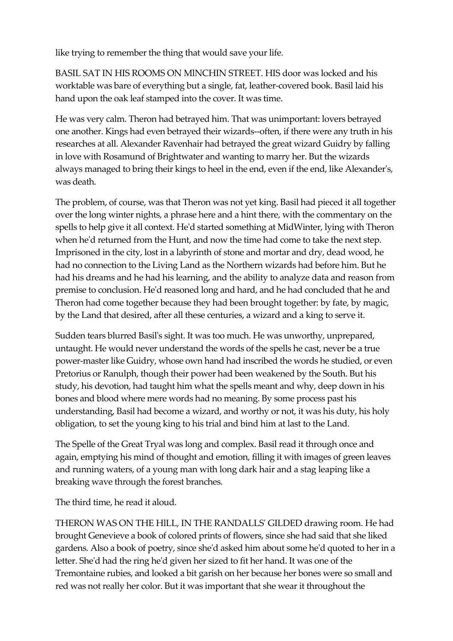like trying to remember the thing that would save your life.

BASIL SAT IN HIS ROOMS ON MlNCHIN STREET. HIS door was locked and his worktable was bare of everything but a single, fat, leather-covered book. Basil laid his hand upon the oak leaf stamped into the cover. It was time.

He was very calm. Theron had betrayed him. That was unimportant: lovers betrayed one another. Kings had even betrayed their wizards--often, if there were any truth in his researches at all. Alexander Ravenhair had betrayed the great wizard Guidry by falling in love with Rosamund of Brightwater and wanting to marry her. But the wizards always managed to bring their kings to heel in the end, even if the end, like Alexander's, was death.

The problem, of course, was that Theron was not yet king. Basil had pieced it all together over the long winter nights, a phrase here and a hint there, with the commentary on the spells to help give it all context. He'd started something at MidWinter, lying with Theron when he'd returned from the Hunt, and now the time had come to take the next step. Imprisoned in the city, lost in a labyrinth of stone and mortar and dry, dead wood, he had no connection to the Living Land as the Northern wizards had before him. But he had his dreams and he had his learning, and the ability to analyze data and reason from premise to conclusion. He'd reasoned long and hard, and he had concluded that he and Theron had come together because they had been brought together: by fate, by magic, by the Land that desired, after all these centuries, a wizard and a king to serve it.

Sudden tears blurred Basil's sight. It was too much. He was unworthy, unprepared, untaught. He would never understand the words of the spells he cast, never be a true power-master like Guidry, whose own hand had inscribed the words he studied, or even Pretorius or Ranulph, though their power had been weakened by the South. But his study, his devotion, had taught him what the spells meant and why, deep down in his bones and blood where mere words had no meaning. By some process past his understanding, Basil had become a wizard, and worthy or not, it was his duty, his holy obligation, to set the young king to his trial and bind him at last to the Land.

The Spelle of the Great Tryal was long and complex. Basil read it through once and again, emptying his mind of thought and emotion, filling it with images of green leaves and running waters, of a young man with long dark hair and a stag leaping like a breaking wave through the forest branches.

The third time, he read it aloud.

THERON WAS ON THE HlLL, IN THE RANDALLS' GILDED drawing room. He had brought Genevieve a book of colored prints of flowers, since she had said that she liked gardens. Also a book of poetry, since she'd asked him about some he'd quoted to her in a letter. She'd had the ring he'd given her sized to fit her hand. It was one of the Tremontaine rubies, and looked a bit garish on her because her bones were so small and red was not really her color. But it was important that she wear it throughout the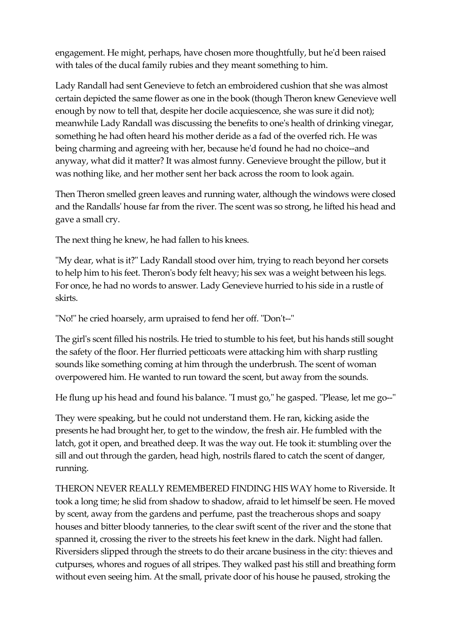engagement. He might, perhaps, have chosen more thoughtfully, but he'd been raised with tales of the ducal family rubies and they meant something to him.

Lady Randall had sent Genevieve to fetch an embroidered cushion that she was almost certain depicted the same flower as one in the book (though Theron knew Genevieve well enough by now to tell that, despite her docile acquiescence, she was sure it did not); meanwhile Lady Randall was discussing the benefits to one's health of drinking vinegar, something he had often heard his mother deride as a fad of the overfed rich. He was being charming and agreeing with her, because he'd found he had no choice--and anyway, what did it matter? It was almost funny. Genevieve brought the pillow, but it was nothing like, and her mother sent her back across the room to look again.

Then Theron smelled green leaves and running water, although the windows were closed and the Randalls' house far from the river. The scent was so strong, he lifted his head and gave a small cry.

The next thing he knew, he had fallen to his knees.

"My dear, what is it?" Lady Randall stood over him, trying to reach beyond her corsets to help him to his feet. Theron's body felt heavy; his sex was a weight between his legs. For once, he had no words to answer. Lady Genevieve hurried to his side in a rustle of skirts.

"No!" he cried hoarsely, arm upraised to fend her off. "Don't--"

The girl's scent filled his nostrils. He tried to stumble to his feet, but his hands still sought the safety of the floor. Her flurried petticoats were attacking him with sharp rustling sounds like something coming at him through the underbrush. The scent of woman overpowered him. He wanted to run toward the scent, but away from the sounds.

He flung up his head and found his balance. "I must go," he gasped. "Please, let me go--"

They were speaking, but he could not understand them. He ran, kicking aside the presents he had brought her, to get to the window, the fresh air. He fumbled with the latch, got it open, and breathed deep. It was the way out. He took it: stumbling over the sill and out through the garden, head high, nostrils flared to catch the scent of danger, running.

THERON NEVER REALLY REMEMBERED FINDING HIS WAY home to Riverside. It took a long time; he slid from shadow to shadow, afraid to let himself be seen. He moved by scent, away from the gardens and perfume, past the treacherous shops and soapy houses and bitter bloody tanneries, to the clear swift scent of the river and the stone that spanned it, crossing the river to the streets his feet knew in the dark. Night had fallen. Riversiders slipped through the streets to do their arcane business in the city: thieves and cutpurses, whores and rogues of all stripes. They walked past his still and breathing form without even seeing him. At the small, private door of his house he paused, stroking the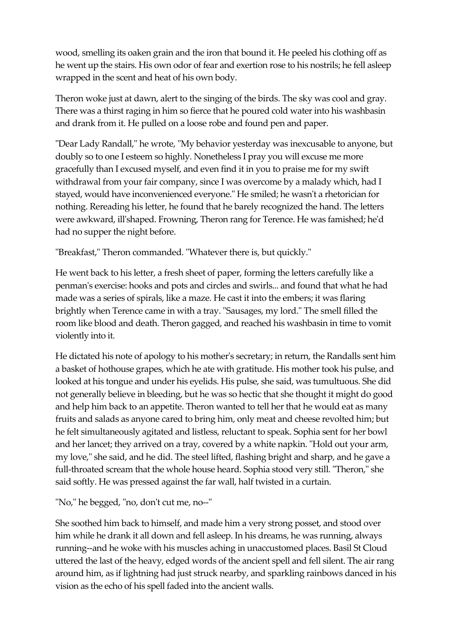wood, smelling its oaken grain and the iron that bound it. He peeled his clothing off as he went up the stairs. His own odor of fear and exertion rose to his nostrils; he fell asleep wrapped in the scent and heat of his own body.

Theron woke just at dawn, alert to the singing of the birds. The sky was cool and gray. There was a thirst raging in him so fierce that he poured cold water into his washbasin and drank from it. He pulled on a loose robe and found pen and paper.

"Dear Lady Randall," he wrote, "My behavior yesterday was inexcusable to anyone, but doubly so to one I esteem so highly. Nonetheless I pray you will excuse me more gracefully than I excused myself, and even find it in you to praise me for my swift withdrawal from your fair company, since I was overcome by a malady which, had I stayed, would have inconvenienced everyone." He smiled; he wasn't a rhetorician for nothing. Rereading his letter, he found that he barely recognized the hand. The letters were awkward, ill'shaped. Frowning, Theron rang for Terence. He was famished; he'd had no supper the night before.

"Breakfast," Theron commanded. "Whatever there is, but quickly."

He went back to his letter, a fresh sheet of paper, forming the letters carefully like a penman's exercise: hooks and pots and circles and swirls... and found that what he had made was a series of spirals, like a maze. He cast it into the embers; it was flaring brightly when Terence came in with a tray. "Sausages, my lord." The smell filled the room like blood and death. Theron gagged, and reached his washbasin in time to vomit violently into it.

He dictated his note of apology to his mother's secretary; in return, the Randalls sent him a basket of hothouse grapes, which he ate with gratitude. His mother took his pulse, and looked at his tongue and under his eyelids. His pulse, she said, was tumultuous. She did not generally believe in bleeding, but he was so hectic that she thought it might do good and help him back to an appetite. Theron wanted to tell her that he would eat as many fruits and salads as anyone cared to bring him, only meat and cheese revolted him; but he felt simultaneously agitated and listless, reluctant to speak. Sophia sent for her bowl and her lancet; they arrived on a tray, covered by a white napkin. "Hold out your arm, my love," she said, and he did. The steel lifted, flashing bright and sharp, and he gave a full-throated scream that the whole house heard. Sophia stood very still. "Theron," she said softly. He was pressed against the far wall, half twisted in a curtain.

"No," he begged, "no, don't cut me, no--"

She soothed him back to himself, and made him a very strong posset, and stood over him while he drank it all down and fell asleep. In his dreams, he was running, always running--and he woke with his muscles aching in unaccustomed places. Basil St Cloud uttered the last of the heavy, edged words of the ancient spell and fell silent. The air rang around him, as if lightning had just struck nearby, and sparkling rainbows danced in his vision as the echo of his spell faded into the ancient walls.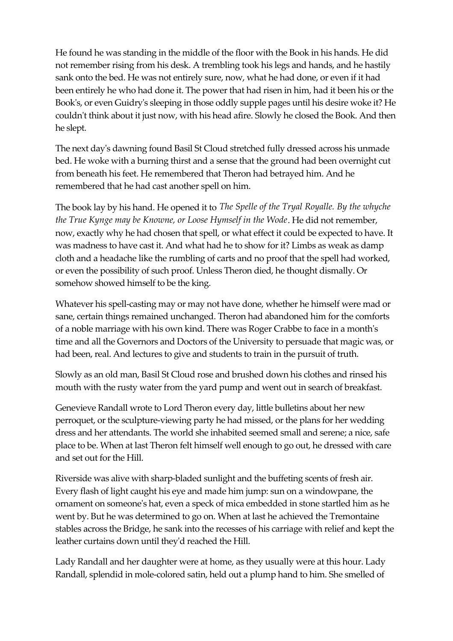He found he was standing in the middle of the floor with the Book in his hands. He did not remember rising from his desk. A trembling took his legs and hands, and he hastily sank onto the bed. He was not entirely sure, now, what he had done, or even if it had been entirely he who had done it. The power that had risen in him, had it been his or the Book's, or even Guidry's sleeping in those oddly supple pages until his desire woke it? He couldn't think about it just now, with his head afire. Slowly he closed the Book. And then he slept.

The next day's dawning found Basil St Cloud stretched fully dressed across his unmade bed. He woke with a burning thirst and a sense that the ground had been overnight cut from beneath his feet. He remembered that Theron had betrayed him. And he remembered that he had cast another spell on him.

The book lay by his hand. He opened it to *The Spelle of the Tryal Royalle. By the whyche the True Kynge may be Knowne, or Loose Hymself in the Wode*. He did not remember, now, exactly why he had chosen that spell, or what effect it could be expected to have. It was madness to have cast it. And what had he to show for it? Limbs as weak as damp cloth and a headache like the rumbling of carts and no proof that the spell had worked, or even the possibility of such proof. Unless Theron died, he thought dismally. Or somehow showed himself to be the king.

Whatever his spell-casting may or may not have done, whether he himself were mad or sane, certain things remained unchanged. Theron had abandoned him for the comforts of a noble marriage with his own kind. There was Roger Crabbe to face in a month's time and all the Governors and Doctors of the University to persuade that magic was, or had been, real. And lectures to give and students to train in the pursuit of truth.

Slowly as an old man, Basil St Cloud rose and brushed down his clothes and rinsed his mouth with the rusty water from the yard pump and went out in search of breakfast.

Genevieve Randall wrote to Lord Theron every day, little bulletins about her new perroquet, or the sculpture-viewing party he had missed, or the plans for her wedding dress and her attendants. The world she inhabited seemed small and serene; a nice, safe place to be. When at last Theron felt himself well enough to go out, he dressed with care and set out for the Hill.

Riverside was alive with sharp-bladed sunlight and the buffeting scents of fresh air. Every flash of light caught his eye and made him jump: sun on a windowpane, the ornament on someone's hat, even a speck of mica embedded in stone startled him as he went by. But he was determined to go on. When at last he achieved the Tremontaine stables across the Bridge, he sank into the recesses of his carriage with relief and kept the leather curtains down until they'd reached the Hill.

Lady Randall and her daughter were at home, as they usually were at this hour. Lady Randall, splendid in mole-colored satin, held out a plump hand to him. She smelled of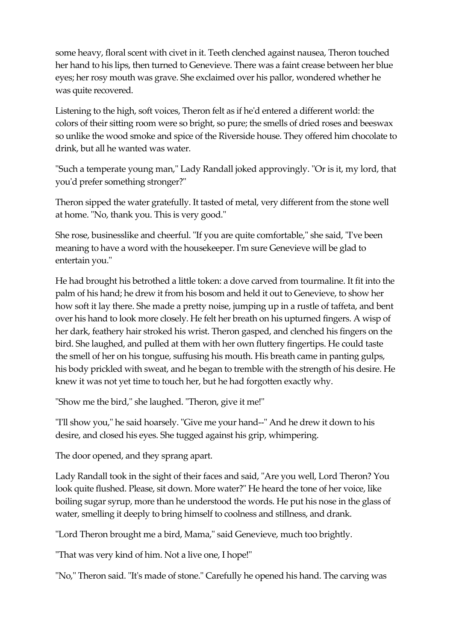some heavy, floral scent with civet in it. Teeth clenched against nausea, Theron touched her hand to his lips, then turned to Genevieve. There was a faint crease between her blue eyes; her rosy mouth was grave. She exclaimed over his pallor, wondered whether he was quite recovered.

Listening to the high, soft voices, Theron felt as if he'd entered a different world: the colors of their sitting room were so bright, so pure; the smells of dried roses and beeswax so unlike the wood smoke and spice of the Riverside house. They offered him chocolate to drink, but all he wanted was water.

"Such a temperate young man," Lady Randall joked approvingly. "Or is it, my lord, that you'd prefer something stronger?"

Theron sipped the water gratefully. It tasted of metal, very different from the stone well at home. "No, thank you. This is very good."

She rose, businesslike and cheerful. "If you are quite comfortable," she said, "I've been meaning to have a word with the housekeeper. I'm sure Genevieve will be glad to entertain you."

He had brought his betrothed a little token: a dove carved from tourmaline. It fit into the palm of his hand; he drew it from his bosom and held it out to Genevieve, to show her how soft it lay there. She made a pretty noise, jumping up in a rustle of taffeta, and bent over his hand to look more closely. He felt her breath on his upturned fingers. A wisp of her dark, feathery hair stroked his wrist. Theron gasped, and clenched his fingers on the bird. She laughed, and pulled at them with her own fluttery fingertips. He could taste the smell of her on his tongue, suffusing his mouth. His breath came in panting gulps, his body prickled with sweat, and he began to tremble with the strength of his desire. He knew it was not yet time to touch her, but he had forgotten exactly why.

"Show me the bird," she laughed. "Theron, give it me!"

"I'll show you," he said hoarsely. "Give me your hand--" And he drew it down to his desire, and closed his eyes. She tugged against his grip, whimpering.

The door opened, and they sprang apart.

Lady Randall took in the sight of their faces and said, "Are you well, Lord Theron? You look quite flushed. Please, sit down. More water?" He heard the tone of her voice, like boiling sugar syrup, more than he understood the words. He put his nose in the glass of water, smelling it deeply to bring himself to coolness and stillness, and drank.

"Lord Theron brought me a bird, Mama," said Genevieve, much too brightly.

"That was very kind of him. Not a live one, I hope!"

"No," Theron said. "It's made of stone." Carefully he opened his hand. The carving was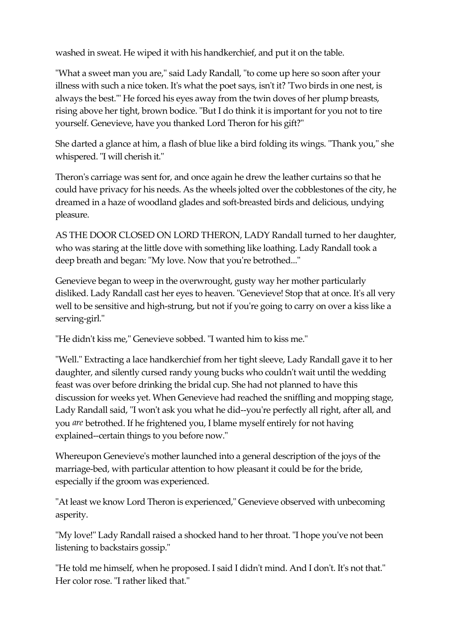washed in sweat. He wiped it with his handkerchief, and put it on the table.

"What a sweet man you are," said Lady Randall, "to come up here so soon after your illness with such a nice token. It's what the poet says, isn't it? 'Two birds in one nest, is always the best.'" He forced his eyes away from the twin doves of her plump breasts, rising above her tight, brown bodice. "But I do think it is important for you not to tire yourself. Genevieve, have you thanked Lord Theron for his gift?"

She darted a glance at him, a flash of blue like a bird folding its wings. "Thank you," she whispered. "I will cherish it."

Theron's carriage was sent for, and once again he drew the leather curtains so that he could have privacy for his needs. As the wheels jolted over the cobblestones of the city, he dreamed in a haze of woodland glades and soft-breasted birds and delicious, undying pleasure.

AS THE DOOR CLOSED ON LORD THERON, LADY Randall turned to her daughter, who was staring at the little dove with something like loathing. Lady Randall took a deep breath and began: "My love. Now that you're betrothed..."

Genevieve began to weep in the overwrought, gusty way her mother particularly disliked. Lady Randall cast her eyes to heaven. "Genevieve! Stop that at once. It's all very well to be sensitive and high-strung, but not if you're going to carry on over a kiss like a serving-girl."

"He didn't kiss me," Genevieve sobbed. "I wanted him to kiss me."

"Well." Extracting a lace handkerchief from her tight sleeve, Lady Randall gave it to her daughter, and silently cursed randy young bucks who couldn't wait until the wedding feast was over before drinking the bridal cup. She had not planned to have this discussion for weeks yet. When Genevieve had reached the sniffling and mopping stage, Lady Randall said, "I won't ask you what he did--you're perfectly all right, after all, and you *are* betrothed. If he frightened you, I blame myself entirely for not having explained--certain things to you before now."

Whereupon Genevieve's mother launched into a general description of the joys of the marriage-bed, with particular attention to how pleasant it could be for the bride, especially if the groom was experienced.

"At least we know Lord Theron is experienced," Genevieve observed with unbecoming asperity.

"My love!" Lady Randall raised a shocked hand to her throat. "I hope you've not been listening to backstairs gossip."

"He told me himself, when he proposed. I said I didn't mind. And I don't. It's not that." Her color rose. "I rather liked that."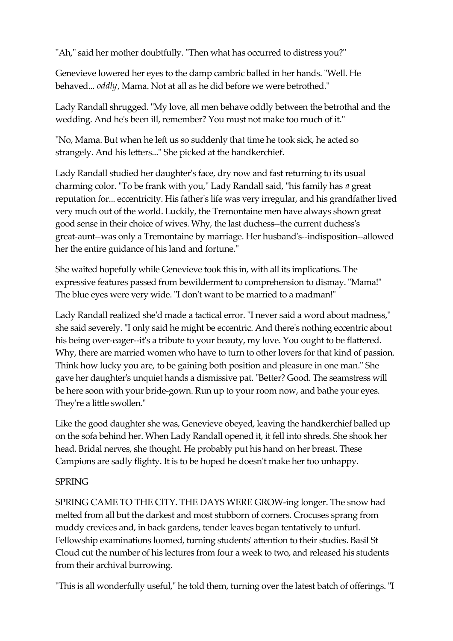"Ah," said her mother doubtfully. "Then what has occurred to distress you?"

Genevieve lowered her eyes to the damp cambric balled in her hands. "Well. He behaved... *oddly*, Mama. Not at all as he did before we were betrothed."

Lady Randall shrugged. "My love, all men behave oddly between the betrothal and the wedding. And he's been ill, remember? You must not make too much of it."

"No, Mama. But when he left us so suddenly that time he took sick, he acted so strangely. And his letters..." She picked at the handkerchief.

Lady Randall studied her daughter's face, dry now and fast returning to its usual charming color. "To be frank with you," Lady Randall said, "his family has *a* great reputation for... eccentricity. His father's life was very irregular, and his grandfather lived very much out of the world. Luckily, the Tremontaine men have always shown great good sense in their choice of wives. Why, the last duchess--the current duchess's great-aunt--was only a Tremontaine by marriage. Her husband's--indisposition--allowed her the entire guidance of his land and fortune."

She waited hopefully while Genevieve took this in, with all its implications. The expressive features passed from bewilderment to comprehension to dismay. "Mama!" The blue eyes were very wide. "I don't want to be married to a madman!"

Lady Randall realized she'd made a tactical error. "I never said a word about madness," she said severely. "I only said he might be eccentric. And there's nothing eccentric about his being over-eager--it's a tribute to your beauty, my love. You ought to be flattered. Why, there are married women who have to turn to other lovers for that kind of passion. Think how lucky you are, to be gaining both position and pleasure in one man." She gave her daughter's unquiet hands a dismissive pat. "Better? Good. The seamstress will be here soon with your bride-gown. Run up to your room now, and bathe your eyes. They're a little swollen."

Like the good daughter she was, Genevieve obeyed, leaving the handkerchief balled up on the sofa behind her. When Lady Randall opened it, it fell into shreds. She shook her head. Bridal nerves, she thought. He probably put his hand on her breast. These Campions are sadly flighty. It is to be hoped he doesn't make her too unhappy.

## SPRING

SPRING CAME TO THE ClTY. THE DAYS WERE GROW-ing longer. The snow had melted from all but the darkest and most stubborn of corners. Crocuses sprang from muddy crevices and, in back gardens, tender leaves began tentatively to unfurl. Fellowship examinations loomed, turning students' attention to their studies. Basil St Cloud cut the number of his lectures from four a week to two, and released his students from their archival burrowing.

"This is all wonderfully useful," he told them, turning over the latest batch of offerings. "I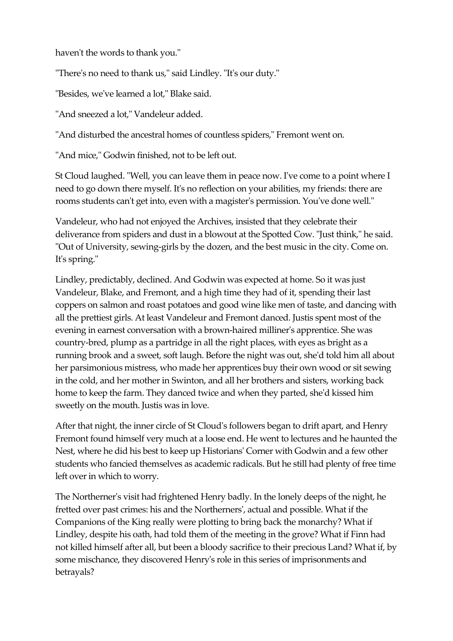haven't the words to thank you."

"There's no need to thank us," said Lindley. "It's our duty."

"Besides, we've learned a lot," Blake said.

"And sneezed a lot," Vandeleur added.

"And disturbed the ancestral homes of countless spiders," Fremont went on.

"And mice," Godwin finished, not to be left out.

St Cloud laughed. "Well, you can leave them in peace now. I've come to a point where I need to go down there myself. It's no reflection on your abilities, my friends: there are rooms students can't get into, even with a magister's permission. You've done well."

Vandeleur, who had not enjoyed the Archives, insisted that they celebrate their deliverance from spiders and dust in a blowout at the Spotted Cow. "Just think," he said. "Out of University, sewing-girls by the dozen, and the best music in the city. Come on. It's spring."

Lindley, predictably, declined. And Godwin was expected at home. So it was just Vandeleur, Blake, and Fremont, and a high time they had of it, spending their last coppers on salmon and roast potatoes and good wine like men of taste, and dancing with all the prettiest girls. At least Vandeleur and Fremont danced. Justis spent most of the evening in earnest conversation with a brown-haired milliner's apprentice. She was country-bred, plump as a partridge in all the right places, with eyes as bright as a running brook and a sweet, soft laugh. Before the night was out, she'd told him all about her parsimonious mistress, who made her apprentices buy their own wood or sit sewing in the cold, and her mother in Swinton, and all her brothers and sisters, working back home to keep the farm. They danced twice and when they parted, she'd kissed him sweetly on the mouth. Justis was in love.

After that night, the inner circle of St Cloud's followers began to drift apart, and Henry Fremont found himself very much at a loose end. He went to lectures and he haunted the Nest, where he did his best to keep up Historians' Corner with Godwin and a few other students who fancied themselves as academic radicals. But he still had plenty of free time left over in which to worry.

The Northerner's visit had frightened Henry badly. In the lonely deeps of the night, he fretted over past crimes: his and the Northerners', actual and possible. What if the Companions of the King really were plotting to bring back the monarchy? What if Lindley, despite his oath, had told them of the meeting in the grove? What if Finn had not killed himself after all, but been a bloody sacrifice to their precious Land? What if, by some mischance, they discovered Henry's role in this series of imprisonments and betrayals?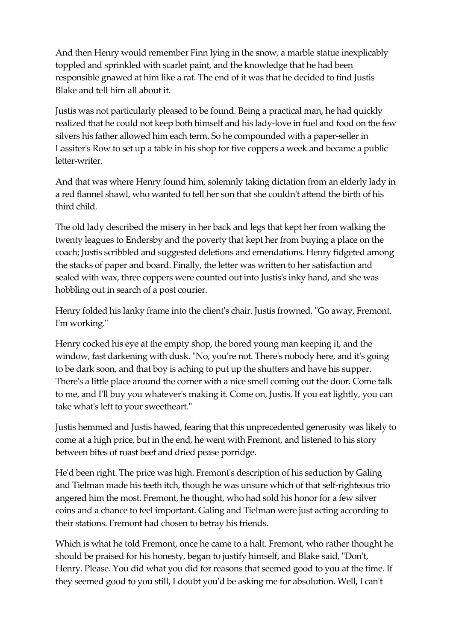And then Henry would remember Finn lying in the snow, a marble statue inexplicably toppled and sprinkled with scarlet paint, and the knowledge that he had been responsible gnawed at him like a rat. The end of it was that he decided to find Justis Blake and tell him all about it.

Justis was not particularly pleased to be found. Being a practical man, he had quickly realized that he could not keep both himself and his lady-love in fuel and food on the few silvers his father allowed him each term. So he compounded with a paper-seller in Lassiter's Row to set up a table in his shop for five coppers a week and became a public letter-writer.

And that was where Henry found him, solemnly taking dictation from an elderly lady in a red flannel shawl, who wanted to tell her son that she couldn't attend the birth of his third child.

The old lady described the misery in her back and legs that kept her from walking the twenty leagues to Endersby and the poverty that kept her from buying a place on the coach; Justis scribbled and suggested deletions and emendations. Henry fidgeted among the stacks of paper and board. Finally, the letter was written to her satisfaction and sealed with wax, three coppers were counted out into Justis's inky hand, and she was hobbling out in search of a post courier.

Henry folded his lanky frame into the client's chair. Justis frowned. "Go away, Fremont. I'm working."

Henry cocked his eye at the empty shop, the bored young man keeping it, and the window, fast darkening with dusk. "No, you're not. There's nobody here, and it's going to be dark soon, and that boy is aching to put up the shutters and have his supper. There's a little place around the corner with a nice smell coming out the door. Come talk to me, and I'll buy you whatever's making it. Come on, Justis. If you eat lightly, you can take what's left to your sweetheart."

Justis hemmed and Justis hawed, fearing that this unprecedented generosity was likely to come at a high price, but in the end, he went with Fremont, and listened to his story between bites of roast beef and dried pease porridge.

He'd been right. The price was high. Fremont's description of his seduction by Galing and Tielman made his teeth itch, though he was unsure which of that self-righteous trio angered him the most. Fremont, he thought, who had sold his honor for a few silver coins and a chance to feel important. Galing and Tielman were just acting according to their stations. Fremont had chosen to betray his friends.

Which is what he told Fremont, once he came to a halt. Fremont, who rather thought he should be praised for his honesty, began to justify himself, and Blake said, "Don't, Henry. Please. You did what you did for reasons that seemed good to you at the time. If they seemed good to you still, I doubt you'd be asking me for absolution. Well, I can't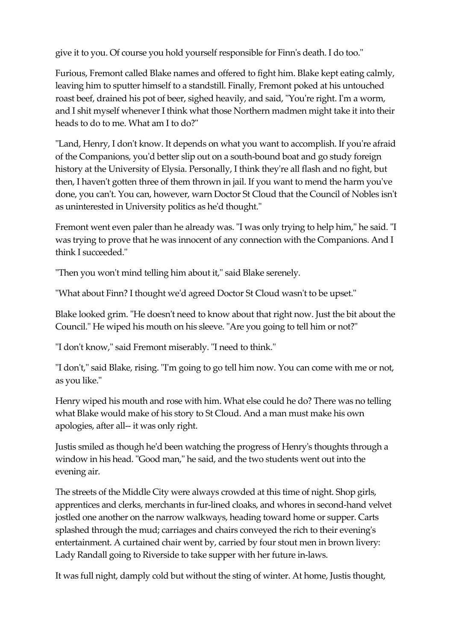give it to you. Of course you hold yourself responsible for Finn's death. I do too."

Furious, Fremont called Blake names and offered to fight him. Blake kept eating calmly, leaving him to sputter himself to a standstill. Finally, Fremont poked at his untouched roast beef, drained his pot of beer, sighed heavily, and said, "You're right. I'm a worm, and I shit myself whenever I think what those Northern madmen might take it into their heads to do to me. What am I to do?"

"Land, Henry, I don't know. It depends on what you want to accomplish. If you're afraid of the Companions, you'd better slip out on a south-bound boat and go study foreign history at the University of Elysia. Personally, I think they're all flash and no fight, but then, I haven't gotten three of them thrown in jail. If you want to mend the harm you've done, you can't. You can, however, warn Doctor St Cloud that the Council of Nobles isn't as uninterested in University politics as he'd thought."

Fremont went even paler than he already was. "I was only trying to help him," he said. "I was trying to prove that he was innocent of any connection with the Companions. And I think I succeeded."

"Then you won't mind telling him about it," said Blake serenely.

"What about Finn? I thought we'd agreed Doctor St Cloud wasn't to be upset."

Blake looked grim. "He doesn't need to know about that right now. Just the bit about the Council." He wiped his mouth on his sleeve. "Are you going to tell him or not?"

"I don't know," said Fremont miserably. "I need to think."

"I don't," said Blake, rising. "I'm going to go tell him now. You can come with me or not, as you like."

Henry wiped his mouth and rose with him. What else could he do? There was no telling what Blake would make of his story to St Cloud. And a man must make his own apologies, after all-- it was only right.

Justis smiled as though he'd been watching the progress of Henry's thoughts through a window in his head. "Good man," he said, and the two students went out into the evening air.

The streets of the Middle City were always crowded at this time of night. Shop girls, apprentices and clerks, merchants in fur-lined cloaks, and whores in second-hand velvet jostled one another on the narrow walkways, heading toward home or supper. Carts splashed through the mud; carriages and chairs conveyed the rich to their evening's entertainment. A curtained chair went by, carried by four stout men in brown livery: Lady Randall going to Riverside to take supper with her future in-laws.

It was full night, damply cold but without the sting of winter. At home, Justis thought,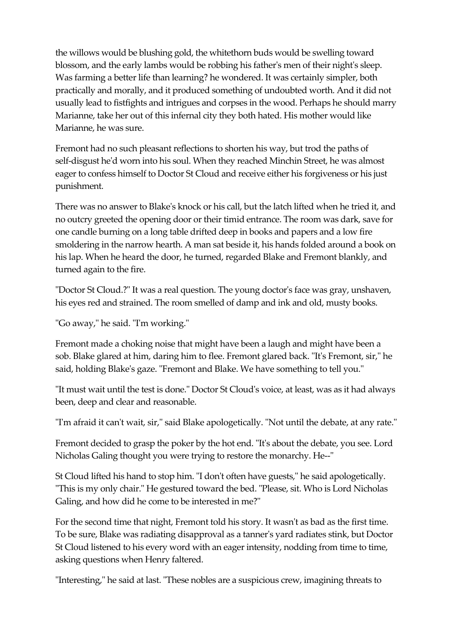the willows would be blushing gold, the whitethorn buds would be swelling toward blossom, and the early lambs would be robbing his father's men of their night's sleep. Was farming a better life than learning? he wondered. It was certainly simpler, both practically and morally, and it produced something of undoubted worth. And it did not usually lead to fistfights and intrigues and corpses in the wood. Perhaps he should marry Marianne, take her out of this infernal city they both hated. His mother would like Marianne, he was sure.

Fremont had no such pleasant reflections to shorten his way, but trod the paths of self-disgust he'd worn into his soul. When they reached Minchin Street, he was almost eager to confess himself to Doctor St Cloud and receive either his forgiveness or his just punishment.

There was no answer to Blake's knock or his call, but the latch lifted when he tried it, and no outcry greeted the opening door or their timid entrance. The room was dark, save for one candle burning on a long table drifted deep in books and papers and a low fire smoldering in the narrow hearth. A man sat beside it, his hands folded around a book on his lap. When he heard the door, he turned, regarded Blake and Fremont blankly, and turned again to the fire.

"Doctor St Cloud.?" It was a real question. The young doctor's face was gray, unshaven, his eyes red and strained. The room smelled of damp and ink and old, musty books.

"Go away," he said. "I'm working."

Fremont made a choking noise that might have been a laugh and might have been a sob. Blake glared at him, daring him to flee. Fremont glared back. "It's Fremont, sir," he said, holding Blake's gaze. "Fremont and Blake. We have something to tell you."

"It must wait until the test is done." Doctor St Cloud's voice, at least, was as it had always been, deep and clear and reasonable.

"I'm afraid it can't wait, sir," said Blake apologetically. "Not until the debate, at any rate."

Fremont decided to grasp the poker by the hot end. "It's about the debate, you see. Lord Nicholas Galing thought you were trying to restore the monarchy. He--"

St Cloud lifted his hand to stop him. "I don't often have guests," he said apologetically. "This is my only chair." He gestured toward the bed. "Please, sit. Who is Lord Nicholas Galing, and how did he come to be interested in me?"

For the second time that night, Fremont told his story. It wasn't as bad as the first time. To be sure, Blake was radiating disapproval as a tanner's yard radiates stink, but Doctor St Cloud listened to his every word with an eager intensity, nodding from time to time, asking questions when Henry faltered.

"Interesting," he said at last. "These nobles are a suspicious crew, imagining threats to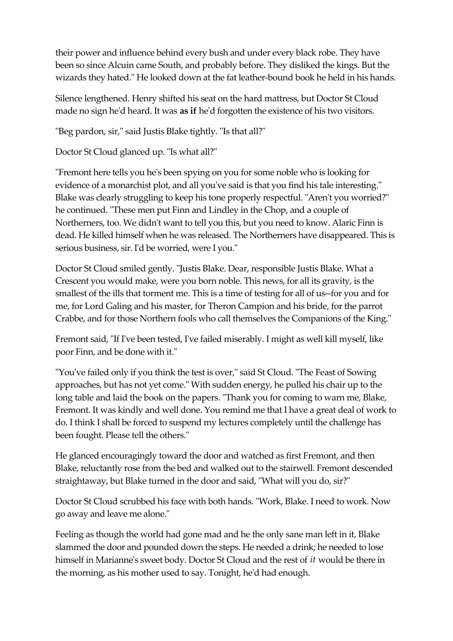their power and influence behind every bush and under every black robe. They have been so since Alcuin came South, and probably before. They disliked the kings. But the wizards they hated." He looked down at the fat leather-bound book he held in his hands.

Silence lengthened. Henry shifted his seat on the hard mattress, but Doctor St Cloud made no sign he'd heard. It was **as if** he'd forgotten the existence of his two visitors.

"Beg pardon, sir," said Justis Blake tightly. "Is that all?"

Doctor St Cloud glanced up. "Is what all?"

"Fremont here tells you he's been spying on you for some noble who is looking for evidence of a monarchist plot, and all you've said is that you find his tale interesting." Blake was clearly struggling to keep his tone properly respectful. "Aren't you worried?" he continued. "These men put Finn and Lindley in the Chop, and a couple of Northerners, too. We didn't want to tell you this, but you need to know. Alaric Finn is dead. He killed himself when he was released. The Northerners have disappeared. This is serious business, sir. I'd be worried, were I you."

Doctor St Cloud smiled gently. "Justis Blake. Dear, responsible Justis Blake. What a Crescent you would make, were you born noble. This news, for all its gravity, is the smallest of the ills that torment me. This is a time of testing for all of us--for you and for me, for Lord Galing and his master, for Theron Campion and his bride, for the parrot Crabbe, and for those Northern fools who call themselves the Companions of the King."

Fremont said, "If I've been tested, I've failed miserably. I might as well kill myself, like poor Finn, and be done with it."

"You've failed only if you think the test is over," said St Cloud. "The Feast of Sowing approaches, but has not yet come." With sudden energy, he pulled his chair up to the long table and laid the book on the papers. "Thank you for coming to warn me, Blake, Fremont. It was kindly and well done. You remind me that I have a great deal of work to do. I think I shall be forced to suspend my lectures completely until the challenge has been fought. Please tell the others."

He glanced encouragingly toward the door and watched as first Fremont, and then Blake, reluctantly rose from the bed and walked out to the stairwell. Fremont descended straightaway, but Blake turned in the door and said, "What will you do, sir?"

Doctor St Cloud scrubbed his face with both hands. "Work, Blake. I need to work. Now go away and leave me alone."

Feeling as though the world had gone mad and he the only sane man left in it, Blake slammed the door and pounded down the steps. He needed a drink; he needed to lose himself in Marianne's sweet body. Doctor St Cloud and the rest of *it* would be there in the morning, as his mother used to say. Tonight, he'd had enough.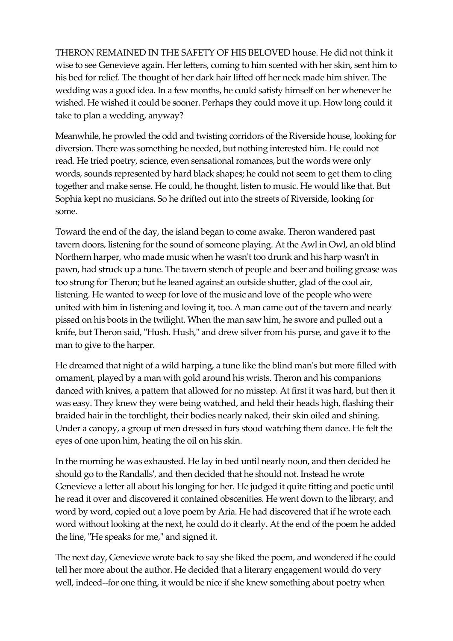THERON REMAINED IN THE SAFETY OF HIS BELOVED house. He did not think it wise to see Genevieve again. Her letters, coming to him scented with her skin, sent him to his bed for relief. The thought of her dark hair lifted off her neck made him shiver. The wedding was a good idea. In a few months, he could satisfy himself on her whenever he wished. He wished it could be sooner. Perhaps they could move it up. How long could it take to plan a wedding, anyway?

Meanwhile, he prowled the odd and twisting corridors of the Riverside house, looking for diversion. There was something he needed, but nothing interested him. He could not read. He tried poetry, science, even sensational romances, but the words were only words, sounds represented by hard black shapes; he could not seem to get them to cling together and make sense. He could, he thought, listen to music. He would like that. But Sophia kept no musicians. So he drifted out into the streets of Riverside, looking for some.

Toward the end of the day, the island began to come awake. Theron wandered past tavern doors, listening for the sound of someone playing. At the Awl in Owl, an old blind Northern harper, who made music when he wasn't too drunk and his harp wasn't in pawn, had struck up a tune. The tavern stench of people and beer and boiling grease was too strong for Theron; but he leaned against an outside shutter, glad of the cool air, listening. He wanted to weep for love of the music and love of the people who were united with him in listening and loving it, too. A man came out of the tavern and nearly pissed on his boots in the twilight. When the man saw him, he swore and pulled out a knife, but Theron said, "Hush. Hush," and drew silver from his purse, and gave it to the man to give to the harper.

He dreamed that night of a wild harping, a tune like the blind man's but more filled with ornament, played by a man with gold around his wrists. Theron and his companions danced with knives, a pattern that allowed for no misstep. At first it was hard, but then it was easy. They knew they were being watched, and held their heads high, flashing their braided hair in the torchlight, their bodies nearly naked, their skin oiled and shining. Under a canopy, a group of men dressed in furs stood watching them dance. He felt the eyes of one upon him, heating the oil on his skin.

In the morning he was exhausted. He lay in bed until nearly noon, and then decided he should go to the Randalls', and then decided that he should not. Instead he wrote Genevieve a letter all about his longing for her. He judged it quite fitting and poetic until he read it over and discovered it contained obscenities. He went down to the library, and word by word, copied out a love poem by Aria. He had discovered that if he wrote each word without looking at the next, he could do it clearly. At the end of the poem he added the line, "He speaks for me," and signed it.

The next day, Genevieve wrote back to say she liked the poem, and wondered if he could tell her more about the author. He decided that a literary engagement would do very well, indeed--for one thing, it would be nice if she knew something about poetry when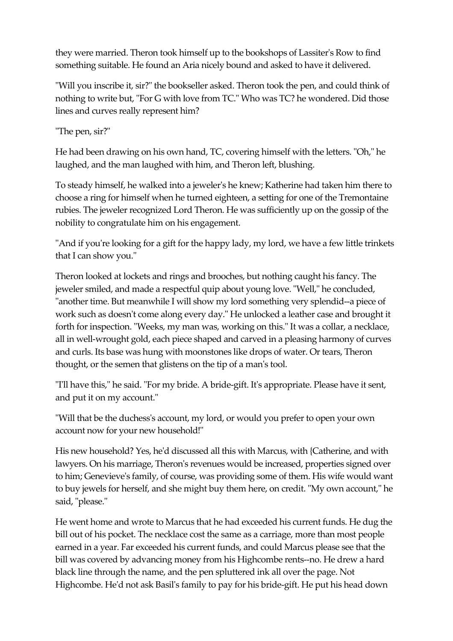they were married. Theron took himself up to the bookshops of Lassiter's Row to find something suitable. He found an Aria nicely bound and asked to have it delivered.

"Will you inscribe it, sir?" the bookseller asked. Theron took the pen, and could think of nothing to write but, "For G with love from TC." Who was TC? he wondered. Did those lines and curves really represent him?

"The pen, sir?"

He had been drawing on his own hand, TC, covering himself with the letters. "Oh," he laughed, and the man laughed with him, and Theron left, blushing.

To steady himself, he walked into a jeweler's he knew; Katherine had taken him there to choose a ring for himself when he turned eighteen, a setting for one of the Tremontaine rubies. The jeweler recognized Lord Theron. He was sufficiently up on the gossip of the nobility to congratulate him on his engagement.

"And if you're looking for a gift for the happy lady, my lord, we have a few little trinkets that I can show you."

Theron looked at lockets and rings and brooches, but nothing caught his fancy. The jeweler smiled, and made a respectful quip about young love. "Well," he concluded, "another time. But meanwhile I will show my lord something very splendid--a piece of work such as doesn't come along every day." He unlocked a leather case and brought it forth for inspection. "Weeks, my man was, working on this." It was a collar, a necklace, all in well-wrought gold, each piece shaped and carved in a pleasing harmony of curves and curls. Its base was hung with moonstones like drops of water. Or tears, Theron thought, or the semen that glistens on the tip of a man's tool.

"I'll have this," he said. "For my bride. A bride-gift. It's appropriate. Please have it sent, and put it on my account."

"Will that be the duchess's account, my lord, or would you prefer to open your own account now for your new household!"

His new household? Yes, he'd discussed all this with Marcus, with {Catherine, and with lawyers. On his marriage, Theron's revenues would be increased, properties signed over to him; Genevieve's family, of course, was providing some of them. His wife would want to buy jewels for herself, and she might buy them here, on credit. "My own account," he said, "please."

He went home and wrote to Marcus that he had exceeded his current funds. He dug the bill out of his pocket. The necklace cost the same as a carriage, more than most people earned in a year. Far exceeded his current funds, and could Marcus please see that the bill was covered by advancing money from his Highcombe rents--no. He drew a hard black line through the name, and the pen spluttered ink all over the page. Not Highcombe. He'd not ask Basil's family to pay for his bride-gift. He put his head down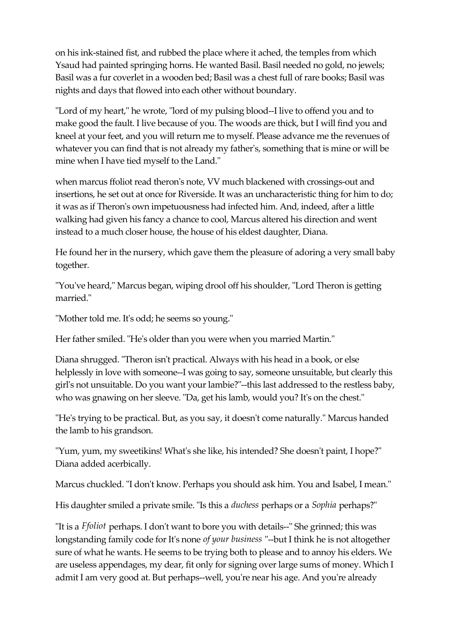on his ink-stained fist, and rubbed the place where it ached, the temples from which Ysaud had painted springing horns. He wanted Basil. Basil needed no gold, no jewels; Basil was a fur coverlet in a wooden bed; Basil was a chest full of rare books; Basil was nights and days that flowed into each other without boundary.

"Lord of my heart," he wrote, "lord of my pulsing blood--I live to offend you and to make good the fault. I live because of you. The woods are thick, but I will find you and kneel at your feet, and you will return me to myself. Please advance me the revenues of whatever you can find that is not already my father's, something that is mine or will be mine when I have tied myself to the Land."

when marcus ffoliot read theron's note, VV much blackened with crossings-out and insertions, he set out at once for Riverside. It was an uncharacteristic thing for him to do; it was as if Theron's own impetuousness had infected him. And, indeed, after a little walking had given his fancy a chance to cool, Marcus altered his direction and went instead to a much closer house, the house of his eldest daughter, Diana.

He found her in the nursery, which gave them the pleasure of adoring a very small baby together.

"You've heard," Marcus began, wiping drool off his shoulder, "Lord Theron is getting married."

"Mother told me. It's odd; he seems so young."

Her father smiled. "He's older than you were when you married Martin."

Diana shrugged. "Theron isn't practical. Always with his head in a book, or else helplessly in love with someone--I was going to say, someone unsuitable, but clearly this girl's not unsuitable. Do you want your lambie?"--this last addressed to the restless baby, who was gnawing on her sleeve. "Da, get his lamb, would you? It's on the chest."

"He's trying to be practical. But, as you say, it doesn't come naturally." Marcus handed the lamb to his grandson.

"Yum, yum, my sweetikins! What's she like, his intended? She doesn't paint, I hope?" Diana added acerbically.

Marcus chuckled. "I don't know. Perhaps you should ask him. You and Isabel, I mean."

His daughter smiled a private smile. "Is this a *duchess* perhaps or a *Sophia* perhaps?"

"It is a *Ffoliot* perhaps. I don't want to bore you with details--" She grinned; this was longstanding family code for It's none *of your business* "--but I think he is not altogether sure of what he wants. He seems to be trying both to please and to annoy his elders. We are useless appendages, my dear, fit only for signing over large sums of money. Which I admit I am very good at. But perhaps--well, you're near his age. And you're already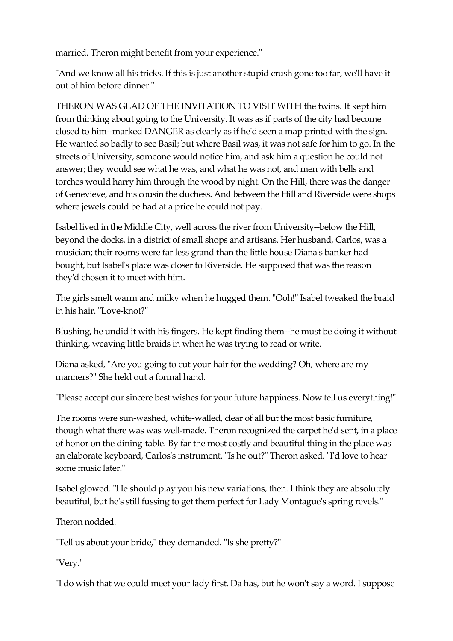married. Theron might benefit from your experience."

"And we know all his tricks. If this is just another stupid crush gone too far, we'll have it out of him before dinner."

THERON WAS GLAD OF THE INVITATION TO VISIT WITH the twins. It kept him from thinking about going to the University. It was as if parts of the city had become closed to him--marked DANGER as clearly as if he'd seen a map printed with the sign. He wanted so badly to see Basil; but where Basil was, it was not safe for him to go. In the streets of University, someone would notice him, and ask him a question he could not answer; they would see what he was, and what he was not, and men with bells and torches would harry him through the wood by night. On the Hill, there was the danger of Genevieve, and his cousin the duchess. And between the Hill and Riverside were shops where jewels could be had at a price he could not pay.

Isabel lived in the Middle City, well across the river from University--below the Hill, beyond the docks, in a district of small shops and artisans. Her husband, Carlos, was a musician; their rooms were far less grand than the little house Diana's banker had bought, but Isabel's place was closer to Riverside. He supposed that was the reason they'd chosen it to meet with him.

The girls smelt warm and milky when he hugged them. "Ooh!" Isabel tweaked the braid in his hair. "Love-knot?"

Blushing, he undid it with his fingers. He kept finding them--he must be doing it without thinking, weaving little braids in when he was trying to read or write.

Diana asked, "Are you going to cut your hair for the wedding? Oh, where are my manners?" She held out a formal hand.

"Please accept our sincere best wishes for your future happiness. Now tell us everything!"

The rooms were sun-washed, white-walled, clear of all but the most basic furniture, though what there was was well-made. Theron recognized the carpet he'd sent, in a place of honor on the dining-table. By far the most costly and beautiful thing in the place was an elaborate keyboard, Carlos's instrument. "Is he out?" Theron asked. "I'd love to hear some music later."

Isabel glowed. "He should play you his new variations, then. I think they are absolutely beautiful, but he's still fussing to get them perfect for Lady Montague's spring revels."

Theron nodded.

"Tell us about your bride," they demanded. "Is she pretty?"

"Very."

"I do wish that we could meet your lady first. Da has, but he won't say a word. I suppose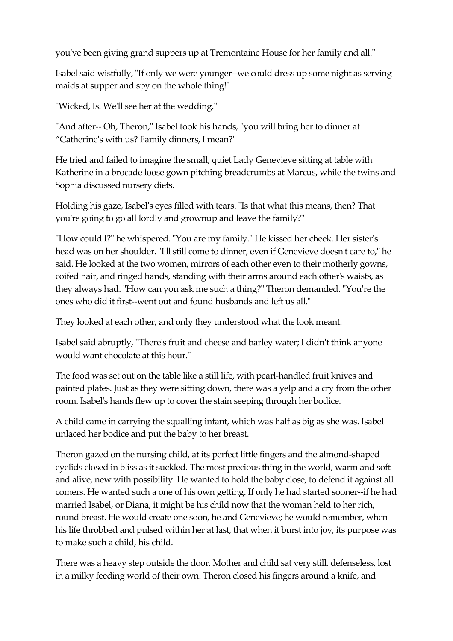you've been giving grand suppers up at Tremontaine House for her family and all."

Isabel said wistfully, "If only we were younger--we could dress up some night as serving maids at supper and spy on the whole thing!"

"Wicked, Is. We'll see her at the wedding."

"And after-- Oh, Theron," Isabel took his hands, "you will bring her to dinner at ^Catherine's with us? Family dinners, I mean?"

He tried and failed to imagine the small, quiet Lady Genevieve sitting at table with Katherine in a brocade loose gown pitching breadcrumbs at Marcus, while the twins and Sophia discussed nursery diets.

Holding his gaze, Isabel's eyes filled with tears. "Is that what this means, then? That you're going to go all lordly and grownup and leave the family?"

"How could I?" he whispered. "You are my family." He kissed her cheek. Her sister's head was on her shoulder. "I'll still come to dinner, even if Genevieve doesn't care to," he said. He looked at the two women, mirrors of each other even to their motherly gowns, coifed hair, and ringed hands, standing with their arms around each other's waists, as they always had. "How can you ask me such a thing?" Theron demanded. "You're the ones who did it first--went out and found husbands and left us all."

They looked at each other, and only they understood what the look meant.

Isabel said abruptly, "There's fruit and cheese and barley water; I didn't think anyone would want chocolate at this hour."

The food was set out on the table like a still life, with pearl-handled fruit knives and painted plates. Just as they were sitting down, there was a yelp and a cry from the other room. Isabel's hands flew up to cover the stain seeping through her bodice.

A child came in carrying the squalling infant, which was half as big as she was. Isabel unlaced her bodice and put the baby to her breast.

Theron gazed on the nursing child, at its perfect little fingers and the almond-shaped eyelids closed in bliss as it suckled. The most precious thing in the world, warm and soft and alive, new with possibility. He wanted to hold the baby close, to defend it against all comers. He wanted such a one of his own getting. If only he had started sooner--if he had married Isabel, or Diana, it might be his child now that the woman held to her rich, round breast. He would create one soon, he and Genevieve; he would remember, when his life throbbed and pulsed within her at last, that when it burst into joy, its purpose was to make such a child, his child.

There was a heavy step outside the door. Mother and child sat very still, defenseless, lost in a milky feeding world of their own. Theron closed his fingers around a knife, and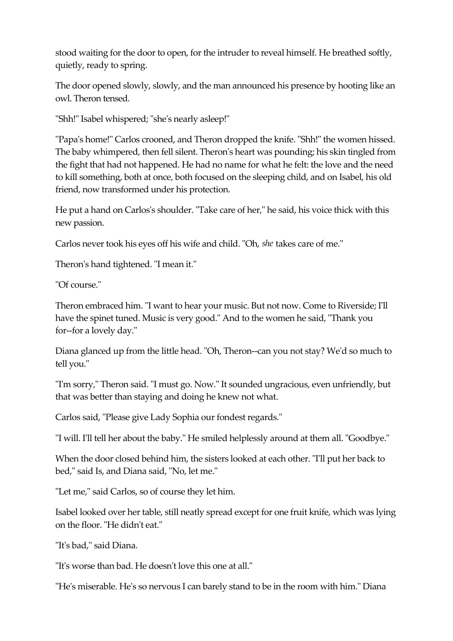stood waiting for the door to open, for the intruder to reveal himself. He breathed softly, quietly, ready to spring.

The door opened slowly, slowly, and the man announced his presence by hooting like an owl. Theron tensed.

"Shh!" Isabel whispered; "she's nearly asleep!"

"Papa's home!" Carlos crooned, and Theron dropped the knife. "Shh!" the women hissed. The baby whimpered, then fell silent. Theron's heart was pounding; his skin tingled from the fight that had not happened. He had no name for what he felt: the love and the need to kill something, both at once, both focused on the sleeping child, and on Isabel, his old friend, now transformed under his protection.

He put a hand on Carlos's shoulder. "Take care of her," he said, his voice thick with this new passion.

Carlos never took his eyes off his wife and child. "Oh, *she* takes care of me."

Theron's hand tightened. "I mean it."

"Of course."

Theron embraced him. "I want to hear your music. But not now. Come to Riverside; I'll have the spinet tuned. Music is very good." And to the women he said, "Thank you for--for a lovely day."

Diana glanced up from the little head. "Oh, Theron--can you not stay? We'd so much to tell you."

"I'm sorry," Theron said. "I must go. Now." It sounded ungracious, even unfriendly, but that was better than staying and doing he knew not what.

Carlos said, "Please give Lady Sophia our fondest regards."

"I will. I'll tell her about the baby." He smiled helplessly around at them all. "Goodbye."

When the door closed behind him, the sisters looked at each other. "I'll put her back to bed," said Is, and Diana said, "No, let me."

"Let me," said Carlos, so of course they let him.

Isabel looked over her table, still neatly spread except for one fruit knife, which was lying on the floor. "He didn't eat."

"It's bad," said Diana.

"It's worse than bad. He doesn't love this one at all."

"He's miserable. He's so nervous I can barely stand to be in the room with him." Diana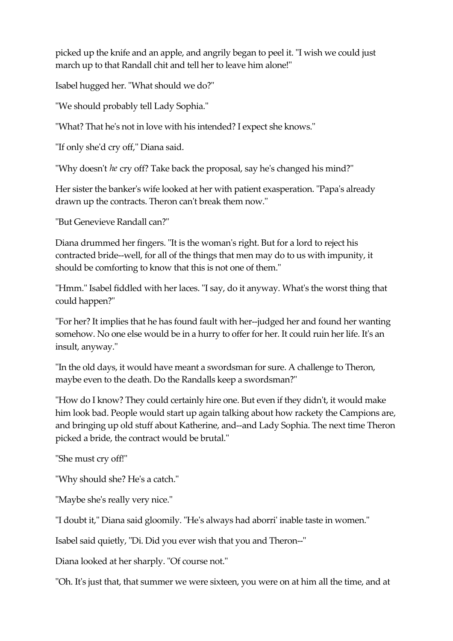picked up the knife and an apple, and angrily began to peel it. "I wish we could just march up to that Randall chit and tell her to leave him alone!"

Isabel hugged her. "What should we do?"

"We should probably tell Lady Sophia."

"What? That he's not in love with his intended? I expect she knows."

"If only she'd cry off," Diana said.

"Why doesn't *he* cry off? Take back the proposal, say he's changed his mind?"

Her sister the banker's wife looked at her with patient exasperation. "Papa's already drawn up the contracts. Theron can't break them now."

"But Genevieve Randall can?"

Diana drummed her fingers. "It is the woman's right. But for a lord to reject his contracted bride--well, for all of the things that men may do to us with impunity, it should be comforting to know that this is not one of them."

"Hmm." Isabel fiddled with her laces. "I say, do it anyway. What's the worst thing that could happen?"

"For her? It implies that he has found fault with her--judged her and found her wanting somehow. No one else would be in a hurry to offer for her. It could ruin her life. It's an insult, anyway."

"In the old days, it would have meant a swordsman for sure. A challenge to Theron, maybe even to the death. Do the Randalls keep a swordsman?"

"How do I know? They could certainly hire one. But even if they didn't, it would make him look bad. People would start up again talking about how rackety the Campions are, and bringing up old stuff about Katherine, and--and Lady Sophia. The next time Theron picked a bride, the contract would be brutal."

"She must cry off!"

"Why should she? He's a catch."

"Maybe she's really very nice."

"I doubt it," Diana said gloomily. "He's always had aborri' inable taste in women."

Isabel said quietly, "Di. Did you ever wish that you and Theron--"

Diana looked at her sharply. "Of course not."

"Oh. It's just that, that summer we were sixteen, you were on at him all the time, and at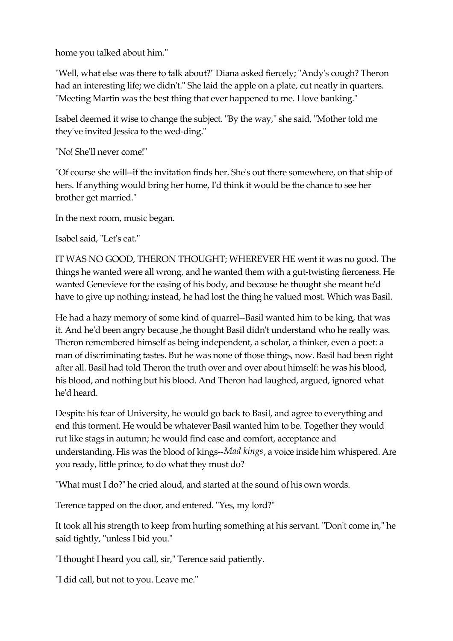home you talked about him."

"Well, what else was there to talk about?" Diana asked fiercely; "Andy's cough? Theron had an interesting life; we didn't." She laid the apple on a plate, cut neatly in quarters. "Meeting Martin was the best thing that ever happened to me. I love banking."

Isabel deemed it wise to change the subject. "By the way," she said, "Mother told me they've invited Jessica to the wed-ding."

```
"No! She'll never come!"
```
"Of course she will--if the invitation finds her. She's out there somewhere, on that ship of hers. If anything would bring her home, I'd think it would be the chance to see her brother get married."

In the next room, music began.

Isabel said, "Let's eat."

IT WAS NO GOOD, THERON THOUGHT; WHEREVER HE went it was no good. The things he wanted were all wrong, and he wanted them with a gut-twisting fierceness. He wanted Genevieve for the easing of his body, and because he thought she meant he'd have to give up nothing; instead, he had lost the thing he valued most. Which was Basil.

He had a hazy memory of some kind of quarrel--Basil wanted him to be king, that was it. And he'd been angry because ,he thought Basil didn't understand who he really was. Theron remembered himself as being independent, a scholar, a thinker, even a poet: a man of discriminating tastes. But he was none of those things, now. Basil had been right after all. Basil had told Theron the truth over and over about himself: he was his blood, his blood, and nothing but his blood. And Theron had laughed, argued, ignored what he'd heard.

Despite his fear of University, he would go back to Basil, and agree to everything and end this torment. He would be whatever Basil wanted him to be. Together they would rut like stags in autumn; he would find ease and comfort, acceptance and understanding. His was the blood of kings--*Mad kings*, a voice inside him whispered. Are you ready, little prince, to do what they must do?

"What must I do?" he cried aloud, and started at the sound of his own words.

Terence tapped on the door, and entered. "Yes, my lord?"

It took all his strength to keep from hurling something at his servant. "Don't come in," he said tightly, "unless I bid you."

"I thought I heard you call, sir," Terence said patiently.

"I did call, but not to you. Leave me."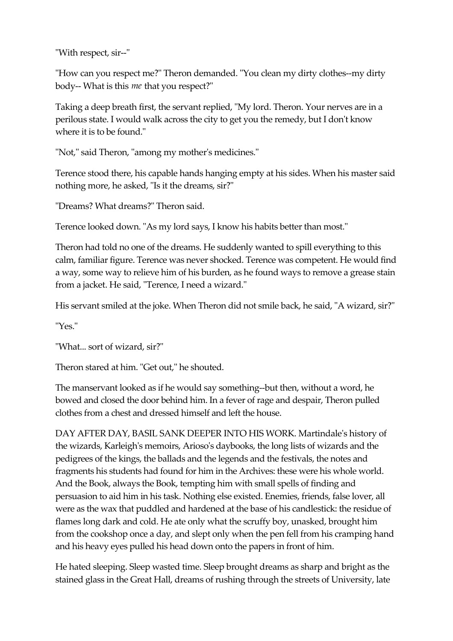"With respect, sir--"

"How can you respect me?" Theron demanded. "You clean my dirty clothes--my dirty body-- What is this *me* that you respect?"

Taking a deep breath first, the servant replied, "My lord. Theron. Your nerves are in a perilous state. I would walk across the city to get you the remedy, but I don't know where it is to be found."

"Not," said Theron, "among my mother's medicines."

Terence stood there, his capable hands hanging empty at his sides. When his master said nothing more, he asked, "Is it the dreams, sir?"

"Dreams? What dreams?" Theron said.

Terence looked down. "As my lord says, I know his habits better than most."

Theron had told no one of the dreams. He suddenly wanted to spill everything to this calm, familiar figure. Terence was never shocked. Terence was competent. He would find a way, some way to relieve him of his burden, as he found ways to remove a grease stain from a jacket. He said, "Terence, I need a wizard."

His servant smiled at the joke. When Theron did not smile back, he said, "A wizard, sir?"

"Yes."

"What... sort of wizard, sir?"

Theron stared at him. "Get out," he shouted.

The manservant looked as if he would say something--but then, without a word, he bowed and closed the door behind him. In a fever of rage and despair, Theron pulled clothes from a chest and dressed himself and left the house.

DAY AFTER DAY, BASIL SANK DEEPER INTO HIS WORK. Martindale's history of the wizards, Karleigh's memoirs, Arioso's daybooks, the long lists of wizards and the pedigrees of the kings, the ballads and the legends and the festivals, the notes and fragments his students had found for him in the Archives: these were his whole world. And the Book, always the Book, tempting him with small spells of finding and persuasion to aid him in his task. Nothing else existed. Enemies, friends, false lover, all were as the wax that puddled and hardened at the base of his candlestick: the residue of flames long dark and cold. He ate only what the scruffy boy, unasked, brought him from the cookshop once a day, and slept only when the pen fell from his cramping hand and his heavy eyes pulled his head down onto the papers in front of him.

He hated sleeping. Sleep wasted time. Sleep brought dreams as sharp and bright as the stained glass in the Great Hall, dreams of rushing through the streets of University, late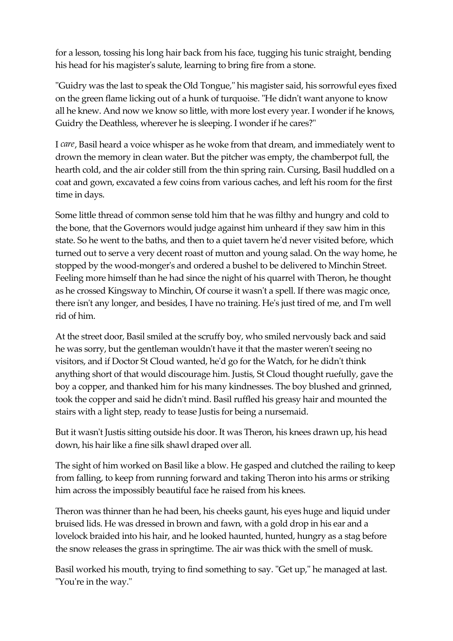for a lesson, tossing his long hair back from his face, tugging his tunic straight, bending his head for his magister's salute, learning to bring fire from a stone.

"Guidry was the last to speak the Old Tongue," his magister said, his sorrowful eyes fixed on the green flame licking out of a hunk of turquoise. "He didn't want anyone to know all he knew. And now we know so little, with more lost every year. I wonder if he knows, Guidry the Deathless, wherever he is sleeping. I wonder if he cares?"

I *care*, Basil heard a voice whisper as he woke from that dream, and immediately went to drown the memory in clean water. But the pitcher was empty, the chamberpot full, the hearth cold, and the air colder still from the thin spring rain. Cursing, Basil huddled on a coat and gown, excavated a few coins from various caches, and left his room for the first time in days.

Some little thread of common sense told him that he was filthy and hungry and cold to the bone, that the Governors would judge against him unheard if they saw him in this state. So he went to the baths, and then to a quiet tavern he'd never visited before, which turned out to serve a very decent roast of mutton and young salad. On the way home, he stopped by the wood-monger's and ordered a bushel to be delivered to Minchin Street. Feeling more himself than he had since the night of his quarrel with Theron, he thought as he crossed Kingsway to Minchin, Of course it wasn't a spell. If there was magic once, there isn't any longer, and besides, I have no training. He's just tired of me, and I'm well rid of him.

At the street door, Basil smiled at the scruffy boy, who smiled nervously back and said he was sorry, but the gentleman wouldn't have it that the master weren't seeing no visitors, and if Doctor St Cloud wanted, he'd go for the Watch, for he didn't think anything short of that would discourage him. Justis, St Cloud thought ruefully, gave the boy a copper, and thanked him for his many kindnesses. The boy blushed and grinned, took the copper and said he didn't mind. Basil ruffled his greasy hair and mounted the stairs with a light step, ready to tease Justis for being a nursemaid.

But it wasn't Justis sitting outside his door. It was Theron, his knees drawn up, his head down, his hair like a fine silk shawl draped over all.

The sight of him worked on Basil like a blow. He gasped and clutched the railing to keep from falling, to keep from running forward and taking Theron into his arms or striking him across the impossibly beautiful face he raised from his knees.

Theron was thinner than he had been, his cheeks gaunt, his eyes huge and liquid under bruised lids. He was dressed in brown and fawn, with a gold drop in his ear and a lovelock braided into his hair, and he looked haunted, hunted, hungry as a stag before the snow releases the grass in springtime. The air was thick with the smell of musk.

Basil worked his mouth, trying to find something to say. "Get up," he managed at last. "You're in the way."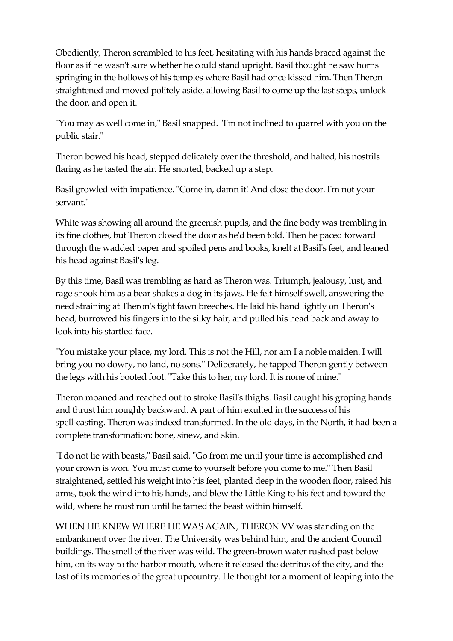Obediently, Theron scrambled to his feet, hesitating with his hands braced against the floor as if he wasn't sure whether he could stand upright. Basil thought he saw horns springing in the hollows of his temples where Basil had once kissed him. Then Theron straightened and moved politely aside, allowing Basil to come up the last steps, unlock the door, and open it.

"You may as well come in," Basil snapped. "I'm not inclined to quarrel with you on the public stair."

Theron bowed his head, stepped delicately over the threshold, and halted, his nostrils flaring as he tasted the air. He snorted, backed up a step.

Basil growled with impatience. "Come in, damn it! And close the door. I'm not your servant."

White was showing all around the greenish pupils, and the fine body was trembling in its fine clothes, but Theron closed the door as he'd been told. Then he paced forward through the wadded paper and spoiled pens and books, knelt at Basil's feet, and leaned his head against Basil's leg.

By this time, Basil was trembling as hard as Theron was. Triumph, jealousy, lust, and rage shook him as a bear shakes a dog in its jaws. He felt himself swell, answering the need straining at Theron's tight fawn breeches. He laid his hand lightly on Theron's head, burrowed his fingers into the silky hair, and pulled his head back and away to look into his startled face.

"You mistake your place, my lord. This is not the Hill, nor am I a noble maiden. I will bring you no dowry, no land, no sons." Deliberately, he tapped Theron gently between the legs with his booted foot. "Take this to her, my lord. It is none of mine."

Theron moaned and reached out to stroke Basil's thighs. Basil caught his groping hands and thrust him roughly backward. A part of him exulted in the success of his spell-casting. Theron was indeed transformed. In the old days, in the North, it had been a complete transformation: bone, sinew, and skin.

"I do not lie with beasts," Basil said. "Go from me until your time is accomplished and your crown is won. You must come to yourself before you come to me." Then Basil straightened, settled his weight into his feet, planted deep in the wooden floor, raised his arms, took the wind into his hands, and blew the Little King to his feet and toward the wild, where he must run until he tamed the beast within himself.

WHEN HE KNEW WHERE HE WAS AGAIN, THERON VV was standing on the embankment over the river. The University was behind him, and the ancient Council buildings. The smell of the river was wild. The green-brown water rushed past below him, on its way to the harbor mouth, where it released the detritus of the city, and the last of its memories of the great upcountry. He thought for a moment of leaping into the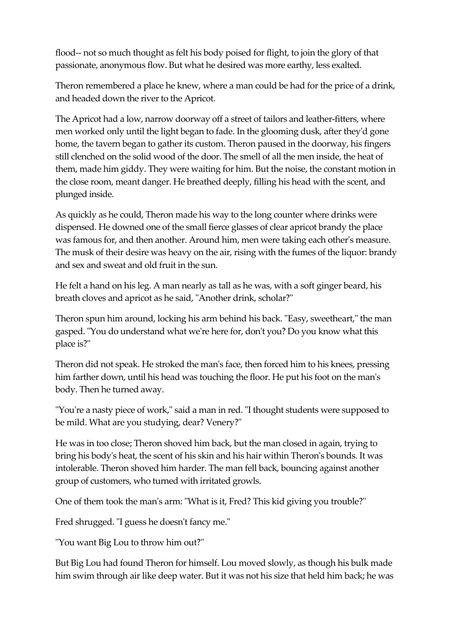flood-- not so much thought as felt his body poised for flight, to join the glory of that passionate, anonymous flow. But what he desired was more earthy, less exalted.

Theron remembered a place he knew, where a man could be had for the price of a drink, and headed down the river to the Apricot.

The Apricot had a low, narrow doorway off a street of tailors and leather-fitters, where men worked only until the light began to fade. In the glooming dusk, after they'd gone home, the tavern began to gather its custom. Theron paused in the doorway, his fingers still clenched on the solid wood of the door. The smell of all the men inside, the heat of them, made him giddy. They were waiting for him. But the noise, the constant motion in the close room, meant danger. He breathed deeply, filling his head with the scent, and plunged inside.

As quickly as he could, Theron made his way to the long counter where drinks were dispensed. He downed one of the small fierce glasses of clear apricot brandy the place was famous for, and then another. Around him, men were taking each other's measure. The musk of their desire was heavy on the air, rising with the fumes of the liquor: brandy and sex and sweat and old fruit in the sun.

He felt a hand on his leg. A man nearly as tall as he was, with a soft ginger beard, his breath cloves and apricot as he said, "Another drink, scholar?"

Theron spun him around, locking his arm behind his back. "Easy, sweetheart," the man gasped. "You do understand what we're here for, don't you? Do you know what this place is?"

Theron did not speak. He stroked the man's face, then forced him to his knees, pressing him farther down, until his head was touching the floor. He put his foot on the man's body. Then he turned away.

"You're a nasty piece of work," said a man in red. "I thought students were supposed to be mild. What are you studying, dear? Venery?"

He was in too close; Theron shoved him back, but the man closed in again, trying to bring his body's heat, the scent of his skin and his hair within Theron's bounds. It was intolerable. Theron shoved him harder. The man fell back, bouncing against another group of customers, who turned with irritated growls.

One of them took the man's arm: "What is it, Fred? This kid giving you trouble?"

Fred shrugged. "I guess he doesn't fancy me."

"You want Big Lou to throw him out?"

But Big Lou had found Theron for himself. Lou moved slowly, as though his bulk made him swim through air like deep water. But it was not his size that held him back; he was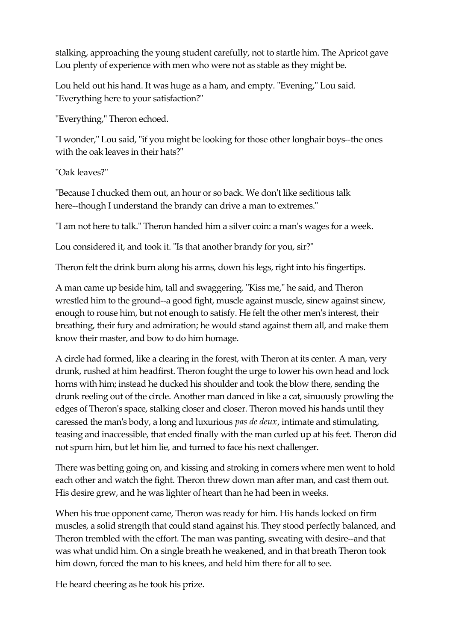stalking, approaching the young student carefully, not to startle him. The Apricot gave Lou plenty of experience with men who were not as stable as they might be.

Lou held out his hand. It was huge as a ham, and empty. "Evening," Lou said. "Everything here to your satisfaction?"

"Everything," Theron echoed.

"I wonder," Lou said, "if you might be looking for those other longhair boys--the ones with the oak leaves in their hats?"

"Oak leaves?"

"Because I chucked them out, an hour or so back. We don't like seditious talk here--though I understand the brandy can drive a man to extremes."

"I am not here to talk." Theron handed him a silver coin: a man's wages for a week.

Lou considered it, and took it. "Is that another brandy for you, sir?"

Theron felt the drink burn along his arms, down his legs, right into his fingertips.

A man came up beside him, tall and swaggering. "Kiss me," he said, and Theron wrestled him to the ground--a good fight, muscle against muscle, sinew against sinew, enough to rouse him, but not enough to satisfy. He felt the other men's interest, their breathing, their fury and admiration; he would stand against them all, and make them know their master, and bow to do him homage.

A circle had formed, like a clearing in the forest, with Theron at its center. A man, very drunk, rushed at him headfirst. Theron fought the urge to lower his own head and lock horns with him; instead he ducked his shoulder and took the blow there, sending the drunk reeling out of the circle. Another man danced in like a cat, sinuously prowling the edges of Theron's space, stalking closer and closer. Theron moved his hands until they caressed the man's body, a long and luxurious *pas de deux*, intimate and stimulating, teasing and inaccessible, that ended finally with the man curled up at his feet. Theron did not spurn him, but let him lie, and turned to face his next challenger.

There was betting going on, and kissing and stroking in corners where men went to hold each other and watch the fight. Theron threw down man after man, and cast them out. His desire grew, and he was lighter of heart than he had been in weeks.

When his true opponent came, Theron was ready for him. His hands locked on firm muscles, a solid strength that could stand against his. They stood perfectly balanced, and Theron trembled with the effort. The man was panting, sweating with desire--and that was what undid him. On a single breath he weakened, and in that breath Theron took him down, forced the man to his knees, and held him there for all to see.

He heard cheering as he took his prize.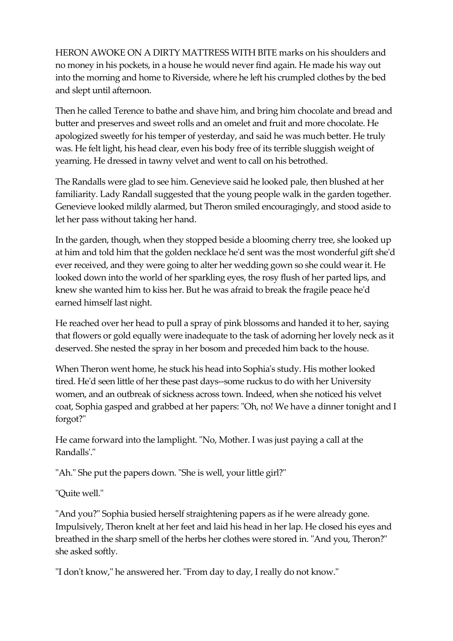HERON AWOKE ON A DIRTY MATTRESS WITH BITE marks on his shoulders and no money in his pockets, in a house he would never find again. He made his way out into the morning and home to Riverside, where he left his crumpled clothes by the bed and slept until afternoon.

Then he called Terence to bathe and shave him, and bring him chocolate and bread and butter and preserves and sweet rolls and an omelet and fruit and more chocolate. He apologized sweetly for his temper of yesterday, and said he was much better. He truly was. He felt light, his head clear, even his body free of its terrible sluggish weight of yearning. He dressed in tawny velvet and went to call on his betrothed.

The Randalls were glad to see him. Genevieve said he looked pale, then blushed at her familiarity. Lady Randall suggested that the young people walk in the garden together. Genevieve looked mildly alarmed, but Theron smiled encouragingly, and stood aside to let her pass without taking her hand.

In the garden, though, when they stopped beside a blooming cherry tree, she looked up at him and told him that the golden necklace he'd sent was the most wonderful gift she'd ever received, and they were going to alter her wedding gown so she could wear it. He looked down into the world of her sparkling eyes, the rosy flush of her parted lips, and knew she wanted him to kiss her. But he was afraid to break the fragile peace he'd earned himself last night.

He reached over her head to pull a spray of pink blossoms and handed it to her, saying that flowers or gold equally were inadequate to the task of adorning her lovely neck as it deserved. She nested the spray in her bosom and preceded him back to the house.

When Theron went home, he stuck his head into Sophia's study. His mother looked tired. He'd seen little of her these past days--some ruckus to do with her University women, and an outbreak of sickness across town. Indeed, when she noticed his velvet coat, Sophia gasped and grabbed at her papers: "Oh, no! We have a dinner tonight and I forgot?"

He came forward into the lamplight. "No, Mother. I was just paying a call at the Randalls'."

"Ah." She put the papers down. "She is well, your little girl?"

"Quite well."

"And you?" Sophia busied herself straightening papers as if he were already gone. Impulsively, Theron knelt at her feet and laid his head in her lap. He closed his eyes and breathed in the sharp smell of the herbs her clothes were stored in. "And you, Theron?" she asked softly.

"I don't know," he answered her. "From day to day, I really do not know."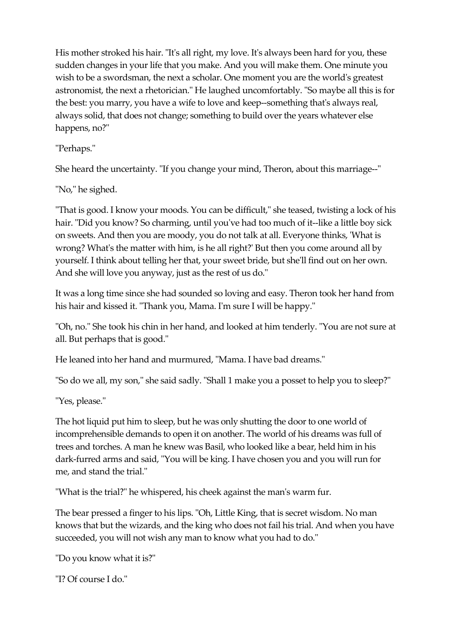His mother stroked his hair. "It's all right, my love. It's always been hard for you, these sudden changes in your life that you make. And you will make them. One minute you wish to be a swordsman, the next a scholar. One moment you are the world's greatest astronomist, the next a rhetorician." He laughed uncomfortably. "So maybe all this is for the best: you marry, you have a wife to love and keep--something that's always real, always solid, that does not change; something to build over the years whatever else happens, no?"

"Perhaps."

She heard the uncertainty. "If you change your mind, Theron, about this marriage--"

"No," he sighed.

"That is good. I know your moods. You can be difficult," she teased, twisting a lock of his hair. "Did you know? So charming, until you've had too much of it--like a little boy sick on sweets. And then you are moody, you do not talk at all. Everyone thinks, 'What is wrong? What's the matter with him, is he all right?' But then you come around all by yourself. I think about telling her that, your sweet bride, but she'll find out on her own. And she will love you anyway, just as the rest of us do."

It was a long time since she had sounded so loving and easy. Theron took her hand from his hair and kissed it. "Thank you, Mama. I'm sure I will be happy."

"Oh, no." She took his chin in her hand, and looked at him tenderly. "You are not sure at all. But perhaps that is good."

He leaned into her hand and murmured, "Mama. I have bad dreams."

"So do we all, my son," she said sadly. "Shall 1 make you a posset to help you to sleep?"

"Yes, please."

The hot liquid put him to sleep, but he was only shutting the door to one world of incomprehensible demands to open it on another. The world of his dreams was full of trees and torches. A man he knew was Basil, who looked like a bear, held him in his dark-furred arms and said, "You will be king. I have chosen you and you will run for me, and stand the trial."

"What is the trial?" he whispered, his cheek against the man's warm fur.

The bear pressed a finger to his lips. "Oh, Little King, that is secret wisdom. No man knows that but the wizards, and the king who does not fail his trial. And when you have succeeded, you will not wish any man to know what you had to do."

"Do you know what it is?"

"I? Of course I do."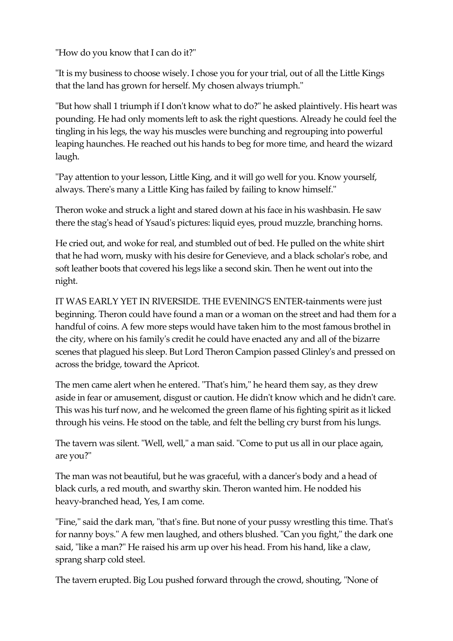"How do you know that I can do it?"

"It is my business to choose wisely. I chose you for your trial, out of all the Little Kings that the land has grown for herself. My chosen always triumph."

"But how shall 1 triumph if I don't know what to do?" he asked plaintively. His heart was pounding. He had only moments left to ask the right questions. Already he could feel the tingling in his legs, the way his muscles were bunching and regrouping into powerful leaping haunches. He reached out his hands to beg for more time, and heard the wizard laugh.

"Pay attention to your lesson, Little King, and it will go well for you. Know yourself, always. There's many a Little King has failed by failing to know himself."

Theron woke and struck a light and stared down at his face in his washbasin. He saw there the stag's head of Ysaud's pictures: liquid eyes, proud muzzle, branching horns.

He cried out, and woke for real, and stumbled out of bed. He pulled on the white shirt that he had worn, musky with his desire for Genevieve, and a black scholar's robe, and soft leather boots that covered his legs like a second skin. Then he went out into the night.

IT WAS EARLY YET IN RlVERSIDE. THE EVENING'S ENTER-tainments were just beginning. Theron could have found a man or a woman on the street and had them for a handful of coins. A few more steps would have taken him to the most famous brothel in the city, where on his family's credit he could have enacted any and all of the bizarre scenes that plagued his sleep. But Lord Theron Campion passed Glinley's and pressed on across the bridge, toward the Apricot.

The men came alert when he entered. "That's him," he heard them say, as they drew aside in fear or amusement, disgust or caution. He didn't know which and he didn't care. This was his turf now, and he welcomed the green flame of his fighting spirit as it licked through his veins. He stood on the table, and felt the belling cry burst from his lungs.

The tavern was silent. "Well, well," a man said. "Come to put us all in our place again, are you?"

The man was not beautiful, but he was graceful, with a dancer's body and a head of black curls, a red mouth, and swarthy skin. Theron wanted him. He nodded his heavy-branched head, Yes, I am come.

"Fine," said the dark man, "that's fine. But none of your pussy wrestling this time. That's for nanny boys." A few men laughed, and others blushed. "Can you fight," the dark one said, "like a man?" He raised his arm up over his head. From his hand, like a claw, sprang sharp cold steel.

The tavern erupted. Big Lou pushed forward through the crowd, shouting, "None of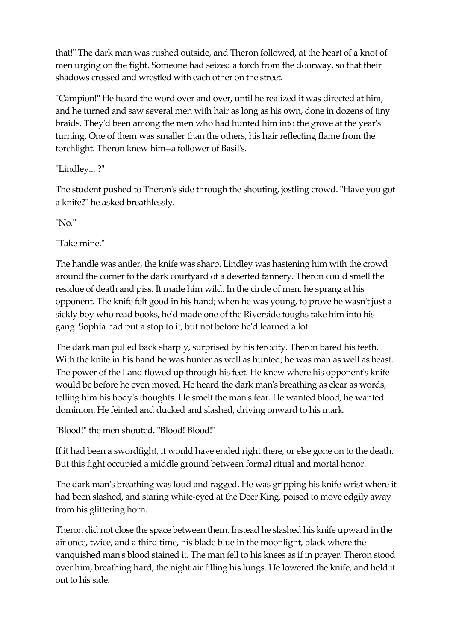that!" The dark man was rushed outside, and Theron followed, at the heart of a knot of men urging on the fight. Someone had seized a torch from the doorway, so that their shadows crossed and wrestled with each other on the street.

"Campion!" He heard the word over and over, until he realized it was directed at him, and he turned and saw several men with hair as long as his own, done in dozens of tiny braids. They'd been among the men who had hunted him into the grove at the year's turning. One of them was smaller than the others, his hair reflecting flame from the torchlight. Theron knew him--a follower of Basil's.

"Lindley... ?"

The student pushed to Theron's side through the shouting, jostling crowd. "Have you got a knife?" he asked breathlessly.

"No."

"Take mine."

The handle was antler, the knife was sharp. Lindley was hastening him with the crowd around the corner to the dark courtyard of a deserted tannery. Theron could smell the residue of death and piss. It made him wild. In the circle of men, he sprang at his opponent. The knife felt good in his hand; when he was young, to prove he wasn't just a sickly boy who read books, he'd made one of the Riverside toughs take him into his gang. Sophia had put a stop to it, but not before he'd learned a lot.

The dark man pulled back sharply, surprised by his ferocity. Theron bared his teeth. With the knife in his hand he was hunter as well as hunted; he was man as well as beast. The power of the Land flowed up through his feet. He knew where his opponent's knife would be before he even moved. He heard the dark man's breathing as clear as words, telling him his body's thoughts. He smelt the man's fear. He wanted blood, he wanted dominion. He feinted and ducked and slashed, driving onward to his mark.

"Blood!" the men shouted. "Blood! Blood!"

If it had been a swordfight, it would have ended right there, or else gone on to the death. But this fight occupied a middle ground between formal ritual and mortal honor.

The dark man's breathing was loud and ragged. He was gripping his knife wrist where it had been slashed, and staring white-eyed at the Deer King, poised to move edgily away from his glittering horn.

Theron did not close the space between them. Instead he slashed his knife upward in the air once, twice, and a third time, his blade blue in the moonlight, black where the vanquished man's blood stained it. The man fell to his knees as if in prayer. Theron stood over him, breathing hard, the night air filling his lungs. He lowered the knife, and held it out to his side.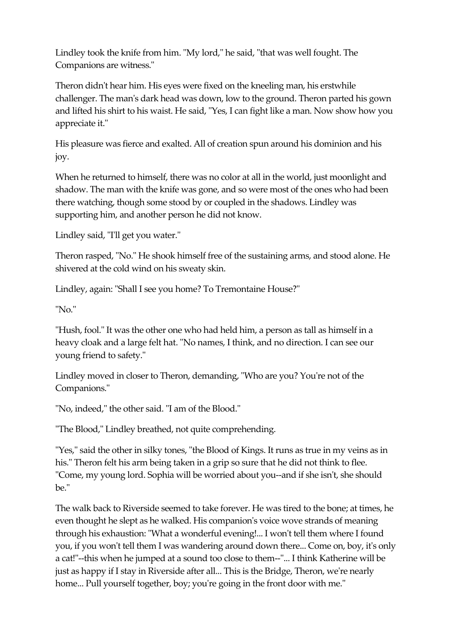Lindley took the knife from him. "My lord," he said, "that was well fought. The Companions are witness."

Theron didn't hear him. His eyes were fixed on the kneeling man, his erstwhile challenger. The man's dark head was down, low to the ground. Theron parted his gown and lifted his shirt to his waist. He said, "Yes, I can fight like a man. Now show how you appreciate it."

His pleasure was fierce and exalted. All of creation spun around his dominion and his joy.

When he returned to himself, there was no color at all in the world, just moonlight and shadow. The man with the knife was gone, and so were most of the ones who had been there watching, though some stood by or coupled in the shadows. Lindley was supporting him, and another person he did not know.

Lindley said, "I'll get you water."

Theron rasped, "No." He shook himself free of the sustaining arms, and stood alone. He shivered at the cold wind on his sweaty skin.

Lindley, again: "Shall I see you home? To Tremontaine House?"

"No."

"Hush, fool." It was the other one who had held him, a person as tall as himself in a heavy cloak and a large felt hat. "No names, I think, and no direction. I can see our young friend to safety."

Lindley moved in closer to Theron, demanding, "Who are you? You're not of the Companions."

"No, indeed," the other said. "I am of the Blood."

"The Blood," Lindley breathed, not quite comprehending.

"Yes," said the other in silky tones, "the Blood of Kings. It runs as true in my veins as in his." Theron felt his arm being taken in a grip so sure that he did not think to flee. "Come, my young lord. Sophia will be worried about you--and if she isn't, she should be."

The walk back to Riverside seemed to take forever. He was tired to the bone; at times, he even thought he slept as he walked. His companion's voice wove strands of meaning through his exhaustion: "What a wonderful evening!... I won't tell them where I found you, if you won't tell them I was wandering around down there... Come on, boy, it's only a cat!"--this when he jumped at a sound too close to them--"... I think Katherine will be just as happy if I stay in Riverside after all... This is the Bridge, Theron, we're nearly home... Pull yourself together, boy; you're going in the front door with me."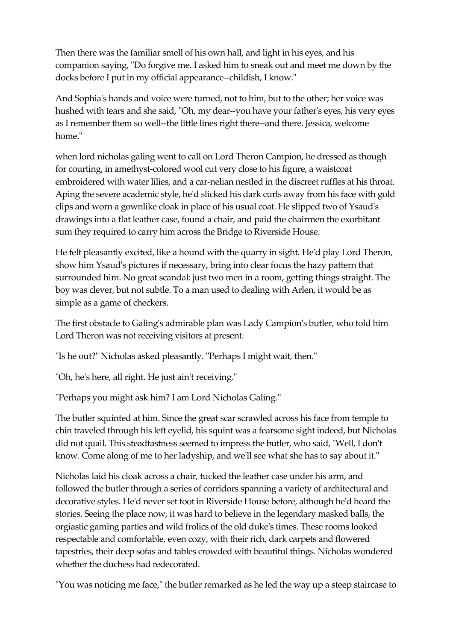Then there was the familiar smell of his own hall, and light in his eyes, and his companion saying, "Do forgive me. I asked him to sneak out and meet me down by the docks before I put in my official appearance--childish, I know."

And Sophia's hands and voice were turned, not to him, but to the other; her voice was hushed with tears and she said, "Oh, my dear--you have your father's eyes, his very eyes as I remember them so well--the little lines right there--and there. Jessica, welcome home."

when lord nicholas galing went to call on Lord Theron Campion, he dressed as though for courting, in amethyst-colored wool cut very close to his figure, a waistcoat embroidered with water lilies, and a car-nelian nestled in the discreet ruffles at his throat. Aping the severe academic style, he'd slicked his dark curls away from his face with gold clips and worn a gownlike cloak in place of his usual coat. He slipped two of Ysaud's drawings into a flat leather case, found a chair, and paid the chairmen the exorbitant sum they required to carry him across the Bridge to Riverside House.

He felt pleasantly excited, like a hound with the quarry in sight. He'd play Lord Theron, show him Ysaud's pictures if necessary, bring into clear focus the hazy pattern that surrounded him. No great scandal: just two men in a room, getting things straight. The boy was clever, but not subtle. To a man used to dealing with Arlen, it would be as simple as a game of checkers.

The first obstacle to Galing's admirable plan was Lady Campion's butler, who told him Lord Theron was not receiving visitors at present.

"Is he out?" Nicholas asked pleasantly. "Perhaps I might wait, then."

"Oh, he's here, all right. He just ain't receiving."

"Perhaps you might ask him? I am Lord Nicholas Galing."

The butler squinted at him. Since the great scar scrawled across his face from temple to chin traveled through his left eyelid, his squint was a fearsome sight indeed, but Nicholas did not quail. This steadfastness seemed to impress the butler, who said, "Well, I don't know. Come along of me to her ladyship, and we'll see what she has to say about it."

Nicholas laid his cloak across a chair, tucked the leather case under his arm, and followed the butler through a series of corridors spanning a variety of architectural and decorative styles. He'd never set foot in Riverside House before, although he'd heard the stories. Seeing the place now, it was hard to believe in the legendary masked balls, the orgiastic gaming parties and wild frolics of the old duke's times. These rooms looked respectable and comfortable, even cozy, with their rich, dark carpets and flowered tapestries, their deep sofas and tables crowded with beautiful things. Nicholas wondered whether the duchess had redecorated.

"You was noticing me face," the butler remarked as he led the way up a steep staircase to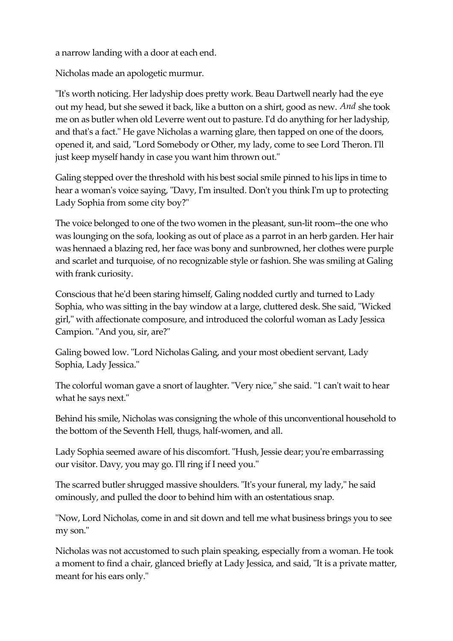a narrow landing with a door at each end.

Nicholas made an apologetic murmur.

"It's worth noticing. Her ladyship does pretty work. Beau Dartwell nearly had the eye out my head, but she sewed it back, like a button on a shirt, good as new. *And* she took me on as butler when old Leverre went out to pasture. I'd do anything for her ladyship, and that's a fact." He gave Nicholas a warning glare, then tapped on one of the doors, opened it, and said, "Lord Somebody or Other, my lady, come to see Lord Theron. I'll just keep myself handy in case you want him thrown out."

Galing stepped over the threshold with his best social smile pinned to his lips in time to hear a woman's voice saying, "Davy, I'm insulted. Don't you think I'm up to protecting Lady Sophia from some city boy?"

The voice belonged to one of the two women in the pleasant, sun-lit room--the one who was lounging on the sofa, looking as out of place as a parrot in an herb garden. Her hair was hennaed a blazing red, her face was bony and sunbrowned, her clothes were purple and scarlet and turquoise, of no recognizable style or fashion. She was smiling at Galing with frank curiosity.

Conscious that he'd been staring himself, Galing nodded curtly and turned to Lady Sophia, who was sitting in the bay window at a large, cluttered desk. She said, "Wicked girl," with affectionate composure, and introduced the colorful woman as Lady Jessica Campion. "And you, sir, are?"

Galing bowed low. "Lord Nicholas Galing, and your most obedient servant, Lady Sophia, Lady Jessica."

The colorful woman gave a snort of laughter. "Very nice," she said. "1 can't wait to hear what he says next."

Behind his smile, Nicholas was consigning the whole of this unconventional household to the bottom of the Seventh Hell, thugs, half-women, and all.

Lady Sophia seemed aware of his discomfort. "Hush, Jessie dear; you're embarrassing our visitor. Davy, you may go. I'll ring if I need you."

The scarred butler shrugged massive shoulders. "It's your funeral, my lady," he said ominously, and pulled the door to behind him with an ostentatious snap.

"Now, Lord Nicholas, come in and sit down and tell me what business brings you to see my son."

Nicholas was not accustomed to such plain speaking, especially from a woman. He took a moment to find a chair, glanced briefly at Lady Jessica, and said, "It is a private matter, meant for his ears only."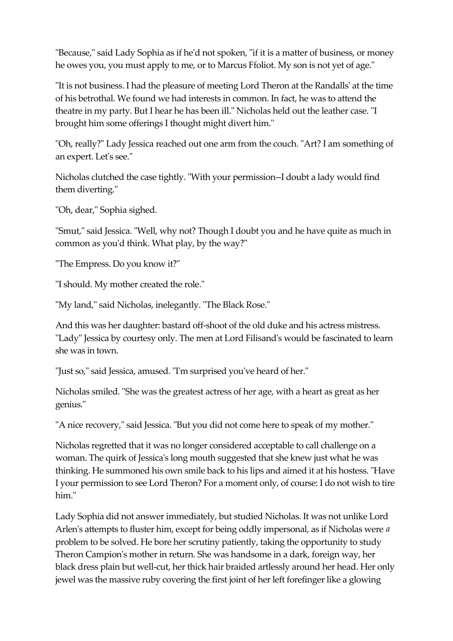"Because," said Lady Sophia as if he'd not spoken, "if it is a matter of business, or money he owes you, you must apply to me, or to Marcus Ffoliot. My son is not yet of age."

"It is not business. I had the pleasure of meeting Lord Theron at the Randalls' at the time of his betrothal. We found we had interests in common. In fact, he was to attend the theatre in my party. But I hear he has been ill." Nicholas held out the leather case. "I brought him some offerings I thought might divert him."

"Oh, really?" Lady Jessica reached out one arm from the couch. "Art? I am something of an expert. Let's see."

Nicholas clutched the case tightly. "With your permission--I doubt a lady would find them diverting."

"Oh, dear," Sophia sighed.

"Smut," said Jessica. "Well, why not? Though I doubt you and he have quite as much in common as you'd think. What play, by the way?"

"The Empress. Do you know it?"

"I should. My mother created the role."

"My land," said Nicholas, inelegantly. "The Black Rose."

And this was her daughter: bastard off-shoot of the old duke and his actress mistress. "Lady" Jessica by courtesy only. The men at Lord Filisand's would be fascinated to learn she was in town.

"Just so," said Jessica, amused. "I'm surprised you've heard of her."

Nicholas smiled. "She was the greatest actress of her age, with a heart as great as her genius."

"A nice recovery," said Jessica. "But you did not come here to speak of my mother."

Nicholas regretted that it was no longer considered acceptable to call challenge on a woman. The quirk of Jessica's long mouth suggested that she knew just what he was thinking. He summoned his own smile back to his lips and aimed it at his hostess. "Have I your permission to see Lord Theron? For a moment only, of course: I do not wish to tire him."

Lady Sophia did not answer immediately, but studied Nicholas. It was not unlike Lord Arlen's attempts to fluster him, except for being oddly impersonal, as if Nicholas were *a* problem to be solved. He bore her scrutiny patiently, taking the opportunity to study Theron Campion's mother in return. She was handsome in a dark, foreign way, her black dress plain but well-cut, her thick hair braided artlessly around her head. Her only jewel was the massive ruby covering the first joint of her left forefinger like a glowing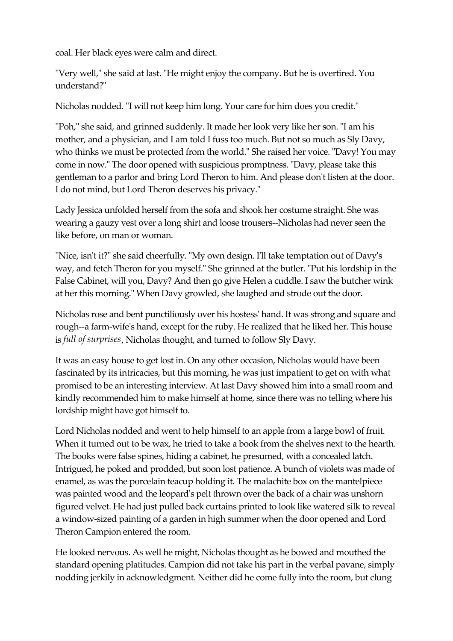coal. Her black eyes were calm and direct.

"Very well," she said at last. "He might enjoy the company. But he is overtired. You understand?"

Nicholas nodded. "I will not keep him long. Your care for him does you credit."

"Poh," she said, and grinned suddenly. It made her look very like her son. "I am his mother, and a physician, and I am told I fuss too much. But not so much as Sly Davy, who thinks we must be protected from the world." She raised her voice. "Davy! You may come in now." The door opened with suspicious promptness. "Davy, please take this gentleman to a parlor and bring Lord Theron to him. And please don't listen at the door. I do not mind, but Lord Theron deserves his privacy."

Lady Jessica unfolded herself from the sofa and shook her costume straight. She was wearing a gauzy vest over a long shirt and loose trousers--Nicholas had never seen the like before, on man or woman.

"Nice, isn't it?" she said cheerfully. "My own design. I'll take temptation out of Davy's way, and fetch Theron for you myself." She grinned at the butler. "Put his lordship in the False Cabinet, will you, Davy? And then go give Helen a cuddle. I saw the butcher wink at her this morning." When Davy growled, she laughed and strode out the door.

Nicholas rose and bent punctiliously over his hostess' hand. It was strong and square and rough--a farm-wife's hand, except for the ruby. He realized that he liked her. This house is *full of surprises*, Nicholas thought, and turned to follow Sly Davy.

It was an easy house to get lost in. On any other occasion, Nicholas would have been fascinated by its intricacies, but this morning, he was just impatient to get on with what promised to be an interesting interview. At last Davy showed him into a small room and kindly recommended him to make himself at home, since there was no telling where his lordship might have got himself to.

Lord Nicholas nodded and went to help himself to an apple from a large bowl of fruit. When it turned out to be wax, he tried to take a book from the shelves next to the hearth. The books were false spines, hiding a cabinet, he presumed, with a concealed latch. Intrigued, he poked and prodded, but soon lost patience. A bunch of violets was made of enamel, as was the porcelain teacup holding it. The malachite box on the mantelpiece was painted wood and the leopard's pelt thrown over the back of a chair was unshorn figured velvet. He had just pulled back curtains printed to look like watered silk to reveal a window-sized painting of a garden in high summer when the door opened and Lord Theron Campion entered the room.

He looked nervous. As well he might, Nicholas thought as he bowed and mouthed the standard opening platitudes. Campion did not take his part in the verbal pavane, simply nodding jerkily in acknowledgment. Neither did he come fully into the room, but clung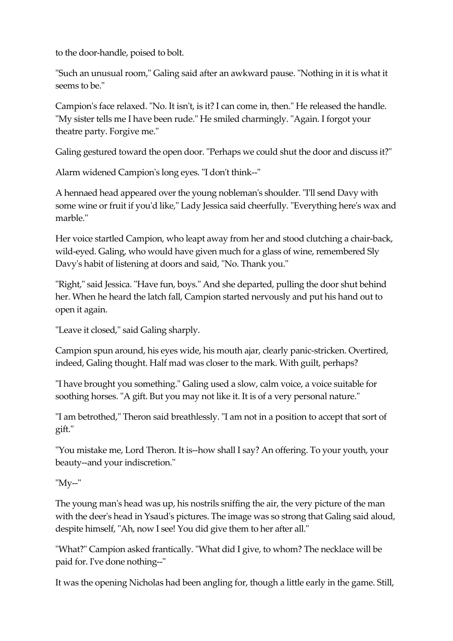to the door-handle, poised to bolt.

"Such an unusual room," Galing said after an awkward pause. "Nothing in it is what it seems to be."

Campion's face relaxed. "No. It isn't, is it? I can come in, then." He released the handle. "My sister tells me I have been rude." He smiled charmingly. "Again. I forgot your theatre party. Forgive me."

Galing gestured toward the open door. "Perhaps we could shut the door and discuss it?"

Alarm widened Campion's long eyes. "I don't think--"

A hennaed head appeared over the young nobleman's shoulder. "I'll send Davy with some wine or fruit if you'd like," Lady Jessica said cheerfully. "Everything here's wax and marble."

Her voice startled Campion, who leapt away from her and stood clutching a chair-back, wild-eyed. Galing, who would have given much for a glass of wine, remembered Sly Davy's habit of listening at doors and said, "No. Thank you."

"Right," said Jessica. "Have fun, boys." And she departed, pulling the door shut behind her. When he heard the latch fall, Campion started nervously and put his hand out to open it again.

"Leave it closed," said Galing sharply.

Campion spun around, his eyes wide, his mouth ajar, clearly panic-stricken. Overtired, indeed, Galing thought. Half mad was closer to the mark. With guilt, perhaps?

"I have brought you something." Galing used a slow, calm voice, a voice suitable for soothing horses. "A gift. But you may not like it. It is of a very personal nature."

"I am betrothed," Theron said breathlessly. "I am not in a position to accept that sort of gift."

"You mistake me, Lord Theron. It is--how shall I say? An offering. To your youth, your beauty--and your indiscretion."

"My--"

The young man's head was up, his nostrils sniffing the air, the very picture of the man with the deer's head in Ysaud's pictures. The image was so strong that Galing said aloud, despite himself, "Ah, now I see! You did give them to her after all."

"What?" Campion asked frantically. "What did I give, to whom? The necklace will be paid for. I've done nothing--"

It was the opening Nicholas had been angling for, though a little early in the game. Still,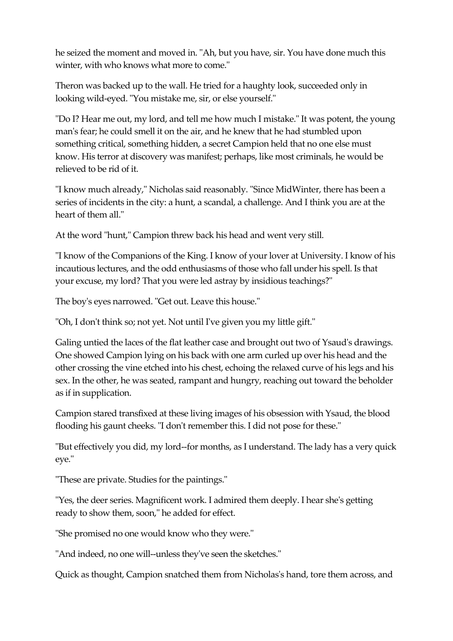he seized the moment and moved in. "Ah, but you have, sir. You have done much this winter, with who knows what more to come."

Theron was backed up to the wall. He tried for a haughty look, succeeded only in looking wild-eyed. "You mistake me, sir, or else yourself."

"Do I? Hear me out, my lord, and tell me how much I mistake." It was potent, the young man's fear; he could smell it on the air, and he knew that he had stumbled upon something critical, something hidden, a secret Campion held that no one else must know. His terror at discovery was manifest; perhaps, like most criminals, he would be relieved to be rid of it.

"I know much already," Nicholas said reasonably. "Since MidWinter, there has been a series of incidents in the city: a hunt, a scandal, a challenge. And I think you are at the heart of them all."

At the word "hunt," Campion threw back his head and went very still.

"I know of the Companions of the King. I know of your lover at University. I know of his incautious lectures, and the odd enthusiasms of those who fall under his spell. Is that your excuse, my lord? That you were led astray by insidious teachings?"

The boy's eyes narrowed. "Get out. Leave this house."

"Oh, I don't think so; not yet. Not until I've given you my little gift."

Galing untied the laces of the flat leather case and brought out two of Ysaud's drawings. One showed Campion lying on his back with one arm curled up over his head and the other crossing the vine etched into his chest, echoing the relaxed curve of his legs and his sex. In the other, he was seated, rampant and hungry, reaching out toward the beholder as if in supplication.

Campion stared transfixed at these living images of his obsession with Ysaud, the blood flooding his gaunt cheeks. "I don't remember this. I did not pose for these."

"But effectively you did, my lord--for months, as I understand. The lady has a very quick eye."

"These are private. Studies for the paintings."

"Yes, the deer series. Magnificent work. I admired them deeply. I hear she's getting ready to show them, soon," he added for effect.

"She promised no one would know who they were."

"And indeed, no one will--unless they've seen the sketches."

Quick as thought, Campion snatched them from Nicholas's hand, tore them across, and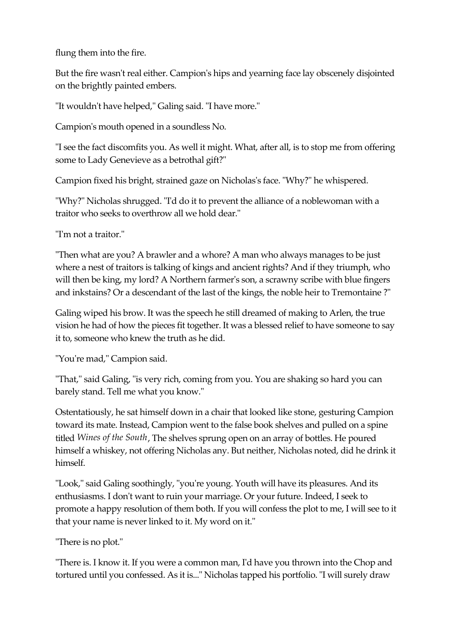flung them into the fire.

But the fire wasn't real either. Campion's hips and yearning face lay obscenely disjointed on the brightly painted embers.

"It wouldn't have helped," Galing said. "I have more."

Campion's mouth opened in a soundless No.

"I see the fact discomfits you. As well it might. What, after all, is to stop me from offering some to Lady Genevieve as a betrothal gift?"

Campion fixed his bright, strained gaze on Nicholas's face. "Why?" he whispered.

"Why?" Nicholas shrugged. "I'd do it to prevent the alliance of a noblewoman with a traitor who seeks to overthrow all we hold dear."

"I'm not a traitor."

"Then what are you? A brawler and a whore? A man who always manages to be just where a nest of traitors is talking of kings and ancient rights? And if they triumph, who will then be king, my lord? A Northern farmer's son, a scrawny scribe with blue fingers and inkstains? Or a descendant of the last of the kings, the noble heir to Tremontaine ?"

Galing wiped his brow. It was the speech he still dreamed of making to Arlen, the true vision he had of how the pieces fit together. It was a blessed relief to have someone to say it to, someone who knew the truth as he did.

"You're mad," Campion said.

"That," said Galing, "is very rich, coming from you. You are shaking so hard you can barely stand. Tell me what you know."

Ostentatiously, he sat himself down in a chair that looked like stone, gesturing Campion toward its mate. Instead, Campion went to the false book shelves and pulled on a spine titled *Wines of the South*, The shelves sprung open on an array of bottles. He poured himself a whiskey, not offering Nicholas any. But neither, Nicholas noted, did he drink it himself.

"Look," said Galing soothingly, "you're young. Youth will have its pleasures. And its enthusiasms. I don't want to ruin your marriage. Or your future. Indeed, I seek to promote a happy resolution of them both. If you will confess the plot to me, I will see to it that your name is never linked to it. My word on it."

"There is no plot."

"There is. I know it. If you were a common man, I'd have you thrown into the Chop and tortured until you confessed. As it is..." Nicholas tapped his portfolio. "I will surely draw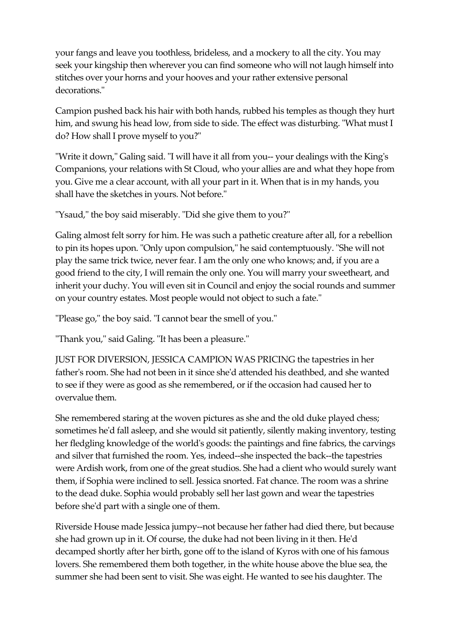your fangs and leave you toothless, brideless, and a mockery to all the city. You may seek your kingship then wherever you can find someone who will not laugh himself into stitches over your horns and your hooves and your rather extensive personal decorations."

Campion pushed back his hair with both hands, rubbed his temples as though they hurt him, and swung his head low, from side to side. The effect was disturbing. "What must I do? How shall I prove myself to you?"

"Write it down," Galing said. "I will have it all from you-- your dealings with the King's Companions, your relations with St Cloud, who your allies are and what they hope from you. Give me a clear account, with all your part in it. When that is in my hands, you shall have the sketches in yours. Not before."

"Ysaud," the boy said miserably. "Did she give them to you?"

Galing almost felt sorry for him. He was such a pathetic creature after all, for a rebellion to pin its hopes upon. "Only upon compulsion," he said contemptuously. "She will not play the same trick twice, never fear. I am the only one who knows; and, if you are a good friend to the city, I will remain the only one. You will marry your sweetheart, and inherit your duchy. You will even sit in Council and enjoy the social rounds and summer on your country estates. Most people would not object to such a fate."

"Please go," the boy said. "I cannot bear the smell of you."

"Thank you," said Galing. "It has been a pleasure."

JUST FOR DIVERSION, JESSICA CAMPION WAS PRICING the tapestries in her father's room. She had not been in it since she'd attended his deathbed, and she wanted to see if they were as good as she remembered, or if the occasion had caused her to overvalue them.

She remembered staring at the woven pictures as she and the old duke played chess; sometimes he'd fall asleep, and she would sit patiently, silently making inventory, testing her fledgling knowledge of the world's goods: the paintings and fine fabrics, the carvings and silver that furnished the room. Yes, indeed--she inspected the back--the tapestries were Ardish work, from one of the great studios. She had a client who would surely want them, if Sophia were inclined to sell. Jessica snorted. Fat chance. The room was a shrine to the dead duke. Sophia would probably sell her last gown and wear the tapestries before she'd part with a single one of them.

Riverside House made Jessica jumpy--not because her father had died there, but because she had grown up in it. Of course, the duke had not been living in it then. He'd decamped shortly after her birth, gone off to the island of Kyros with one of his famous lovers. She remembered them both together, in the white house above the blue sea, the summer she had been sent to visit. She was eight. He wanted to see his daughter. The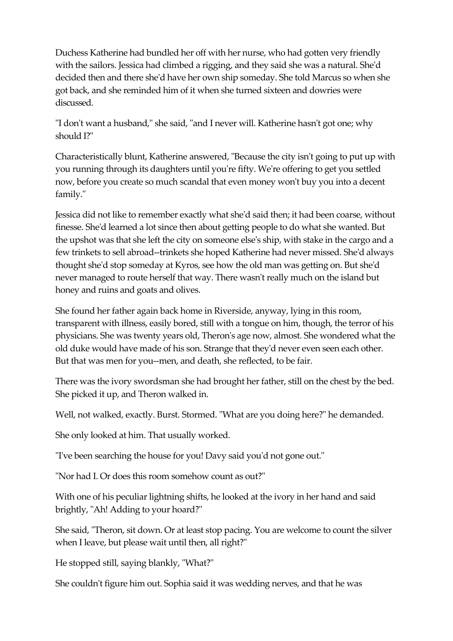Duchess Katherine had bundled her off with her nurse, who had gotten very friendly with the sailors. Jessica had climbed a rigging, and they said she was a natural. She'd decided then and there she'd have her own ship someday. She told Marcus so when she got back, and she reminded him of it when she turned sixteen and dowries were discussed.

"I don't want a husband," she said, "and I never will. Katherine hasn't got one; why should I?"

Characteristically blunt, Katherine answered, "Because the city isn't going to put up with you running through its daughters until you're fifty. We're offering to get you settled now, before you create so much scandal that even money won't buy you into a decent family."

Jessica did not like to remember exactly what she'd said then; it had been coarse, without finesse. She'd learned a lot since then about getting people to do what she wanted. But the upshot was that she left the city on someone else's ship, with stake in the cargo and a few trinkets to sell abroad--trinkets she hoped Katherine had never missed. She'd always thought she'd stop someday at Kyros, see how the old man was getting on. But she'd never managed to route herself that way. There wasn't really much on the island but honey and ruins and goats and olives.

She found her father again back home in Riverside, anyway, lying in this room, transparent with illness, easily bored, still with a tongue on him, though, the terror of his physicians. She was twenty years old, Theron's age now, almost. She wondered what the old duke would have made of his son. Strange that they'd never even seen each other. But that was men for you--men, and death, she reflected, to be fair.

There was the ivory swordsman she had brought her father, still on the chest by the bed. She picked it up, and Theron walked in.

Well, not walked, exactly. Burst. Stormed. "What are you doing here?" he demanded.

She only looked at him. That usually worked.

"I've been searching the house for you! Davy said you'd not gone out."

"Nor had I. Or does this room somehow count as out?"

With one of his peculiar lightning shifts, he looked at the ivory in her hand and said brightly, "Ah! Adding to your hoard?"

She said, "Theron, sit down. Or at least stop pacing. You are welcome to count the silver when I leave, but please wait until then, all right?"

He stopped still, saying blankly, "What?"

She couldn't figure him out. Sophia said it was wedding nerves, and that he was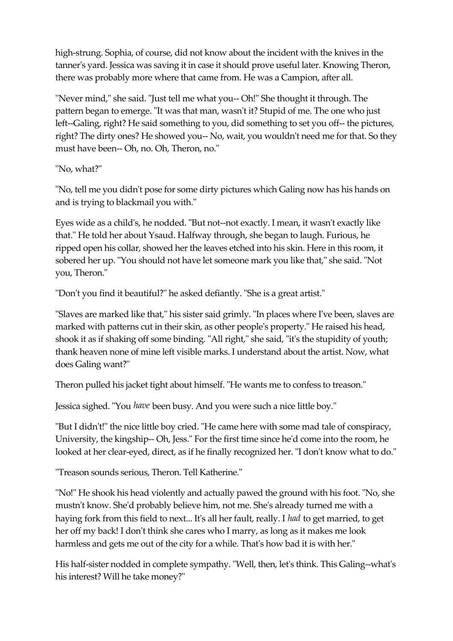high-strung. Sophia, of course, did not know about the incident with the knives in the tanner's yard. Jessica was saving it in case it should prove useful later. Knowing Theron, there was probably more where that came from. He was a Campion, after all.

"Never mind," she said. "Just tell me what you-- Oh!" She thought it through. The pattern began to emerge. "It was that man, wasn't it? Stupid of me. The one who just left--Galing, right? He said something to you, did something to set you off-- the pictures, right? The dirty ones? He showed you-- No, wait, you wouldn't need me for that. So they must have been-- Oh, no. Oh, Theron, no."

"No, what?"

"No, tell me you didn't pose for some dirty pictures which Galing now has his hands on and is trying to blackmail you with."

Eyes wide as a child's, he nodded. "But not--not exactly. I mean, it wasn't exactly like that." He told her about Ysaud. Halfway through, she began to laugh. Furious, he ripped open his collar, showed her the leaves etched into his skin. Here in this room, it sobered her up. "You should not have let someone mark you like that," she said. "Not you, Theron."

"Don't you find it beautiful?" he asked defiantly. "She is a great artist."

"Slaves are marked like that," his sister said grimly. "In places where I've been, slaves are marked with patterns cut in their skin, as other people's property." He raised his head, shook it as if shaking off some binding. "All right," she said, "it's the stupidity of youth; thank heaven none of mine left visible marks. I understand about the artist. Now, what does Galing want?"

Theron pulled his jacket tight about himself. "He wants me to confess to treason."

Jessica sighed. "You *have* been busy. And you were such a nice little boy."

"But I didn't!" the nice little boy cried. "He came here with some mad tale of conspiracy, University, the kingship-- Oh, Jess." For the first time since he'd come into the room, he looked at her clear-eyed, direct, as if he finally recognized her. "I don't know what to do."

"Treason sounds serious, Theron. Tell Katherine."

"No!" He shook his head violently and actually pawed the ground with his foot. "No, she mustn't know. She'd probably believe him, not me. She's already turned me with a haying fork from this field to next... It's all her fault, really. I *had* to get married, to get her off my back! I don't think she cares who I marry, as long as it makes me look harmless and gets me out of the city for a while. That's how bad it is with her."

His half-sister nodded in complete sympathy. "Well, then, let's think. This Galing--what's his interest? Will he take money?"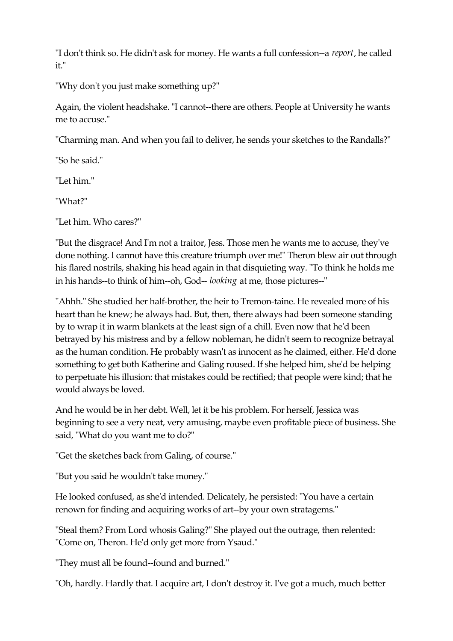"I don't think so. He didn't ask for money. He wants a full confession--a *report*, he called it."

"Why don't you just make something up?"

Again, the violent headshake. "I cannot--there are others. People at University he wants me to accuse."

"Charming man. And when you fail to deliver, he sends your sketches to the Randalls?"

"So he said."

"Let him."

"What?"

"Let him. Who cares?"

"But the disgrace! And I'm not a traitor, Jess. Those men he wants me to accuse, they've done nothing. I cannot have this creature triumph over me!" Theron blew air out through his flared nostrils, shaking his head again in that disquieting way. "To think he holds me in his hands--to think of him--oh, God-- *looking* at me, those pictures--"

"Ahhh." She studied her half-brother, the heir to Tremon-taine. He revealed more of his heart than he knew; he always had. But, then, there always had been someone standing by to wrap it in warm blankets at the least sign of a chill. Even now that he'd been betrayed by his mistress and by a fellow nobleman, he didn't seem to recognize betrayal as the human condition. He probably wasn't as innocent as he claimed, either. He'd done something to get both Katherine and Galing roused. If she helped him, she'd be helping to perpetuate his illusion: that mistakes could be rectified; that people were kind; that he would always be loved.

And he would be in her debt. Well, let it be his problem. For herself, Jessica was beginning to see a very neat, very amusing, maybe even profitable piece of business. She said, "What do you want me to do?"

"Get the sketches back from Galing, of course."

"But you said he wouldn't take money."

He looked confused, as she'd intended. Delicately, he persisted: "You have a certain renown for finding and acquiring works of art--by your own stratagems."

"Steal them? From Lord whosis Galing?" She played out the outrage, then relented: "Come on, Theron. He'd only get more from Ysaud."

"They must all be found--found and burned."

"Oh, hardly. Hardly that. I acquire art, I don't destroy it. I've got a much, much better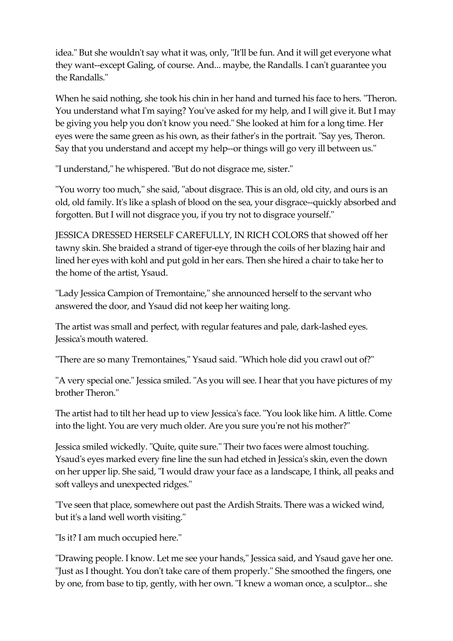idea." But she wouldn't say what it was, only, "It'll be fun. And it will get everyone what they want--except Galing, of course. And... maybe, the Randalls. I can't guarantee you the Randalls."

When he said nothing, she took his chin in her hand and turned his face to hers. "Theron. You understand what I'm saying? You've asked for my help, and I will give it. But I may be giving you help you don't know you need." She looked at him for a long time. Her eyes were the same green as his own, as their father's in the portrait. "Say yes, Theron. Say that you understand and accept my help--or things will go very ill between us."

"I understand," he whispered. "But do not disgrace me, sister."

"You worry too much," she said, "about disgrace. This is an old, old city, and ours is an old, old family. It's like a splash of blood on the sea, your disgrace--quickly absorbed and forgotten. But I will not disgrace you, if you try not to disgrace yourself."

JESSICA DRESSED HERSELF CAREFULLY, IN RICH COLORS that showed off her tawny skin. She braided a strand of tiger-eye through the coils of her blazing hair and lined her eyes with kohl and put gold in her ears. Then she hired a chair to take her to the home of the artist, Ysaud.

"Lady Jessica Campion of Tremontaine," she announced herself to the servant who answered the door, and Ysaud did not keep her waiting long.

The artist was small and perfect, with regular features and pale, dark-lashed eyes. Jessica's mouth watered.

"There are so many Tremontaines," Ysaud said. "Which hole did you crawl out of?"

"A very special one." Jessica smiled. "As you will see. I hear that you have pictures of my brother Theron."

The artist had to tilt her head up to view Jessica's face. "You look like him. A little. Come into the light. You are very much older. Are you sure you're not his mother?"

Jessica smiled wickedly. "Quite, quite sure." Their two faces were almost touching. Ysaud's eyes marked every fine line the sun had etched in Jessica's skin, even the down on her upper lip. She said, "I would draw your face as a landscape, I think, all peaks and soft valleys and unexpected ridges."

"I've seen that place, somewhere out past the Ardish Straits. There was a wicked wind, but it's a land well worth visiting."

"Is it? I am much occupied here."

"Drawing people. I know. Let me see your hands," Jessica said, and Ysaud gave her one. "Just as I thought. You don't take care of them properly." She smoothed the fingers, one by one, from base to tip, gently, with her own. "I knew a woman once, a sculptor... she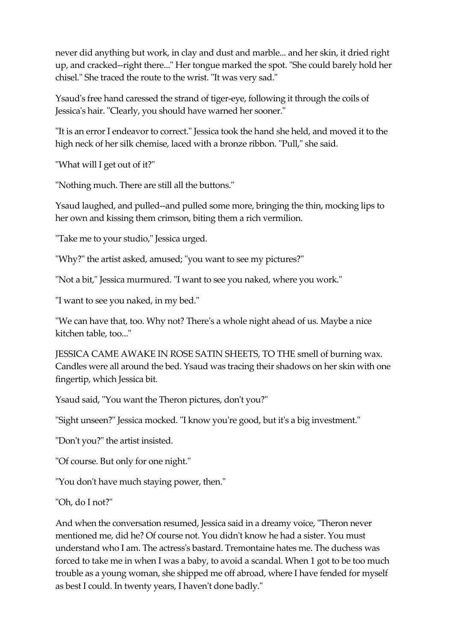never did anything but work, in clay and dust and marble... and her skin, it dried right up, and cracked--right there..." Her tongue marked the spot. "She could barely hold her chisel." She traced the route to the wrist. "It was very sad."

Ysaud's free hand caressed the strand of tiger-eye, following it through the coils of Jessica's hair. "Clearly, you should have warned her sooner."

"It is an error I endeavor to correct." Jessica took the hand she held, and moved it to the high neck of her silk chemise, laced with a bronze ribbon. "Pull," she said.

"What will I get out of it?"

"Nothing much. There are still all the buttons."

Ysaud laughed, and pulled--and pulled some more, bringing the thin, mocking lips to her own and kissing them crimson, biting them a rich vermilion.

"Take me to your studio," Jessica urged.

"Why?" the artist asked, amused; "you want to see my pictures?"

"Not a bit," Jessica murmured. "I want to see you naked, where you work."

"I want to see you naked, in my bed."

"We can have that, too. Why not? There's a whole night ahead of us. Maybe a nice kitchen table, too..."

JESSICA CAME AWAKE IN ROSE SATIN SHEETS, TO THE smell of burning wax. Candles were all around the bed. Ysaud was tracing their shadows on her skin with one fingertip, which Jessica bit.

Ysaud said, "You want the Theron pictures, don't you?"

"Sight unseen?" Jessica mocked. "I know you're good, but it's a big investment."

"Don't you?" the artist insisted.

"Of course. But only for one night."

"You don't have much staying power, then."

"Oh, do I not?"

And when the conversation resumed, Jessica said in a dreamy voice, "Theron never mentioned me, did he? Of course not. You didn't know he had a sister. You must understand who I am. The actress's bastard. Tremontaine hates me. The duchess was forced to take me in when I was a baby, to avoid a scandal. When 1 got to be too much trouble as a young woman, she shipped me off abroad, where I have fended for myself as best I could. In twenty years, I haven't done badly."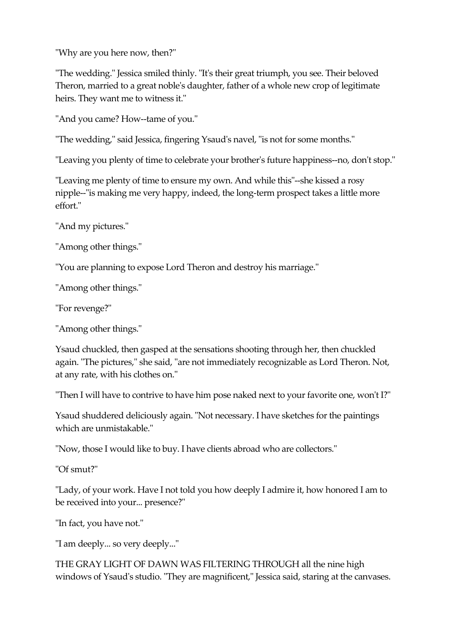"Why are you here now, then?"

"The wedding." Jessica smiled thinly. "It's their great triumph, you see. Their beloved Theron, married to a great noble's daughter, father of a whole new crop of legitimate heirs. They want me to witness it."

"And you came? How--tame of you."

"The wedding," said Jessica, fingering Ysaud's navel, "is not for some months."

"Leaving you plenty of time to celebrate your brother's future happiness--no, don't stop."

"Leaving me plenty of time to ensure my own. And while this"--she kissed a rosy nipple--"is making me very happy, indeed, the long-term prospect takes a little more effort."

"And my pictures."

"Among other things."

"You are planning to expose Lord Theron and destroy his marriage."

"Among other things."

"For revenge?"

"Among other things."

Ysaud chuckled, then gasped at the sensations shooting through her, then chuckled again. "The pictures," she said, "are not immediately recognizable as Lord Theron. Not, at any rate, with his clothes on."

"Then I will have to contrive to have him pose naked next to your favorite one, won't I?"

Ysaud shuddered deliciously again. "Not necessary. I have sketches for the paintings which are unmistakable."

"Now, those I would like to buy. I have clients abroad who are collectors."

"Of smut?"

"Lady, of your work. Have I not told you how deeply I admire it, how honored I am to be received into your... presence?"

"In fact, you have not."

"I am deeply... so very deeply..."

THE GRAY LIGHT OF DAWN WAS FILTERING THROUGH all the nine high windows of Ysaud's studio. "They are magnificent," Jessica said, staring at the canvases.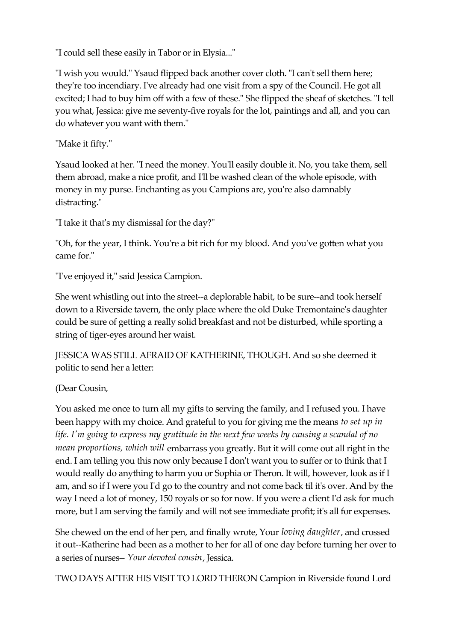"I could sell these easily in Tabor or in Elysia..."

"I wish you would." Ysaud flipped back another cover cloth. "I can't sell them here; they're too incendiary. I've already had one visit from a spy of the Council. He got all excited; I had to buy him off with a few of these." She flipped the sheaf of sketches. "I tell you what, Jessica: give me seventy-five royals for the lot, paintings and all, and you can do whatever you want with them."

"Make it fifty."

Ysaud looked at her. "I need the money. You'll easily double it. No, you take them, sell them abroad, make a nice profit, and I'll be washed clean of the whole episode, with money in my purse. Enchanting as you Campions are, you're also damnably distracting."

"I take it that's my dismissal for the day?"

"Oh, for the year, I think. You're a bit rich for my blood. And you've gotten what you came for."

"I've enjoyed it," said Jessica Campion.

She went whistling out into the street--a deplorable habit, to be sure--and took herself down to a Riverside tavern, the only place where the old Duke Tremontaine's daughter could be sure of getting a really solid breakfast and not be disturbed, while sporting a string of tiger-eyes around her waist.

JESSICA WAS STILL AFRAID OF KATHERINE, THOUGH. And so she deemed it politic to send her a letter:

(Dear Cousin,

You asked me once to turn all my gifts to serving the family, and I refused you. I have been happy with my choice. And grateful to you for giving me the means *to set up in life. I'm going to express my gratitude in the next few weeks by causing a scandal of no mean proportions, which will* embarrass you greatly. But it will come out all right in the end. I am telling you this now only because I don't want you to suffer or to think that I would really do anything to harm you or Sophia or Theron. It will, however, look as if I am, and so if I were you I'd go to the country and not come back til it's over. And by the way I need a lot of money, 150 royals or so for now. If you were a client I'd ask for much more, but I am serving the family and will not see immediate profit; it's all for expenses.

She chewed on the end of her pen, and finally wrote, Your *loving daughter*, and crossed it out--Katherine had been as a mother to her for all of one day before turning her over to a series of nurses-- *Your devoted cousin*, Jessica.

TWO DAYS AFTER HIS VISIT TO LORD THERON Campion in Riverside found Lord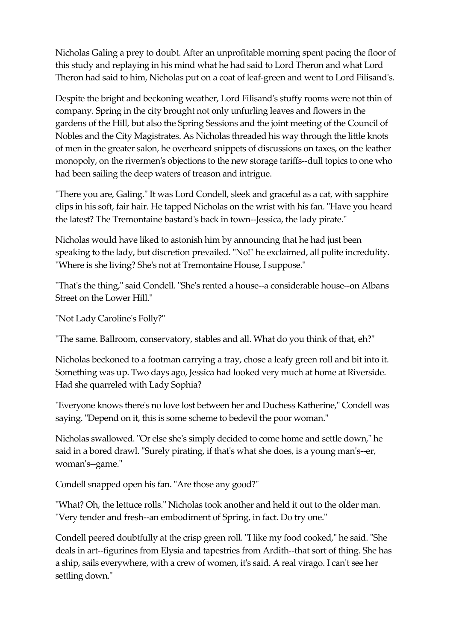Nicholas Galing a prey to doubt. After an unprofitable morning spent pacing the floor of this study and replaying in his mind what he had said to Lord Theron and what Lord Theron had said to him, Nicholas put on a coat of leaf-green and went to Lord Filisand's.

Despite the bright and beckoning weather, Lord Filisand's stuffy rooms were not thin of company. Spring in the city brought not only unfurling leaves and flowers in the gardens of the Hill, but also the Spring Sessions and the joint meeting of the Council of Nobles and the City Magistrates. As Nicholas threaded his way through the little knots of men in the greater salon, he overheard snippets of discussions on taxes, on the leather monopoly, on the rivermen's objections to the new storage tariffs--dull topics to one who had been sailing the deep waters of treason and intrigue.

"There you are, Galing." It was Lord Condell, sleek and graceful as a cat, with sapphire clips in his soft, fair hair. He tapped Nicholas on the wrist with his fan. "Have you heard the latest? The Tremontaine bastard's back in town--Jessica, the lady pirate."

Nicholas would have liked to astonish him by announcing that he had just been speaking to the lady, but discretion prevailed. "No!" he exclaimed, all polite incredulity. "Where is she living? She's not at Tremontaine House, I suppose."

"That's the thing," said Condell. "She's rented a house--a considerable house--on Albans Street on the Lower Hill."

"Not Lady Caroline's Folly?"

"The same. Ballroom, conservatory, stables and all. What do you think of that, eh?"

Nicholas beckoned to a footman carrying a tray, chose a leafy green roll and bit into it. Something was up. Two days ago, Jessica had looked very much at home at Riverside. Had she quarreled with Lady Sophia?

"Everyone knows there's no love lost between her and Duchess Katherine," Condell was saying. "Depend on it, this is some scheme to bedevil the poor woman."

Nicholas swallowed. "Or else she's simply decided to come home and settle down," he said in a bored drawl. "Surely pirating, if that's what she does, is a young man's--er, woman's--game."

Condell snapped open his fan. "Are those any good?"

"What? Oh, the lettuce rolls." Nicholas took another and held it out to the older man. "Very tender and fresh--an embodiment of Spring, in fact. Do try one."

Condell peered doubtfully at the crisp green roll. "I like my food cooked," he said. "She deals in art--figurines from Elysia and tapestries from Ardith--that sort of thing. She has a ship, sails everywhere, with a crew of women, it's said. A real virago. I can't see her settling down."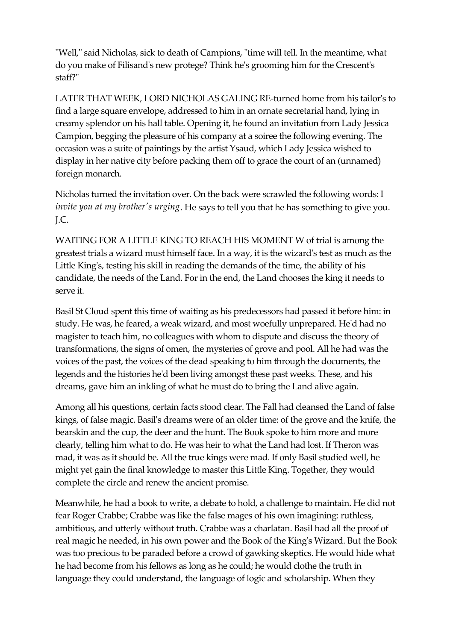"Well," said Nicholas, sick to death of Campions, "time will tell. In the meantime, what do you make of Filisand's new protege? Think he's grooming him for the Crescent's staff?"

LATER THAT WEEK, LORD NICHOLAS GALING RE-turned home from his tailor's to find a large square envelope, addressed to him in an ornate secretarial hand, lying in creamy splendor on his hall table. Opening it, he found an invitation from Lady Jessica Campion, begging the pleasure of his company at a soiree the following evening. The occasion was a suite of paintings by the artist Ysaud, which Lady Jessica wished to display in her native city before packing them off to grace the court of an (unnamed) foreign monarch.

Nicholas turned the invitation over. On the back were scrawled the following words: I *invite you at my brother's urging*. He says to tell you that he has something to give you. J.C.

WAITING FOR A LlTTLE KlNG TO REACH HIS MOMENT W of trial is among the greatest trials a wizard must himself face. In a way, it is the wizard's test as much as the Little King's, testing his skill in reading the demands of the time, the ability of his candidate, the needs of the Land. For in the end, the Land chooses the king it needs to serve it.

Basil St Cloud spent this time of waiting as his predecessors had passed it before him: in study. He was, he feared, a weak wizard, and most woefully unprepared. He'd had no magister to teach him, no colleagues with whom to dispute and discuss the theory of transformations, the signs of omen, the mysteries of grove and pool. All he had was the voices of the past, the voices of the dead speaking to him through the documents, the legends and the histories he'd been living amongst these past weeks. These, and his dreams, gave him an inkling of what he must do to bring the Land alive again.

Among all his questions, certain facts stood clear. The Fall had cleansed the Land of false kings, of false magic. Basil's dreams were of an older time: of the grove and the knife, the bearskin and the cup, the deer and the hunt. The Book spoke to him more and more clearly, telling him what to do. He was heir to what the Land had lost. If Theron was mad, it was as it should be. All the true kings were mad. If only Basil studied well, he might yet gain the final knowledge to master this Little King. Together, they would complete the circle and renew the ancient promise.

Meanwhile, he had a book to write, a debate to hold, a challenge to maintain. He did not fear Roger Crabbe; Crabbe was like the false mages of his own imagining: ruthless, ambitious, and utterly without truth. Crabbe was a charlatan. Basil had all the proof of real magic he needed, in his own power and the Book of the King's Wizard. But the Book was too precious to be paraded before a crowd of gawking skeptics. He would hide what he had become from his fellows as long as he could; he would clothe the truth in language they could understand, the language of logic and scholarship. When they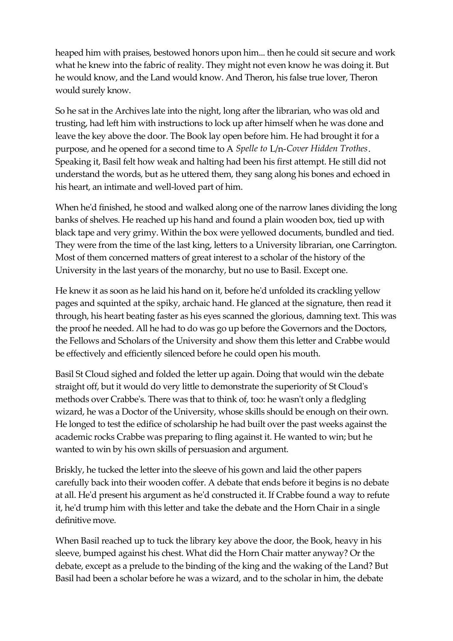heaped him with praises, bestowed honors upon him... then he could sit secure and work what he knew into the fabric of reality. They might not even know he was doing it. But he would know, and the Land would know. And Theron, his false true lover, Theron would surely know.

So he sat in the Archives late into the night, long after the librarian, who was old and trusting, had left him with instructions to lock up after himself when he was done and leave the key above the door. The Book lay open before him. He had brought it for a purpose, and he opened for a second time to A *Spelle to* L/n-*Cover Hidden Trothes*. Speaking it, Basil felt how weak and halting had been his first attempt. He still did not understand the words, but as he uttered them, they sang along his bones and echoed in his heart, an intimate and well-loved part of him.

When he'd finished, he stood and walked along one of the narrow lanes dividing the long banks of shelves. He reached up his hand and found a plain wooden box, tied up with black tape and very grimy. Within the box were yellowed documents, bundled and tied. They were from the time of the last king, letters to a University librarian, one Carrington. Most of them concerned matters of great interest to a scholar of the history of the University in the last years of the monarchy, but no use to Basil. Except one.

He knew it as soon as he laid his hand on it, before he'd unfolded its crackling yellow pages and squinted at the spiky, archaic hand. He glanced at the signature, then read it through, his heart beating faster as his eyes scanned the glorious, damning text. This was the proof he needed. All he had to do was go up before the Governors and the Doctors, the Fellows and Scholars of the University and show them this letter and Crabbe would be effectively and efficiently silenced before he could open his mouth.

Basil St Cloud sighed and folded the letter up again. Doing that would win the debate straight off, but it would do very little to demonstrate the superiority of St Cloud's methods over Crabbe's. There was that to think of, too: he wasn't only a fledgling wizard, he was a Doctor of the University, whose skills should be enough on their own. He longed to test the edifice of scholarship he had built over the past weeks against the academic rocks Crabbe was preparing to fling against it. He wanted to win; but he wanted to win by his own skills of persuasion and argument.

Briskly, he tucked the letter into the sleeve of his gown and laid the other papers carefully back into their wooden coffer. A debate that ends before it begins is no debate at all. He'd present his argument as he'd constructed it. If Crabbe found a way to refute it, he'd trump him with this letter and take the debate and the Horn Chair in a single definitive move.

When Basil reached up to tuck the library key above the door, the Book, heavy in his sleeve, bumped against his chest. What did the Horn Chair matter anyway? Or the debate, except as a prelude to the binding of the king and the waking of the Land? But Basil had been a scholar before he was a wizard, and to the scholar in him, the debate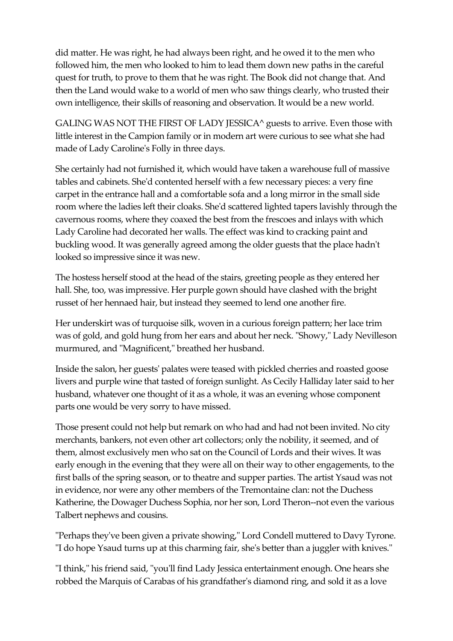did matter. He was right, he had always been right, and he owed it to the men who followed him, the men who looked to him to lead them down new paths in the careful quest for truth, to prove to them that he was right. The Book did not change that. And then the Land would wake to a world of men who saw things clearly, who trusted their own intelligence, their skills of reasoning and observation. It would be a new world.

GALING WAS NOT THE FIRST OF LADY JESSICA^ guests to arrive. Even those with little interest in the Campion family or in modern art were curious to see what she had made of Lady Caroline's Folly in three days.

She certainly had not furnished it, which would have taken a warehouse full of massive tables and cabinets. She'd contented herself with a few necessary pieces: a very fine carpet in the entrance hall and a comfortable sofa and a long mirror in the small side room where the ladies left their cloaks. She'd scattered lighted tapers lavishly through the cavernous rooms, where they coaxed the best from the frescoes and inlays with which Lady Caroline had decorated her walls. The effect was kind to cracking paint and buckling wood. It was generally agreed among the older guests that the place hadn't looked so impressive since it was new.

The hostess herself stood at the head of the stairs, greeting people as they entered her hall. She, too, was impressive. Her purple gown should have clashed with the bright russet of her hennaed hair, but instead they seemed to lend one another fire.

Her underskirt was of turquoise silk, woven in a curious foreign pattern; her lace trim was of gold, and gold hung from her ears and about her neck. "Showy," Lady Nevilleson murmured, and "Magnificent," breathed her husband.

Inside the salon, her guests' palates were teased with pickled cherries and roasted goose livers and purple wine that tasted of foreign sunlight. As Cecily Halliday later said to her husband, whatever one thought of it as a whole, it was an evening whose component parts one would be very sorry to have missed.

Those present could not help but remark on who had and had not been invited. No city merchants, bankers, not even other art collectors; only the nobility, it seemed, and of them, almost exclusively men who sat on the Council of Lords and their wives. It was early enough in the evening that they were all on their way to other engagements, to the first balls of the spring season, or to theatre and supper parties. The artist Ysaud was not in evidence, nor were any other members of the Tremontaine clan: not the Duchess Katherine, the Dowager Duchess Sophia, nor her son, Lord Theron--not even the various Talbert nephews and cousins.

"Perhaps they've been given a private showing," Lord Condell muttered to Davy Tyrone. "I do hope Ysaud turns up at this charming fair, she's better than a juggler with knives."

"I think," his friend said, "you'll find Lady Jessica entertainment enough. One hears she robbed the Marquis of Carabas of his grandfather's diamond ring, and sold it as a love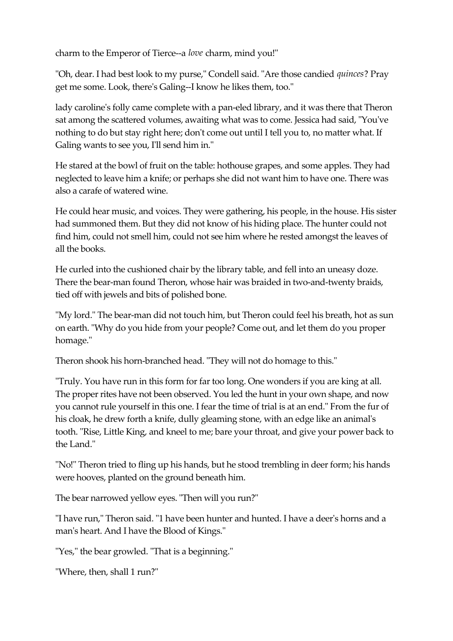charm to the Emperor of Tierce--a *love* charm, mind you!"

"Oh, dear. I had best look to my purse," Condell said. "Are those candied *quinces*? Pray get me some. Look, there's Galing--I know he likes them, too."

lady caroline's folly came complete with a pan-eled library, and it was there that Theron sat among the scattered volumes, awaiting what was to come. Jessica had said, "You've nothing to do but stay right here; don't come out until I tell you to, no matter what. If Galing wants to see you, I'll send him in."

He stared at the bowl of fruit on the table: hothouse grapes, and some apples. They had neglected to leave him a knife; or perhaps she did not want him to have one. There was also a carafe of watered wine.

He could hear music, and voices. They were gathering, his people, in the house. His sister had summoned them. But they did not know of his hiding place. The hunter could not find him, could not smell him, could not see him where he rested amongst the leaves of all the books.

He curled into the cushioned chair by the library table, and fell into an uneasy doze. There the bear-man found Theron, whose hair was braided in two-and-twenty braids, tied off with jewels and bits of polished bone.

"My lord." The bear-man did not touch him, but Theron could feel his breath, hot as sun on earth. "Why do you hide from your people? Come out, and let them do you proper homage."

Theron shook his horn-branched head. "They will not do homage to this."

"Truly. You have run in this form for far too long. One wonders if you are king at all. The proper rites have not been observed. You led the hunt in your own shape, and now you cannot rule yourself in this one. I fear the time of trial is at an end." From the fur of his cloak, he drew forth a knife, dully gleaming stone, with an edge like an animal's tooth. "Rise, Little King, and kneel to me; bare your throat, and give your power back to the Land."

"No!" Theron tried to fling up his hands, but he stood trembling in deer form; his hands were hooves, planted on the ground beneath him.

The bear narrowed yellow eyes. "Then will you run?"

"I have run," Theron said. "1 have been hunter and hunted. I have a deer's horns and a man's heart. And I have the Blood of Kings."

"Yes," the bear growled. "That is a beginning."

"Where, then, shall 1 run?"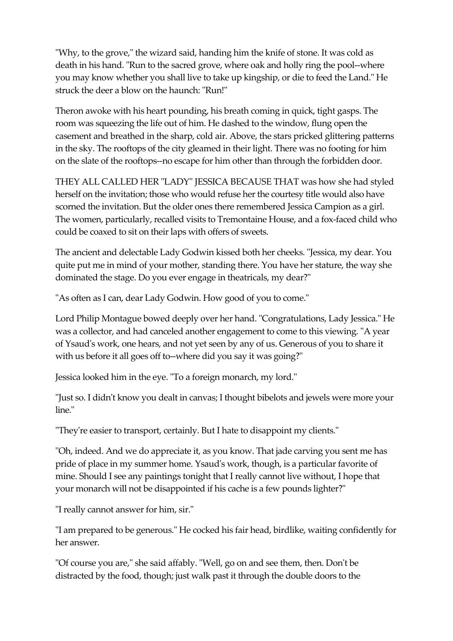"Why, to the grove," the wizard said, handing him the knife of stone. It was cold as death in his hand. "Run to the sacred grove, where oak and holly ring the pool--where you may know whether you shall live to take up kingship, or die to feed the Land." He struck the deer a blow on the haunch: "Run!"

Theron awoke with his heart pounding, his breath coming in quick, tight gasps. The room was squeezing the life out of him. He dashed to the window, flung open the casement and breathed in the sharp, cold air. Above, the stars pricked glittering patterns in the sky. The rooftops of the city gleamed in their light. There was no footing for him on the slate of the rooftops--no escape for him other than through the forbidden door.

THEY ALL CALLED HER "LADY" JESSICA BECAUSE THAT was how she had styled herself on the invitation; those who would refuse her the courtesy title would also have scorned the invitation. But the older ones there remembered Jessica Campion as a girl. The women, particularly, recalled visits to Tremontaine House, and a fox-faced child who could be coaxed to sit on their laps with offers of sweets.

The ancient and delectable Lady Godwin kissed both her cheeks. "Jessica, my dear. You quite put me in mind of your mother, standing there. You have her stature, the way she dominated the stage. Do you ever engage in theatricals, my dear?"

"As often as I can, dear Lady Godwin. How good of you to come."

Lord Philip Montague bowed deeply over her hand. "Congratulations, Lady Jessica." He was a collector, and had canceled another engagement to come to this viewing. "A year of Ysaud's work, one hears, and not yet seen by any of us. Generous of you to share it with us before it all goes off to--where did you say it was going?"

Jessica looked him in the eye. "To a foreign monarch, my lord."

"Just so. I didn't know you dealt in canvas; I thought bibelots and jewels were more your line."

"They're easier to transport, certainly. But I hate to disappoint my clients."

"Oh, indeed. And we do appreciate it, as you know. That jade carving you sent me has pride of place in my summer home. Ysaud's work, though, is a particular favorite of mine. Should I see any paintings tonight that I really cannot live without, I hope that your monarch will not be disappointed if his cache is a few pounds lighter?"

"I really cannot answer for him, sir."

"I am prepared to be generous." He cocked his fair head, birdlike, waiting confidently for her answer.

"Of course you are," she said affably. "Well, go on and see them, then. Don't be distracted by the food, though; just walk past it through the double doors to the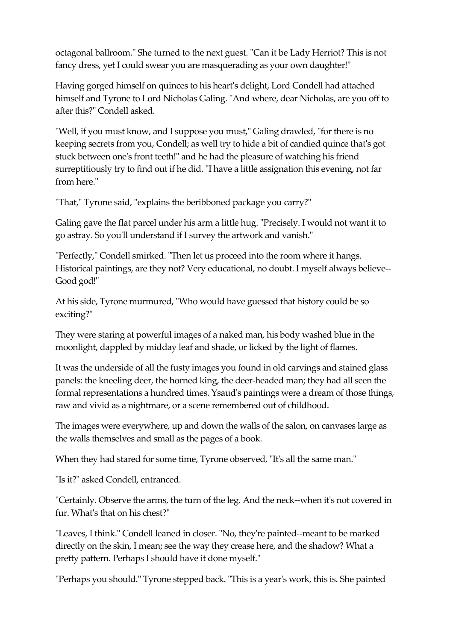octagonal ballroom." She turned to the next guest. "Can it be Lady Herriot? This is not fancy dress, yet I could swear you are masquerading as your own daughter!"

Having gorged himself on quinces to his heart's delight, Lord Condell had attached himself and Tyrone to Lord Nicholas Galing. "And where, dear Nicholas, are you off to after this?" Condell asked.

"Well, if you must know, and I suppose you must," Galing drawled, "for there is no keeping secrets from you, Condell; as well try to hide a bit of candied quince that's got stuck between one's front teeth!" and he had the pleasure of watching his friend surreptitiously try to find out if he did. "I have a little assignation this evening, not far from here."

"That," Tyrone said, "explains the beribboned package you carry?"

Galing gave the flat parcel under his arm a little hug. "Precisely. I would not want it to go astray. So you'll understand if I survey the artwork and vanish."

"Perfectly," Condell smirked. "Then let us proceed into the room where it hangs. Historical paintings, are they not? Very educational, no doubt. I myself always believe-- Good god!"

At his side, Tyrone murmured, "Who would have guessed that history could be so exciting?"

They were staring at powerful images of a naked man, his body washed blue in the moonlight, dappled by midday leaf and shade, or licked by the light of flames.

It was the underside of all the fusty images you found in old carvings and stained glass panels: the kneeling deer, the horned king, the deer-headed man; they had all seen the formal representations a hundred times. Ysaud's paintings were a dream of those things, raw and vivid as a nightmare, or a scene remembered out of childhood.

The images were everywhere, up and down the walls of the salon, on canvases large as the walls themselves and small as the pages of a book.

When they had stared for some time, Tyrone observed, "It's all the same man."

"Is it?" asked Condell, entranced.

"Certainly. Observe the arms, the turn of the leg. And the neck--when it's not covered in fur. What's that on his chest?"

"Leaves, I think." Condell leaned in closer. "No, they're painted--meant to be marked directly on the skin, I mean; see the way they crease here, and the shadow? What a pretty pattern. Perhaps I should have it done myself."

"Perhaps you should." Tyrone stepped back. "This is a year's work, this is. She painted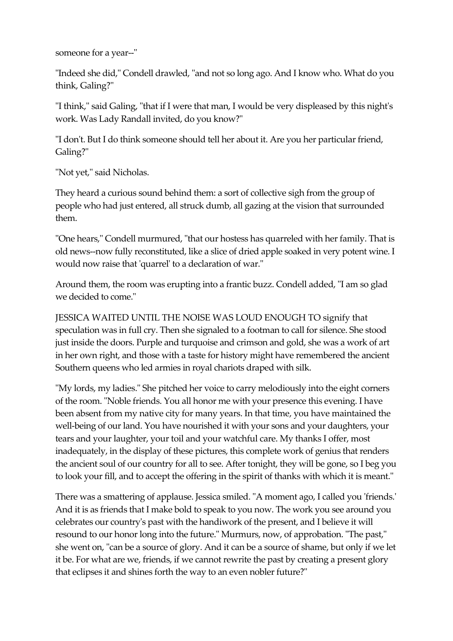someone for a year--"

"Indeed she did," Condell drawled, "and not so long ago. And I know who. What do you think, Galing?"

"I think," said Galing, "that if I were that man, I would be very displeased by this night's work. Was Lady Randall invited, do you know?"

"I don't. But I do think someone should tell her about it. Are you her particular friend, Galing?"

"Not yet," said Nicholas.

They heard a curious sound behind them: a sort of collective sigh from the group of people who had just entered, all struck dumb, all gazing at the vision that surrounded them.

"One hears," Condell murmured, "that our hostess has quarreled with her family. That is old news--now fully reconstituted, like a slice of dried apple soaked in very potent wine. I would now raise that 'quarrel' to a declaration of war."

Around them, the room was erupting into a frantic buzz. Condell added, "I am so glad we decided to come."

JESSICA WAITED UNTIL THE NOISE WAS LOUD ENOUGH TO signify that speculation was in full cry. Then she signaled to a footman to call for silence. She stood just inside the doors. Purple and turquoise and crimson and gold, she was a work of art in her own right, and those with a taste for history might have remembered the ancient Southern queens who led armies in royal chariots draped with silk.

"My lords, my ladies." She pitched her voice to carry melodiously into the eight corners of the room. "Noble friends. You all honor me with your presence this evening. I have been absent from my native city for many years. In that time, you have maintained the well-being of our land. You have nourished it with your sons and your daughters, your tears and your laughter, your toil and your watchful care. My thanks I offer, most inadequately, in the display of these pictures, this complete work of genius that renders the ancient soul of our country for all to see. After tonight, they will be gone, so I beg you to look your fill, and to accept the offering in the spirit of thanks with which it is meant."

There was a smattering of applause. Jessica smiled. "A moment ago, I called you 'friends.' And it is as friends that I make bold to speak to you now. The work you see around you celebrates our country's past with the handiwork of the present, and I believe it will resound to our honor long into the future." Murmurs, now, of approbation. "The past," she went on, "can be a source of glory. And it can be a source of shame, but only if we let it be. For what are we, friends, if we cannot rewrite the past by creating a present glory that eclipses it and shines forth the way to an even nobler future?"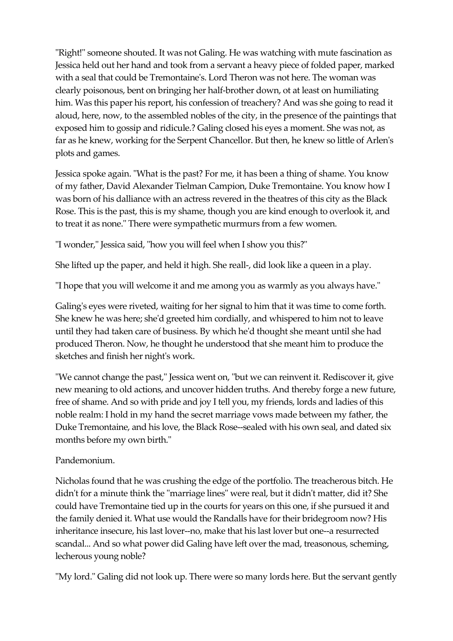"Right!" someone shouted. It was not Galing. He was watching with mute fascination as Jessica held out her hand and took from a servant a heavy piece of folded paper, marked with a seal that could be Tremontaine's. Lord Theron was not here. The woman was clearly poisonous, bent on bringing her half-brother down, ot at least on humiliating him. Was this paper his report, his confession of treachery? And was she going to read it aloud, here, now, to the assembled nobles of the city, in the presence of the paintings that exposed him to gossip and ridicule.? Galing closed his eyes a moment. She was not, as far as he knew, working for the Serpent Chancellor. But then, he knew so little of Arlen's plots and games.

Jessica spoke again. "What is the past? For me, it has been a thing of shame. You know of my father, David Alexander Tielman Campion, Duke Tremontaine. You know how I was born of his dalliance with an actress revered in the theatres of this city as the Black Rose. This is the past, this is my shame, though you are kind enough to overlook it, and to treat it as none." There were sympathetic murmurs from a few women.

"I wonder," Jessica said, "how you will feel when I show you this?"

She lifted up the paper, and held it high. She reall-, did look like a queen in a play.

"I hope that you will welcome it and me among you as warmly as you always have."

Galing's eyes were riveted, waiting for her signal to him that it was time to come forth. She knew he was here; she'd greeted him cordially, and whispered to him not to leave until they had taken care of business. By which he'd thought she meant until she had produced Theron. Now, he thought he understood that she meant him to produce the sketches and finish her night's work.

"We cannot change the past," Jessica went on, "but we can reinvent it. Rediscover it, give new meaning to old actions, and uncover hidden truths. And thereby forge a new future, free of shame. And so with pride and joy I tell you, my friends, lords and ladies of this noble realm: I hold in my hand the secret marriage vows made between my father, the Duke Tremontaine, and his love, the Black Rose--sealed with his own seal, and dated six months before my own birth."

## Pandemonium.

Nicholas found that he was crushing the edge of the portfolio. The treacherous bitch. He didn't for a minute think the "marriage lines" were real, but it didn't matter, did it? She could have Tremontaine tied up in the courts for years on this one, if she pursued it and the family denied it. What use would the Randalls have for their bridegroom now? His inheritance insecure, his last lover--no, make that his last lover but one--a resurrected scandal... And so what power did Galing have left over the mad, treasonous, scheming, lecherous young noble?

"My lord." Galing did not look up. There were so many lords here. But the servant gently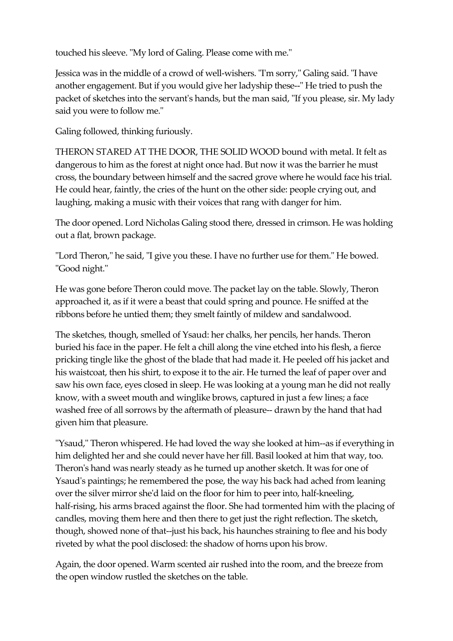touched his sleeve. "My lord of Galing. Please come with me."

Jessica was in the middle of a crowd of well-wishers. "I'm sorry," Galing said. "I have another engagement. But if you would give her ladyship these--" He tried to push the packet of sketches into the servant's hands, but the man said, "If you please, sir. My lady said you were to follow me."

Galing followed, thinking furiously.

THERON STARED AT THE DOOR, THE SOLID WOOD bound with metal. It felt as dangerous to him as the forest at night once had. But now it was the barrier he must cross, the boundary between himself and the sacred grove where he would face his trial. He could hear, faintly, the cries of the hunt on the other side: people crying out, and laughing, making a music with their voices that rang with danger for him.

The door opened. Lord Nicholas Galing stood there, dressed in crimson. He was holding out a flat, brown package.

"Lord Theron," he said, "I give you these. I have no further use for them." He bowed. "Good night."

He was gone before Theron could move. The packet lay on the table. Slowly, Theron approached it, as if it were a beast that could spring and pounce. He sniffed at the ribbons before he untied them; they smelt faintly of mildew and sandalwood.

The sketches, though, smelled of Ysaud: her chalks, her pencils, her hands. Theron buried his face in the paper. He felt a chill along the vine etched into his flesh, a fierce pricking tingle like the ghost of the blade that had made it. He peeled off his jacket and his waistcoat, then his shirt, to expose it to the air. He turned the leaf of paper over and saw his own face, eyes closed in sleep. He was looking at a young man he did not really know, with a sweet mouth and winglike brows, captured in just a few lines; a face washed free of all sorrows by the aftermath of pleasure-- drawn by the hand that had given him that pleasure.

"Ysaud," Theron whispered. He had loved the way she looked at him--as if everything in him delighted her and she could never have her fill. Basil looked at him that way, too. Theron's hand was nearly steady as he turned up another sketch. It was for one of Ysaud's paintings; he remembered the pose, the way his back had ached from leaning over the silver mirror she'd laid on the floor for him to peer into, half-kneeling, half-rising, his arms braced against the floor. She had tormented him with the placing of candles, moving them here and then there to get just the right reflection. The sketch, though, showed none of that--just his back, his haunches straining to flee and his body riveted by what the pool disclosed: the shadow of horns upon his brow.

Again, the door opened. Warm scented air rushed into the room, and the breeze from the open window rustled the sketches on the table.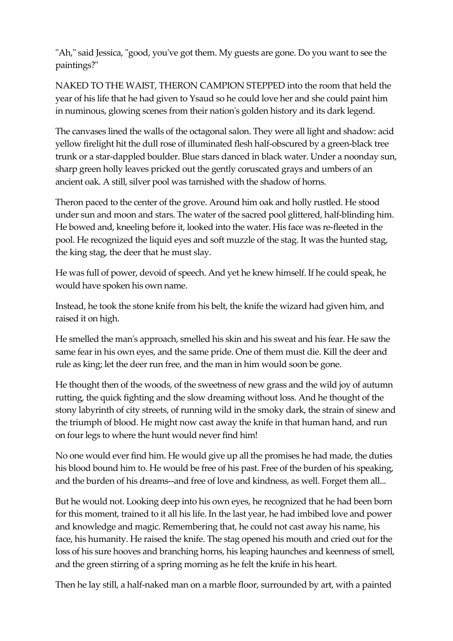"Ah," said Jessica, "good, you've got them. My guests are gone. Do you want to see the paintings?"

NAKED TO THE WAIST, THERON CAMPION STEPPED into the room that held the year of his life that he had given to Ysaud so he could love her and she could paint him in numinous, glowing scenes from their nation's golden history and its dark legend.

The canvases lined the walls of the octagonal salon. They were all light and shadow: acid yellow firelight hit the dull rose of illuminated flesh half-obscured by a green-black tree trunk or a star-dappled boulder. Blue stars danced in black water. Under a noonday sun, sharp green holly leaves pricked out the gently coruscated grays and umbers of an ancient oak. A still, silver pool was tarnished with the shadow of horns.

Theron paced to the center of the grove. Around him oak and holly rustled. He stood under sun and moon and stars. The water of the sacred pool glittered, half-blinding him. He bowed and, kneeling before it, looked into the water. His face was re-fleeted in the pool. He recognized the liquid eyes and soft muzzle of the stag. It was the hunted stag, the king stag, the deer that he must slay.

He was full of power, devoid of speech. And yet he knew himself. If he could speak, he would have spoken his own name.

Instead, he took the stone knife from his belt, the knife the wizard had given him, and raised it on high.

He smelled the man's approach, smelled his skin and his sweat and his fear. He saw the same fear in his own eyes, and the same pride. One of them must die. Kill the deer and rule as king; let the deer run free, and the man in him would soon be gone.

He thought then of the woods, of the sweetness of new grass and the wild joy of autumn rutting, the quick fighting and the slow dreaming without loss. And he thought of the stony labyrinth of city streets, of running wild in the smoky dark, the strain of sinew and the triumph of blood. He might now cast away the knife in that human hand, and run on four legs to where the hunt would never find him!

No one would ever find him. He would give up all the promises he had made, the duties his blood bound him to. He would be free of his past. Free of the burden of his speaking, and the burden of his dreams--and free of love and kindness, as well. Forget them all...

But he would not. Looking deep into his own eyes, he recognized that he had been born for this moment, trained to it all his life. In the last year, he had imbibed love and power and knowledge and magic. Remembering that, he could not cast away his name, his face, his humanity. He raised the knife. The stag opened his mouth and cried out for the loss of his sure hooves and branching horns, his leaping haunches and keenness of smell, and the green stirring of a spring morning as he felt the knife in his heart.

Then he lay still, a half-naked man on a marble floor, surrounded by art, with a painted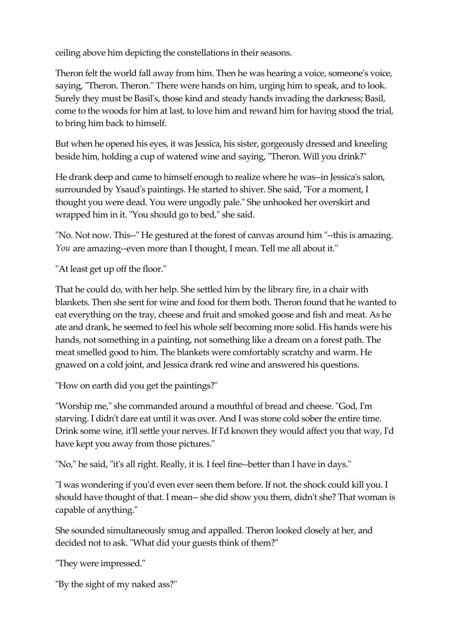ceiling above him depicting the constellations in their seasons.

Theron felt the world fall away from him. Then he was hearing a voice, someone's voice, saying, "Theron. Theron." There were hands on him, urging him to speak, and to look. Surely they must be Basil's, those kind and steady hands invading the darkness; Basil, come to the woods for him at last, to love him and reward him for having stood the trial, to bring him back to himself.

But when he opened his eyes, it was Jessica, his sister, gorgeously dressed and kneeling beside him, holding a cup of watered wine and saying, "Theron. Will you drink?"

He drank deep and came to himself enough to realize where he was--in Jessica's salon, surrounded by Ysaud's paintings. He started to shiver. She said, "For a moment, I thought you were dead. You were ungodly pale." She unhooked her overskirt and wrapped him in it. "You should go to bed," she said.

"No. Not now. This--" He gestured at the forest of canvas around him "--this is amazing. *You* are amazing--even more than I thought, I mean. Tell me all about it."

"At least get up off the floor."

That he could do, with her help. She settled him by the library fire, in a chair with blankets. Then she sent for wine and food for them both. Theron found that he wanted to eat everything on the tray, cheese and fruit and smoked goose and fish and meat. As he ate and drank, he seemed to feel his whole self becoming more solid. His hands were his hands, not something in a painting, not something like a dream on a forest path. The meat smelled good to him. The blankets were comfortably scratchy and warm. He gnawed on a cold joint, and Jessica drank red wine and answered his questions.

"How on earth did you get the paintings?"

"Worship me," she commanded around a mouthful of bread and cheese. "God, I'm starving. I didn't dare eat until it was over. And I was stone cold sober the entire time. Drink some wine, it'll settle your nerves. If I'd known they would affect you that way, I'd have kept you away from those pictures."

"No," he said, "it's all right. Really, it is. I feel fine--better than I have in days."

"I was wondering if you'd even ever seen them before. If not. the shock could kill you. I should have thought of that. I mean-- she did show you them, didn't she? That woman is capable of anything."

She sounded simultaneously smug and appalled. Theron looked closely at her, and decided not to ask. "What did your guests think of them?"

"They were impressed."

"By the sight of my naked ass?"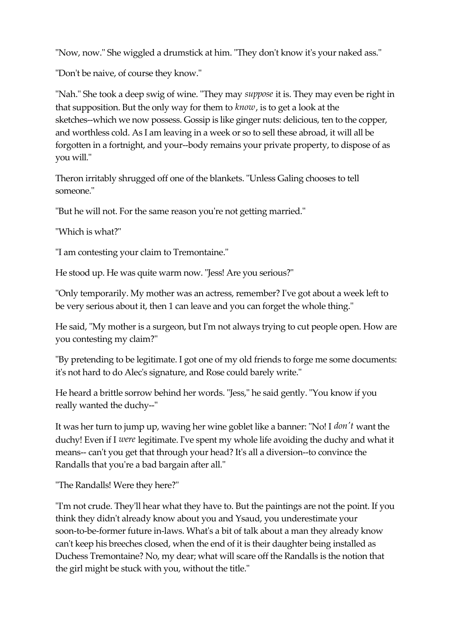"Now, now." She wiggled a drumstick at him. "They don't know it's your naked ass."

"Don't be naive, of course they know."

"Nah." She took a deep swig of wine. "They may *suppose* it is. They may even be right in that supposition. But the only way for them to *know*, is to get a look at the sketches--which we now possess. Gossip is like ginger nuts: delicious, ten to the copper, and worthless cold. As I am leaving in a week or so to sell these abroad, it will all be forgotten in a fortnight, and your--body remains your private property, to dispose of as you will."

Theron irritably shrugged off one of the blankets. "Unless Galing chooses to tell someone."

"But he will not. For the same reason you're not getting married."

"Which is what?"

"I am contesting your claim to Tremontaine."

He stood up. He was quite warm now. "Jess! Are you serious?"

"Only temporarily. My mother was an actress, remember? I've got about a week left to be very serious about it, then 1 can leave and you can forget the whole thing."

He said, "My mother is a surgeon, but I'm not always trying to cut people open. How are you contesting my claim?"

"By pretending to be legitimate. I got one of my old friends to forge me some documents: it's not hard to do Alec's signature, and Rose could barely write."

He heard a brittle sorrow behind her words. "Jess," he said gently. "You know if you really wanted the duchy--"

It was her turn to jump up, waving her wine goblet like a banner: "No! I *don't* want the duchy! Even if I *were* legitimate. I've spent my whole life avoiding the duchy and what it means-- can't you get that through your head? It's all a diversion--to convince the Randalls that you're a bad bargain after all."

"The Randalls! Were they here?"

"I'm not crude. They'll hear what they have to. But the paintings are not the point. If you think they didn't already know about you and Ysaud, you underestimate your soon-to-be-former future in-laws. What's a bit of talk about a man they already know can't keep his breeches closed, when the end of it is their daughter being installed as Duchess Tremontaine? No, my dear; what will scare off the Randalls is the notion that the girl might be stuck with you, without the title."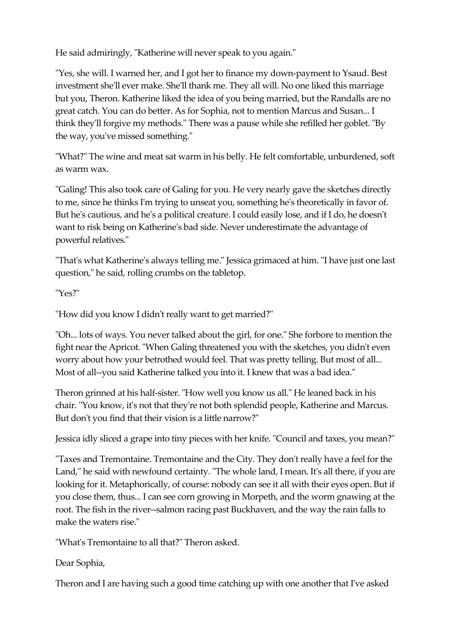He said admiringly, "Katherine will never speak to you again."

"Yes, she will. I warned her, and I got her to finance my down-payment to Ysaud. Best investment she'll ever make. She'll thank me. They all will. No one liked this marriage but you, Theron. Katherine liked the idea of you being married, but the Randalls are no great catch. You can do better. As for Sophia, not to mention Marcus and Susan... I think they'll forgive my methods." There was a pause while she refilled her goblet. "By the way, you've missed something."

"What?" The wine and meat sat warm in his belly. He felt comfortable, unburdened, soft as warm wax.

"Galing! This also took care of Galing for you. He very nearly gave the sketches directly to me, since he thinks I'm trying to unseat you, something he's theoretically in favor of. But he's cautious, and he's a political creature. I could easily lose, and if I do, he doesn't want to risk being on Katherine's bad side. Never underestimate the advantage of powerful relatives."

"That's what Katherine's always telling me." Jessica grimaced at him. "I have just one last question," he said, rolling crumbs on the tabletop.

"Yes?"

"How did you know I didn't really want to get married?"

"Oh... lots of ways. You never talked about the girl, for one." She forbore to mention the fight near the Apricot. "When Galing threatened you with the sketches, you didn't even worry about how your betrothed would feel. That was pretty telling. But most of all... Most of all--you said Katherine talked you into it. I knew that was a bad idea."

Theron grinned at his half-sister. "How well you know us all." He leaned back in his chair. "You know, it's not that they're not both splendid people, Katherine and Marcus. But don't you find that their vision is a little narrow?"

Jessica idly sliced a grape into tiny pieces with her knife. "Council and taxes, you mean?"

"Taxes and Tremontaine. Tremontaine and the City. They don't really have a feel for the Land," he said with newfound certainty. "The whole land, I mean. It's all there, if you are looking for it. Metaphorically, of course: nobody can see it all with their eyes open. But if you close them, thus... I can see corn growing in Morpeth, and the worm gnawing at the root. The fish in the river--salmon racing past Buckhaven, and the way the rain falls to make the waters rise."

"What's Tremontaine to all that?" Theron asked.

Dear Sophia,

Theron and I are having such a good time catching up with one another that I've asked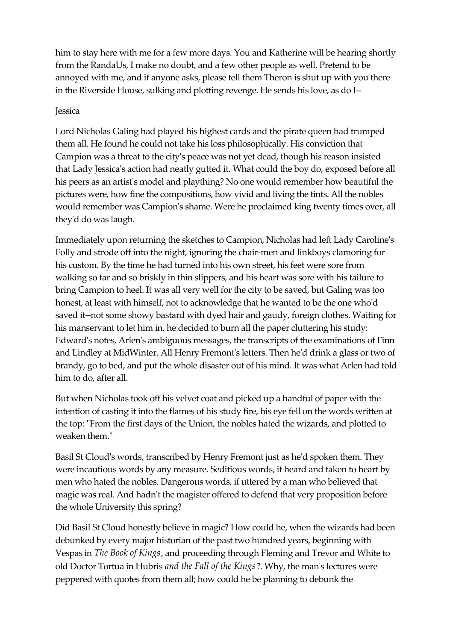him to stay here with me for a few more days. You and Katherine will be hearing shortly from the RandaUs, I make no doubt, and a few other people as well. Pretend to be annoyed with me, and if anyone asks, please tell them Theron is shut up with you there in the Riverside House, sulking and plotting revenge. He sends his love, as do I--

#### *<u>Iessica</u>*

Lord Nicholas Galing had played his highest cards and the pirate queen had trumped them all. He found he could not take his loss philosophically. His conviction that Campion was a threat to the city's peace was not yet dead, though his reason insisted that Lady Jessica's action had neatly gutted it. What could the boy do, exposed before all his peers as an artist's model and plaything? No one would remember how beautiful the pictures were, how fine the compositions, how vivid and living the tints. All the nobles would remember was Campion's shame. Were he proclaimed king twenty times over, all they'd do was laugh.

Immediately upon returning the sketches to Campion, Nicholas had left Lady Caroline's Folly and strode off into the night, ignoring the chair-men and linkboys clamoring for his custom. By the time he had turned into his own street, his feet were sore from walking so far and so briskly in thin slippers, and his heart was sore with his failure to bring Campion to heel. It was all very well for the city to be saved, but Galing was too honest, at least with himself, not to acknowledge that he wanted to be the one who'd saved it--not some showy bastard with dyed hair and gaudy, foreign clothes. Waiting for his manservant to let him in, he decided to burn all the paper cluttering his study: Edward's notes, Arlen's ambiguous messages, the transcripts of the examinations of Finn and Lindley at MidWinter. All Henry Fremont's letters. Then he'd drink a glass or two of brandy, go to bed, and put the whole disaster out of his mind. It was what Arlen had told him to do, after all.

But when Nicholas took off his velvet coat and picked up a handful of paper with the intention of casting it into the flames of his study fire, his eye fell on the words written at the top: "From the first days of the Union, the nobles hated the wizards, and plotted to weaken them."

Basil St Cloud's words, transcribed by Henry Fremont just as he'd spoken them. They were incautious words by any measure. Seditious words, if heard and taken to heart by men who hated the nobles. Dangerous words, if uttered by a man who believed that magic was real. And hadn't the magister offered to defend that very proposition before the whole University this spring?

Did Basil St Cloud honestly believe in magic? How could he, when the wizards had been debunked by every major historian of the past two hundred years, beginning with Vespas in *The Book of Kings*, and proceeding through Fleming and Trevor and White to old Doctor Tortua in Hubris *and the Fall of the Kings*?. Why, the man's lectures were peppered with quotes from them all; how could he be planning to debunk the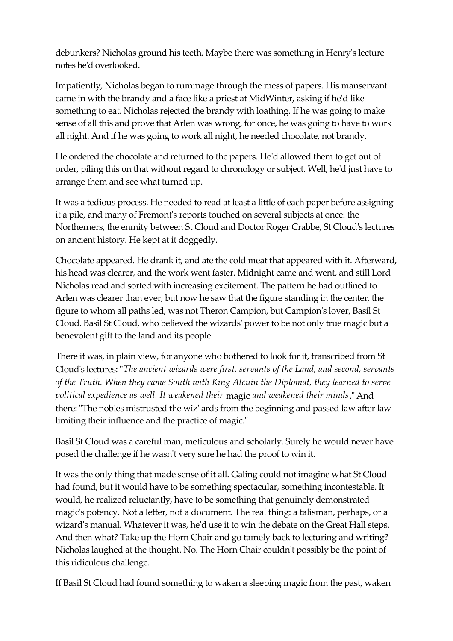debunkers? Nicholas ground his teeth. Maybe there was something in Henry's lecture notes he'd overlooked.

Impatiently, Nicholas began to rummage through the mess of papers. His manservant came in with the brandy and a face like a priest at MidWinter, asking if he'd like something to eat. Nicholas rejected the brandy with loathing. If he was going to make sense of all this and prove that Arlen was wrong, for once, he was going to have to work all night. And if he was going to work all night, he needed chocolate, not brandy.

He ordered the chocolate and returned to the papers. He'd allowed them to get out of order, piling this on that without regard to chronology or subject. Well, he'd just have to arrange them and see what turned up.

It was a tedious process. He needed to read at least a little of each paper before assigning it a pile, and many of Fremont's reports touched on several subjects at once: the Northerners, the enmity between St Cloud and Doctor Roger Crabbe, St Cloud's lectures on ancient history. He kept at it doggedly.

Chocolate appeared. He drank it, and ate the cold meat that appeared with it. Afterward, his head was clearer, and the work went faster. Midnight came and went, and still Lord Nicholas read and sorted with increasing excitement. The pattern he had outlined to Arlen was clearer than ever, but now he saw that the figure standing in the center, the figure to whom all paths led, was not Theron Campion, but Campion's lover, Basil St Cloud. Basil St Cloud, who believed the wizards' power to be not only true magic but a benevolent gift to the land and its people.

There it was, in plain view, for anyone who bothered to look for it, transcribed from St Cloud's lectures: "*The ancient wizards were first, servants of the Land, and second, servants of the Truth. When they came South with King Alcuin the Diplomat, they learned to serve political expedience as well. It weakened their* magic *and weakened their minds*." And there: "The nobles mistrusted the wiz' ards from the beginning and passed law after law limiting their influence and the practice of magic."

Basil St Cloud was a careful man, meticulous and scholarly. Surely he would never have posed the challenge if he wasn't very sure he had the proof to win it.

It was the only thing that made sense of it all. Galing could not imagine what St Cloud had found, but it would have to be something spectacular, something incontestable. It would, he realized reluctantly, have to be something that genuinely demonstrated magic's potency. Not a letter, not a document. The real thing: a talisman, perhaps, or a wizard's manual. Whatever it was, he'd use it to win the debate on the Great Hall steps. And then what? Take up the Horn Chair and go tamely back to lecturing and writing? Nicholas laughed at the thought. No. The Horn Chair couldn't possibly be the point of this ridiculous challenge.

If Basil St Cloud had found something to waken a sleeping magic from the past, waken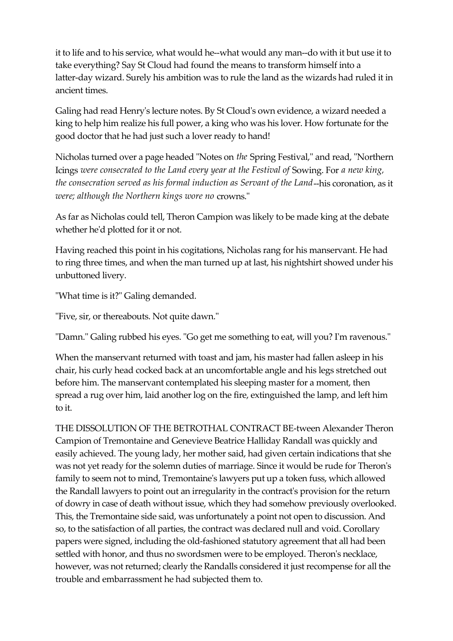it to life and to his service, what would he--what would any man--do with it but use it to take everything? Say St Cloud had found the means to transform himself into a latter-day wizard. Surely his ambition was to rule the land as the wizards had ruled it in ancient times.

Galing had read Henry's lecture notes. By St Cloud's own evidence, a wizard needed a king to help him realize his full power, a king who was his lover. How fortunate for the good doctor that he had just such a lover ready to hand!

Nicholas turned over a page headed "Notes on *the* Spring Festival," and read, "Northern Icings *were consecrated to the Land every year at the Festival of* Sowing. For *a new king, the consecration served as his formal induction as Servant of the Land*--his coronation, as it *were; although the Northern kings wore no* crowns."

As far as Nicholas could tell, Theron Campion was likely to be made king at the debate whether he'd plotted for it or not.

Having reached this point in his cogitations, Nicholas rang for his manservant. He had to ring three times, and when the man turned up at last, his nightshirt showed under his unbuttoned livery.

"What time is it?" Galing demanded.

"Five, sir, or thereabouts. Not quite dawn."

"Damn." Galing rubbed his eyes. "Go get me something to eat, will you? I'm ravenous."

When the manservant returned with toast and jam, his master had fallen asleep in his chair, his curly head cocked back at an uncomfortable angle and his legs stretched out before him. The manservant contemplated his sleeping master for a moment, then spread a rug over him, laid another log on the fire, extinguished the lamp, and left him to it.

THE DISSOLUTION OF THE BETROTHAL CONTRACT BE-tween Alexander Theron Campion of Tremontaine and Genevieve Beatrice Halliday Randall was quickly and easily achieved. The young lady, her mother said, had given certain indications that she was not yet ready for the solemn duties of marriage. Since it would be rude for Theron's family to seem not to mind, Tremontaine's lawyers put up a token fuss, which allowed the Randall lawyers to point out an irregularity in the contract's provision for the return of dowry in case of death without issue, which they had somehow previously overlooked. This, the Tremontaine side said, was unfortunately a point not open to discussion. And so, to the satisfaction of all parties, the contract was declared null and void. Corollary papers were signed, including the old-fashioned statutory agreement that all had been settled with honor, and thus no swordsmen were to be employed. Theron's necklace, however, was not returned; clearly the Randalls considered it just recompense for all the trouble and embarrassment he had subjected them to.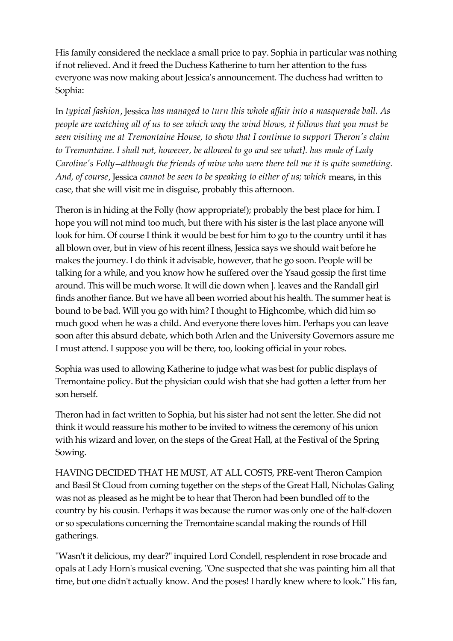His family considered the necklace a small price to pay. Sophia in particular was nothing if not relieved. And it freed the Duchess Katherine to turn her attention to the fuss everyone was now making about Jessica's announcement. The duchess had written to Sophia:

In *typical fashion*, Jessica *has managed to turn this whole affair into a masquerade ball. As people are watching all of us to see which way the wind blows, it follows that you must be seen visiting me at Tremontaine House, to show that I continue to support Theron's claim to Tremontaine. I shall not, however, be allowed to go and see what]. has made of Lady Caroline's Folly*--*although the friends of mine who were there tell me it is quite something. And, of course*, Jessica *cannot be seen to be speaking to either of us; which* means, in this case, that she will visit me in disguise, probably this afternoon.

Theron is in hiding at the Folly (how appropriate!); probably the best place for him. I hope you will not mind too much, but there with his sister is the last place anyone will look for him. Of course I think it would be best for him to go to the country until it has all blown over, but in view of his recent illness, Jessica says we should wait before he makes the journey. I do think it advisable, however, that he go soon. People will be talking for a while, and you know how he suffered over the Ysaud gossip the first time around. This will be much worse. It will die down when ]. leaves and the Randall girl finds another fiance. But we have all been worried about his health. The summer heat is bound to be bad. Will you go with him? I thought to Highcombe, which did him so much good when he was a child. And everyone there loves him. Perhaps you can leave soon after this absurd debate, which both Arlen and the University Governors assure me I must attend. I suppose you will be there, too, looking official in your robes.

Sophia was used to allowing Katherine to judge what was best for public displays of Tremontaine policy. But the physician could wish that she had gotten a letter from her son herself.

Theron had in fact written to Sophia, but his sister had not sent the letter. She did not think it would reassure his mother to be invited to witness the ceremony of his union with his wizard and lover, on the steps of the Great Hall, at the Festival of the Spring Sowing.

HAVING DECIDED THAT HE MUST, AT ALL COSTS, PRE-vent Theron Campion and Basil St Cloud from coming together on the steps of the Great Hall, Nicholas Galing was not as pleased as he might be to hear that Theron had been bundled off to the country by his cousin. Perhaps it was because the rumor was only one of the half-dozen or so speculations concerning the Tremontaine scandal making the rounds of Hill gatherings.

"Wasn't it delicious, my dear?" inquired Lord Condell, resplendent in rose brocade and opals at Lady Horn's musical evening. "One suspected that she was painting him all that time, but one didn't actually know. And the poses! I hardly knew where to look." His fan,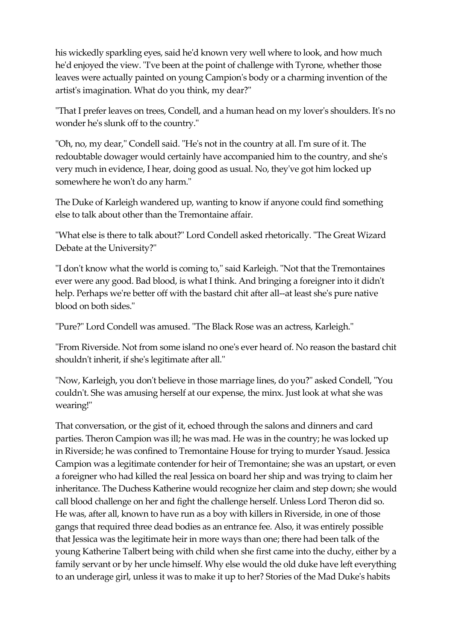his wickedly sparkling eyes, said he'd known very well where to look, and how much he'd enjoyed the view. "I've been at the point of challenge with Tyrone, whether those leaves were actually painted on young Campion's body or a charming invention of the artist's imagination. What do you think, my dear?"

"That I prefer leaves on trees, Condell, and a human head on my lover's shoulders. It's no wonder he's slunk off to the country."

"Oh, no, my dear," Condell said. "He's not in the country at all. I'm sure of it. The redoubtable dowager would certainly have accompanied him to the country, and she's very much in evidence, I hear, doing good as usual. No, they've got him locked up somewhere he won't do any harm."

The Duke of Karleigh wandered up, wanting to know if anyone could find something else to talk about other than the Tremontaine affair.

"What else is there to talk about?" Lord Condell asked rhetorically. "The Great Wizard Debate at the University?"

"I don't know what the world is coming to," said Karleigh. "Not that the Tremontaines ever were any good. Bad blood, is what I think. And bringing a foreigner into it didn't help. Perhaps we're better off with the bastard chit after all--at least she's pure native blood on both sides."

"Pure?" Lord Condell was amused. "The Black Rose was an actress, Karleigh."

"From Riverside. Not from some island no one's ever heard of. No reason the bastard chit shouldn't inherit, if she's legitimate after all."

"Now, Karleigh, you don't believe in those marriage lines, do you?" asked Condell, "You couldn't. She was amusing herself at our expense, the minx. Just look at what she was wearing!"

That conversation, or the gist of it, echoed through the salons and dinners and card parties. Theron Campion was ill; he was mad. He was in the country; he was locked up in Riverside; he was confined to Tremontaine House for trying to murder Ysaud. Jessica Campion was a legitimate contender for heir of Tremontaine; she was an upstart, or even a foreigner who had killed the real Jessica on board her ship and was trying to claim her inheritance. The Duchess Katherine would recognize her claim and step down; she would call blood challenge on her and fight the challenge herself. Unless Lord Theron did so. He was, after all, known to have run as a boy with killers in Riverside, in one of those gangs that required three dead bodies as an entrance fee. Also, it was entirely possible that Jessica was the legitimate heir in more ways than one; there had been talk of the young Katherine Talbert being with child when she first came into the duchy, either by a family servant or by her uncle himself. Why else would the old duke have left everything to an underage girl, unless it was to make it up to her? Stories of the Mad Duke's habits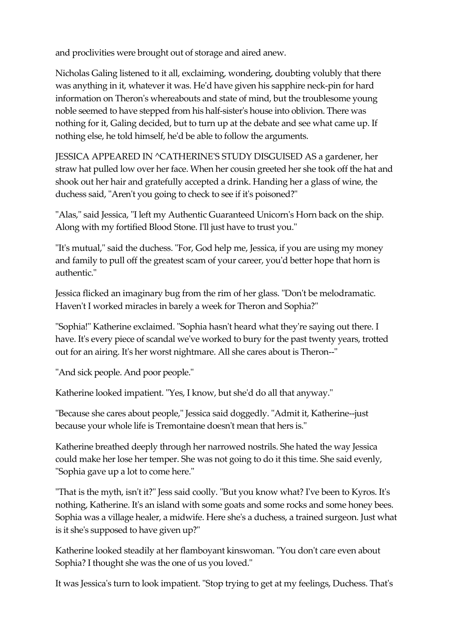and proclivities were brought out of storage and aired anew.

Nicholas Galing listened to it all, exclaiming, wondering, doubting volubly that there was anything in it, whatever it was. He'd have given his sapphire neck-pin for hard information on Theron's whereabouts and state of mind, but the troublesome young noble seemed to have stepped from his half-sister's house into oblivion. There was nothing for it, Galing decided, but to turn up at the debate and see what came up. If nothing else, he told himself, he'd be able to follow the arguments.

JESSICA APPEARED IN ^CATHERINE'S STUDY DISGUISED AS a gardener, her straw hat pulled low over her face. When her cousin greeted her she took off the hat and shook out her hair and gratefully accepted a drink. Handing her a glass of wine, the duchess said, "Aren't you going to check to see if it's poisoned?"

"Alas," said Jessica, "I left my Authentic Guaranteed Unicorn's Horn back on the ship. Along with my fortified Blood Stone. I'll just have to trust you."

"It's mutual," said the duchess. "For, God help me, Jessica, if you are using my money and family to pull off the greatest scam of your career, you'd better hope that horn is authentic."

Jessica flicked an imaginary bug from the rim of her glass. "Don't be melodramatic. Haven't I worked miracles in barely a week for Theron and Sophia?"

"Sophia!" Katherine exclaimed. "Sophia hasn't heard what they're saying out there. I have. It's every piece of scandal we've worked to bury for the past twenty years, trotted out for an airing. It's her worst nightmare. All she cares about is Theron--"

"And sick people. And poor people."

Katherine looked impatient. "Yes, I know, but she'd do all that anyway."

"Because she cares about people," Jessica said doggedly. "Admit it, Katherine--just because your whole life is Tremontaine doesn't mean that hers is."

Katherine breathed deeply through her narrowed nostrils. She hated the way Jessica could make her lose her temper. She was not going to do it this time. She said evenly, "Sophia gave up a lot to come here."

"That is the myth, isn't it?" Jess said coolly. "But you know what? I've been to Kyros. It's nothing, Katherine. It's an island with some goats and some rocks and some honey bees. Sophia was a village healer, a midwife. Here she's a duchess, a trained surgeon. Just what is it she's supposed to have given up?"

Katherine looked steadily at her flamboyant kinswoman. "You don't care even about Sophia? I thought she was the one of us you loved."

It was Jessica's turn to look impatient. "Stop trying to get at my feelings, Duchess. That's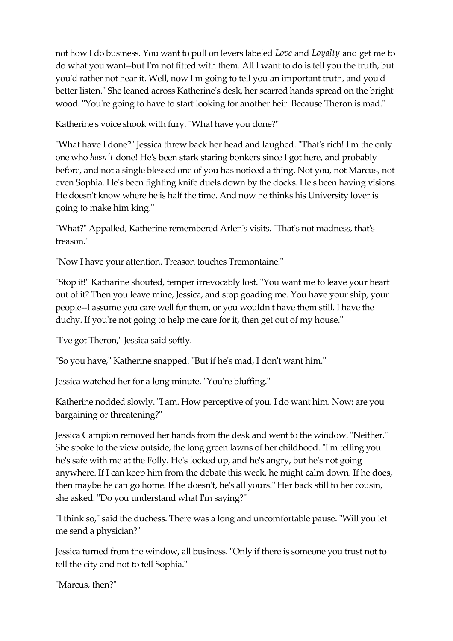not how I do business. You want to pull on levers labeled *Love* and *Loyalty* and get me to do what you want--but I'm not fitted with them. All I want to do is tell you the truth, but you'd rather not hear it. Well, now I'm going to tell you an important truth, and you'd better listen." She leaned across Katherine's desk, her scarred hands spread on the bright wood. "You're going to have to start looking for another heir. Because Theron is mad."

Katherine's voice shook with fury. "What have you done?"

"What have I done?" Jessica threw back her head and laughed. "That's rich! I'm the only one who *hasn't* done! He's been stark staring bonkers since I got here, and probably before, and not a single blessed one of you has noticed a thing. Not you, not Marcus, not even Sophia. He's been fighting knife duels down by the docks. He's been having visions. He doesn't know where he is half the time. And now he thinks his University lover is going to make him king."

"What?" Appalled, Katherine remembered Arlen's visits. "That's not madness, that's treason."

"Now I have your attention. Treason touches Tremontaine."

"Stop it!" Katharine shouted, temper irrevocably lost. "You want me to leave your heart out of it? Then you leave mine, Jessica, and stop goading me. You have your ship, your people--I assume you care well for them, or you wouldn't have them still. I have the duchy. If you're not going to help me care for it, then get out of my house."

"I've got Theron," Jessica said softly.

"So you have," Katherine snapped. "But if he's mad, I don't want him."

Jessica watched her for a long minute. "You're bluffing."

Katherine nodded slowly. "I am. How perceptive of you. I do want him. Now: are you bargaining or threatening?"

Jessica Campion removed her hands from the desk and went to the window. "Neither." She spoke to the view outside, the long green lawns of her childhood. "I'm telling you he's safe with me at the Folly. He's locked up, and he's angry, but he's not going anywhere. If I can keep him from the debate this week, he might calm down. If he does, then maybe he can go home. If he doesn't, he's all yours." Her back still to her cousin, she asked. "Do you understand what I'm saying?"

"I think so," said the duchess. There was a long and uncomfortable pause. "Will you let me send a physician?"

Jessica turned from the window, all business. "Only if there is someone you trust not to tell the city and not to tell Sophia."

"Marcus, then?"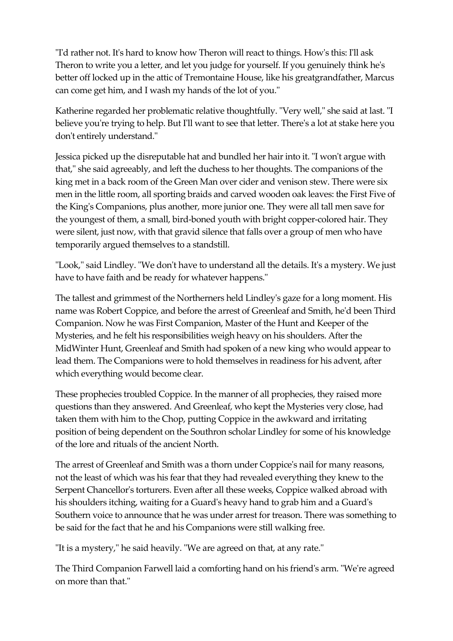"I'd rather not. It's hard to know how Theron will react to things. How's this: I'll ask Theron to write you a letter, and let you judge for yourself. If you genuinely think he's better off locked up in the attic of Tremontaine House, like his greatgrandfather, Marcus can come get him, and I wash my hands of the lot of you."

Katherine regarded her problematic relative thoughtfully. "Very well," she said at last. "I believe you're trying to help. But I'll want to see that letter. There's a lot at stake here you don't entirely understand."

Jessica picked up the disreputable hat and bundled her hair into it. "I won't argue with that," she said agreeably, and left the duchess to her thoughts. The companions of the king met in a back room of the Green Man over cider and venison stew. There were six men in the little room, all sporting braids and carved wooden oak leaves: the First Five of the King's Companions, plus another, more junior one. They were all tall men save for the youngest of them, a small, bird-boned youth with bright copper-colored hair. They were silent, just now, with that gravid silence that falls over a group of men who have temporarily argued themselves to a standstill.

"Look," said Lindley. "We don't have to understand all the details. It's a mystery. We just have to have faith and be ready for whatever happens."

The tallest and grimmest of the Northerners held Lindley's gaze for a long moment. His name was Robert Coppice, and before the arrest of Greenleaf and Smith, he'd been Third Companion. Now he was First Companion, Master of the Hunt and Keeper of the Mysteries, and he felt his responsibilities weigh heavy on his shoulders. After the MidWinter Hunt, Greenleaf and Smith had spoken of a new king who would appear to lead them. The Companions were to hold themselves in readiness for his advent, after which everything would become clear.

These prophecies troubled Coppice. In the manner of all prophecies, they raised more questions than they answered. And Greenleaf, who kept the Mysteries very close, had taken them with him to the Chop, putting Coppice in the awkward and irritating position of being dependent on the Southron scholar Lindley for some of his knowledge of the lore and rituals of the ancient North.

The arrest of Greenleaf and Smith was a thorn under Coppice's nail for many reasons, not the least of which was his fear that they had revealed everything they knew to the Serpent Chancellor's torturers. Even after all these weeks, Coppice walked abroad with his shoulders itching, waiting for a Guard's heavy hand to grab him and a Guard's Southern voice to announce that he was under arrest for treason. There was something to be said for the fact that he and his Companions were still walking free.

"It is a mystery," he said heavily. "We are agreed on that, at any rate."

The Third Companion Farwell laid a comforting hand on his friend's arm. "We're agreed on more than that."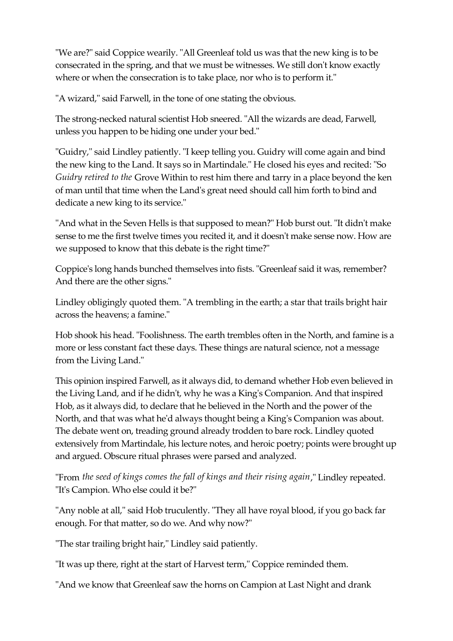"We are?" said Coppice wearily. "All Greenleaf told us was that the new king is to be consecrated in the spring, and that we must be witnesses. We still don't know exactly where or when the consecration is to take place, nor who is to perform it."

"A wizard," said Farwell, in the tone of one stating the obvious.

The strong-necked natural scientist Hob sneered. "All the wizards are dead, Farwell, unless you happen to be hiding one under your bed."

"Guidry," said Lindley patiently. "I keep telling you. Guidry will come again and bind the new king to the Land. It says so in Martindale." He closed his eyes and recited: "So *Guidry retired to the* Grove Within to rest him there and tarry in a place beyond the ken of man until that time when the Land's great need should call him forth to bind and dedicate a new king to its service."

"And what in the Seven Hells is that supposed to mean?" Hob burst out. "It didn't make sense to me the first twelve times you recited it, and it doesn't make sense now. How are we supposed to know that this debate is the right time?"

Coppice's long hands bunched themselves into fists. "Greenleaf said it was, remember? And there are the other signs."

Lindley obligingly quoted them. "A trembling in the earth; a star that trails bright hair across the heavens; a famine."

Hob shook his head. "Foolishness. The earth trembles often in the North, and famine is a more or less constant fact these days. These things are natural science, not a message from the Living Land."

This opinion inspired Farwell, as it always did, to demand whether Hob even believed in the Living Land, and if he didn't, why he was a King's Companion. And that inspired Hob, as it always did, to declare that he believed in the North and the power of the North, and that was what he'd always thought being a King's Companion was about. The debate went on, treading ground already trodden to bare rock. Lindley quoted extensively from Martindale, his lecture notes, and heroic poetry; points were brought up and argued. Obscure ritual phrases were parsed and analyzed.

"From *the seed of kings comes the fall of kings and their rising again*," Lindley repeated. "It's Campion. Who else could it be?"

"Any noble at all," said Hob truculently. "They all have royal blood, if you go back far enough. For that matter, so do we. And why now?"

"The star trailing bright hair," Lindley said patiently.

"It was up there, right at the start of Harvest term," Coppice reminded them.

"And we know that Greenleaf saw the horns on Campion at Last Night and drank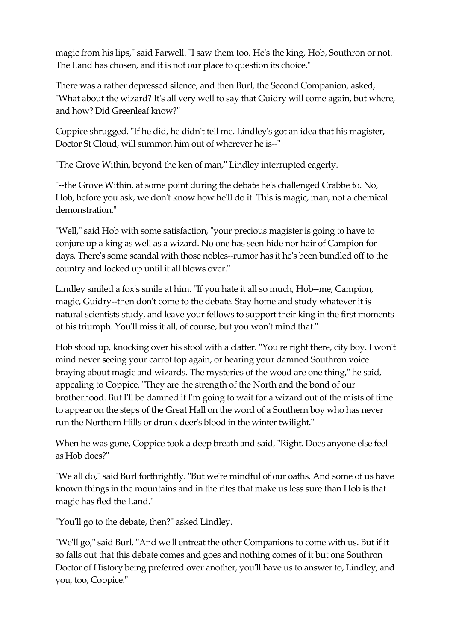magic from his lips," said Farwell. "I saw them too. He's the king, Hob, Southron or not. The Land has chosen, and it is not our place to question its choice."

There was a rather depressed silence, and then Burl, the Second Companion, asked, "What about the wizard? It's all very well to say that Guidry will come again, but where, and how? Did Greenleaf know?"

Coppice shrugged. "If he did, he didn't tell me. Lindley's got an idea that his magister, Doctor St Cloud, will summon him out of wherever he is--"

"The Grove Within, beyond the ken of man," Lindley interrupted eagerly.

"--the Grove Within, at some point during the debate he's challenged Crabbe to. No, Hob, before you ask, we don't know how he'll do it. This is magic, man, not a chemical demonstration."

"Well," said Hob with some satisfaction, "your precious magister is going to have to conjure up a king as well as a wizard. No one has seen hide nor hair of Campion for days. There's some scandal with those nobles--rumor has it he's been bundled off to the country and locked up until it all blows over."

Lindley smiled a fox's smile at him. "If you hate it all so much, Hob--me, Campion, magic, Guidry--then don't come to the debate. Stay home and study whatever it is natural scientists study, and leave your fellows to support their king in the first moments of his triumph. You'll miss it all, of course, but you won't mind that."

Hob stood up, knocking over his stool with a clatter. "You're right there, city boy. I won't mind never seeing your carrot top again, or hearing your damned Southron voice braying about magic and wizards. The mysteries of the wood are one thing," he said, appealing to Coppice. "They are the strength of the North and the bond of our brotherhood. But I'll be damned if I'm going to wait for a wizard out of the mists of time to appear on the steps of the Great Hall on the word of a Southern boy who has never run the Northern Hills or drunk deer's blood in the winter twilight."

When he was gone, Coppice took a deep breath and said, "Right. Does anyone else feel as Hob does?"

"We all do," said Burl forthrightly. "But we're mindful of our oaths. And some of us have known things in the mountains and in the rites that make us less sure than Hob is that magic has fled the Land."

"You'll go to the debate, then?" asked Lindley.

"We'll go," said Burl. "And we'll entreat the other Companions to come with us. But if it so falls out that this debate comes and goes and nothing comes of it but one Southron Doctor of History being preferred over another, you'll have us to answer to, Lindley, and you, too, Coppice."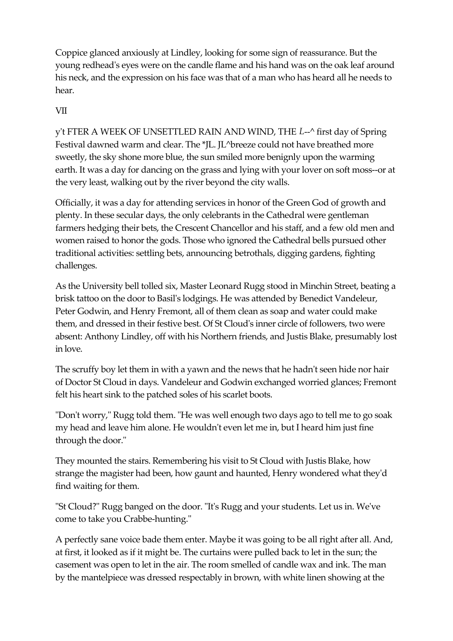Coppice glanced anxiously at Lindley, looking for some sign of reassurance. But the young redhead's eyes were on the candle flame and his hand was on the oak leaf around his neck, and the expression on his face was that of a man who has heard all he needs to hear.

## VII

y't FTER A WEEK OF UNSETTLED RAIN AND WIND, THE *L*--^ first day of Spring Festival dawned warm and clear. The \*JL. JL^breeze could not have breathed more sweetly, the sky shone more blue, the sun smiled more benignly upon the warming earth. It was a day for dancing on the grass and lying with your lover on soft moss--or at the very least, walking out by the river beyond the city walls.

Officially, it was a day for attending services in honor of the Green God of growth and plenty. In these secular days, the only celebrants in the Cathedral were gentleman farmers hedging their bets, the Crescent Chancellor and his staff, and a few old men and women raised to honor the gods. Those who ignored the Cathedral bells pursued other traditional activities: settling bets, announcing betrothals, digging gardens, fighting challenges.

As the University bell tolled six, Master Leonard Rugg stood in Minchin Street, beating a brisk tattoo on the door to Basil's lodgings. He was attended by Benedict Vandeleur, Peter Godwin, and Henry Fremont, all of them clean as soap and water could make them, and dressed in their festive best. Of St Cloud's inner circle of followers, two were absent: Anthony Lindley, off with his Northern friends, and Justis Blake, presumably lost in love.

The scruffy boy let them in with a yawn and the news that he hadn't seen hide nor hair of Doctor St Cloud in days. Vandeleur and Godwin exchanged worried glances; Fremont felt his heart sink to the patched soles of his scarlet boots.

"Don't worry," Rugg told them. "He was well enough two days ago to tell me to go soak my head and leave him alone. He wouldn't even let me in, but I heard him just fine through the door."

They mounted the stairs. Remembering his visit to St Cloud with Justis Blake, how strange the magister had been, how gaunt and haunted, Henry wondered what they'd find waiting for them.

"St Cloud?" Rugg banged on the door. "It's Rugg and your students. Let us in. We've come to take you Crabbe-hunting."

A perfectly sane voice bade them enter. Maybe it was going to be all right after all. And, at first, it looked as if it might be. The curtains were pulled back to let in the sun; the casement was open to let in the air. The room smelled of candle wax and ink. The man by the mantelpiece was dressed respectably in brown, with white linen showing at the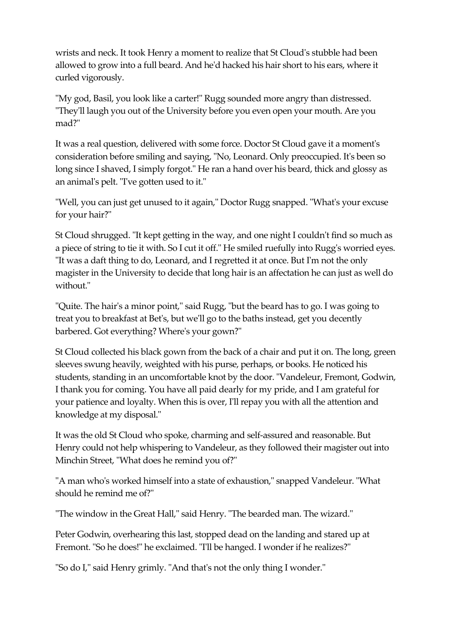wrists and neck. It took Henry a moment to realize that St Cloud's stubble had been allowed to grow into a full beard. And he'd hacked his hair short to his ears, where it curled vigorously.

"My god, Basil, you look like a carter!" Rugg sounded more angry than distressed. "They'll laugh you out of the University before you even open your mouth. Are you mad?"

It was a real question, delivered with some force. Doctor St Cloud gave it a moment's consideration before smiling and saying, "No, Leonard. Only preoccupied. It's been so long since I shaved, I simply forgot." He ran a hand over his beard, thick and glossy as an animal's pelt. "I've gotten used to it."

"Well, you can just get unused to it again," Doctor Rugg snapped. "What's your excuse for your hair?"

St Cloud shrugged. "It kept getting in the way, and one night I couldn't find so much as a piece of string to tie it with. So I cut it off." He smiled ruefully into Rugg's worried eyes. "It was a daft thing to do, Leonard, and I regretted it at once. But I'm not the only magister in the University to decide that long hair is an affectation he can just as well do without."

"Quite. The hair's a minor point," said Rugg, "but the beard has to go. I was going to treat you to breakfast at Bet's, but we'll go to the baths instead, get you decently barbered. Got everything? Where's your gown?"

St Cloud collected his black gown from the back of a chair and put it on. The long, green sleeves swung heavily, weighted with his purse, perhaps, or books. He noticed his students, standing in an uncomfortable knot by the door. "Vandeleur, Fremont, Godwin, I thank you for coming. You have all paid dearly for my pride, and I am grateful for your patience and loyalty. When this is over, I'll repay you with all the attention and knowledge at my disposal."

It was the old St Cloud who spoke, charming and self-assured and reasonable. But Henry could not help whispering to Vandeleur, as they followed their magister out into Minchin Street, "What does he remind you of?"

"A man who's worked himself into a state of exhaustion," snapped Vandeleur. "What should he remind me of?"

"The window in the Great Hall," said Henry. "The bearded man. The wizard."

Peter Godwin, overhearing this last, stopped dead on the landing and stared up at Fremont. "So he does!" he exclaimed. "I'll be hanged. I wonder if he realizes?"

"So do I," said Henry grimly. "And that's not the only thing I wonder."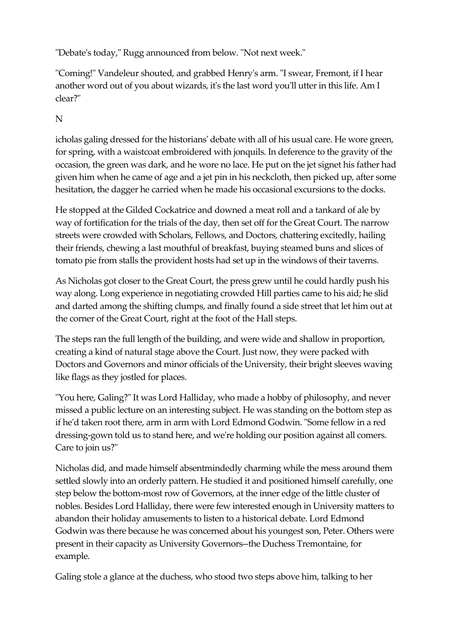"Debate's today," Rugg announced from below. "Not next week."

"Coming!" Vandeleur shouted, and grabbed Henry's arm. "I swear, Fremont, if I hear another word out of you about wizards, it's the last word you'll utter in this life. Am I clear?"

# N

icholas galing dressed for the historians' debate with all of his usual care. He wore green, for spring, with a waistcoat embroidered with jonquils. In deference to the gravity of the occasion, the green was dark, and he wore no lace. He put on the jet signet his father had given him when he came of age and a jet pin in his neckcloth, then picked up, after some hesitation, the dagger he carried when he made his occasional excursions to the docks.

He stopped at the Gilded Cockatrice and downed a meat roll and a tankard of ale by way of fortification for the trials of the day, then set off for the Great Court. The narrow streets were crowded with Scholars, Fellows, and Doctors, chattering excitedly, hailing their friends, chewing a last mouthful of breakfast, buying steamed buns and slices of tomato pie from stalls the provident hosts had set up in the windows of their taverns.

As Nicholas got closer to the Great Court, the press grew until he could hardly push his way along. Long experience in negotiating crowded Hill parties came to his aid; he slid and darted among the shifting clumps, and finally found a side street that let him out at the corner of the Great Court, right at the foot of the Hall steps.

The steps ran the full length of the building, and were wide and shallow in proportion, creating a kind of natural stage above the Court. Just now, they were packed with Doctors and Governors and minor officials of the University, their bright sleeves waving like flags as they jostled for places.

"You here, Galing?" It was Lord Halliday, who made a hobby of philosophy, and never missed a public lecture on an interesting subject. He was standing on the bottom step as if he'd taken root there, arm in arm with Lord Edmond Godwin. "Some fellow in a red dressing-gown told us to stand here, and we're holding our position against all comers. Care to join us?"

Nicholas did, and made himself absentmindedly charming while the mess around them settled slowly into an orderly pattern. He studied it and positioned himself carefully, one step below the bottom-most row of Governors, at the inner edge of the little cluster of nobles. Besides Lord Halliday, there were few interested enough in University matters to abandon their holiday amusements to listen to a historical debate. Lord Edmond Godwin was there because he was concerned about his youngest son, Peter. Others were present in their capacity as University Governors--the Duchess Tremontaine, for example.

Galing stole a glance at the duchess, who stood two steps above him, talking to her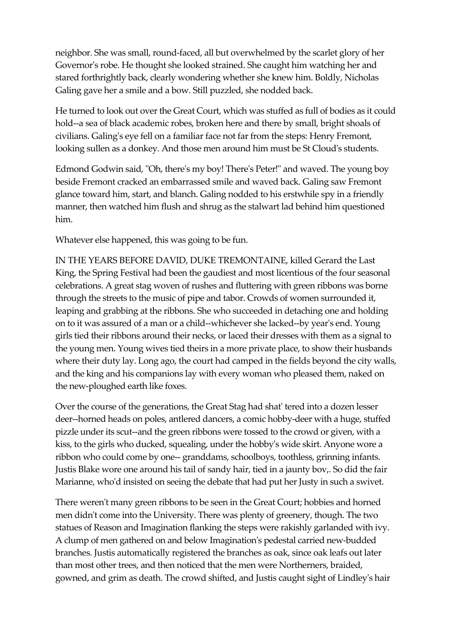neighbor. She was small, round-faced, all but overwhelmed by the scarlet glory of her Governor's robe. He thought she looked strained. She caught him watching her and stared forthrightly back, clearly wondering whether she knew him. Boldly, Nicholas Galing gave her a smile and a bow. Still puzzled, she nodded back.

He turned to look out over the Great Court, which was stuffed as full of bodies as it could hold--a sea of black academic robes, broken here and there by small, bright shoals of civilians. Galing's eye fell on a familiar face not far from the steps: Henry Fremont, looking sullen as a donkey. And those men around him must be St Cloud's students.

Edmond Godwin said, "Oh, there's my boy! There's Peter!" and waved. The young boy beside Fremont cracked an embarrassed smile and waved back. Galing saw Fremont glance toward him, start, and blanch. Galing nodded to his erstwhile spy in a friendly manner, then watched him flush and shrug as the stalwart lad behind him questioned him.

Whatever else happened, this was going to be fun.

IN THE YEARS BEFORE DAVID, DUKE TREMONTAINE, killed Gerard the Last King, the Spring Festival had been the gaudiest and most licentious of the four seasonal celebrations. A great stag woven of rushes and fluttering with green ribbons was borne through the streets to the music of pipe and tabor. Crowds of women surrounded it, leaping and grabbing at the ribbons. She who succeeded in detaching one and holding on to it was assured of a man or a child--whichever she lacked--by year's end. Young girls tied their ribbons around their necks, or laced their dresses with them as a signal to the young men. Young wives tied theirs in a more private place, to show their husbands where their duty lay. Long ago, the court had camped in the fields beyond the city walls, and the king and his companions lay with every woman who pleased them, naked on the new-ploughed earth like foxes.

Over the course of the generations, the Great Stag had shat' tered into a dozen lesser deer--horned heads on poles, antlered dancers, a comic hobby-deer with a huge, stuffed pizzle under its scut--and the green ribbons were tossed to the crowd or given, with a kiss, to the girls who ducked, squealing, under the hobby's wide skirt. Anyone wore a ribbon who could come by one-- granddams, schoolboys, toothless, grinning infants. Justis Blake wore one around his tail of sandy hair, tied in a jaunty bov,. So did the fair Marianne, who'd insisted on seeing the debate that had put her Justy in such a swivet.

There weren't many green ribbons to be seen in the Great Court; hobbies and horned men didn't come into the University. There was plenty of greenery, though. The two statues of Reason and Imagination flanking the steps were rakishly garlanded with ivy. A clump of men gathered on and below Imagination's pedestal carried new-budded branches. Justis automatically registered the branches as oak, since oak leafs out later than most other trees, and then noticed that the men were Northerners, braided, gowned, and grim as death. The crowd shifted, and Justis caught sight of Lindley's hair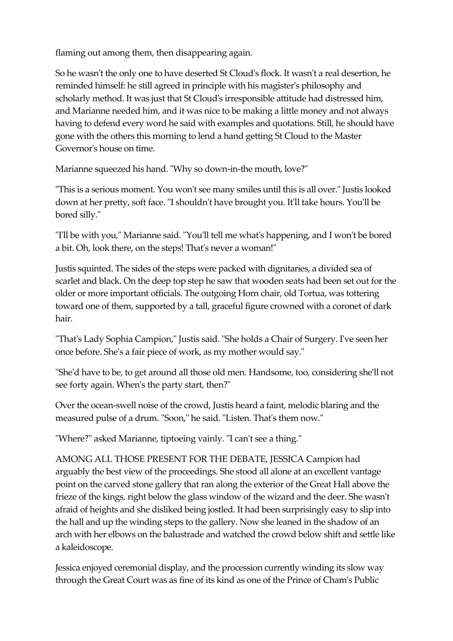flaming out among them, then disappearing again.

So he wasn't the only one to have deserted St Cloud's flock. It wasn't a real desertion, he reminded himself: he still agreed in principle with his magister's philosophy and scholarly method. It was just that St Cloud's irresponsible attitude had distressed him, and Marianne needed him, and it was nice to be making a little money and not always having to defend every word he said with examples and quotations. Still, he should have gone with the others this morning to lend a hand getting St Cloud to the Master Governor's house on time.

Marianne squeezed his hand. "Why so down-in-the mouth, love?"

"This is a serious moment. You won't see many smiles until this is all over." Justis looked down at her pretty, soft face. "I shouldn't have brought you. It'll take hours. You'll be bored silly."

"I'll be with you," Marianne said. "You'll tell me what's happening, and I won't be bored a bit. Oh, look there, on the steps! That's never a woman!"

Justis squinted. The sides of the steps were packed with dignitaries, a divided sea of scarlet and black. On the deep top step he saw that wooden seats had been set out for the older or more important officials. The outgoing Horn chair, old Tortua, was tottering toward one of them, supported by a tall, graceful figure crowned with a coronet of dark hair.

"That's Lady Sophia Campion," Justis said. "She holds a Chair of Surgery. I've seen her once before. She's a fair piece of work, as my mother would say."

"She'd have to be, to get around all those old men. Handsome, too, considering she'll not see forty again. When's the party start, then?"

Over the ocean-swell noise of the crowd, Justis heard a faint, melodic blaring and the measured pulse of a drum. "Soon," he said. "Listen. That's them now."

"Where?" asked Marianne, tiptoeing vainly. "I can't see a thing."

AMONG ALL THOSE PRESENT FOR THE DEBATE, JESSICA Campion had arguably the best view of the proceedings. She stood all alone at an excellent vantage point on the carved stone gallery that ran along the exterior of the Great Hall above the frieze of the kings, right below the glass window of the wizard and the deer. She wasn't afraid of heights and she disliked being jostled. It had been surprisingly easy to slip into the hall and up the winding steps to the gallery. Now she leaned in the shadow of an arch with her elbows on the balustrade and watched the crowd below shift and settle like a kaleidoscope.

Jessica enjoyed ceremonial display, and the procession currently winding its slow way through the Great Court was as fine of its kind as one of the Prince of Cham's Public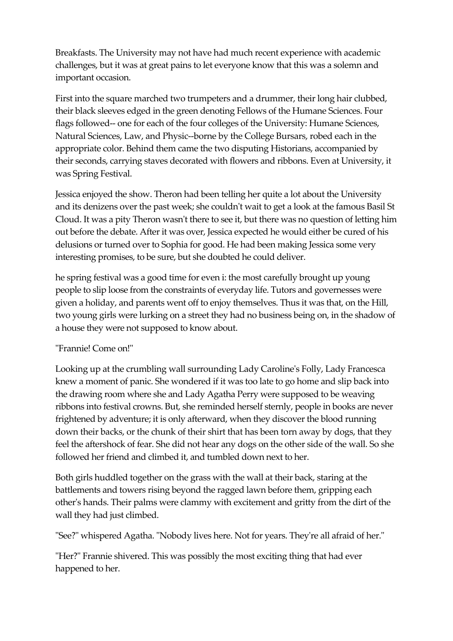Breakfasts. The University may not have had much recent experience with academic challenges, but it was at great pains to let everyone know that this was a solemn and important occasion.

First into the square marched two trumpeters and a drummer, their long hair clubbed, their black sleeves edged in the green denoting Fellows of the Humane Sciences. Four flags followed-- one for each of the four colleges of the University: Humane Sciences, Natural Sciences, Law, and Physic--borne by the College Bursars, robed each in the appropriate color. Behind them came the two disputing Historians, accompanied by their seconds, carrying staves decorated with flowers and ribbons. Even at University, it was Spring Festival.

Jessica enjoyed the show. Theron had been telling her quite a lot about the University and its denizens over the past week; she couldn't wait to get a look at the famous Basil St Cloud. It was a pity Theron wasn't there to see it, but there was no question of letting him out before the debate. After it was over, Jessica expected he would either be cured of his delusions or turned over to Sophia for good. He had been making Jessica some very interesting promises, to be sure, but she doubted he could deliver.

he spring festival was a good time for even i: the most carefully brought up young people to slip loose from the constraints of everyday life. Tutors and governesses were given a holiday, and parents went off to enjoy themselves. Thus it was that, on the Hill, two young girls were lurking on a street they had no business being on, in the shadow of a house they were not supposed to know about.

## "Frannie! Come on!"

Looking up at the crumbling wall surrounding Lady Caroline's Folly, Lady Francesca knew a moment of panic. She wondered if it was too late to go home and slip back into the drawing room where she and Lady Agatha Perry were supposed to be weaving ribbons into festival crowns. But, she reminded herself sternly, people in books are never frightened by adventure; it is only afterward, when they discover the blood running down their backs, or the chunk of their shirt that has been torn away by dogs, that they feel the aftershock of fear. She did not hear any dogs on the other side of the wall. So she followed her friend and climbed it, and tumbled down next to her.

Both girls huddled together on the grass with the wall at their back, staring at the battlements and towers rising beyond the ragged lawn before them, gripping each other's hands. Their palms were clammy with excitement and gritty from the dirt of the wall they had just climbed.

"See?" whispered Agatha. "Nobody lives here. Not for years. They're all afraid of her."

"Her?" Frannie shivered. This was possibly the most exciting thing that had ever happened to her.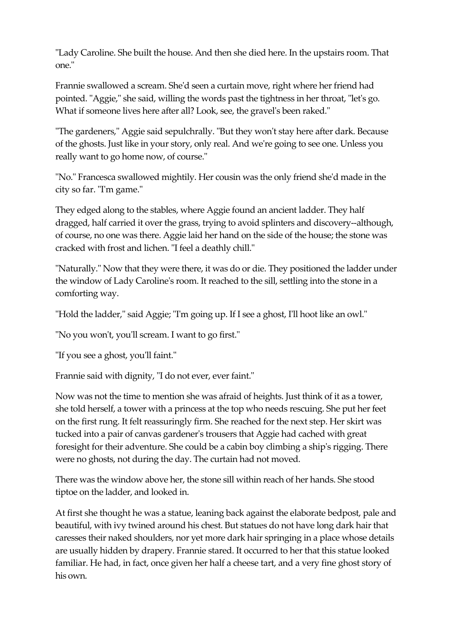"Lady Caroline. She built the house. And then she died here. In the upstairs room. That one."

Frannie swallowed a scream. She'd seen a curtain move, right where her friend had pointed. "Aggie," she said, willing the words past the tightness in her throat, "let's go. What if someone lives here after all? Look, see, the gravel's been raked."

"The gardeners," Aggie said sepulchrally. "But they won't stay here after dark. Because of the ghosts. Just like in your story, only real. And we're going to see one. Unless you really want to go home now, of course."

"No." Francesca swallowed mightily. Her cousin was the only friend she'd made in the city so far. "I'm game."

They edged along to the stables, where Aggie found an ancient ladder. They half dragged, half carried it over the grass, trying to avoid splinters and discovery--although, of course, no one was there. Aggie laid her hand on the side of the house; the stone was cracked with frost and lichen. "I feel a deathly chill."

"Naturally." Now that they were there, it was do or die. They positioned the ladder under the window of Lady Caroline's room. It reached to the sill, settling into the stone in a comforting way.

"Hold the ladder," said Aggie; "I'm going up. If I see a ghost, I'll hoot like an owl."

"No you won't, you'll scream. I want to go first."

"If you see a ghost, you'll faint."

Frannie said with dignity, "I do not ever, ever faint."

Now was not the time to mention she was afraid of heights. Just think of it as a tower, she told herself, a tower with a princess at the top who needs rescuing. She put her feet on the first rung. It felt reassuringly firm. She reached for the next step. Her skirt was tucked into a pair of canvas gardener's trousers that Aggie had cached with great foresight for their adventure. She could be a cabin boy climbing a ship's rigging. There were no ghosts, not during the day. The curtain had not moved.

There was the window above her, the stone sill within reach of her hands. She stood tiptoe on the ladder, and looked in.

At first she thought he was a statue, leaning back against the elaborate bedpost, pale and beautiful, with ivy twined around his chest. But statues do not have long dark hair that caresses their naked shoulders, nor yet more dark hair springing in a place whose details are usually hidden by drapery. Frannie stared. It occurred to her that this statue looked familiar. He had, in fact, once given her half a cheese tart, and a very fine ghost story of his own.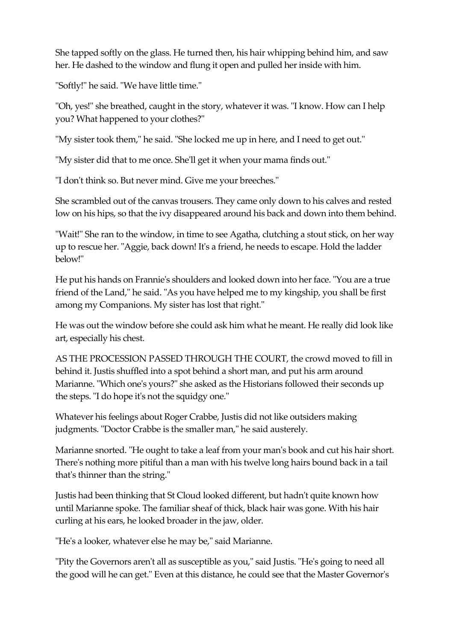She tapped softly on the glass. He turned then, his hair whipping behind him, and saw her. He dashed to the window and flung it open and pulled her inside with him.

"Softly!" he said. "We have little time."

"Oh, yes!" she breathed, caught in the story, whatever it was. "I know. How can I help you? What happened to your clothes?"

"My sister took them," he said. "She locked me up in here, and I need to get out."

"My sister did that to me once. She'll get it when your mama finds out."

"I don't think so. But never mind. Give me your breeches."

She scrambled out of the canvas trousers. They came only down to his calves and rested low on his hips, so that the ivy disappeared around his back and down into them behind.

"Wait!" She ran to the window, in time to see Agatha, clutching a stout stick, on her way up to rescue her. "Aggie, back down! It's a friend, he needs to escape. Hold the ladder below!"

He put his hands on Frannie's shoulders and looked down into her face. "You are a true friend of the Land," he said. "As you have helped me to my kingship, you shall be first among my Companions. My sister has lost that right."

He was out the window before she could ask him what he meant. He really did look like art, especially his chest.

AS THE PROCESSION PASSED THROUGH THE COURT, the crowd moved to fill in behind it. Justis shuffled into a spot behind a short man, and put his arm around Marianne. "Which one's yours?" she asked as the Historians followed their seconds up the steps. "I do hope it's not the squidgy one."

Whatever his feelings about Roger Crabbe, Justis did not like outsiders making judgments. "Doctor Crabbe is the smaller man," he said austerely.

Marianne snorted. "He ought to take a leaf from your man's book and cut his hair short. There's nothing more pitiful than a man with his twelve long hairs bound back in a tail that's thinner than the string."

Justis had been thinking that St Cloud looked different, but hadn't quite known how until Marianne spoke. The familiar sheaf of thick, black hair was gone. With his hair curling at his ears, he looked broader in the jaw, older.

"He's a looker, whatever else he may be," said Marianne.

"Pity the Governors aren't all as susceptible as you," said Justis. "He's going to need all the good will he can get." Even at this distance, he could see that the Master Governor's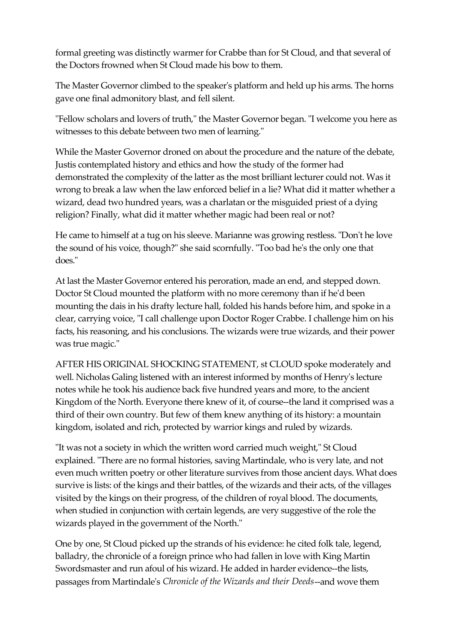formal greeting was distinctly warmer for Crabbe than for St Cloud, and that several of the Doctors frowned when St Cloud made his bow to them.

The Master Governor climbed to the speaker's platform and held up his arms. The horns gave one final admonitory blast, and fell silent.

"Fellow scholars and lovers of truth," the Master Governor began. "I welcome you here as witnesses to this debate between two men of learning."

While the Master Governor droned on about the procedure and the nature of the debate, Justis contemplated history and ethics and how the study of the former had demonstrated the complexity of the latter as the most brilliant lecturer could not. Was it wrong to break a law when the law enforced belief in a lie? What did it matter whether a wizard, dead two hundred years, was a charlatan or the misguided priest of a dying religion? Finally, what did it matter whether magic had been real or not?

He came to himself at a tug on his sleeve. Marianne was growing restless. "Don't he love the sound of his voice, though?" she said scornfully. "Too bad he's the only one that does."

At last the Master Governor entered his peroration, made an end, and stepped down. Doctor St Cloud mounted the platform with no more ceremony than if he'd been mounting the dais in his drafty lecture hall, folded his hands before him, and spoke in a clear, carrying voice, "I call challenge upon Doctor Roger Crabbe. I challenge him on his facts, his reasoning, and his conclusions. The wizards were true wizards, and their power was true magic."

AFTER HIS ORIGINAL SHOCKING STATEMENT, st CLOUD spoke moderately and well. Nicholas Galing listened with an interest informed by months of Henry's lecture notes while he took his audience back five hundred years and more, to the ancient Kingdom of the North. Everyone there knew of it, of course--the land it comprised was a third of their own country. But few of them knew anything of its history: a mountain kingdom, isolated and rich, protected by warrior kings and ruled by wizards.

"It was not a society in which the written word carried much weight," St Cloud explained. "There are no formal histories, saving Martindale, who is very late, and not even much written poetry or other literature survives from those ancient days. What does survive is lists: of the kings and their battles, of the wizards and their acts, of the villages visited by the kings on their progress, of the children of royal blood. The documents, when studied in conjunction with certain legends, are very suggestive of the role the wizards played in the government of the North."

One by one, St Cloud picked up the strands of his evidence: he cited folk tale, legend, balladry, the chronicle of a foreign prince who had fallen in love with King Martin Swordsmaster and run afoul of his wizard. He added in harder evidence--the lists, passages from Martindale's *Chronicle of the Wizards and their Deeds*--and wove them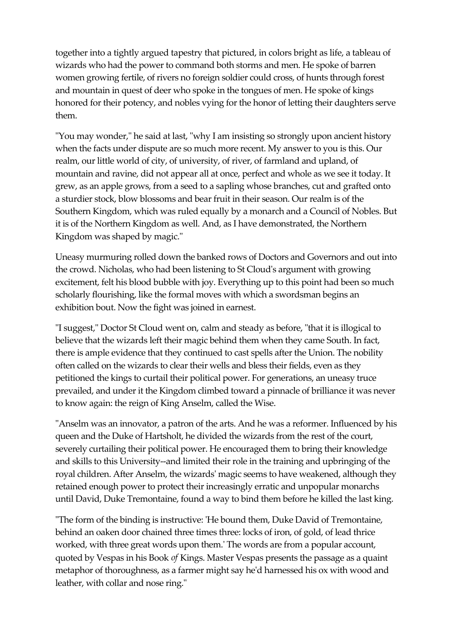together into a tightly argued tapestry that pictured, in colors bright as life, a tableau of wizards who had the power to command both storms and men. He spoke of barren women growing fertile, of rivers no foreign soldier could cross, of hunts through forest and mountain in quest of deer who spoke in the tongues of men. He spoke of kings honored for their potency, and nobles vying for the honor of letting their daughters serve them.

"You may wonder," he said at last, "why I am insisting so strongly upon ancient history when the facts under dispute are so much more recent. My answer to you is this. Our realm, our little world of city, of university, of river, of farmland and upland, of mountain and ravine, did not appear all at once, perfect and whole as we see it today. It grew, as an apple grows, from a seed to a sapling whose branches, cut and grafted onto a sturdier stock, blow blossoms and bear fruit in their season. Our realm is of the Southern Kingdom, which was ruled equally by a monarch and a Council of Nobles. But it is of the Northern Kingdom as well. And, as I have demonstrated, the Northern Kingdom was shaped by magic."

Uneasy murmuring rolled down the banked rows of Doctors and Governors and out into the crowd. Nicholas, who had been listening to St Cloud's argument with growing excitement, felt his blood bubble with joy. Everything up to this point had been so much scholarly flourishing, like the formal moves with which a swordsman begins an exhibition bout. Now the fight was joined in earnest.

"I suggest," Doctor St Cloud went on, calm and steady as before, "that it is illogical to believe that the wizards left their magic behind them when they came South. In fact, there is ample evidence that they continued to cast spells after the Union. The nobility often called on the wizards to clear their wells and bless their fields, even as they petitioned the kings to curtail their political power. For generations, an uneasy truce prevailed, and under it the Kingdom climbed toward a pinnacle of brilliance it was never to know again: the reign of King Anselm, called the Wise.

"Anselm was an innovator, a patron of the arts. And he was a reformer. Influenced by his queen and the Duke of Hartsholt, he divided the wizards from the rest of the court, severely curtailing their political power. He encouraged them to bring their knowledge and skills to this University--and limited their role in the training and upbringing of the royal children. After Anselm, the wizards' magic seems to have weakened, although they retained enough power to protect their increasingly erratic and unpopular monarchs until David, Duke Tremontaine, found a way to bind them before he killed the last king.

"The form of the binding is instructive: 'He bound them, Duke David of Tremontaine, behind an oaken door chained three times three: locks of iron, of gold, of lead thrice worked, with three great words upon them.' The words are from a popular account, quoted by Vespas in his Book *of* Kings. Master Vespas presents the passage as a quaint metaphor of thoroughness, as a farmer might say he'd harnessed his ox with wood and leather, with collar and nose ring."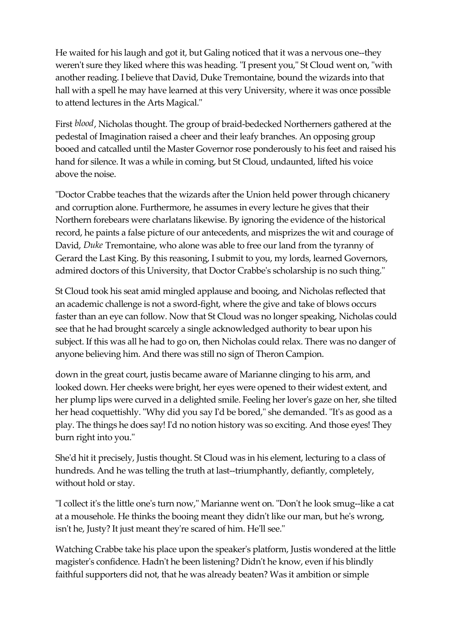He waited for his laugh and got it, but Galing noticed that it was a nervous one--they weren't sure they liked where this was heading. "I present you," St Cloud went on, "with another reading. I believe that David, Duke Tremontaine, bound the wizards into that hall with a spell he may have learned at this very University, where it was once possible to attend lectures in the Arts Magical."

First *blood*, Nicholas thought. The group of braid-bedecked Northerners gathered at the pedestal of Imagination raised a cheer and their leafy branches. An opposing group booed and catcalled until the Master Governor rose ponderously to his feet and raised his hand for silence. It was a while in coming, but St Cloud, undaunted, lifted his voice above the noise.

"Doctor Crabbe teaches that the wizards after the Union held power through chicanery and corruption alone. Furthermore, he assumes in every lecture he gives that their Northern forebears were charlatans likewise. By ignoring the evidence of the historical record, he paints a false picture of our antecedents, and misprizes the wit and courage of David, *Duke* Tremontaine, who alone was able to free our land from the tyranny of Gerard the Last King. By this reasoning, I submit to you, my lords, learned Governors, admired doctors of this University, that Doctor Crabbe's scholarship is no such thing."

St Cloud took his seat amid mingled applause and booing, and Nicholas reflected that an academic challenge is not a sword-fight, where the give and take of blows occurs faster than an eye can follow. Now that St Cloud was no longer speaking, Nicholas could see that he had brought scarcely a single acknowledged authority to bear upon his subject. If this was all he had to go on, then Nicholas could relax. There was no danger of anyone believing him. And there was still no sign of Theron Campion.

down in the great court, justis became aware of Marianne clinging to his arm, and looked down. Her cheeks were bright, her eyes were opened to their widest extent, and her plump lips were curved in a delighted smile. Feeling her lover's gaze on her, she tilted her head coquettishly. "Why did you say I'd be bored," she demanded. "It's as good as a play. The things he does say! I'd no notion history was so exciting. And those eyes! They burn right into you."

She'd hit it precisely, Justis thought. St Cloud was in his element, lecturing to a class of hundreds. And he was telling the truth at last--triumphantly, defiantly, completely, without hold or stay.

"I collect it's the little one's turn now," Marianne went on. "Don't he look smug--like a cat at a mousehole. He thinks the booing meant they didn't like our man, but he's wrong, isn't he, Justy? It just meant they're scared of him. He'll see."

Watching Crabbe take his place upon the speaker's platform, Justis wondered at the little magister's confidence. Hadn't he been listening? Didn't he know, even if his blindly faithful supporters did not, that he was already beaten? Was it ambition or simple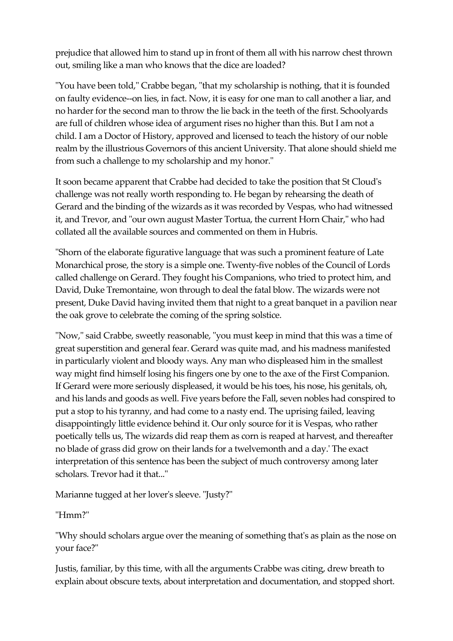prejudice that allowed him to stand up in front of them all with his narrow chest thrown out, smiling like a man who knows that the dice are loaded?

"You have been told," Crabbe began, "that my scholarship is nothing, that it is founded on faulty evidence--on lies, in fact. Now, it is easy for one man to call another a liar, and no harder for the second man to throw the lie back in the teeth of the first. Schoolyards are full of children whose idea of argument rises no higher than this. But I am not a child. I am a Doctor of History, approved and licensed to teach the history of our noble realm by the illustrious Governors of this ancient University. That alone should shield me from such a challenge to my scholarship and my honor."

It soon became apparent that Crabbe had decided to take the position that St Cloud's challenge was not really worth responding to. He began by rehearsing the death of Gerard and the binding of the wizards as it was recorded by Vespas, who had witnessed it, and Trevor, and "our own august Master Tortua, the current Horn Chair," who had collated all the available sources and commented on them in Hubris.

"Shorn of the elaborate figurative language that was such a prominent feature of Late Monarchical prose, the story is a simple one. Twenty-five nobles of the Council of Lords called challenge on Gerard. They fought his Companions, who tried to protect him, and David, Duke Tremontaine, won through to deal the fatal blow. The wizards were not present, Duke David having invited them that night to a great banquet in a pavilion near the oak grove to celebrate the coming of the spring solstice.

"Now," said Crabbe, sweetly reasonable, "you must keep in mind that this was a time of great superstition and general fear. Gerard was quite mad, and his madness manifested in particularly violent and bloody ways. Any man who displeased him in the smallest way might find himself losing his fingers one by one to the axe of the First Companion. If Gerard were more seriously displeased, it would be his toes, his nose, his genitals, oh, and his lands and goods as well. Five years before the Fall, seven nobles had conspired to put a stop to his tyranny, and had come to a nasty end. The uprising failed, leaving disappointingly little evidence behind it. Our only source for it is Vespas, who rather poetically tells us, The wizards did reap them as corn is reaped at harvest, and thereafter no blade of grass did grow on their lands for a twelvemonth and a day.' The exact interpretation of this sentence has been the subject of much controversy among later scholars. Trevor had it that..."

Marianne tugged at her lover's sleeve. "Justy?"

"Hmm?"

"Why should scholars argue over the meaning of something that's as plain as the nose on your face?"

Justis, familiar, by this time, with all the arguments Crabbe was citing, drew breath to explain about obscure texts, about interpretation and documentation, and stopped short.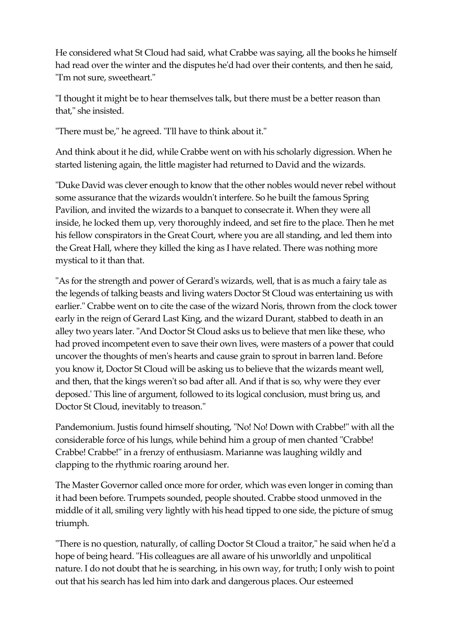He considered what St Cloud had said, what Crabbe was saying, all the books he himself had read over the winter and the disputes he'd had over their contents, and then he said, "I'm not sure, sweetheart."

"I thought it might be to hear themselves talk, but there must be a better reason than that," she insisted.

"There must be," he agreed. "I'll have to think about it."

And think about it he did, while Crabbe went on with his scholarly digression. When he started listening again, the little magister had returned to David and the wizards.

"Duke David was clever enough to know that the other nobles would never rebel without some assurance that the wizards wouldn't interfere. So he built the famous Spring Pavilion, and invited the wizards to a banquet to consecrate it. When they were all inside, he locked them up, very thoroughly indeed, and set fire to the place. Then he met his fellow conspirators in the Great Court, where you are all standing, and led them into the Great Hall, where they killed the king as I have related. There was nothing more mystical to it than that.

"As for the strength and power of Gerard's wizards, well, that is as much a fairy tale as the legends of talking beasts and living waters Doctor St Cloud was entertaining us with earlier." Crabbe went on to cite the case of the wizard Noris, thrown from the clock tower early in the reign of Gerard Last King, and the wizard Durant, stabbed to death in an alley two years later. "And Doctor St Cloud asks us to believe that men like these, who had proved incompetent even to save their own lives, were masters of a power that could uncover the thoughts of men's hearts and cause grain to sprout in barren land. Before you know it, Doctor St Cloud will be asking us to believe that the wizards meant well, and then, that the kings weren't so bad after all. And if that is so, why were they ever deposed.' This line of argument, followed to its logical conclusion, must bring us, and Doctor St Cloud, inevitably to treason."

Pandemonium. Justis found himself shouting, "No! No! Down with Crabbe!" with all the considerable force of his lungs, while behind him a group of men chanted "Crabbe! Crabbe! Crabbe!" in a frenzy of enthusiasm. Marianne was laughing wildly and clapping to the rhythmic roaring around her.

The Master Governor called once more for order, which was even longer in coming than it had been before. Trumpets sounded, people shouted. Crabbe stood unmoved in the middle of it all, smiling very lightly with his head tipped to one side, the picture of smug triumph.

"There is no question, naturally, of calling Doctor St Cloud a traitor," he said when he'd a hope of being heard. "His colleagues are all aware of his unworldly and unpolitical nature. I do not doubt that he is searching, in his own way, for truth; I only wish to point out that his search has led him into dark and dangerous places. Our esteemed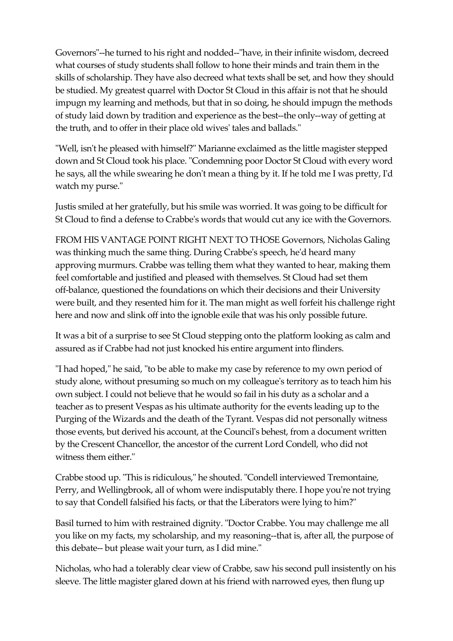Governors"--he turned to his right and nodded--"have, in their infinite wisdom, decreed what courses of study students shall follow to hone their minds and train them in the skills of scholarship. They have also decreed what texts shall be set, and how they should be studied. My greatest quarrel with Doctor St Cloud in this affair is not that he should impugn my learning and methods, but that in so doing, he should impugn the methods of study laid down by tradition and experience as the best--the only--way of getting at the truth, and to offer in their place old wives' tales and ballads."

"Well, isn't he pleased with himself?" Marianne exclaimed as the little magister stepped down and St Cloud took his place. "Condemning poor Doctor St Cloud with every word he says, all the while swearing he don't mean a thing by it. If he told me I was pretty, I'd watch my purse."

Justis smiled at her gratefully, but his smile was worried. It was going to be difficult for St Cloud to find a defense to Crabbe's words that would cut any ice with the Governors.

FROM HIS VANTAGE POINT RIGHT NEXT TO THOSE Governors, Nicholas Galing was thinking much the same thing. During Crabbe's speech, he'd heard many approving murmurs. Crabbe was telling them what they wanted to hear, making them feel comfortable and justified and pleased with themselves. St Cloud had set them off-balance, questioned the foundations on which their decisions and their University were built, and they resented him for it. The man might as well forfeit his challenge right here and now and slink off into the ignoble exile that was his only possible future.

It was a bit of a surprise to see St Cloud stepping onto the platform looking as calm and assured as if Crabbe had not just knocked his entire argument into flinders.

"I had hoped," he said, "to be able to make my case by reference to my own period of study alone, without presuming so much on my colleague's territory as to teach him his own subject. I could not believe that he would so fail in his duty as a scholar and a teacher as to present Vespas as his ultimate authority for the events leading up to the Purging of the Wizards and the death of the Tyrant. Vespas did not personally witness those events, but derived his account, at the Council's behest, from a document written by the Crescent Chancellor, the ancestor of the current Lord Condell, who did not witness them either."

Crabbe stood up. "This is ridiculous," he shouted. "Condell interviewed Tremontaine, Perry, and Wellingbrook, all of whom were indisputably there. I hope you're not trying to say that Condell falsified his facts, or that the Liberators were lying to him?"

Basil turned to him with restrained dignity. "Doctor Crabbe. You may challenge me all you like on my facts, my scholarship, and my reasoning--that is, after all, the purpose of this debate-- but please wait your turn, as I did mine."

Nicholas, who had a tolerably clear view of Crabbe, saw his second pull insistently on his sleeve. The little magister glared down at his friend with narrowed eyes, then flung up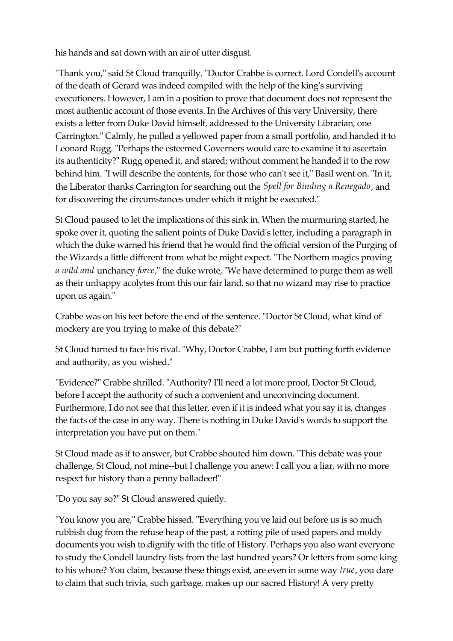his hands and sat down with an air of utter disgust.

"Thank you," said St Cloud tranquilly. "Doctor Crabbe is correct. Lord Condell's account of the death of Gerard was indeed compiled with the help of the king's surviving executioners. However, I am in a position to prove that document does not represent the most authentic account of those events. In the Archives of this very University, there exists a letter from Duke David himself, addressed to the University Librarian, one Carrington." Calmly, he pulled a yellowed paper from a small portfolio, and handed it to Leonard Rugg. "Perhaps the esteemed Governers would care to examine it to ascertain its authenticity?" Rugg opened it, and stared; without comment he handed it to the row behind him. "I will describe the contents, for those who can't see it," Basil went on. "In it, the Liberator thanks Carrington for searching out the *Spell for Binding a Renegado*, and for discovering the circumstances under which it might be executed."

St Cloud paused to let the implications of this sink in. When the murmuring started, he spoke over it, quoting the salient points of Duke David's letter, including a paragraph in which the duke warned his friend that he would find the official version of the Purging of the Wizards a little different from what he might expect. "The Northern magics proving *a wild and* unchancy *force*," the duke wrote, "We have determined to purge them as well as their unhappy acolytes from this our fair land, so that no wizard may rise to practice upon us again."

Crabbe was on his feet before the end of the sentence. "Doctor St Cloud, what kind of mockery are you trying to make of this debate?"

St Cloud turned to face his rival. "Why, Doctor Crabbe, I am but putting forth evidence and authority, as you wished."

"Evidence?" Crabbe shrilled. "Authority? I'll need a lot more proof, Doctor St Cloud, before I accept the authority of such a convenient and unconvincing document. Furthermore, I do not see that this letter, even if it is indeed what you say it is, changes the facts of the case in any way. There is nothing in Duke David's words to support the interpretation you have put on them."

St Cloud made as if to answer, but Crabbe shouted him down. "This debate was your challenge, St Cloud, not mine--but I challenge you anew: I call you a liar, with no more respect for history than a penny balladeer!"

"Do you say so?" St Cloud answered quietly.

"You know you are," Crabbe hissed. "Everything you've laid out before us is so much rubbish dug from the refuse heap of the past, a rotting pile of used papers and moldy documents you wish to dignify with the title of History. Perhaps you also want everyone to study the Condell laundry lists from the last hundred years? Or letters from some king to his whore? You claim, because these things exist, are even in some way *true*, you dare to claim that such trivia, such garbage, makes up our sacred History! A very pretty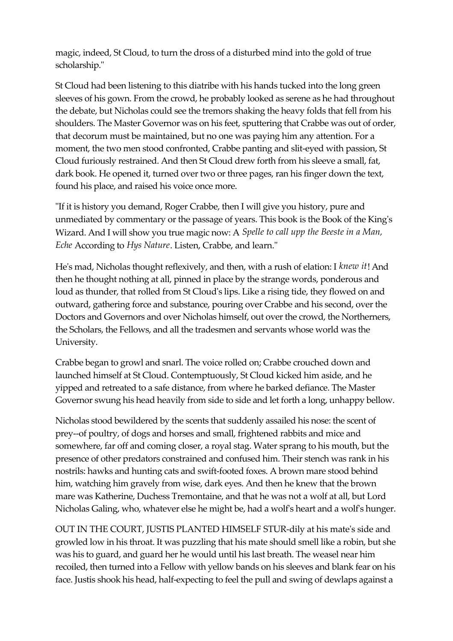magic, indeed, St Cloud, to turn the dross of a disturbed mind into the gold of true scholarship."

St Cloud had been listening to this diatribe with his hands tucked into the long green sleeves of his gown. From the crowd, he probably looked as serene as he had throughout the debate, but Nicholas could see the tremors shaking the heavy folds that fell from his shoulders. The Master Governor was on his feet, sputtering that Crabbe was out of order, that decorum must be maintained, but no one was paying him any attention. For a moment, the two men stood confronted, Crabbe panting and slit-eyed with passion, St Cloud furiously restrained. And then St Cloud drew forth from his sleeve a small, fat, dark book. He opened it, turned over two or three pages, ran his finger down the text, found his place, and raised his voice once more.

"If it is history you demand, Roger Crabbe, then I will give you history, pure and unmediated by commentary or the passage of years. This book is the Book of the King's Wizard. And I will show you true magic now: A *Spelle to call upp the Beeste in a Man, Eche* According to *Hys Nature*. Listen, Crabbe, and learn."

He's mad, Nicholas thought reflexively, and then, with a rush of elation: I *knew it*! And then he thought nothing at all, pinned in place by the strange words, ponderous and loud as thunder, that rolled from St Cloud's lips. Like a rising tide, they flowed on and outward, gathering force and substance, pouring over Crabbe and his second, over the Doctors and Governors and over Nicholas himself, out over the crowd, the Northerners, the Scholars, the Fellows, and all the tradesmen and servants whose world was the University.

Crabbe began to growl and snarl. The voice rolled on; Crabbe crouched down and launched himself at St Cloud. Contemptuously, St Cloud kicked him aside, and he yipped and retreated to a safe distance, from where he barked defiance. The Master Governor swung his head heavily from side to side and let forth a long, unhappy bellow.

Nicholas stood bewildered by the scents that suddenly assailed his nose: the scent of prey--of poultry, of dogs and horses and small, frightened rabbits and mice and somewhere, far off and coming closer, a royal stag. Water sprang to his mouth, but the presence of other predators constrained and confused him. Their stench was rank in his nostrils: hawks and hunting cats and swift-footed foxes. A brown mare stood behind him, watching him gravely from wise, dark eyes. And then he knew that the brown mare was Katherine, Duchess Tremontaine, and that he was not a wolf at all, but Lord Nicholas Galing, who, whatever else he might be, had a wolf's heart and a wolf's hunger.

OUT IN THE COURT, JUSTIS PLANTED HIMSELF STUR-dily at his mate's side and growled low in his throat. It was puzzling that his mate should smell like a robin, but she was his to guard, and guard her he would until his last breath. The weasel near him recoiled, then turned into a Fellow with yellow bands on his sleeves and blank fear on his face. Justis shook his head, half-expecting to feel the pull and swing of dewlaps against a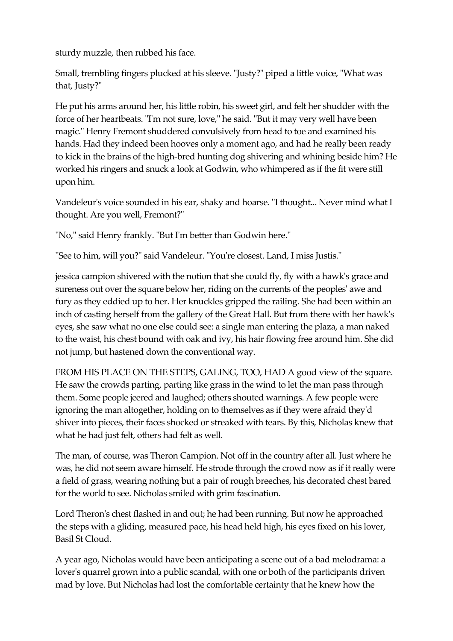sturdy muzzle, then rubbed his face.

Small, trembling fingers plucked at his sleeve. "Justy?" piped a little voice, "What was that, Justy?"

He put his arms around her, his little robin, his sweet girl, and felt her shudder with the force of her heartbeats. "I'm not sure, love," he said. "But it may very well have been magic." Henry Fremont shuddered convulsively from head to toe and examined his hands. Had they indeed been hooves only a moment ago, and had he really been ready to kick in the brains of the high-bred hunting dog shivering and whining beside him? He worked his ringers and snuck a look at Godwin, who whimpered as if the fit were still upon him.

Vandeleur's voice sounded in his ear, shaky and hoarse. "I thought... Never mind what I thought. Are you well, Fremont?"

"No," said Henry frankly. "But I'm better than Godwin here."

"See to him, will you?" said Vandeleur. "You're closest. Land, I miss Justis."

jessica campion shivered with the notion that she could fly, fly with a hawk's grace and sureness out over the square below her, riding on the currents of the peoples' awe and fury as they eddied up to her. Her knuckles gripped the railing. She had been within an inch of casting herself from the gallery of the Great Hall. But from there with her hawk's eyes, she saw what no one else could see: a single man entering the plaza, a man naked to the waist, his chest bound with oak and ivy, his hair flowing free around him. She did not jump, but hastened down the conventional way.

FROM HIS PLACE ON THE STEPS, GALING, TOO, HAD A good view of the square. He saw the crowds parting, parting like grass in the wind to let the man pass through them. Some people jeered and laughed; others shouted warnings. A few people were ignoring the man altogether, holding on to themselves as if they were afraid they'd shiver into pieces, their faces shocked or streaked with tears. By this, Nicholas knew that what he had just felt, others had felt as well.

The man, of course, was Theron Campion. Not off in the country after all. Just where he was, he did not seem aware himself. He strode through the crowd now as if it really were a field of grass, wearing nothing but a pair of rough breeches, his decorated chest bared for the world to see. Nicholas smiled with grim fascination.

Lord Theron's chest flashed in and out; he had been running. But now he approached the steps with a gliding, measured pace, his head held high, his eyes fixed on his lover, Basil St Cloud.

A year ago, Nicholas would have been anticipating a scene out of a bad melodrama: a lover's quarrel grown into a public scandal, with one or both of the participants driven mad by love. But Nicholas had lost the comfortable certainty that he knew how the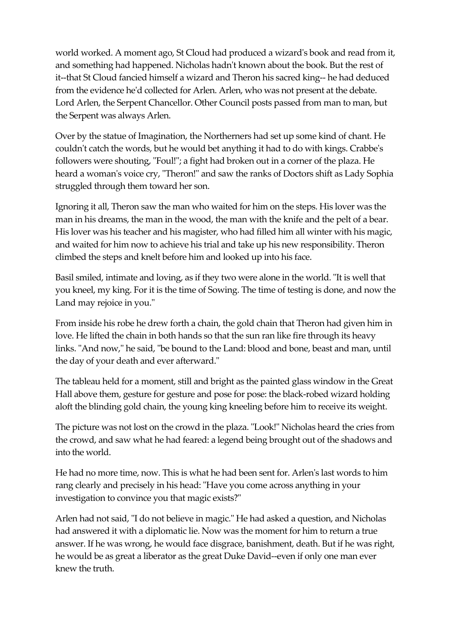world worked. A moment ago, St Cloud had produced a wizard's book and read from it, and something had happened. Nicholas hadn't known about the book. But the rest of it--that St Cloud fancied himself a wizard and Theron his sacred king-- he had deduced from the evidence he'd collected for Arlen. Arlen, who was not present at the debate. Lord Arlen, the Serpent Chancellor. Other Council posts passed from man to man, but the Serpent was always Arlen.

Over by the statue of Imagination, the Northerners had set up some kind of chant. He couldn't catch the words, but he would bet anything it had to do with kings. Crabbe's followers were shouting, "Foul!"; a fight had broken out in a corner of the plaza. He heard a woman's voice cry, "Theron!" and saw the ranks of Doctors shift as Lady Sophia struggled through them toward her son.

Ignoring it all, Theron saw the man who waited for him on the steps. His lover was the man in his dreams, the man in the wood, the man with the knife and the pelt of a bear. His lover was his teacher and his magister, who had filled him all winter with his magic, and waited for him now to achieve his trial and take up his new responsibility. Theron climbed the steps and knelt before him and looked up into his face.

Basil smiled, intimate and loving, as if they two were alone in the world. "It is well that you kneel, my king. For it is the time of Sowing. The time of testing is done, and now the Land may rejoice in you."

From inside his robe he drew forth a chain, the gold chain that Theron had given him in love. He lifted the chain in both hands so that the sun ran like fire through its heavy links. "And now," he said, "be bound to the Land: blood and bone, beast and man, until the day of your death and ever afterward."

The tableau held for a moment, still and bright as the painted glass window in the Great Hall above them, gesture for gesture and pose for pose: the black-robed wizard holding aloft the blinding gold chain, the young king kneeling before him to receive its weight.

The picture was not lost on the crowd in the plaza. "Look!" Nicholas heard the cries from the crowd, and saw what he had feared: a legend being brought out of the shadows and into the world.

He had no more time, now. This is what he had been sent for. Arlen's last words to him rang clearly and precisely in his head: "Have you come across anything in your investigation to convince you that magic exists?"

Arlen had not said, "I do not believe in magic." He had asked a question, and Nicholas had answered it with a diplomatic lie. Now was the moment for him to return a true answer. If he was wrong, he would face disgrace, banishment, death. But if he was right, he would be as great a liberator as the great Duke David--even if only one man ever knew the truth.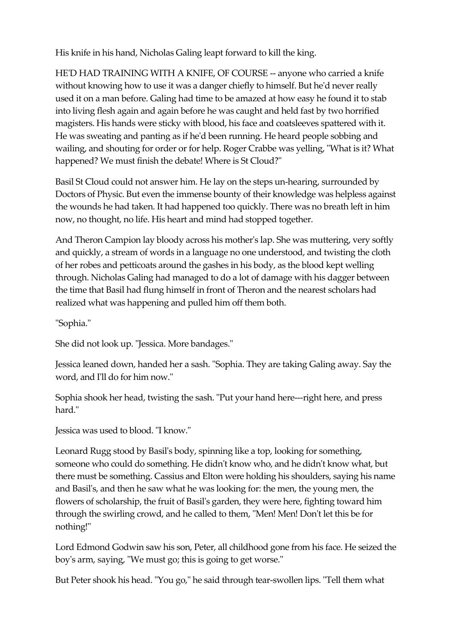His knife in his hand, Nicholas Galing leapt forward to kill the king.

HE'D HAD TRAINING WITH A KNIFE, OF COURSE -- anyone who carried a knife without knowing how to use it was a danger chiefly to himself. But he'd never really used it on a man before. Galing had time to be amazed at how easy he found it to stab into living flesh again and again before he was caught and held fast by two horrified magisters. His hands were sticky with blood, his face and coatsleeves spattered with it. He was sweating and panting as if he'd been running. He heard people sobbing and wailing, and shouting for order or for help. Roger Crabbe was yelling, "What is it? What happened? We must finish the debate! Where is St Cloud?"

Basil St Cloud could not answer him. He lay on the steps un-hearing, surrounded by Doctors of Physic. But even the immense bounty of their knowledge was helpless against the wounds he had taken. It had happened too quickly. There was no breath left in him now, no thought, no life. His heart and mind had stopped together.

And Theron Campion lay bloody across his mother's lap. She was muttering, very softly and quickly, a stream of words in a language no one understood, and twisting the cloth of her robes and petticoats around the gashes in his body, as the blood kept welling through. Nicholas Galing had managed to do a lot of damage with his dagger between the time that Basil had flung himself in front of Theron and the nearest scholars had realized what was happening and pulled him off them both.

"Sophia."

She did not look up. "Jessica. More bandages."

Jessica leaned down, handed her a sash. "Sophia. They are taking Galing away. Say the word, and I'll do for him now."

Sophia shook her head, twisting the sash. "Put your hand here---right here, and press hard."

Jessica was used to blood. "I know."

Leonard Rugg stood by Basil's body, spinning like a top, looking for something, someone who could do something. He didn't know who, and he didn't know what, but there must be something. Cassius and Elton were holding his shoulders, saying his name and Basil's, and then he saw what he was looking for: the men, the young men, the flowers of scholarship, the fruit of Basil's garden, they were here, fighting toward him through the swirling crowd, and he called to them, "Men! Men! Don't let this be for nothing!"

Lord Edmond Godwin saw his son, Peter, all childhood gone from his face. He seized the boy's arm, saying, "We must go; this is going to get worse."

But Peter shook his head. "You go," he said through tear-swollen lips. "Tell them what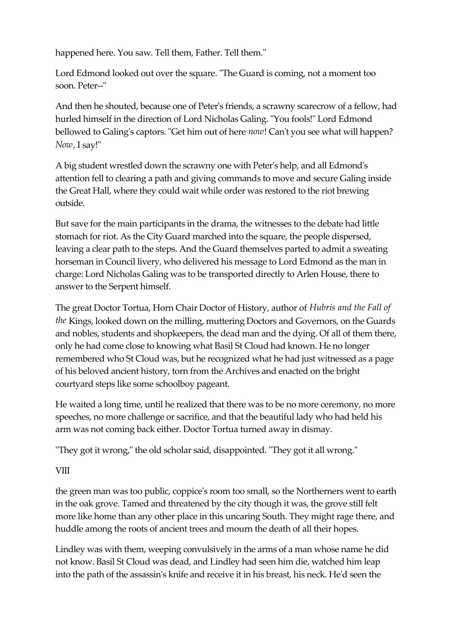happened here. You saw. Tell them, Father. Tell them."

Lord Edmond looked out over the square. "The Guard is coming, not a moment too soon. Peter--"

And then he shouted, because one of Peter's friends, a scrawny scarecrow of a fellow, had hurled himself in the direction of Lord Nicholas Galing. "You fools!" Lord Edmond bellowed to Galing's captors. "Get him out of here *now*! Can't you see what will happen? *Now*, I say!"

A big student wrestled down the scrawny one with Peter's help, and all Edmond's attention fell to clearing a path and giving commands to move and secure Galing inside the Great Hall, where they could wait while order was restored to the riot brewing outside.

But save for the main participants in the drama, the witnesses to the debate had little stomach for riot. As the City Guard marched into the square, the people dispersed, leaving a clear path to the steps. And the Guard themselves parted to admit a sweating horseman in Council livery, who delivered his message to Lord Edmond as the man in charge: Lord Nicholas Galing was to be transported directly to Arlen House, there to answer to the Serpent himself.

The great Doctor Tortua, Horn Chair Doctor of History, author of *Hubris and the Fall of the* Kings, looked down on the milling, muttering Doctors and Governors, on the Guards and nobles, students and shopkeepers, the dead man and the dying. Of all of them there, only he had come close to knowing what Basil St Cloud had known. He no longer remembered who St Cloud was, but he recognized what he had just witnessed as a page of his beloved ancient history, torn from the Archives and enacted on the bright courtyard steps like some schoolboy pageant.

He waited a long time, until he realized that there was to be no more ceremony, no more speeches, no more challenge or sacrifice, and that the beautiful lady who had held his arm was not coming back either. Doctor Tortua turned away in dismay.

"They got it wrong," the old scholar said, disappointed. "They got it all wrong."

# VIII

the green man was too public, coppice's room too small, so the Northerners went to earth in the oak grove. Tamed and threatened by the city though it was, the grove still felt more like home than any other place in this uncaring South. They might rage there, and huddle among the roots of ancient trees and mourn the death of all their hopes.

Lindley was with them, weeping convulsively in the arms of a man whose name he did not know. Basil St Cloud was dead, and Lindley had seen him die, watched him leap into the path of the assassin's knife and receive it in his breast, his neck. He'd seen the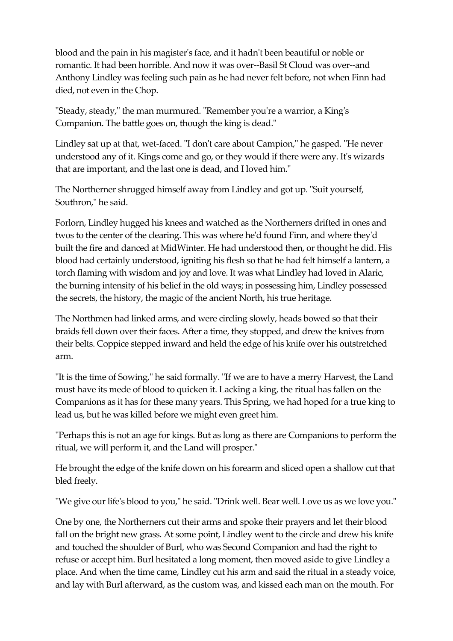blood and the pain in his magister's face, and it hadn't been beautiful or noble or romantic. It had been horrible. And now it was over--Basil St Cloud was over--and Anthony Lindley was feeling such pain as he had never felt before, not when Finn had died, not even in the Chop.

"Steady, steady," the man murmured. "Remember you're a warrior, a King's Companion. The battle goes on, though the king is dead."

Lindley sat up at that, wet-faced. "I don't care about Campion," he gasped. "He never understood any of it. Kings come and go, or they would if there were any. It's wizards that are important, and the last one is dead, and I loved him."

The Northerner shrugged himself away from Lindley and got up. "Suit yourself, Southron," he said.

Forlorn, Lindley hugged his knees and watched as the Northerners drifted in ones and twos to the center of the clearing. This was where he'd found Finn, and where they'd built the fire and danced at MidWinter. He had understood then, or thought he did. His blood had certainly understood, igniting his flesh so that he had felt himself a lantern, a torch flaming with wisdom and joy and love. It was what Lindley had loved in Alaric, the burning intensity of his belief in the old ways; in possessing him, Lindley possessed the secrets, the history, the magic of the ancient North, his true heritage.

The Northmen had linked arms, and were circling slowly, heads bowed so that their braids fell down over their faces. After a time, they stopped, and drew the knives from their belts. Coppice stepped inward and held the edge of his knife over his outstretched arm.

"It is the time of Sowing," he said formally. "If we are to have a merry Harvest, the Land must have its mede of blood to quicken it. Lacking a king, the ritual has fallen on the Companions as it has for these many years. This Spring, we had hoped for a true king to lead us, but he was killed before we might even greet him.

"Perhaps this is not an age for kings. But as long as there are Companions to perform the ritual, we will perform it, and the Land will prosper."

He brought the edge of the knife down on his forearm and sliced open a shallow cut that bled freely.

"We give our life's blood to you," he said. "Drink well. Bear well. Love us as we love you."

One by one, the Northerners cut their arms and spoke their prayers and let their blood fall on the bright new grass. At some point, Lindley went to the circle and drew his knife and touched the shoulder of Burl, who was Second Companion and had the right to refuse or accept him. Burl hesitated a long moment, then moved aside to give Lindley a place. And when the time came, Lindley cut his arm and said the ritual in a steady voice, and lay with Burl afterward, as the custom was, and kissed each man on the mouth. For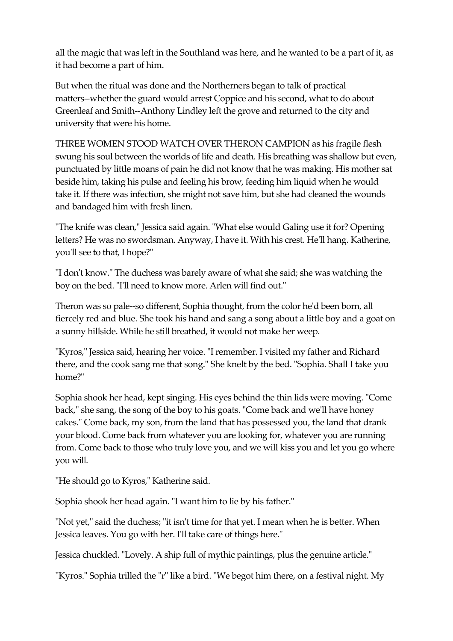all the magic that was left in the Southland was here, and he wanted to be a part of it, as it had become a part of him.

But when the ritual was done and the Northerners began to talk of practical matters--whether the guard would arrest Coppice and his second, what to do about Greenleaf and Smith--Anthony Lindley left the grove and returned to the city and university that were his home.

THREE WOMEN STOOD WATCH OVER THERON CAMPION as his fragile flesh swung his soul between the worlds of life and death. His breathing was shallow but even, punctuated by little moans of pain he did not know that he was making. His mother sat beside him, taking his pulse and feeling his brow, feeding him liquid when he would take it. If there was infection, she might not save him, but she had cleaned the wounds and bandaged him with fresh linen.

"The knife was clean," Jessica said again. "What else would Galing use it for? Opening letters? He was no swordsman. Anyway, I have it. With his crest. He'll hang. Katherine, you'll see to that, I hope?"

"I don't know." The duchess was barely aware of what she said; she was watching the boy on the bed. "I'll need to know more. Arlen will find out."

Theron was so pale--so different, Sophia thought, from the color he'd been born, all fiercely red and blue. She took his hand and sang a song about a little boy and a goat on a sunny hillside. While he still breathed, it would not make her weep.

"Kyros," Jessica said, hearing her voice. "I remember. I visited my father and Richard there, and the cook sang me that song." She knelt by the bed. "Sophia. Shall I take you home?"

Sophia shook her head, kept singing. His eyes behind the thin lids were moving. "Come back," she sang, the song of the boy to his goats. "Come back and we'll have honey cakes." Come back, my son, from the land that has possessed you, the land that drank your blood. Come back from whatever you are looking for, whatever you are running from. Come back to those who truly love you, and we will kiss you and let you go where you will.

"He should go to Kyros," Katherine said.

Sophia shook her head again. "I want him to lie by his father."

"Not yet," said the duchess; "it isn't time for that yet. I mean when he is better. When Jessica leaves. You go with her. I'll take care of things here."

Jessica chuckled. "Lovely. A ship full of mythic paintings, plus the genuine article."

"Kyros." Sophia trilled the "r" like a bird. "We begot him there, on a festival night. My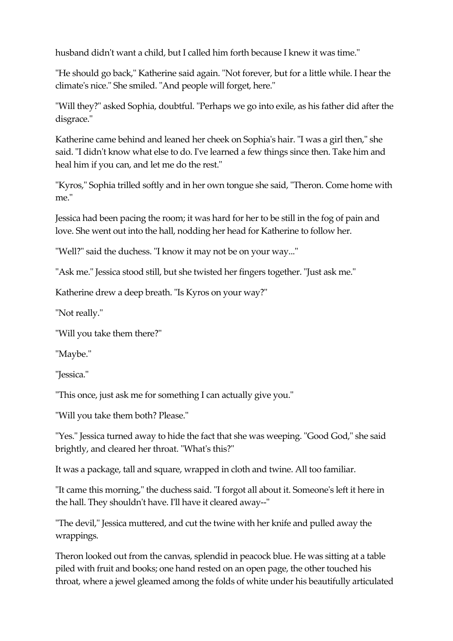husband didn't want a child, but I called him forth because I knew it was time."

"He should go back," Katherine said again. "Not forever, but for a little while. I hear the climate's nice." She smiled. "And people will forget, here."

"Will they?" asked Sophia, doubtful. "Perhaps we go into exile, as his father did after the disgrace."

Katherine came behind and leaned her cheek on Sophia's hair. "I was a girl then," she said. "I didn't know what else to do. I've learned a few things since then. Take him and heal him if you can, and let me do the rest."

"Kyros," Sophia trilled softly and in her own tongue she said, "Theron. Come home with me."

Jessica had been pacing the room; it was hard for her to be still in the fog of pain and love. She went out into the hall, nodding her head for Katherine to follow her.

"Well?" said the duchess. "I know it may not be on your way..."

"Ask me." Jessica stood still, but she twisted her fingers together. "Just ask me."

Katherine drew a deep breath. "Is Kyros on your way?"

"Not really."

"Will you take them there?"

"Maybe."

"Jessica."

"This once, just ask me for something I can actually give you."

"Will you take them both? Please."

"Yes." Jessica turned away to hide the fact that she was weeping. "Good God," she said brightly, and cleared her throat. "What's this?"

It was a package, tall and square, wrapped in cloth and twine. All too familiar.

"It came this morning," the duchess said. "I forgot all about it. Someone's left it here in the hall. They shouldn't have. I'll have it cleared away--"

"The devil," Jessica muttered, and cut the twine with her knife and pulled away the wrappings.

Theron looked out from the canvas, splendid in peacock blue. He was sitting at a table piled with fruit and books; one hand rested on an open page, the other touched his throat, where a jewel gleamed among the folds of white under his beautifully articulated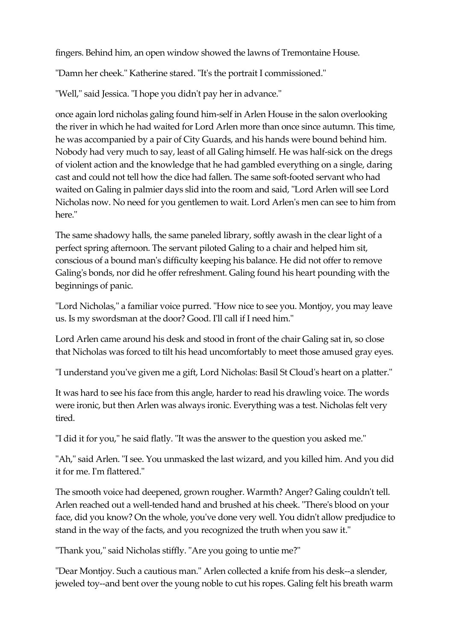fingers. Behind him, an open window showed the lawns of Tremontaine House.

"Damn her cheek." Katherine stared. "It's the portrait I commissioned."

"Well," said Jessica. "I hope you didn't pay her in advance."

once again lord nicholas galing found him-self in Arlen House in the salon overlooking the river in which he had waited for Lord Arlen more than once since autumn. This time, he was accompanied by a pair of City Guards, and his hands were bound behind him. Nobody had very much to say, least of all Galing himself. He was half-sick on the dregs of violent action and the knowledge that he had gambled everything on a single, daring cast and could not tell how the dice had fallen. The same soft-footed servant who had waited on Galing in palmier days slid into the room and said, "Lord Arlen will see Lord Nicholas now. No need for you gentlemen to wait. Lord Arlen's men can see to him from here."

The same shadowy halls, the same paneled library, softly awash in the clear light of a perfect spring afternoon. The servant piloted Galing to a chair and helped him sit, conscious of a bound man's difficulty keeping his balance. He did not offer to remove Galing's bonds, nor did he offer refreshment. Galing found his heart pounding with the beginnings of panic.

"Lord Nicholas," a familiar voice purred. "How nice to see you. Montjoy, you may leave us. Is my swordsman at the door? Good. I'll call if I need him."

Lord Arlen came around his desk and stood in front of the chair Galing sat in, so close that Nicholas was forced to tilt his head uncomfortably to meet those amused gray eyes.

"I understand you've given me a gift, Lord Nicholas: Basil St Cloud's heart on a platter."

It was hard to see his face from this angle, harder to read his drawling voice. The words were ironic, but then Arlen was always ironic. Everything was a test. Nicholas felt very tired.

"I did it for you," he said flatly. "It was the answer to the question you asked me."

"Ah," said Arlen. "I see. You unmasked the last wizard, and you killed him. And you did it for me. I'm flattered."

The smooth voice had deepened, grown rougher. Warmth? Anger? Galing couldn't tell. Arlen reached out a well-tended hand and brushed at his cheek. "There's blood on your face, did you know? On the whole, you've done very well. You didn't allow predjudice to stand in the way of the facts, and you recognized the truth when you saw it."

"Thank you," said Nicholas stiffly. "Are you going to untie me?"

"Dear Montjoy. Such a cautious man." Arlen collected a knife from his desk--a slender, jeweled toy--and bent over the young noble to cut his ropes. Galing felt his breath warm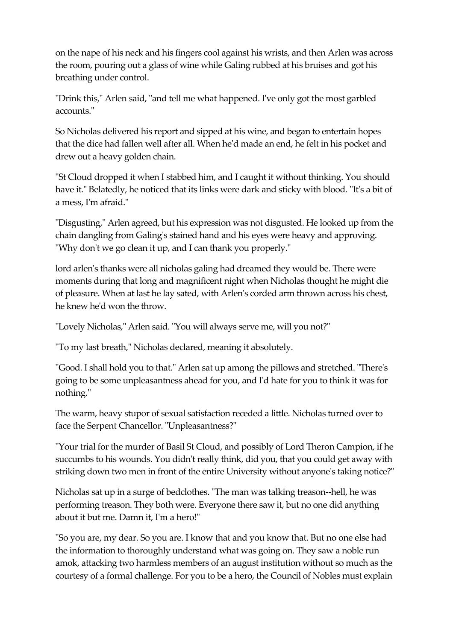on the nape of his neck and his fingers cool against his wrists, and then Arlen was across the room, pouring out a glass of wine while Galing rubbed at his bruises and got his breathing under control.

"Drink this," Arlen said, "and tell me what happened. I've only got the most garbled accounts."

So Nicholas delivered his report and sipped at his wine, and began to entertain hopes that the dice had fallen well after all. When he'd made an end, he felt in his pocket and drew out a heavy golden chain.

"St Cloud dropped it when I stabbed him, and I caught it without thinking. You should have it." Belatedly, he noticed that its links were dark and sticky with blood. "It's a bit of a mess, I'm afraid."

"Disgusting," Arlen agreed, but his expression was not disgusted. He looked up from the chain dangling from Galing's stained hand and his eyes were heavy and approving. "Why don't we go clean it up, and I can thank you properly."

lord arlen's thanks were all nicholas galing had dreamed they would be. There were moments during that long and magnificent night when Nicholas thought he might die of pleasure. When at last he lay sated, with Arlen's corded arm thrown across his chest, he knew he'd won the throw.

"Lovely Nicholas," Arlen said. "You will always serve me, will you not?"

"To my last breath," Nicholas declared, meaning it absolutely.

"Good. I shall hold you to that." Arlen sat up among the pillows and stretched. "There's going to be some unpleasantness ahead for you, and I'd hate for you to think it was for nothing."

The warm, heavy stupor of sexual satisfaction receded a little. Nicholas turned over to face the Serpent Chancellor. "Unpleasantness?"

"Your trial for the murder of Basil St Cloud, and possibly of Lord Theron Campion, if he succumbs to his wounds. You didn't really think, did you, that you could get away with striking down two men in front of the entire University without anyone's taking notice?"

Nicholas sat up in a surge of bedclothes. "The man was talking treason--hell, he was performing treason. They both were. Everyone there saw it, but no one did anything about it but me. Damn it, I'm a hero!"

"So you are, my dear. So you are. I know that and you know that. But no one else had the information to thoroughly understand what was going on. They saw a noble run amok, attacking two harmless members of an august institution without so much as the courtesy of a formal challenge. For you to be a hero, the Council of Nobles must explain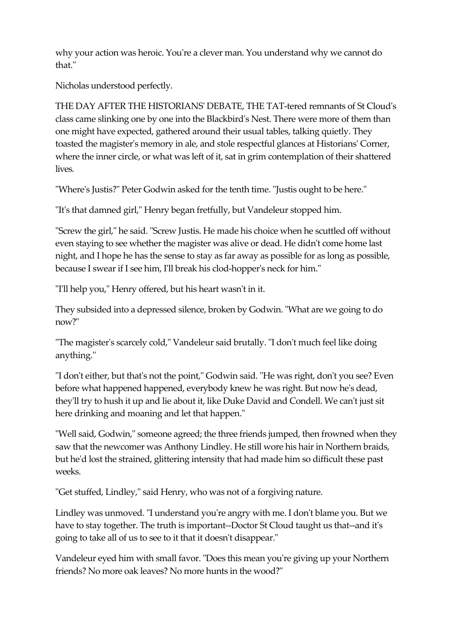why your action was heroic. You're a clever man. You understand why we cannot do that."

Nicholas understood perfectly.

THE DAY AFTER THE HISTORIANS' DEBATE, THE TAT-tered remnants of St Cloud's class came slinking one by one into the Blackbird's Nest. There were more of them than one might have expected, gathered around their usual tables, talking quietly. They toasted the magister's memory in ale, and stole respectful glances at Historians' Corner, where the inner circle, or what was left of it, sat in grim contemplation of their shattered lives.

"Where's Justis?" Peter Godwin asked for the tenth time. "Justis ought to be here."

"It's that damned girl," Henry began fretfully, but Vandeleur stopped him.

"Screw the girl," he said. "Screw Justis. He made his choice when he scuttled off without even staying to see whether the magister was alive or dead. He didn't come home last night, and I hope he has the sense to stay as far away as possible for as long as possible, because I swear if I see him, I'll break his clod-hopper's neck for him."

"I'll help you," Henry offered, but his heart wasn't in it.

They subsided into a depressed silence, broken by Godwin. "What are we going to do now?"

"The magister's scarcely cold," Vandeleur said brutally. "I don't much feel like doing anything."

"I don't either, but that's not the point," Godwin said. "He was right, don't you see? Even before what happened happened, everybody knew he was right. But now he's dead, they'll try to hush it up and lie about it, like Duke David and Condell. We can't just sit here drinking and moaning and let that happen."

"Well said, Godwin," someone agreed; the three friends jumped, then frowned when they saw that the newcomer was Anthony Lindley. He still wore his hair in Northern braids, but he'd lost the strained, glittering intensity that had made him so difficult these past weeks.

"Get stuffed, Lindley," said Henry, who was not of a forgiving nature.

Lindley was unmoved. "I understand you're angry with me. I don't blame you. But we have to stay together. The truth is important--Doctor St Cloud taught us that--and it's going to take all of us to see to it that it doesn't disappear."

Vandeleur eyed him with small favor. "Does this mean you're giving up your Northern friends? No more oak leaves? No more hunts in the wood?"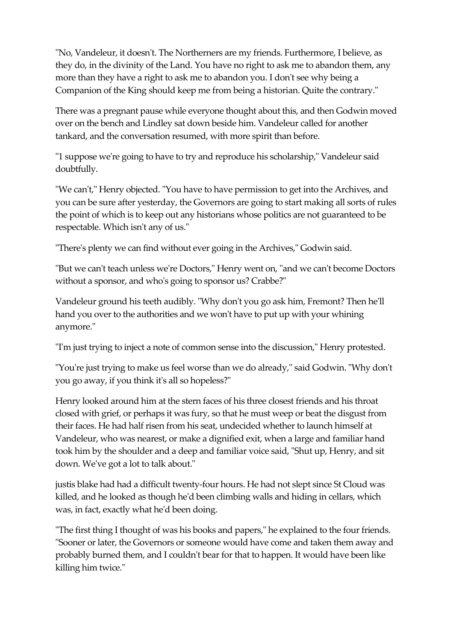"No, Vandeleur, it doesn't. The Northerners are my friends. Furthermore, I believe, as they do, in the divinity of the Land. You have no right to ask me to abandon them, any more than they have a right to ask me to abandon you. I don't see why being a Companion of the King should keep me from being a historian. Quite the contrary."

There was a pregnant pause while everyone thought about this, and then Godwin moved over on the bench and Lindley sat down beside him. Vandeleur called for another tankard, and the conversation resumed, with more spirit than before.

"1 suppose we're going to have to try and reproduce his scholarship," Vandeleur said doubtfully.

"We can't," Henry objected. "You have to have permission to get into the Archives, and you can be sure after yesterday, the Governors are going to start making all sorts of rules the point of which is to keep out any historians whose politics are not guaranteed to be respectable. Which isn't any of us."

"There's plenty we can find without ever going in the Archives," Godwin said.

"But we can't teach unless we're Doctors," Henry went on, "and we can't become Doctors without a sponsor, and who's going to sponsor us? Crabbe?"

Vandeleur ground his teeth audibly. "Why don't you go ask him, Fremont? Then he'll hand you over to the authorities and we won't have to put up with your whining anymore."

"I'm just trying to inject a note of common sense into the discussion," Henry protested.

"You're just trying to make us feel worse than we do already," said Godwin. "Why don't you go away, if you think it's all so hopeless?"

Henry looked around him at the stern faces of his three closest friends and his throat closed with grief, or perhaps it was fury, so that he must weep or beat the disgust from their faces. He had half risen from his seat, undecided whether to launch himself at Vandeleur, who was nearest, or make a dignified exit, when a large and familiar hand took him by the shoulder and a deep and familiar voice said, "Shut up, Henry, and sit down. We've got a lot to talk about."

justis blake had had a difficult twenty-four hours. He had not slept since St Cloud was killed, and he looked as though he'd been climbing walls and hiding in cellars, which was, in fact, exactly what he'd been doing.

"The first thing I thought of was his books and papers," he explained to the four friends. "Sooner or later, the Governors or someone would have come and taken them away and probably burned them, and I couldn't bear for that to happen. It would have been like killing him twice."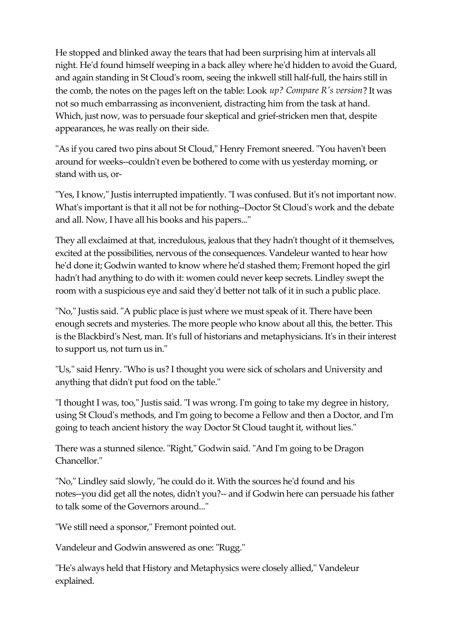He stopped and blinked away the tears that had been surprising him at intervals all night. He'd found himself weeping in a back alley where he'd hidden to avoid the Guard, and again standing in St Cloud's room, seeing the inkwell still half-full, the hairs still in the comb, the notes on the pages left on the table: Look *up? Compare R's version*? It was not so much embarrassing as inconvenient, distracting him from the task at hand. Which, just now, was to persuade four skeptical and grief-stricken men that, despite appearances, he was really on their side.

"As if you cared two pins about St Cloud," Henry Fremont sneered. "You haven't been around for weeks--couldn't even be bothered to come with us yesterday morning, or stand with us, or-

"Yes, I know," Justis interrupted impatiently. "I was confused. But it's not important now. What's important is that it all not be for nothing--Doctor St Cloud's work and the debate and all. Now, I have all his books and his papers..."

They all exclaimed at that, incredulous, jealous that they hadn't thought of it themselves, excited at the possibilities, nervous of the consequences. Vandeleur wanted to hear how he'd done it; Godwin wanted to know where he'd stashed them; Fremont hoped the girl hadn't had anything to do with it: women could never keep secrets. Lindley swept the room with a suspicious eye and said they'd better not talk of it in such a public place.

"No," Justis said. "A public place is just where we must speak of it. There have been enough secrets and mysteries. The more people who know about all this, the better. This is the Blackbird's Nest, man. It's full of historians and metaphysicians. It's in their interest to support us, not turn us in."

"Us," said Henry. "Who is us? I thought you were sick of scholars and University and anything that didn't put food on the table."

"I thought I was, too," Justis said. "I was wrong. I'm going to take my degree in history, using St Cloud's methods, and I'm going to become a Fellow and then a Doctor, and I'm going to teach ancient history the way Doctor St Cloud taught it, without lies."

There was a stunned silence. "Right," Godwin said. "And I'm going to be Dragon Chancellor."

"No," Lindley said slowly, "he could do it. With the sources he'd found and his notes--you did get all the notes, didn't you?-- and if Godwin here can persuade his father to talk some of the Governors around..."

"We still need a sponsor," Fremont pointed out.

Vandeleur and Godwin answered as one: "Rugg."

"He's always held that History and Metaphysics were closely allied," Vandeleur explained.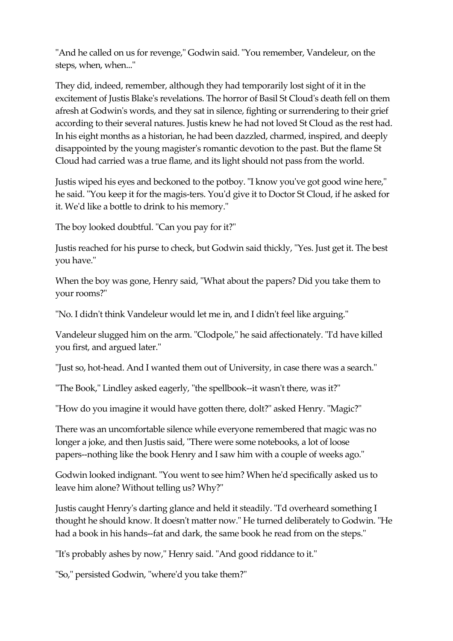"And he called on us for revenge," Godwin said. "You remember, Vandeleur, on the steps, when, when..."

They did, indeed, remember, although they had temporarily lost sight of it in the excitement of Justis Blake's revelations. The horror of Basil St Cloud's death fell on them afresh at Godwin's words, and they sat in silence, fighting or surrendering to their grief according to their several natures. Justis knew he had not loved St Cloud as the rest had. In his eight months as a historian, he had been dazzled, charmed, inspired, and deeply disappointed by the young magister's romantic devotion to the past. But the flame St Cloud had carried was a true flame, and its light should not pass from the world.

Justis wiped his eyes and beckoned to the potboy. "I know you've got good wine here," he said. "You keep it for the magis-ters. You'd give it to Doctor St Cloud, if he asked for it. We'd like a bottle to drink to his memory."

The boy looked doubtful. "Can you pay for it?"

Justis reached for his purse to check, but Godwin said thickly, "Yes. Just get it. The best you have."

When the boy was gone, Henry said, "What about the papers? Did you take them to your rooms?"

"No. I didn't think Vandeleur would let me in, and I didn't feel like arguing."

Vandeleur slugged him on the arm. "Clodpole," he said affectionately. "I'd have killed you first, and argued later."

"Just so, hot-head. And I wanted them out of University, in case there was a search."

"The Book," Lindley asked eagerly, "the spellbook--it wasn't there, was it?"

"How do you imagine it would have gotten there, dolt?" asked Henry. "Magic?"

There was an uncomfortable silence while everyone remembered that magic was no longer a joke, and then Justis said, "There were some notebooks, a lot of loose papers--nothing like the book Henry and I saw him with a couple of weeks ago."

Godwin looked indignant. "You went to see him? When he'd specifically asked us to leave him alone? Without telling us? Why?"

Justis caught Henry's darting glance and held it steadily. "I'd overheard something I thought he should know. It doesn't matter now." He turned deliberately to Godwin. "He had a book in his hands--fat and dark, the same book he read from on the steps."

"It's probably ashes by now," Henry said. "And good riddance to it."

"So," persisted Godwin, "where'd you take them?"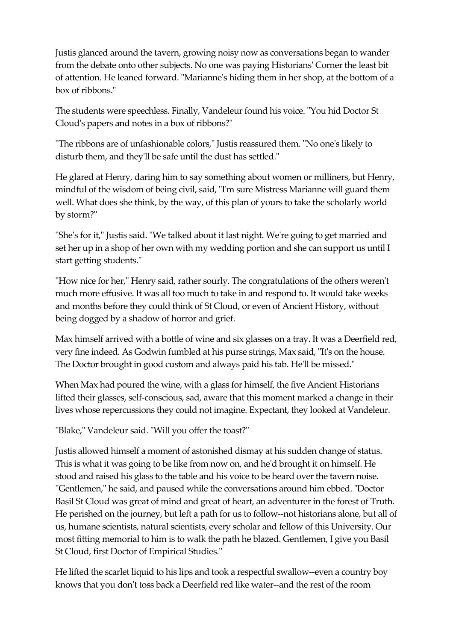Justis glanced around the tavern, growing noisy now as conversations began to wander from the debate onto other subjects. No one was paying Historians' Corner the least bit of attention. He leaned forward. "Marianne's hiding them in her shop, at the bottom of a box of ribbons."

The students were speechless. Finally, Vandeleur found his voice. "You hid Doctor St Cloud's papers and notes in a box of ribbons?"

"The ribbons are of unfashionable colors," Justis reassured them. "No one's likely to disturb them, and they'll be safe until the dust has settled."

He glared at Henry, daring him to say something about women or milliners, but Henry, mindful of the wisdom of being civil, said, "I'm sure Mistress Marianne will guard them well. What does she think, by the way, of this plan of yours to take the scholarly world by storm?"

"She's for it," Justis said. "We talked about it last night. We're going to get married and set her up in a shop of her own with my wedding portion and she can support us until I start getting students."

"How nice for her," Henry said, rather sourly. The congratulations of the others weren't much more effusive. It was all too much to take in and respond to. It would take weeks and months before they could think of St Cloud, or even of Ancient History, without being dogged by a shadow of horror and grief.

Max himself arrived with a bottle of wine and six glasses on a tray. It was a Deerfield red, very fine indeed. As Godwin fumbled at his purse strings, Max said, "It's on the house. The Doctor brought in good custom and always paid his tab. He'll be missed."

When Max had poured the wine, with a glass for himself, the five Ancient Historians lifted their glasses, self-conscious, sad, aware that this moment marked a change in their lives whose repercussions they could not imagine. Expectant, they looked at Vandeleur.

"Blake," Vandeleur said. "Will you offer the toast?"

Justis allowed himself a moment of astonished dismay at his sudden change of status. This is what it was going to be like from now on, and he'd brought it on himself. He stood and raised his glass to the table and his voice to be heard over the tavern noise. "Gentlemen," he said, and paused while the conversations around him ebbed. "Doctor Basil St Cloud was great of mind and great of heart, an adventurer in the forest of Truth. He perished on the journey, but left a path for us to follow--not historians alone, but all of us, humane scientists, natural scientists, every scholar and fellow of this University. Our most fitting memorial to him is to walk the path he blazed. Gentlemen, I give you Basil St Cloud, first Doctor of Empirical Studies."

He lifted the scarlet liquid to his lips and took a respectful swallow--even a country boy knows that you don't toss back a Deerfield red like water--and the rest of the room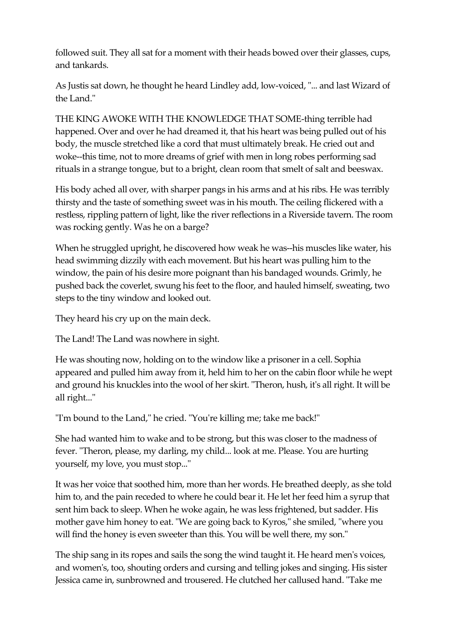followed suit. They all sat for a moment with their heads bowed over their glasses, cups, and tankards.

As Justis sat down, he thought he heard Lindley add, low-voiced, "... and last Wizard of the Land."

THE KING AWOKE WITH THE KNOWLEDGE THAT SOME-thing terrible had happened. Over and over he had dreamed it, that his heart was being pulled out of his body, the muscle stretched like a cord that must ultimately break. He cried out and woke--this time, not to more dreams of grief with men in long robes performing sad rituals in a strange tongue, but to a bright, clean room that smelt of salt and beeswax.

His body ached all over, with sharper pangs in his arms and at his ribs. He was terribly thirsty and the taste of something sweet was in his mouth. The ceiling flickered with a restless, rippling pattern of light, like the river reflections in a Riverside tavern. The room was rocking gently. Was he on a barge?

When he struggled upright, he discovered how weak he was--his muscles like water, his head swimming dizzily with each movement. But his heart was pulling him to the window, the pain of his desire more poignant than his bandaged wounds. Grimly, he pushed back the coverlet, swung his feet to the floor, and hauled himself, sweating, two steps to the tiny window and looked out.

They heard his cry up on the main deck.

The Land! The Land was nowhere in sight.

He was shouting now, holding on to the window like a prisoner in a cell. Sophia appeared and pulled him away from it, held him to her on the cabin floor while he wept and ground his knuckles into the wool of her skirt. "Theron, hush, it's all right. It will be all right..."

"I'm bound to the Land," he cried. "You're killing me; take me back!"

She had wanted him to wake and to be strong, but this was closer to the madness of fever. "Theron, please, my darling, my child... look at me. Please. You are hurting yourself, my love, you must stop..."

It was her voice that soothed him, more than her words. He breathed deeply, as she told him to, and the pain receded to where he could bear it. He let her feed him a syrup that sent him back to sleep. When he woke again, he was less frightened, but sadder. His mother gave him honey to eat. "We are going back to Kyros," she smiled, "where you will find the honey is even sweeter than this. You will be well there, my son."

The ship sang in its ropes and sails the song the wind taught it. He heard men's voices, and women's, too, shouting orders and cursing and telling jokes and singing. His sister Jessica came in, sunbrowned and trousered. He clutched her callused hand. "Take me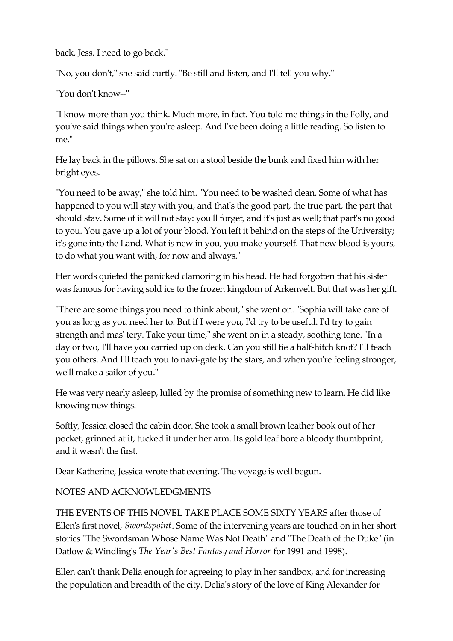back, Jess. I need to go back."

"No, you don't," she said curtly. "Be still and listen, and I'll tell you why."

"You don't know--"

"I know more than you think. Much more, in fact. You told me things in the Folly, and you've said things when you're asleep. And I've been doing a little reading. So listen to me."

He lay back in the pillows. She sat on a stool beside the bunk and fixed him with her bright eyes.

"You need to be away," she told him. "You need to be washed clean. Some of what has happened to you will stay with you, and that's the good part, the true part, the part that should stay. Some of it will not stay: you'll forget, and it's just as well; that part's no good to you. You gave up a lot of your blood. You left it behind on the steps of the University; it's gone into the Land. What is new in you, you make yourself. That new blood is yours, to do what you want with, for now and always."

Her words quieted the panicked clamoring in his head. He had forgotten that his sister was famous for having sold ice to the frozen kingdom of Arkenvelt. But that was her gift.

"There are some things you need to think about," she went on. "Sophia will take care of you as long as you need her to. But if I were you, I'd try to be useful. I'd try to gain strength and mas' tery. Take your time," she went on in a steady, soothing tone. "In a day or two, I'll have you carried up on deck. Can you still tie a half-hitch knot? I'll teach you others. And I'll teach you to navi-gate by the stars, and when you're feeling stronger, we'll make a sailor of you."

He was very nearly asleep, lulled by the promise of something new to learn. He did like knowing new things.

Softly, Jessica closed the cabin door. She took a small brown leather book out of her pocket, grinned at it, tucked it under her arm. Its gold leaf bore a bloody thumbprint, and it wasn't the first.

Dear Katherine, Jessica wrote that evening. The voyage is well begun.

## NOTES AND ACKNOWLEDGMENTS

THE EVENTS OF THIS NOVEL TAKE PLACE SOME SIXTY YEARS after those of Ellen's first novel, *Swordspoint*. Some of the intervening years are touched on in her short stories "The Swordsman Whose Name Was Not Death" and "The Death of the Duke" (in Datlow & Windling's *The Year's Best Fantasy and Horror* for 1991 and 1998).

Ellen can't thank Delia enough for agreeing to play in her sandbox, and for increasing the population and breadth of the city. Delia's story of the love of King Alexander for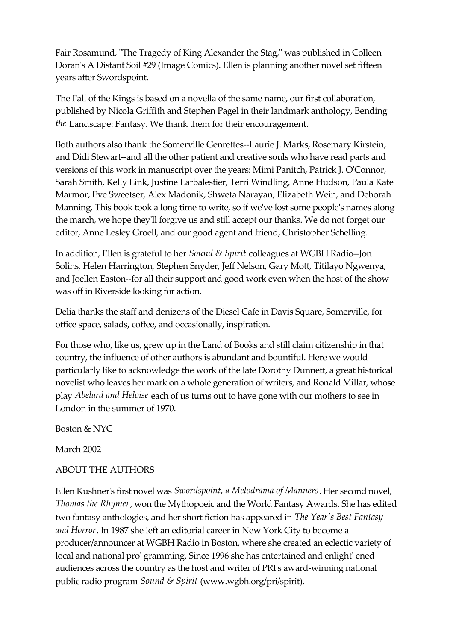Fair Rosamund, "The Tragedy of King Alexander the Stag," was published in Colleen Doran's A Distant Soil #29 (Image Comics). Ellen is planning another novel set fifteen years after Swordspoint.

The Fall of the Kings is based on a novella of the same name, our first collaboration, published by Nicola Griffith and Stephen Pagel in their landmark anthology, Bending *the* Landscape: Fantasy. We thank them for their encouragement.

Both authors also thank the Somerville Genrettes--Laurie J. Marks, Rosemary Kirstein, and Didi Stewart--and all the other patient and creative souls who have read parts and versions of this work in manuscript over the years: Mimi Panitch, Patrick J. O'Connor, Sarah Smith, Kelly Link, Justine Larbalestier, Terri Windling, Anne Hudson, Paula Kate Marmor, Eve Sweetser, Alex Madonik, Shweta Narayan, Elizabeth Wein, and Deborah Manning. This book took a long time to write, so if we've lost some people's names along the march, we hope they'll forgive us and still accept our thanks. We do not forget our editor, Anne Lesley Groell, and our good agent and friend, Christopher Schelling.

In addition, Ellen is grateful to her *Sound & Spirit* colleagues at WGBH Radio--Jon Solins, Helen Harrington, Stephen Snyder, Jeff Nelson, Gary Mott, Titilayo Ngwenya, and Joellen Easton--for all their support and good work even when the host of the show was off in Riverside looking for action.

Delia thanks the staff and denizens of the Diesel Cafe in Davis Square, Somerville, for office space, salads, coffee, and occasionally, inspiration.

For those who, like us, grew up in the Land of Books and still claim citizenship in that country, the influence of other authors is abundant and bountiful. Here we would particularly like to acknowledge the work of the late Dorothy Dunnett, a great historical novelist who leaves her mark on a whole generation of writers, and Ronald Millar, whose play *Abelard and Heloise* each of us turns out to have gone with our mothers to see in London in the summer of 1970.

Boston & NYC

March 2002

## ABOUT THE AUTHORS

Ellen Kushner's first novel was *Swordspoint, a Melodrama of Manners*. Her second novel, *Thomas the Rhymer*, won the Mythopoeic and the World Fantasy Awards. She has edited two fantasy anthologies, and her short fiction has appeared in *The Year's Best Fantasy and Horror*. In 1987 she left an editorial career in New York City to become a producer/announcer at WGBH Radio in Boston, where she created an eclectic variety of local and national pro' gramming. Since 1996 she has entertained and enlight' ened audiences across the country as the host and writer of PRI's award-winning national public radio program *Sound & Spirit* (www.wgbh.org/pri/spirit).